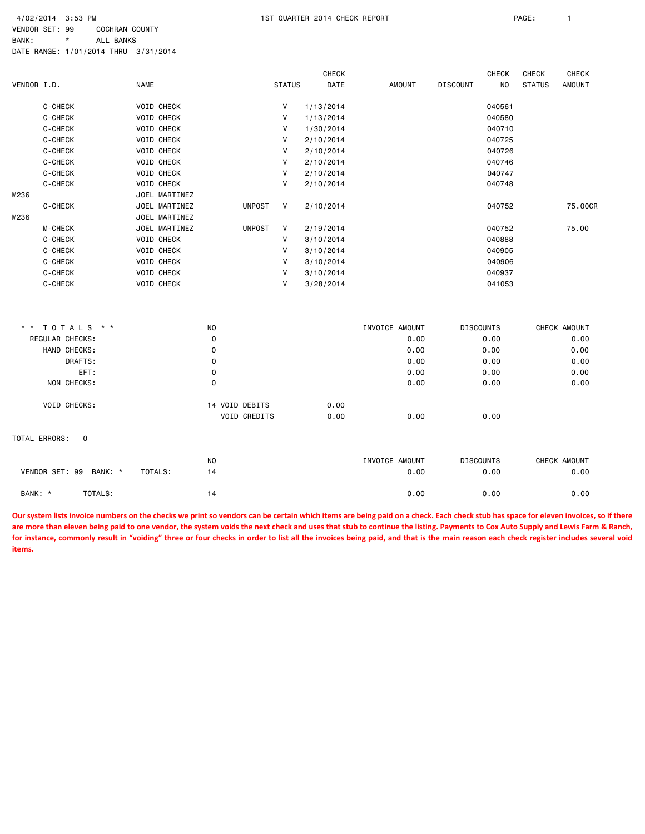VENDOR SET: 99 COCHRAN COUNTY BANK: \* ALL BANKS

DATE RANGE: 1/01/2014 THRU 3/31/2014

|               |                        |             |                   |                |                |               | <b>CHECK</b> |                |                 | <b>CHECK</b>     | <b>CHECK</b>  | <b>CHECK</b> |
|---------------|------------------------|-------------|-------------------|----------------|----------------|---------------|--------------|----------------|-----------------|------------------|---------------|--------------|
| VENDOR I.D.   |                        | <b>NAME</b> |                   |                |                | <b>STATUS</b> | DATE         | AMOUNT         | <b>DISCOUNT</b> | <b>NO</b>        | <b>STATUS</b> | AMOUNT       |
|               | C-CHECK                |             | <b>VOID CHECK</b> |                |                | V             | 1/13/2014    |                |                 | 040561           |               |              |
|               | C-CHECK                |             | VOID CHECK        |                |                | V             | 1/13/2014    |                |                 | 040580           |               |              |
|               | C-CHECK                |             | VOID CHECK        |                |                | V             | 1/30/2014    |                |                 | 040710           |               |              |
|               | C-CHECK                |             | VOID CHECK        |                |                | V             | 2/10/2014    |                |                 | 040725           |               |              |
|               | C-CHECK                |             | VOID CHECK        |                |                | V             | 2/10/2014    |                |                 | 040726           |               |              |
|               | C-CHECK                |             | VOID CHECK        |                |                | V             | 2/10/2014    |                |                 | 040746           |               |              |
|               | C-CHECK                |             | <b>VOID CHECK</b> |                |                | V             | 2/10/2014    |                |                 | 040747           |               |              |
|               | C-CHECK                |             | <b>VOID CHECK</b> |                |                | V             | 2/10/2014    |                |                 | 040748           |               |              |
| M236          |                        |             | JOEL MARTINEZ     |                |                |               |              |                |                 |                  |               |              |
|               | C-CHECK                |             | JOEL MARTINEZ     |                | <b>UNPOST</b>  | V             | 2/10/2014    |                |                 | 040752           |               | 75.00CR      |
| M236          |                        |             | JOEL MARTINEZ     |                |                |               |              |                |                 |                  |               |              |
|               | M-CHECK                |             | JOEL MARTINEZ     |                | <b>UNPOST</b>  | V             | 2/19/2014    |                |                 | 040752           |               | 75.00        |
|               | C-CHECK                |             | VOID CHECK        |                |                | V             | 3/10/2014    |                |                 | 040888           |               |              |
|               | C-CHECK                |             | VOID CHECK        |                |                | V             | 3/10/2014    |                |                 | 040905           |               |              |
|               | C-CHECK                |             | VOID CHECK        |                |                | V             | 3/10/2014    |                |                 | 040906           |               |              |
|               | C-CHECK                |             | VOID CHECK        |                |                | V             | 3/10/2014    |                |                 | 040937           |               |              |
|               | C-CHECK                |             | VOID CHECK        |                |                | V             | 3/28/2014    |                |                 | 041053           |               |              |
|               |                        |             |                   |                |                |               |              |                |                 |                  |               |              |
|               | * * TOTALS * *         |             |                   | NO             |                |               |              | INVOICE AMOUNT |                 | <b>DISCOUNTS</b> |               | CHECK AMOUNT |
|               | REGULAR CHECKS:        |             |                   | 0              |                |               |              | 0.00           |                 | 0.00             |               | 0.00         |
|               | HAND CHECKS:           |             |                   | $\mathbf 0$    |                |               |              | 0.00           |                 | 0.00             |               | 0.00         |
|               | DRAFTS:                |             |                   | 0              |                |               |              | 0.00           |                 | 0.00             |               | 0.00         |
|               | EFT:                   |             |                   | 0              |                |               |              | 0.00           |                 | 0.00             |               | 0.00         |
|               | NON CHECKS:            |             |                   | 0              |                |               |              | 0.00           |                 | 0.00             |               | 0.00         |
|               | VOID CHECKS:           |             |                   |                | 14 VOID DEBITS |               | 0.00         |                |                 |                  |               |              |
|               |                        |             |                   |                | VOID CREDITS   |               | 0.00         | 0.00           |                 | 0.00             |               |              |
| TOTAL ERRORS: | $\mathbf 0$            |             |                   |                |                |               |              |                |                 |                  |               |              |
|               |                        |             |                   | N <sub>O</sub> |                |               |              | INVOICE AMOUNT |                 | <b>DISCOUNTS</b> |               | CHECK AMOUNT |
|               | VENDOR SET: 99 BANK: * | TOTALS:     |                   | 14             |                |               |              | 0.00           |                 | 0.00             |               | 0.00         |
| BANK: *       | TOTALS:                |             |                   | 14             |                |               |              | 0.00           |                 | 0.00             |               | 0.00         |

**Our system lists invoice numbers on the checks we print so vendors can be certain which items are being paid on a check. Each check stub has space for eleven invoices, so if there are more than eleven being paid to one vendor, the system voids the next check and uses that stub to continue the listing. Payments to Cox Auto Supply and Lewis Farm & Ranch, for instance, commonly result in "voiding" three or four checks in order to list all the invoices being paid, and that is the main reason each check register includes several void items.**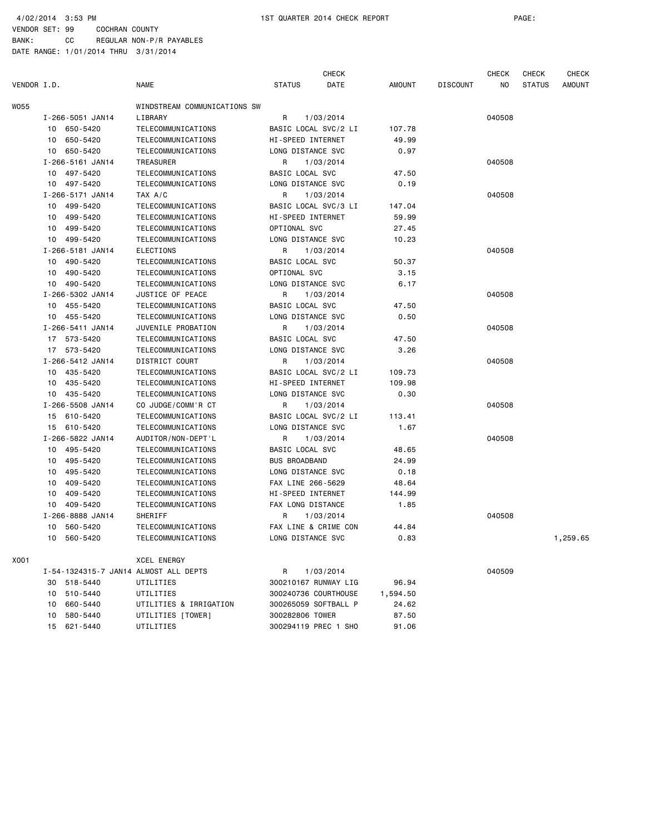4/02/2014 3:53 PM 1ST QUARTER 2014 CHECK REPORT PAGE:

VENDOR SET: 99 COCHRAN COUNTY BANK: CC REGULAR NON-P/R PAYABLES

|             |    |                  |                                       |                        | <b>CHECK</b>         |          |                 | <b>CHECK</b> | <b>CHECK</b>  | <b>CHECK</b>  |
|-------------|----|------------------|---------------------------------------|------------------------|----------------------|----------|-----------------|--------------|---------------|---------------|
| VENDOR I.D. |    |                  | <b>NAME</b>                           | <b>STATUS</b>          | DATE                 | AMOUNT   | <b>DISCOUNT</b> | NO           | <b>STATUS</b> | <b>AMOUNT</b> |
| WO55        |    |                  | WINDSTREAM COMMUNICATIONS SW          |                        |                      |          |                 |              |               |               |
|             |    | I-266-5051 JAN14 | LIBRARY                               | R                      | 1/03/2014            |          |                 | 040508       |               |               |
|             |    | 10 650-5420      | TELECOMMUNICATIONS                    |                        | BASIC LOCAL SVC/2 LI | 107.78   |                 |              |               |               |
|             | 10 | 650-5420         | TELECOMMUNICATIONS                    | HI-SPEED INTERNET      |                      | 49.99    |                 |              |               |               |
|             |    | 10 650-5420      | TELECOMMUNICATIONS                    | LONG DISTANCE SVC      |                      | 0.97     |                 |              |               |               |
|             |    | I-266-5161 JAN14 | <b>TREASURER</b>                      | R                      | 1/03/2014            |          |                 | 040508       |               |               |
|             |    | 10 497-5420      | TELECOMMUNICATIONS                    | BASIC LOCAL SVC        |                      | 47.50    |                 |              |               |               |
|             |    | 10 497-5420      | TELECOMMUNICATIONS                    | LONG DISTANCE SVC      |                      | 0.19     |                 |              |               |               |
|             |    | I-266-5171 JAN14 | TAX A/C                               | R                      | 1/03/2014            |          |                 | 040508       |               |               |
|             | 10 | 499-5420         | TELECOMMUNICATIONS                    |                        | BASIC LOCAL SVC/3 LI | 147.04   |                 |              |               |               |
|             | 10 | 499-5420         | TELECOMMUNICATIONS                    | HI-SPEED INTERNET      |                      | 59.99    |                 |              |               |               |
|             | 10 | 499-5420         | TELECOMMUNICATIONS                    | OPTIONAL SVC           |                      | 27.45    |                 |              |               |               |
|             |    | 10 499-5420      | TELECOMMUNICATIONS                    | LONG DISTANCE SVC      |                      | 10.23    |                 |              |               |               |
|             |    | I-266-5181 JAN14 | ELECTIONS                             | R                      | 1/03/2014            |          |                 | 040508       |               |               |
|             | 10 | 490-5420         | TELECOMMUNICATIONS                    | BASIC LOCAL SVC        |                      | 50.37    |                 |              |               |               |
|             |    | 10 490-5420      | TELECOMMUNICATIONS                    | OPTIONAL SVC           |                      | 3.15     |                 |              |               |               |
|             |    | 10 490-5420      | TELECOMMUNICATIONS                    | LONG DISTANCE SVC      |                      | 6.17     |                 |              |               |               |
|             |    | I-266-5302 JAN14 | JUSTICE OF PEACE                      | R                      | 1/03/2014            |          |                 | 040508       |               |               |
|             |    | 10 455-5420      | TELECOMMUNICATIONS                    | <b>BASIC LOCAL SVC</b> |                      | 47.50    |                 |              |               |               |
|             |    | 10 455-5420      | TELECOMMUNICATIONS                    | LONG DISTANCE SVC      |                      | 0.50     |                 |              |               |               |
|             |    | I-266-5411 JAN14 | JUVENILE PROBATION                    | R                      | 1/03/2014            |          |                 | 040508       |               |               |
|             |    | 17 573-5420      | TELECOMMUNICATIONS                    | BASIC LOCAL SVC        |                      | 47.50    |                 |              |               |               |
|             |    | 17 573-5420      | TELECOMMUNICATIONS                    | LONG DISTANCE SVC      |                      | 3.26     |                 |              |               |               |
|             |    | I-266-5412 JAN14 | DISTRICT COURT                        | R                      | 1/03/2014            |          |                 | 040508       |               |               |
|             |    | 10 435-5420      | TELECOMMUNICATIONS                    |                        | BASIC LOCAL SVC/2 LI | 109.73   |                 |              |               |               |
|             |    | 10 435-5420      | TELECOMMUNICATIONS                    | HI-SPEED INTERNET      |                      | 109.98   |                 |              |               |               |
|             |    | 10 435-5420      | TELECOMMUNICATIONS                    | LONG DISTANCE SVC      |                      | 0.30     |                 |              |               |               |
|             |    | I-266-5508 JAN14 | CO JUDGE/COMM'R CT                    | R                      | 1/03/2014            |          |                 | 040508       |               |               |
|             |    | 15 610-5420      | TELECOMMUNICATIONS                    |                        | BASIC LOCAL SVC/2 LI | 113.41   |                 |              |               |               |
|             |    | 15 610-5420      | TELECOMMUNICATIONS                    | LONG DISTANCE SVC      |                      | 1.67     |                 |              |               |               |
|             |    | I-266-5822 JAN14 | AUDITOR/NON-DEPT'L                    | R                      | 1/03/2014            |          |                 | 040508       |               |               |
|             |    | 10 495-5420      | TELECOMMUNICATIONS                    | BASIC LOCAL SVC        |                      | 48.65    |                 |              |               |               |
|             | 10 | 495-5420         | TELECOMMUNICATIONS                    | <b>BUS BROADBAND</b>   |                      | 24.99    |                 |              |               |               |
|             | 10 | 495-5420         | TELECOMMUNICATIONS                    | LONG DISTANCE SVC      |                      | 0.18     |                 |              |               |               |
|             | 10 | 409-5420         | TELECOMMUNICATIONS                    | FAX LINE 266-5629      |                      | 48.64    |                 |              |               |               |
|             | 10 | 409-5420         | TELECOMMUNICATIONS                    | HI-SPEED INTERNET      |                      | 144.99   |                 |              |               |               |
|             | 10 | 409-5420         | TELECOMMUNICATIONS                    | FAX LONG DISTANCE      |                      | 1.85     |                 |              |               |               |
|             |    | I-266-8888 JAN14 | SHERIFF                               | R                      | 1/03/2014            |          |                 | 040508       |               |               |
|             | 10 | 560-5420         | TELECOMMUNICATIONS                    |                        | FAX LINE & CRIME CON | 44.84    |                 |              |               |               |
|             |    | 10 560-5420      | TELECOMMUNICATIONS                    | LONG DISTANCE SVC      |                      | 0.83     |                 |              |               | 1,259.65      |
| X001        |    |                  | XCEL ENERGY                           |                        |                      |          |                 |              |               |               |
|             |    |                  | I-54-1324315-7 JAN14 ALMOST ALL DEPTS | R                      | 1/03/2014            |          |                 | 040509       |               |               |
|             |    | 30 518-5440      | UTILITIES                             |                        | 300210167 RUNWAY LIG | 96.94    |                 |              |               |               |
|             |    | 10 510-5440      | UTILITIES                             |                        | 300240736 COURTHOUSE | 1,594.50 |                 |              |               |               |
|             |    | 10 660-5440      | UTILITIES & IRRIGATION                |                        | 300265059 SOFTBALL P | 24.62    |                 |              |               |               |
|             | 10 | 580-5440         | UTILITIES [TOWER]                     | 300282806 TOWER        |                      | 87.50    |                 |              |               |               |
|             |    | 15 621-5440      | UTILITIES                             |                        | 300294119 PREC 1 SHO | 91.06    |                 |              |               |               |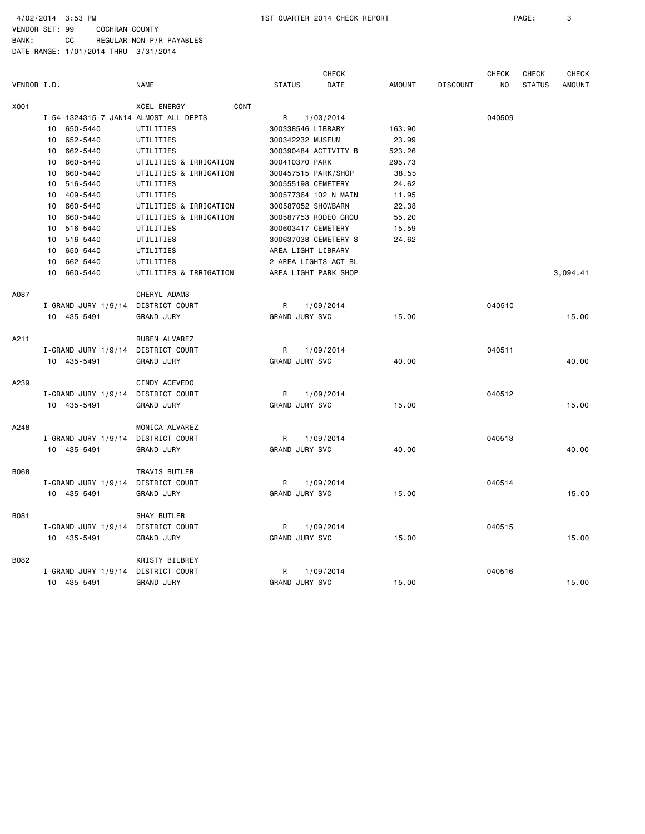4/02/2014 3:53 PM 1ST QUARTER 2014 CHECK REPORT PAGE: 3

VENDOR SET: 99 COCHRAN COUNTY BANK: CC REGULAR NON-P/R PAYABLES

|             |                                       |                            | <b>CHECK</b>          |               |                 | <b>CHECK</b>   | <b>CHECK</b>  | CHECK         |
|-------------|---------------------------------------|----------------------------|-----------------------|---------------|-----------------|----------------|---------------|---------------|
| VENDOR I.D. |                                       | <b>NAME</b>                | <b>STATUS</b><br>DATE | <b>AMOUNT</b> | <b>DISCOUNT</b> | N <sub>O</sub> | <b>STATUS</b> | <b>AMOUNT</b> |
| X001        |                                       | CONT<br><b>XCEL ENERGY</b> |                       |               |                 |                |               |               |
|             | I-54-1324315-7 JAN14 ALMOST ALL DEPTS |                            | R<br>1/03/2014        |               |                 | 040509         |               |               |
|             | 10<br>650-5440                        | UTILITIES                  | 300338546 LIBRARY     | 163.90        |                 |                |               |               |
|             | 652-5440<br>10                        | UTILITIES                  | 300342232 MUSEUM      | 23.99         |                 |                |               |               |
|             | 10<br>662-5440                        | UTILITIES                  | 300390484 ACTIVITY B  | 523.26        |                 |                |               |               |
|             | 660-5440<br>10                        | UTILITIES & IRRIGATION     | 300410370 PARK        | 295.73        |                 |                |               |               |
|             | 660-5440<br>10                        | UTILITIES & IRRIGATION     | 300457515 PARK/SHOP   | 38.55         |                 |                |               |               |
|             | 516-5440<br>10                        | UTILITIES                  | 300555198 CEMETERY    | 24.62         |                 |                |               |               |
|             | 409-5440<br>10                        | UTILITIES                  | 300577364 102 N MAIN  | 11.95         |                 |                |               |               |
|             | 660-5440<br>10                        | UTILITIES & IRRIGATION     | 300587052 SHOWBARN    | 22.38         |                 |                |               |               |
|             | 660-5440<br>10                        | UTILITIES & IRRIGATION     | 300587753 RODEO GROU  | 55.20         |                 |                |               |               |
|             | 516-5440<br>10                        | UTILITIES                  | 300603417 CEMETERY    | 15.59         |                 |                |               |               |
|             | 516-5440<br>10                        | UTILITIES                  | 300637038 CEMETERY S  | 24.62         |                 |                |               |               |
|             | 650-5440<br>10                        | UTILITIES                  | AREA LIGHT LIBRARY    |               |                 |                |               |               |
|             | 662-5440<br>10                        | UTILITIES                  | 2 AREA LIGHTS ACT BL  |               |                 |                |               |               |
|             | 660-5440<br>10                        | UTILITIES & IRRIGATION     | AREA LIGHT PARK SHOP  |               |                 |                |               | 3,094.41      |
| A087        |                                       | CHERYL ADAMS               |                       |               |                 |                |               |               |
|             | $I - GRAND$ JURY 1/9/14               | DISTRICT COURT             | R<br>1/09/2014        |               |                 | 040510         |               |               |
|             | 10 435-5491                           | <b>GRAND JURY</b>          | GRAND JURY SVC        | 15.00         |                 |                |               | 15.00         |
| A211        |                                       | RUBEN ALVAREZ              |                       |               |                 |                |               |               |
|             | I-GRAND JURY 1/9/14                   | DISTRICT COURT             | 1/09/2014<br>R        |               |                 | 040511         |               |               |
|             | 10 435-5491                           | <b>GRAND JURY</b>          | GRAND JURY SVC        | 40.00         |                 |                |               | 40.00         |
| A239        |                                       | CINDY ACEVEDO              |                       |               |                 |                |               |               |
|             | $I$ -GRAND JURY 1/9/14                | <b>DISTRICT COURT</b>      | R<br>1/09/2014        |               |                 | 040512         |               |               |
|             | 10 435-5491                           | <b>GRAND JURY</b>          | <b>GRAND JURY SVC</b> | 15.00         |                 |                |               | 15.00         |
| A248        |                                       | MONICA ALVAREZ             |                       |               |                 |                |               |               |
|             | I-GRAND JURY 1/9/14                   | DISTRICT COURT             | 1/09/2014<br>R        |               |                 | 040513         |               |               |
|             | 10 435-5491                           | <b>GRAND JURY</b>          | GRAND JURY SVC        | 40.00         |                 |                |               | 40.00         |
| B068        |                                       | TRAVIS BUTLER              |                       |               |                 |                |               |               |
|             | $I$ -GRAND JURY 1/9/14                | DISTRICT COURT             | 1/09/2014<br>R        |               |                 | 040514         |               |               |
|             | 10 435-5491                           | <b>GRAND JURY</b>          | GRAND JURY SVC        | 15.00         |                 |                |               | 15.00         |
| B081        |                                       | SHAY BUTLER                |                       |               |                 |                |               |               |
|             | $I$ -GRAND JURY 1/9/14                | DISTRICT COURT             | R<br>1/09/2014        |               |                 | 040515         |               |               |
|             | 10 435-5491                           | <b>GRAND JURY</b>          | <b>GRAND JURY SVC</b> | 15.00         |                 |                |               | 15.00         |
| B082        |                                       | KRISTY BILBREY             |                       |               |                 |                |               |               |
|             | I-GRAND JURY 1/9/14                   | DISTRICT COURT             | R<br>1/09/2014        |               |                 | 040516         |               |               |
|             | 10 435-5491                           | <b>GRAND JURY</b>          | <b>GRAND JURY SVC</b> | 15.00         |                 |                |               | 15.00         |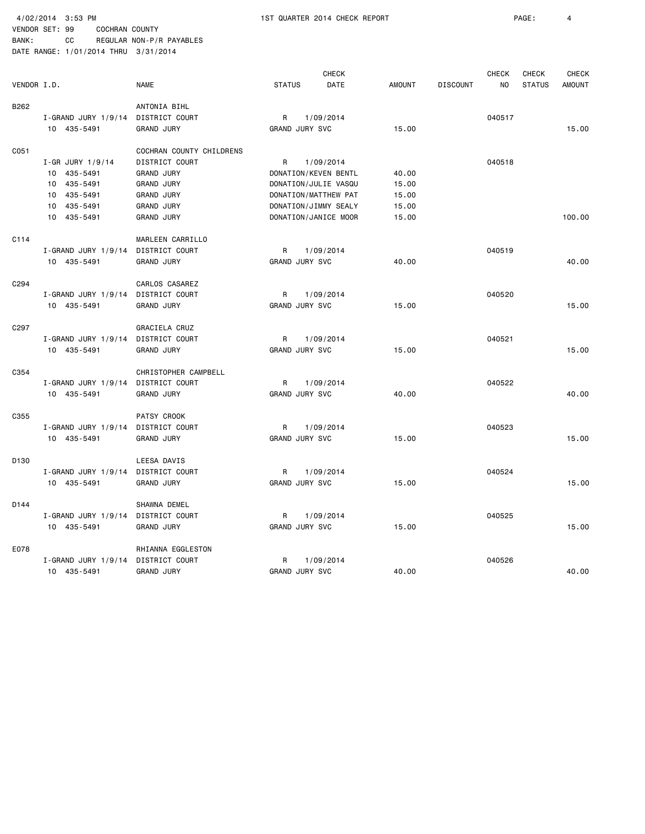4/02/2014 3:53 PM 1ST QUARTER 2014 CHECK REPORT PAGE: 4

|                  |                         |                          |                       | <b>CHECK</b>         |               |                 | <b>CHECK</b> | <b>CHECK</b>  | <b>CHECK</b>  |  |
|------------------|-------------------------|--------------------------|-----------------------|----------------------|---------------|-----------------|--------------|---------------|---------------|--|
| VENDOR I.D.      |                         | <b>NAME</b>              | <b>STATUS</b>         | DATE                 | <b>AMOUNT</b> | <b>DISCOUNT</b> | NO           | <b>STATUS</b> | <b>AMOUNT</b> |  |
| B262             |                         | ANTONIA BIHL             |                       |                      |               |                 |              |               |               |  |
|                  | I-GRAND JURY 1/9/14     | DISTRICT COURT           | R                     | 1/09/2014            |               |                 | 040517       |               |               |  |
|                  | 10 435-5491             | <b>GRAND JURY</b>        | GRAND JURY SVC        |                      | 15.00         |                 |              |               | 15.00         |  |
| C051             |                         | COCHRAN COUNTY CHILDRENS |                       |                      |               |                 |              |               |               |  |
|                  | $I - GR$ JURY 1/9/14    | DISTRICT COURT           | R                     | 1/09/2014            |               |                 | 040518       |               |               |  |
|                  | 10 435-5491             | <b>GRAND JURY</b>        |                       | DONATION/KEVEN BENTL | 40.00         |                 |              |               |               |  |
|                  | 435-5491<br>10          | <b>GRAND JURY</b>        |                       | DONATION/JULIE VASQU | 15.00         |                 |              |               |               |  |
|                  | 435-5491<br>10          | <b>GRAND JURY</b>        |                       | DONATION/MATTHEW PAT | 15.00         |                 |              |               |               |  |
|                  | 435-5491<br>10          | <b>GRAND JURY</b>        |                       | DONATION/JIMMY SEALY | 15.00         |                 |              |               |               |  |
|                  | 10 435-5491             | <b>GRAND JURY</b>        |                       | DONATION/JANICE MOOR | 15.00         |                 |              |               | 100.00        |  |
| C114             |                         | MARLEEN CARRILLO         |                       |                      |               |                 |              |               |               |  |
|                  | I-GRAND JURY 1/9/14     | DISTRICT COURT           | R                     | 1/09/2014            |               |                 | 040519       |               |               |  |
|                  | 10 435-5491             | <b>GRAND JURY</b>        | GRAND JURY SVC        |                      | 40.00         |                 |              |               | 40.00         |  |
| C <sub>294</sub> |                         | CARLOS CASAREZ           |                       |                      |               |                 |              |               |               |  |
|                  | I-GRAND JURY 1/9/14     | DISTRICT COURT           | R                     | 1/09/2014            |               |                 | 040520       |               |               |  |
|                  | 10 435-5491             | <b>GRAND JURY</b>        | GRAND JURY SVC        |                      | 15.00         |                 |              |               | 15.00         |  |
| C <sub>297</sub> |                         | GRACIELA CRUZ            |                       |                      |               |                 |              |               |               |  |
|                  | I-GRAND JURY 1/9/14     | DISTRICT COURT           | R                     | 1/09/2014            |               |                 | 040521       |               |               |  |
|                  | 10 435-5491             | <b>GRAND JURY</b>        | GRAND JURY SVC        |                      | 15.00         |                 |              |               | 15.00         |  |
| C354             |                         | CHRISTOPHER CAMPBELL     |                       |                      |               |                 |              |               |               |  |
|                  | I-GRAND JURY 1/9/14     | DISTRICT COURT           | R                     | 1/09/2014            |               |                 | 040522       |               |               |  |
|                  | 10 435-5491             | <b>GRAND JURY</b>        | GRAND JURY SVC        |                      | 40.00         |                 |              |               | 40.00         |  |
| C355             |                         | PATSY CROOK              |                       |                      |               |                 |              |               |               |  |
|                  | I-GRAND JURY 1/9/14     | DISTRICT COURT           | R                     | 1/09/2014            |               |                 | 040523       |               |               |  |
|                  | 10 435-5491             | <b>GRAND JURY</b>        | GRAND JURY SVC        |                      | 15.00         |                 |              |               | 15.00         |  |
| D130             |                         | LEESA DAVIS              |                       |                      |               |                 |              |               |               |  |
|                  | I-GRAND JURY 1/9/14     | DISTRICT COURT           | R                     | 1/09/2014            |               |                 | 040524       |               |               |  |
|                  | 10 435-5491             | <b>GRAND JURY</b>        | GRAND JURY SVC        |                      | 15.00         |                 |              |               | 15.00         |  |
| D144             |                         | SHAWNA DEMEL             |                       |                      |               |                 |              |               |               |  |
|                  | I-GRAND JURY 1/9/14     | DISTRICT COURT           | R                     | 1/09/2014            |               |                 | 040525       |               |               |  |
|                  | 10 435-5491             | <b>GRAND JURY</b>        | GRAND JURY SVC        |                      | 15.00         |                 |              |               | 15.00         |  |
| E078             |                         | RHIANNA EGGLESTON        |                       |                      |               |                 |              |               |               |  |
|                  | $I - GRAND$ JURY 1/9/14 | DISTRICT COURT           | R                     | 1/09/2014            |               |                 | 040526       |               |               |  |
|                  | 10 435-5491             | <b>GRAND JURY</b>        | <b>GRAND JURY SVC</b> |                      | 40.00         |                 |              |               | 40.00         |  |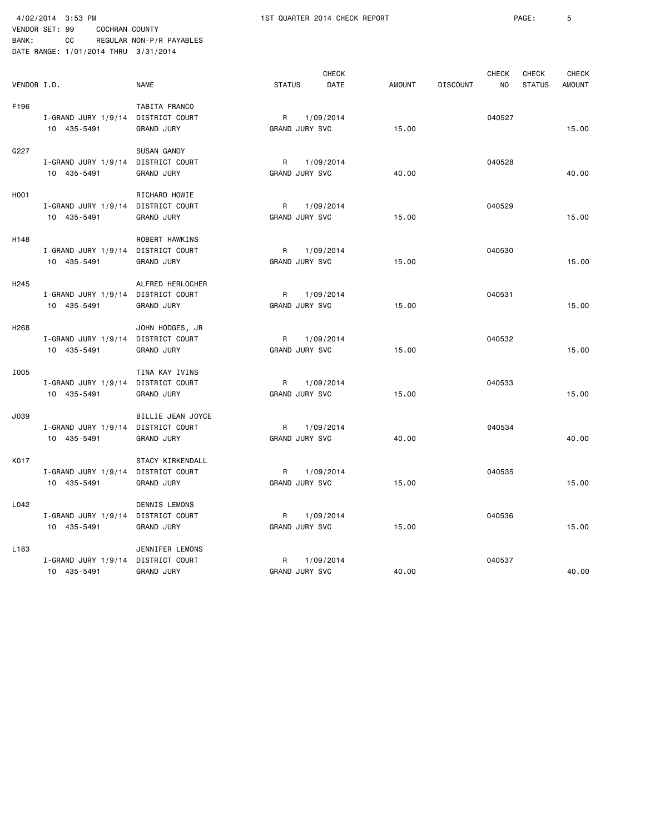VENDOR SET: 99 COCHRAN COUNTY BANK: CC REGULAR NON-P/R PAYABLES

|                   | DATE RANGE: 1/01/2014 THRU 3/31/2014              |                                                          |                            |               |        |                 |                     |                               |                               |
|-------------------|---------------------------------------------------|----------------------------------------------------------|----------------------------|---------------|--------|-----------------|---------------------|-------------------------------|-------------------------------|
| VENDOR I.D.       |                                                   | <b>NAME</b>                                              | <b>STATUS</b>              | CHECK<br>DATE | AMOUNT | <b>DISCOUNT</b> | <b>CHECK</b><br>NO. | <b>CHECK</b><br><b>STATUS</b> | <b>CHECK</b><br><b>AMOUNT</b> |
| F196              | I-GRAND JURY 1/9/14 DISTRICT COURT<br>10 435-5491 | TABITA FRANCO<br><b>GRAND JURY</b>                       | R<br>GRAND JURY SVC        | 1/09/2014     | 15.00  |                 | 040527              |                               | 15.00                         |
| G227              | $I - GRAND$ JURY 1/9/14<br>10 435-5491            | SUSAN GANDY<br>DISTRICT COURT<br><b>GRAND JURY</b>       | R<br><b>GRAND JURY SVC</b> | 1/09/2014     | 40.00  |                 | 040528              |                               | 40.00                         |
| H <sub>0</sub> 01 | I-GRAND JURY 1/9/14<br>10 435-5491                | RICHARD HOWIE<br>DISTRICT COURT<br><b>GRAND JURY</b>     | R<br><b>GRAND JURY SVC</b> | 1/09/2014     | 15.00  |                 | 040529              |                               | 15.00                         |
| H148              | I-GRAND JURY 1/9/14<br>10 435-5491                | ROBERT HAWKINS<br>DISTRICT COURT<br><b>GRAND JURY</b>    | R<br>GRAND JURY SVC        | 1/09/2014     | 15.00  |                 | 040530              |                               | 15,00                         |
| H <sub>245</sub>  | I-GRAND JURY 1/9/14<br>10 435-5491                | ALFRED HERLOCHER<br>DISTRICT COURT<br><b>GRAND JURY</b>  | R<br><b>GRAND JURY SVC</b> | 1/09/2014     | 15.00  |                 | 040531              |                               | 15.00                         |
| H <sub>268</sub>  | $I - GRAND$ JURY 1/9/14<br>10 435-5491            | JOHN HODGES, JR<br>DISTRICT COURT<br><b>GRAND JURY</b>   | R<br>GRAND JURY SVC        | 1/09/2014     | 15.00  |                 | 040532              |                               | 15.00                         |
| I005              | $I-GRAND$ JURY 1/9/14<br>10 435-5491              | TINA KAY IVINS<br>DISTRICT COURT<br><b>GRAND JURY</b>    | R<br>GRAND JURY SVC        | 1/09/2014     | 15.00  |                 | 040533              |                               | 15.00                         |
| J039              | $I - GRAND$ JURY 1/9/14<br>10 435-5491            | BILLIE JEAN JOYCE<br>DISTRICT COURT<br><b>GRAND JURY</b> | R<br><b>GRAND JURY SVC</b> | 1/09/2014     | 40.00  |                 | 040534              |                               | 40.00                         |
| K017              | I-GRAND JURY 1/9/14<br>10 435-5491                | STACY KIRKENDALL<br>DISTRICT COURT<br><b>GRAND JURY</b>  | R<br>GRAND JURY SVC        | 1/09/2014     | 15.00  |                 | 040535              |                               | 15.00                         |
| L042              | I-GRAND JURY 1/9/14<br>10 435-5491                | DENNIS LEMONS<br>DISTRICT COURT<br><b>GRAND JURY</b>     | R<br><b>GRAND JURY SVC</b> | 1/09/2014     | 15.00  |                 | 040536              |                               | 15.00                         |
| L <sub>183</sub>  | $I - GRAND$ JURY 1/9/14<br>10 435-5491            | JENNIFER LEMONS<br>DISTRICT COURT<br><b>GRAND JURY</b>   | R<br>GRAND JURY SVC        | 1/09/2014     | 40.00  |                 | 040537              |                               | 40.00                         |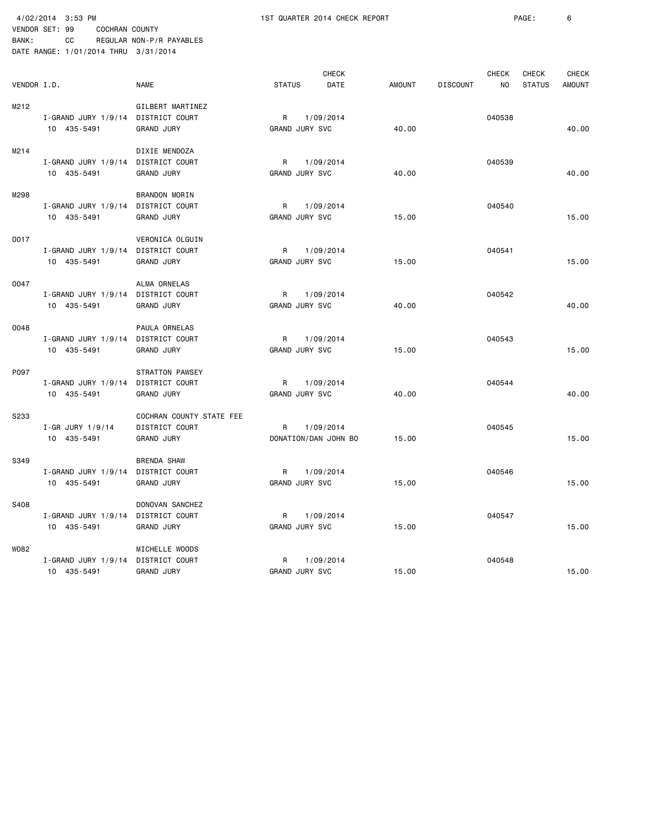VENDOR SET: 99 COCHRAN COUNTY BANK: CC REGULAR NON-P/R PAYABLES

4/02/2014 3:53 PM 1ST QUARTER 2014 CHECK REPORT PAGE: 6

|             | DATE RANGE: 1/01/2014 THRU 3/31/2014 |                                     |                            |                                   |               |                 |        |               |               |
|-------------|--------------------------------------|-------------------------------------|----------------------------|-----------------------------------|---------------|-----------------|--------|---------------|---------------|
|             |                                      |                                     |                            | <b>CHECK</b>                      |               |                 | CHECK  | <b>CHECK</b>  | <b>CHECK</b>  |
| VENDOR I.D. |                                      | <b>NAME</b>                         | <b>STATUS</b>              | DATE                              | <b>AMOUNT</b> | <b>DISCOUNT</b> | NO     | <b>STATUS</b> | <b>AMOUNT</b> |
| M212        | I-GRAND JURY 1/9/14                  | GILBERT MARTINEZ<br>DISTRICT COURT  | R                          | 1/09/2014                         |               |                 | 040538 |               |               |
|             | 10 435-5491                          | <b>GRAND JURY</b>                   | GRAND JURY SVC             |                                   | 40.00         |                 |        |               | 40.00         |
| M214        |                                      | DIXIE MENDOZA                       |                            |                                   |               |                 |        |               |               |
|             | $I-GRAND$ JURY 1/9/14<br>10 435-5491 | DISTRICT COURT<br><b>GRAND JURY</b> | R<br><b>GRAND JURY SVC</b> | 1/09/2014                         | 40.00         |                 | 040539 |               | 40.00         |
| M298        |                                      | BRANDON MORIN                       |                            |                                   |               |                 |        |               |               |
|             | I-GRAND JURY 1/9/14<br>10 435-5491   | DISTRICT COURT<br><b>GRAND JURY</b> | R<br>GRAND JURY SVC        | 1/09/2014                         | 15.00         |                 | 040540 |               | 15.00         |
| 0017        |                                      | VERONICA OLGUIN                     |                            |                                   |               |                 |        |               |               |
|             | I-GRAND JURY 1/9/14<br>10 435-5491   | DISTRICT COURT<br><b>GRAND JURY</b> | R<br><b>GRAND JURY SVC</b> | 1/09/2014                         | 15.00         |                 | 040541 |               | 15.00         |
| 0047        |                                      | ALMA ORNELAS                        |                            |                                   |               |                 |        |               |               |
|             | $I-GRAND$ JURY 1/9/14<br>10 435-5491 | DISTRICT COURT<br><b>GRAND JURY</b> | R<br><b>GRAND JURY SVC</b> | 1/09/2014                         | 40.00         |                 | 040542 |               | 40.00         |
| 0048        |                                      | PAULA ORNELAS                       |                            |                                   |               |                 |        |               |               |
|             | $I-GRAND$ JURY 1/9/14<br>10 435-5491 | DISTRICT COURT<br><b>GRAND JURY</b> | R<br><b>GRAND JURY SVC</b> | 1/09/2014                         | 15.00         |                 | 040543 |               | 15.00         |
| P097        |                                      | <b>STRATTON PAWSEY</b>              |                            |                                   |               |                 |        |               |               |
|             | I-GRAND JURY 1/9/14                  | DISTRICT COURT                      | R                          | 1/09/2014                         |               |                 | 040544 |               |               |
|             | 10 435-5491                          | <b>GRAND JURY</b>                   | GRAND JURY SVC             |                                   | 40.00         |                 |        |               | 40.00         |
| S233        |                                      | COCHRAN COUNTY STATE FEE            |                            |                                   |               |                 |        |               |               |
|             | I-GR JURY 1/9/14<br>10 435-5491      | DISTRICT COURT<br>GRAND JURY        | R                          | 1/09/2014<br>DONATION/DAN JOHN BO | 15.00         |                 | 040545 |               | 15.00         |
| S349        |                                      | <b>BRENDA SHAW</b>                  |                            |                                   |               |                 |        |               |               |
|             | $I-GRAND$ JURY 1/9/14<br>10 435-5491 | DISTRICT COURT<br><b>GRAND JURY</b> | R<br>GRAND JURY SVC        | 1/09/2014                         | 15.00         |                 | 040546 |               | 15.00         |
| S408        |                                      | DONOVAN SANCHEZ                     |                            |                                   |               |                 |        |               |               |
|             | I-GRAND JURY 1/9/14                  | DISTRICT COURT                      | R                          | 1/09/2014                         |               |                 | 040547 |               |               |
|             | 10 435-5491                          | <b>GRAND JURY</b>                   | GRAND JURY SVC             |                                   | 15.00         |                 |        |               | 15.00         |
| W082        |                                      | MICHELLE WOODS                      |                            |                                   |               |                 |        |               |               |
|             | I-GRAND JURY 1/9/14<br>10 435-5491   | DISTRICT COURT<br><b>GRAND JURY</b> | R<br><b>GRAND JURY SVC</b> | 1/09/2014                         | 15.00         |                 | 040548 |               | 15.00         |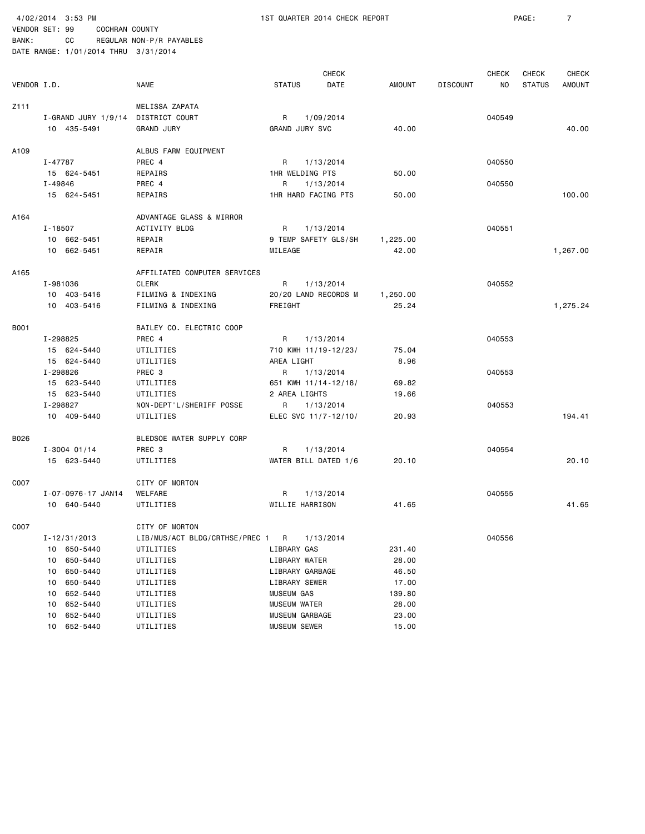4/02/2014 3:53 PM 1ST QUARTER 2014 CHECK REPORT PAGE: 7

| VENDOR I.D. |                                    | <b>NAME</b>                    | <b>STATUS</b>         | <b>CHECK</b><br>DATE | <b>AMOUNT</b> | <b>DISCOUNT</b> | <b>CHECK</b><br>NO. | CHECK<br><b>STATUS</b> | <b>CHECK</b><br><b>AMOUNT</b> |
|-------------|------------------------------------|--------------------------------|-----------------------|----------------------|---------------|-----------------|---------------------|------------------------|-------------------------------|
|             |                                    |                                |                       |                      |               |                 |                     |                        |                               |
| Z111        |                                    | MELISSA ZAPATA                 |                       |                      |               |                 |                     |                        |                               |
|             | I-GRAND JURY 1/9/14 DISTRICT COURT |                                | R<br>1/09/2014        |                      |               |                 | 040549              |                        |                               |
|             | 10 435-5491                        | <b>GRAND JURY</b>              | <b>GRAND JURY SVC</b> |                      | 40.00         |                 |                     |                        | 40.00                         |
| A109        |                                    | ALBUS FARM EQUIPMENT           |                       |                      |               |                 |                     |                        |                               |
|             | I-47787                            | PREC 4                         | R<br>1/13/2014        |                      |               |                 | 040550              |                        |                               |
|             | 15 624-5451                        | REPAIRS                        | 1HR WELDING PTS       |                      | 50.00         |                 |                     |                        |                               |
|             | I-49846                            | PREC 4                         | R<br>1/13/2014        |                      |               |                 | 040550              |                        |                               |
|             | 15 624-5451                        | <b>REPAIRS</b>                 | 1HR HARD FACING PTS   |                      | 50.00         |                 |                     |                        | 100.00                        |
| A164        |                                    | ADVANTAGE GLASS & MIRROR       |                       |                      |               |                 |                     |                        |                               |
|             | I-18507                            | ACTIVITY BLDG                  | R<br>1/13/2014        |                      |               |                 | 040551              |                        |                               |
|             | 10 662-5451                        | REPAIR                         | 9 TEMP SAFETY GLS/SH  |                      | 1,225.00      |                 |                     |                        |                               |
|             | 10 662-5451                        | REPAIR                         | MILEAGE               |                      | 42.00         |                 |                     |                        | 1,267.00                      |
| A165        |                                    | AFFILIATED COMPUTER SERVICES   |                       |                      |               |                 |                     |                        |                               |
|             | I-981036                           | <b>CLERK</b>                   | R<br>1/13/2014        |                      |               |                 | 040552              |                        |                               |
|             | 10 403-5416                        | FILMING & INDEXING             | 20/20 LAND RECORDS M  |                      | 1,250.00      |                 |                     |                        |                               |
|             | 10 403-5416                        | FILMING & INDEXING             | FREIGHT               |                      | 25.24         |                 |                     |                        | 1,275.24                      |
| <b>B001</b> |                                    | BAILEY CO. ELECTRIC COOP       |                       |                      |               |                 |                     |                        |                               |
|             | I-298825                           | PREC 4                         | R<br>1/13/2014        |                      |               |                 | 040553              |                        |                               |
|             | 15 624-5440                        | UTILITIES                      | 710 KWH 11/19-12/23/  |                      | 75.04         |                 |                     |                        |                               |
|             | 15 624-5440                        | UTILITIES                      | AREA LIGHT            |                      | 8.96          |                 |                     |                        |                               |
|             | I-298826                           | PREC 3                         | R<br>1/13/2014        |                      |               |                 | 040553              |                        |                               |
|             | 15 623-5440                        | UTILITIES                      | 651 KWH 11/14-12/18/  |                      | 69.82         |                 |                     |                        |                               |
|             | 15 623-5440                        | UTILITIES                      | 2 AREA LIGHTS         |                      | 19.66         |                 |                     |                        |                               |
|             | I-298827                           | NON-DEPT'L/SHERIFF POSSE       | R<br>1/13/2014        |                      |               |                 | 040553              |                        |                               |
|             | 10 409-5440                        | UTILITIES                      | ELEC SVC 11/7-12/10/  |                      | 20.93         |                 |                     |                        | 194.41                        |
| B026        |                                    | BLEDSOE WATER SUPPLY CORP      |                       |                      |               |                 |                     |                        |                               |
|             | $I - 3004$ 01/14                   | PREC 3                         | 1/13/2014<br>R.       |                      |               |                 | 040554              |                        |                               |
|             | 15 623-5440                        | UTILITIES                      | WATER BILL DATED 1/6  |                      | 20.10         |                 |                     |                        | 20.10                         |
| C007        |                                    | CITY OF MORTON                 |                       |                      |               |                 |                     |                        |                               |
|             | I-07-0976-17 JAN14                 | WELFARE                        | 1/13/2014<br>R        |                      |               |                 | 040555              |                        |                               |
|             | 10 640-5440                        | UTILITIES                      | WILLIE HARRISON       |                      | 41.65         |                 |                     |                        | 41.65                         |
| C007        |                                    | CITY OF MORTON                 |                       |                      |               |                 |                     |                        |                               |
|             | I-12/31/2013                       | LIB/MUS/ACT BLDG/CRTHSE/PREC 1 | R<br>1/13/2014        |                      |               |                 | 040556              |                        |                               |
|             | 10 650-5440                        | UTILITIES                      | LIBRARY GAS           |                      | 231.40        |                 |                     |                        |                               |
|             | 650-5440<br>10                     | UTILITIES                      | LIBRARY WATER         |                      | 28.00         |                 |                     |                        |                               |
|             | 650-5440<br>10                     | UTILITIES                      | LIBRARY GARBAGE       |                      | 46.50         |                 |                     |                        |                               |
|             | 650-5440<br>10                     | UTILITIES                      | LIBRARY SEWER         |                      | 17.00         |                 |                     |                        |                               |
|             | 652-5440<br>10                     | UTILITIES                      | MUSEUM GAS            |                      | 139.80        |                 |                     |                        |                               |
|             | 652-5440<br>10                     | UTILITIES                      | <b>MUSEUM WATER</b>   |                      | 28.00         |                 |                     |                        |                               |
|             | 652-5440<br>10                     | UTILITIES                      | MUSEUM GARBAGE        |                      | 23.00         |                 |                     |                        |                               |
|             | 652-5440<br>10                     | UTILITIES                      | MUSEUM SEWER          |                      | 15.00         |                 |                     |                        |                               |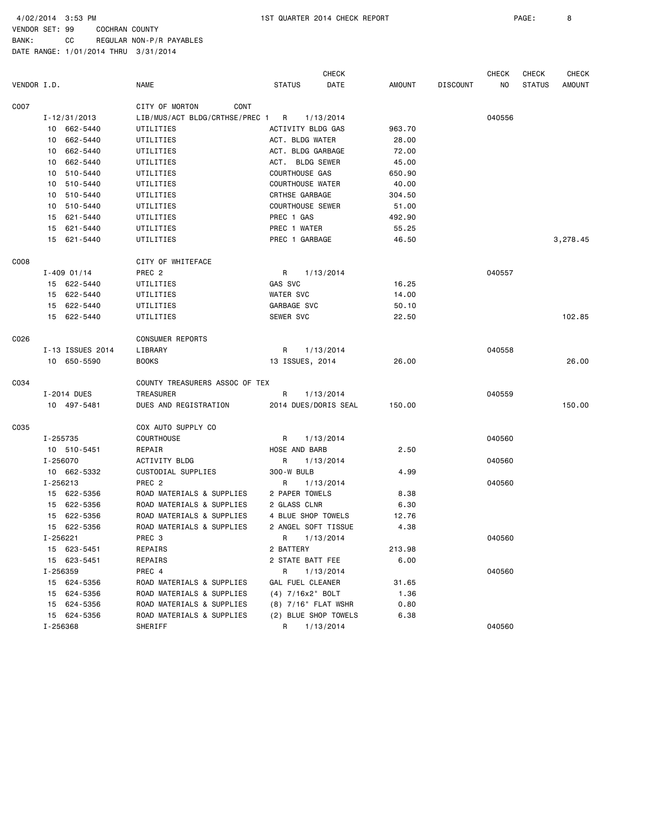BANK: CC REGULAR NON-P/R PAYABLES

|             |                  |                                | <b>CHECK</b>            |        |                 | <b>CHECK</b> | CHECK         | <b>CHECK</b>  |
|-------------|------------------|--------------------------------|-------------------------|--------|-----------------|--------------|---------------|---------------|
| VENDOR I.D. |                  | <b>NAME</b>                    | <b>STATUS</b><br>DATE   | AMOUNT | <b>DISCOUNT</b> | NO.          | <b>STATUS</b> | <b>AMOUNT</b> |
| C007        |                  | CITY OF MORTON<br>CONT         |                         |        |                 |              |               |               |
|             | I-12/31/2013     | LIB/MUS/ACT BLDG/CRTHSE/PREC 1 | R<br>1/13/2014          |        |                 | 040556       |               |               |
|             | 10 662-5440      | UTILITIES                      | ACTIVITY BLDG GAS       | 963.70 |                 |              |               |               |
|             | 10 662-5440      | UTILITIES                      | ACT. BLDG WATER         | 28.00  |                 |              |               |               |
|             | 10 662-5440      | UTILITIES                      | ACT. BLDG GARBAGE       | 72.00  |                 |              |               |               |
|             | 662-5440<br>10   | UTILITIES                      | ACT. BLDG SEWER         | 45.00  |                 |              |               |               |
|             | 510-5440<br>10   | UTILITIES                      | COURTHOUSE GAS          | 650.90 |                 |              |               |               |
|             | 510-5440<br>10   | UTILITIES                      | <b>COURTHOUSE WATER</b> | 40.00  |                 |              |               |               |
|             | 510-5440<br>10   | UTILITIES                      | CRTHSE GARBAGE          | 304.50 |                 |              |               |               |
|             | 510-5440<br>10   | UTILITIES                      | <b>COURTHOUSE SEWER</b> | 51.00  |                 |              |               |               |
|             | 621-5440<br>15   | UTILITIES                      | PREC 1 GAS              | 492.90 |                 |              |               |               |
|             | 621-5440<br>15   | UTILITIES                      | PREC 1 WATER            | 55.25  |                 |              |               |               |
|             | 15 621-5440      | UTILITIES                      | PREC 1 GARBAGE          | 46.50  |                 |              |               | 3,278.45      |
| C008        |                  | CITY OF WHITEFACE              |                         |        |                 |              |               |               |
|             | $I - 409$ 01/14  | PREC <sub>2</sub>              | 1/13/2014<br>R          |        |                 | 040557       |               |               |
|             | 15 622-5440      | UTILITIES                      | GAS SVC                 | 16.25  |                 |              |               |               |
|             | 15 622-5440      | UTILITIES                      | <b>WATER SVC</b>        | 14.00  |                 |              |               |               |
|             | 15 622-5440      | UTILITIES                      | GARBAGE SVC             | 50.10  |                 |              |               |               |
|             | 622-5440<br>15   | UTILITIES                      | SEWER SVC               | 22.50  |                 |              |               | 102.85        |
| C026        |                  | <b>CONSUMER REPORTS</b>        |                         |        |                 |              |               |               |
|             | I-13 ISSUES 2014 | LIBRARY                        | R<br>1/13/2014          |        |                 | 040558       |               |               |
|             | 10 650-5590      | <b>BOOKS</b>                   | 13 ISSUES, 2014         | 26.00  |                 |              |               | 26.00         |
| C034        |                  | COUNTY TREASURERS ASSOC OF TEX |                         |        |                 |              |               |               |
|             | I-2014 DUES      | <b>TREASURER</b>               | R<br>1/13/2014          |        |                 | 040559       |               |               |
|             | 10 497-5481      | DUES AND REGISTRATION          | 2014 DUES/DORIS SEAL    | 150.00 |                 |              |               | 150.00        |
| C035        |                  | COX AUTO SUPPLY CO             |                         |        |                 |              |               |               |
|             | I-255735         | COURTHOUSE                     | 1/13/2014<br>R          |        |                 | 040560       |               |               |
|             | 10 510-5451      | REPAIR                         | HOSE AND BARB           | 2.50   |                 |              |               |               |
|             | I-256070         | ACTIVITY BLDG                  | 1/13/2014<br>R          |        |                 | 040560       |               |               |
|             | 10 662-5332      | CUSTODIAL SUPPLIES             | 300-W BULB              | 4.99   |                 |              |               |               |
|             | I-256213         | PREC <sub>2</sub>              | R<br>1/13/2014          |        |                 | 040560       |               |               |
|             | 15 622-5356      | ROAD MATERIALS & SUPPLIES      | 2 PAPER TOWELS          | 8.38   |                 |              |               |               |
|             | 15 622-5356      | ROAD MATERIALS & SUPPLIES      | 2 GLASS CLNR            | 6.30   |                 |              |               |               |
|             | 622-5356<br>15   | ROAD MATERIALS & SUPPLIES      | 4 BLUE SHOP TOWELS      | 12.76  |                 |              |               |               |
|             | 15 622-5356      | ROAD MATERIALS & SUPPLIES      | 2 ANGEL SOFT TISSUE     | 4.38   |                 |              |               |               |
|             | I-256221         | PREC <sub>3</sub>              | R<br>1/13/2014          |        |                 | 040560       |               |               |
|             | 15 623-5451      | REPAIRS                        | 2 BATTERY               | 213.98 |                 |              |               |               |
|             | 15 623-5451      | REPAIRS                        | 2 STATE BATT FEE        | 6.00   |                 |              |               |               |
|             | I-256359         | PREC 4                         | R<br>1/13/2014          |        |                 | 040560       |               |               |
|             | 15 624-5356      | ROAD MATERIALS & SUPPLIES      | GAL FUEL CLEANER        | 31.65  |                 |              |               |               |
|             | 15 624-5356      | ROAD MATERIALS & SUPPLIES      | (4) 7/16x2" BOLT        | 1.36   |                 |              |               |               |
|             | 624-5356<br>15   | ROAD MATERIALS & SUPPLIES      | (8) 7/16" FLAT WSHR     | 0.80   |                 |              |               |               |
|             | 15 624-5356      | ROAD MATERIALS & SUPPLIES      | (2) BLUE SHOP TOWELS    | 6.38   |                 |              |               |               |
|             | I-256368         | SHERIFF                        | R<br>1/13/2014          |        |                 | 040560       |               |               |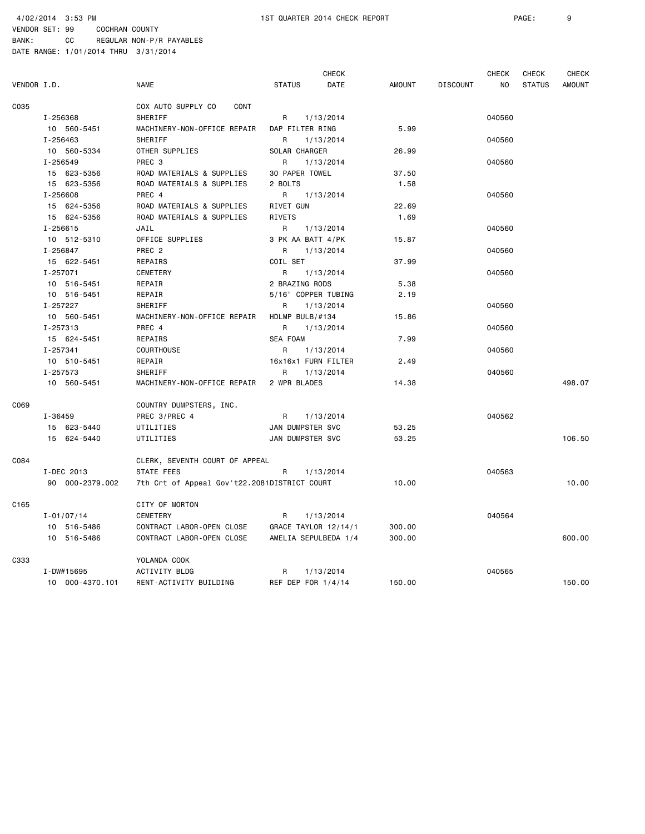BANK: CC REGULAR NON-P/R PAYABLES

|             |                 |                                              |                      | <b>CHECK</b> |               |                 | <b>CHECK</b> | <b>CHECK</b>  | <b>CHECK</b>  |
|-------------|-----------------|----------------------------------------------|----------------------|--------------|---------------|-----------------|--------------|---------------|---------------|
| VENDOR I.D. |                 | <b>NAME</b>                                  | <b>STATUS</b>        | DATE         | <b>AMOUNT</b> | <b>DISCOUNT</b> | NO           | <b>STATUS</b> | <b>AMOUNT</b> |
| C035        |                 | COX AUTO SUPPLY CO<br>CONT                   |                      |              |               |                 |              |               |               |
|             | I-256368        | <b>SHERIFF</b>                               | R                    | 1/13/2014    |               |                 | 040560       |               |               |
|             | 10 560-5451     | MACHINERY-NON-OFFICE REPAIR                  | DAP FILTER RING      |              | 5.99          |                 |              |               |               |
|             | I-256463        | SHERIFF                                      | R                    | 1/13/2014    |               |                 | 040560       |               |               |
|             | 10 560-5334     | OTHER SUPPLIES                               | SOLAR CHARGER        |              | 26.99         |                 |              |               |               |
|             | I-256549        | PREC <sub>3</sub>                            | R                    | 1/13/2014    |               |                 | 040560       |               |               |
|             | 15 623-5356     | ROAD MATERIALS & SUPPLIES                    | 30 PAPER TOWEL       |              | 37.50         |                 |              |               |               |
|             | 15 623-5356     | ROAD MATERIALS & SUPPLIES                    | 2 BOLTS              |              | 1.58          |                 |              |               |               |
|             | I-256608        | PREC 4                                       | R                    | 1/13/2014    |               |                 | 040560       |               |               |
|             | 15 624-5356     | ROAD MATERIALS & SUPPLIES                    | RIVET GUN            |              | 22.69         |                 |              |               |               |
|             | 15 624-5356     | ROAD MATERIALS & SUPPLIES                    | <b>RIVETS</b>        |              | 1.69          |                 |              |               |               |
|             | $I - 256615$    | JAIL                                         | R                    | 1/13/2014    |               |                 | 040560       |               |               |
|             | 10 512-5310     | OFFICE SUPPLIES                              | 3 PK AA BATT 4/PK    |              | 15.87         |                 |              |               |               |
|             | I-256847        | PREC <sub>2</sub>                            | R                    | 1/13/2014    |               |                 | 040560       |               |               |
|             | 15 622-5451     | REPAIRS                                      | COIL SET             |              | 37.99         |                 |              |               |               |
|             | I-257071        | CEMETERY                                     | R                    | 1/13/2014    |               |                 | 040560       |               |               |
|             | 10 516-5451     | REPAIR                                       | 2 BRAZING RODS       |              | 5.38          |                 |              |               |               |
|             | 10 516-5451     | REPAIR                                       | 5/16" COPPER TUBING  |              | 2.19          |                 |              |               |               |
|             | I-257227        | SHERIFF                                      | R                    | 1/13/2014    |               |                 | 040560       |               |               |
|             | 10 560-5451     | MACHINERY-NON-OFFICE REPAIR                  | HDLMP BULB/#134      |              | 15.86         |                 |              |               |               |
|             | I-257313        | PREC 4                                       | R                    | 1/13/2014    |               |                 | 040560       |               |               |
|             | 15 624-5451     | REPAIRS                                      | <b>SEA FOAM</b>      |              | 7.99          |                 |              |               |               |
|             | I-257341        | COURTHOUSE                                   | R                    | 1/13/2014    |               |                 | 040560       |               |               |
|             | 10 510-5451     | REPAIR                                       | 16x16x1 FURN FILTER  |              | 2.49          |                 |              |               |               |
|             | I-257573        | <b>SHERIFF</b>                               | R                    | 1/13/2014    |               |                 | 040560       |               |               |
|             | 10 560-5451     | MACHINERY-NON-OFFICE REPAIR                  | 2 WPR BLADES         |              | 14.38         |                 |              |               | 498.07        |
| C069        |                 | COUNTRY DUMPSTERS, INC.                      |                      |              |               |                 |              |               |               |
|             | $I - 36459$     | PREC 3/PREC 4                                | R                    | 1/13/2014    |               |                 | 040562       |               |               |
|             | 15 623-5440     | UTILITIES                                    | JAN DUMPSTER SVC     |              | 53.25         |                 |              |               |               |
|             | 15 624-5440     | UTILITIES                                    | JAN DUMPSTER SVC     |              | 53.25         |                 |              |               | 106.50        |
| C084        |                 | CLERK, SEVENTH COURT OF APPEAL               |                      |              |               |                 |              |               |               |
|             | I-DEC 2013      | STATE FEES                                   | R                    | 1/13/2014    |               |                 | 040563       |               |               |
|             | 90 000-2379.002 | 7th Crt of Appeal Gov't22.2081DISTRICT COURT |                      |              | 10.00         |                 |              |               | 10.00         |
| C165        |                 | CITY OF MORTON                               |                      |              |               |                 |              |               |               |
|             | $I - 01/07/14$  | CEMETERY                                     | R                    | 1/13/2014    |               |                 | 040564       |               |               |
|             | 10 516-5486     | CONTRACT LABOR-OPEN CLOSE                    | GRACE TAYLOR 12/14/1 |              | 300.00        |                 |              |               |               |
|             | 10 516-5486     | CONTRACT LABOR-OPEN CLOSE                    | AMELIA SEPULBEDA 1/4 |              | 300.00        |                 |              |               | 600.00        |
| C333        |                 | YOLANDA COOK                                 |                      |              |               |                 |              |               |               |
|             | I-DW#15695      | ACTIVITY BLDG                                | R                    | 1/13/2014    |               |                 | 040565       |               |               |
|             | 10 000-4370.101 | RENT-ACTIVITY BUILDING                       | REF DEP FOR 1/4/14   |              | 150.00        |                 |              |               | 150.00        |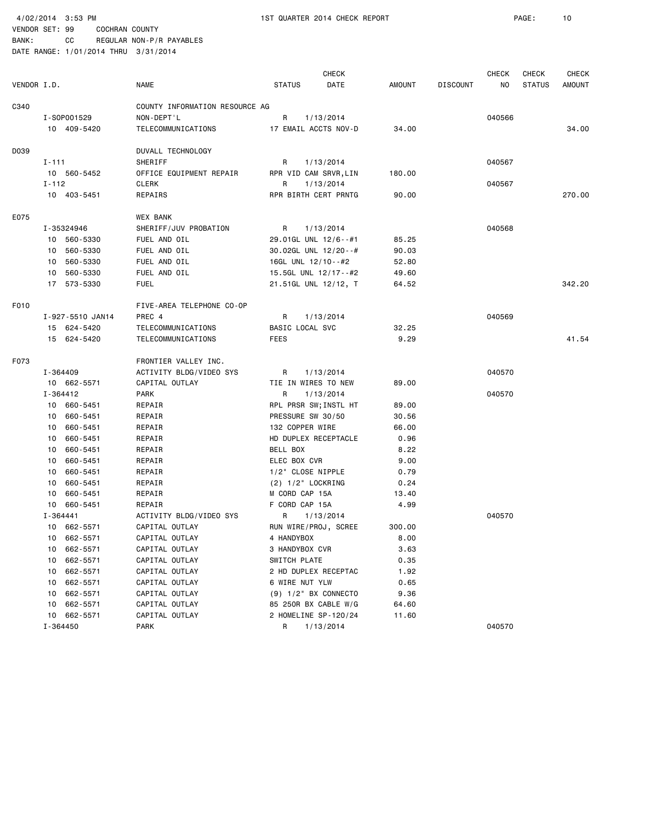4/02/2014 3:53 PM 1ST QUARTER 2014 CHECK REPORT PAGE: 10

|             |                  |                                |                       | <b>CHECK</b> |        |                 | <b>CHECK</b> | <b>CHECK</b>  | <b>CHECK</b>  |
|-------------|------------------|--------------------------------|-----------------------|--------------|--------|-----------------|--------------|---------------|---------------|
| VENDOR I.D. |                  | <b>NAME</b>                    | <b>STATUS</b>         | DATE         | AMOUNT | <b>DISCOUNT</b> | NO.          | <b>STATUS</b> | <b>AMOUNT</b> |
| C340        |                  | COUNTY INFORMATION RESOURCE AG |                       |              |        |                 |              |               |               |
|             | I-S0P001529      | NON-DEPT'L                     | R                     | 1/13/2014    |        |                 | 040566       |               |               |
|             | 10 409-5420      | TELECOMMUNICATIONS             | 17 EMAIL ACCTS NOV-D  |              | 34.00  |                 |              |               | 34,00         |
| D039        |                  | DUVALL TECHNOLOGY              |                       |              |        |                 |              |               |               |
|             | $I - 111$        | SHERIFF                        | R                     | 1/13/2014    |        |                 | 040567       |               |               |
|             | 10 560-5452      | OFFICE EQUIPMENT REPAIR        | RPR VID CAM SRVR, LIN |              | 180.00 |                 |              |               |               |
|             | $I - 112$        | CLERK                          | R                     | 1/13/2014    |        |                 | 040567       |               |               |
|             | 10 403-5451      | REPAIRS                        | RPR BIRTH CERT PRNTG  |              | 90.00  |                 |              |               | 270.00        |
| E075        |                  | <b>WEX BANK</b>                |                       |              |        |                 |              |               |               |
|             | I-35324946       | SHERIFF/JUV PROBATION          | R                     | 1/13/2014    |        |                 | 040568       |               |               |
|             | 10 560-5330      | FUEL AND OIL                   | 29.01GL UNL 12/6--#1  |              | 85.25  |                 |              |               |               |
|             | 10 560-5330      | FUEL AND OIL                   | 30.02GL UNL 12/20--#  |              | 90.03  |                 |              |               |               |
|             | 10 560-5330      | FUEL AND OIL                   | 16GL UNL 12/10--#2    |              | 52.80  |                 |              |               |               |
|             | 10 560-5330      | FUEL AND OIL                   | 15.5GL UNL 12/17--#2  |              | 49.60  |                 |              |               |               |
|             | 17 573-5330      | <b>FUEL</b>                    | 21.51GL UNL 12/12, T  |              | 64.52  |                 |              |               | 342.20        |
| F010        |                  | FIVE-AREA TELEPHONE CO-OP      |                       |              |        |                 |              |               |               |
|             | I-927-5510 JAN14 | PREC 4                         | R                     | 1/13/2014    |        |                 | 040569       |               |               |
|             | 15 624-5420      | TELECOMMUNICATIONS             | BASIC LOCAL SVC       |              | 32.25  |                 |              |               |               |
|             | 15 624-5420      | TELECOMMUNICATIONS             | <b>FEES</b>           |              | 9.29   |                 |              |               | 41.54         |
| F073        |                  | FRONTIER VALLEY INC.           |                       |              |        |                 |              |               |               |
|             | I-364409         | ACTIVITY BLDG/VIDEO SYS        | R                     | 1/13/2014    |        |                 | 040570       |               |               |
|             | 10 662-5571      | CAPITAL OUTLAY                 | TIE IN WIRES TO NEW   |              | 89.00  |                 |              |               |               |
|             | I-364412         | PARK                           | R                     | 1/13/2014    |        |                 | 040570       |               |               |
|             | 10 660-5451      | REPAIR                         | RPL PRSR SW; INSTL HT |              | 89.00  |                 |              |               |               |
|             | 10 660-5451      | REPAIR                         | PRESSURE SW 30/50     |              | 30.56  |                 |              |               |               |
|             | 660-5451<br>10   | REPAIR                         | 132 COPPER WIRE       |              | 66.00  |                 |              |               |               |
|             | 660-5451<br>10   | REPAIR                         | HD DUPLEX RECEPTACLE  |              | 0.96   |                 |              |               |               |
|             | 10 660-5451      | REPAIR                         | BELL BOX              |              | 8.22   |                 |              |               |               |
|             | 660-5451<br>10   | REPAIR                         | ELEC BOX CVR          |              | 9.00   |                 |              |               |               |
|             | 660-5451<br>10   | REPAIR                         | 1/2" CLOSE NIPPLE     |              | 0.79   |                 |              |               |               |
|             | 660-5451<br>10   | REPAIR                         | $(2)$ 1/2" LOCKRING   |              | 0.24   |                 |              |               |               |
|             | 660-5451<br>10   | REPAIR                         | M CORD CAP 15A        |              | 13.40  |                 |              |               |               |
|             | 10 660-5451      | REPAIR                         | F CORD CAP 15A        |              | 4.99   |                 |              |               |               |
|             | I-364441         | ACTIVITY BLDG/VIDEO SYS        | R                     | 1/13/2014    |        |                 | 040570       |               |               |
|             | 10 662-5571      | CAPITAL OUTLAY                 | RUN WIRE/PROJ, SCREE  |              | 300.00 |                 |              |               |               |
|             | 10 662-5571      | CAPITAL OUTLAY                 | 4 HANDYBOX            |              | 8.00   |                 |              |               |               |
|             | 662-5571<br>10   | CAPITAL OUTLAY                 | 3 HANDYBOX CVR        |              | 3.63   |                 |              |               |               |
|             | 662-5571<br>10   | CAPITAL OUTLAY                 | SWITCH PLATE          |              | 0.35   |                 |              |               |               |
|             | 662-5571<br>10   | CAPITAL OUTLAY                 | 2 HD DUPLEX RECEPTAC  |              | 1.92   |                 |              |               |               |
|             | 662-5571<br>10   | CAPITAL OUTLAY                 | 6 WIRE NUT YLW        |              | 0.65   |                 |              |               |               |
|             | 662-5571<br>10   | CAPITAL OUTLAY                 | (9) 1/2" BX CONNECTO  |              | 9.36   |                 |              |               |               |
|             | 662-5571<br>10   | CAPITAL OUTLAY                 | 85 250R BX CABLE W/G  |              | 64.60  |                 |              |               |               |
|             | 10 662-5571      | CAPITAL OUTLAY                 | 2 HOMELINE SP-120/24  |              | 11.60  |                 |              |               |               |
|             | I-364450         | PARK                           | R                     | 1/13/2014    |        |                 | 040570       |               |               |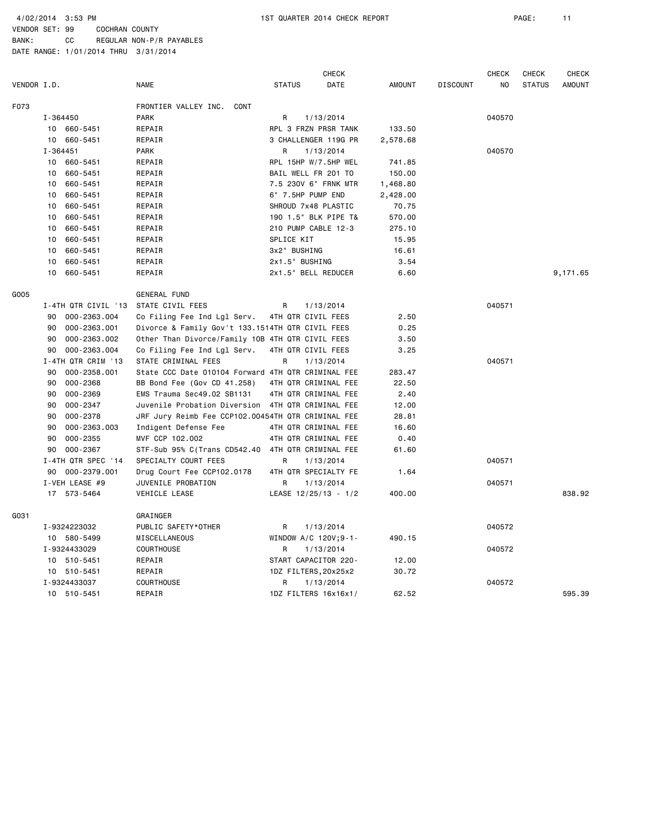4/02/2014 3:53 PM 1ST QUARTER 2014 CHECK REPORT PAGE: 11

BANK: CC REGULAR NON-P/R PAYABLES

|             |                     |                                                    |                      | <b>CHECK</b> |               |                 | <b>CHECK</b>   | <b>CHECK</b>  | <b>CHECK</b>  |
|-------------|---------------------|----------------------------------------------------|----------------------|--------------|---------------|-----------------|----------------|---------------|---------------|
| VENDOR I.D. |                     | <b>NAME</b>                                        | <b>STATUS</b>        | DATE         | <b>AMOUNT</b> | <b>DISCOUNT</b> | N <sub>0</sub> | <b>STATUS</b> | <b>AMOUNT</b> |
| F073        |                     | FRONTIER VALLEY INC.<br>CONT                       |                      |              |               |                 |                |               |               |
|             | I-364450            | <b>PARK</b>                                        | R                    | 1/13/2014    |               |                 | 040570         |               |               |
|             | 10 660-5451         | REPAIR                                             | RPL 3 FRZN PRSR TANK |              | 133.50        |                 |                |               |               |
|             | 660-5451<br>10      | REPAIR                                             | 3 CHALLENGER 119G PR |              | 2,578.68      |                 |                |               |               |
|             | $I - 364451$        | <b>PARK</b>                                        | R                    | 1/13/2014    |               |                 | 040570         |               |               |
|             | 10<br>660-5451      | REPAIR                                             | RPL 15HP W/7.5HP WEL |              | 741.85        |                 |                |               |               |
|             | 660-5451<br>10      | REPAIR                                             | BAIL WELL FR 201 TO  |              | 150.00        |                 |                |               |               |
|             | 660-5451<br>10      | REPAIR                                             | 7.5 230V 6" FRNK MTR |              | 1,468.80      |                 |                |               |               |
|             | 660-5451<br>10      | REPAIR                                             | 6" 7.5HP PUMP END    |              | 2,428.00      |                 |                |               |               |
|             | 660-5451<br>10      | REPAIR                                             | SHROUD 7x48 PLASTIC  |              | 70.75         |                 |                |               |               |
|             | 660-5451<br>10      | REPAIR                                             | 190 1.5" BLK PIPE T& |              | 570.00        |                 |                |               |               |
|             | 660-5451<br>10      | REPAIR                                             | 210 PUMP CABLE 12-3  |              | 275.10        |                 |                |               |               |
|             | 660-5451<br>10      | REPAIR                                             | SPLICE KIT           |              | 15.95         |                 |                |               |               |
|             | 660-5451<br>10      | REPAIR                                             | 3x2" BUSHING         |              | 16.61         |                 |                |               |               |
|             | 660-5451<br>10      | REPAIR                                             | 2x1.5" BUSHING       |              | 3.54          |                 |                |               |               |
|             | 10<br>660-5451      | REPAIR                                             | 2x1.5" BELL REDUCER  |              | 6.60          |                 |                |               | 9,171.65      |
| G005        |                     | <b>GENERAL FUND</b>                                |                      |              |               |                 |                |               |               |
|             | I-4TH QTR CIVIL '13 | STATE CIVIL FEES                                   | R                    | 1/13/2014    |               |                 | 040571         |               |               |
|             | 90<br>000-2363.004  | Co Filing Fee Ind Lgl Serv.                        | 4TH QTR CIVIL FEES   |              | 2.50          |                 |                |               |               |
|             | 000-2363.001<br>90  | Divorce & Family Gov't 133.1514TH QTR CIVIL FEES   |                      |              | 0.25          |                 |                |               |               |
|             | 000-2363.002<br>90  | Other Than Divorce/Family 10B 4TH QTR CIVIL FEES   |                      |              | 3.50          |                 |                |               |               |
|             | 000-2363.004<br>90  | Co Filing Fee Ind Lgl Serv.                        | 4TH QTR CIVIL FEES   |              | 3.25          |                 |                |               |               |
|             | I-4TH QTR CRIM '13  | STATE CRIMINAL FEES                                | R                    | 1/13/2014    |               |                 | 040571         |               |               |
|             | 90<br>000-2358.001  | State CCC Date 010104 Forward 4TH QTR CRIMINAL FEE |                      |              | 283.47        |                 |                |               |               |
|             | 000-2368<br>90      | BB Bond Fee (Gov CD 41.258)                        | 4TH QTR CRIMINAL FEE |              | 22.50         |                 |                |               |               |
|             | 000-2369<br>90      | EMS Trauma Sec49.02 SB1131                         | 4TH QTR CRIMINAL FEE |              | 2.40          |                 |                |               |               |
|             | 90<br>000-2347      | Juvenile Probation Diversion 4TH QTR CRIMINAL FEE  |                      |              | 12.00         |                 |                |               |               |
|             | 000-2378<br>90      | JRF Jury Reimb Fee CCP102.00454TH QTR CRIMINAL FEE |                      |              | 28.81         |                 |                |               |               |
|             | 000-2363.003<br>90  | Indigent Defense Fee                               | 4TH QTR CRIMINAL FEE |              | 16.60         |                 |                |               |               |
|             | 000-2355<br>90      | MVF CCP 102.002                                    | 4TH QTR CRIMINAL FEE |              | 0.40          |                 |                |               |               |
|             | 000-2367<br>90      | STF-Sub 95% C(Trans CD542.40 4TH QTR CRIMINAL FEE  |                      |              | 61.60         |                 |                |               |               |
|             | I-4TH QTR SPEC '14  | SPECIALTY COURT FEES                               | R                    | 1/13/2014    |               |                 | 040571         |               |               |
|             | 90 000-2379.001     | Drug Court Fee CCP102.0178                         | 4TH QTR SPECIALTY FE |              | 1.64          |                 |                |               |               |
|             | I-VEH LEASE #9      | JUVENILE PROBATION                                 | R                    | 1/13/2014    |               |                 | 040571         |               |               |
|             | 17 573-5464         | VEHICLE LEASE                                      | LEASE 12/25/13 - 1/2 |              | 400.00        |                 |                |               | 838.92        |
| GO31        |                     | GRAINGER                                           |                      |              |               |                 |                |               |               |
|             | I-9324223032        | PUBLIC SAFETY*OTHER                                | R                    | 1/13/2014    |               |                 | 040572         |               |               |
|             | 10 580-5499         | MISCELLANEOUS                                      | WINDOW A/C 120V;9-1- |              | 490.15        |                 |                |               |               |
|             | I-9324433029        | <b>COURTHOUSE</b>                                  | R                    | 1/13/2014    |               |                 | 040572         |               |               |
|             | 10 510-5451         | REPAIR                                             | START CAPACITOR 220- |              | 12.00         |                 |                |               |               |
|             | 10 510-5451         | REPAIR                                             | 1DZ FILTERS, 20x25x2 |              | 30.72         |                 |                |               |               |
|             | I-9324433037        | COURTHOUSE                                         | R                    | 1/13/2014    |               |                 | 040572         |               |               |
|             | 10 510-5451         | REPAIR                                             | 1DZ FILTERS 16x16x1/ |              | 62.52         |                 |                |               | 595.39        |
|             |                     |                                                    |                      |              |               |                 |                |               |               |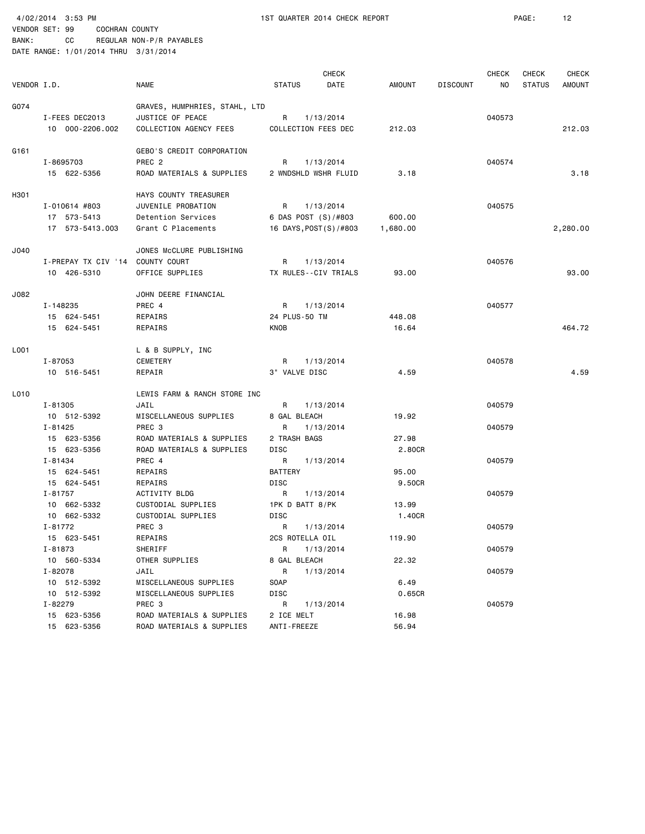| VENDOR I.D. |                                  | <b>NAME</b>                                       | <b>STATUS</b>         | <b>CHECK</b><br>DATE | AMOUNT   | <b>DISCOUNT</b> | <b>CHECK</b><br>NO | CHECK<br><b>STATUS</b> | <b>CHECK</b><br><b>AMOUNT</b> |
|-------------|----------------------------------|---------------------------------------------------|-----------------------|----------------------|----------|-----------------|--------------------|------------------------|-------------------------------|
|             |                                  |                                                   |                       |                      |          |                 |                    |                        |                               |
| G074        | I-FEES DEC2013                   | GRAVES, HUMPHRIES, STAHL, LTD<br>JUSTICE OF PEACE | R                     | 1/13/2014            |          |                 | 040573             |                        |                               |
|             | 10 000-2206.002                  | COLLECTION AGENCY FEES                            | COLLECTION FEES DEC   |                      | 212.03   |                 |                    |                        | 212.03                        |
| G161        |                                  | GEBO'S CREDIT CORPORATION                         |                       |                      |          |                 |                    |                        |                               |
|             | I-8695703                        | PREC <sub>2</sub>                                 | R                     | 1/13/2014            |          |                 | 040574             |                        |                               |
|             | 15 622-5356                      | ROAD MATERIALS & SUPPLIES                         | 2 WNDSHLD WSHR FLUID  |                      | 3.18     |                 |                    |                        | 3.18                          |
| H301        |                                  | HAYS COUNTY TREASURER                             |                       |                      |          |                 |                    |                        |                               |
|             | $I - 010614$ #803                | JUVENILE PROBATION                                | R                     | 1/13/2014            |          |                 | 040575             |                        |                               |
|             | 17 573-5413                      | Detention Services                                | 6 DAS POST (S)/#803   |                      | 600.00   |                 |                    |                        |                               |
|             | 17 573-5413.003                  | Grant C Placements                                | 16 DAYS, POST(S)/#803 |                      | 1,680.00 |                 |                    |                        | 2,280.00                      |
| J040        |                                  | JONES McCLURE PUBLISHING                          |                       |                      |          |                 |                    |                        |                               |
|             | I-PREPAY TX CIV '14 COUNTY COURT |                                                   | R                     | 1/13/2014            |          |                 | 040576             |                        |                               |
|             | 10 426-5310                      | OFFICE SUPPLIES                                   | TX RULES--CIV TRIALS  |                      | 93.00    |                 |                    |                        | 93.00                         |
| J082        |                                  | JOHN DEERE FINANCIAL                              |                       |                      |          |                 |                    |                        |                               |
|             | I-148235                         | PREC 4                                            | R                     | 1/13/2014            |          |                 | 040577             |                        |                               |
|             | 15 624-5451                      | REPAIRS                                           | 24 PLUS-50 TM         |                      | 448.08   |                 |                    |                        |                               |
|             | 15 624-5451                      | REPAIRS                                           | KNOB                  |                      | 16.64    |                 |                    |                        | 464.72                        |
| L001        |                                  | L & B SUPPLY, INC                                 |                       |                      |          |                 |                    |                        |                               |
|             | I-87053                          | CEMETERY                                          | R                     | 1/13/2014            |          |                 | 040578             |                        |                               |
|             | 10 516-5451                      | REPAIR                                            | 3" VALVE DISC         |                      | 4.59     |                 |                    |                        | 4.59                          |
|             |                                  |                                                   |                       |                      |          |                 |                    |                        |                               |
| L010        |                                  | LEWIS FARM & RANCH STORE INC                      |                       |                      |          |                 |                    |                        |                               |
|             | I-81305                          | JAIL                                              | R                     | 1/13/2014            |          |                 | 040579             |                        |                               |
|             | 10 512-5392                      | MISCELLANEOUS SUPPLIES                            | 8 GAL BLEACH          |                      | 19.92    |                 |                    |                        |                               |
|             | I-81425                          | PREC <sub>3</sub>                                 | R                     | 1/13/2014            |          |                 | 040579             |                        |                               |
|             | 15 623-5356                      | ROAD MATERIALS & SUPPLIES                         | 2 TRASH BAGS          |                      | 27.98    |                 |                    |                        |                               |
|             | 15 623-5356                      | ROAD MATERIALS & SUPPLIES                         | DISC                  |                      | 2.80CR   |                 |                    |                        |                               |
|             | I-81434                          | PREC 4                                            | R                     | 1/13/2014            |          |                 | 040579             |                        |                               |
|             | 15 624-5451                      | REPAIRS                                           | <b>BATTERY</b>        |                      | 95.00    |                 |                    |                        |                               |
|             | 15 624-5451                      | REPAIRS                                           | DISC                  |                      | 9.50CR   |                 |                    |                        |                               |
|             | I-81757                          | ACTIVITY BLDG                                     | R                     | 1/13/2014            |          |                 | 040579             |                        |                               |
|             | 10 662-5332                      | CUSTODIAL SUPPLIES                                | 1PK D BATT 8/PK       |                      | 13.99    |                 |                    |                        |                               |
|             | 10 662-5332                      | CUSTODIAL SUPPLIES                                | DISC                  |                      | 1.40CR   |                 |                    |                        |                               |
|             | I-81772                          | PREC <sub>3</sub>                                 | R                     | 1/13/2014            |          |                 | 040579             |                        |                               |
|             | 15 623-5451                      | REPAIRS                                           | 2CS ROTELLA OIL       |                      | 119.90   |                 |                    |                        |                               |
|             | I-81873                          | SHERIFF                                           | R                     | 1/13/2014            |          |                 | 040579             |                        |                               |
|             | 10 560-5334                      | OTHER SUPPLIES                                    | 8 GAL BLEACH          |                      | 22.32    |                 |                    |                        |                               |
|             | I-82078                          | JAIL                                              | R                     | 1/13/2014            |          |                 | 040579             |                        |                               |
|             | 10 512-5392                      | MISCELLANEOUS SUPPLIES                            | SOAP                  |                      | 6.49     |                 |                    |                        |                               |
|             | 10 512-5392                      | MISCELLANEOUS SUPPLIES                            | DISC                  |                      | 0.65CR   |                 |                    |                        |                               |
|             | I-82279                          | PREC 3                                            | R                     | 1/13/2014            |          |                 | 040579             |                        |                               |
|             | 15 623-5356                      | ROAD MATERIALS & SUPPLIES                         | 2 ICE MELT            |                      | 16.98    |                 |                    |                        |                               |
|             | 15 623-5356                      | ROAD MATERIALS & SUPPLIES                         | ANTI-FREEZE           |                      | 56.94    |                 |                    |                        |                               |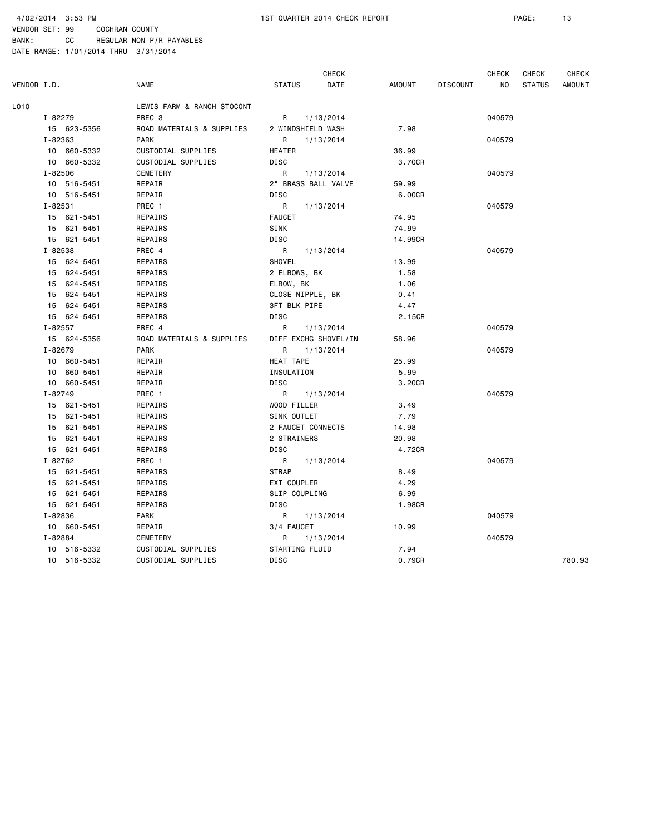VENDOR SET: 99 COCHRAN COUNTY BANK: CC REGULAR NON-P/R PAYABLES

|             |             |             |                            |                     | <b>CHECK</b>         |               |                 | <b>CHECK</b> | <b>CHECK</b>  | <b>CHECK</b> |
|-------------|-------------|-------------|----------------------------|---------------------|----------------------|---------------|-----------------|--------------|---------------|--------------|
| VENDOR I.D. |             |             | <b>NAME</b>                | <b>STATUS</b>       | DATE                 | <b>AMOUNT</b> | <b>DISCOUNT</b> | NO.          | <b>STATUS</b> | AMOUNT       |
| L010        |             |             | LEWIS FARM & RANCH STOCONT |                     |                      |               |                 |              |               |              |
|             | I-82279     |             | PREC <sub>3</sub>          | R                   | 1/13/2014            |               |                 | 040579       |               |              |
|             |             | 15 623-5356 | ROAD MATERIALS & SUPPLIES  |                     | 2 WINDSHIELD WASH    | 7.98          |                 |              |               |              |
|             | I-82363     |             | <b>PARK</b>                | R                   | 1/13/2014            |               |                 | 040579       |               |              |
|             |             | 10 660-5332 | CUSTODIAL SUPPLIES         | <b>HEATER</b>       |                      | 36.99         |                 |              |               |              |
|             |             | 10 660-5332 | CUSTODIAL SUPPLIES         | DISC                |                      | 3.70CR        |                 |              |               |              |
|             | $I - 82506$ |             | CEMETERY                   | R                   | 1/13/2014            |               |                 | 040579       |               |              |
|             |             | 10 516-5451 | REPAIR                     |                     | 2" BRASS BALL VALVE  | 59.99         |                 |              |               |              |
|             |             | 10 516-5451 | REPAIR                     | <b>DISC</b>         |                      | 6.00CR        |                 |              |               |              |
|             | I-82531     |             | PREC 1                     | R                   | 1/13/2014            |               |                 | 040579       |               |              |
|             |             | 15 621-5451 | REPAIRS                    | <b>FAUCET</b>       |                      | 74.95         |                 |              |               |              |
|             |             | 15 621-5451 | REPAIRS                    | SINK                |                      | 74.99         |                 |              |               |              |
|             |             | 15 621-5451 | REPAIRS                    | DISC                |                      | 14.99CR       |                 |              |               |              |
|             | I-82538     |             | PREC 4                     | R                   | 1/13/2014            |               |                 | 040579       |               |              |
|             |             | 15 624-5451 | REPAIRS                    | SHOVEL              |                      | 13.99         |                 |              |               |              |
|             |             | 15 624-5451 | REPAIRS                    | 2 ELBOWS, BK        |                      | 1.58          |                 |              |               |              |
|             |             | 15 624-5451 | REPAIRS                    | ELBOW, BK           |                      | 1.06          |                 |              |               |              |
|             |             | 15 624-5451 | REPAIRS                    | CLOSE NIPPLE, BK    |                      | 0.41          |                 |              |               |              |
|             |             | 15 624-5451 | REPAIRS                    | <b>3FT BLK PIPE</b> |                      | 4.47          |                 |              |               |              |
|             |             | 15 624-5451 | REPAIRS                    | DISC                |                      | 2.15CR        |                 |              |               |              |
|             | $I - 82557$ |             | PREC 4                     | R                   | 1/13/2014            |               |                 | 040579       |               |              |
|             |             | 15 624-5356 | ROAD MATERIALS & SUPPLIES  |                     | DIFF EXCHG SHOVEL/IN | 58.96         |                 |              |               |              |
|             | I-82679     |             | <b>PARK</b>                | R                   | 1/13/2014            |               |                 | 040579       |               |              |
|             |             | 10 660-5451 | REPAIR                     | HEAT TAPE           |                      | 25.99         |                 |              |               |              |
|             |             | 10 660-5451 | REPAIR                     | INSULATION          |                      | 5.99          |                 |              |               |              |
|             |             | 10 660-5451 | REPAIR                     | DISC                |                      | 3.20CR        |                 |              |               |              |
|             | I-82749     |             | PREC 1                     | R                   | 1/13/2014            |               |                 | 040579       |               |              |
|             |             | 15 621-5451 | REPAIRS                    | WOOD FILLER         |                      | 3.49          |                 |              |               |              |
|             |             | 15 621-5451 | REPAIRS                    | SINK OUTLET         |                      | 7.79          |                 |              |               |              |
|             |             | 15 621-5451 | REPAIRS                    |                     | 2 FAUCET CONNECTS    | 14.98         |                 |              |               |              |
|             |             | 15 621-5451 | REPAIRS                    | 2 STRAINERS         |                      | 20.98         |                 |              |               |              |
|             |             | 15 621-5451 | REPAIRS                    | <b>DISC</b>         |                      | 4.72CR        |                 |              |               |              |
|             | I-82762     |             | PREC 1                     | R                   | 1/13/2014            |               |                 | 040579       |               |              |
|             |             | 15 621-5451 | REPAIRS                    | <b>STRAP</b>        |                      | 8.49          |                 |              |               |              |
|             |             | 15 621-5451 | REPAIRS                    | EXT COUPLER         |                      | 4.29          |                 |              |               |              |
|             |             | 15 621-5451 | REPAIRS                    | SLIP COUPLING       |                      | 6.99          |                 |              |               |              |
|             |             | 15 621-5451 | REPAIRS                    | DISC                |                      | 1.98CR        |                 |              |               |              |
|             | I-82836     |             | <b>PARK</b>                | R                   | 1/13/2014            |               |                 | 040579       |               |              |
|             |             | 10 660-5451 | REPAIR                     | 3/4 FAUCET          |                      | 10.99         |                 |              |               |              |
|             | I-82884     |             | CEMETERY                   | R                   | 1/13/2014            |               |                 | 040579       |               |              |
|             |             | 10 516-5332 | CUSTODIAL SUPPLIES         | STARTING FLUID      |                      | 7.94          |                 |              |               |              |
|             |             | 10 516-5332 | CUSTODIAL SUPPLIES         | DISC                |                      | 0.79CR        |                 |              |               | 780.93       |
|             |             |             |                            |                     |                      |               |                 |              |               |              |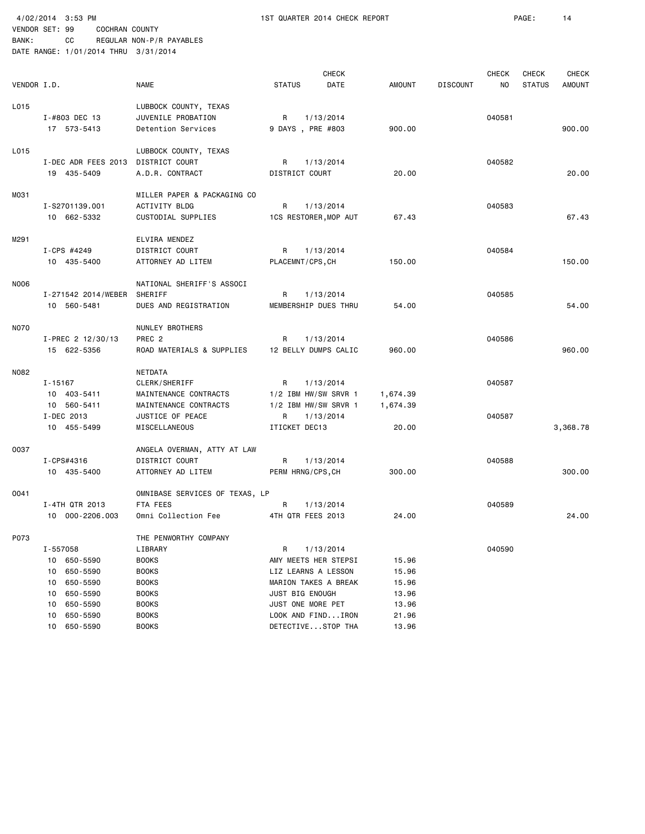4/02/2014 3:53 PM 1ST QUARTER 2014 CHECK REPORT PAGE: 14 VENDOR SET: 99 COCHRAN COUNTY

| VENDOR I.D. |                                                                                                 | <b>NAME</b>                                                                                                      | <b>CHECK</b><br><b>STATUS</b><br>DATE                                                                                         | <b>AMOUNT</b>                             | <b>DISCOUNT</b> | <b>CHECK</b><br>NO. | CHECK<br><b>STATUS</b> | <b>CHECK</b><br><b>AMOUNT</b> |
|-------------|-------------------------------------------------------------------------------------------------|------------------------------------------------------------------------------------------------------------------|-------------------------------------------------------------------------------------------------------------------------------|-------------------------------------------|-----------------|---------------------|------------------------|-------------------------------|
| L015        | I-#803 DEC 13<br>17 573-5413                                                                    | LUBBOCK COUNTY, TEXAS<br>JUVENILE PROBATION<br>Detention Services                                                | R<br>1/13/2014<br>9 DAYS, PRE #803                                                                                            | 900.00                                    |                 | 040581              |                        | 900.00                        |
| L015        | I-DEC ADR FEES 2013<br>19 435-5409                                                              | LUBBOCK COUNTY, TEXAS<br>DISTRICT COURT<br>A.D.R. CONTRACT                                                       | R<br>1/13/2014<br>DISTRICT COURT                                                                                              | 20.00                                     |                 | 040582              |                        | 20.00                         |
| MO31        | I-S2701139.001<br>10 662-5332                                                                   | MILLER PAPER & PACKAGING CO<br><b>ACTIVITY BLDG</b><br>CUSTODIAL SUPPLIES                                        | R<br>1/13/2014<br>1CS RESTORER, MOP AUT                                                                                       | 67.43                                     |                 | 040583              |                        | 67.43                         |
| M291        | I-CPS #4249<br>10 435-5400                                                                      | ELVIRA MENDEZ<br>DISTRICT COURT<br>ATTORNEY AD LITEM                                                             | R<br>1/13/2014<br>PLACEMNT/CPS, CH                                                                                            | 150.00                                    |                 | 040584              |                        | 150.00                        |
| N006        | I-271542 2014/WEBER<br>10 560-5481                                                              | NATIONAL SHERIFF'S ASSOCI<br>SHERIFF<br>DUES AND REGISTRATION                                                    | R<br>1/13/2014<br>MEMBERSHIP DUES THRU                                                                                        | 54.00                                     |                 | 040585              |                        | 54.00                         |
| <b>NO70</b> | I-PREC 2 12/30/13<br>15 622-5356                                                                | NUNLEY BROTHERS<br>PREC <sub>2</sub><br>ROAD MATERIALS & SUPPLIES                                                | R<br>1/13/2014<br>12 BELLY DUMPS CALIC                                                                                        | 960,00                                    |                 | 040586              |                        | 960.00                        |
| N082        | I-15167<br>10 403-5411                                                                          | NETDATA<br>CLERK/SHERIFF<br>MAINTENANCE CONTRACTS                                                                | R<br>1/13/2014<br>$1/2$ IBM HW/SW SRVR 1                                                                                      | 1,674.39                                  |                 | 040587              |                        |                               |
|             | 10 560-5411<br>I-DEC 2013<br>10 455-5499                                                        | MAINTENANCE CONTRACTS<br>JUSTICE OF PEACE<br>MISCELLANEOUS                                                       | 1/2 IBM HW/SW SRVR 1<br>1/13/2014<br>R<br>ITICKET DEC13                                                                       | 1,674.39<br>20.00                         |                 | 040587              |                        | 3,368.78                      |
| 0037        | I-CPS#4316<br>10 435-5400                                                                       | ANGELA OVERMAN, ATTY AT LAW<br>DISTRICT COURT<br>ATTORNEY AD LITEM                                               | R<br>1/13/2014<br>PERM HRNG/CPS, CH                                                                                           | 300.00                                    |                 | 040588              |                        | 300.00                        |
| 0041        | I-4TH QTR 2013<br>10 000-2206.003                                                               | OMNIBASE SERVICES OF TEXAS, LP<br>FTA FEES<br>Omni Collection Fee                                                | R<br>1/13/2014<br>4TH QTR FEES 2013                                                                                           | 24.00                                     |                 | 040589              |                        | 24.00                         |
| P073        | I-557058<br>10 650-5590<br>650-5590<br>10<br>650-5590<br>10<br>650-5590<br>10<br>650-5590<br>10 | THE PENWORTHY COMPANY<br>LIBRARY<br><b>BOOKS</b><br><b>BOOKS</b><br><b>BOOKS</b><br><b>BOOKS</b><br><b>BOOKS</b> | 1/13/2014<br>R<br>AMY MEETS HER STEPSI<br>LIZ LEARNS A LESSON<br>MARION TAKES A BREAK<br>JUST BIG ENOUGH<br>JUST ONE MORE PET | 15.96<br>15.96<br>15.96<br>13.96<br>13.96 |                 | 040590              |                        |                               |
|             | 650-5590<br>10<br>650-5590<br>10                                                                | <b>BOOKS</b><br><b>BOOKS</b>                                                                                     | LOOK AND FINDIRON<br>DETECTIVESTOP THA                                                                                        | 21.96<br>13.96                            |                 |                     |                        |                               |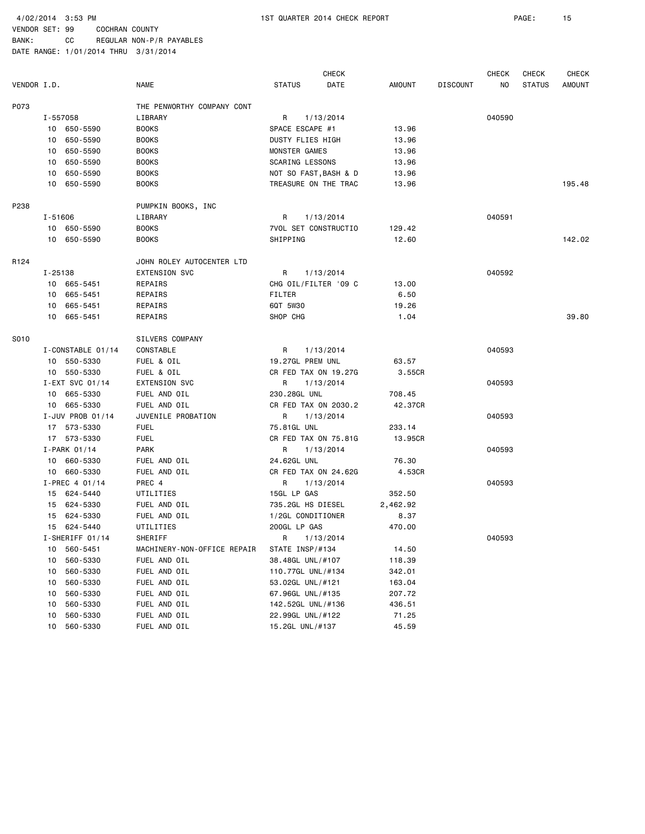BANK: CC REGULAR NON-P/R PAYABLES DATE RANGE: 1/01/2014 THRU 3/31/2014

 CHECK CHECK CHECK CHECK VENDOR I.D. NAME STATUS DATE AMOUNT DISCOUNT NO STATUS AMOUNT P073 THE PENWORTHY COMPANY CONT I-557058 LIBRARY R 1/13/2014 040590 10 650-5590 BOOKS SPACE ESCAPE #1 13.96 10 650-5590 BOOKS DUSTY FLIES HIGH 13.96 10 650-5590 BOOKS MONSTER GAMES 13.96 10 650-5590 BOOKS SCARING LESSONS 13.96 10 650-5590 BOOKS NOT SO FAST, BASH & D 13.96 10 650-5590 BOOKS TREASURE ON THE TRAC 13.96 195.48 P238 PUMPKIN BOOKS, INC I-51606 LIBRARY R 1/13/2014 040591 10 650-5590 BOOKS 7VOL SET CONSTRUCTIO 129.42 10 650-5590 BOOKS SHIPPING 12.60 142.02 R124 JOHN ROLEY AUTOCENTER LTD I-25138 EXTENSION SVC R 1/13/2014 040592 10 665-5451 REPAIRS CHG OIL/FILTER '09 C 13.00 10 665-5451 REPAIRS FILTER 6.50 10 665-5451 REPAIRS 6QT 5W30 19.26 10 665-5451 REPAIRS SHOP CHG 1.04 39.80 S010 SILVERS COMPANY I-CONSTABLE 01/14 CONSTABLE 1/13/2014 R 1/13/2014 040593 10 550-5330 FUEL & OIL 19.27GL PREM UNL 63.57 10 550-5330 FUEL & OIL CR FED TAX ON 19.27G 3.55CR I-EXT SVC 01/14 EXTENSION SVC R 1/13/2014 040593 10 665-5330 FUEL AND OIL 230.28GL UNL 708.45 10 665-5330 FUEL AND OIL CR FED TAX ON 2030.2 42.37CR I-JUV PROB 01/14 JUVENILE PROBATION R 1/13/2014 040593 17 573-5330 FUEL 75.81GL UNL 233.14 17 573-5330 FUEL CR FED TAX ON 75.81G 13.95CR I-PARK 01/14 PARK R 1/13/2014 PARK 01/14 040593 10 660-5330 FUEL AND OIL 24.62GL UNL 76.30 10 660-5330 FUEL AND OIL CR FED TAX ON 24.62G 4.53CR I-PREC 4 01/14 PREC 4 R 1/13/2014 040593 15 624-5440 UTILITIES 15GL LP GAS 352.50 15 624-5330 FUEL AND OIL 735.2GL HS DIESEL 2,462.92 15 624-5330 FUEL AND OIL 1/2GL CONDITIONER 8.37 15 624-5440 UTILITIES 200GL LP GAS 470.00 I-SHERIFF 01/14 SHERIFF R R 1/13/2014 R 940593 10 560-5451 MACHINERY-NON-OFFICE REPAIR STATE INSP/#134 14.50 10 560-5330 FUEL AND OIL 38.48GL UNL/#107 118.39 10 560-5330 FUEL AND OIL 110.77GL UNL/#134 342.01 10 560-5330 FUEL AND OIL 53.02GL UNL/#121 163.04 10 560-5330 FUEL AND OIL 67.96GL UNL/#135 207.72 10 560-5330 FUEL AND OIL 142.52GL UNL/#136 436.51 10 560-5330 FUEL AND OIL 22.99GL UNL/#122 71.25 10 560-5330 FUEL AND OIL 15.2GL UNL/#137 45.59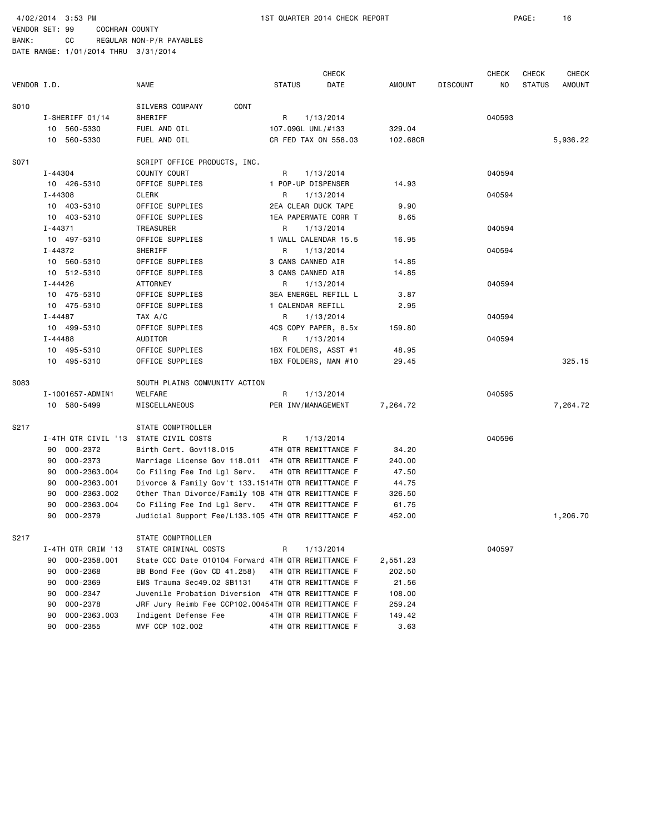BANK: CC REGULAR NON-P/R PAYABLES DATE RANGE: 1/01/2014 THRU 3/31/2014

 CHECK CHECK CHECK CHECK VENDOR I.D. NAME STATUS DATE AMOUNT DISCOUNT NO STATUS AMOUNT S010 SILVERS COMPANY CONT I-SHERIFF 01/14 SHERIFF 8 8 200593 10 560-5330 FUEL AND OIL 107.09GL UNL/#133 329.04 10 560-5330 FUEL AND OIL CR FED TAX ON 558.03 102.68CR 5,936.22 S071 SCRIPT OFFICE PRODUCTS, INC. I-44304 COUNTY COURT R 1/13/2014 R 1/13/2014 040594 10 426-5310 OFFICE SUPPLIES 1 POP-UP DISPENSER 14.93 I-44308 CLERK R 1/13/2014 040594 10 403-5310 OFFICE SUPPLIES 2EA CLEAR DUCK TAPE 9.90 10 403-5310 OFFICE SUPPLIES 1EA PAPERMATE CORR T 8.65 I-44371 TREASURER R 1/13/2014 040594 10 497-5310 OFFICE SUPPLIES 1 WALL CALENDAR 15.5 16.95 I-44372 SHERIFF R 1/13/2014 040594 10 560-5310 OFFICE SUPPLIES 3 CANS CANNED AIR 14.85 10 512-5310 OFFICE SUPPLIES 3 CANS CANNED AIR 14.85 I-44426 ATTORNEY R 1/13/2014 040594 10 475-5310 OFFICE SUPPLIES 3EA ENERGEL REFILL L 3.87 10 475-5310 OFFICE SUPPLIES 1 CALENDAR REFILL 2.95 I-44487 TAX A/C R 1/13/2014 040594 10 499-5310 OFFICE SUPPLIES 4CS COPY PAPER, 8.5x 159.80 I-44488 AUDITOR R 1/13/2014 040594 10 495-5310 OFFICE SUPPLIES 1BX FOLDERS, ASST #1 48.95 10 495-5310 OFFICE SUPPLIES 1BX FOLDERS, MAN #10 29.45 325.15 SO83 SOUTH PLAINS COMMUNITY ACTION I-1001657-ADMIN1 WELFARE R 1/13/2014 040595 10 580-5499 MISCELLANEOUS PER INV/MANAGEMENT 7,264.72 7,264.72 S217 STATE COMPTROLLER I-4TH QTR CIVIL '13 STATE CIVIL COSTS R 1/13/2014 8 040596 90 000-2372 Birth Cert. Gov118.015 4TH QTR REMITTANCE F 34.20 90 000-2373 Marriage License Gov 118.011 4TH QTR REMITTANCE F 240.00 90 000-2363.004 Co Filing Fee Ind Lgl Serv. 4TH QTR REMITTANCE F 47.50 90 000-2363.001 Divorce & Family Gov't 133.1514TH QTR REMITTANCE F 44.75 90 000-2363.002 Other Than Divorce/Family 10B 4TH QTR REMITTANCE F 326.50 90 000-2363.004 Co Filing Fee Ind Lgl Serv. 4TH QTR REMITTANCE F 61.75 90 000-2379 Judicial Support Fee/L133.105 4TH QTR REMITTANCE F 452.00 1,206.70 S217 STATE COMPTROLLER I-4TH QTR CRIM '13 STATE CRIMINAL COSTS R 1/13/2014 040597 90 000-2358.001 State CCC Date 010104 Forward 4TH QTR REMITTANCE F 2,551.23 90 000-2368 BB Bond Fee (Gov CD 41.258) 4TH QTR REMITTANCE F 202.50 90 000-2369 EMS Trauma Sec49.02 SB1131 4TH QTR REMITTANCE F 21.56 90 000-2347 Juvenile Probation Diversion 4TH QTR REMITTANCE F 108.00 90 000-2378 JRF Jury Reimb Fee CCP102.00454TH QTR REMITTANCE F 259.24 90 000-2363.003 Indigent Defense Fee 4TH QTR REMITTANCE F 149.42 90 000-2355 MVF CCP 102.002 4TH QTR REMITTANCE F 3.63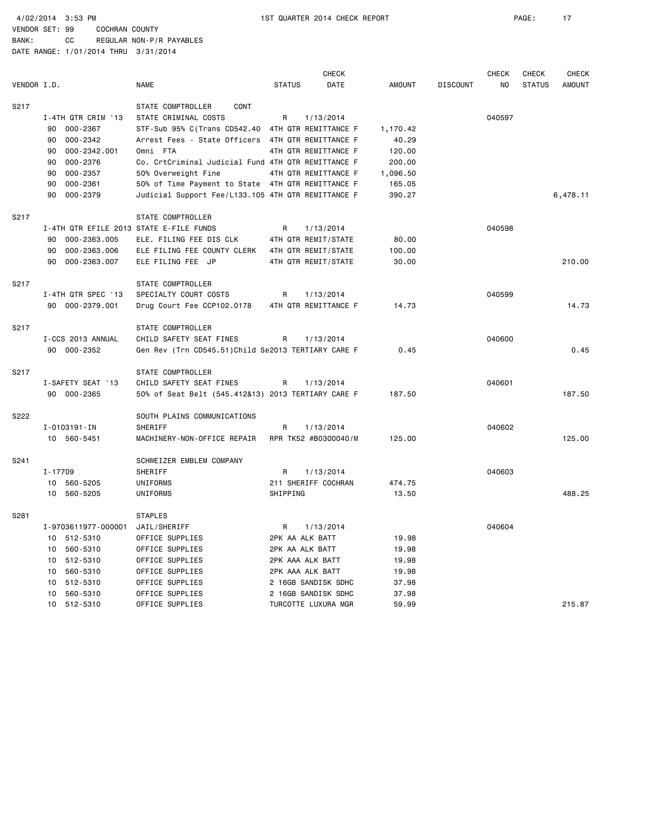BANK: CC REGULAR NON-P/R PAYABLES DATE RANGE: 1/01/2014 THRU 3/31/2014

CHECK CHECK CHECK CHECK VENDOR I.D. NAME STATUS DATE AMOUNT DISCOUNT NO STATUS AMOUNT S217 STATE COMPTROLLER CONT I-4TH QTR CRIM '13 STATE CRIMINAL COSTS R 1/13/2014 040597 90 000-2367 STF-Sub 95% C(Trans CD542.40 4TH QTR REMITTANCE F 1,170.42 90 000-2342 Arrest Fees - State Officers 4TH QTR REMITTANCE F 40.29 90 000-2342.001 Omni FTA 4TH QTR REMITTANCE F 120.00 90 000-2376 Co. CrtCriminal Judicial Fund 4TH QTR REMITTANCE F 200.00 90 000-2357 50% Overweight Fine 4TH QTR REMITTANCE F 1,096.50 90 000-2361 50% of Time Payment to State 4TH QTR REMITTANCE F 165.05 90 000-2379 Judicial Support Fee/L133.105 4TH QTR REMITTANCE F 390.27 6,478.11 S217 STATE COMPTROLLER I-4TH QTR EFILE 2013 STATE E-FILE FUNDS **R** 1/13/2014 **113/2014** 040598 90 000-2363.005 ELE. FILING FEE DIS CLK 4TH QTR REMIT/STATE 80.00 90 000-2363.006 ELE FILING FEE COUNTY CLERK 4TH QTR REMIT/STATE 100.00 90 000-2363.007 ELE FILING FEE JP 4TH QTR REMIT/STATE 30.00 210.00 S217 STATE COMPTROLLER I-4TH QTR SPEC '13 SPECIALTY COURT COSTS R 1/13/2014 040599 90 000-2379.001 Drug Court Fee CCP102.0178 4TH QTR REMITTANCE F 14.73 14.73 S217 STATE COMPTROLLER I-CCS 2013 ANNUAL CHILD SAFETY SEAT FINES R 1/13/2014 CHILD SAFETY SEAT FINES 90 000-2352 Gen Rev (Trn CD545.51)Child Se2013 TERTIARY CARE F 0.45 0.45 S217 STATE COMPTROLLER I-SAFETY SEAT '13 CHILD SAFETY SEAT FINES R 1/13/2014 040601 90 000-2365 50% of Seat Belt (545.412&13) 2013 TERTIARY CARE F 187.50 187.50 S222 SOUTH PLAINS COMMUNICATIONS I-0103191-IN SHERIFF R 1/13/2014 040602 10 560-5451 MACHINERY-NON-OFFICE REPAIR RPR TK52 #B0300040/M 125.00 125.00 S241 SCHWEIZER EMBLEM COMPANY I-17709 SHERIFF R 1/13/2014 040603 10 560-5205 UNIFORMS 211 SHERIFF COCHRAN 474.75 10 560-5205 UNIFORMS SHIPPING 13.50 488.25 S281 STAPLES I-9703611977-000001 JAIL/SHERIFF R 1/13/2014 040604 10 512-5310 OFFICE SUPPLIES 2PK AA ALK BATT 19.98 10 560-5310 OFFICE SUPPLIES 2PK AA ALK BATT 19.98 10 512-5310 OFFICE SUPPLIES 2PK AAA ALK BATT 19.98 10 560-5310 OFFICE SUPPLIES 2PK AAA ALK BATT 19.98 10 512-5310 OFFICE SUPPLIES 2 16GB SANDISK SDHC 37.98 10 560-5310 OFFICE SUPPLIES 2 16GB SANDISK SDHC 37.98 10 512-5310 OFFICE SUPPLIES TURCOTTE LUXURA MGR 59.99 215.87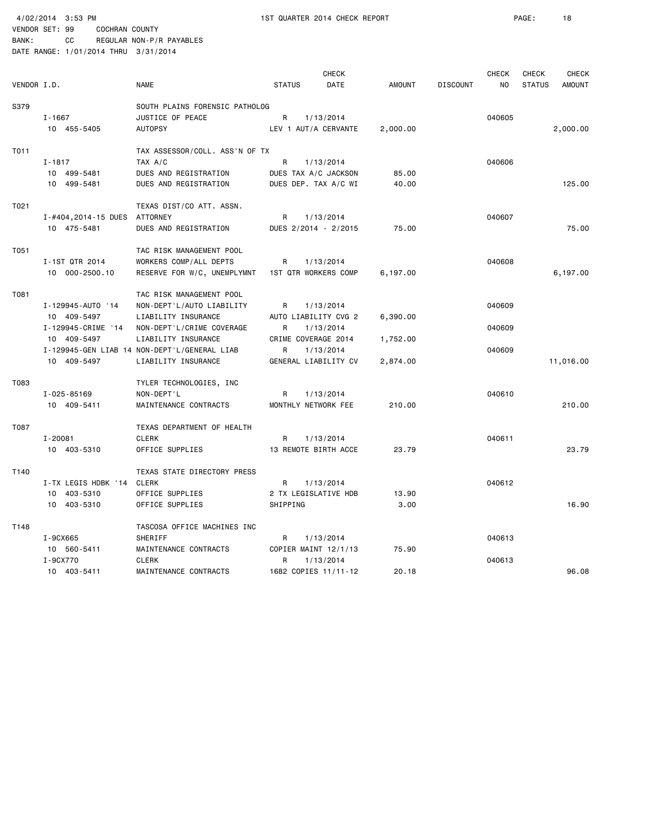4/02/2014 3:53 PM 1ST QUARTER 2014 CHECK REPORT PAGE: 18 VENDOR SET: 99 COCHRAN COUNTY

|             |                              |                                              |                      | <b>CHECK</b> |          |                 | <b>CHECK</b> | CHECK         | <b>CHECK</b>  |
|-------------|------------------------------|----------------------------------------------|----------------------|--------------|----------|-----------------|--------------|---------------|---------------|
| VENDOR I.D. |                              | <b>NAME</b>                                  | <b>STATUS</b>        | DATE         | AMOUNT   | <b>DISCOUNT</b> | <b>NO</b>    | <b>STATUS</b> | <b>AMOUNT</b> |
| S379        |                              | SOUTH PLAINS FORENSIC PATHOLOG               |                      |              |          |                 |              |               |               |
|             | $I - 1667$                   | JUSTICE OF PEACE                             | R                    | 1/13/2014    |          |                 | 040605       |               |               |
|             | 10 455-5405                  | <b>AUTOPSY</b>                               | LEV 1 AUT/A CERVANTE |              | 2,000.00 |                 |              |               | 2,000.00      |
| T011        |                              | TAX ASSESSOR/COLL. ASS'N OF TX               |                      |              |          |                 |              |               |               |
|             | $I - 1817$                   | TAX A/C                                      | R                    | 1/13/2014    |          |                 | 040606       |               |               |
|             | 10 499-5481                  | DUES AND REGISTRATION                        | DUES TAX A/C JACKSON |              | 85.00    |                 |              |               |               |
|             | 10 499-5481                  | DUES AND REGISTRATION                        | DUES DEP. TAX A/C WI |              | 40.00    |                 |              |               | 125.00        |
| T021        |                              | TEXAS DIST/CO ATT. ASSN.                     |                      |              |          |                 |              |               |               |
|             | I-#404,2014-15 DUES ATTORNEY |                                              | R                    | 1/13/2014    |          |                 | 040607       |               |               |
|             | 10 475-5481                  | DUES AND REGISTRATION                        | DUES 2/2014 - 2/2015 |              | 75.00    |                 |              |               | 75.00         |
| T051        |                              | TAC RISK MANAGEMENT POOL                     |                      |              |          |                 |              |               |               |
|             | I-1ST QTR 2014               | WORKERS COMP/ALL DEPTS                       | R                    | 1/13/2014    |          |                 | 040608       |               |               |
|             | 10 000-2500.10               | RESERVE FOR W/C, UNEMPLYMNT                  | 1ST QTR WORKERS COMP |              | 6,197.00 |                 |              |               | 6,197.00      |
| T081        |                              | TAC RISK MANAGEMENT POOL                     |                      |              |          |                 |              |               |               |
|             | I-129945-AUTO '14            | NON-DEPT'L/AUTO LIABILITY                    | R                    | 1/13/2014    |          |                 | 040609       |               |               |
|             | 10 409-5497                  | LIABILITY INSURANCE                          | AUTO LIABILITY CVG 2 |              | 6,390.00 |                 |              |               |               |
|             | I-129945-CRIME '14           | NON-DEPT'L/CRIME COVERAGE                    | R                    | 1/13/2014    |          |                 | 040609       |               |               |
|             | 10 409-5497                  | LIABILITY INSURANCE                          | CRIME COVERAGE 2014  |              | 1,752.00 |                 |              |               |               |
|             |                              | I-129945-GEN LIAB 14 NON-DEPT'L/GENERAL LIAB | R                    | 1/13/2014    |          |                 | 040609       |               |               |
|             | 10 409-5497                  | LIABILITY INSURANCE                          | GENERAL LIABILITY CV |              | 2,874.00 |                 |              |               | 11,016.00     |
| T083        |                              | TYLER TECHNOLOGIES, INC                      |                      |              |          |                 |              |               |               |
|             | I-025-85169                  | NON-DEPT'L                                   | R                    | 1/13/2014    |          |                 | 040610       |               |               |
|             | 10 409-5411                  | MAINTENANCE CONTRACTS                        | MONTHLY NETWORK FEE  |              | 210.00   |                 |              |               | 210.00        |
| T087        |                              | TEXAS DEPARTMENT OF HEALTH                   |                      |              |          |                 |              |               |               |
|             | $I - 20081$                  | <b>CLERK</b>                                 | R                    | 1/13/2014    |          |                 | 040611       |               |               |
|             | 10 403-5310                  | OFFICE SUPPLIES                              | 13 REMOTE BIRTH ACCE |              | 23.79    |                 |              |               | 23.79         |
| T140        |                              | TEXAS STATE DIRECTORY PRESS                  |                      |              |          |                 |              |               |               |
|             | I-TX LEGIS HDBK '14          | CLERK                                        | R                    | 1/13/2014    |          |                 | 040612       |               |               |
|             | 10 403-5310                  | OFFICE SUPPLIES                              | 2 TX LEGISLATIVE HDB |              | 13.90    |                 |              |               |               |
|             | 10 403-5310                  | OFFICE SUPPLIES                              | SHIPPING             |              | 3.00     |                 |              |               | 16.90         |
| T148        |                              | TASCOSA OFFICE MACHINES INC                  |                      |              |          |                 |              |               |               |
|             | I-9CX665                     | SHERIFF                                      | R                    | 1/13/2014    |          |                 | 040613       |               |               |
|             | 10 560-5411                  | MAINTENANCE CONTRACTS                        | COPIER MAINT 12/1/13 |              | 75.90    |                 |              |               |               |
|             | I-9CX770                     | <b>CLERK</b>                                 | R                    | 1/13/2014    |          |                 | 040613       |               |               |
|             | 10 403-5411                  | MAINTENANCE CONTRACTS                        | 1682 COPIES 11/11-12 |              | 20.18    |                 |              |               | 96.08         |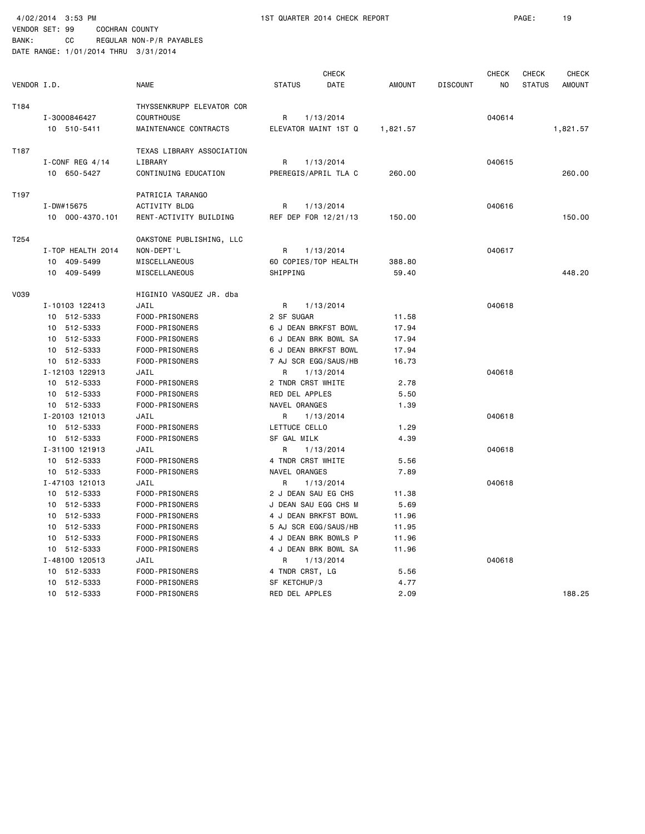| BANK:                                | CC. |  | REGULAR NON-P/R PAYABLES |
|--------------------------------------|-----|--|--------------------------|
| DATE RANGE: 1/01/2014 THRU 3/31/2014 |     |  |                          |

|             |                   |                           |                      | <b>CHECK</b> |               |                 | <b>CHECK</b> | <b>CHECK</b>  | <b>CHECK</b>  |
|-------------|-------------------|---------------------------|----------------------|--------------|---------------|-----------------|--------------|---------------|---------------|
| VENDOR I.D. |                   | <b>NAME</b>               | <b>STATUS</b>        | DATE         | <b>AMOUNT</b> | <b>DISCOUNT</b> | NO           | <b>STATUS</b> | <b>AMOUNT</b> |
| T184        |                   | THYSSENKRUPP ELEVATOR COR |                      |              |               |                 |              |               |               |
|             | I-3000846427      | <b>COURTHOUSE</b>         | R                    | 1/13/2014    |               |                 | 040614       |               |               |
|             | 10 510-5411       | MAINTENANCE CONTRACTS     | ELEVATOR MAINT 1ST Q |              | 1,821.57      |                 |              |               | 1,821.57      |
| T187        |                   | TEXAS LIBRARY ASSOCIATION |                      |              |               |                 |              |               |               |
|             | I-CONF REG $4/14$ | LIBRARY                   | R                    | 1/13/2014    |               |                 | 040615       |               |               |
|             | 10 650-5427       | CONTINUING EDUCATION      | PREREGIS/APRIL TLA C |              | 260.00        |                 |              |               | 260,00        |
| T197        |                   | PATRICIA TARANGO          |                      |              |               |                 |              |               |               |
|             | I-DW#15675        | <b>ACTIVITY BLDG</b>      | R                    | 1/13/2014    |               |                 | 040616       |               |               |
|             | 10 000-4370.101   | RENT-ACTIVITY BUILDING    | REF DEP FOR 12/21/13 |              | 150.00        |                 |              |               | 150.00        |
| T254        |                   | OAKSTONE PUBLISHING, LLC  |                      |              |               |                 |              |               |               |
|             | I-TOP HEALTH 2014 | NON-DEPT'L                | R                    | 1/13/2014    |               |                 | 040617       |               |               |
|             | 10 409-5499       | MISCELLANEOUS             | 60 COPIES/TOP HEALTH |              | 388.80        |                 |              |               |               |
|             | 10 409-5499       | MISCELLANEOUS             | SHIPPING             |              | 59.40         |                 |              |               | 448.20        |
| V039        |                   | HIGINIO VASQUEZ JR. dba   |                      |              |               |                 |              |               |               |
|             | I-10103 122413    | JAIL                      | R                    | 1/13/2014    |               |                 | 040618       |               |               |
|             | 10 512-5333       | FOOD-PRISONERS            | 2 SF SUGAR           |              | 11.58         |                 |              |               |               |
|             | 10 512-5333       | FOOD-PRISONERS            | 6 J DEAN BRKFST BOWL |              | 17.94         |                 |              |               |               |
|             | 10 512-5333       | FOOD-PRISONERS            | 6 J DEAN BRK BOWL SA |              | 17.94         |                 |              |               |               |
|             | 512-5333<br>10    | FOOD-PRISONERS            | 6 J DEAN BRKFST BOWL |              | 17.94         |                 |              |               |               |
|             | 512-5333<br>10    | FOOD-PRISONERS            | 7 AJ SCR EGG/SAUS/HB |              | 16.73         |                 |              |               |               |
|             | I-12103 122913    | JAIL                      | R                    | 1/13/2014    |               |                 | 040618       |               |               |
|             | 10 512-5333       | FOOD-PRISONERS            | 2 TNDR CRST WHITE    |              | 2.78          |                 |              |               |               |
|             | 512-5333<br>10    | FOOD-PRISONERS            | RED DEL APPLES       |              | 5.50          |                 |              |               |               |
|             | 10 512-5333       | FOOD-PRISONERS            | NAVEL ORANGES        |              | 1.39          |                 |              |               |               |
|             | I-20103 121013    | JAIL                      | R                    | 1/13/2014    |               |                 | 040618       |               |               |
|             | 10 512-5333       | FOOD-PRISONERS            | LETTUCE CELLO        |              | 1.29          |                 |              |               |               |
|             | 10 512-5333       | FOOD-PRISONERS            | SF GAL MILK          |              | 4.39          |                 |              |               |               |
|             | I-31100 121913    | JAIL                      | R                    | 1/13/2014    |               |                 | 040618       |               |               |
|             | 10 512-5333       | FOOD-PRISONERS            | 4 TNDR CRST WHITE    |              | 5.56          |                 |              |               |               |
|             | 512-5333<br>10    | FOOD-PRISONERS            | NAVEL ORANGES        |              | 7.89          |                 |              |               |               |
|             | I-47103 121013    | JAIL                      | R                    | 1/13/2014    |               |                 | 040618       |               |               |
|             | 512-5333<br>10    | FOOD-PRISONERS            | 2 J DEAN SAU EG CHS  |              | 11.38         |                 |              |               |               |
|             | 10 512-5333       | FOOD-PRISONERS            | J DEAN SAU EGG CHS M |              | 5.69          |                 |              |               |               |
|             | 10 512-5333       | FOOD-PRISONERS            | 4 J DEAN BRKFST BOWL |              | 11.96         |                 |              |               |               |
|             | 512-5333<br>10    | FOOD-PRISONERS            | 5 AJ SCR EGG/SAUS/HB |              | 11.95         |                 |              |               |               |
|             | 10<br>512-5333    | FOOD-PRISONERS            | 4 J DEAN BRK BOWLS P |              | 11.96         |                 |              |               |               |
|             | 512-5333<br>10    | FOOD-PRISONERS            | 4 J DEAN BRK BOWL SA |              | 11.96         |                 |              |               |               |
|             | I-48100 120513    | JAIL                      | R                    | 1/13/2014    |               |                 | 040618       |               |               |
|             | 10 512-5333       | FOOD-PRISONERS            | 4 TNDR CRST, LG      |              | 5.56          |                 |              |               |               |
|             | 512-5333<br>10    | FOOD-PRISONERS            | SF KETCHUP/3         |              | 4.77          |                 |              |               |               |
|             | 10 512-5333       | FOOD-PRISONERS            | RED DEL APPLES       |              | 2.09          |                 |              |               | 188.25        |
|             |                   |                           |                      |              |               |                 |              |               |               |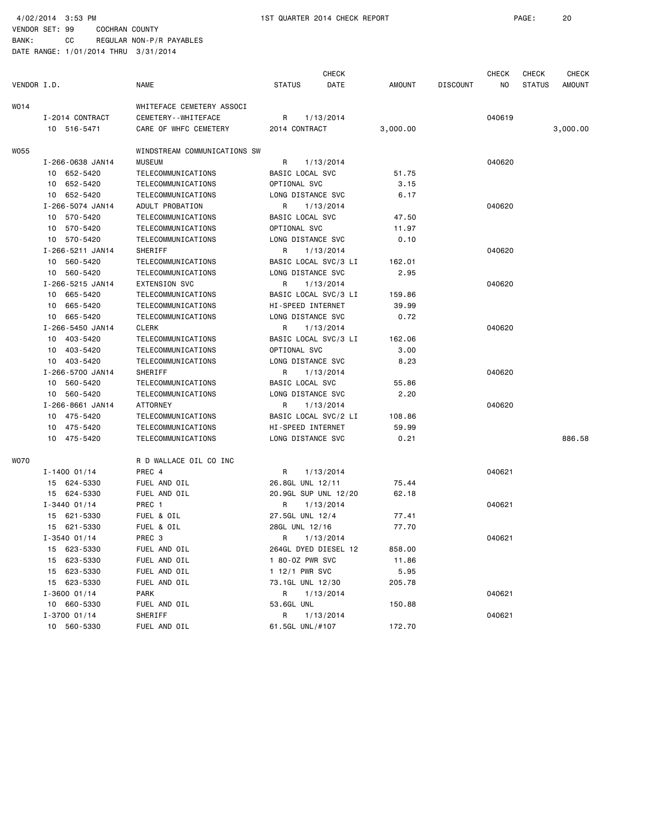4/02/2014 3:53 PM 1ST QUARTER 2014 CHECK REPORT PAGE: 20

VENDOR SET: 99 COCHRAN COUNTY BANK: CC REGULAR NON-P/R PAYABLES

|             |                  |                              |                      | <b>CHECK</b>         |               |                 | <b>CHECK</b> | <b>CHECK</b> | CHECK         |
|-------------|------------------|------------------------------|----------------------|----------------------|---------------|-----------------|--------------|--------------|---------------|
| VENDOR I.D. |                  | <b>NAME</b>                  | <b>STATUS</b>        | DATE                 | <b>AMOUNT</b> | <b>DISCOUNT</b> | NO.          | STATUS       | <b>AMOUNT</b> |
| WO 14       |                  | WHITEFACE CEMETERY ASSOCI    |                      |                      |               |                 |              |              |               |
|             | I-2014 CONTRACT  | CEMETERY - - WHITEFACE       | R                    | 1/13/2014            |               |                 | 040619       |              |               |
|             | 10 516-5471      | CARE OF WHFC CEMETERY        | 2014 CONTRACT        |                      | 3,000.00      |                 |              |              | 3,000.00      |
| WO55        |                  | WINDSTREAM COMMUNICATIONS SW |                      |                      |               |                 |              |              |               |
|             | I-266-0638 JAN14 | <b>MUSEUM</b>                | R                    | 1/13/2014            |               |                 | 040620       |              |               |
|             | 10 652-5420      | TELECOMMUNICATIONS           | BASIC LOCAL SVC      |                      | 51.75         |                 |              |              |               |
|             | 10 652-5420      | TELECOMMUNICATIONS           | OPTIONAL SVC         |                      | 3.15          |                 |              |              |               |
|             | 10 652-5420      | TELECOMMUNICATIONS           | LONG DISTANCE SVC    |                      | 6.17          |                 |              |              |               |
|             | I-266-5074 JAN14 | ADULT PROBATION              | R                    | 1/13/2014            |               |                 | 040620       |              |               |
|             | 10 570-5420      | TELECOMMUNICATIONS           | BASIC LOCAL SVC      |                      | 47.50         |                 |              |              |               |
|             | 10 570-5420      | TELECOMMUNICATIONS           | OPTIONAL SVC         |                      | 11.97         |                 |              |              |               |
|             | 10 570-5420      | TELECOMMUNICATIONS           | LONG DISTANCE SVC    |                      | 0.10          |                 |              |              |               |
|             | I-266-5211 JAN14 | SHERIFF                      | R                    | 1/13/2014            |               |                 | 040620       |              |               |
|             | 10 560-5420      | TELECOMMUNICATIONS           | BASIC LOCAL SVC/3 LI |                      | 162.01        |                 |              |              |               |
|             | 10 560-5420      | TELECOMMUNICATIONS           | LONG DISTANCE SVC    |                      | 2.95          |                 |              |              |               |
|             | I-266-5215 JAN14 | <b>EXTENSION SVC</b>         | R                    | 1/13/2014            |               |                 | 040620       |              |               |
|             | 10 665-5420      | TELECOMMUNICATIONS           | BASIC LOCAL SVC/3 LI |                      | 159.86        |                 |              |              |               |
|             | 10 665-5420      | TELECOMMUNICATIONS           | HI-SPEED INTERNET    |                      | 39.99         |                 |              |              |               |
|             | 10 665-5420      | TELECOMMUNICATIONS           | LONG DISTANCE SVC    |                      | 0.72          |                 |              |              |               |
|             | I-266-5450 JAN14 | <b>CLERK</b>                 | R                    | 1/13/2014            |               |                 | 040620       |              |               |
|             | 10 403-5420      | TELECOMMUNICATIONS           | BASIC LOCAL SVC/3 LI |                      | 162.06        |                 |              |              |               |
|             | 10 403-5420      | TELECOMMUNICATIONS           | OPTIONAL SVC         |                      | 3.00          |                 |              |              |               |
|             | 10 403-5420      | TELECOMMUNICATIONS           | LONG DISTANCE SVC    |                      | 8.23          |                 |              |              |               |
|             | I-266-5700 JAN14 | SHERIFF                      | R                    | 1/13/2014            |               |                 | 040620       |              |               |
|             | 10 560-5420      | TELECOMMUNICATIONS           | BASIC LOCAL SVC      |                      | 55.86         |                 |              |              |               |
|             | 10 560-5420      | TELECOMMUNICATIONS           | LONG DISTANCE SVC    |                      | 2.20          |                 |              |              |               |
|             | I-266-8661 JAN14 | ATTORNEY                     | R                    | 1/13/2014            |               |                 | 040620       |              |               |
|             | 10 475-5420      | TELECOMMUNICATIONS           | BASIC LOCAL SVC/2 LI |                      | 108.86        |                 |              |              |               |
|             | 10 475-5420      | TELECOMMUNICATIONS           | HI-SPEED INTERNET    |                      | 59.99         |                 |              |              |               |
|             | 10 475-5420      | TELECOMMUNICATIONS           | LONG DISTANCE SVC    |                      | 0.21          |                 |              |              | 886.58        |
| WO70        |                  | R D WALLACE OIL CO INC       |                      |                      |               |                 |              |              |               |
|             | $I - 1400 01/14$ | PREC 4                       | R                    | 1/13/2014            |               |                 | 040621       |              |               |
|             | 15 624-5330      | FUEL AND OIL                 | 26.8GL UNL 12/11     |                      | 75.44         |                 |              |              |               |
|             | 15 624-5330      | FUEL AND OIL                 | 20.9GL SUP UNL 12/20 |                      | 62.18         |                 |              |              |               |
|             | $I - 3440 01/14$ | PREC 1                       | R                    | 1/13/2014            |               |                 | 040621       |              |               |
|             | 15 621-5330      | FUEL & OIL                   | 27.5GL UNL 12/4      |                      | 77.41         |                 |              |              |               |
|             | 15 621-5330      | FUEL & OIL                   | 28GL UNL 12/16       |                      | 77.70         |                 |              |              |               |
|             | $I - 3540 01/14$ | PREC 3                       | R 1/13/2014          |                      |               |                 | 040621       |              |               |
|             | 15 623-5330      | FUEL AND OIL                 |                      | 264GL DYED DIESEL 12 | 858.00        |                 |              |              |               |
|             | 15 623-5330      | FUEL AND OIL                 | 1 80-0Z PWR SVC      |                      | 11.86         |                 |              |              |               |
|             | 15 623-5330      | FUEL AND OIL                 | 1 12/1 PWR SVC       |                      | 5.95          |                 |              |              |               |
|             | 15 623-5330      | FUEL AND OIL                 | 73.1GL UNL 12/30     |                      | 205.78        |                 |              |              |               |
|             | $I - 3600 01/14$ | PARK                         | R                    | 1/13/2014            |               |                 | 040621       |              |               |
|             | 10 660-5330      | FUEL AND OIL                 | 53.6GL UNL           |                      | 150.88        |                 |              |              |               |
|             | I-3700 01/14     | SHERIFF                      | R                    | 1/13/2014            |               |                 | 040621       |              |               |
|             | 10 560-5330      | FUEL AND OIL                 | 61.5GL UNL/#107      |                      | 172.70        |                 |              |              |               |
|             |                  |                              |                      |                      |               |                 |              |              |               |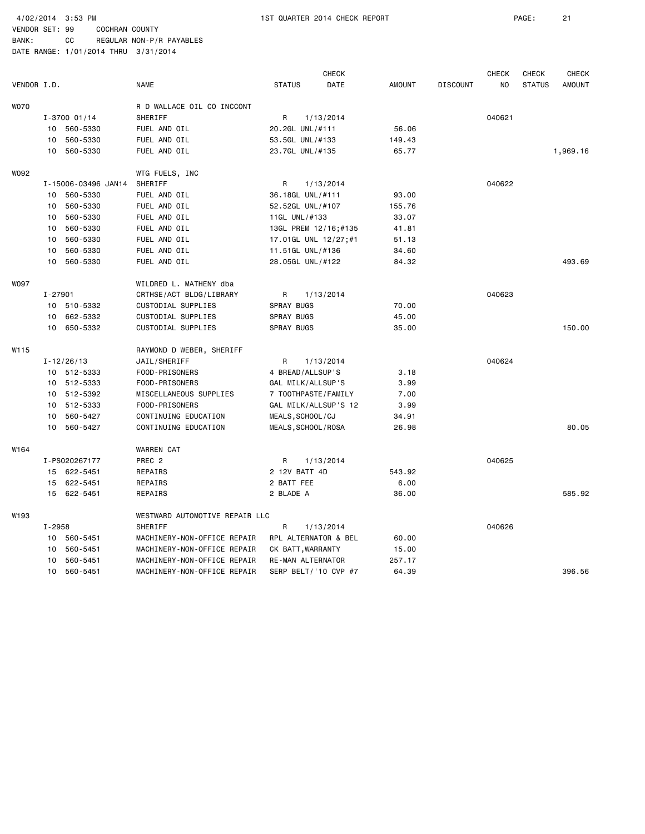4/02/2014 3:53 PM 1ST QUARTER 2014 CHECK REPORT PAGE: 21

VENDOR SET: 99 COCHRAN COUNTY BANK: CC REGULAR NON-P/R PAYABLES

|             |         |                     |                                |                      | <b>CHECK</b> |        |                 | <b>CHECK</b> | CHECK         | <b>CHECK</b>  |
|-------------|---------|---------------------|--------------------------------|----------------------|--------------|--------|-----------------|--------------|---------------|---------------|
| VENDOR I.D. |         |                     | <b>NAME</b>                    | <b>STATUS</b>        | DATE         | AMOUNT | <b>DISCOUNT</b> | NO           | <b>STATUS</b> | <b>AMOUNT</b> |
| <b>WO70</b> |         |                     | R D WALLACE OIL CO INCCONT     |                      |              |        |                 |              |               |               |
|             |         | I-3700 01/14        | SHERIFF                        | R                    | 1/13/2014    |        |                 | 040621       |               |               |
|             |         | 10 560-5330         | FUEL AND OIL                   | 20.2GL UNL/#111      |              | 56.06  |                 |              |               |               |
|             | 10      | 560-5330            | FUEL AND OIL                   | 53.5GL UNL/#133      |              | 149.43 |                 |              |               |               |
|             | 10      | 560-5330            | FUEL AND OIL                   | 23.7GL UNL/#135      |              | 65.77  |                 |              |               | 1,969.16      |
| W092        |         |                     | WTG FUELS, INC                 |                      |              |        |                 |              |               |               |
|             |         | I-15006-03496 JAN14 | SHERIFF                        | R                    | 1/13/2014    |        |                 | 040622       |               |               |
|             | 10      | 560-5330            | FUEL AND OIL                   | 36.18GL UNL/#111     |              | 93.00  |                 |              |               |               |
|             | 10      | 560-5330            | FUEL AND OIL                   | 52.52GL UNL/#107     |              | 155.76 |                 |              |               |               |
|             | 10      | 560-5330            | FUEL AND OIL                   | 11GL UNL/#133        |              | 33.07  |                 |              |               |               |
|             | 10      | 560-5330            | FUEL AND OIL                   | 13GL PREM 12/16;#135 |              | 41.81  |                 |              |               |               |
|             | 10      | 560-5330            | FUEL AND OIL                   | 17.01GL UNL 12/27;#1 |              | 51.13  |                 |              |               |               |
|             | 10      | 560-5330            | FUEL AND OIL                   | 11.51GL UNL/#136     |              | 34.60  |                 |              |               |               |
|             | 10      | 560-5330            | FUEL AND OIL                   | 28.05GL UNL/#122     |              | 84.32  |                 |              |               | 493.69        |
| <b>WO97</b> |         |                     | WILDRED L. MATHENY dba         |                      |              |        |                 |              |               |               |
|             | I-27901 |                     | CRTHSE/ACT BLDG/LIBRARY        | R                    | 1/13/2014    |        |                 | 040623       |               |               |
|             |         | 10 510-5332         | CUSTODIAL SUPPLIES             | SPRAY BUGS           |              | 70.00  |                 |              |               |               |
|             | 10      | 662-5332            | CUSTODIAL SUPPLIES             | SPRAY BUGS           |              | 45.00  |                 |              |               |               |
|             | 10      | 650-5332            | CUSTODIAL SUPPLIES             | SPRAY BUGS           |              | 35.00  |                 |              |               | 150.00        |
| W115        |         |                     | RAYMOND D WEBER, SHERIFF       |                      |              |        |                 |              |               |               |
|             |         | $I - 12/26/13$      | JAIL/SHERIFF                   | R                    | 1/13/2014    |        |                 | 040624       |               |               |
|             |         | 10 512-5333         | FOOD-PRISONERS                 | 4 BREAD/ALLSUP'S     |              | 3.18   |                 |              |               |               |
|             |         | 10 512-5333         | FOOD-PRISONERS                 | GAL MILK/ALLSUP'S    |              | 3.99   |                 |              |               |               |
|             | 10      | 512-5392            | MISCELLANEOUS SUPPLIES         | 7 TOOTHPASTE/FAMILY  |              | 7.00   |                 |              |               |               |
|             | 10      | 512-5333            | FOOD-PRISONERS                 | GAL MILK/ALLSUP'S 12 |              | 3.99   |                 |              |               |               |
|             | 10      | 560-5427            | CONTINUING EDUCATION           | MEALS, SCHOOL/CJ     |              | 34.91  |                 |              |               |               |
|             | 10      | 560-5427            | CONTINUING EDUCATION           | MEALS, SCHOOL/ROSA   |              | 26.98  |                 |              |               | 80.05         |
| W164        |         |                     | <b>WARREN CAT</b>              |                      |              |        |                 |              |               |               |
|             |         | I-PS020267177       | PREC 2                         | R                    | 1/13/2014    |        |                 | 040625       |               |               |
|             |         | 15 622-5451         | REPAIRS                        | 2 12V BATT 4D        |              | 543.92 |                 |              |               |               |
|             |         | 15 622-5451         | REPAIRS                        | 2 BATT FEE           |              | 6.00   |                 |              |               |               |
|             |         | 15 622-5451         | REPAIRS                        | 2 BLADE A            |              | 36.00  |                 |              |               | 585.92        |
| W193        |         |                     | WESTWARD AUTOMOTIVE REPAIR LLC |                      |              |        |                 |              |               |               |
|             | I-2958  |                     | SHERIFF                        | R                    | 1/13/2014    |        |                 | 040626       |               |               |
|             |         | 10 560-5451         | MACHINERY-NON-OFFICE REPAIR    | RPL ALTERNATOR & BEL |              | 60.00  |                 |              |               |               |
|             | 10      | 560-5451            | MACHINERY-NON-OFFICE REPAIR    | CK BATT, WARRANTY    |              | 15.00  |                 |              |               |               |
|             | 10      | 560-5451            | MACHINERY-NON-OFFICE REPAIR    | RE-MAN ALTERNATOR    |              | 257.17 |                 |              |               |               |
|             | 10      | 560-5451            | MACHINERY-NON-OFFICE REPAIR    | SERP BELT/'10 CVP #7 |              | 64.39  |                 |              |               | 396.56        |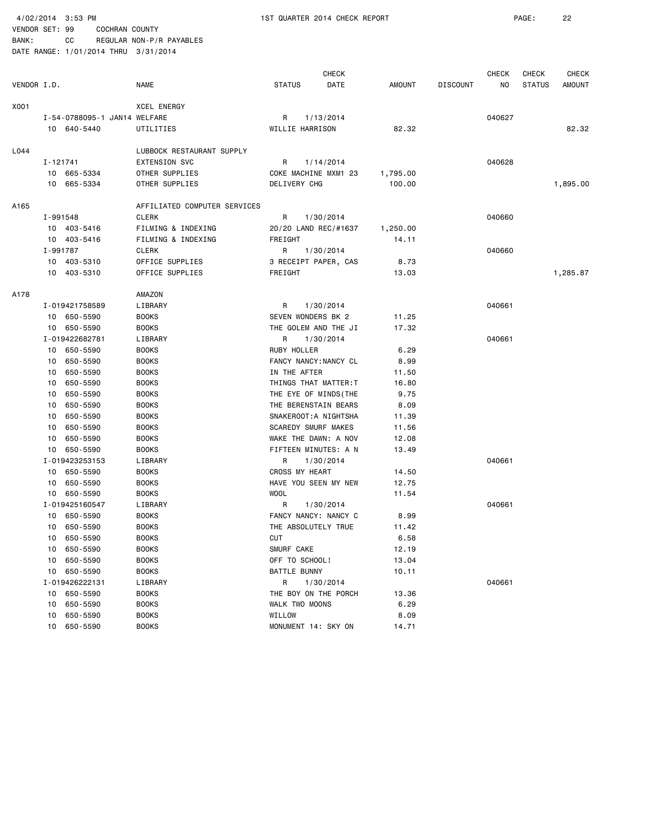BANK: CC REGULAR NON-P/R PAYABLES DATE RANGE: 1/01/2014 THRU 3/31/2014

 CHECK CHECK CHECK CHECK VENDOR I.D. NAME STATUS DATE AMOUNT DISCOUNT NO STATUS AMOUNT X001 XCEL ENERGY I-54-0788095-1 JAN14 WELFARE R 1/13/2014 040627 10 640-5440 UTILITIES WILLIE HARRISON 82.32 82.32 L044 LUBBOCK RESTAURANT SUPPLY I-121741 EXTENSION SVC R 1/14/2014 040628 10 665-5334 OTHER SUPPLIES COKE MACHINE MXM1 23 1,795.00 10 665-5334 OTHER SUPPLIES DELIVERY CHG 100.00 1,895.00 A165 AFFILIATED COMPUTER SERVICES I-991548 CLERK R 1/30/2014 040660 10 403-5416 FILMING & INDEXING 20/20 LAND REC/#1637 1,250.00 10 403-5416 FILMING & INDEXING FREIGHT 14.11 I-991787 CLERK R 1/30/2014 040660 10 403-5310 OFFICE SUPPLIES 3 RECEIPT PAPER, CAS 8.73 10 403-5310 OFFICE SUPPLIES FREIGHT 13.03 13.03 1,285.87 A178 AMAZON I-019421758589 LIBRARY R 1/30/2014 040661 10 650-5590 BOOKS SEVEN WONDERS BK 2 11.25 10 650-5590 BOOKS THE GOLEM AND THE JI 17.32 I-019422682781 LIBRARY R 1/30/2014 040661 10 650-5590 BOOKS RUBY HOLLER 6.29 10 650-5590 BOOKS FANCY NANCY:NANCY CL 8.99 10 650-5590 BOOKS BOOKS IN THE AFTER 11.50 10 650-5590 BOOKS THINGS THAT MATTER:T 16.80 10 650-5590 BOOKS THE EYE OF MINDS(THE 9.75 10 650-5590 BOOKS THE BERENSTAIN BEARS 8.09 10 650-5590 BOOKS SNAKEROOT:A NIGHTSHA 11.39 10 650-5590 BOOKS SCAREDY SMURF MAKES 11.56 10 650-5590 BOOKS WAKE THE DAWN: A NOV 12.08 10 650-5590 BOOKS FIFTEEN MINUTES: A N 13.49 I-019423253153 LIBRARY R 1/30/2014 040661 10 650-5590 BOOKS CROSS MY HEART 14.50 10 650-5590 BOOKS HAVE YOU SEEN MY NEW 12.75 10 650-5590 BOOKS WOOL 11.54 I-019425160547 LIBRARY R 1/30/2014 040661 10 650-5590 BOOKS FANCY NANCY: NANCY C 8.99 10 650-5590 BOOKS **BOOKS** THE ABSOLUTELY TRUE 11.42 10 650-5590 BOOKS CUT CUT 6.58 10 650-5590 BOOKS SMURF CAKE 12.19 10 650-5590 BOOKS OFF TO SCHOOL! 13.04 10 650-5590 BOOKS BATTLE BUNNY 10.11 I-019426222131 LIBRARY R 1/30/2014 040661 10 650-5590 BOOKS THE BOY ON THE PORCH 13.36 10 650-5590 BOOKS WALK TWO MOONS 6.29 10 650-5590 BOOKS WILLOW 8.09 10 650-5590 BOOKS MONUMENT 14: SKY ON 14.71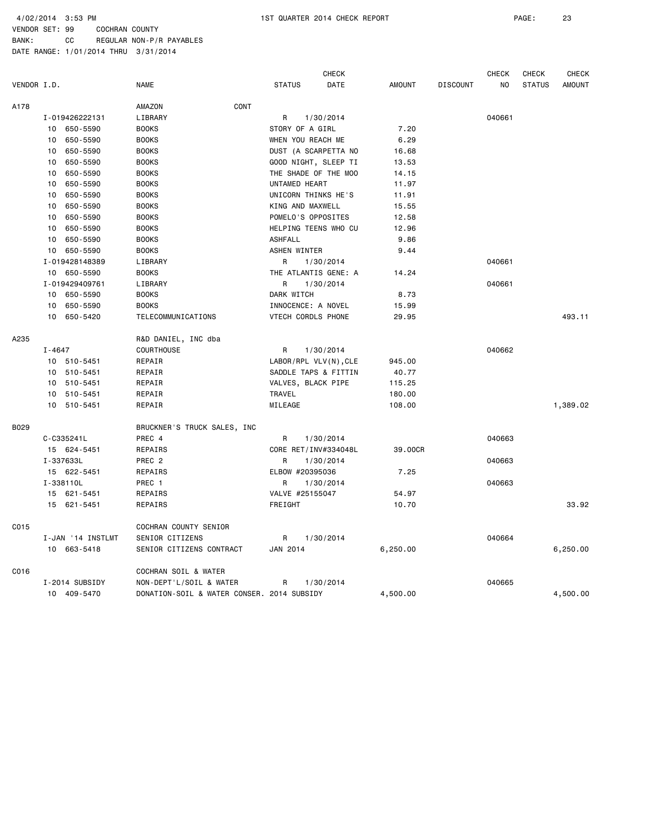VENDOR SET: 99 COCHRAN COUNTY BANK: CC REGULAR NON-P/R PAYABLES

|             |        |                   |                                            |                          | CHECK     |               |                 | CHECK          | CHECK         | CHECK         |
|-------------|--------|-------------------|--------------------------------------------|--------------------------|-----------|---------------|-----------------|----------------|---------------|---------------|
| VENDOR I.D. |        |                   | <b>NAME</b>                                | <b>STATUS</b>            | DATE      | <b>AMOUNT</b> | <b>DISCOUNT</b> | N <sub>O</sub> | <b>STATUS</b> | <b>AMOUNT</b> |
| A178        |        |                   | CONT<br>AMAZON                             |                          |           |               |                 |                |               |               |
|             |        | I-019426222131    | LIBRARY                                    | R                        | 1/30/2014 |               |                 | 040661         |               |               |
|             | 10     | 650-5590          | <b>BOOKS</b>                               | STORY OF A GIRL          |           | 7.20          |                 |                |               |               |
|             | 10     | 650-5590          | <b>BOOKS</b>                               | WHEN YOU REACH ME        |           | 6.29          |                 |                |               |               |
|             | 10     | 650-5590          | <b>BOOKS</b>                               | DUST (A SCARPETTA NO     |           | 16.68         |                 |                |               |               |
|             | 10     | 650-5590          | <b>BOOKS</b>                               | GOOD NIGHT, SLEEP TI     |           | 13.53         |                 |                |               |               |
|             | 10     | 650-5590          | <b>BOOKS</b>                               | THE SHADE OF THE MOO     |           | 14.15         |                 |                |               |               |
|             | 10     | 650-5590          | <b>BOOKS</b>                               | UNTAMED HEART            |           | 11.97         |                 |                |               |               |
|             | 10     | 650-5590          | <b>BOOKS</b>                               | UNICORN THINKS HE'S      |           | 11.91         |                 |                |               |               |
|             | 10     | 650-5590          | <b>BOOKS</b>                               | KING AND MAXWELL         |           | 15.55         |                 |                |               |               |
|             | 10     | 650-5590          | <b>BOOKS</b>                               | POMELO'S OPPOSITES       |           | 12.58         |                 |                |               |               |
|             | 10     | 650-5590          | <b>BOOKS</b>                               | HELPING TEENS WHO CU     |           | 12.96         |                 |                |               |               |
|             | 10     | 650-5590          | <b>BOOKS</b>                               | <b>ASHFALL</b>           |           | 9.86          |                 |                |               |               |
|             | 10     | 650-5590          | <b>BOOKS</b>                               | ASHEN WINTER             |           | 9.44          |                 |                |               |               |
|             |        | I-019428148389    | LIBRARY                                    | R                        | 1/30/2014 |               |                 | 040661         |               |               |
|             |        | 10 650-5590       | <b>BOOKS</b>                               | THE ATLANTIS GENE: A     |           | 14.24         |                 |                |               |               |
|             |        | I-019429409761    | LIBRARY                                    | R                        | 1/30/2014 |               |                 | 040661         |               |               |
|             |        | 10 650-5590       | <b>BOOKS</b>                               | DARK WITCH               |           | 8.73          |                 |                |               |               |
|             | 10     | 650-5590          | <b>BOOKS</b>                               | INNOCENCE: A NOVEL       |           | 15.99         |                 |                |               |               |
|             | 10     | 650-5420          | TELECOMMUNICATIONS                         | VTECH CORDLS PHONE       |           | 29.95         |                 |                |               | 493.11        |
| A235        |        |                   | R&D DANIEL, INC dba                        |                          |           |               |                 |                |               |               |
|             | I-4647 |                   | COURTHOUSE                                 | R                        | 1/30/2014 |               |                 | 040662         |               |               |
|             | 10     | 510-5451          | REPAIR                                     | $LABOR/RPL VLV(N)$ , CLE |           | 945.00        |                 |                |               |               |
|             |        | 10 510-5451       | REPAIR                                     | SADDLE TAPS & FITTIN     |           | 40.77         |                 |                |               |               |
|             |        | 10 510-5451       | REPAIR                                     | VALVES, BLACK PIPE       |           | 115.25        |                 |                |               |               |
|             |        | 10 510-5451       | REPAIR                                     | TRAVEL                   |           | 180.00        |                 |                |               |               |
|             |        | 10 510-5451       | REPAIR                                     | MILEAGE                  |           | 108.00        |                 |                |               | 1,389.02      |
| B029        |        |                   | BRUCKNER'S TRUCK SALES, INC                |                          |           |               |                 |                |               |               |
|             |        | C-C335241L        | PREC 4                                     | R                        | 1/30/2014 |               |                 | 040663         |               |               |
|             |        | 15 624-5451       | REPAIRS                                    | CORE RET/INV#334048L     |           | 39.00CR       |                 |                |               |               |
|             |        | I-337633L         | PREC <sub>2</sub>                          | R                        | 1/30/2014 |               |                 | 040663         |               |               |
|             |        | 15 622-5451       | REPAIRS                                    | ELBOW #20395036          |           | 7.25          |                 |                |               |               |
|             |        | I-338110L         | PREC 1                                     | R                        | 1/30/2014 |               |                 | 040663         |               |               |
|             |        | 15 621-5451       | REPAIRS                                    | VALVE #25155047          |           | 54.97         |                 |                |               |               |
|             |        | 15 621-5451       | REPAIRS                                    | FREIGHT                  |           | 10.70         |                 |                |               | 33.92         |
| C015        |        |                   | COCHRAN COUNTY SENIOR                      |                          |           |               |                 |                |               |               |
|             |        | I-JAN '14 INSTLMT | SENIOR CITIZENS                            | R                        | 1/30/2014 |               |                 | 040664         |               |               |
|             |        | 10 663-5418       | SENIOR CITIZENS CONTRACT                   | JAN 2014                 |           | 6,250.00      |                 |                |               | 6,250.00      |
| CO16        |        |                   | COCHRAN SOIL & WATER                       |                          |           |               |                 |                |               |               |
|             |        | I-2014 SUBSIDY    | NON-DEPT'L/SOIL & WATER                    | R                        | 1/30/2014 |               |                 | 040665         |               |               |
|             |        | 10 409-5470       | DONATION-SOIL & WATER CONSER. 2014 SUBSIDY |                          |           | 4,500.00      |                 |                |               | 4,500.00      |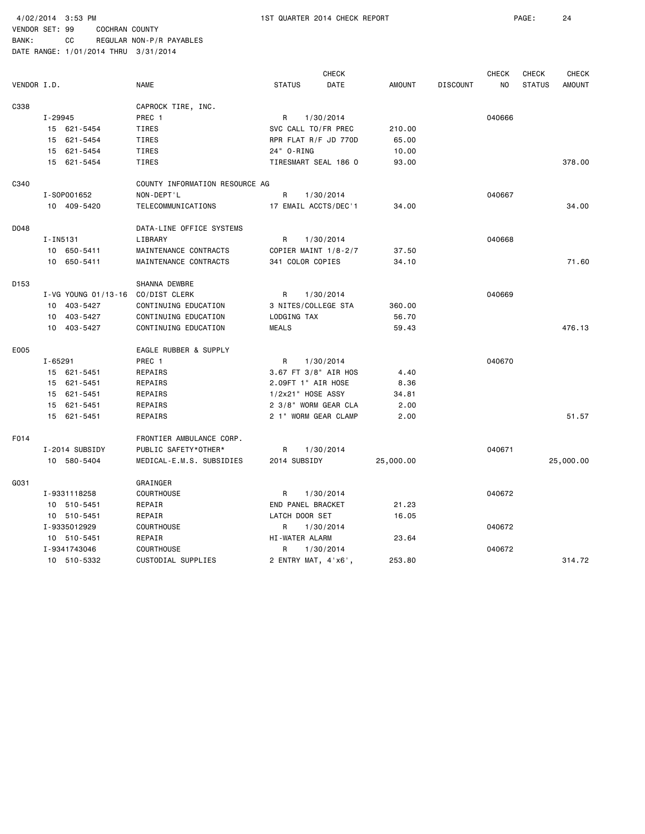BANK: CC REGULAR NON-P/R PAYABLES DATE RANGE: 1/01/2014 THRU 3/31/2014

 CHECK CHECK CHECK CHECK VENDOR I.D. NAME STATUS DATE AMOUNT DISCOUNT NO STATUS AMOUNT C338 CAPROCK TIRE, INC. I-29945 PREC 1 R 1/30/2014 040666 15 621-5454 TIRES SVC CALL TO/FR PREC 210.00 15 621-5454 TIRES RPR FLAT R/F JD 770D 65.00 15 621-5454 TIRES 24" O-RING 10.00 15 621-5454 TIRES TIRESMART SEAL 186 O 93.00 378.00 C340 COUNTY INFORMATION RESOURCE AG I-SOP001652 NON-DEPT'L R 1/30/2014 040667 10 409-5420 TELECOMMUNICATIONS 17 EMAIL ACCTS/DEC'1 34.00 34.00 D048 DATA-LINE OFFICE SYSTEMS I-IN5131 LIBRARY R 1/30/2014 040668 10 650-5411 MAINTENANCE CONTRACTS COPIER MAINT 1/8-2/7 37.50 10 650-5411 MAINTENANCE CONTRACTS 341 COLOR COPIES 34.10 71.60 D153 SHANNA DEWBRE I-VG YOUNG 01/13-16 CO/DIST CLERK R 1/30/2014 R 1/30/2014 10 403-5427 CONTINUING EDUCATION 3 NITES/COLLEGE STA 360.00 10 403-5427 CONTINUING EDUCATION LODGING TAX 56.70 10 403-5427 CONTINUING EDUCATION MEALS 59.43 476.13 E005 EAGLE RUBBER & SUPPLY I-65291 PREC 1 R 1/30/2014 PREC 1 15 621-5451 REPAIRS 3.67 FT 3/8" AIR HOS 4.40 15 621-5451 REPAIRS 2.09FT 1" AIR HOSE 8.36 15 621-5451 REPAIRS 1/2x21" HOSE ASSY 34.81 15 621-5451 REPAIRS 2 3/8" WORM GEAR CLA 2.00 15 621-5451 REPAIRS 2 1" WORM GEAR CLAMP 2.00 51.57 F014 FRONTIER AMBULANCE CORP. I-2014 SUBSIDY PUBLIC SAFETY\*OTHER\* R 1/30/2014 040671 10 580-5404 MEDICAL-E.M.S. SUBSIDIES 2014 SUBSIDY 25,000.00 25,000.00 G031 GRAINGER I-9331118258 COURTHOUSE R 1/30/2014 040672 10 510-5451 REPAIR END PANEL BRACKET 21.23 10 510-5451 REPAIR LATCH DOOR SET 16.05 I-9335012929 COURTHOUSE R 1/30/2014 040672 10 510-5451 REPAIR HI-WATER ALARM 23.64 I-9341743046 COURTHOUSE R 1/30/2014 040672 10 510-5332 CUSTODIAL SUPPLIES 2 ENTRY MAT, 4'x6', 253.80 314.72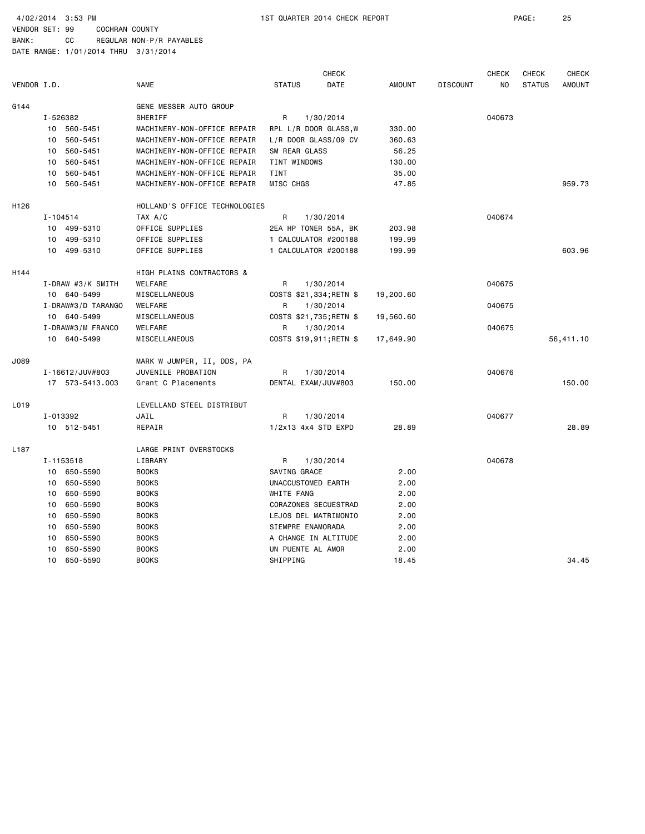|                  |                             |                               |                         | <b>CHECK</b> |               |                 | <b>CHECK</b> | <b>CHECK</b>  | CHECK         |
|------------------|-----------------------------|-------------------------------|-------------------------|--------------|---------------|-----------------|--------------|---------------|---------------|
| VENDOR I.D.      |                             | <b>NAME</b>                   | <b>STATUS</b>           | <b>DATE</b>  | <b>AMOUNT</b> | <b>DISCOUNT</b> | NO.          | <b>STATUS</b> | <b>AMOUNT</b> |
| G144             |                             | GENE MESSER AUTO GROUP        |                         |              |               |                 |              |               |               |
|                  | I-526382                    | SHERIFF                       | R                       | 1/30/2014    |               |                 | 040673       |               |               |
|                  | 10 560-5451                 | MACHINERY-NON-OFFICE REPAIR   | RPL L/R DOOR GLASS, W   |              | 330.00        |                 |              |               |               |
|                  | 10 560-5451                 | MACHINERY-NON-OFFICE REPAIR   | L/R DOOR GLASS/09 CV    |              | 360.63        |                 |              |               |               |
|                  | 560-5451<br>10              | MACHINERY-NON-OFFICE REPAIR   | SM REAR GLASS           |              | 56.25         |                 |              |               |               |
|                  | 10 <sup>1</sup><br>560-5451 | MACHINERY-NON-OFFICE REPAIR   | TINT WINDOWS            |              | 130.00        |                 |              |               |               |
|                  | 560-5451<br>10              | MACHINERY-NON-OFFICE REPAIR   | <b>TINT</b>             |              | 35.00         |                 |              |               |               |
|                  | 10 560-5451                 | MACHINERY-NON-OFFICE REPAIR   | MISC CHGS               |              | 47.85         |                 |              |               | 959.73        |
| H <sub>126</sub> |                             | HOLLAND'S OFFICE TECHNOLOGIES |                         |              |               |                 |              |               |               |
|                  | $I - 104514$                | TAX A/C                       | R                       | 1/30/2014    |               |                 | 040674       |               |               |
|                  | 10 499-5310                 | OFFICE SUPPLIES               | 2EA HP TONER 55A, BK    |              | 203.98        |                 |              |               |               |
|                  | 10 499-5310                 | OFFICE SUPPLIES               | 1 CALCULATOR #200188    |              | 199.99        |                 |              |               |               |
|                  | 10 499-5310                 | OFFICE SUPPLIES               | 1 CALCULATOR #200188    |              | 199.99        |                 |              |               | 603.96        |
| H <sub>144</sub> |                             | HIGH PLAINS CONTRACTORS &     |                         |              |               |                 |              |               |               |
|                  | I-DRAW #3/K SMITH           | WELFARE                       | R                       | 1/30/2014    |               |                 | 040675       |               |               |
|                  | 10 640-5499                 | MISCELLANEOUS                 | COSTS \$21,334; RETN \$ |              | 19,200.60     |                 |              |               |               |
|                  | I-DRAW#3/D TARANGO          | WELFARE                       | R                       | 1/30/2014    |               |                 | 040675       |               |               |
|                  | 10 640-5499                 | MISCELLANEOUS                 | COSTS \$21,735; RETN \$ |              | 19,560.60     |                 |              |               |               |
|                  | I-DRAW#3/M FRANCO           | WELFARE                       | R                       | 1/30/2014    |               |                 | 040675       |               |               |
|                  | 10 640-5499                 | MISCELLANEOUS                 | COSTS \$19,911; RETN \$ |              | 17,649.90     |                 |              |               | 56,411.10     |
| J089             |                             | MARK W JUMPER, II, DDS, PA    |                         |              |               |                 |              |               |               |
|                  | I-16612/JUV#803             | JUVENILE PROBATION            | R                       | 1/30/2014    |               |                 | 040676       |               |               |
|                  | 17 573-5413.003             | Grant C Placements            | DENTAL EXAM/JUV#803     |              | 150.00        |                 |              |               | 150.00        |
| L019             |                             | LEVELLAND STEEL DISTRIBUT     |                         |              |               |                 |              |               |               |
|                  | I-013392                    | JAIL                          | R                       | 1/30/2014    |               |                 | 040677       |               |               |
|                  | 10 512-5451                 | REPAIR                        | 1/2x13 4x4 STD EXPD     |              | 28.89         |                 |              |               | 28.89         |
| L187             |                             | LARGE PRINT OVERSTOCKS        |                         |              |               |                 |              |               |               |
|                  | I-1153518                   | LIBRARY                       | R                       | 1/30/2014    |               |                 | 040678       |               |               |
|                  | 10 650-5590                 | <b>BOOKS</b>                  | SAVING GRACE            |              | 2.00          |                 |              |               |               |
|                  | 650-5590<br>10              | <b>BOOKS</b>                  | UNACCUSTOMED EARTH      |              | 2.00          |                 |              |               |               |
|                  | 650-5590<br>10              | <b>BOOKS</b>                  | WHITE FANG              |              | 2.00          |                 |              |               |               |
|                  | 650-5590<br>10              | <b>BOOKS</b>                  | CORAZONES SECUESTRAD    |              | 2.00          |                 |              |               |               |
|                  | 650-5590<br>10              | <b>BOOKS</b>                  | LEJOS DEL MATRIMONIO    |              | 2.00          |                 |              |               |               |
|                  | 650-5590<br>10              | <b>BOOKS</b>                  | SIEMPRE ENAMORADA       |              | 2.00          |                 |              |               |               |
|                  | 650-5590<br>10              | <b>BOOKS</b>                  | A CHANGE IN ALTITUDE    |              | 2.00          |                 |              |               |               |
|                  | 650-5590<br>10              | <b>BOOKS</b>                  | UN PUENTE AL AMOR       |              | 2.00          |                 |              |               |               |
|                  | 10 <sup>1</sup><br>650-5590 | <b>BOOKS</b>                  | SHIPPING                |              | 18.45         |                 |              |               | 34.45         |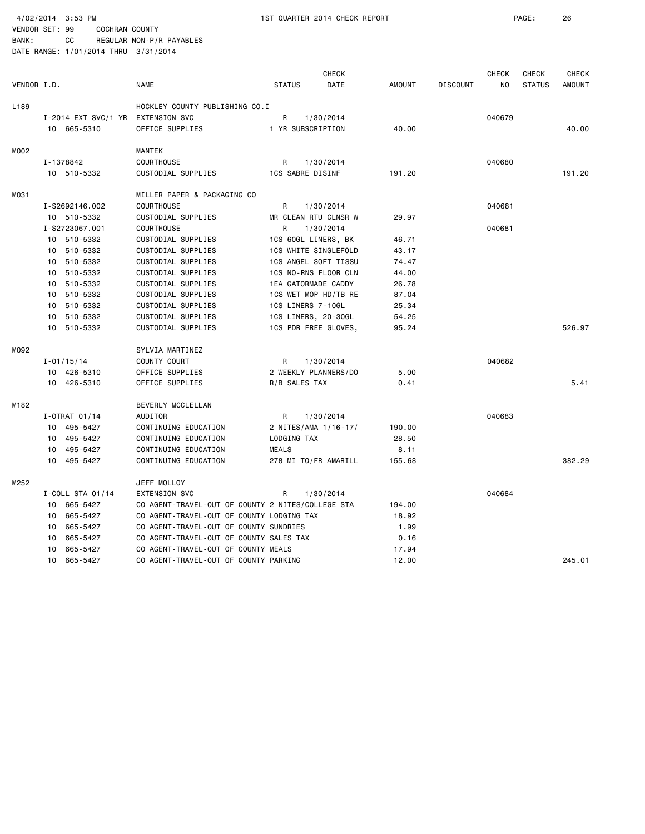BANK: CC REGULAR NON-P/R PAYABLES

|             |                |                                   |                                                   |               | <b>CHECK</b>            |               |                 | <b>CHECK</b>   | <b>CHECK</b>  | <b>CHECK</b>  |
|-------------|----------------|-----------------------------------|---------------------------------------------------|---------------|-------------------------|---------------|-----------------|----------------|---------------|---------------|
| VENDOR I.D. |                |                                   | <b>NAME</b>                                       | <b>STATUS</b> | DATE                    | <b>AMOUNT</b> | <b>DISCOUNT</b> | N <sub>O</sub> | <b>STATUS</b> | <b>AMOUNT</b> |
| L189        |                |                                   | HOCKLEY COUNTY PUBLISHING CO.I                    |               |                         |               |                 |                |               |               |
|             |                | I-2014 EXT SVC/1 YR EXTENSION SVC |                                                   | R             | 1/30/2014               |               |                 | 040679         |               |               |
|             |                | 10 665-5310                       | OFFICE SUPPLIES                                   |               | 1 YR SUBSCRIPTION       | 40.00         |                 |                |               | 40.00         |
| M002        |                |                                   | <b>MANTEK</b>                                     |               |                         |               |                 |                |               |               |
|             | I-1378842      |                                   | <b>COURTHOUSE</b>                                 | R             | 1/30/2014               |               |                 | 040680         |               |               |
|             |                | 10 510-5332                       | CUSTODIAL SUPPLIES                                |               | <b>1CS SABRE DISINF</b> | 191.20        |                 |                |               | 191.20        |
| M031        |                |                                   | MILLER PAPER & PACKAGING CO                       |               |                         |               |                 |                |               |               |
|             |                | I-S2692146.002                    | <b>COURTHOUSE</b>                                 | R             | 1/30/2014               |               |                 | 040681         |               |               |
|             |                | 10 510-5332                       | CUSTODIAL SUPPLIES                                |               | MR CLEAN RTU CLNSR W    | 29.97         |                 |                |               |               |
|             |                | I-S2723067.001                    | <b>COURTHOUSE</b>                                 | R             | 1/30/2014               |               |                 | 040681         |               |               |
|             |                | 10 510-5332                       | CUSTODIAL SUPPLIES                                |               | 1CS 60GL LINERS, BK     | 46.71         |                 |                |               |               |
|             |                | 10 510-5332                       | CUSTODIAL SUPPLIES                                |               | 1CS WHITE SINGLEFOLD    | 43.17         |                 |                |               |               |
|             |                | 10 510-5332                       | CUSTODIAL SUPPLIES                                |               | 1CS ANGEL SOFT TISSU    | 74.47         |                 |                |               |               |
|             |                | 10 510-5332                       | CUSTODIAL SUPPLIES                                |               | 1CS NO-RNS FLOOR CLN    | 44.00         |                 |                |               |               |
|             |                | 10 510-5332                       | CUSTODIAL SUPPLIES                                |               | 1EA GATORMADE CADDY     | 26.78         |                 |                |               |               |
|             |                | 10 510-5332                       | CUSTODIAL SUPPLIES                                |               | 1CS WET MOP HD/TB RE    | 87.04         |                 |                |               |               |
|             |                | 10 510-5332                       | CUSTODIAL SUPPLIES                                |               | 1CS LINERS 7-10GL       | 25.34         |                 |                |               |               |
|             |                | 10 510-5332                       | CUSTODIAL SUPPLIES                                |               | 1CS LINERS, 20-30GL     | 54.25         |                 |                |               |               |
|             |                | 10 510-5332                       | CUSTODIAL SUPPLIES                                |               | 1CS PDR FREE GLOVES,    | 95.24         |                 |                |               | 526.97        |
| M092        |                |                                   | SYLVIA MARTINEZ                                   |               |                         |               |                 |                |               |               |
|             | $I - 01/15/14$ |                                   | COUNTY COURT                                      | R             | 1/30/2014               |               |                 | 040682         |               |               |
|             |                | 10 426-5310                       | OFFICE SUPPLIES                                   |               | 2 WEEKLY PLANNERS/DO    | 5.00          |                 |                |               |               |
|             |                | 10 426-5310                       | OFFICE SUPPLIES                                   | R/B SALES TAX |                         | 0.41          |                 |                |               | 5.41          |
| M182        |                |                                   | BEVERLY MCCLELLAN                                 |               |                         |               |                 |                |               |               |
|             |                | I-OTRAT 01/14                     | AUDITOR                                           | $\mathsf{R}$  | 1/30/2014               |               |                 | 040683         |               |               |
|             |                | 10 495-5427                       | CONTINUING EDUCATION                              |               | 2 NITES/AMA 1/16-17/    | 190.00        |                 |                |               |               |
|             |                | 10 495-5427                       | CONTINUING EDUCATION                              | LODGING TAX   |                         | 28.50         |                 |                |               |               |
|             |                | 10 495-5427                       | CONTINUING EDUCATION                              | <b>MEALS</b>  |                         | 8.11          |                 |                |               |               |
|             |                | 10 495-5427                       | CONTINUING EDUCATION                              |               | 278 MI TO/FR AMARILL    | 155.68        |                 |                |               | 382.29        |
| M252        |                |                                   | JEFF MOLLOY                                       |               |                         |               |                 |                |               |               |
|             |                | I-COLL STA 01/14                  | <b>EXTENSION SVC</b>                              | R             | 1/30/2014               |               |                 | 040684         |               |               |
|             |                | 10 665-5427                       | CO AGENT-TRAVEL-OUT OF COUNTY 2 NITES/COLLEGE STA |               |                         | 194.00        |                 |                |               |               |
|             |                | 10 665-5427                       | CO AGENT-TRAVEL-OUT OF COUNTY LODGING TAX         |               |                         | 18.92         |                 |                |               |               |
|             | 10             | 665-5427                          | CO AGENT-TRAVEL-OUT OF COUNTY SUNDRIES            |               |                         | 1.99          |                 |                |               |               |
|             |                | 10 665-5427                       | CO AGENT-TRAVEL-OUT OF COUNTY SALES TAX           |               |                         | 0.16          |                 |                |               |               |
|             | 10             | 665-5427                          | CO AGENT-TRAVEL-OUT OF COUNTY MEALS               |               |                         | 17.94         |                 |                |               |               |
|             |                | 10 665-5427                       | CO AGENT-TRAVEL-OUT OF COUNTY PARKING             |               |                         | 12.00         |                 |                |               | 245.01        |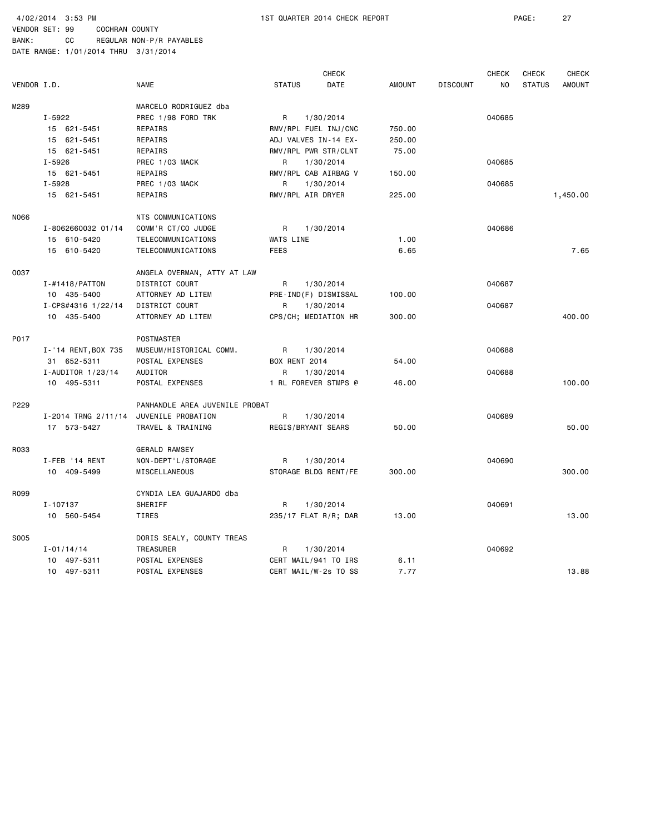|             |                                        |                                |                      | <b>CHECK</b>         |        |                 | <b>CHECK</b> | CHECK         | <b>CHECK</b>  |
|-------------|----------------------------------------|--------------------------------|----------------------|----------------------|--------|-----------------|--------------|---------------|---------------|
| VENDOR I.D. |                                        | <b>NAME</b>                    | <b>STATUS</b>        | DATE                 | AMOUNT | <b>DISCOUNT</b> | NO           | <b>STATUS</b> | <b>AMOUNT</b> |
| M289        |                                        | MARCELO RODRIGUEZ dba          |                      |                      |        |                 |              |               |               |
|             | $I - 5922$                             | PREC 1/98 FORD TRK             | R                    | 1/30/2014            |        |                 | 040685       |               |               |
|             | 15 621-5451                            | REPAIRS                        |                      | RMV/RPL FUEL INJ/CNC | 750.00 |                 |              |               |               |
|             | 15 621-5451                            | REPAIRS                        |                      | ADJ VALVES IN-14 EX- | 250.00 |                 |              |               |               |
|             | 15 621-5451                            | REPAIRS                        |                      | RMV/RPL PWR STR/CLNT | 75.00  |                 |              |               |               |
|             | $I - 5926$                             | PREC 1/03 MACK                 | R                    | 1/30/2014            |        |                 | 040685       |               |               |
|             | 15 621-5451                            | REPAIRS                        |                      | RMV/RPL CAB AIRBAG V | 150.00 |                 |              |               |               |
|             | $I - 5928$                             | PREC 1/03 MACK                 | R                    | 1/30/2014            |        |                 | 040685       |               |               |
|             | 15 621-5451                            | REPAIRS                        |                      | RMV/RPL AIR DRYER    | 225.00 |                 |              |               | 1,450.00      |
| N066        |                                        | NTS COMMUNICATIONS             |                      |                      |        |                 |              |               |               |
|             | I-8062660032 01/14                     | COMM'R CT/CO JUDGE             | R                    | 1/30/2014            |        |                 | 040686       |               |               |
|             | 15 610-5420                            | TELECOMMUNICATIONS             | WATS LINE            |                      | 1.00   |                 |              |               |               |
|             | 15 610-5420                            | TELECOMMUNICATIONS             | <b>FEES</b>          |                      | 6.65   |                 |              |               | 7.65          |
| 0037        |                                        | ANGELA OVERMAN, ATTY AT LAW    |                      |                      |        |                 |              |               |               |
|             | $I - #1418$ / PATTON                   | DISTRICT COURT                 | R                    | 1/30/2014            |        |                 | 040687       |               |               |
|             | 10 435-5400                            | ATTORNEY AD LITEM              |                      | PRE-IND(F) DISMISSAL | 100.00 |                 |              |               |               |
|             | I-CPS#4316 1/22/14                     | DISTRICT COURT                 | R                    | 1/30/2014            |        |                 | 040687       |               |               |
|             | 10 435-5400                            | ATTORNEY AD LITEM              |                      | CPS/CH; MEDIATION HR | 300.00 |                 |              |               | 400.00        |
| P017        |                                        | <b>POSTMASTER</b>              |                      |                      |        |                 |              |               |               |
|             | I-'14 RENT, BOX 735                    | MUSEUM/HISTORICAL COMM.        | R                    | 1/30/2014            |        |                 | 040688       |               |               |
|             | 31 652-5311                            | POSTAL EXPENSES                | <b>BOX RENT 2014</b> |                      | 54.00  |                 |              |               |               |
|             | I-AUDITOR 1/23/14                      | AUDITOR                        | R                    | 1/30/2014            |        |                 | 040688       |               |               |
|             | 10 495-5311                            | POSTAL EXPENSES                |                      | 1 RL FOREVER STMPS @ | 46.00  |                 |              |               | 100.00        |
| P229        |                                        | PANHANDLE AREA JUVENILE PROBAT |                      |                      |        |                 |              |               |               |
|             | I-2014 TRNG 2/11/14 JUVENILE PROBATION |                                | R                    | 1/30/2014            |        |                 | 040689       |               |               |
|             | 17 573-5427                            | TRAVEL & TRAINING              |                      | REGIS/BRYANT SEARS   | 50.00  |                 |              |               | 50.00         |
| R033        |                                        | <b>GERALD RAMSEY</b>           |                      |                      |        |                 |              |               |               |
|             | I-FEB '14 RENT                         | NON-DEPT'L/STORAGE             | R                    | 1/30/2014            |        |                 | 040690       |               |               |
|             | 10 409-5499                            | <b>MISCELLANEOUS</b>           |                      | STORAGE BLDG RENT/FE | 300.00 |                 |              |               | 300,00        |
| R099        |                                        | CYNDIA LEA GUAJARDO dba        |                      |                      |        |                 |              |               |               |
|             | I-107137                               | SHERIFF                        | R                    | 1/30/2014            |        |                 | 040691       |               |               |
|             | 10 560-5454                            | TIRES                          |                      | 235/17 FLAT R/R; DAR | 13.00  |                 |              |               | 13.00         |
| S005        |                                        | DORIS SEALY, COUNTY TREAS      |                      |                      |        |                 |              |               |               |
|             | $I - 01/14/14$                         | TREASURER                      | R                    | 1/30/2014            |        |                 | 040692       |               |               |
|             | 10 497-5311                            | POSTAL EXPENSES                |                      | CERT MAIL/941 TO IRS | 6.11   |                 |              |               |               |
|             | 10 497-5311                            | POSTAL EXPENSES                |                      | CERT MAIL/W-2s TO SS | 7.77   |                 |              |               | 13.88         |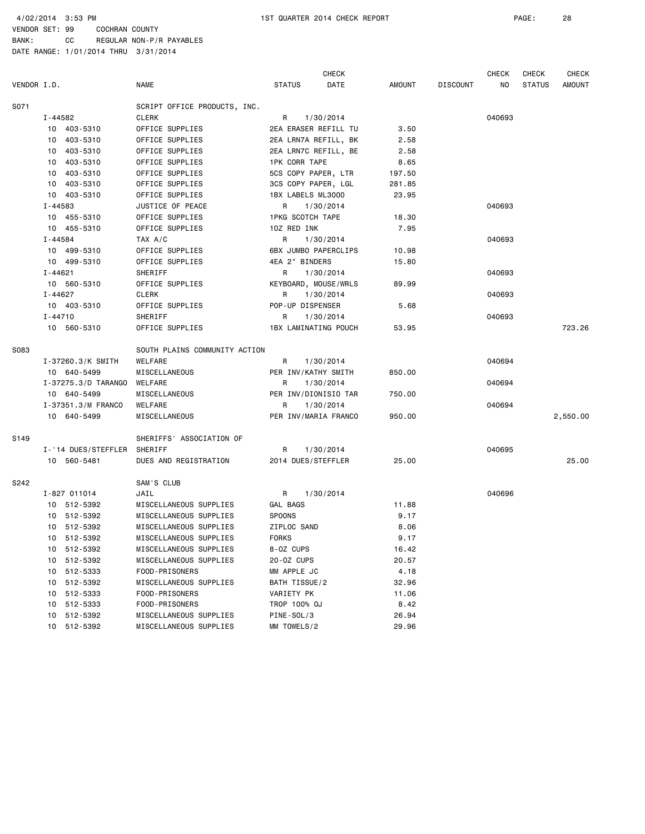BANK: CC REGULAR NON-P/R PAYABLES DATE RANGE: 1/01/2014 THRU 3/31/2014

CHECK CHECK CHECK CHECK VENDOR I.D. NAME STATUS DATE AMOUNT DISCOUNT NO STATUS AMOUNT SO71 SCRIPT OFFICE PRODUCTS, INC. I-44582 CLERK R 1/30/2014 040693 10 403-5310 OFFICE SUPPLIES 2EA ERASER REFILL TU 3.50 10 403-5310 OFFICE SUPPLIES 2EA LRN7A REFILL, BK 2.58 10 403-5310 OFFICE SUPPLIES 2EA LRN7C REFILL, BE 2.58 10 403-5310 OFFICE SUPPLIES 1PK CORR TAPE 8.65 10 403-5310 OFFICE SUPPLIES 5CS COPY PAPER, LTR 197.50 10 403-5310 OFFICE SUPPLIES 3CS COPY PAPER, LGL 281.85 10 403-5310 OFFICE SUPPLIES 1BX LABELS ML3000 23.95 I-44583 JUSTICE OF PEACE R 1/30/2014 R 1/4583 040693 10 455-5310 OFFICE SUPPLIES 1PKG SCOTCH TAPE 18.30 10 455-5310 OFFICE SUPPLIES 1OZ RED INK 7.95 I-44584 TAX A/C R 1/30/2014 040693 10 499-5310 OFFICE SUPPLIES 6BX JUMBO PAPERCLIPS 10.98 10 499-5310 OFFICE SUPPLIES 4EA 2" BINDERS 15.80 I-44621 SHERIFF R 1/30/2014 040693 10 560-5310 OFFICE SUPPLIES KEYBOARD, MOUSE/WRLS 89.99 I-44627 CLERK R 1/30/2014 040693 10 403-5310 OFFICE SUPPLIES POP-UP DISPENSER 5.68 I-44710 SHERIFF R 1/30/2014 040693 10 560-5310 OFFICE SUPPLIES 1BX LAMINATING POUCH 53.95 723.26 SO83 SOUTH PLAINS COMMUNITY ACTION I-37260.3/K SMITH WELFARE R 1/30/2014 040694 10 640-5499 MISCELLANEOUS PER INV/KATHY SMITH 850.00 I-37275.3/D TARANGO WELFARE R 1/30/2014 040694 10 640-5499 MISCELLANEOUS PER INV/DIONISIO TAR 750.00 I-37351.3/M FRANCO WELFARE R 1/30/2014 R 1/30/2014 040694 10 640-5499 MISCELLANEOUS PER INV/MARIA FRANCO 950.00 2,550.00 S149 SHERIFFS' ASSOCIATION OF I-'14 DUES/STEFFLER SHERIFF R 1/30/2014 040695 10 560-5481 DUES AND REGISTRATION 2014 DUES/STEFFLER 25.00 25.00 S242 SAM'S CLUB I-827 011014 JAIL R 1/30/2014 040696 10 512-5392 MISCELLANEOUS SUPPLIES GAL BAGS 11.88 10 512-5392 MISCELLANEOUS SUPPLIES SPOONS 9.17 10 512-5392 MISCELLANEOUS SUPPLIES ZIPLOC SAND 8.06 10 512-5392 MISCELLANEOUS SUPPLIES FORKS 9.17 10 512-5392 MISCELLANEOUS SUPPLIES 8-OZ CUPS 16.42 10 512-5392 MISCELLANEOUS SUPPLIES 20-OZ CUPS 20.57 10 512-5333 FOOD-PRISONERS MM APPLE JC 4.18 10 512-5392 MISCELLANEOUS SUPPLIES BATH TISSUE/2 32.96 10 512-5333 FOOD-PRISONERS VARIETY PK 11.06 10 512-5333 FOOD-PRISONERS TROP 100% OJ 8.42 10 512-5392 MISCELLANEOUS SUPPLIES PINE-SOL/3 26.94 10 512-5392 MISCELLANEOUS SUPPLIES MM TOWELS/2 29.96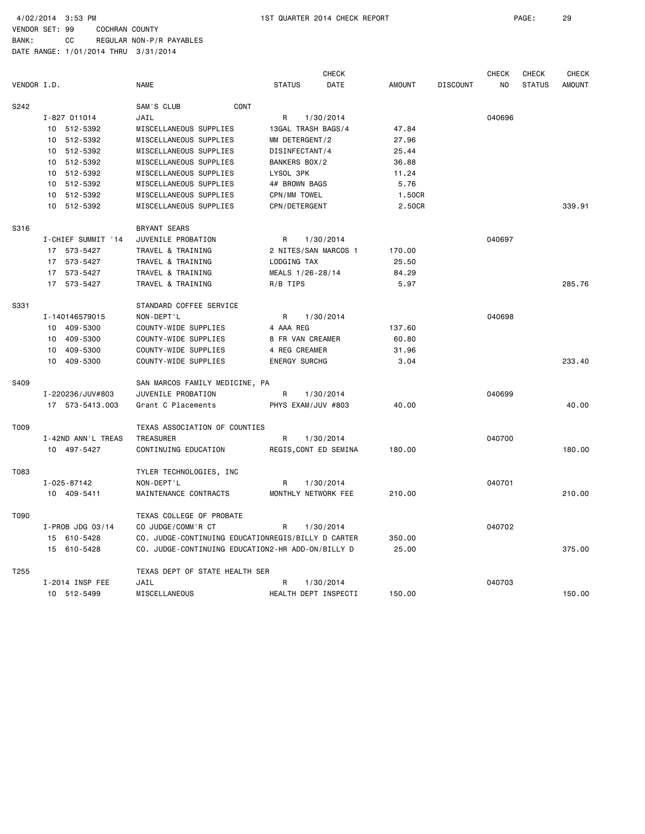BANK: CC REGULAR NON-P/R PAYABLES DATE RANGE: 1/01/2014 THRU 3/31/2014

 CHECK CHECK CHECK CHECK VENDOR I.D. NAME STATUS DATE AMOUNT DISCOUNT NO STATUS AMOUNT S242 SAM'S CLUB CONT I-827 011014 JAIL R 1/30/2014 040696 10 512-5392 MISCELLANEOUS SUPPLIES 13GAL TRASH BAGS/4 47.84 10 512-5392 MISCELLANEOUS SUPPLIES MM DETERGENT/2 27.96 10 512-5392 MISCELLANEOUS SUPPLIES DISINFECTANT/4 25.44 10 512-5392 MISCELLANEOUS SUPPLIES BANKERS BOX/2 36.88 10 512-5392 MISCELLANEOUS SUPPLIES LYSOL 3PK 11.24 10 512-5392 MISCELLANEOUS SUPPLIES 4# BROWN BAGS 5.76 10 512-5392 MISCELLANEOUS SUPPLIES CPN/MM TOWEL 1.50CR 10 512-5392 MISCELLANEOUS SUPPLIES CPN/DETERGENT 2.50CR 339.91 S316 BRYANT SEARS I-CHIEF SUMMIT '14 JUVENILE PROBATION R 1/30/2014 040697 17 573-5427 TRAVEL & TRAINING 2 NITES/SAN MARCOS 1 170.00 17 573-5427 TRAVEL & TRAINING LODGING TAX 25.50 17 573-5427 TRAVEL & TRAINING MEALS 1/26-28/14 84.29 17 573-5427 TRAVEL & TRAINING R/B TIPS 5.97 5.97 5.97 285.76 S331 STANDARD COFFEE SERVICE I-140146579015 NON-DEPT'L R 1/30/2014 R 1040698 10 409-5300 COUNTY-WIDE SUPPLIES 4 AAA REG 137.60 10 409-5300 COUNTY-WIDE SUPPLIES 8 FR VAN CREAMER 60.80 10 409-5300 COUNTY-WIDE SUPPLIES 4 REG CREAMER 31.96 10 409-5300 COUNTY-WIDE SUPPLIES ENERGY SURCHG 3.04 233.40 S409 SAN MARCOS FAMILY MEDICINE, PA I-220236/JUV#803 JUVENILE PROBATION R 1/30/2014 040699 17 573-5413.003 Grant C Placements PHYS EXAM/JUV #803 40.00 40.00 T009 TEXAS ASSOCIATION OF COUNTIES I-42ND ANN'L TREAS TREASURER R 1/30/2014 040700 10 497-5427 CONTINUING EDUCATION REGIS,CONT ED SEMINA 180.00 180.00 T083 TYLER TECHNOLOGIES, INC I-025-87142 NON-DEPT'L R 1/30/2014 040701 10 409-5411 MAINTENANCE CONTRACTS MONTHLY NETWORK FEE 210.00 210.00 T090 TEXAS COLLEGE OF PROBATE I-PROB JDG 03/14 CO JUDGE/COMM'R CT R 1/30/2014 040702 15 610-5428 CO. JUDGE-CONTINUING EDUCATIONREGIS/BILLY D CARTER 350.00 15 610-5428 CO. JUDGE-CONTINUING EDUCATION2-HR ADD-ON/BILLY D 25.00 375.00 T255 TEXAS DEPT OF STATE HEALTH SER I-2014 INSP FEE JAIL R 1/30/2014 040703 10 512-5499 MISCELLANEOUS HEALTH DEPT INSPECTI 150.00 150.00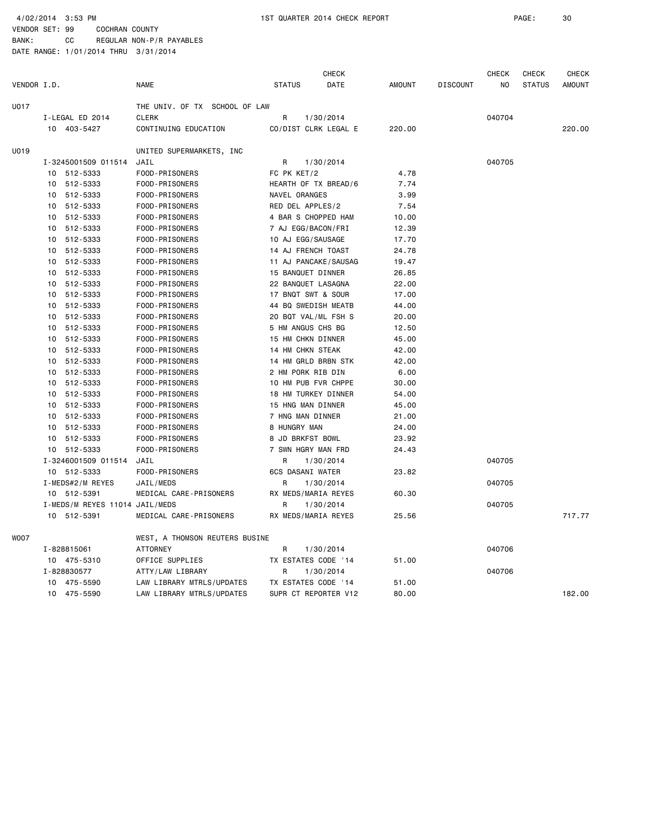BANK: CC REGULAR NON-P/R PAYABLES DATE RANGE: 1/01/2014 THRU 3/31/2014

 CHECK CHECK CHECK CHECK VENDOR I.D. NAME STATUS DATE AMOUNT DISCOUNT NO STATUS AMOUNT U017 THE UNIV. OF TX SCHOOL OF LAW I-LEGAL ED 2014 CLERK R 1/30/2014 040704 10 403-5427 CONTINUING EDUCATION CO/DIST CLRK LEGAL E 220.00 220.00 U019 UNITED SUPERMARKETS, INC I-3245001509 011514 JAIL R 1/30/2014 040705 10 512-5333 FOOD-PRISONERS FC PK KET/2 4.78 10 512-5333 FOOD-PRISONERS HEARTH OF TX BREAD/6 7.74 10 512-5333 FOOD-PRISONERS NAVEL ORANGES 3.99 10 512-5333 FOOD-PRISONERS RED DEL APPLES/2 7.54 10 512-5333 FOOD-PRISONERS 4 BAR S CHOPPED HAM 10.00 10 512-5333 FOOD-PRISONERS 7 AJ EGG/BACON/FRI 12.39 10 512-5333 FOOD-PRISONERS 10 AJ EGG/SAUSAGE 17.70 10 512-5333 FOOD-PRISONERS 14 AJ FRENCH TOAST 24.78 10 512-5333 FOOD-PRISONERS 11 AJ PANCAKE/SAUSAG 19.47 10 512-5333 FOOD-PRISONERS 15 BANQUET DINNER 26.85 10 512-5333 FOOD-PRISONERS 22 BANQUET LASAGNA 22.00 10 512-5333 FOOD-PRISONERS 17 BNQT SWT & SOUR 17.00 10 512-5333 FOOD-PRISONERS 44 BQ SWEDISH MEATB 44.00 10 512-5333 FOOD-PRISONERS 20 BQT VAL/ML FSH S 20.00 10 512-5333 FOOD-PRISONERS 5 HM ANGUS CHS BG 12.50 10 512-5333 FOOD-PRISONERS 15 HM CHKN DINNER 45.00 10 512-5333 FOOD-PRISONERS 14 HM CHKN STEAK 42.00 10 512-5333 FOOD-PRISONERS 14 HM GRLD BRBN STK 42.00 10 512-5333 FOOD-PRISONERS 2 HM PORK RIB DIN 6.00 10 512-5333 FOOD-PRISONERS 10 HM PUB FVR CHPPE 30.00 10 512-5333 FOOD-PRISONERS 18 HM TURKEY DINNER 54.00 10 512-5333 FOOD-PRISONERS 15 HNG MAN DINNER 45.00 10 512-5333 FOOD-PRISONERS 7 HNG MAN DINNER 21.00 10 512-5333 FOOD-PRISONERS 8 HUNGRY MAN 24.00 10 512-5333 FOOD-PRISONERS 8 JD BRKFST BOWL 23.92 10 512-5333 FOOD-PRISONERS 7 SWN HGRY MAN FRD 24.43 I-3246001509 011514 JAIL R 1/30/2014 040705 10 512-5333 FOOD-PRISONERS 6CS DASANI WATER 23.82 I-MEDS#2/M REYES JAIL/MEDS R 1/30/2014 040705 10 512-5391 MEDICAL CARE-PRISONERS RX MEDS/MARIA REYES 60.30 I-MEDS/M REYES 11014 JAIL/MEDS R 1/30/2014 040705 10 512-5391 MEDICAL CARE-PRISONERS RX MEDS/MARIA REYES 25.56 717.77 W007 WEST, A THOMSON REUTERS BUSINE I-828815061 ATTORNEY R 1/30/2014 040706 10 475-5310 OFFICE SUPPLIES TX ESTATES CODE '14 51.00 I-828830577 ATTY/LAW LIBRARY R 1/30/2014 040706 10 475-5590 LAW LIBRARY MTRLS/UPDATES TX ESTATES CODE '14 51.00 10 475-5590 LAW LIBRARY MTRLS/UPDATES SUPR CT REPORTER V12 80.00 182.00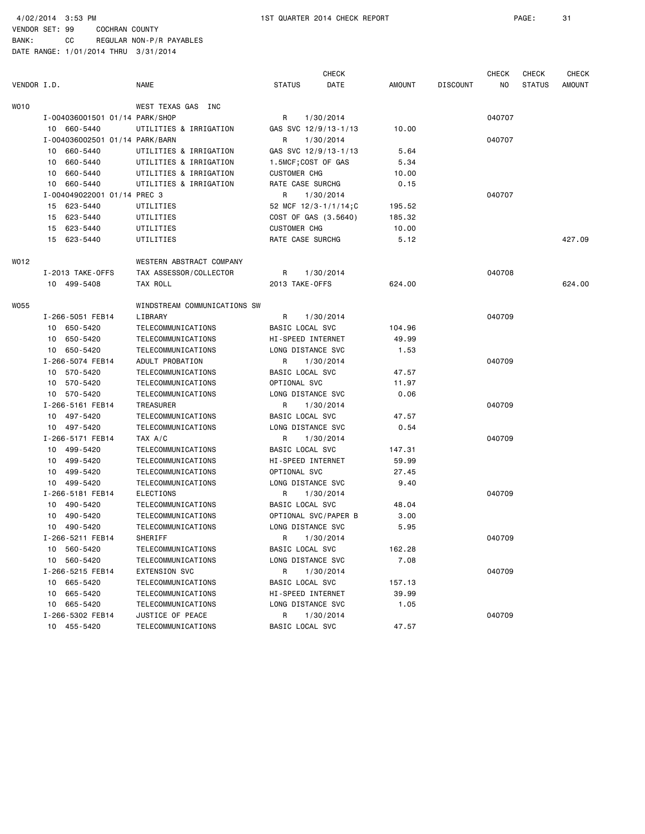VENDOR SET: 99 COCHRAN COUNTY BANK: CC REGULAR NON-P/R PAYABLES

| VENDOR I.D. |                                | <b>NAME</b>                  | <b>STATUS</b>          | <b>CHECK</b><br>DATE | <b>AMOUNT</b> | <b>DISCOUNT</b> | <b>CHECK</b><br>NO. | <b>CHECK</b><br><b>STATUS</b> | <b>CHECK</b><br><b>AMOUNT</b> |
|-------------|--------------------------------|------------------------------|------------------------|----------------------|---------------|-----------------|---------------------|-------------------------------|-------------------------------|
| WO 10       |                                | WEST TEXAS GAS INC           |                        |                      |               |                 |                     |                               |                               |
|             | I-004036001501 01/14 PARK/SHOP |                              | R                      | 1/30/2014            |               |                 | 040707              |                               |                               |
|             | 10 660-5440                    | UTILITIES & IRRIGATION       |                        | GAS SVC 12/9/13-1/13 | 10.00         |                 |                     |                               |                               |
|             | I-004036002501 01/14 PARK/BARN |                              | R                      | 1/30/2014            |               |                 | 040707              |                               |                               |
|             | 660-5440<br>10                 | UTILITIES & IRRIGATION       |                        | GAS SVC 12/9/13-1/13 | 5.64          |                 |                     |                               |                               |
|             | 660-5440<br>10                 | UTILITIES & IRRIGATION       |                        | 1.5MCF;COST OF GAS   | 5.34          |                 |                     |                               |                               |
|             | 660-5440<br>10                 | UTILITIES & IRRIGATION       | <b>CUSTOMER CHG</b>    |                      | 10.00         |                 |                     |                               |                               |
|             | 10 660-5440                    | UTILITIES & IRRIGATION       | RATE CASE SURCHG       |                      | 0.15          |                 |                     |                               |                               |
|             | I-004049022001 01/14 PREC 3    |                              | R                      | 1/30/2014            |               |                 | 040707              |                               |                               |
|             | 15 623-5440                    | UTILITIES                    |                        | 52 MCF 12/3-1/1/14:C | 195.52        |                 |                     |                               |                               |
|             | 623-5440<br>15                 | UTILITIES                    |                        | COST OF GAS (3.5640) | 185.32        |                 |                     |                               |                               |
|             | 15 623-5440                    | UTILITIES                    | <b>CUSTOMER CHG</b>    |                      | 10.00         |                 |                     |                               |                               |
|             | 15<br>623-5440                 | UTILITIES                    | RATE CASE SURCHG       |                      | 5.12          |                 |                     |                               | 427.09                        |
| WO 12       |                                | WESTERN ABSTRACT COMPANY     |                        |                      |               |                 |                     |                               |                               |
|             | I-2013 TAKE-OFFS               | TAX ASSESSOR/COLLECTOR       | R                      | 1/30/2014            |               |                 | 040708              |                               |                               |
|             | 10 499-5408                    | TAX ROLL                     | 2013 TAKE-OFFS         |                      | 624.00        |                 |                     |                               | 624.00                        |
| WO55        |                                | WINDSTREAM COMMUNICATIONS SW |                        |                      |               |                 |                     |                               |                               |
|             | I-266-5051 FEB14               | LIBRARY                      | R                      | 1/30/2014            |               |                 | 040709              |                               |                               |
|             | 10 650-5420                    | TELECOMMUNICATIONS           | <b>BASIC LOCAL SVC</b> |                      | 104.96        |                 |                     |                               |                               |
|             | 10 650-5420                    | TELECOMMUNICATIONS           | HI-SPEED INTERNET      |                      | 49.99         |                 |                     |                               |                               |
|             | 10 650-5420                    | TELECOMMUNICATIONS           | LONG DISTANCE SVC      |                      | 1.53          |                 |                     |                               |                               |
|             | I-266-5074 FEB14               | ADULT PROBATION              | R                      | 1/30/2014            |               |                 | 040709              |                               |                               |
|             | 10 570-5420                    | TELECOMMUNICATIONS           | BASIC LOCAL SVC        |                      | 47.57         |                 |                     |                               |                               |
|             | 10 570-5420                    | TELECOMMUNICATIONS           | OPTIONAL SVC           |                      | 11.97         |                 |                     |                               |                               |
|             | 10 570-5420                    | TELECOMMUNICATIONS           | LONG DISTANCE SVC      |                      | 0.06          |                 |                     |                               |                               |
|             | I-266-5161 FEB14               | TREASURER                    | R                      | 1/30/2014            |               |                 | 040709              |                               |                               |
|             | 10 497-5420                    | TELECOMMUNICATIONS           | BASIC LOCAL SVC        |                      | 47.57         |                 |                     |                               |                               |
|             | 10 497-5420                    | TELECOMMUNICATIONS           | LONG DISTANCE SVC      |                      | 0.54          |                 |                     |                               |                               |
|             | I-266-5171 FEB14               | TAX A/C                      | R                      | 1/30/2014            |               |                 | 040709              |                               |                               |
|             | 10 499-5420                    | TELECOMMUNICATIONS           | BASIC LOCAL SVC        |                      | 147.31        |                 |                     |                               |                               |
|             | 499-5420<br>10                 | TELECOMMUNICATIONS           | HI-SPEED INTERNET      |                      | 59.99         |                 |                     |                               |                               |
|             | 10<br>499-5420                 | TELECOMMUNICATIONS           | OPTIONAL SVC           |                      | 27.45         |                 |                     |                               |                               |
|             | 10 499-5420                    | TELECOMMUNICATIONS           | LONG DISTANCE SVC      |                      | 9.40          |                 |                     |                               |                               |
|             | I-266-5181 FEB14               | <b>ELECTIONS</b>             | R                      | 1/30/2014            |               |                 | 040709              |                               |                               |
|             | 10 490-5420                    | TELECOMMUNICATIONS           | BASIC LOCAL SVC        |                      | 48.04         |                 |                     |                               |                               |
|             | 10 490-5420                    | TELECOMMUNICATIONS           |                        | OPTIONAL SVC/PAPER B | 3.00          |                 |                     |                               |                               |
|             | 10 490-5420                    | TELECOMMUNICATIONS           | LONG DISTANCE SVC      |                      | 5.95          |                 |                     |                               |                               |
|             | I-266-5211 FEB14               | SHERIFF                      |                        | R 1/30/2014          |               |                 | 040709              |                               |                               |
|             | 10 560-5420                    | TELECOMMUNICATIONS           | BASIC LOCAL SVC        |                      | 162.28        |                 |                     |                               |                               |
|             | 10 560-5420                    | TELECOMMUNICATIONS           | LONG DISTANCE SVC      |                      | 7.08          |                 |                     |                               |                               |
|             | I-266-5215 FEB14               | EXTENSION SVC                | R                      | 1/30/2014            |               |                 | 040709              |                               |                               |
|             | 10 665-5420                    | TELECOMMUNICATIONS           | BASIC LOCAL SVC        |                      | 157.13        |                 |                     |                               |                               |
|             | 10 665-5420                    | TELECOMMUNICATIONS           | HI-SPEED INTERNET      |                      | 39.99         |                 |                     |                               |                               |
|             | 10 665-5420                    | TELECOMMUNICATIONS           | LONG DISTANCE SVC      |                      | 1.05          |                 |                     |                               |                               |
|             | I-266-5302 FEB14               | JUSTICE OF PEACE             | R                      | 1/30/2014            |               |                 | 040709              |                               |                               |
|             | 10 455-5420                    | TELECOMMUNICATIONS           | BASIC LOCAL SVC        |                      | 47.57         |                 |                     |                               |                               |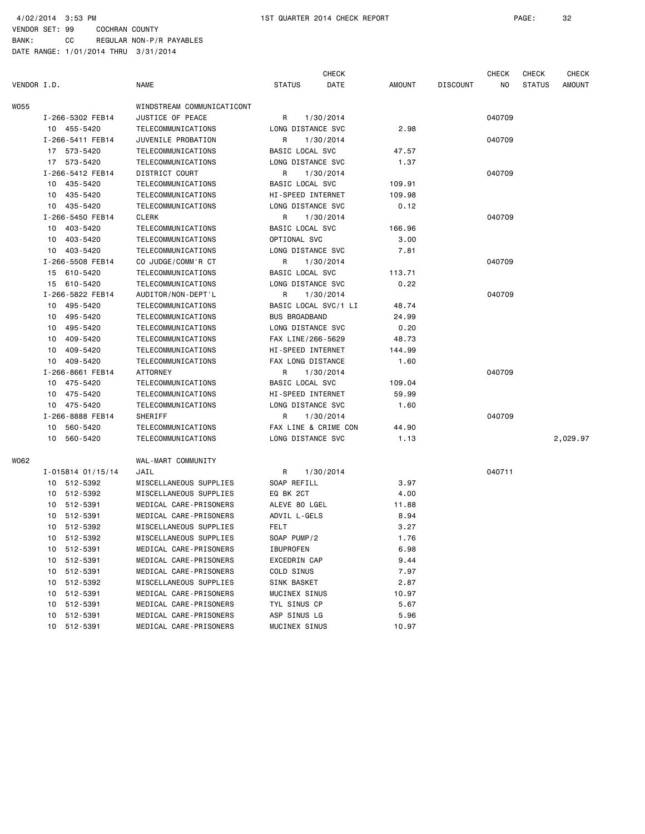VENDOR SET: 99 COCHRAN COUNTY BANK: CC REGULAR NON-P/R PAYABLES

|             |                   |                            |                      | <b>CHECK</b> |        |          | <b>CHECK</b> | CHECK         | <b>CHECK</b>  |
|-------------|-------------------|----------------------------|----------------------|--------------|--------|----------|--------------|---------------|---------------|
| VENDOR I.D. |                   | <b>NAME</b>                | <b>STATUS</b>        | DATE         | AMOUNT | DISCOUNT | NO.          | <b>STATUS</b> | <b>AMOUNT</b> |
| WO55        |                   | WINDSTREAM COMMUNICATICONT |                      |              |        |          |              |               |               |
|             | I-266-5302 FEB14  | JUSTICE OF PEACE           | 1/30/2014<br>R       |              |        |          | 040709       |               |               |
|             | 10 455-5420       | TELECOMMUNICATIONS         | LONG DISTANCE SVC    |              | 2.98   |          |              |               |               |
|             | I-266-5411 FEB14  | JUVENILE PROBATION         | R<br>1/30/2014       |              |        |          | 040709       |               |               |
|             | 17 573-5420       | TELECOMMUNICATIONS         | BASIC LOCAL SVC      |              | 47.57  |          |              |               |               |
|             | 17 573-5420       | TELECOMMUNICATIONS         | LONG DISTANCE SVC    |              | 1.37   |          |              |               |               |
|             | I-266-5412 FEB14  | DISTRICT COURT             | R<br>1/30/2014       |              |        |          | 040709       |               |               |
|             | 10 435-5420       | TELECOMMUNICATIONS         | BASIC LOCAL SVC      |              | 109.91 |          |              |               |               |
|             | 435-5420<br>10    | TELECOMMUNICATIONS         | HI-SPEED INTERNET    |              | 109.98 |          |              |               |               |
|             | 10 435-5420       | TELECOMMUNICATIONS         | LONG DISTANCE SVC    |              | 0.12   |          |              |               |               |
|             | I-266-5450 FEB14  | CLERK                      | R<br>1/30/2014       |              |        |          | 040709       |               |               |
|             | 10 403-5420       | TELECOMMUNICATIONS         | BASIC LOCAL SVC      |              | 166.96 |          |              |               |               |
|             | 403-5420<br>10    | TELECOMMUNICATIONS         | OPTIONAL SVC         |              | 3.00   |          |              |               |               |
|             | 10 403-5420       | TELECOMMUNICATIONS         | LONG DISTANCE SVC    |              | 7.81   |          |              |               |               |
|             | I-266-5508 FEB14  | CO JUDGE/COMM'R CT         | R<br>1/30/2014       |              |        |          | 040709       |               |               |
|             | 15 610-5420       | TELECOMMUNICATIONS         | BASIC LOCAL SVC      |              | 113.71 |          |              |               |               |
|             | 15 610-5420       | TELECOMMUNICATIONS         | LONG DISTANCE SVC    |              | 0.22   |          |              |               |               |
|             | I-266-5822 FEB14  | AUDITOR/NON-DEPT'L         | 1/30/2014<br>R       |              |        |          | 040709       |               |               |
|             | 10 495-5420       | TELECOMMUNICATIONS         | BASIC LOCAL SVC/1 LI |              | 48.74  |          |              |               |               |
|             | 10 495-5420       | TELECOMMUNICATIONS         | <b>BUS BROADBAND</b> |              | 24.99  |          |              |               |               |
|             | 495-5420<br>10    | TELECOMMUNICATIONS         | LONG DISTANCE SVC    |              | 0.20   |          |              |               |               |
|             | 409-5420<br>10    | TELECOMMUNICATIONS         | FAX LINE/266-5629    |              | 48.73  |          |              |               |               |
|             | 10<br>409-5420    | TELECOMMUNICATIONS         | HI-SPEED INTERNET    |              | 144.99 |          |              |               |               |
|             | 409-5420<br>10    | TELECOMMUNICATIONS         | FAX LONG DISTANCE    |              | 1.60   |          |              |               |               |
|             | I-266-8661 FEB14  | ATTORNEY                   | R<br>1/30/2014       |              |        |          | 040709       |               |               |
|             | 10 475-5420       | TELECOMMUNICATIONS         | BASIC LOCAL SVC      |              | 109.04 |          |              |               |               |
|             | 10 475-5420       | TELECOMMUNICATIONS         | HI-SPEED INTERNET    |              | 59.99  |          |              |               |               |
|             | 10 475-5420       | TELECOMMUNICATIONS         | LONG DISTANCE SVC    |              | 1.60   |          |              |               |               |
|             | I-266-8888 FEB14  | SHERIFF                    | 1/30/2014<br>R       |              |        |          | 040709       |               |               |
|             | 560-5420<br>10    | TELECOMMUNICATIONS         | FAX LINE & CRIME CON |              | 44.90  |          |              |               |               |
|             | 10<br>560-5420    | TELECOMMUNICATIONS         | LONG DISTANCE SVC    |              | 1.13   |          |              |               | 2,029.97      |
| WO62        |                   | WAL-MART COMMUNITY         |                      |              |        |          |              |               |               |
|             | I-015814 01/15/14 | JAIL                       | 1/30/2014<br>R       |              |        |          | 040711       |               |               |
|             | 10 512-5392       | MISCELLANEOUS SUPPLIES     | SOAP REFILL          |              | 3.97   |          |              |               |               |
|             | 10 512-5392       | MISCELLANEOUS SUPPLIES     | EQ BK 2CT            |              | 4.00   |          |              |               |               |
|             | 512-5391<br>10    | MEDICAL CARE-PRISONERS     | ALEVE 80 LGEL        |              | 11.88  |          |              |               |               |
|             | 512-5391<br>10    | MEDICAL CARE-PRISONERS     | ADVIL L-GELS         |              | 8.94   |          |              |               |               |
|             | 512-5392<br>10    | MISCELLANEOUS SUPPLIES     | <b>FELT</b>          |              | 3.27   |          |              |               |               |
|             | 10<br>512-5392    | MISCELLANEOUS SUPPLIES     | SOAP PUMP/2          |              | 1.76   |          |              |               |               |
|             | 512-5391<br>10    | MEDICAL CARE-PRISONERS     | <b>IBUPROFEN</b>     |              | 6.98   |          |              |               |               |
|             | 512-5391<br>10    | MEDICAL CARE-PRISONERS     | EXCEDRIN CAP         |              | 9.44   |          |              |               |               |
|             | 512-5391<br>10    | MEDICAL CARE-PRISONERS     | COLD SINUS           |              | 7.97   |          |              |               |               |
|             | 512-5392<br>10    | MISCELLANEOUS SUPPLIES     | SINK BASKET          |              | 2.87   |          |              |               |               |
|             | 512-5391<br>10    | MEDICAL CARE-PRISONERS     | MUCINEX SINUS        |              | 10.97  |          |              |               |               |
|             | 512-5391<br>10    | MEDICAL CARE-PRISONERS     | TYL SINUS CP         |              | 5.67   |          |              |               |               |
|             | 512-5391<br>10    | MEDICAL CARE-PRISONERS     | ASP SINUS LG         |              | 5.96   |          |              |               |               |
|             | 10 512-5391       | MEDICAL CARE-PRISONERS     | MUCINEX SINUS        |              | 10.97  |          |              |               |               |
|             |                   |                            |                      |              |        |          |              |               |               |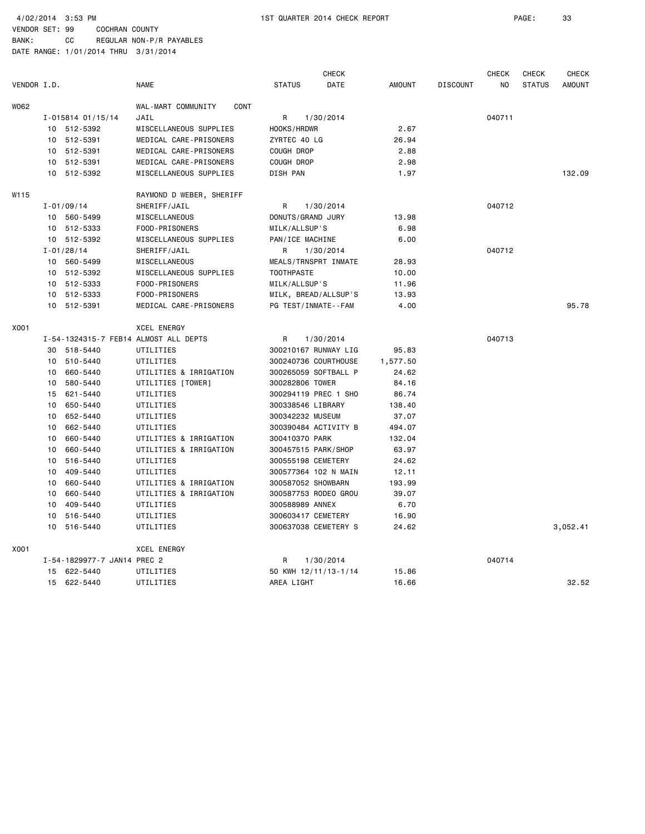BANK: CC REGULAR NON-P/R PAYABLES DATE RANGE: 1/01/2014 THRU 3/31/2014

CHECK CHECK CHECK CHECK VENDOR I.D. NAME STATUS DATE AMOUNT DISCOUNT NO STATUS AMOUNT WO62 WAL-MART COMMUNITY CONT I-015814 01/15/14 JAIL R 1/30/2014 040711 10 512-5392 MISCELLANEOUS SUPPLIES HOOKS/HRDWR 2.67 10 512-5391 MEDICAL CARE-PRISONERS ZYRTEC 40 LG 26.94 10 512-5391 MEDICAL CARE-PRISONERS COUGH DROP 2.88 10 512-5391 MEDICAL CARE-PRISONERS COUGH DROP 2.98 10 512-5392 MISCELLANEOUS SUPPLIES DISH PAN 1.97 132.09 W115 RAYMOND D WEBER, SHERIFF I-01/09/14 SHERIFF/JAIL R 1/30/2014 040712 10 560-5499 MISCELLANEOUS DONUTS/GRAND JURY 13.98 10 512-5333 FOOD-PRISONERS MILK/ALLSUP'S 6.98 10 512-5392 MISCELLANEOUS SUPPLIES PAN/ICE MACHINE 6.00 I-01/28/14 SHERIFF/JAIL R 1/30/2014 040712 10 560-5499 MISCELLANEOUS MEALS/TRNSPRT INMATE 28.93 10 512-5392 MISCELLANEOUS SUPPLIES TOOTHPASTE 10.00 10 512-5333 FOOD-PRISONERS MILK/ALLSUP'S 11.96 10 512-5333 FOOD-PRISONERS MILK, BREAD/ALLSUP'S 13.93 10 512-5391 MEDICAL CARE-PRISONERS PG TEST/INMATE--FAM 4.00 95.78 X001 XCEL ENERGY I-54-1324315-7 FEB14 ALMOST ALL DEPTS R 1/30/2014 040713 30 518-5440 UTILITIES 300210167 RUNWAY LIG 95.83 10 510-5440 UTILITIES 300240736 COURTHOUSE 1,577.50 10 660-5440 UTILITIES & IRRIGATION 300265059 SOFTBALL P 24.62 10 580-5440 UTILITIES [TOWER] 300282806 TOWER 84.16 15 621-5440 UTILITIES 300294119 PREC 1 SHO 86.74 10 650-5440 UTILITIES 300338546 LIBRARY 138.40 10 652-5440 UTILITIES 300342232 MUSEUM 37.07 10 662-5440 UTILITIES 300390484 ACTIVITY B 494.07 10 660-5440 UTILITIES & IRRIGATION 300410370 PARK 132.04 10 660-5440 UTILITIES & IRRIGATION 300457515 PARK/SHOP 63.97 10 516-5440 UTILITIES 300555198 CEMETERY 24.62 10 409-5440 UTILITIES 300577364 102 N MAIN 12.11 10 660-5440 UTILITIES & IRRIGATION 300587052 SHOWBARN 193.99 10 660-5440 UTILITIES & IRRIGATION 300587753 RODEO GROU 39.07 10 409-5440 UTILITIES 300588989 ANNEX 6.70 10 516-5440 UTILITIES 300603417 CEMETERY 16.90 10 516-5440 UTILITIES 300637038 CEMETERY S 24.62 3,052.41 X001 XCEL ENERGY I-54-1829977-7 JAN14 PREC 2 R 1/30/2014 040714 15 622-5440 UTILITIES 50 KWH 12/11/13-1/14 15.86 15 622-5440 UTILITIES AREA LIGHT 16.66 32.52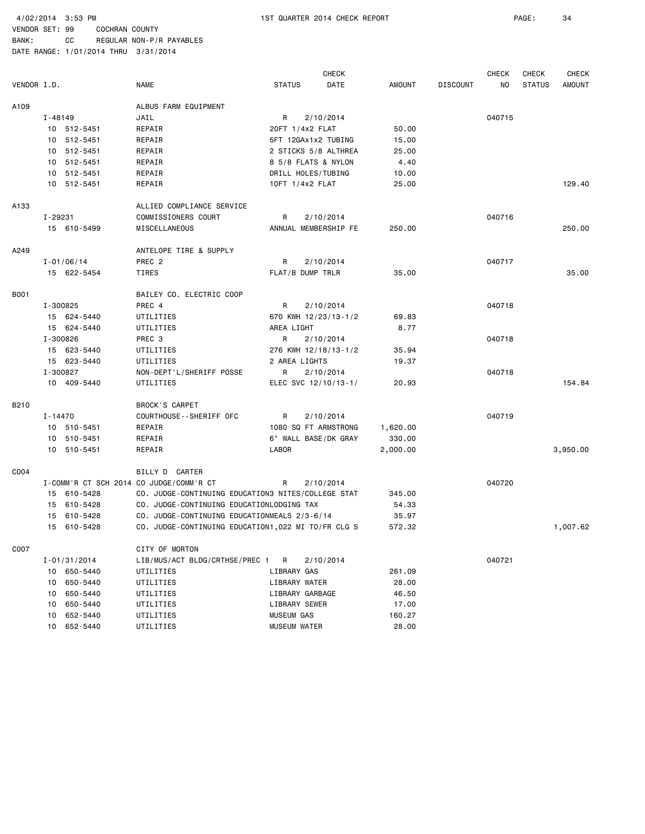BANK: CC REGULAR NON-P/R PAYABLES DATE RANGE: 1/01/2014 THRU 3/31/2014

 CHECK CHECK CHECK CHECK VENDOR I.D. NAME STATUS DATE AMOUNT DISCOUNT NO STATUS AMOUNT A109 ALBUS FARM EQUIPMENT I-48149 JAIL R 2/10/2014 040715 10 512-5451 REPAIR 20FT 1/4x2 FLAT 50.00 10 512-5451 REPAIR 5FT 12GAx1x2 TUBING 15.00 10 512-5451 REPAIR 2 STICKS 5/8 ALTHREA 25.00 10 512-5451 REPAIR 8 5/8 FLATS & NYLON 4.40 10 512-5451 REPAIR DRILL HOLES/TUBING 10.00 10 512-5451 REPAIR 10FT 1/4x2 FLAT 25.00 129.40 A133 ALLIED COMPLIANCE SERVICE I-29231 COMMISSIONERS COURT R 2/10/2014 040716 15 610-5499 MISCELLANEOUS ANNUAL MEMBERSHIP FE 250.00 250.00 A249 ANTELOPE TIRE & SUPPLY I-01/06/14 PREC 2 R 2/10/2014 040717 15 622-5454 TIRES FLAT/B DUMP TRLR 35.00 35.00 B001 BAILEY CO. ELECTRIC COOP I-300825 PREC 4 R 2/10/2014 040718 15 624-5440 UTILITIES 670 KWH 12/23/13-1/2 69.83 15 624-5440 UTILITIES AREA LIGHT 8.77 I-300826 PREC 3 R 2/10/2014 040718 15 623-5440 UTILITIES 276 KWH 12/18/13-1/2 35.94 15 623-5440 UTILITIES 2 AREA LIGHTS 19.37 I-300827 NON-DEPT'L/SHERIFF POSSE R 2/10/2014 040718 10 409-5440 UTILITIES ELEC SVC 12/10/13-1/ 20.93 154.84 B210 BROCK'S CARPET I-14470 COURTHOUSE--SHERIFF OFC R 2/10/2014 040719 10 510-5451 REPAIR 1080 SQ FT ARMSTRONG 1,620.00 10 510-5451 REPAIR 6" WALL BASE/DK GRAY 330.00 10 510-5451 REPAIR LABOR 2,000.00 3,950.00 C004 BILLY D CARTER I-COMM'R CT SCH 2014 CO JUDGE/COMM'R CT R 2/10/2014 040720 15 610-5428 CO. JUDGE-CONTINUING EDUCATION3 NITES/COLLEGE STAT 345.00 15 610-5428 CO. JUDGE-CONTINUING EDUCATIONLODGING TAX 54.33 15 610-5428 CO. JUDGE-CONTINUING EDUCATIONMEALS 2/3-6/14 35.97 15 610-5428 CO. JUDGE-CONTINUING EDUCATION1,022 MI TO/FR CLG S 572.32 1,007.62 C007 CITY OF MORTON I-01/31/2014 LIB/MUS/ACT BLDG/CRTHSE/PREC 1 R 2/10/2014 040721 10 650-5440 UTILITIES LIBRARY GAS 261.09 10 650-5440 UTILITIES LIBRARY WATER 28.00 10 650-5440 UTILITIES LIBRARY GARBAGE 46.50 10 650-5440 UTILITIES LIBRARY SEWER 17.00 10 652-5440 UTILITIES MUSEUM GAS 160.27 10 652-5440 UTILITIES MUSEUM WATER 28.00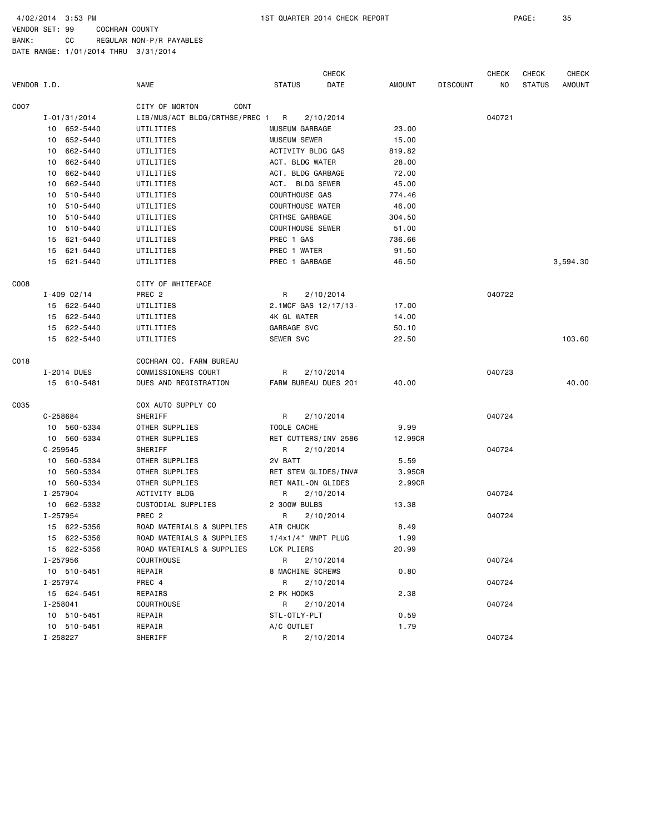4/02/2014 3:53 PM 1ST QUARTER 2014 CHECK REPORT PAGE: 35

VENDOR SET: 99 COCHRAN COUNTY BANK: CC REGULAR NON-P/R PAYABLES

|             |                  |                                | <b>CHECK</b>            |         |                 | CHECK  | <b>CHECK</b>  | CHECK    |
|-------------|------------------|--------------------------------|-------------------------|---------|-----------------|--------|---------------|----------|
| VENDOR I.D. |                  | <b>NAME</b>                    | <b>STATUS</b><br>DATE   | AMOUNT  | <b>DISCOUNT</b> | NO.    | <b>STATUS</b> | AMOUNT   |
| CO07        |                  | CITY OF MORTON<br>CONT         |                         |         |                 |        |               |          |
|             | $I - 01/31/2014$ | LIB/MUS/ACT BLDG/CRTHSE/PREC 1 | R<br>2/10/2014          |         |                 | 040721 |               |          |
|             | 10 652-5440      | UTILITIES                      | MUSEUM GARBAGE          | 23.00   |                 |        |               |          |
|             | 10 652-5440      | UTILITIES                      | <b>MUSEUM SEWER</b>     | 15.00   |                 |        |               |          |
|             | 10 662-5440      | UTILITIES                      | ACTIVITY BLDG GAS       | 819.82  |                 |        |               |          |
|             | 10 662-5440      | UTILITIES                      | ACT. BLDG WATER         | 28.00   |                 |        |               |          |
|             | 662-5440<br>10   | UTILITIES                      | ACT. BLDG GARBAGE       | 72.00   |                 |        |               |          |
|             | 10 662-5440      | UTILITIES                      | ACT. BLDG SEWER         | 45.00   |                 |        |               |          |
|             | 10 510-5440      | UTILITIES                      | COURTHOUSE GAS          | 774.46  |                 |        |               |          |
|             | 10 510-5440      | UTILITIES                      | <b>COURTHOUSE WATER</b> | 46.00   |                 |        |               |          |
|             | 10 510-5440      | UTILITIES                      | CRTHSE GARBAGE          | 304.50  |                 |        |               |          |
|             | 10 510-5440      | UTILITIES                      | <b>COURTHOUSE SEWER</b> | 51.00   |                 |        |               |          |
|             | 15 621-5440      | UTILITIES                      | PREC 1 GAS              | 736.66  |                 |        |               |          |
|             | 15 621-5440      | UTILITIES                      | PREC 1 WATER            | 91.50   |                 |        |               |          |
|             | 15 621-5440      | UTILITIES                      | PREC 1 GARBAGE          | 46.50   |                 |        |               | 3,594.30 |
|             |                  |                                |                         |         |                 |        |               |          |
| CO08        |                  | CITY OF WHITEFACE              |                         |         |                 |        |               |          |
|             | $I - 409 02/14$  | PREC <sub>2</sub>              | R<br>2/10/2014          |         |                 | 040722 |               |          |
|             | 15 622-5440      | UTILITIES                      | 2.1MCF GAS 12/17/13-    | 17.00   |                 |        |               |          |
|             | 15 622-5440      | UTILITIES                      | 4K GL WATER             | 14.00   |                 |        |               |          |
|             | 15 622-5440      | UTILITIES                      | GARBAGE SVC             | 50.10   |                 |        |               |          |
|             | 15 622-5440      | UTILITIES                      | SEWER SVC               | 22.50   |                 |        |               | 103.60   |
| CO18        |                  | COCHRAN CO. FARM BUREAU        |                         |         |                 |        |               |          |
|             | I-2014 DUES      | <b>COMMISSIONERS COURT</b>     | R<br>2/10/2014          |         |                 | 040723 |               |          |
|             | 15 610-5481      | DUES AND REGISTRATION          | FARM BUREAU DUES 201    | 40.00   |                 |        |               | 40.00    |
|             |                  |                                |                         |         |                 |        |               |          |
| C035        |                  | COX AUTO SUPPLY CO             |                         |         |                 |        |               |          |
|             | C-258684         | SHERIFF                        | R<br>2/10/2014          |         |                 | 040724 |               |          |
|             | 10 560-5334      | OTHER SUPPLIES                 | TOOLE CACHE             | 9.99    |                 |        |               |          |
|             | 10 560-5334      | OTHER SUPPLIES                 | RET CUTTERS/INV 2586    | 12.99CR |                 |        |               |          |
|             | $C - 259545$     | SHERIFF                        | R<br>2/10/2014          |         |                 | 040724 |               |          |
|             | 10 560-5334      | OTHER SUPPLIES                 | 2V BATT                 | 5.59    |                 |        |               |          |
|             | 10 560-5334      | OTHER SUPPLIES                 | RET STEM GLIDES/INV#    | 3.95CR  |                 |        |               |          |
|             | 10 560-5334      | OTHER SUPPLIES                 | RET NAIL-ON GLIDES      | 2.99CR  |                 |        |               |          |
|             | I-257904         | ACTIVITY BLDG                  | R<br>2/10/2014          |         |                 | 040724 |               |          |
|             | 10 662-5332      | CUSTODIAL SUPPLIES             | 2 300W BULBS            | 13.38   |                 |        |               |          |
|             | I-257954         | PREC <sub>2</sub>              | 2/10/2014<br>R          |         |                 | 040724 |               |          |
|             | 15 622-5356      | ROAD MATERIALS & SUPPLIES      | AIR CHUCK               | 8.49    |                 |        |               |          |
|             | 15 622-5356      | ROAD MATERIALS & SUPPLIES      | $1/4x1/4"$ MNPT PLUG    | 1.99    |                 |        |               |          |
|             | 15 622-5356      | ROAD MATERIALS & SUPPLIES      | LCK PLIERS              | 20.99   |                 |        |               |          |
|             | I-257956         | <b>COURTHOUSE</b>              | R<br>2/10/2014          |         |                 | 040724 |               |          |
|             | 10 510-5451      | REPAIR                         | 8 MACHINE SCREWS        | 0.80    |                 |        |               |          |
|             | I-257974         | PREC 4                         | R<br>2/10/2014          |         |                 | 040724 |               |          |
|             | 15 624-5451      | REPAIRS                        | 2 PK HOOKS              | 2.38    |                 |        |               |          |
|             | I-258041         | <b>COURTHOUSE</b>              | R<br>2/10/2014          |         |                 | 040724 |               |          |
|             | 10 510-5451      | REPAIR                         | STL-OTLY-PLT            | 0.59    |                 |        |               |          |
|             | 10 510-5451      | REPAIR                         | A/C OUTLET              | 1.79    |                 |        |               |          |
|             | I-258227         | SHERIFF                        | R<br>2/10/2014          |         |                 | 040724 |               |          |
|             |                  |                                |                         |         |                 |        |               |          |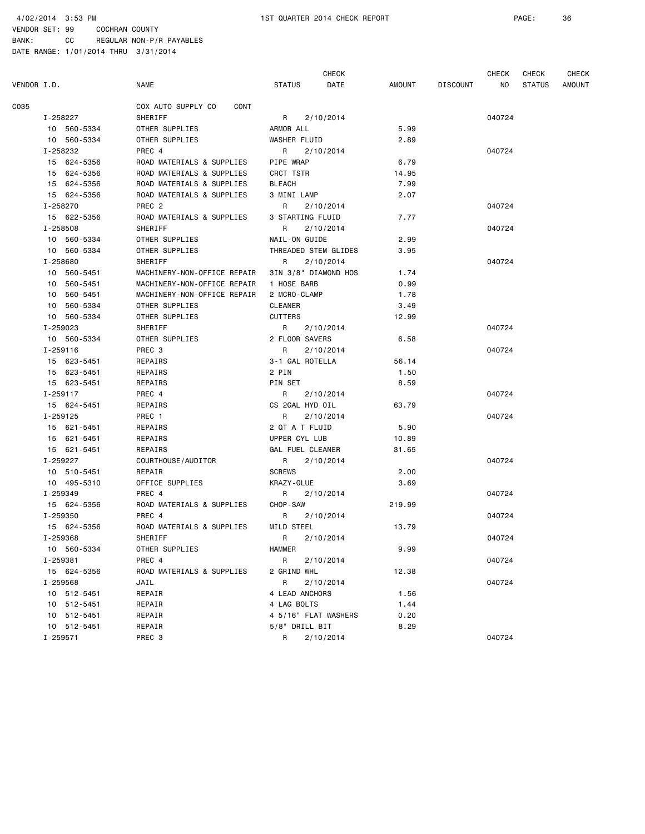VENDOR SET: 99 COCHRAN COUNTY BANK: CC REGULAR NON-P/R PAYABLES

|             |                     |                             | <b>CHECK</b>          |        |                 | <b>CHECK</b> | <b>CHECK</b>  | <b>CHECK</b>  |
|-------------|---------------------|-----------------------------|-----------------------|--------|-----------------|--------------|---------------|---------------|
| VENDOR I.D. |                     | <b>NAME</b>                 | <b>STATUS</b><br>DATE | AMOUNT | <b>DISCOUNT</b> | NO.          | <b>STATUS</b> | <b>AMOUNT</b> |
| C035        |                     | COX AUTO SUPPLY CO<br>CONT  |                       |        |                 |              |               |               |
|             | SHERIFF<br>I-258227 |                             | R<br>2/10/2014        |        |                 | 040724       |               |               |
|             | 10 560-5334         | OTHER SUPPLIES              | ARMOR ALL             | 5.99   |                 |              |               |               |
|             | 10 560-5334         | OTHER SUPPLIES              | WASHER FLUID          | 2.89   |                 |              |               |               |
|             | I-258232            | PREC 4                      | R<br>2/10/2014        |        |                 | 040724       |               |               |
|             | 15 624-5356         | ROAD MATERIALS & SUPPLIES   | PIPE WRAP             | 6.79   |                 |              |               |               |
|             | 15 624-5356         | ROAD MATERIALS & SUPPLIES   | CRCT TSTR             | 14.95  |                 |              |               |               |
|             | 15 624-5356         | ROAD MATERIALS & SUPPLIES   | <b>BLEACH</b>         | 7.99   |                 |              |               |               |
|             | 15 624-5356         | ROAD MATERIALS & SUPPLIES   | 3 MINI LAMP           | 2.07   |                 |              |               |               |
|             | I-258270            | PREC <sub>2</sub>           | R<br>2/10/2014        |        |                 | 040724       |               |               |
|             | 15 622-5356         | ROAD MATERIALS & SUPPLIES   | 3 STARTING FLUID      | 7.77   |                 |              |               |               |
|             | I-258508            | SHERIFF                     | R<br>2/10/2014        |        |                 | 040724       |               |               |
|             | 10 560-5334         | OTHER SUPPLIES              | NAIL-ON GUIDE         | 2.99   |                 |              |               |               |
|             | 10 560-5334         | OTHER SUPPLIES              | THREADED STEM GLIDES  | 3.95   |                 |              |               |               |
|             | I-258680            | SHERIFF                     | R<br>2/10/2014        |        |                 | 040724       |               |               |
|             | 10 560-5451         | MACHINERY-NON-OFFICE REPAIR | 3IN 3/8" DIAMOND HOS  | 1.74   |                 |              |               |               |
|             | 10 560-5451         | MACHINERY-NON-OFFICE REPAIR | 1 HOSE BARB           | 0.99   |                 |              |               |               |
|             | 560-5451<br>10      | MACHINERY-NON-OFFICE REPAIR | 2 MCRO-CLAMP          | 1.78   |                 |              |               |               |
|             | 10 560-5334         | OTHER SUPPLIES              | <b>CLEANER</b>        | 3.49   |                 |              |               |               |
|             | 10 560-5334         | OTHER SUPPLIES              | <b>CUTTERS</b>        | 12.99  |                 |              |               |               |
|             | I-259023            | SHERIFF                     | R<br>2/10/2014        |        |                 | 040724       |               |               |
|             | 10 560-5334         | OTHER SUPPLIES              | 2 FLOOR SAVERS        | 6.58   |                 |              |               |               |
|             | I-259116            | PREC 3                      | R<br>2/10/2014        |        |                 | 040724       |               |               |
|             | 15 623-5451         | REPAIRS                     | 3-1 GAL ROTELLA       | 56.14  |                 |              |               |               |
|             | 15 623-5451         | REPAIRS                     | 2 PIN                 | 1.50   |                 |              |               |               |
|             | 15 623-5451         | REPAIRS                     | PIN SET               | 8.59   |                 |              |               |               |
|             | I-259117            | PREC 4                      | R<br>2/10/2014        |        |                 | 040724       |               |               |
|             | 15 624-5451         | REPAIRS                     | CS 2GAL HYD OIL       | 63.79  |                 |              |               |               |
|             | I-259125            | PREC 1                      | R<br>2/10/2014        |        |                 | 040724       |               |               |
|             | 15 621-5451         | REPAIRS                     | 2 QT A T FLUID        | 5.90   |                 |              |               |               |
|             | 15 621-5451         | REPAIRS                     | UPPER CYL LUB         | 10.89  |                 |              |               |               |
|             | 15 621-5451         | REPAIRS                     | GAL FUEL CLEANER      | 31.65  |                 |              |               |               |
|             | I-259227            | COURTHOUSE/AUDITOR          | R<br>2/10/2014        |        |                 | 040724       |               |               |
|             | 10 510-5451         | REPAIR                      | <b>SCREWS</b>         | 2.00   |                 |              |               |               |
|             | 10 495-5310         | OFFICE SUPPLIES             | KRAZY-GLUE            | 3.69   |                 |              |               |               |
|             | I-259349            | PREC 4                      | R<br>2/10/2014        |        |                 | 040724       |               |               |
|             | 15 624-5356         | ROAD MATERIALS & SUPPLIES   | CHOP-SAW              | 219.99 |                 |              |               |               |
|             | I-259350            | PREC 4                      | R<br>2/10/2014        |        |                 | 040724       |               |               |
|             | 15 624-5356         | ROAD MATERIALS & SUPPLIES   | MILD STEEL            | 13.79  |                 |              |               |               |
|             | I-259368            | SHERIFF                     | R<br>2/10/2014        |        |                 | 040724       |               |               |
|             | 10 560-5334         | OTHER SUPPLIES              | <b>HAMMER</b>         | 9.99   |                 |              |               |               |
|             | I-259381            | PREC 4                      | R<br>2/10/2014        |        |                 | 040724       |               |               |
|             | 15 624-5356         | ROAD MATERIALS & SUPPLIES   | 2 GRIND WHL           | 12.38  |                 |              |               |               |
|             | I-259568            | JAIL                        | R<br>2/10/2014        |        |                 | 040724       |               |               |
|             | 10 512-5451         | REPAIR                      | 4 LEAD ANCHORS        | 1.56   |                 |              |               |               |
|             | 10 512-5451         | REPAIR                      | 4 LAG BOLTS           | 1.44   |                 |              |               |               |
|             | 10 512-5451         | REPAIR                      | 4 5/16" FLAT WASHERS  | 0.20   |                 |              |               |               |
|             | 10 512-5451         | REPAIR                      | 5/8" DRILL BIT        | 8.29   |                 |              |               |               |
|             | I-259571            | PREC 3                      | R<br>2/10/2014        |        |                 | 040724       |               |               |
|             |                     |                             |                       |        |                 |              |               |               |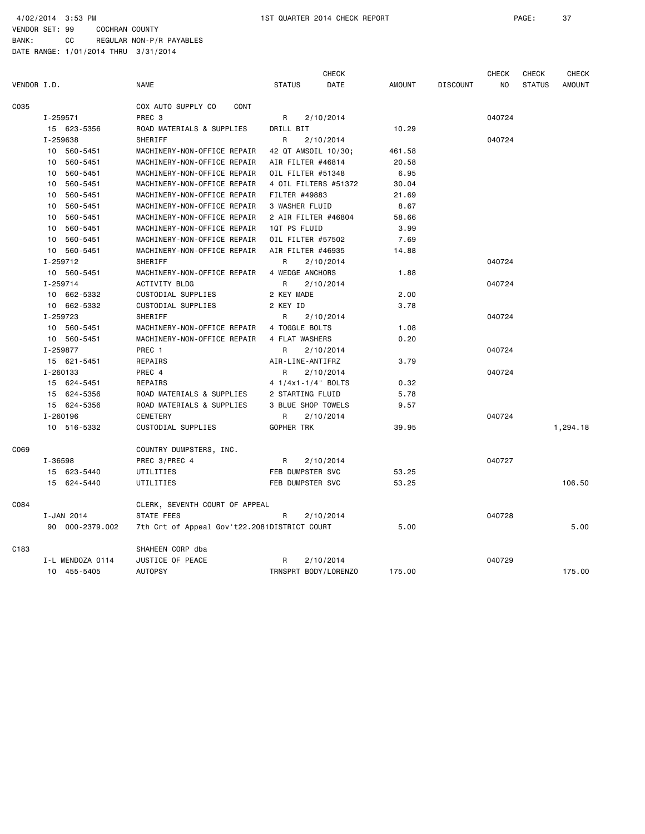4/02/2014 3:53 PM 1ST QUARTER 2014 CHECK REPORT PAGE: 37

VENDOR SET: 99 COCHRAN COUNTY BANK: CC REGULAR NON-P/R PAYABLES

|             |                  |                                              | <b>CHECK</b>          |               |                 | <b>CHECK</b> | CHECK         | <b>CHECK</b>  |
|-------------|------------------|----------------------------------------------|-----------------------|---------------|-----------------|--------------|---------------|---------------|
| VENDOR I.D. |                  | <b>NAME</b>                                  | DATE<br><b>STATUS</b> | <b>AMOUNT</b> | <b>DISCOUNT</b> | NO.          | <b>STATUS</b> | <b>AMOUNT</b> |
| C035        |                  | COX AUTO SUPPLY CO<br>CONT                   |                       |               |                 |              |               |               |
|             | I-259571         | PREC <sub>3</sub>                            | R<br>2/10/2014        |               |                 | 040724       |               |               |
|             | 15 623-5356      | ROAD MATERIALS & SUPPLIES                    | DRILL BIT             | 10.29         |                 |              |               |               |
|             | I-259638         | SHERIFF                                      | 2/10/2014<br>R        |               |                 | 040724       |               |               |
|             | 10 560-5451      | MACHINERY-NON-OFFICE REPAIR                  | 42 QT AMSOIL 10/30;   | 461.58        |                 |              |               |               |
|             | 10 560-5451      | MACHINERY-NON-OFFICE REPAIR                  | AIR FILTER #46814     | 20.58         |                 |              |               |               |
|             | 10 560-5451      | MACHINERY-NON-OFFICE REPAIR                  | OIL FILTER #51348     | 6.95          |                 |              |               |               |
|             | 10 560-5451      | MACHINERY-NON-OFFICE REPAIR                  | 4 OIL FILTERS #51372  | 30.04         |                 |              |               |               |
|             | 10 560-5451      | MACHINERY-NON-OFFICE REPAIR                  | FILTER #49883         | 21.69         |                 |              |               |               |
|             | 10 560-5451      | MACHINERY-NON-OFFICE REPAIR                  | 3 WASHER FLUID        | 8.67          |                 |              |               |               |
|             | 10 560-5451      | MACHINERY-NON-OFFICE REPAIR                  | 2 AIR FILTER #46804   | 58.66         |                 |              |               |               |
|             | 10 560-5451      | MACHINERY-NON-OFFICE REPAIR                  | 1QT PS FLUID          | 3.99          |                 |              |               |               |
|             | 10 560-5451      | MACHINERY-NON-OFFICE REPAIR                  | OIL FILTER #57502     | 7.69          |                 |              |               |               |
|             | 10 560-5451      | MACHINERY-NON-OFFICE REPAIR                  | AIR FILTER #46935     | 14.88         |                 |              |               |               |
|             | I-259712         | SHERIFF                                      | R<br>2/10/2014        |               |                 | 040724       |               |               |
|             | 10 560-5451      | MACHINERY-NON-OFFICE REPAIR                  | 4 WEDGE ANCHORS       | 1.88          |                 |              |               |               |
|             | I-259714         | ACTIVITY BLDG                                | 2/10/2014<br>R        |               |                 | 040724       |               |               |
|             | 10 662-5332      | CUSTODIAL SUPPLIES                           | 2 KEY MADE            | 2.00          |                 |              |               |               |
|             | 10 662-5332      | CUSTODIAL SUPPLIES                           | 2 KEY ID              | 3.78          |                 |              |               |               |
|             | I-259723         | SHERIFF                                      | R<br>2/10/2014        |               |                 | 040724       |               |               |
|             | 10 560-5451      | MACHINERY-NON-OFFICE REPAIR                  | 4 TOGGLE BOLTS        | 1.08          |                 |              |               |               |
|             | 10 560-5451      | MACHINERY-NON-OFFICE REPAIR                  | 4 FLAT WASHERS        | 0.20          |                 |              |               |               |
|             | I-259877         | PREC 1                                       | 2/10/2014<br>R        |               |                 | 040724       |               |               |
|             | 15 621-5451      | REPAIRS                                      | AIR-LINE-ANTIFRZ      | 3.79          |                 |              |               |               |
|             | I-260133         | PREC 4                                       | R<br>2/10/2014        |               |                 | 040724       |               |               |
|             | 15 624-5451      | REPAIRS                                      | 4 1/4x1-1/4" BOLTS    | 0.32          |                 |              |               |               |
|             | 15 624-5356      | ROAD MATERIALS & SUPPLIES                    | 2 STARTING FLUID      | 5.78          |                 |              |               |               |
|             | 15 624-5356      | ROAD MATERIALS & SUPPLIES                    | 3 BLUE SHOP TOWELS    | 9.57          |                 |              |               |               |
|             | I-260196         | <b>CEMETERY</b>                              | 2/10/2014<br>R        |               |                 | 040724       |               |               |
|             | 10 516-5332      | CUSTODIAL SUPPLIES                           | <b>GOPHER TRK</b>     | 39.95         |                 |              |               | 1,294.18      |
| C069        |                  | COUNTRY DUMPSTERS, INC.                      |                       |               |                 |              |               |               |
|             | I-36598          | PREC 3/PREC 4                                | R<br>2/10/2014        |               |                 | 040727       |               |               |
|             | 15 623-5440      | UTILITIES                                    | FEB DUMPSTER SVC      | 53.25         |                 |              |               |               |
|             | 15 624-5440      | UTILITIES                                    | FEB DUMPSTER SVC      | 53.25         |                 |              |               | 106.50        |
| C084        |                  | CLERK, SEVENTH COURT OF APPEAL               |                       |               |                 |              |               |               |
|             | I-JAN 2014       | STATE FEES                                   | 2/10/2014<br>R        |               |                 | 040728       |               |               |
|             | 90 000-2379.002  | 7th Crt of Appeal Gov't22.2081DISTRICT COURT |                       | 5.00          |                 |              |               | 5.00          |
| C183        |                  | SHAHEEN CORP dba                             |                       |               |                 |              |               |               |
|             | I-L MENDOZA 0114 | JUSTICE OF PEACE                             | 2/10/2014<br>R        |               |                 | 040729       |               |               |
|             | 10 455-5405      | <b>AUTOPSY</b>                               | TRNSPRT BODY/LORENZO  | 175.00        |                 |              |               | 175.00        |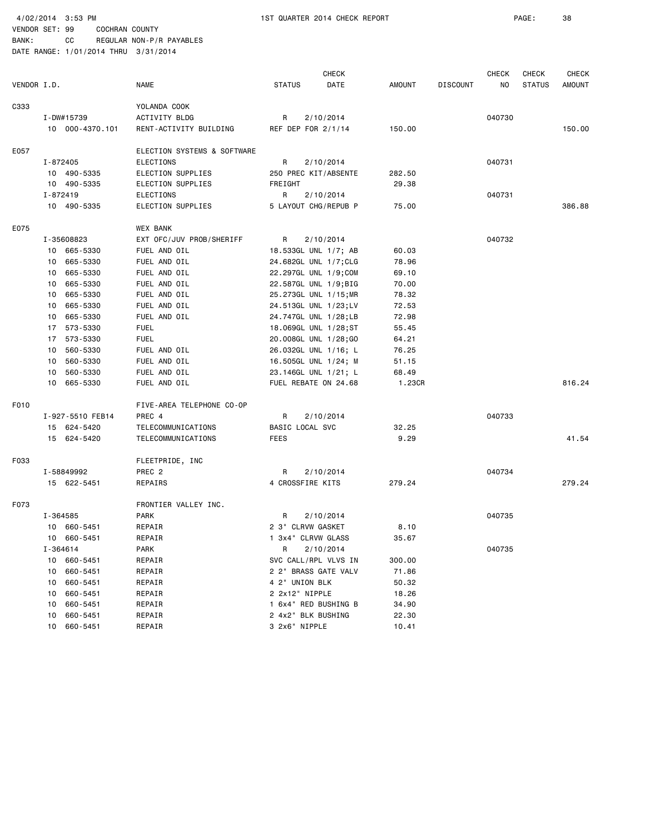| VENDOR I.D. |                  | <b>NAME</b>                 | <b>STATUS</b>      | <b>CHECK</b><br>DATE  | AMOUNT | <b>DISCOUNT</b> | <b>CHECK</b><br>NO | <b>CHECK</b><br><b>STATUS</b> | <b>CHECK</b><br>AMOUNT |
|-------------|------------------|-----------------------------|--------------------|-----------------------|--------|-----------------|--------------------|-------------------------------|------------------------|
|             |                  |                             |                    |                       |        |                 |                    |                               |                        |
| C333        |                  | YOLANDA COOK                |                    |                       |        |                 |                    |                               |                        |
|             | I-DW#15739       | ACTIVITY BLDG               | R                  | 2/10/2014             |        |                 | 040730             |                               |                        |
|             | 10 000-4370.101  | RENT-ACTIVITY BUILDING      | REF DEP FOR 2/1/14 |                       | 150.00 |                 |                    |                               | 150.00                 |
| E057        |                  | ELECTION SYSTEMS & SOFTWARE |                    |                       |        |                 |                    |                               |                        |
|             | I-872405         | ELECTIONS                   | R                  | 2/10/2014             |        |                 | 040731             |                               |                        |
|             | 10 490-5335      | ELECTION SUPPLIES           |                    | 250 PREC KIT/ABSENTE  | 282.50 |                 |                    |                               |                        |
|             | 10 490-5335      | ELECTION SUPPLIES           | FREIGHT            |                       | 29.38  |                 |                    |                               |                        |
|             | I-872419         | <b>ELECTIONS</b>            | R                  | 2/10/2014             |        |                 | 040731             |                               |                        |
|             | 10 490-5335      | ELECTION SUPPLIES           |                    | 5 LAYOUT CHG/REPUB P  | 75.00  |                 |                    |                               | 386.88                 |
| E075        |                  | WEX BANK                    |                    |                       |        |                 |                    |                               |                        |
|             | I-35608823       | EXT OFC/JUV PROB/SHERIFF    | R                  | 2/10/2014             |        |                 | 040732             |                               |                        |
|             | 10 665-5330      | FUEL AND OIL                |                    | 18.533GL UNL 1/7; AB  | 60.03  |                 |                    |                               |                        |
|             | 665-5330<br>10   | FUEL AND OIL                |                    | 24.682GL UNL 1/7;CLG  | 78.96  |                 |                    |                               |                        |
|             | 665-5330<br>10   | FUEL AND OIL                |                    | 22.297GL UNL 1/9;COM  | 69.10  |                 |                    |                               |                        |
|             | 665-5330<br>10   | FUEL AND OIL                |                    | 22.587GL UNL 1/9;BIG  | 70.00  |                 |                    |                               |                        |
|             | 665-5330<br>10   | FUEL AND OIL                |                    | 25.273GL UNL 1/15; MR | 78.32  |                 |                    |                               |                        |
|             | 10<br>665-5330   | FUEL AND OIL                |                    | 24.513GL UNL 1/23;LV  | 72.53  |                 |                    |                               |                        |
|             | 665-5330<br>10   | FUEL AND OIL                |                    | 24.747GL UNL 1/28;LB  | 72.98  |                 |                    |                               |                        |
|             | 17 573-5330      | <b>FUEL</b>                 |                    | 18.069GL UNL 1/28;ST  | 55.45  |                 |                    |                               |                        |
|             | 573-5330<br>17   | <b>FUEL</b>                 |                    | 20.008GL UNL 1/28;GO  | 64.21  |                 |                    |                               |                        |
|             | 560-5330<br>10   | FUEL AND OIL                |                    | 26.032GL UNL 1/16; L  | 76.25  |                 |                    |                               |                        |
|             | 560-5330<br>10   | FUEL AND OIL                |                    | 16.505GL UNL 1/24; M  | 51.15  |                 |                    |                               |                        |
|             | 560-5330<br>10   | FUEL AND OIL                |                    | 23.146GL UNL 1/21; L  | 68.49  |                 |                    |                               |                        |
|             | 665-5330<br>10   | FUEL AND OIL                |                    | FUEL REBATE ON 24.68  | 1.23CR |                 |                    |                               | 816.24                 |
| F010        |                  | FIVE-AREA TELEPHONE CO-OP   |                    |                       |        |                 |                    |                               |                        |
|             | I-927-5510 FEB14 | PREC 4                      | R                  | 2/10/2014             |        |                 | 040733             |                               |                        |
|             | 15 624-5420      | TELECOMMUNICATIONS          | BASIC LOCAL SVC    |                       | 32.25  |                 |                    |                               |                        |
|             | 15 624-5420      | TELECOMMUNICATIONS          | <b>FEES</b>        |                       | 9.29   |                 |                    |                               | 41.54                  |
| F033        |                  | FLEETPRIDE, INC             |                    |                       |        |                 |                    |                               |                        |
|             | I-58849992       | PREC <sub>2</sub>           | R                  | 2/10/2014             |        |                 | 040734             |                               |                        |
|             | 15 622-5451      | REPAIRS                     | 4 CROSSFIRE KITS   |                       | 279.24 |                 |                    |                               | 279.24                 |
| F073        |                  | FRONTIER VALLEY INC.        |                    |                       |        |                 |                    |                               |                        |
|             | I-364585         | <b>PARK</b>                 | R                  | 2/10/2014             |        |                 | 040735             |                               |                        |
|             | 10 660-5451      | REPAIR                      | 2 3" CLRVW GASKET  |                       | 8.10   |                 |                    |                               |                        |
|             | 10 660-5451      | REPAIR                      | 1 3x4" CLRVW GLASS |                       | 35.67  |                 |                    |                               |                        |
|             | I-364614         | PARK                        | R                  | 2/10/2014             |        |                 | 040735             |                               |                        |
|             | 10 660-5451      | REPAIR                      |                    | SVC CALL/RPL VLVS IN  | 300.00 |                 |                    |                               |                        |
|             | 660-5451<br>10   | REPAIR                      |                    | 2 2" BRASS GATE VALV  | 71.86  |                 |                    |                               |                        |
|             | 660-5451<br>10   | REPAIR                      | 4 2" UNION BLK     |                       | 50.32  |                 |                    |                               |                        |
|             | 660-5451<br>10   | REPAIR                      | 2 2x12" NIPPLE     |                       | 18.26  |                 |                    |                               |                        |
|             | 660-5451<br>10   | REPAIR                      |                    | 1 6x4" RED BUSHING B  | 34.90  |                 |                    |                               |                        |
|             | 660-5451<br>10   | REPAIR                      | 2 4x2" BLK BUSHING |                       | 22.30  |                 |                    |                               |                        |
|             | 660-5451<br>10   | REPAIR                      | 3 2x6" NIPPLE      |                       | 10.41  |                 |                    |                               |                        |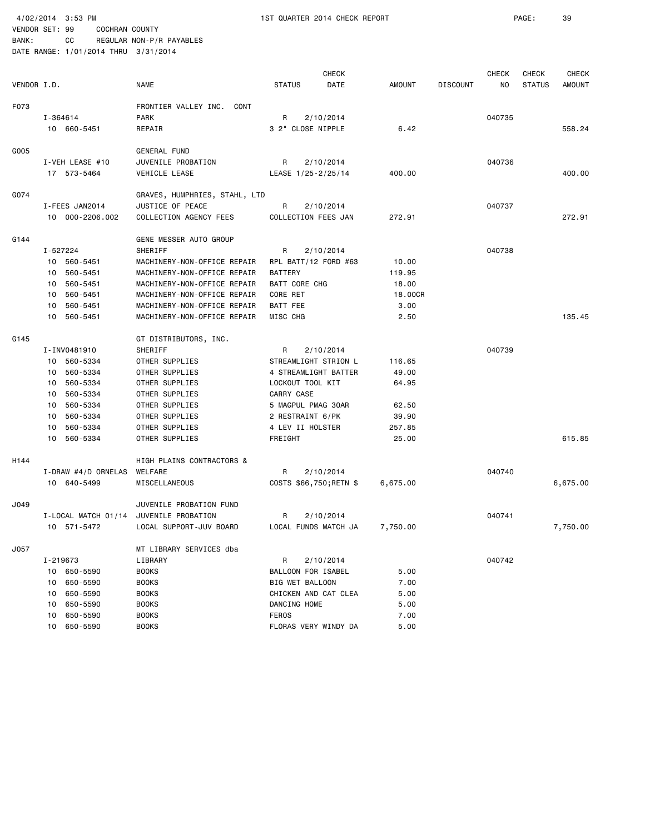|             |          |                     |                                        |                      | CHECK                  |               |                 | <b>CHECK</b> | <b>CHECK</b>  | <b>CHECK</b> |
|-------------|----------|---------------------|----------------------------------------|----------------------|------------------------|---------------|-----------------|--------------|---------------|--------------|
| VENDOR I.D. |          |                     | <b>NAME</b>                            | <b>STATUS</b>        | DATE                   | <b>AMOUNT</b> | <b>DISCOUNT</b> | NO           | <b>STATUS</b> | AMOUNT       |
| F073        |          |                     | FRONTIER VALLEY INC. CONT              |                      |                        |               |                 |              |               |              |
|             | I-364614 |                     | PARK                                   | R                    | 2/10/2014              |               |                 | 040735       |               |              |
|             |          | 10 660-5451         | REPAIR                                 |                      | 3 2" CLOSE NIPPLE      | 6.42          |                 |              |               | 558.24       |
|             |          |                     |                                        |                      |                        |               |                 |              |               |              |
| G005        |          |                     | GENERAL FUND                           |                      |                        |               |                 |              |               |              |
|             |          | I-VEH LEASE #10     | JUVENILE PROBATION                     | R                    | 2/10/2014              |               |                 | 040736       |               |              |
|             |          | 17 573-5464         | VEHICLE LEASE                          |                      | LEASE 1/25-2/25/14     | 400.00        |                 |              |               | 400.00       |
| G074        |          |                     | GRAVES, HUMPHRIES, STAHL, LTD          |                      |                        |               |                 |              |               |              |
|             |          | I-FEES JAN2014      | JUSTICE OF PEACE                       | R                    | 2/10/2014              |               |                 | 040737       |               |              |
|             |          | 10 000-2206.002     | COLLECTION AGENCY FEES                 |                      | COLLECTION FEES JAN    | 272.91        |                 |              |               | 272.91       |
| G144        |          |                     |                                        |                      |                        |               |                 |              |               |              |
|             | I-527224 |                     | GENE MESSER AUTO GROUP<br>SHERIFF      | R                    | 2/10/2014              |               |                 | 040738       |               |              |
|             |          | 10 560-5451         | MACHINERY-NON-OFFICE REPAIR            |                      | RPL BATT/12 FORD #63   | 10.00         |                 |              |               |              |
|             |          | 10 560-5451         | MACHINERY-NON-OFFICE REPAIR            | <b>BATTERY</b>       |                        | 119.95        |                 |              |               |              |
|             |          | 10 560-5451         | MACHINERY-NON-OFFICE REPAIR            | <b>BATT CORE CHG</b> |                        | 18.00         |                 |              |               |              |
|             |          | 10 560-5451         | MACHINERY-NON-OFFICE REPAIR            | CORE RET             |                        | 18.00CR       |                 |              |               |              |
|             |          | 10 560-5451         | MACHINERY-NON-OFFICE REPAIR            | BATT FEE             |                        | 3.00          |                 |              |               |              |
|             |          | 10 560-5451         | MACHINERY-NON-OFFICE REPAIR            | MISC CHG             |                        | 2.50          |                 |              |               | 135.45       |
|             |          |                     |                                        |                      |                        |               |                 |              |               |              |
| G145        |          |                     | GT DISTRIBUTORS, INC.                  |                      |                        |               |                 |              |               |              |
|             |          | I-INV0481910        | SHERIFF                                | R                    | 2/10/2014              |               |                 | 040739       |               |              |
|             |          | 10 560-5334         | OTHER SUPPLIES                         |                      | STREAMLIGHT STRION L   | 116.65        |                 |              |               |              |
|             |          | 10 560-5334         | OTHER SUPPLIES                         |                      | 4 STREAMLIGHT BATTER   | 49.00         |                 |              |               |              |
|             | 10       | 560-5334            | OTHER SUPPLIES                         |                      | LOCKOUT TOOL KIT       | 64.95         |                 |              |               |              |
|             |          | 10 560-5334         | OTHER SUPPLIES                         | CARRY CASE           |                        |               |                 |              |               |              |
|             | 10       | 560-5334            | OTHER SUPPLIES                         |                      | 5 MAGPUL PMAG 30AR     | 62.50         |                 |              |               |              |
|             | 10       | 560-5334            | OTHER SUPPLIES                         |                      | 2 RESTRAINT 6/PK       | 39.90         |                 |              |               |              |
|             | 10       | 560-5334            | OTHER SUPPLIES                         |                      | 4 LEV II HOLSTER       | 257.85        |                 |              |               |              |
|             |          | 10 560-5334         | OTHER SUPPLIES                         | FREIGHT              |                        | 25.00         |                 |              |               | 615.85       |
| H144        |          |                     | <b>HIGH PLAINS CONTRACTORS &amp;</b>   |                      |                        |               |                 |              |               |              |
|             |          | I-DRAW #4/D ORNELAS | WELFARE                                | R                    | 2/10/2014              |               |                 | 040740       |               |              |
|             |          | 10 640-5499         | MISCELLANEOUS                          |                      | COSTS \$66,750;RETN \$ | 6,675.00      |                 |              |               | 6,675.00     |
| J049        |          |                     | JUVENILE PROBATION FUND                |                      |                        |               |                 |              |               |              |
|             |          |                     | I-LOCAL MATCH 01/14 JUVENILE PROBATION | R                    | 2/10/2014              |               |                 | 040741       |               |              |
|             |          | 10 571-5472         | LOCAL SUPPORT-JUV BOARD                |                      | LOCAL FUNDS MATCH JA   | 7,750.00      |                 |              |               | 7,750.00     |
| J057        |          |                     | MT LIBRARY SERVICES dba                |                      |                        |               |                 |              |               |              |
|             | I-219673 |                     | LIBRARY                                | R                    | 2/10/2014              |               |                 | 040742       |               |              |
|             |          | 10 650-5590         | <b>BOOKS</b>                           |                      | BALLOON FOR ISABEL     | 5.00          |                 |              |               |              |
|             |          | 10 650-5590         | <b>BOOKS</b>                           |                      | BIG WET BALLOON        | 7.00          |                 |              |               |              |
|             |          | 10 650-5590         | <b>BOOKS</b>                           |                      | CHICKEN AND CAT CLEA   | 5.00          |                 |              |               |              |
|             |          | 10 650-5590         | <b>BOOKS</b>                           | DANCING HOME         |                        | 5.00          |                 |              |               |              |
|             |          | 10 650-5590         | <b>BOOKS</b>                           | <b>FEROS</b>         |                        | 7.00          |                 |              |               |              |
|             | 10       | 650-5590            | <b>BOOKS</b>                           |                      | FLORAS VERY WINDY DA   | 5.00          |                 |              |               |              |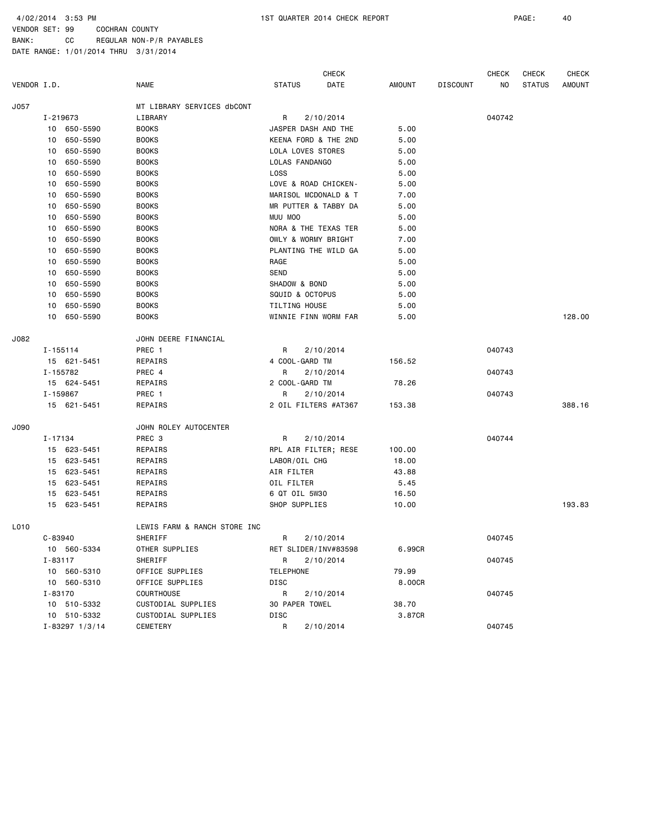|             |              |                      |                              |                      | <b>CHECK</b>         |               |                 | <b>CHECK</b> | <b>CHECK</b>  | <b>CHECK</b>  |
|-------------|--------------|----------------------|------------------------------|----------------------|----------------------|---------------|-----------------|--------------|---------------|---------------|
| VENDOR I.D. |              |                      | <b>NAME</b>                  | <b>STATUS</b>        | DATE                 | <b>AMOUNT</b> | <b>DISCOUNT</b> | NO           | <b>STATUS</b> | <b>AMOUNT</b> |
| J057        |              |                      | MT LIBRARY SERVICES dbCONT   |                      |                      |               |                 |              |               |               |
|             | I-219673     |                      | LIBRARY                      | R                    | 2/10/2014            |               |                 | 040742       |               |               |
|             |              | 10 650-5590          | <b>BOOKS</b>                 |                      | JASPER DASH AND THE  | 5.00          |                 |              |               |               |
|             | 10           | 650-5590             | <b>BOOKS</b>                 |                      | KEENA FORD & THE 2ND | 5.00          |                 |              |               |               |
|             | 10           | 650-5590             | <b>BOOKS</b>                 | LOLA LOVES STORES    |                      | 5.00          |                 |              |               |               |
|             | 10           | 650-5590             | <b>BOOKS</b>                 | LOLAS FANDANGO       |                      | 5.00          |                 |              |               |               |
|             | 10           | 650-5590             | <b>BOOKS</b>                 | <b>LOSS</b>          |                      | 5.00          |                 |              |               |               |
|             | 10           | 650-5590             | <b>BOOKS</b>                 |                      | LOVE & ROAD CHICKEN- | 5.00          |                 |              |               |               |
|             | 10           | 650-5590             | <b>BOOKS</b>                 |                      | MARISOL MCDONALD & T | 7.00          |                 |              |               |               |
|             | 10           | 650-5590             | <b>BOOKS</b>                 |                      | MR PUTTER & TABBY DA | 5.00          |                 |              |               |               |
|             | 10           | 650-5590             | <b>BOOKS</b>                 | MUU MOO              |                      | 5.00          |                 |              |               |               |
|             | 10           | 650-5590             | <b>BOOKS</b>                 |                      | NORA & THE TEXAS TER | 5.00          |                 |              |               |               |
|             | 10           | 650-5590             | <b>BOOKS</b>                 |                      | OWLY & WORMY BRIGHT  | 7.00          |                 |              |               |               |
|             | 10           | 650-5590             | <b>BOOKS</b>                 |                      | PLANTING THE WILD GA | 5.00          |                 |              |               |               |
|             | 10           | 650-5590             | <b>BOOKS</b>                 | RAGE                 |                      | 5.00          |                 |              |               |               |
|             | 10           | 650-5590             | <b>BOOKS</b>                 | SEND                 |                      | 5.00          |                 |              |               |               |
|             | 10           | 650-5590             | <b>BOOKS</b>                 | SHADOW & BOND        |                      | 5.00          |                 |              |               |               |
|             | 10           | 650-5590             | <b>BOOKS</b>                 | SQUID & OCTOPUS      |                      | 5.00          |                 |              |               |               |
|             | 10           | 650-5590             | <b>BOOKS</b>                 | <b>TILTING HOUSE</b> |                      | 5.00          |                 |              |               |               |
|             | 10           | 650-5590             | <b>BOOKS</b>                 |                      | WINNIE FINN WORM FAR | 5.00          |                 |              |               | 128.00        |
| J082        |              |                      | JOHN DEERE FINANCIAL         |                      |                      |               |                 |              |               |               |
|             | $I - 155114$ |                      | PREC 1                       | R                    | 2/10/2014            |               |                 | 040743       |               |               |
|             |              | 15 621-5451          | REPAIRS                      | 4 COOL-GARD TM       |                      | 156.52        |                 |              |               |               |
|             | I-155782     |                      | PREC 4                       | R                    | 2/10/2014            |               |                 | 040743       |               |               |
|             |              | 15 624-5451          | REPAIRS                      | 2 COOL-GARD TM       |                      | 78.26         |                 |              |               |               |
|             | I-159867     |                      | PREC 1                       | R                    | 2/10/2014            |               |                 | 040743       |               |               |
|             |              | 15 621-5451          | REPAIRS                      |                      | 2 OIL FILTERS #AT367 | 153.38        |                 |              |               | 388.16        |
| J090        |              |                      | JOHN ROLEY AUTOCENTER        |                      |                      |               |                 |              |               |               |
|             | $I - 17134$  |                      | PREC <sub>3</sub>            | R                    | 2/10/2014            |               |                 | 040744       |               |               |
|             |              | 15 623-5451          | REPAIRS                      |                      | RPL AIR FILTER; RESE | 100.00        |                 |              |               |               |
|             |              | 15 623-5451          | REPAIRS                      | LABOR/OIL CHG        |                      | 18.00         |                 |              |               |               |
|             |              | 15 623-5451          | REPAIRS                      | AIR FILTER           |                      | 43.88         |                 |              |               |               |
|             | 15           | 623-5451             | REPAIRS                      | OIL FILTER           |                      | 5.45          |                 |              |               |               |
|             | 15           | 623-5451             | REPAIRS                      | 6 QT OIL 5W30        |                      | 16.50         |                 |              |               |               |
|             |              | 15 623-5451          | REPAIRS                      | SHOP SUPPLIES        |                      | 10.00         |                 |              |               | 193.83        |
| L010        |              |                      | LEWIS FARM & RANCH STORE INC |                      |                      |               |                 |              |               |               |
|             | $C - 83940$  |                      | SHERIFF                      | R                    | 2/10/2014            |               |                 | 040745       |               |               |
|             |              | 10 560-5334          | OTHER SUPPLIES               |                      | RET SLIDER/INV#83598 | 6.99CR        |                 |              |               |               |
|             | $I - 83117$  |                      | SHERIFF                      | R                    | 2/10/2014            |               |                 | 040745       |               |               |
|             |              | 10 560-5310          | OFFICE SUPPLIES              | <b>TELEPHONE</b>     |                      | 79.99         |                 |              |               |               |
|             |              | 10 560-5310          | OFFICE SUPPLIES              | DISC                 |                      | 8.00CR        |                 |              |               |               |
|             | I-83170      |                      | COURTHOUSE                   | R                    | 2/10/2014            |               |                 | 040745       |               |               |
|             |              | 10 510-5332          | CUSTODIAL SUPPLIES           | 30 PAPER TOWEL       |                      | 38.70         |                 |              |               |               |
|             |              | 10 510-5332          | CUSTODIAL SUPPLIES           | DISC                 |                      | 3.87CR        |                 |              |               |               |
|             |              | $I - 83297$ $1/3/14$ | CEMETERY                     | R                    | 2/10/2014            |               |                 | 040745       |               |               |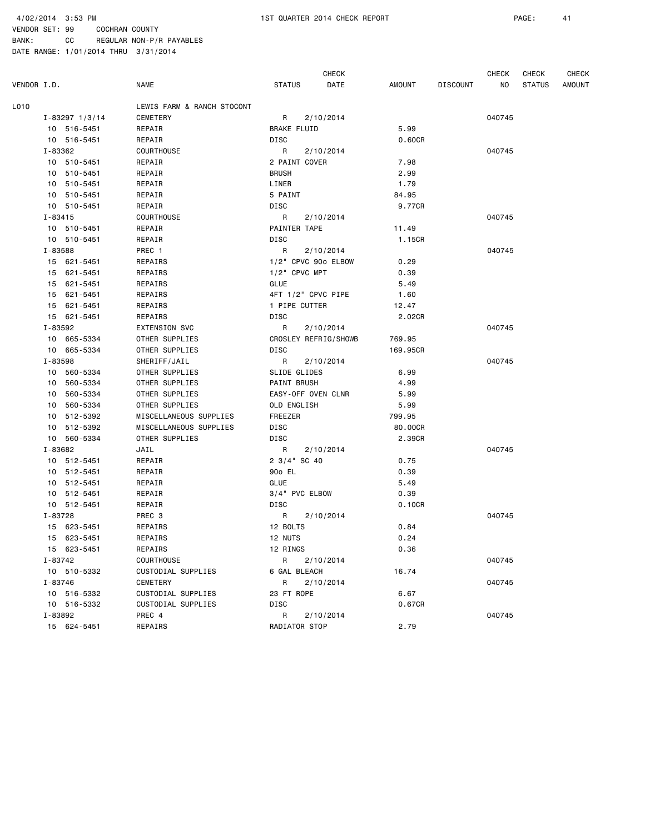4/02/2014 3:53 PM 1ST QUARTER 2014 CHECK REPORT PAGE: 41

BANK: CC REGULAR NON-P/R PAYABLES

VENDOR SET: 99 COCHRAN COUNTY

|             |                      |                            |                       | <b>CHECK</b>         |               |                 | <b>CHECK</b> | CHECK         | <b>CHECK</b>  |
|-------------|----------------------|----------------------------|-----------------------|----------------------|---------------|-----------------|--------------|---------------|---------------|
| VENDOR I.D. |                      | <b>NAME</b>                | <b>STATUS</b>         | DATE                 | <b>AMOUNT</b> | <b>DISCOUNT</b> | ΝO           | <b>STATUS</b> | <b>AMOUNT</b> |
| L010        |                      | LEWIS FARM & RANCH STOCONT |                       |                      |               |                 |              |               |               |
|             | $I - 83297$ $1/3/14$ | <b>CEMETERY</b>            | R                     | 2/10/2014            |               |                 | 040745       |               |               |
|             | 10 516-5451          | REPAIR                     | <b>BRAKE FLUID</b>    |                      | 5.99          |                 |              |               |               |
|             | 10 516-5451          | REPAIR                     | DISC                  |                      | 0.60CR        |                 |              |               |               |
|             | I-83362              | COURTHOUSE                 | R                     | 2/10/2014            |               |                 | 040745       |               |               |
|             | 10 510-5451          | REPAIR                     | 2 PAINT COVER         |                      | 7.98          |                 |              |               |               |
|             | 10 510-5451          | REPAIR                     | <b>BRUSH</b>          |                      | 2.99          |                 |              |               |               |
|             | 10 510-5451          | REPAIR                     | LINER                 |                      | 1.79          |                 |              |               |               |
|             | 10 510-5451          | REPAIR                     | 5 PAINT               |                      | 84.95         |                 |              |               |               |
|             | 10 510-5451          | REPAIR                     | DISC                  |                      | 9.77CR        |                 |              |               |               |
|             | $I - 83415$          | COURTHOUSE                 | R                     | 2/10/2014            |               |                 | 040745       |               |               |
|             | 10 510-5451          | REPAIR                     | PAINTER TAPE          |                      | 11.49         |                 |              |               |               |
|             | 10 510-5451          | REPAIR                     | DISC                  |                      | 1.15CR        |                 |              |               |               |
|             | I-83588              | PREC 1                     | R                     | 2/10/2014            |               |                 | 040745       |               |               |
|             | 15 621-5451          | REPAIRS                    | 1/2" CPVC 90o ELBOW   |                      | 0.29          |                 |              |               |               |
|             | 15 621-5451          | REPAIRS                    | $1/2$ " CPVC MPT      |                      | 0.39          |                 |              |               |               |
|             | 15 621-5451          | REPAIRS                    | <b>GLUE</b>           |                      | 5.49          |                 |              |               |               |
|             | 15 621-5451          | REPAIRS                    | 4FT 1/2" CPVC PIPE    |                      | 1.60          |                 |              |               |               |
|             | 15 621-5451          | REPAIRS                    | 1 PIPE CUTTER         |                      | 12.47         |                 |              |               |               |
|             | 15 621-5451          | REPAIRS                    | DISC                  |                      | 2.02CR        |                 |              |               |               |
|             | I-83592              | <b>EXTENSION SVC</b>       | R                     | 2/10/2014            |               |                 | 040745       |               |               |
|             | 10 665-5334          | OTHER SUPPLIES             |                       | CROSLEY REFRIG/SHOWB | 769.95        |                 |              |               |               |
|             | 10 665-5334          | OTHER SUPPLIES             | <b>DISC</b>           |                      | 169.95CR      |                 |              |               |               |
|             | I-83598              | SHERIFF/JAIL               | R                     | 2/10/2014            |               |                 | 040745       |               |               |
|             | 10 560-5334          | OTHER SUPPLIES             | SLIDE GLIDES          |                      | 6.99          |                 |              |               |               |
|             | 10 560-5334          | OTHER SUPPLIES             | PAINT BRUSH           |                      | 4.99          |                 |              |               |               |
|             | 560-5334<br>10       | OTHER SUPPLIES             | EASY-OFF OVEN CLNR    |                      | 5.99          |                 |              |               |               |
|             | 10 560-5334          | OTHER SUPPLIES             | OLD ENGLISH           |                      | 5.99          |                 |              |               |               |
|             | 10 512-5392          | MISCELLANEOUS SUPPLIES     | FREEZER               |                      | 799.95        |                 |              |               |               |
|             | 10 512-5392          | MISCELLANEOUS SUPPLIES     | DISC                  |                      | 80.00CR       |                 |              |               |               |
|             | 10 560-5334          | OTHER SUPPLIES             | DISC                  |                      | 2.39CR        |                 |              |               |               |
|             | I-83682              | JAIL                       | R                     | 2/10/2014            |               |                 | 040745       |               |               |
|             | 10 512-5451          | REPAIR                     | $2 \frac{3}{4}$ SC 40 |                      | 0.75          |                 |              |               |               |
|             | 10 512-5451          | REPAIR                     | 90 <sub>0</sub> EL    |                      | 0.39          |                 |              |               |               |
|             | 10 512-5451          | REPAIR                     | <b>GLUE</b>           |                      | 5.49          |                 |              |               |               |
|             | 10 512-5451          | REPAIR                     | 3/4" PVC ELBOW        |                      | 0.39          |                 |              |               |               |
|             | 10 512-5451          | REPAIR                     | <b>DISC</b>           |                      | 0.10CR        |                 |              |               |               |
|             | I-83728              | PREC 3                     | R                     | 2/10/2014            |               |                 | 040745       |               |               |
|             | 15 623-5451          | REPAIRS                    | 12 BOLTS              |                      | 0.84          |                 |              |               |               |
|             | 15 623-5451          | REPAIRS                    | 12 NUTS               |                      | 0.24          |                 |              |               |               |
|             | 15 623-5451          | REPAIRS                    | 12 RINGS              |                      | 0.36          |                 |              |               |               |
|             | I-83742              | <b>COURTHOUSE</b>          | R                     | 2/10/2014            |               |                 | 040745       |               |               |
|             | 10 510-5332          | CUSTODIAL SUPPLIES         | 6 GAL BLEACH          |                      | 16.74         |                 |              |               |               |
|             | I-83746              | CEMETERY                   | R                     | 2/10/2014            |               |                 | 040745       |               |               |
|             | 10 516-5332          | CUSTODIAL SUPPLIES         | 23 FT ROPE            |                      | 6.67          |                 |              |               |               |
|             | 10 516-5332          | CUSTODIAL SUPPLIES         | DISC                  |                      | 0.67CR        |                 |              |               |               |
|             | I-83892              | PREC 4                     | R                     | 2/10/2014            |               |                 | 040745       |               |               |
|             | 15 624-5451          | REPAIRS                    | RADIATOR STOP         |                      | 2.79          |                 |              |               |               |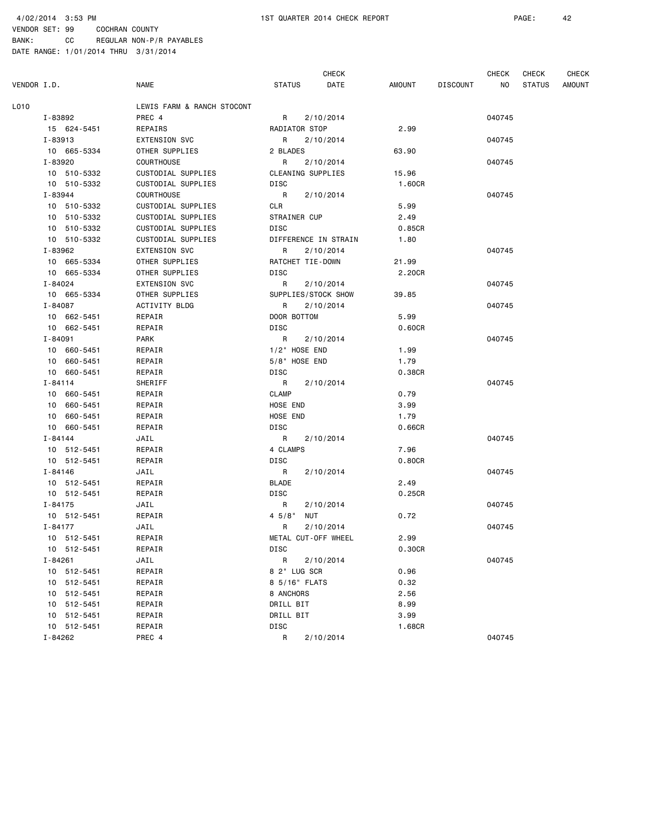|             |                        |                            |                     | <b>CHECK</b>         |               |                 | <b>CHECK</b> | CHECK         | <b>CHECK</b>  |
|-------------|------------------------|----------------------------|---------------------|----------------------|---------------|-----------------|--------------|---------------|---------------|
| VENDOR I.D. |                        | <b>NAME</b>                | <b>STATUS</b>       | DATE                 | <b>AMOUNT</b> | <b>DISCOUNT</b> | NO.          | <b>STATUS</b> | <b>AMOUNT</b> |
| L010        |                        | LEWIS FARM & RANCH STOCONT |                     |                      |               |                 |              |               |               |
|             | I-83892                | PREC 4                     | R                   | 2/10/2014            |               |                 | 040745       |               |               |
|             | 15 624-5451            | REPAIRS                    | RADIATOR STOP       |                      | 2.99          |                 |              |               |               |
|             | I-83913                | EXTENSION SVC              | R                   | 2/10/2014            |               |                 | 040745       |               |               |
|             | 10 665-5334            | OTHER SUPPLIES             | 2 BLADES            |                      | 63.90         |                 |              |               |               |
|             | I-83920                | <b>COURTHOUSE</b>          | R                   | 2/10/2014            |               |                 | 040745       |               |               |
|             | 10 510-5332            | CUSTODIAL SUPPLIES         | CLEANING SUPPLIES   |                      | 15.96         |                 |              |               |               |
|             | 10 510-5332            | CUSTODIAL SUPPLIES         | DISC                |                      | 1.60CR        |                 |              |               |               |
|             | I-83944                | <b>COURTHOUSE</b>          | R                   | 2/10/2014            |               |                 | 040745       |               |               |
|             | 10 510-5332            | CUSTODIAL SUPPLIES         | CLR                 |                      | 5.99          |                 |              |               |               |
|             | 10 510-5332            | CUSTODIAL SUPPLIES         | STRAINER CUP        |                      | 2.49          |                 |              |               |               |
|             | 10 510-5332            | CUSTODIAL SUPPLIES         | <b>DISC</b>         |                      | 0.85CR        |                 |              |               |               |
|             | 10 510-5332            | CUSTODIAL SUPPLIES         |                     | DIFFERENCE IN STRAIN | 1.80          |                 |              |               |               |
|             | I-83962                | <b>EXTENSION SVC</b>       | R                   | 2/10/2014            |               |                 | 040745       |               |               |
|             | 10 665-5334            | OTHER SUPPLIES             | RATCHET TIE-DOWN    |                      | 21.99         |                 |              |               |               |
|             | 10 665-5334            | OTHER SUPPLIES             | DISC                |                      | 2.20CR        |                 |              |               |               |
|             | I-84024                | EXTENSION SVC              | R                   | 2/10/2014            |               |                 | 040745       |               |               |
|             | 10 665-5334            | OTHER SUPPLIES             | SUPPLIES/STOCK SHOW |                      | 39.85         |                 |              |               |               |
|             | I-84087                | ACTIVITY BLDG              | R                   | 2/10/2014            |               |                 | 040745       |               |               |
|             | 10 662-5451            | REPAIR                     | DOOR BOTTOM         |                      | 5.99          |                 |              |               |               |
|             | 10 662-5451            | REPAIR                     | DISC                |                      | 0.60CR        |                 |              |               |               |
|             | $I - 84091$            | <b>PARK</b>                | R                   | 2/10/2014            |               |                 | 040745       |               |               |
|             | 10 660-5451            | REPAIR                     | 1/2" HOSE END       |                      | 1.99          |                 |              |               |               |
|             | 10 660-5451            | REPAIR                     | 5/8" HOSE END       |                      | 1.79          |                 |              |               |               |
|             | 10 660-5451            | REPAIR                     | DISC                |                      | 0.38CR        |                 |              |               |               |
|             | I-84114                | SHERIFF                    | R                   | 2/10/2014            |               |                 | 040745       |               |               |
|             | 10 660-5451            | REPAIR                     | <b>CLAMP</b>        |                      | 0.79          |                 |              |               |               |
|             | 10 660-5451            | REPAIR                     | HOSE END            |                      | 3.99          |                 |              |               |               |
|             | 10 660-5451            | REPAIR                     | HOSE END            |                      | 1.79          |                 |              |               |               |
|             | 10 660-5451            | REPAIR                     | DISC                |                      | 0.66CR        |                 |              |               |               |
|             | $I - 84144$            | JAIL                       | R                   | 2/10/2014            |               |                 | 040745       |               |               |
|             | 10 512-5451            | REPAIR                     | 4 CLAMPS            |                      | 7.96          |                 |              |               |               |
|             | 10 512-5451            | REPAIR                     | DISC                |                      | 0.80CR        |                 |              |               |               |
|             | I-84146                | JAIL                       | R                   | 2/10/2014            |               |                 | 040745       |               |               |
|             | 10 512-5451            | REPAIR                     | <b>BLADE</b>        |                      | 2.49          |                 |              |               |               |
|             | 10 512-5451            | REPAIR                     | DISC                |                      | 0.25CR        |                 |              |               |               |
|             | I-84175<br>10 512-5451 | JAIL                       | R                   | 2/10/2014            | 0.72          |                 | 040745       |               |               |
|             | $I - 84177$            | REPAIR<br>JAIL             | 45/8"<br>NUT<br>R   | 2/10/2014            |               |                 | 040745       |               |               |
|             | 10 512-5451            | REPAIR                     | METAL CUT-OFF WHEEL |                      | 2.99          |                 |              |               |               |
|             | 10 512-5451            | REPAIR                     | DISC                |                      | 0.30CR        |                 |              |               |               |
|             | $I - 84261$            | JAIL                       | R                   | 2/10/2014            |               |                 | 040745       |               |               |
|             | 10 512-5451            | REPAIR                     | 8 2" LUG SCR        |                      | 0.96          |                 |              |               |               |
|             | 10 512-5451            | REPAIR                     | 8 5/16" FLATS       |                      | 0.32          |                 |              |               |               |
|             | 10 512-5451            | REPAIR                     | 8 ANCHORS           |                      | 2.56          |                 |              |               |               |
|             | 10 512-5451            | REPAIR                     | DRILL BIT           |                      | 8.99          |                 |              |               |               |
|             | 10 512-5451            | REPAIR                     | DRILL BIT           |                      | 3.99          |                 |              |               |               |
|             | 10 512-5451            | REPAIR                     | DISC                |                      | 1.68CR        |                 |              |               |               |
|             | I-84262                | PREC 4                     | R                   | 2/10/2014            |               |                 | 040745       |               |               |
|             |                        |                            |                     |                      |               |                 |              |               |               |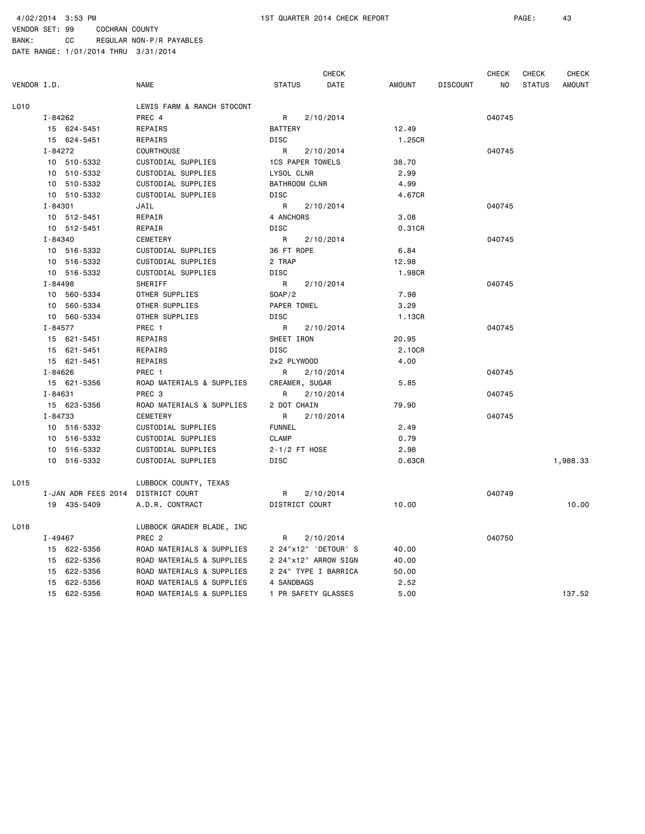|             |                                    |                            |                         | CHECK                |        |                 | <b>CHECK</b>   | CHECK         | <b>CHECK</b>  |
|-------------|------------------------------------|----------------------------|-------------------------|----------------------|--------|-----------------|----------------|---------------|---------------|
| VENDOR I.D. |                                    | <b>NAME</b>                | <b>STATUS</b>           | DATE                 | AMOUNT | <b>DISCOUNT</b> | N <sub>O</sub> | <b>STATUS</b> | <b>AMOUNT</b> |
| L010        |                                    | LEWIS FARM & RANCH STOCONT |                         |                      |        |                 |                |               |               |
|             | I-84262                            | PREC 4                     | R                       | 2/10/2014            |        |                 | 040745         |               |               |
|             | 15 624-5451                        | REPAIRS                    | <b>BATTERY</b>          |                      | 12.49  |                 |                |               |               |
|             | 15 624-5451                        | REPAIRS                    | <b>DISC</b>             |                      | 1.25CR |                 |                |               |               |
|             | I-84272                            | <b>COURTHOUSE</b>          | R                       | 2/10/2014            |        |                 | 040745         |               |               |
|             | 10 510-5332                        | CUSTODIAL SUPPLIES         | <b>1CS PAPER TOWELS</b> |                      | 38.70  |                 |                |               |               |
|             | 10 510-5332                        | CUSTODIAL SUPPLIES         | LYSOL CLNR              |                      | 2.99   |                 |                |               |               |
|             | 10 510-5332                        | CUSTODIAL SUPPLIES         | <b>BATHROOM CLNR</b>    |                      | 4.99   |                 |                |               |               |
|             | 10 510-5332                        | CUSTODIAL SUPPLIES         | DISC                    |                      | 4.67CR |                 |                |               |               |
|             | I-84301                            | JAIL                       | R                       | 2/10/2014            |        |                 | 040745         |               |               |
|             | 10 512-5451                        | REPAIR                     | 4 ANCHORS               |                      | 3.08   |                 |                |               |               |
|             | 10 512-5451                        | REPAIR                     | <b>DISC</b>             |                      | 0.31CR |                 |                |               |               |
|             | I-84340                            | <b>CEMETERY</b>            | $\mathsf{R}$            | 2/10/2014            |        |                 | 040745         |               |               |
|             | 10 516-5332                        | CUSTODIAL SUPPLIES         | 36 FT ROPE              |                      | 6.84   |                 |                |               |               |
|             | 10 516-5332                        | CUSTODIAL SUPPLIES         | 2 TRAP                  |                      | 12.98  |                 |                |               |               |
|             | 10 516-5332                        | CUSTODIAL SUPPLIES         | DISC                    |                      | 1.98CR |                 |                |               |               |
|             | I-84498                            | SHERIFF                    | R                       | 2/10/2014            |        |                 | 040745         |               |               |
|             | 10 560-5334                        | OTHER SUPPLIES             | SOAP/2                  |                      | 7.98   |                 |                |               |               |
|             | 10 560-5334                        | OTHER SUPPLIES             | PAPER TOWEL             |                      | 3.29   |                 |                |               |               |
|             | 10 560-5334                        | OTHER SUPPLIES             | <b>DISC</b>             |                      | 1.13CR |                 |                |               |               |
|             | I-84577                            | PREC 1                     | R                       | 2/10/2014            |        |                 | 040745         |               |               |
|             | 15 621-5451                        | REPAIRS                    | SHEET IRON              |                      | 20.95  |                 |                |               |               |
|             | 15 621-5451                        | REPAIRS                    | <b>DISC</b>             |                      | 2.10CR |                 |                |               |               |
|             | 15 621-5451                        | REPAIRS                    | 2x2 PLYWOOD             |                      | 4.00   |                 |                |               |               |
|             | I-84626                            | PREC 1                     | R                       | 2/10/2014            |        |                 | 040745         |               |               |
|             | 15 621-5356                        | ROAD MATERIALS & SUPPLIES  | CREAMER, SUGAR          |                      | 5.85   |                 |                |               |               |
|             | $I - 84631$                        | PREC 3                     | R                       | 2/10/2014            |        |                 | 040745         |               |               |
|             | 15 623-5356                        | ROAD MATERIALS & SUPPLIES  | 2 DOT CHAIN             |                      | 79.90  |                 |                |               |               |
|             | I-84733                            | <b>CEMETERY</b>            | R                       | 2/10/2014            |        |                 | 040745         |               |               |
|             | 10 516-5332                        | CUSTODIAL SUPPLIES         | <b>FUNNEL</b>           |                      | 2.49   |                 |                |               |               |
|             | 10 516-5332                        | CUSTODIAL SUPPLIES         | <b>CLAMP</b>            |                      | 0.79   |                 |                |               |               |
|             | 10 516-5332                        | CUSTODIAL SUPPLIES         | 2-1/2 FT HOSE           |                      | 2.98   |                 |                |               |               |
|             | 10 516-5332                        | CUSTODIAL SUPPLIES         | DISC                    |                      | 0.63CR |                 |                |               | 1,988.33      |
| L015        |                                    | LUBBOCK COUNTY, TEXAS      |                         |                      |        |                 |                |               |               |
|             | I-JAN ADR FEES 2014 DISTRICT COURT |                            | R                       | 2/10/2014            |        |                 | 040749         |               |               |
|             | 19 435-5409                        | A.D.R. CONTRACT            | DISTRICT COURT          |                      | 10.00  |                 |                |               | 10.00         |
| L018        |                                    | LUBBOCK GRADER BLADE, INC  |                         |                      |        |                 |                |               |               |
|             | I-49467                            | PREC <sub>2</sub>          | R                       | 2/10/2014            |        |                 | 040750         |               |               |
|             | 15 622-5356                        | ROAD MATERIALS & SUPPLIES  | 2 24"x12" 'DETOUR' S    |                      | 40.00  |                 |                |               |               |
|             | 15 622-5356                        | ROAD MATERIALS & SUPPLIES  |                         | 2 24"x12" ARROW SIGN | 40.00  |                 |                |               |               |
|             | 15 622-5356                        | ROAD MATERIALS & SUPPLIES  | 2 24" TYPE I BARRICA    |                      | 50.00  |                 |                |               |               |
|             | 15 622-5356                        | ROAD MATERIALS & SUPPLIES  | 4 SANDBAGS              |                      | 2.52   |                 |                |               |               |
|             | 15 622-5356                        | ROAD MATERIALS & SUPPLIES  | 1 PR SAFETY GLASSES     |                      | 5.00   |                 |                |               | 137.52        |
|             |                                    |                            |                         |                      |        |                 |                |               |               |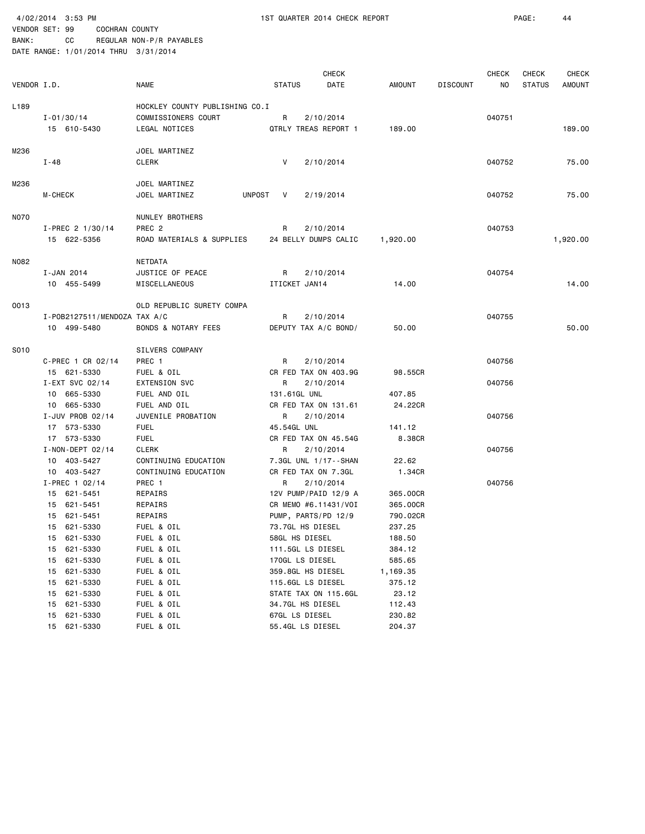4/02/2014 3:53 PM 1ST QUARTER 2014 CHECK REPORT PAGE: 44 VENDOR SET: 99 COCHRAN COUNTY

BANK: CC REGULAR NON-P/R PAYABLES

| VENDOR I.D. |                                                                                                                                                                      | <b>NAME</b>                                                                                                                 | <b>STATUS</b>                                                                                                                                                                                    | <b>CHECK</b><br>DATE | AMOUNT                                                                                         | <b>DISCOUNT</b> | CHECK<br>ΝO | <b>CHECK</b><br><b>STATUS</b> | <b>CHECK</b><br><b>AMOUNT</b> |
|-------------|----------------------------------------------------------------------------------------------------------------------------------------------------------------------|-----------------------------------------------------------------------------------------------------------------------------|--------------------------------------------------------------------------------------------------------------------------------------------------------------------------------------------------|----------------------|------------------------------------------------------------------------------------------------|-----------------|-------------|-------------------------------|-------------------------------|
| L189        | $I - 01/30/14$<br>15 610-5430                                                                                                                                        | HOCKLEY COUNTY PUBLISHING CO.I<br>COMMISSIONERS COURT<br>LEGAL NOTICES                                                      | R<br>QTRLY TREAS REPORT 1                                                                                                                                                                        | 2/10/2014            | 189.00                                                                                         |                 | 040751      |                               | 189,00                        |
| M236        | I-48                                                                                                                                                                 | JOEL MARTINEZ<br>CLERK                                                                                                      | V                                                                                                                                                                                                | 2/10/2014            |                                                                                                |                 | 040752      |                               | 75.00                         |
| M236        | <b>M-CHECK</b>                                                                                                                                                       | JOEL MARTINEZ<br>JOEL MARTINEZ                                                                                              | UNPOST<br>V                                                                                                                                                                                      | 2/19/2014            |                                                                                                |                 | 040752      |                               | 75.00                         |
| N070        | I-PREC 2 1/30/14<br>15 622-5356                                                                                                                                      | NUNLEY BROTHERS<br>PREC <sub>2</sub><br>ROAD MATERIALS & SUPPLIES                                                           | R<br>24 BELLY DUMPS CALIC                                                                                                                                                                        | 2/10/2014            | 1,920.00                                                                                       |                 | 040753      |                               | 1,920.00                      |
| N082        | I-JAN 2014<br>10 455-5499                                                                                                                                            | NETDATA<br>JUSTICE OF PEACE<br>MISCELLANEOUS                                                                                | R<br>ITICKET JAN14                                                                                                                                                                               | 2/10/2014            | 14.00                                                                                          |                 | 040754      |                               | 14.00                         |
| 0013        | I-P0B2127511/MEND0ZA TAX A/C<br>10 499-5480                                                                                                                          | OLD REPUBLIC SURETY COMPA<br>BONDS & NOTARY FEES                                                                            | R<br>DEPUTY TAX A/C BOND/                                                                                                                                                                        | 2/10/2014            | 50.00                                                                                          |                 | 040755      |                               | 50.00                         |
| S010        | C-PREC 1 CR 02/14<br>15 621-5330                                                                                                                                     | SILVERS COMPANY<br>PREC 1<br>FUEL & OIL                                                                                     | R<br>CR FED TAX ON 403.9G                                                                                                                                                                        | 2/10/2014            | 98.55CR                                                                                        |                 | 040756      |                               |                               |
|             | I-EXT SVC 02/14<br>10 665-5330<br>10 665-5330                                                                                                                        | <b>EXTENSION SVC</b><br>FUEL AND OIL<br>FUEL AND OIL                                                                        | R<br>131.61GL UNL<br>CR FED TAX ON 131.61                                                                                                                                                        | 2/10/2014            | 407.85<br>24.22CR                                                                              |                 | 040756      |                               |                               |
|             | I-JUV PROB 02/14<br>17 573-5330<br>17 573-5330                                                                                                                       | JUVENILE PROBATION<br><b>FUEL</b><br><b>FUEL</b>                                                                            | R<br>45.54GL UNL<br>CR FED TAX ON 45.54G                                                                                                                                                         | 2/10/2014            | 141.12<br>8.38CR                                                                               |                 | 040756      |                               |                               |
|             | $I - NON - DEPT 02/14$<br>10 403-5427<br>10 403-5427                                                                                                                 | <b>CLERK</b><br>CONTINUING EDUCATION<br>CONTINUING EDUCATION                                                                | R<br>7.3GL UNL 1/17--SHAN<br>CR FED TAX ON 7.3GL                                                                                                                                                 | 2/10/2014            | 22.62<br>1.34CR                                                                                |                 | 040756      |                               |                               |
|             | I-PREC 1 02/14<br>15 621-5451<br>15 621-5451<br>15 621-5451<br>15 621-5330<br>15<br>621-5330<br>621-5330<br>15<br>621-5330<br>15<br>621-5330<br>15<br>621-5330<br>15 | PREC 1<br>REPAIRS<br>REPAIRS<br>REPAIRS<br>FUEL & OIL<br>FUEL & OIL<br>FUEL & OIL<br>FUEL & OIL<br>FUEL & OIL<br>FUEL & OIL | R<br>12V PUMP/PAID 12/9 A<br>CR MEMO #6.11431/VOI<br>PUMP, PARTS/PD 12/9<br>73.7GL HS DIESEL<br>58GL HS DIESEL<br>111.5GL LS DIESEL<br>170GL LS DIESEL<br>359.8GL HS DIESEL<br>115.6GL LS DIESEL | 2/10/2014            | 365.00CR<br>365.00CR<br>790.02CR<br>237.25<br>188.50<br>384.12<br>585.65<br>1,169.35<br>375.12 |                 | 040756      |                               |                               |
|             | 621-5330<br>15<br>621-5330<br>15<br>621-5330<br>15<br>15 621-5330                                                                                                    | FUEL & OIL<br>FUEL & OIL<br>FUEL & OIL<br>FUEL & OIL                                                                        | STATE TAX ON 115.6GL<br>34.7GL HS DIESEL<br>67GL LS DIESEL<br>55.4GL LS DIESEL                                                                                                                   |                      | 23.12<br>112.43<br>230.82<br>204.37                                                            |                 |             |                               |                               |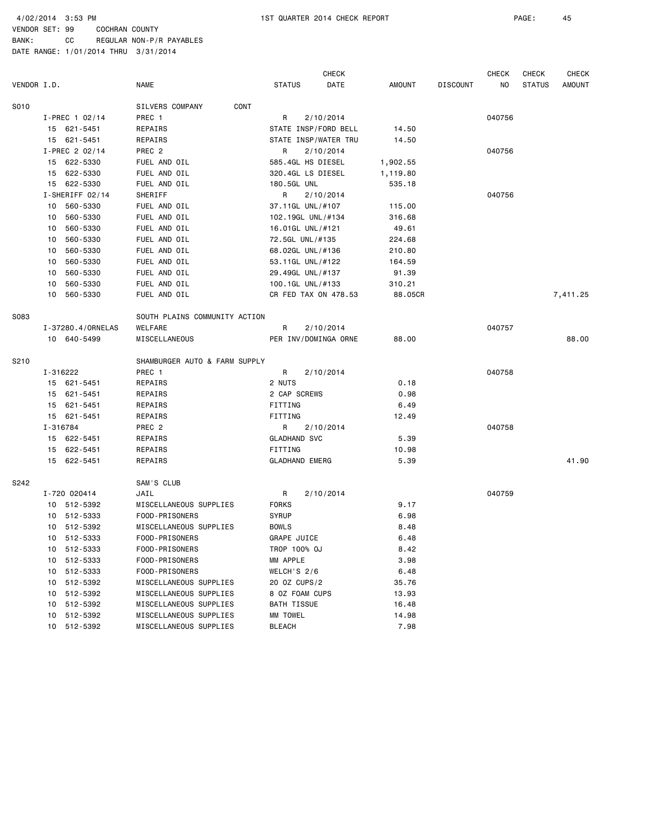4/02/2014 3:53 PM 1ST QUARTER 2014 CHECK REPORT PAGE: 45

VENDOR SET: 99 COCHRAN COUNTY BANK: CC REGULAR NON-P/R PAYABLES

|             |          |                   |                               |                       | <b>CHECK</b> |          |                 | <b>CHECK</b> | <b>CHECK</b>  | <b>CHECK</b> |
|-------------|----------|-------------------|-------------------------------|-----------------------|--------------|----------|-----------------|--------------|---------------|--------------|
| VENDOR I.D. |          |                   | NAME                          | <b>STATUS</b>         | DATE         | AMOUNT   | <b>DISCOUNT</b> | ΝO           | <b>STATUS</b> | AMOUNT       |
| S010        |          |                   | SILVERS COMPANY               | CONT                  |              |          |                 |              |               |              |
|             |          | $I-PREC$ 1 02/14  | PREC 1                        | R                     | 2/10/2014    |          |                 | 040756       |               |              |
|             |          | 15 621-5451       | REPAIRS                       | STATE INSP/FORD BELL  |              | 14.50    |                 |              |               |              |
|             |          | 15 621-5451       | REPAIRS                       | STATE INSP/WATER TRU  |              | 14.50    |                 |              |               |              |
|             |          | I-PREC 2 02/14    | PREC <sub>2</sub>             | R                     | 2/10/2014    |          |                 | 040756       |               |              |
|             |          | 15 622-5330       | FUEL AND OIL                  | 585.4GL HS DIESEL     |              | 1,902.55 |                 |              |               |              |
|             |          | 15 622-5330       | FUEL AND OIL                  | 320.4GL LS DIESEL     |              | 1,119.80 |                 |              |               |              |
|             |          | 15 622-5330       | FUEL AND OIL                  | 180.5GL UNL           |              | 535.18   |                 |              |               |              |
|             |          | I-SHERIFF 02/14   | SHERIFF                       | R                     | 2/10/2014    |          |                 | 040756       |               |              |
|             | 10       | 560-5330          | FUEL AND OIL                  | 37.11GL UNL/#107      |              | 115.00   |                 |              |               |              |
|             | 10       | 560-5330          | FUEL AND OIL                  | 102.19GL UNL/#134     |              | 316.68   |                 |              |               |              |
|             | 10       | 560-5330          | FUEL AND OIL                  | 16.01GL UNL/#121      |              | 49.61    |                 |              |               |              |
|             | 10       | 560-5330          | FUEL AND OIL                  | 72.5GL UNL/#135       |              | 224.68   |                 |              |               |              |
|             | 10       | 560-5330          | FUEL AND OIL                  | 68.02GL UNL/#136      |              | 210.80   |                 |              |               |              |
|             | 10       | 560-5330          | FUEL AND OIL                  | 53.11GL UNL/#122      |              | 164.59   |                 |              |               |              |
|             | 10       | 560-5330          | FUEL AND OIL                  | 29.49GL UNL/#137      |              | 91.39    |                 |              |               |              |
|             | 10       | 560-5330          | FUEL AND OIL                  | 100.1GL UNL/#133      |              | 310.21   |                 |              |               |              |
|             | 10       | 560-5330          | FUEL AND OIL                  | CR FED TAX ON 478.53  |              | 88.05CR  |                 |              |               | 7,411.25     |
| S083        |          |                   | SOUTH PLAINS COMMUNITY ACTION |                       |              |          |                 |              |               |              |
|             |          | I-37280.4/0RNELAS | WELFARE                       | R                     | 2/10/2014    |          |                 | 040757       |               |              |
|             |          | 10 640-5499       | MISCELLANEOUS                 | PER INV/DOMINGA ORNE  |              | 88.00    |                 |              |               | 88.00        |
| S210        |          |                   | SHAMBURGER AUTO & FARM SUPPLY |                       |              |          |                 |              |               |              |
|             |          | I-316222          | PREC 1                        | R                     | 2/10/2014    |          |                 | 040758       |               |              |
|             |          | 15 621-5451       | REPAIRS                       | 2 NUTS                |              | 0.18     |                 |              |               |              |
|             |          | 15 621-5451       | REPAIRS                       | 2 CAP SCREWS          |              | 0.98     |                 |              |               |              |
|             |          | 15 621-5451       | REPAIRS                       | FITTING               |              | 6.49     |                 |              |               |              |
|             |          | 15 621-5451       | REPAIRS                       | FITTING               |              | 12.49    |                 |              |               |              |
|             | I-316784 |                   | PREC 2                        | R                     | 2/10/2014    |          |                 | 040758       |               |              |
|             |          | 15 622-5451       | REPAIRS                       | <b>GLADHAND SVC</b>   |              | 5.39     |                 |              |               |              |
|             |          | 15 622-5451       | REPAIRS                       | FITTING               |              | 10.98    |                 |              |               |              |
|             |          | 15 622-5451       | REPAIRS                       | <b>GLADHAND EMERG</b> |              | 5.39     |                 |              |               | 41.90        |
| S242        |          |                   | SAM'S CLUB                    |                       |              |          |                 |              |               |              |
|             |          | I-720 020414      | JAIL                          | R                     | 2/10/2014    |          |                 | 040759       |               |              |
|             |          | 10 512-5392       | MISCELLANEOUS SUPPLIES        | <b>FORKS</b>          |              | 9.17     |                 |              |               |              |
|             | 10       | 512-5333          | FOOD-PRISONERS                | <b>SYRUP</b>          |              | 6.98     |                 |              |               |              |
|             | 10       | 512-5392          | MISCELLANEOUS SUPPLIES        | <b>BOWLS</b>          |              | 8.48     |                 |              |               |              |
|             |          | 10 512-5333       | FOOD-PRISONERS                | <b>GRAPE JUICE</b>    |              | 6.48     |                 |              |               |              |
|             | 10       | 512-5333          | FOOD-PRISONERS                | TROP 100% OJ          |              | 8.42     |                 |              |               |              |
|             | 10       | 512-5333          | FOOD-PRISONERS                | MM APPLE              |              | 3.98     |                 |              |               |              |
|             | 10       | 512-5333          | FOOD-PRISONERS                | WELCH'S 2/6           |              | 6.48     |                 |              |               |              |
|             | 10       | 512-5392          | MISCELLANEOUS SUPPLIES        | 20 OZ CUPS/2          |              | 35.76    |                 |              |               |              |
|             | 10       | 512-5392          | MISCELLANEOUS SUPPLIES        | 8 OZ FOAM CUPS        |              | 13.93    |                 |              |               |              |
|             | 10       | 512-5392          | MISCELLANEOUS SUPPLIES        | BATH TISSUE           |              | 16.48    |                 |              |               |              |
|             | 10       | 512-5392          | MISCELLANEOUS SUPPLIES        | MM TOWEL              |              | 14.98    |                 |              |               |              |
|             |          | 10 512-5392       | MISCELLANEOUS SUPPLIES        | BLEACH                |              | 7.98     |                 |              |               |              |
|             |          |                   |                               |                       |              |          |                 |              |               |              |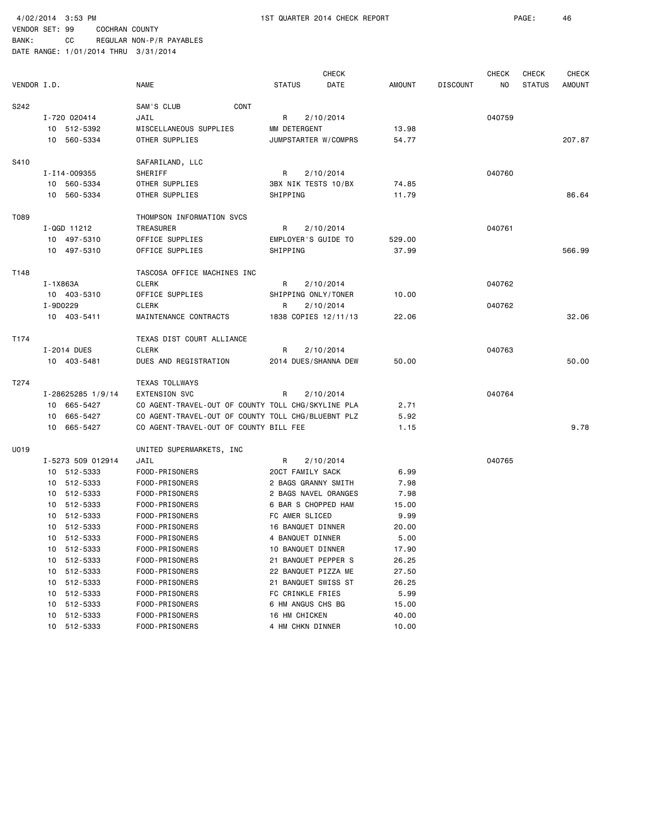|             |          |                   |                                                    |                     | <b>CHECK</b>         |        |                 | CHECK  | <b>CHECK</b>  | <b>CHECK</b>  |
|-------------|----------|-------------------|----------------------------------------------------|---------------------|----------------------|--------|-----------------|--------|---------------|---------------|
| VENDOR I.D. |          |                   | NAME                                               | <b>STATUS</b>       | DATE                 | AMOUNT | <b>DISCOUNT</b> | ΝO     | <b>STATUS</b> | <b>AMOUNT</b> |
| S242        |          |                   | CONT<br>SAM'S CLUB                                 |                     |                      |        |                 |        |               |               |
|             |          | I-720 020414      | JAIL                                               | R                   | 2/10/2014            |        |                 | 040759 |               |               |
|             |          | 10 512-5392       | MISCELLANEOUS SUPPLIES                             | MM DETERGENT        |                      | 13.98  |                 |        |               |               |
|             |          | 10 560-5334       | OTHER SUPPLIES                                     |                     | JUMPSTARTER W/COMPRS | 54.77  |                 |        |               | 207.87        |
| S410        |          |                   | SAFARILAND, LLC                                    |                     |                      |        |                 |        |               |               |
|             |          | I-I14-009355      | SHERIFF                                            | R                   | 2/10/2014            |        |                 | 040760 |               |               |
|             |          | 10 560-5334       | OTHER SUPPLIES                                     | 3BX NIK TESTS 10/BX |                      | 74.85  |                 |        |               |               |
|             |          | 10 560-5334       | OTHER SUPPLIES                                     | SHIPPING            |                      | 11.79  |                 |        |               | 86.64         |
| T089        |          |                   | THOMPSON INFORMATION SVCS                          |                     |                      |        |                 |        |               |               |
|             |          | $I-QGD$ 11212     | TREASURER                                          | R                   | 2/10/2014            |        |                 | 040761 |               |               |
|             |          | 10 497-5310       | OFFICE SUPPLIES                                    | EMPLOYER'S GUIDE TO |                      | 529.00 |                 |        |               |               |
|             |          | 10 497-5310       | OFFICE SUPPLIES                                    | SHIPPING            |                      | 37.99  |                 |        |               | 566.99        |
| T148        |          |                   | TASCOSA OFFICE MACHINES INC                        |                     |                      |        |                 |        |               |               |
|             | I-1X863A |                   | <b>CLERK</b>                                       | R                   | 2/10/2014            |        |                 | 040762 |               |               |
|             |          | 10 403-5310       | OFFICE SUPPLIES                                    | SHIPPING ONLY/TONER |                      | 10.00  |                 |        |               |               |
|             | I-9D0229 |                   | <b>CLERK</b>                                       | R                   | 2/10/2014            |        |                 | 040762 |               |               |
|             |          | 10 403-5411       | MAINTENANCE CONTRACTS                              |                     | 1838 COPIES 12/11/13 | 22.06  |                 |        |               | 32.06         |
| T174        |          |                   | TEXAS DIST COURT ALLIANCE                          |                     |                      |        |                 |        |               |               |
|             |          | I-2014 DUES       | <b>CLERK</b>                                       | R                   | 2/10/2014            |        |                 | 040763 |               |               |
|             |          | 10 403-5481       | DUES AND REGISTRATION                              |                     | 2014 DUES/SHANNA DEW | 50.00  |                 |        |               | 50.00         |
| T274        |          |                   | <b>TEXAS TOLLWAYS</b>                              |                     |                      |        |                 |        |               |               |
|             |          | I-28625285 1/9/14 | <b>EXTENSION SVC</b>                               | R                   | 2/10/2014            |        |                 | 040764 |               |               |
|             |          | 10 665-5427       | CO AGENT-TRAVEL-OUT OF COUNTY TOLL CHG/SKYLINE PLA |                     |                      | 2.71   |                 |        |               |               |
|             |          | 10 665-5427       | CO AGENT-TRAVEL-OUT OF COUNTY TOLL CHG/BLUEBNT PLZ |                     |                      | 5.92   |                 |        |               |               |
|             |          | 10 665-5427       | CO AGENT-TRAVEL-OUT OF COUNTY BILL FEE             |                     |                      | 1.15   |                 |        |               | 9.78          |
| U019        |          |                   | UNITED SUPERMARKETS, INC                           |                     |                      |        |                 |        |               |               |
|             |          | I-5273 509 012914 | JAIL                                               | R                   | 2/10/2014            |        |                 | 040765 |               |               |
|             |          | 10 512-5333       | FOOD-PRISONERS                                     | 20CT FAMILY SACK    |                      | 6.99   |                 |        |               |               |
|             |          | 10 512-5333       | FOOD-PRISONERS                                     | 2 BAGS GRANNY SMITH |                      | 7.98   |                 |        |               |               |
|             |          | 10 512-5333       | FOOD-PRISONERS                                     |                     | 2 BAGS NAVEL ORANGES | 7.98   |                 |        |               |               |
|             |          | 10 512-5333       | FOOD-PRISONERS                                     | 6 BAR S CHOPPED HAM |                      | 15.00  |                 |        |               |               |
|             |          | 10 512-5333       | FOOD-PRISONERS                                     | FC AMER SLICED      |                      | 9.99   |                 |        |               |               |
|             |          | 10 512-5333       | FOOD-PRISONERS                                     | 16 BANQUET DINNER   |                      | 20.00  |                 |        |               |               |
|             |          | 10 512-5333       | FOOD-PRISONERS                                     | 4 BANQUET DINNER    |                      | 5.00   |                 |        |               |               |
|             | 10       | 512-5333          | FOOD-PRISONERS                                     | 10 BANQUET DINNER   |                      | 17.90  |                 |        |               |               |
|             | 10       | 512-5333          | FOOD-PRISONERS                                     | 21 BANQUET PEPPER S |                      | 26.25  |                 |        |               |               |
|             | 10       | 512-5333          | FOOD-PRISONERS                                     | 22 BANQUET PIZZA ME |                      | 27.50  |                 |        |               |               |
|             | 10       | 512-5333          | FOOD-PRISONERS                                     | 21 BANQUET SWISS ST |                      | 26.25  |                 |        |               |               |
|             | 10       | 512-5333          | FOOD-PRISONERS                                     | FC CRINKLE FRIES    |                      | 5.99   |                 |        |               |               |
|             | 10       | 512-5333          | FOOD-PRISONERS                                     | 6 HM ANGUS CHS BG   |                      | 15.00  |                 |        |               |               |
|             | 10       | 512-5333          | FOOD-PRISONERS                                     | 16 HM CHICKEN       |                      | 40.00  |                 |        |               |               |
|             | 10       | 512-5333          | FOOD-PRISONERS                                     | 4 HM CHKN DINNER    |                      | 10.00  |                 |        |               |               |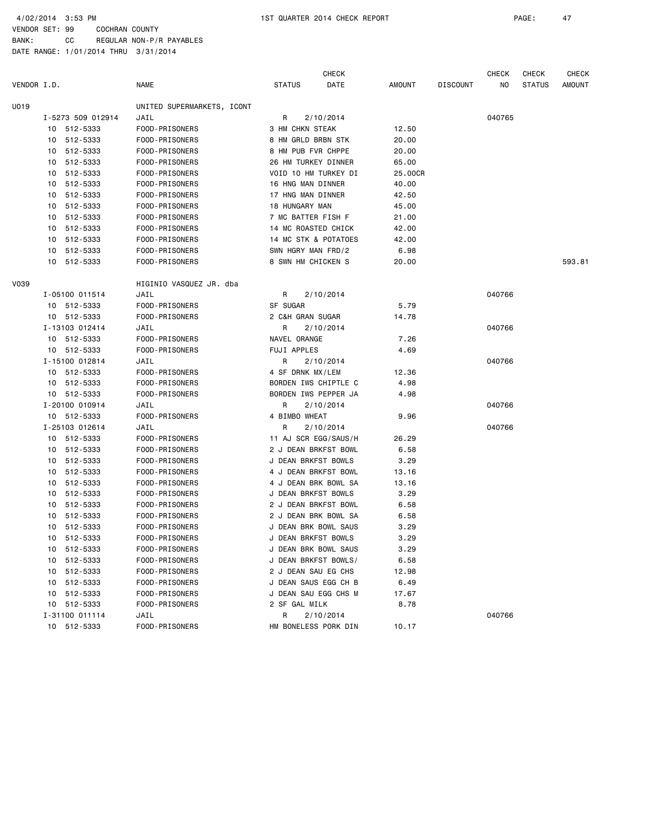4/02/2014 3:53 PM 1ST QUARTER 2014 CHECK REPORT PAGE: 47

VENDOR SET: 99 COCHRAN COUNTY BANK: CC REGULAR NON-P/R PAYABLES

|             |                   |                            |                        | <b>CHECK</b>         |         |                 | <b>CHECK</b> | <b>CHECK</b>  | <b>CHECK</b>  |
|-------------|-------------------|----------------------------|------------------------|----------------------|---------|-----------------|--------------|---------------|---------------|
| VENDOR I.D. |                   | <b>NAME</b>                | <b>STATUS</b>          | DATE                 | AMOUNT  | <b>DISCOUNT</b> | ΝO           | <b>STATUS</b> | <b>AMOUNT</b> |
| U019        |                   | UNITED SUPERMARKETS, ICONT |                        |                      |         |                 |              |               |               |
|             | I-5273 509 012914 | JAIL                       | R                      | 2/10/2014            |         |                 | 040765       |               |               |
|             | 10 512-5333       | FOOD-PRISONERS             | <b>3 HM CHKN STEAK</b> |                      | 12.50   |                 |              |               |               |
|             | 10 512-5333       | FOOD-PRISONERS             | 8 HM GRLD BRBN STK     |                      | 20.00   |                 |              |               |               |
|             | 10 512-5333       | FOOD-PRISONERS             | 8 HM PUB FVR CHPPE     |                      | 20.00   |                 |              |               |               |
|             | 512-5333<br>10    | FOOD-PRISONERS             | 26 HM TURKEY DINNER    |                      | 65.00   |                 |              |               |               |
|             | 512-5333<br>10    | FOOD-PRISONERS             | VOID 10 HM TURKEY DI   |                      | 25.00CR |                 |              |               |               |
|             | 512-5333<br>10    | FOOD-PRISONERS             | 16 HNG MAN DINNER      |                      | 40.00   |                 |              |               |               |
|             | 512-5333<br>10    | FOOD-PRISONERS             | 17 HNG MAN DINNER      |                      | 42.50   |                 |              |               |               |
|             | 512-5333<br>10    | FOOD-PRISONERS             | 18 HUNGARY MAN         |                      | 45.00   |                 |              |               |               |
|             | 512-5333<br>10    | FOOD-PRISONERS             | 7 MC BATTER FISH F     |                      | 21.00   |                 |              |               |               |
|             | 512-5333<br>10    | FOOD-PRISONERS             | 14 MC ROASTED CHICK    |                      | 42.00   |                 |              |               |               |
|             | 512-5333<br>10    | FOOD-PRISONERS             |                        | 14 MC STK & POTATOES | 42.00   |                 |              |               |               |
|             | 512-5333<br>10    | FOOD-PRISONERS             | SWN HGRY MAN FRD/2     |                      | 6.98    |                 |              |               |               |
|             | 10<br>512-5333    | FOOD-PRISONERS             | 8 SWN HM CHICKEN S     |                      | 20.00   |                 |              |               | 593.81        |
| V039        |                   | HIGINIO VASQUEZ JR. dba    |                        |                      |         |                 |              |               |               |
|             | I-05100 011514    | JAIL                       | R                      | 2/10/2014            |         |                 | 040766       |               |               |
|             | 10 512-5333       | FOOD-PRISONERS             | SF SUGAR               |                      | 5.79    |                 |              |               |               |
|             | 10 512-5333       | FOOD-PRISONERS             | 2 C&H GRAN SUGAR       |                      | 14.78   |                 |              |               |               |
|             | I-13103 012414    | JAIL                       | R                      | 2/10/2014            |         |                 | 040766       |               |               |
|             | 10 512-5333       | FOOD-PRISONERS             | NAVEL ORANGE           |                      | 7.26    |                 |              |               |               |
|             | 10 512-5333       | FOOD-PRISONERS             | FUJI APPLES            |                      | 4.69    |                 |              |               |               |
|             | I-15100 012814    | JAIL                       | R                      | 2/10/2014            |         |                 | 040766       |               |               |
|             | 10 512-5333       | FOOD-PRISONERS             | 4 SF DRNK MX/LEM       |                      | 12.36   |                 |              |               |               |
|             | 10 512-5333       | FOOD-PRISONERS             | BORDEN IWS CHIPTLE C   |                      | 4.98    |                 |              |               |               |
|             | 10 512-5333       | FOOD-PRISONERS             |                        | BORDEN IWS PEPPER JA | 4.98    |                 |              |               |               |
|             | I-20100 010914    | JAIL                       | R                      | 2/10/2014            |         |                 | 040766       |               |               |
|             | 10 512-5333       | FOOD-PRISONERS             | 4 BIMBO WHEAT          |                      | 9.96    |                 |              |               |               |
|             | I-25103 012614    | JAIL                       | R                      | 2/10/2014            |         |                 | 040766       |               |               |
|             | 10 512-5333       | FOOD-PRISONERS             |                        | 11 AJ SCR EGG/SAUS/H | 26.29   |                 |              |               |               |
|             | 10 512-5333       | FOOD-PRISONERS             | 2 J DEAN BRKFST BOWL   |                      | 6.58    |                 |              |               |               |
|             | 512-5333<br>10    | FOOD-PRISONERS             | J DEAN BRKFST BOWLS    |                      | 3.29    |                 |              |               |               |
|             | 512-5333<br>10    | FOOD-PRISONERS             |                        | 4 J DEAN BRKFST BOWL | 13.16   |                 |              |               |               |
|             | 512-5333<br>10    | FOOD-PRISONERS             |                        | 4 J DEAN BRK BOWL SA | 13.16   |                 |              |               |               |
|             | 512-5333<br>10    | FOOD-PRISONERS             | J DEAN BRKFST BOWLS    |                      | 3.29    |                 |              |               |               |
|             | 512-5333<br>10    | FOOD-PRISONERS             |                        | 2 J DEAN BRKFST BOWL | 6.58    |                 |              |               |               |
|             | 512-5333<br>10    | FOOD-PRISONERS             |                        | 2 J DEAN BRK BOWL SA | 6.58    |                 |              |               |               |
|             | 512-5333<br>10    | FOOD-PRISONERS             | J DEAN BRK BOWL SAUS   |                      | 3.29    |                 |              |               |               |
|             | 10 512-5333       | FOOD-PRISONERS             | J DEAN BRKFST BOWLS    |                      | 3.29    |                 |              |               |               |
|             | 10 512-5333       | FOOD-PRISONERS             |                        | J DEAN BRK BOWL SAUS | 3.29    |                 |              |               |               |
|             | 512-5333<br>10    | FOOD-PRISONERS             |                        | J DEAN BRKFST BOWLS/ | 6.58    |                 |              |               |               |
|             | 512-5333<br>10    | FOOD-PRISONERS             | 2 J DEAN SAU EG CHS    |                      | 12.98   |                 |              |               |               |
|             | 512-5333<br>10    | FOOD-PRISONERS             |                        | J DEAN SAUS EGG CH B | 6.49    |                 |              |               |               |
|             | 10 512-5333       | FOOD-PRISONERS             |                        | J DEAN SAU EGG CHS M | 17.67   |                 |              |               |               |
|             | 10 512-5333       | FOOD-PRISONERS             | 2 SF GAL MILK          |                      | 8.78    |                 |              |               |               |
|             | I-31100 011114    | JAIL                       | R                      | 2/10/2014            |         |                 | 040766       |               |               |
|             | 10 512-5333       | FOOD-PRISONERS             |                        | HM BONELESS PORK DIN | 10.17   |                 |              |               |               |
|             |                   |                            |                        |                      |         |                 |              |               |               |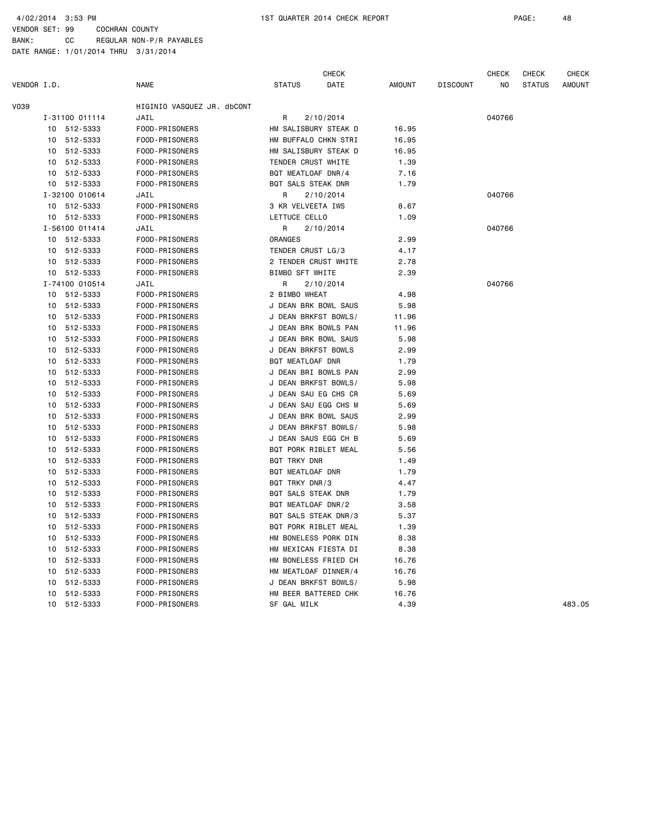|             |    |                |                            |                     | <b>CHECK</b>         |               |                 | CHECK  | CHECK         | <b>CHECK</b>  |
|-------------|----|----------------|----------------------------|---------------------|----------------------|---------------|-----------------|--------|---------------|---------------|
| VENDOR I.D. |    |                | <b>NAME</b>                | <b>STATUS</b>       | DATE                 | <b>AMOUNT</b> | <b>DISCOUNT</b> | NO.    | <b>STATUS</b> | <b>AMOUNT</b> |
| V039        |    |                | HIGINIO VASQUEZ JR. dbCONT |                     |                      |               |                 |        |               |               |
|             |    | I-31100 011114 | JAIL                       | R                   | 2/10/2014            |               |                 | 040766 |               |               |
|             |    | 10 512-5333    | FOOD-PRISONERS             |                     | HM SALISBURY STEAK D | 16.95         |                 |        |               |               |
|             |    | 10 512-5333    | FOOD-PRISONERS             |                     | HM BUFFALO CHKN STRI | 16.95         |                 |        |               |               |
|             |    | 10 512-5333    | FOOD-PRISONERS             |                     | HM SALISBURY STEAK D | 16.95         |                 |        |               |               |
|             |    | 10 512-5333    | FOOD-PRISONERS             | TENDER CRUST WHITE  |                      | 1.39          |                 |        |               |               |
|             | 10 | 512-5333       | FOOD-PRISONERS             | BQT MEATLOAF DNR/4  |                      | 7.16          |                 |        |               |               |
|             |    | 10 512-5333    | FOOD-PRISONERS             | BQT SALS STEAK DNR  |                      | 1.79          |                 |        |               |               |
|             |    | I-32100 010614 | JAIL                       | R                   | 2/10/2014            |               |                 | 040766 |               |               |
|             |    | 10 512-5333    | FOOD-PRISONERS             | 3 KR VELVEETA IWS   |                      | 8.67          |                 |        |               |               |
|             | 10 | 512-5333       | FOOD-PRISONERS             | LETTUCE CELLO       |                      | 1.09          |                 |        |               |               |
|             |    | I-56100 011414 | JAIL                       | R                   | 2/10/2014            |               |                 | 040766 |               |               |
|             |    | 10 512-5333    | FOOD-PRISONERS             | ORANGES             |                      | 2.99          |                 |        |               |               |
|             | 10 | 512-5333       | FOOD-PRISONERS             | TENDER CRUST LG/3   |                      | 4.17          |                 |        |               |               |
|             |    | 10 512-5333    | FOOD-PRISONERS             |                     | 2 TENDER CRUST WHITE | 2.78          |                 |        |               |               |
|             |    | 10 512-5333    | FOOD-PRISONERS             | BIMBO SFT WHITE     |                      | 2.39          |                 |        |               |               |
|             |    | I-74100 010514 | JAIL                       | R                   | 2/10/2014            |               |                 | 040766 |               |               |
|             | 10 | 512-5333       | FOOD-PRISONERS             | 2 BIMBO WHEAT       |                      | 4.98          |                 |        |               |               |
|             | 10 | 512-5333       | FOOD-PRISONERS             |                     | J DEAN BRK BOWL SAUS | 5.98          |                 |        |               |               |
|             | 10 | 512-5333       | FOOD-PRISONERS             |                     | J DEAN BRKFST BOWLS/ | 11.96         |                 |        |               |               |
|             | 10 | 512-5333       | FOOD-PRISONERS             |                     | J DEAN BRK BOWLS PAN | 11.96         |                 |        |               |               |
|             | 10 | 512-5333       | FOOD-PRISONERS             |                     | J DEAN BRK BOWL SAUS | 5.98          |                 |        |               |               |
|             | 10 | 512-5333       | FOOD-PRISONERS             | J DEAN BRKFST BOWLS |                      | 2.99          |                 |        |               |               |
|             | 10 | 512-5333       | FOOD-PRISONERS             | BQT MEATLOAF DNR    |                      | 1.79          |                 |        |               |               |
|             | 10 | 512-5333       | FOOD-PRISONERS             |                     | J DEAN BRI BOWLS PAN | 2.99          |                 |        |               |               |
|             | 10 | 512-5333       | FOOD-PRISONERS             |                     | J DEAN BRKFST BOWLS/ | 5.98          |                 |        |               |               |
|             |    | 10 512-5333    | FOOD-PRISONERS             |                     | J DEAN SAU EG CHS CR | 5.69          |                 |        |               |               |
|             |    | 10 512-5333    | FOOD-PRISONERS             |                     | J DEAN SAU EGG CHS M | 5.69          |                 |        |               |               |
|             |    | 10 512-5333    | FOOD-PRISONERS             |                     | J DEAN BRK BOWL SAUS | 2.99          |                 |        |               |               |
|             |    | 10 512-5333    | FOOD-PRISONERS             |                     | J DEAN BRKFST BOWLS/ | 5.98          |                 |        |               |               |
|             |    | 10 512-5333    | FOOD-PRISONERS             |                     | J DEAN SAUS EGG CH B | 5.69          |                 |        |               |               |
|             | 10 | 512-5333       | FOOD-PRISONERS             |                     | BQT PORK RIBLET MEAL | 5.56          |                 |        |               |               |
|             | 10 | 512-5333       | FOOD-PRISONERS             | BQT TRKY DNR        |                      | 1.49          |                 |        |               |               |
|             | 10 | 512-5333       | FOOD-PRISONERS             | BQT MEATLOAF DNR    |                      | 1.79          |                 |        |               |               |
|             | 10 | 512-5333       | FOOD-PRISONERS             | BQT TRKY DNR/3      |                      | 4.47          |                 |        |               |               |
|             | 10 | 512-5333       | FOOD-PRISONERS             | BQT SALS STEAK DNR  |                      | 1.79          |                 |        |               |               |
|             | 10 | 512-5333       | FOOD-PRISONERS             | BQT MEATLOAF DNR/2  |                      | 3.58          |                 |        |               |               |
|             | 10 | 512-5333       | FOOD-PRISONERS             |                     | BQT SALS STEAK DNR/3 | 5.37          |                 |        |               |               |
|             | 10 | 512-5333       | FOOD-PRISONERS             |                     | BQT PORK RIBLET MEAL | 1.39          |                 |        |               |               |
|             | 10 | 512-5333       | FOOD-PRISONERS             |                     | HM BONELESS PORK DIN | 8.38          |                 |        |               |               |
|             | 10 | 512-5333       | FOOD-PRISONERS             |                     | HM MEXICAN FIESTA DI | 8.38          |                 |        |               |               |
|             | 10 | 512-5333       | FOOD-PRISONERS             |                     | HM BONELESS FRIED CH | 16.76         |                 |        |               |               |
|             | 10 | 512-5333       | FOOD-PRISONERS             |                     | HM MEATLOAF DINNER/4 | 16.76         |                 |        |               |               |
|             | 10 | 512-5333       | FOOD-PRISONERS             |                     | J DEAN BRKFST BOWLS/ | 5.98          |                 |        |               |               |
|             | 10 | 512-5333       | FOOD-PRISONERS             |                     | HM BEER BATTERED CHK | 16.76         |                 |        |               |               |
|             | 10 | 512-5333       | FOOD-PRISONERS             | SF GAL MILK         |                      | 4.39          |                 |        |               | 483.05        |
|             |    |                |                            |                     |                      |               |                 |        |               |               |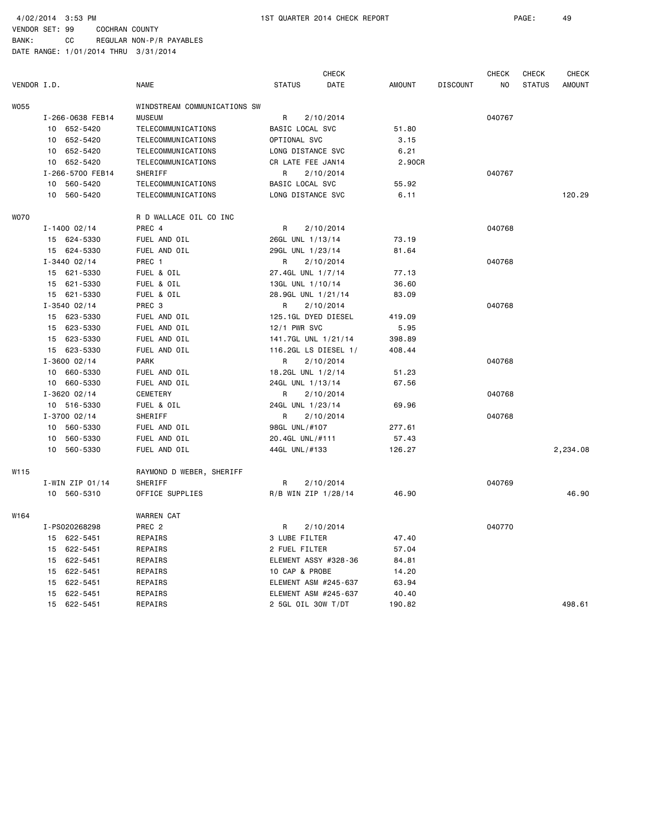4/02/2014 3:53 PM 1ST QUARTER 2014 CHECK REPORT PAGE: 49

VENDOR SET: 99 COCHRAN COUNTY BANK: CC REGULAR NON-P/R PAYABLES

|             |                   |                              |                      | <b>CHECK</b>         |               |                 | <b>CHECK</b> | <b>CHECK</b>  | <b>CHECK</b>  |
|-------------|-------------------|------------------------------|----------------------|----------------------|---------------|-----------------|--------------|---------------|---------------|
| VENDOR I.D. |                   | <b>NAME</b>                  | <b>STATUS</b>        | DATE                 | <b>AMOUNT</b> | <b>DISCOUNT</b> | NO           | <b>STATUS</b> | <b>AMOUNT</b> |
| W055        |                   | WINDSTREAM COMMUNICATIONS SW |                      |                      |               |                 |              |               |               |
|             | I-266-0638 FEB14  | <b>MUSEUM</b>                | R                    | 2/10/2014            |               |                 | 040767       |               |               |
|             | 10 652-5420       | TELECOMMUNICATIONS           | BASIC LOCAL SVC      |                      | 51.80         |                 |              |               |               |
|             | 10 652-5420       | TELECOMMUNICATIONS           | OPTIONAL SVC         |                      | 3.15          |                 |              |               |               |
|             | 10 652-5420       | TELECOMMUNICATIONS           | LONG DISTANCE SVC    |                      | 6.21          |                 |              |               |               |
|             | 10 652-5420       | TELECOMMUNICATIONS           | CR LATE FEE JAN14    |                      | 2.90CR        |                 |              |               |               |
|             | I-266-5700 FEB14  | SHERIFF                      | R                    | 2/10/2014            |               |                 | 040767       |               |               |
|             | 10<br>560-5420    | TELECOMMUNICATIONS           | BASIC LOCAL SVC      |                      | 55.92         |                 |              |               |               |
|             | 10 560-5420       | TELECOMMUNICATIONS           | LONG DISTANCE SVC    |                      | 6.11          |                 |              |               | 120.29        |
| <b>WO70</b> |                   | R D WALLACE OIL CO INC       |                      |                      |               |                 |              |               |               |
|             | $I - 1400 02/14$  | PREC 4                       | R                    | 2/10/2014            |               |                 | 040768       |               |               |
|             | 15 624-5330       | FUEL AND OIL                 | 26GL UNL 1/13/14     |                      | 73.19         |                 |              |               |               |
|             | 15 624-5330       | FUEL AND OIL                 | 29GL UNL 1/23/14     |                      | 81.64         |                 |              |               |               |
|             | $I - 3440 02/14$  | PREC 1                       | R                    | 2/10/2014            |               |                 | 040768       |               |               |
|             | 15 621-5330       | FUEL & OIL                   | 27.4GL UNL 1/7/14    |                      | 77.13         |                 |              |               |               |
|             | 15 621-5330       | FUEL & OIL                   | 13GL UNL 1/10/14     |                      | 36.60         |                 |              |               |               |
|             | 15 621-5330       | FUEL & OIL                   | 28.9GL UNL 1/21/14   |                      | 83.09         |                 |              |               |               |
|             | $I - 3540 02/14$  | PREC 3                       | R                    | 2/10/2014            |               |                 | 040768       |               |               |
|             | 15 623-5330       | FUEL AND OIL                 | 125.1GL DYED DIESEL  |                      | 419.09        |                 |              |               |               |
|             | 15 623-5330       | FUEL AND OIL                 | 12/1 PWR SVC         |                      | 5.95          |                 |              |               |               |
|             | 15 623-5330       | FUEL AND OIL                 | 141.7GL UNL 1/21/14  |                      | 398.89        |                 |              |               |               |
|             | 15 623-5330       | FUEL AND OIL                 | 116.2GL LS DIESEL 1/ |                      | 408.44        |                 |              |               |               |
|             | $I - 3600 02/14$  | <b>PARK</b>                  | R                    | 2/10/2014            |               |                 | 040768       |               |               |
|             | 10 660-5330       | FUEL AND OIL                 | 18.2GL UNL 1/2/14    |                      | 51.23         |                 |              |               |               |
|             | 10 660-5330       | FUEL AND OIL                 | 24GL UNL 1/13/14     |                      | 67.56         |                 |              |               |               |
|             | $I - 3620 02/14$  | <b>CEMETERY</b>              | R                    | 2/10/2014            |               |                 | 040768       |               |               |
|             | 10 516-5330       | FUEL & OIL                   | 24GL UNL 1/23/14     |                      | 69.96         |                 |              |               |               |
|             | $I - 3700 02/14$  | SHERIFF                      | R                    | 2/10/2014            |               |                 | 040768       |               |               |
|             | 10 560-5330       | FUEL AND OIL                 | 98GL UNL/#107        |                      | 277.61        |                 |              |               |               |
|             | 560-5330<br>10    | FUEL AND OIL                 | 20.4GL UNL/#111      |                      | 57.43         |                 |              |               |               |
|             | 560-5330<br>10    | FUEL AND OIL                 | 44GL UNL/#133        |                      | 126.27        |                 |              |               | 2,234.08      |
| W115        |                   | RAYMOND D WEBER, SHERIFF     |                      |                      |               |                 |              |               |               |
|             | $I-WIN$ ZIP 01/14 | SHERIFF                      | R                    | 2/10/2014            |               |                 | 040769       |               |               |
|             | 10 560-5310       | OFFICE SUPPLIES              | R/B WIN ZIP 1/28/14  |                      | 46.90         |                 |              |               | 46.90         |
| W164        |                   | <b>WARREN CAT</b>            |                      |                      |               |                 |              |               |               |
|             | I-PS020268298     | PREC <sub>2</sub>            | R                    | 2/10/2014            |               |                 | 040770       |               |               |
|             | 15 622-5451       | REPAIRS                      | 3 LUBE FILTER        |                      | 47.40         |                 |              |               |               |
|             | 15 622-5451       | REPAIRS                      | 2 FUEL FILTER        |                      | 57.04         |                 |              |               |               |
|             | 15 622-5451       | REPAIRS                      |                      | ELEMENT ASSY #328-36 | 84.81         |                 |              |               |               |
|             | 15 622-5451       | REPAIRS                      | 10 CAP & PROBE       |                      | 14.20         |                 |              |               |               |
|             | 622-5451<br>15    | REPAIRS                      | ELEMENT ASM #245-637 |                      | 63.94         |                 |              |               |               |
|             | 622-5451<br>15    | REPAIRS                      | ELEMENT ASM #245-637 |                      | 40.40         |                 |              |               |               |
|             | 15 622-5451       | REPAIRS                      | 2 5GL OIL 30W T/DT   |                      | 190.82        |                 |              |               | 498.61        |
|             |                   |                              |                      |                      |               |                 |              |               |               |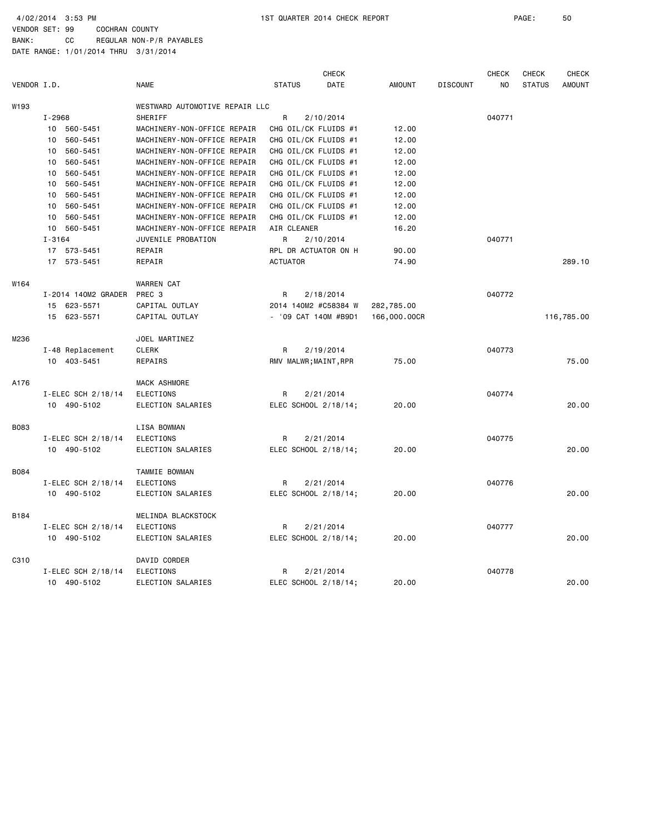|             |                     |                                | CHECK                 |               |                 | <b>CHECK</b> | <b>CHECK</b>  | <b>CHECK</b>  |
|-------------|---------------------|--------------------------------|-----------------------|---------------|-----------------|--------------|---------------|---------------|
| VENDOR I.D. |                     | <b>NAME</b>                    | <b>STATUS</b><br>DATE | <b>AMOUNT</b> | <b>DISCOUNT</b> | NO           | <b>STATUS</b> | <b>AMOUNT</b> |
| W193        |                     | WESTWARD AUTOMOTIVE REPAIR LLC |                       |               |                 |              |               |               |
|             | $I - 2968$          | <b>SHERIFF</b>                 | R<br>2/10/2014        |               |                 | 040771       |               |               |
|             | 560-5451<br>10      | MACHINERY-NON-OFFICE REPAIR    | CHG OIL/CK FLUIDS #1  | 12.00         |                 |              |               |               |
|             | 560-5451<br>10      | MACHINERY-NON-OFFICE REPAIR    | CHG OIL/CK FLUIDS #1  | 12.00         |                 |              |               |               |
|             | 560-5451<br>10      | MACHINERY-NON-OFFICE REPAIR    | CHG OIL/CK FLUIDS #1  | 12.00         |                 |              |               |               |
|             | 560-5451<br>10      | MACHINERY-NON-OFFICE REPAIR    | CHG OIL/CK FLUIDS #1  | 12.00         |                 |              |               |               |
|             | 560-5451<br>10      | MACHINERY-NON-OFFICE REPAIR    | CHG OIL/CK FLUIDS #1  | 12.00         |                 |              |               |               |
|             | 560-5451<br>10      | MACHINERY-NON-OFFICE REPAIR    | CHG OIL/CK FLUIDS #1  | 12.00         |                 |              |               |               |
|             | 560-5451<br>10      | MACHINERY-NON-OFFICE REPAIR    | CHG OIL/CK FLUIDS #1  | 12.00         |                 |              |               |               |
|             | 10<br>560-5451      | MACHINERY-NON-OFFICE REPAIR    | CHG OIL/CK FLUIDS #1  | 12.00         |                 |              |               |               |
|             | 10<br>560-5451      | MACHINERY-NON-OFFICE REPAIR    | CHG OIL/CK FLUIDS #1  | 12.00         |                 |              |               |               |
|             | 10 560-5451         | MACHINERY-NON-OFFICE REPAIR    | AIR CLEANER           | 16.20         |                 |              |               |               |
|             | $I - 3164$          | JUVENILE PROBATION             | R<br>2/10/2014        |               |                 | 040771       |               |               |
|             | 17 573-5451         | REPAIR                         | RPL DR ACTUATOR ON H  | 90.00         |                 |              |               |               |
|             | 17<br>573-5451      | REPAIR                         | <b>ACTUATOR</b>       | 74.90         |                 |              |               | 289.10        |
| W164        |                     | <b>WARREN CAT</b>              |                       |               |                 |              |               |               |
|             | I-2014 140M2 GRADER | PREC 3                         | R<br>2/18/2014        |               |                 | 040772       |               |               |
|             | 15 623-5571         | CAPITAL OUTLAY                 | 2014 140M2 #C58384 W  | 282,785.00    |                 |              |               |               |
|             | 15 623-5571         | CAPITAL OUTLAY                 | - '09 CAT 140M #B9D1  | 166,000.00CR  |                 |              |               | 116,785.00    |
| M236        |                     | JOEL MARTINEZ                  |                       |               |                 |              |               |               |
|             | I-48 Replacement    | <b>CLERK</b>                   | R<br>2/19/2014        |               |                 | 040773       |               |               |
|             | 10 403-5451         | REPAIRS                        | RMV MALWR; MAINT, RPR | 75.00         |                 |              |               | 75.00         |
| A176        |                     | MACK ASHMORE                   |                       |               |                 |              |               |               |
|             | I-ELEC SCH 2/18/14  | ELECTIONS                      | 2/21/2014<br>R        |               |                 | 040774       |               |               |
|             | 10 490-5102         | ELECTION SALARIES              | ELEC SCHOOL 2/18/14;  | 20.00         |                 |              |               | 20,00         |
| B083        |                     | LISA BOWMAN                    |                       |               |                 |              |               |               |
|             | I-ELEC SCH 2/18/14  | ELECTIONS                      | 2/21/2014<br>R        |               |                 | 040775       |               |               |
|             | 10 490-5102         | ELECTION SALARIES              | ELEC SCHOOL 2/18/14;  | 20.00         |                 |              |               | 20.00         |
| B084        |                     | TAMMIE BOWMAN                  |                       |               |                 |              |               |               |
|             | I-ELEC SCH 2/18/14  | <b>ELECTIONS</b>               | R<br>2/21/2014        |               |                 | 040776       |               |               |
|             | 10 490-5102         | ELECTION SALARIES              | ELEC SCHOOL 2/18/14;  | 20.00         |                 |              |               | 20.00         |
| B184        |                     | MELINDA BLACKSTOCK             |                       |               |                 |              |               |               |
|             | I-ELEC SCH 2/18/14  | ELECTIONS                      | 2/21/2014<br>R        |               |                 | 040777       |               |               |
|             | 10 490-5102         | ELECTION SALARIES              | ELEC SCHOOL 2/18/14;  | 20.00         |                 |              |               | 20,00         |
| C310        |                     | DAVID CORDER                   |                       |               |                 |              |               |               |
|             | I-ELEC SCH 2/18/14  | ELECTIONS                      | 2/21/2014<br>R        |               |                 | 040778       |               |               |
|             | 10 490-5102         | ELECTION SALARIES              | ELEC SCHOOL 2/18/14;  | 20,00         |                 |              |               | 20,00         |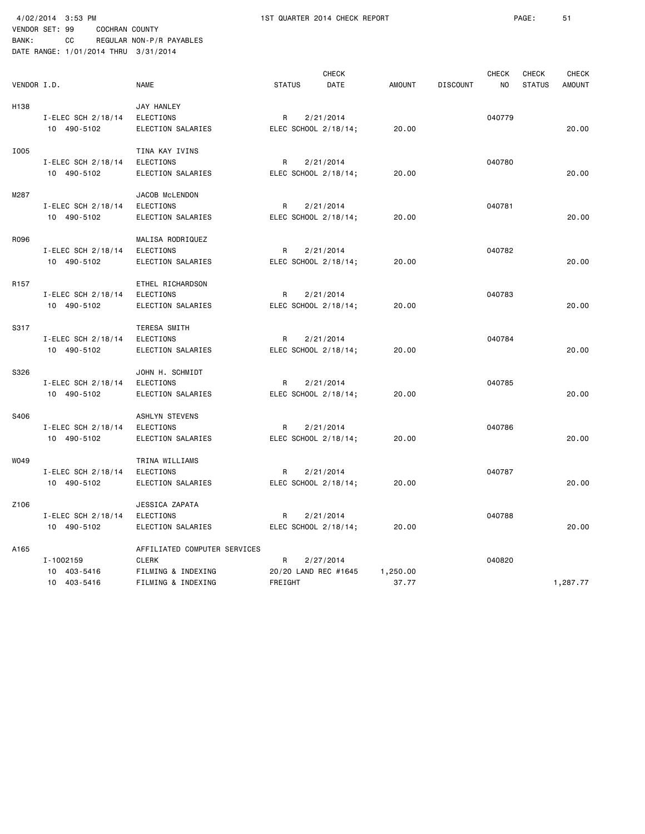| VENDOR I.D.      |                                         | <b>NAME</b>                                                                              | <b>STATUS</b>                        | <b>CHECK</b><br>DATE | <b>AMOUNT</b>     | <b>DISCOUNT</b> | <b>CHECK</b><br>NO | <b>CHECK</b><br><b>STATUS</b> | <b>CHECK</b><br><b>AMOUNT</b> |
|------------------|-----------------------------------------|------------------------------------------------------------------------------------------|--------------------------------------|----------------------|-------------------|-----------------|--------------------|-------------------------------|-------------------------------|
| H <sub>138</sub> | I-ELEC SCH 2/18/14<br>10 490-5102       | JAY HANLEY<br><b>ELECTIONS</b><br>ELECTION SALARIES                                      | R<br>ELEC SCHOOL 2/18/14;            | 2/21/2014            | 20.00             |                 | 040779             |                               | 20.00                         |
| I005             | I-ELEC SCH 2/18/14<br>10 490-5102       | TINA KAY IVINS<br><b>ELECTIONS</b><br>ELECTION SALARIES                                  | R<br>ELEC SCHOOL 2/18/14;            | 2/21/2014            | 20.00             |                 | 040780             |                               | 20,00                         |
| M287             | I-ELEC SCH 2/18/14<br>10 490-5102       | JACOB McLENDON<br>ELECTIONS<br>ELECTION SALARIES                                         | R<br>ELEC SCHOOL 2/18/14;            | 2/21/2014            | 20.00             |                 | 040781             |                               | 20,00                         |
| R096             | I-ELEC SCH 2/18/14<br>10 490-5102       | MALISA RODRIQUEZ<br>ELECTIONS<br>ELECTION SALARIES                                       | R<br>ELEC SCHOOL 2/18/14;            | 2/21/2014            | 20.00             |                 | 040782             |                               | 20.00                         |
| R157             | I-ELEC SCH 2/18/14<br>10 490-5102       | ETHEL RICHARDSON<br><b>ELECTIONS</b><br>ELECTION SALARIES                                | R<br>ELEC SCHOOL 2/18/14;            | 2/21/2014            | 20.00             |                 | 040783             |                               | 20.00                         |
| S317             | I-ELEC SCH 2/18/14<br>10 490-5102       | TERESA SMITH<br>ELECTIONS<br>ELECTION SALARIES                                           | R<br>ELEC SCHOOL 2/18/14;            | 2/21/2014            | 20.00             |                 | 040784             |                               | 20.00                         |
| S326             | I-ELEC SCH 2/18/14<br>10 490-5102       | JOHN H. SCHMIDT<br>ELECTIONS<br>ELECTION SALARIES                                        | R<br>ELEC SCHOOL 2/18/14;            | 2/21/2014            | 20.00             |                 | 040785             |                               | 20.00                         |
| S406             | I-ELEC SCH 2/18/14<br>10 490-5102       | <b>ASHLYN STEVENS</b><br><b>ELECTIONS</b><br>ELECTION SALARIES                           | R<br>ELEC SCHOOL 2/18/14;            | 2/21/2014            | 20.00             |                 | 040786             |                               | 20.00                         |
| W049             | I-ELEC SCH 2/18/14<br>10 490-5102       | TRINA WILLIAMS<br>ELECTIONS<br>ELECTION SALARIES                                         | R<br>ELEC SCHOOL 2/18/14;            | 2/21/2014            | 20,00             |                 | 040787             |                               | 20.00                         |
| Z106             | I-ELEC SCH 2/18/14<br>10 490-5102       | JESSICA ZAPATA<br><b>ELECTIONS</b><br>ELECTION SALARIES                                  | R<br>ELEC SCHOOL 2/18/14;            | 2/21/2014            | 20.00             |                 | 040788             |                               | 20,00                         |
| A165             | I-1002159<br>10 403-5416<br>10 403-5416 | AFFILIATED COMPUTER SERVICES<br><b>CLERK</b><br>FILMING & INDEXING<br>FILMING & INDEXING | R<br>20/20 LAND REC #1645<br>FREIGHT | 2/27/2014            | 1,250.00<br>37.77 |                 | 040820             |                               | 1,287.77                      |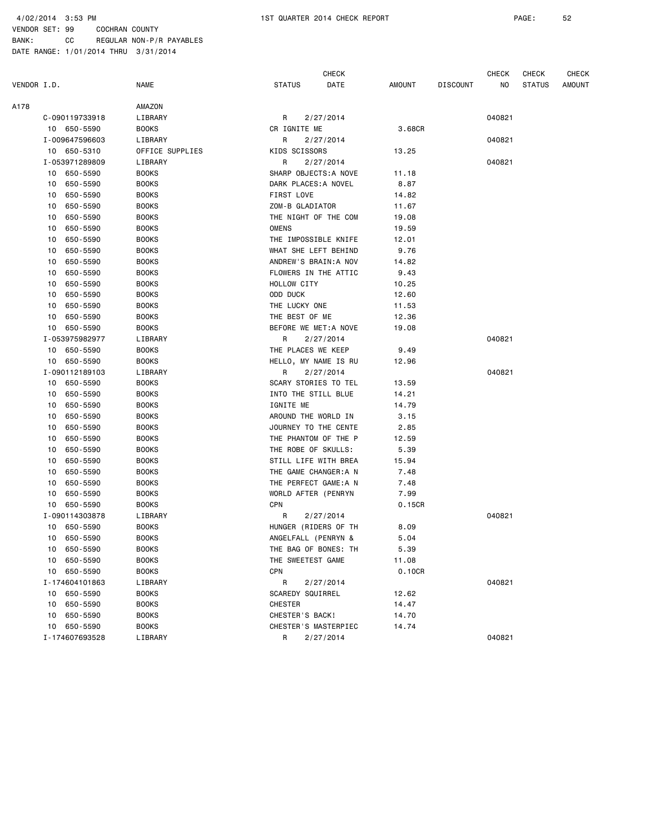BANK: CC REGULAR NON-P/R PAYABLES

VENDOR SET: 99 COCHRAN COUNTY

|             |    |                |                 |                       | <b>CHECK</b> |        |                 | CHECK  | CHECK         | CHECK  |
|-------------|----|----------------|-----------------|-----------------------|--------------|--------|-----------------|--------|---------------|--------|
| VENDOR I.D. |    |                | <b>NAME</b>     | <b>STATUS</b>         | DATE         | AMOUNT | <b>DISCOUNT</b> | NO.    | <b>STATUS</b> | AMOUNT |
| A178        |    |                | AMAZON          |                       |              |        |                 |        |               |        |
|             |    | C-090119733918 | LIBRARY         | R                     | 2/27/2014    |        |                 | 040821 |               |        |
|             |    | 10 650-5590    | <b>BOOKS</b>    | CR IGNITE ME          |              | 3.68CR |                 |        |               |        |
|             |    | I-009647596603 | LIBRARY         | R                     | 2/27/2014    |        |                 | 040821 |               |        |
|             |    | 10 650-5310    | OFFICE SUPPLIES | KIDS SCISSORS         |              | 13.25  |                 |        |               |        |
|             |    | I-053971289809 | LIBRARY         | R                     | 2/27/2014    |        |                 | 040821 |               |        |
|             |    | 10 650-5590    | <b>BOOKS</b>    | SHARP OBJECTS: A NOVE |              | 11.18  |                 |        |               |        |
|             |    | 10 650-5590    | <b>BOOKS</b>    | DARK PLACES: A NOVEL  |              | 8.87   |                 |        |               |        |
|             | 10 | 650-5590       | <b>BOOKS</b>    | FIRST LOVE            |              | 14.82  |                 |        |               |        |
|             | 10 | 650-5590       | <b>BOOKS</b>    | ZOM-B GLADIATOR       |              | 11.67  |                 |        |               |        |
|             | 10 | 650-5590       | <b>BOOKS</b>    | THE NIGHT OF THE COM  |              | 19.08  |                 |        |               |        |
|             | 10 | 650-5590       | <b>BOOKS</b>    | <b>OMENS</b>          |              | 19.59  |                 |        |               |        |
|             | 10 | 650-5590       | <b>BOOKS</b>    | THE IMPOSSIBLE KNIFE  |              | 12.01  |                 |        |               |        |
|             | 10 | 650-5590       | <b>BOOKS</b>    | WHAT SHE LEFT BEHIND  |              | 9.76   |                 |        |               |        |
|             | 10 | 650-5590       | <b>BOOKS</b>    | ANDREW'S BRAIN: A NOV |              | 14.82  |                 |        |               |        |
|             | 10 | 650-5590       | <b>BOOKS</b>    | FLOWERS IN THE ATTIC  |              | 9.43   |                 |        |               |        |
|             | 10 | 650-5590       | <b>BOOKS</b>    | HOLLOW CITY           |              | 10.25  |                 |        |               |        |
|             | 10 | 650-5590       | <b>BOOKS</b>    | ODD DUCK              |              | 12.60  |                 |        |               |        |
|             | 10 | 650-5590       | <b>BOOKS</b>    | THE LUCKY ONE         |              | 11.53  |                 |        |               |        |
|             |    | 10 650-5590    | <b>BOOKS</b>    | THE BEST OF ME        |              | 12.36  |                 |        |               |        |
|             |    | 10 650-5590    | <b>BOOKS</b>    | BEFORE WE MET:A NOVE  |              | 19.08  |                 |        |               |        |
|             |    | I-053975982977 | LIBRARY         | R                     | 2/27/2014    |        |                 | 040821 |               |        |
|             |    | 10 650-5590    | <b>BOOKS</b>    | THE PLACES WE KEEP    |              | 9.49   |                 |        |               |        |
|             |    | 10 650-5590    | <b>BOOKS</b>    | HELLO, MY NAME IS RU  |              | 12.96  |                 |        |               |        |
|             |    | I-090112189103 | LIBRARY         | R                     | 2/27/2014    |        |                 | 040821 |               |        |
|             |    | 10 650-5590    | <b>BOOKS</b>    | SCARY STORIES TO TEL  |              | 13.59  |                 |        |               |        |
|             |    | 10 650-5590    | <b>BOOKS</b>    | INTO THE STILL BLUE   |              | 14.21  |                 |        |               |        |
|             |    | 10 650-5590    | <b>BOOKS</b>    | IGNITE ME             |              | 14.79  |                 |        |               |        |
|             | 10 | 650-5590       | <b>BOOKS</b>    | AROUND THE WORLD IN   |              | 3.15   |                 |        |               |        |
|             | 10 | 650-5590       | <b>BOOKS</b>    | JOURNEY TO THE CENTE  |              | 2.85   |                 |        |               |        |
|             | 10 | 650-5590       | <b>BOOKS</b>    | THE PHANTOM OF THE P  |              | 12.59  |                 |        |               |        |
|             | 10 | 650-5590       | <b>BOOKS</b>    | THE ROBE OF SKULLS:   |              | 5.39   |                 |        |               |        |
|             | 10 | 650-5590       | <b>BOOKS</b>    | STILL LIFE WITH BREA  |              | 15.94  |                 |        |               |        |
|             | 10 | 650-5590       | <b>BOOKS</b>    | THE GAME CHANGER: A N |              | 7.48   |                 |        |               |        |
|             | 10 | 650-5590       | B00KS           | THE PERFECT GAME:A N  |              | 7.48   |                 |        |               |        |
|             | 10 | 650-5590       | <b>BOOKS</b>    | WORLD AFTER (PENRYN   |              | 7.99   |                 |        |               |        |
|             | 10 | 650-5590       | <b>BOOKS</b>    | CPN                   |              | 0.15CR |                 |        |               |        |
|             |    | I-090114303878 | LIBRARY         | R                     | 2/27/2014    |        |                 | 040821 |               |        |
|             |    | 10 650-5590    | <b>BOOKS</b>    | HUNGER (RIDERS OF TH  |              | 8.09   |                 |        |               |        |
|             |    | 10 650-5590    | <b>BOOKS</b>    | ANGELFALL (PENRYN &   |              | 5.04   |                 |        |               |        |
|             |    | 10 650-5590    | <b>BOOKS</b>    | THE BAG OF BONES: TH  |              | 5.39   |                 |        |               |        |
|             |    | 10 650-5590    | <b>BOOKS</b>    | THE SWEETEST GAME     |              | 11.08  |                 |        |               |        |
|             |    | 10 650-5590    | <b>BOOKS</b>    | CPN                   |              | 0.10CR |                 |        |               |        |
|             |    | I-174604101863 | LIBRARY         | R                     | 2/27/2014    |        |                 | 040821 |               |        |
|             |    | 10 650-5590    | <b>BOOKS</b>    | SCAREDY SQUIRREL      |              | 12.62  |                 |        |               |        |
|             | 10 | 650-5590       | <b>BOOKS</b>    | <b>CHESTER</b>        |              | 14.47  |                 |        |               |        |
|             |    | 10 650-5590    | <b>BOOKS</b>    | CHESTER'S BACK!       |              | 14.70  |                 |        |               |        |
|             |    | 10 650-5590    | <b>BOOKS</b>    | CHESTER'S MASTERPIEC  |              | 14.74  |                 |        |               |        |
|             |    | I-174607693528 | LIBRARY         | R                     | 2/27/2014    |        |                 | 040821 |               |        |
|             |    |                |                 |                       |              |        |                 |        |               |        |
|             |    |                |                 |                       |              |        |                 |        |               |        |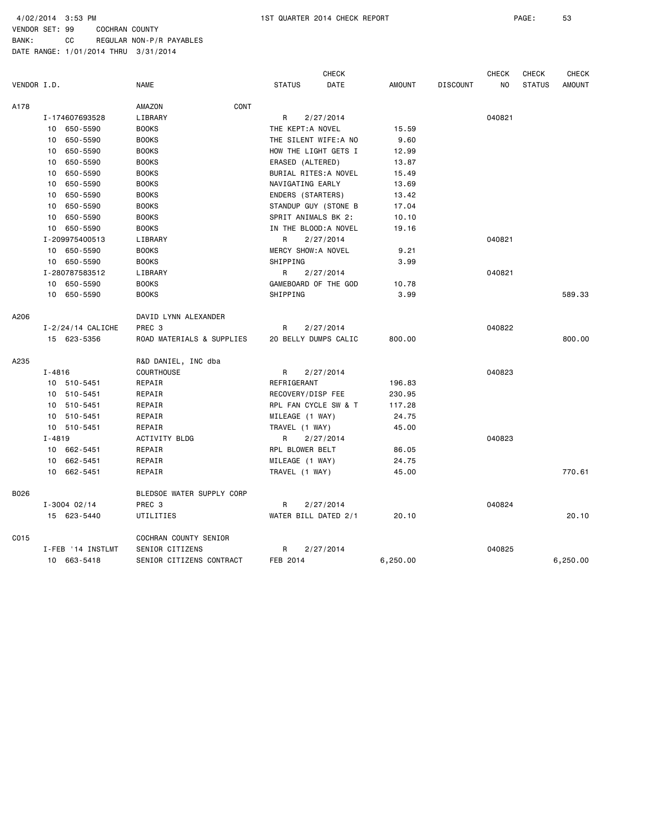|             |                       |                           | <b>CHECK</b>          |               |                 | <b>CHECK</b> | <b>CHECK</b>  | <b>CHECK</b>  |
|-------------|-----------------------|---------------------------|-----------------------|---------------|-----------------|--------------|---------------|---------------|
| VENDOR I.D. |                       | <b>NAME</b>               | <b>STATUS</b><br>DATE | <b>AMOUNT</b> | <b>DISCOUNT</b> | NO           | <b>STATUS</b> | <b>AMOUNT</b> |
| A178        |                       | CONT<br>AMAZON            |                       |               |                 |              |               |               |
|             | I-174607693528        | LIBRARY                   | R<br>2/27/2014        |               |                 | 040821       |               |               |
|             | 10 650-5590           | <b>BOOKS</b>              | THE KEPT:A NOVEL      | 15.59         |                 |              |               |               |
|             | 10 650-5590           | <b>BOOKS</b>              | THE SILENT WIFE:A NO  | 9.60          |                 |              |               |               |
|             | 650-5590<br>10        | <b>BOOKS</b>              | HOW THE LIGHT GETS I  | 12.99         |                 |              |               |               |
|             | 650-5590<br>10        | <b>BOOKS</b>              | ERASED (ALTERED)      | 13.87         |                 |              |               |               |
|             | 650-5590<br>10        | <b>BOOKS</b>              | BURIAL RITES: A NOVEL | 15.49         |                 |              |               |               |
|             | 650-5590<br>10        | <b>BOOKS</b>              | NAVIGATING EARLY      | 13.69         |                 |              |               |               |
|             | 650-5590<br>10        | <b>BOOKS</b>              | ENDERS (STARTERS)     | 13.42         |                 |              |               |               |
|             | 10 650-5590           | <b>BOOKS</b>              | STANDUP GUY (STONE B  | 17.04         |                 |              |               |               |
|             | 10<br>650-5590        | <b>BOOKS</b>              | SPRIT ANIMALS BK 2:   | 10.10         |                 |              |               |               |
|             | 10 650-5590           | <b>BOOKS</b>              | IN THE BLOOD: A NOVEL | 19.16         |                 |              |               |               |
|             | I-209975400513        | LIBRARY                   | 2/27/2014<br>R        |               |                 | 040821       |               |               |
|             | 10 650-5590           | <b>BOOKS</b>              | MERCY SHOW: A NOVEL   | 9.21          |                 |              |               |               |
|             | 10 650-5590           | <b>BOOKS</b>              | SHIPPING              | 3.99          |                 |              |               |               |
|             | I-280787583512        | LIBRARY                   | R<br>2/27/2014        |               |                 | 040821       |               |               |
|             | 10 650-5590           | <b>BOOKS</b>              | GAMEBOARD OF THE GOD  | 10.78         |                 |              |               |               |
|             | 10 650-5590           | <b>BOOKS</b>              | SHIPPING              | 3.99          |                 |              |               | 589.33        |
| A206        |                       | DAVID LYNN ALEXANDER      |                       |               |                 |              |               |               |
|             | $I - 2/24/14$ CALICHE | PREC <sub>3</sub>         | 2/27/2014<br>R        |               |                 | 040822       |               |               |
|             | 15 623-5356           | ROAD MATERIALS & SUPPLIES | 20 BELLY DUMPS CALIC  | 800.00        |                 |              |               | 800,00        |
| A235        |                       | R&D DANIEL, INC dba       |                       |               |                 |              |               |               |
|             | $I - 4816$            | <b>COURTHOUSE</b>         | R<br>2/27/2014        |               |                 | 040823       |               |               |
|             | 10 510-5451           | REPAIR                    | REFRIGERANT           | 196.83        |                 |              |               |               |
|             | 10 510-5451           | REPAIR                    | RECOVERY/DISP FEE     | 230.95        |                 |              |               |               |
|             | 10 510-5451           | REPAIR                    | RPL FAN CYCLE SW & T  | 117.28        |                 |              |               |               |
|             | 10 510-5451           | REPAIR                    | MILEAGE (1 WAY)       | 24.75         |                 |              |               |               |
|             | 10 510-5451           | REPAIR                    | TRAVEL (1 WAY)        | 45.00         |                 |              |               |               |
|             | $I - 4819$            | ACTIVITY BLDG             | 2/27/2014<br>R.       |               |                 | 040823       |               |               |
|             | 10 662-5451           | REPAIR                    | RPL BLOWER BELT       | 86.05         |                 |              |               |               |
|             | 10 662-5451           | REPAIR                    | MILEAGE (1 WAY)       | 24.75         |                 |              |               |               |
|             | 10 662-5451           | REPAIR                    | TRAVEL (1 WAY)        | 45.00         |                 |              |               | 770.61        |
| B026        |                       | BLEDSOE WATER SUPPLY CORP |                       |               |                 |              |               |               |
|             | $I - 3004 02/14$      | PREC <sub>3</sub>         | R<br>2/27/2014        |               |                 | 040824       |               |               |
|             | 15 623-5440           | UTILITIES                 | WATER BILL DATED 2/1  | 20.10         |                 |              |               | 20.10         |
| C015        |                       | COCHRAN COUNTY SENIOR     |                       |               |                 |              |               |               |
|             | I-FEB '14 INSTLMT     | SENIOR CITIZENS           | 2/27/2014<br>R        |               |                 | 040825       |               |               |
|             | 10 663-5418           | SENIOR CITIZENS CONTRACT  | FEB 2014              | 6,250.00      |                 |              |               | 6,250.00      |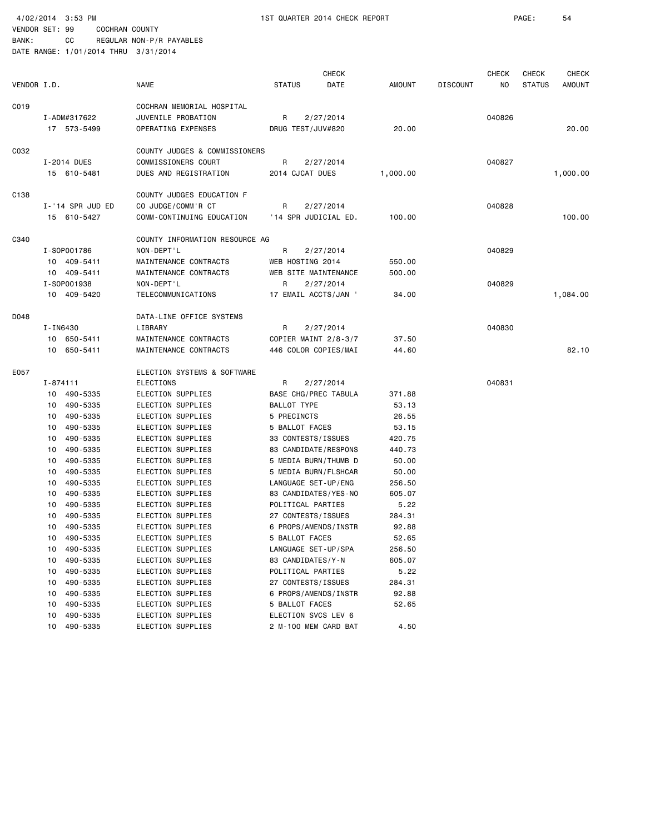|             |          |                  |                                |                    | <b>CHECK</b>         |               |                 | <b>CHECK</b> | <b>CHECK</b>  | <b>CHECK</b>  |
|-------------|----------|------------------|--------------------------------|--------------------|----------------------|---------------|-----------------|--------------|---------------|---------------|
| VENDOR I.D. |          |                  | <b>NAME</b>                    | <b>STATUS</b>      | DATE                 | <b>AMOUNT</b> | <b>DISCOUNT</b> | NO.          | <b>STATUS</b> | <b>AMOUNT</b> |
| CO19        |          |                  | COCHRAN MEMORIAL HOSPITAL      |                    |                      |               |                 |              |               |               |
|             |          | I-ADM#317622     | JUVENILE PROBATION             | R                  | 2/27/2014            |               |                 | 040826       |               |               |
|             |          | 17 573-5499      | OPERATING EXPENSES             | DRUG TEST/JUV#820  |                      | 20.00         |                 |              |               | 20.00         |
| C032        |          |                  | COUNTY JUDGES & COMMISSIONERS  |                    |                      |               |                 |              |               |               |
|             |          | I-2014 DUES      | COMMISSIONERS COURT            | R                  | 2/27/2014            |               |                 | 040827       |               |               |
|             |          | 15 610-5481      | DUES AND REGISTRATION          | 2014 CJCAT DUES    |                      | 1,000.00      |                 |              |               | 1,000.00      |
| C138        |          |                  | COUNTY JUDGES EDUCATION F      |                    |                      |               |                 |              |               |               |
|             |          | I-'14 SPR JUD ED | CO JUDGE/COMM'R CT             | R                  | 2/27/2014            |               |                 | 040828       |               |               |
|             |          | 15 610-5427      | COMM-CONTINUING EDUCATION      |                    | '14 SPR JUDICIAL ED. | 100.00        |                 |              |               | 100.00        |
| C340        |          |                  | COUNTY INFORMATION RESOURCE AG |                    |                      |               |                 |              |               |               |
|             |          | I-S0P001786      | NON-DEPT'L                     | R                  | 2/27/2014            |               |                 | 040829       |               |               |
|             |          | 10 409-5411      | MAINTENANCE CONTRACTS          | WEB HOSTING 2014   |                      | 550.00        |                 |              |               |               |
|             |          | 10 409-5411      | MAINTENANCE CONTRACTS          |                    | WEB SITE MAINTENANCE | 500.00        |                 |              |               |               |
|             |          | I-S0P001938      | NON-DEPT'L                     | R                  | 2/27/2014            |               |                 | 040829       |               |               |
|             |          | 10 409-5420      | TELECOMMUNICATIONS             |                    | 17 EMAIL ACCTS/JAN ' | 34.00         |                 |              |               | 1,084.00      |
| D048        |          |                  | DATA-LINE OFFICE SYSTEMS       |                    |                      |               |                 |              |               |               |
|             | I-IN6430 |                  | LIBRARY                        | R                  | 2/27/2014            |               |                 | 040830       |               |               |
|             |          | 10 650-5411      | MAINTENANCE CONTRACTS          |                    | COPIER MAINT 2/8-3/7 | 37.50         |                 |              |               |               |
|             |          | 10 650-5411      | MAINTENANCE CONTRACTS          |                    | 446 COLOR COPIES/MAI | 44.60         |                 |              |               | 82.10         |
| E057        |          |                  | ELECTION SYSTEMS & SOFTWARE    |                    |                      |               |                 |              |               |               |
|             | I-874111 |                  | ELECTIONS                      | R                  | 2/27/2014            |               |                 | 040831       |               |               |
|             |          | 10 490-5335      | ELECTION SUPPLIES              |                    | BASE CHG/PREC TABULA | 371.88        |                 |              |               |               |
|             | 10       | 490-5335         | ELECTION SUPPLIES              | BALLOT TYPE        |                      | 53.13         |                 |              |               |               |
|             | 10       | 490-5335         | ELECTION SUPPLIES              | 5 PRECINCTS        |                      | 26.55         |                 |              |               |               |
|             | 10       | 490-5335         | ELECTION SUPPLIES              | 5 BALLOT FACES     |                      | 53.15         |                 |              |               |               |
|             | 10       | 490-5335         | ELECTION SUPPLIES              | 33 CONTESTS/ISSUES |                      | 420.75        |                 |              |               |               |
|             | 10       | 490-5335         | ELECTION SUPPLIES              |                    | 83 CANDIDATE/RESPONS | 440.73        |                 |              |               |               |
|             | 10       | 490-5335         | ELECTION SUPPLIES              |                    | 5 MEDIA BURN/THUMB D | 50.00         |                 |              |               |               |
|             | 10       | 490-5335         | ELECTION SUPPLIES              |                    | 5 MEDIA BURN/FLSHCAR | 50.00         |                 |              |               |               |
|             | 10       | 490-5335         | ELECTION SUPPLIES              |                    | LANGUAGE SET-UP/ENG  | 256.50        |                 |              |               |               |
|             | 10       | 490-5335         | ELECTION SUPPLIES              |                    | 83 CANDIDATES/YES-NO | 605.07        |                 |              |               |               |
|             | 10       | 490-5335         | ELECTION SUPPLIES              | POLITICAL PARTIES  |                      | 5.22          |                 |              |               |               |
|             | 10       | 490-5335         | ELECTION SUPPLIES              | 27 CONTESTS/ISSUES |                      | 284.31        |                 |              |               |               |
|             | 10       | 490-5335         | ELECTION SUPPLIES              |                    | 6 PROPS/AMENDS/INSTR | 92.88         |                 |              |               |               |
|             |          | 10 490-5335      | ELECTION SUPPLIES              | 5 BALLOT FACES     |                      | 52.65         |                 |              |               |               |
|             | 10       | 490-5335         | ELECTION SUPPLIES              |                    | LANGUAGE SET-UP/SPA  | 256.50        |                 |              |               |               |
|             | 10       | 490-5335         | ELECTION SUPPLIES              | 83 CANDIDATES/Y-N  |                      | 605.07        |                 |              |               |               |
|             | 10       | 490-5335         | ELECTION SUPPLIES              | POLITICAL PARTIES  |                      | 5.22          |                 |              |               |               |
|             | 10       | 490-5335         | ELECTION SUPPLIES              | 27 CONTESTS/ISSUES |                      | 284.31        |                 |              |               |               |
|             | 10       | 490-5335         | ELECTION SUPPLIES              |                    | 6 PROPS/AMENDS/INSTR | 92.88         |                 |              |               |               |
|             | 10       | 490-5335         | ELECTION SUPPLIES              | 5 BALLOT FACES     |                      | 52.65         |                 |              |               |               |
|             | 10       | 490-5335         | ELECTION SUPPLIES              |                    | ELECTION SVCS LEV 6  |               |                 |              |               |               |
|             |          | 10 490-5335      | ELECTION SUPPLIES              |                    | 2 M-100 MEM CARD BAT | 4.50          |                 |              |               |               |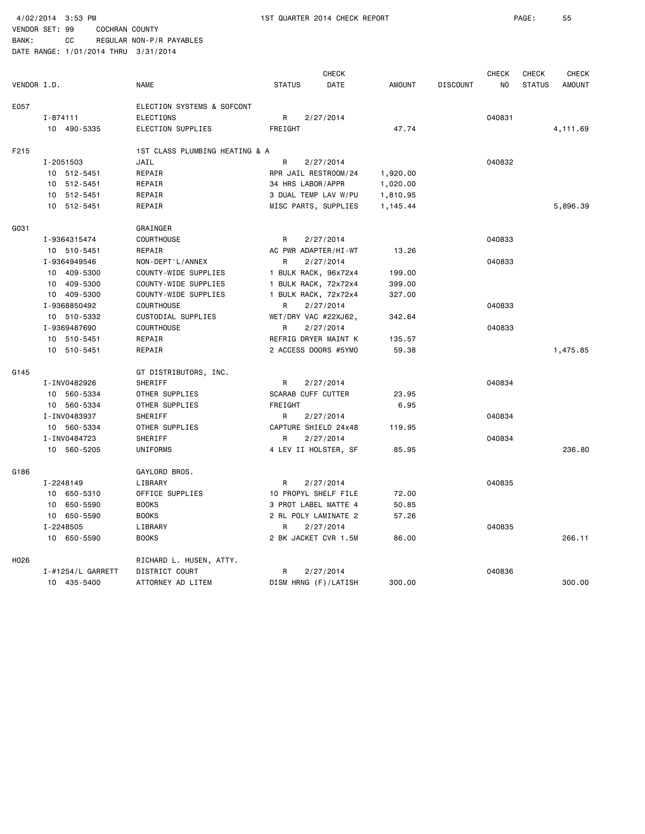4/02/2014 3:53 PM 1ST QUARTER 2014 CHECK REPORT PAGE: 55 VENDOR SET: 99 COCHRAN COUNTY

|             |                   |                                |                           | <b>CHECK</b>         |               |                 | <b>CHECK</b>   | <b>CHECK</b>  | <b>CHECK</b>  |
|-------------|-------------------|--------------------------------|---------------------------|----------------------|---------------|-----------------|----------------|---------------|---------------|
| VENDOR I.D. |                   | <b>NAME</b>                    | <b>STATUS</b>             | <b>DATE</b>          | <b>AMOUNT</b> | <b>DISCOUNT</b> | N <sub>O</sub> | <b>STATUS</b> | <b>AMOUNT</b> |
| E057        |                   | ELECTION SYSTEMS & SOFCONT     |                           |                      |               |                 |                |               |               |
|             | $I - 874111$      | <b>ELECTIONS</b>               | R                         | 2/27/2014            |               |                 | 040831         |               |               |
|             | 10 490-5335       | ELECTION SUPPLIES              | FREIGHT                   |                      | 47.74         |                 |                |               | 4,111.69      |
| F215        |                   | 1ST CLASS PLUMBING HEATING & A |                           |                      |               |                 |                |               |               |
|             | I-2051503         | JAIL                           | R                         | 2/27/2014            |               |                 | 040832         |               |               |
|             | 10 512-5451       | REPAIR                         |                           | RPR JAIL RESTROOM/24 | 1,920.00      |                 |                |               |               |
|             | 10 512-5451       | REPAIR                         | 34 HRS LABOR/APPR         |                      | 1,020.00      |                 |                |               |               |
|             | 10 512-5451       | REPAIR                         |                           | 3 DUAL TEMP LAV W/PU | 1,810.95      |                 |                |               |               |
|             | 10 512-5451       | REPAIR                         |                           | MISC PARTS, SUPPLIES | 1,145.44      |                 |                |               | 5,896.39      |
| G031        |                   | GRAINGER                       |                           |                      |               |                 |                |               |               |
|             | I-9364315474      | <b>COURTHOUSE</b>              | R                         | 2/27/2014            |               |                 | 040833         |               |               |
|             | 10 510-5451       | REPAIR                         |                           | AC PWR ADAPTER/HI-WT | 13.26         |                 |                |               |               |
|             | I-9364949546      | NON-DEPT'L/ANNEX               | R                         | 2/27/2014            |               |                 | 040833         |               |               |
|             | 10 409-5300       | COUNTY-WIDE SUPPLIES           |                           | 1 BULK RACK, 96x72x4 | 199.00        |                 |                |               |               |
|             | 10 409-5300       | COUNTY-WIDE SUPPLIES           |                           | 1 BULK RACK, 72x72x4 | 399.00        |                 |                |               |               |
|             | 10 409-5300       | COUNTY-WIDE SUPPLIES           |                           | 1 BULK RACK, 72x72x4 | 327.00        |                 |                |               |               |
|             | I-9368850492      | COURTHOUSE                     | R                         | 2/27/2014            |               |                 | 040833         |               |               |
|             | 10 510-5332       | CUSTODIAL SUPPLIES             |                           | WET/DRY VAC #22XJ62, | 342.64        |                 |                |               |               |
|             | I-9369487690      | <b>COURTHOUSE</b>              | R                         | 2/27/2014            |               |                 | 040833         |               |               |
|             | 10 510-5451       | REPAIR                         |                           | REFRIG DRYER MAINT K | 135.57        |                 |                |               |               |
|             | 10 510-5451       | REPAIR                         |                           | 2 ACCESS DOORS #5YMO | 59.38         |                 |                |               | 1,475.85      |
| G145        |                   | GT DISTRIBUTORS, INC.          |                           |                      |               |                 |                |               |               |
|             | I-INV0482926      | SHERIFF                        | R                         | 2/27/2014            |               |                 | 040834         |               |               |
|             | 10 560-5334       | OTHER SUPPLIES                 | <b>SCARAB CUFF CUTTER</b> |                      | 23.95         |                 |                |               |               |
|             | 10 560-5334       | OTHER SUPPLIES                 | FREIGHT                   |                      | 6.95          |                 |                |               |               |
|             | I-INV0483937      | SHERIFF                        | R                         | 2/27/2014            |               |                 | 040834         |               |               |
|             | 10 560-5334       | OTHER SUPPLIES                 |                           | CAPTURE SHIELD 24x48 | 119.95        |                 |                |               |               |
|             | I-INV0484723      | SHERIFF                        | R                         | 2/27/2014            |               |                 | 040834         |               |               |
|             | 10 560-5205       | UNIFORMS                       |                           | 4 LEV II HOLSTER, SF | 85.95         |                 |                |               | 236.80        |
| G186        |                   | GAYLORD BROS.                  |                           |                      |               |                 |                |               |               |
|             | I-2248149         | LIBRARY                        | R                         | 2/27/2014            |               |                 | 040835         |               |               |
|             | 10 650-5310       | OFFICE SUPPLIES                |                           | 10 PROPYL SHELF FILE | 72.00         |                 |                |               |               |
|             | 10 650-5590       | <b>BOOKS</b>                   |                           | 3 PROT LABEL MATTE 4 | 50.85         |                 |                |               |               |
|             | 10 650-5590       | <b>BOOKS</b>                   |                           | 2 RL POLY LAMINATE 2 | 57.26         |                 |                |               |               |
|             | I-2248505         | LIBRARY                        | R                         | 2/27/2014            |               |                 | 040835         |               |               |
|             | 10 650-5590       | <b>BOOKS</b>                   |                           | 2 BK JACKET CVR 1.5M | 86.00         |                 |                |               | 266.11        |
| H026        |                   | RICHARD L. HUSEN, ATTY.        |                           |                      |               |                 |                |               |               |
|             | I-#1254/L GARRETT | DISTRICT COURT                 | R                         | 2/27/2014            |               |                 | 040836         |               |               |
|             | 10 435-5400       | ATTORNEY AD LITEM              |                           | DISM HRNG (F)/LATISH | 300.00        |                 |                |               | 300.00        |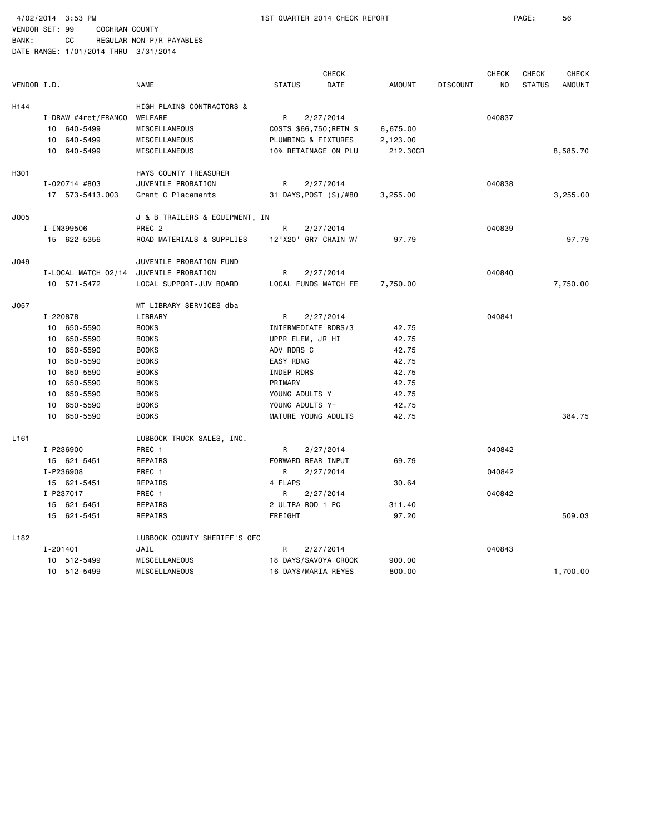4/02/2014 3:53 PM 1ST QUARTER 2014 CHECK REPORT PAGE: 56

BANK: CC REGULAR NON-P/R PAYABLES DATE RANGE: 1/01/2014 THRU 3/31/2014

**CHECK CHECK CHECK CHECK CHECK CHECK** VENDOR I.D. NAME STATUS DATE AMOUNT DISCOUNT NO STATUS AMOUNT H144 HIGH PLAINS CONTRACTORS & I-DRAW #4ret/FRANCO WELFARE R 2/27/2014 040837 10 640-5499 MISCELLANEOUS COSTS \$66,750;RETN \$ 6,675.00 10 640-5499 MISCELLANEOUS PLUMBING & FIXTURES 2,123.00 10 640-5499 MISCELLANEOUS 10% RETAINAGE ON PLU 212.30CR 8,585.70 H301 HAYS COUNTY TREASURER I-020714 #803 JUVENILE PROBATION R 2/27/2014 040838 17 573-5413.003 Grant C Placements 31 DAYS,POST (S)/#80 3,255.00 3,255.00 J005 J & B TRAILERS & EQUIPMENT, IN I-IN399506 PREC 2 R 2/27/2014 040839 15 622-5356 ROAD MATERIALS & SUPPLIES 12"X20' GR7 CHAIN W/ 97.79 97.79 J049 JUVENILE PROBATION FUND I-LOCAL MATCH 02/14 JUVENILE PROBATION R 2/27/2014 040840 10 571-5472 LOCAL SUPPORT-JUV BOARD LOCAL FUNDS MATCH FE 7,750.00 7,750.00 J057 MT LIBRARY SERVICES dba I-220878 LIBRARY R 2/27/2014 040841 10 650-5590 BOOKS INTERMEDIATE RDRS/3 42.75 10 650-5590 BOOKS UPPR ELEM, JR HI 42.75 10 650-5590 BOOKS ADV RDRS C 42.75 10 650-5590 BOOKS EASY RDNG 42.75 10 650-5590 BOOKS INDEP RDRS 42.75 10 650-5590 BOOKS PRIMARY 42.75 10 650-5590 BOOKS YOUNG ADULTS Y 42.75 10 650-5590 BOOKS YOUNG ADULTS Y+ 42.75 10 650-5590 BOOKS MATURE YOUNG ADULTS 42.75 384.75 L161 LUBBOCK TRUCK SALES, INC. I-P236900 PREC 1 R 2/27/2014 040842 15 621-5451 REPAIRS FORWARD REAR INPUT 69.79 I-P236908 PREC 1 R 2/27/2014 040842 15 621-5451 REPAIRS 4 FLAPS 30.64 I-P237017 PREC 1 R 2/27/2014 PREC 1 15 621-5451 REPAIRS 2 ULTRA ROD 1 PC 311.40 15 621-5451 REPAIRS FREIGHT 97.20 509.03 L182 LUBBOCK COUNTY SHERIFF'S OFC I-201401 JAIL R 2/27/2014 040843 10 512-5499 MISCELLANEOUS 18 DAYS/SAVOYA CROOK 900.00 10 512-5499 MISCELLANEOUS 16 DAYS/MARIA REYES 800.00 1,700.00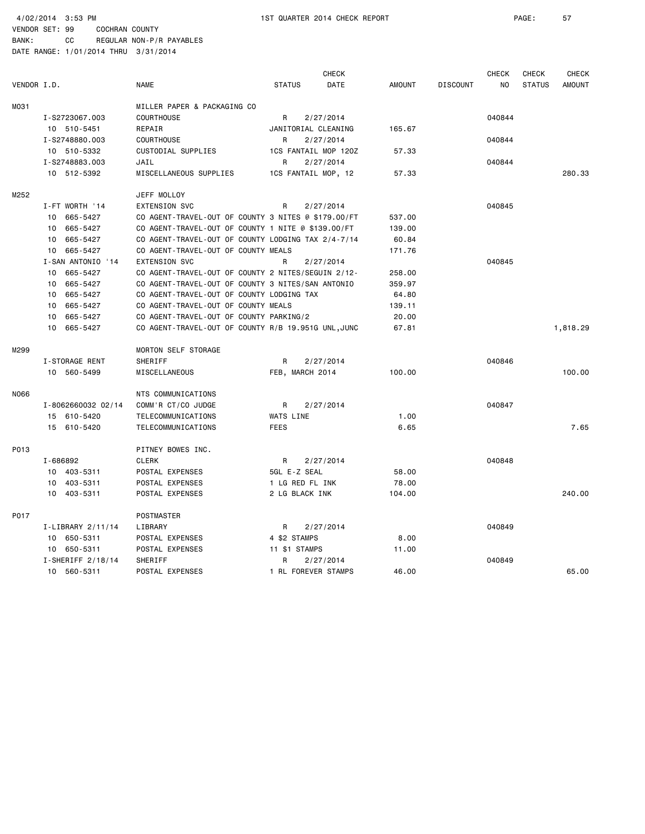BANK: CC REGULAR NON-P/R PAYABLES

|             |                     |                                                     |                      | <b>CHECK</b> |               |                 | <b>CHECK</b> | CHECK         | <b>CHECK</b>  |
|-------------|---------------------|-----------------------------------------------------|----------------------|--------------|---------------|-----------------|--------------|---------------|---------------|
| VENDOR I.D. |                     | <b>NAME</b>                                         | <b>STATUS</b>        | DATE         | <b>AMOUNT</b> | <b>DISCOUNT</b> | <b>NO</b>    | <b>STATUS</b> | <b>AMOUNT</b> |
| M031        |                     | MILLER PAPER & PACKAGING CO                         |                      |              |               |                 |              |               |               |
|             | I-S2723067.003      | <b>COURTHOUSE</b>                                   | R                    | 2/27/2014    |               |                 | 040844       |               |               |
|             | 10 510-5451         | REPAIR                                              | JANITORIAL CLEANING  |              | 165.67        |                 |              |               |               |
|             | I-S2748880.003      | <b>COURTHOUSE</b>                                   | R                    | 2/27/2014    |               |                 | 040844       |               |               |
|             | 10 510-5332         | CUSTODIAL SUPPLIES                                  | 1CS FANTAIL MOP 120Z |              | 57.33         |                 |              |               |               |
|             | I-S2748883.003      | JAIL                                                | R                    | 2/27/2014    |               |                 | 040844       |               |               |
|             | 10 512-5392         | MISCELLANEOUS SUPPLIES                              | 1CS FANTAIL MOP, 12  |              | 57.33         |                 |              |               | 280.33        |
| M252        |                     | JEFF MOLLOY                                         |                      |              |               |                 |              |               |               |
|             | I-FT WORTH '14      | <b>EXTENSION SVC</b>                                | R                    | 2/27/2014    |               |                 | 040845       |               |               |
|             | 10 665-5427         | CO AGENT-TRAVEL-OUT OF COUNTY 3 NITES @ \$179.00/FT |                      |              | 537.00        |                 |              |               |               |
|             | 10 665-5427         | CO AGENT-TRAVEL-OUT OF COUNTY 1 NITE @ \$139.00/FT  |                      |              | 139.00        |                 |              |               |               |
|             | 10 665-5427         | CO AGENT-TRAVEL-OUT OF COUNTY LODGING TAX 2/4-7/14  |                      |              | 60.84         |                 |              |               |               |
|             | 10 665-5427         | CO AGENT-TRAVEL-OUT OF COUNTY MEALS                 |                      |              | 171.76        |                 |              |               |               |
|             | I-SAN ANTONIO '14   | <b>EXTENSION SVC</b>                                | R                    | 2/27/2014    |               |                 | 040845       |               |               |
|             | 10 665-5427         | CO AGENT-TRAVEL-OUT OF COUNTY 2 NITES/SEGUIN 2/12-  |                      |              | 258.00        |                 |              |               |               |
|             | 10 665-5427         | CO AGENT-TRAVEL-OUT OF COUNTY 3 NITES/SAN ANTONIO   |                      |              | 359.97        |                 |              |               |               |
|             | 10 665-5427         | CO AGENT-TRAVEL-OUT OF COUNTY LODGING TAX           |                      |              | 64.80         |                 |              |               |               |
|             | 10 665-5427         | CO AGENT-TRAVEL-OUT OF COUNTY MEALS                 |                      |              | 139.11        |                 |              |               |               |
|             | 665-5427<br>10      | CO AGENT-TRAVEL-OUT OF COUNTY PARKING/2             |                      |              | 20.00         |                 |              |               |               |
|             | 10 665-5427         | CO AGENT-TRAVEL-OUT OF COUNTY R/B 19.951G UNL, JUNC |                      |              | 67.81         |                 |              |               | 1,818.29      |
| M299        |                     | <b>MORTON SELF STORAGE</b>                          |                      |              |               |                 |              |               |               |
|             | I-STORAGE RENT      | SHERIFF                                             | R                    | 2/27/2014    |               |                 | 040846       |               |               |
|             | 10 560-5499         | MISCELLANEOUS                                       | FEB, MARCH 2014      |              | 100.00        |                 |              |               | 100.00        |
| N066        |                     | NTS COMMUNICATIONS                                  |                      |              |               |                 |              |               |               |
|             | I-8062660032 02/14  | COMM'R CT/CO JUDGE                                  | R                    | 2/27/2014    |               |                 | 040847       |               |               |
|             | 15 610-5420         | TELECOMMUNICATIONS                                  | WATS LINE            |              | 1.00          |                 |              |               |               |
|             | 15 610-5420         | TELECOMMUNICATIONS                                  | <b>FEES</b>          |              | 6.65          |                 |              |               | 7.65          |
| P013        |                     | PITNEY BOWES INC.                                   |                      |              |               |                 |              |               |               |
|             | I-686892            | <b>CLERK</b>                                        | R                    | 2/27/2014    |               |                 | 040848       |               |               |
|             | 10 403-5311         | POSTAL EXPENSES                                     | 5GL E-Z SEAL         |              | 58.00         |                 |              |               |               |
|             | 10 403-5311         | POSTAL EXPENSES                                     | 1 LG RED FL INK      |              | 78.00         |                 |              |               |               |
|             | 10 403-5311         | POSTAL EXPENSES                                     | 2 LG BLACK INK       |              | 104.00        |                 |              |               | 240.00        |
| P017        |                     | <b>POSTMASTER</b>                                   |                      |              |               |                 |              |               |               |
|             | I-LIBRARY 2/11/14   | LIBRARY                                             | R                    | 2/27/2014    |               |                 | 040849       |               |               |
|             | 10 650-5311         | POSTAL EXPENSES                                     | 4 \$2 STAMPS         |              | 8.00          |                 |              |               |               |
|             | 10 650-5311         | POSTAL EXPENSES                                     | 11 \$1 STAMPS        |              | 11.00         |                 |              |               |               |
|             | $I-SHERIFF 2/18/14$ | SHERIFF                                             | R                    | 2/27/2014    |               |                 | 040849       |               |               |
|             | 10 560-5311         | POSTAL EXPENSES                                     | 1 RL FOREVER STAMPS  |              | 46.00         |                 |              |               | 65.00         |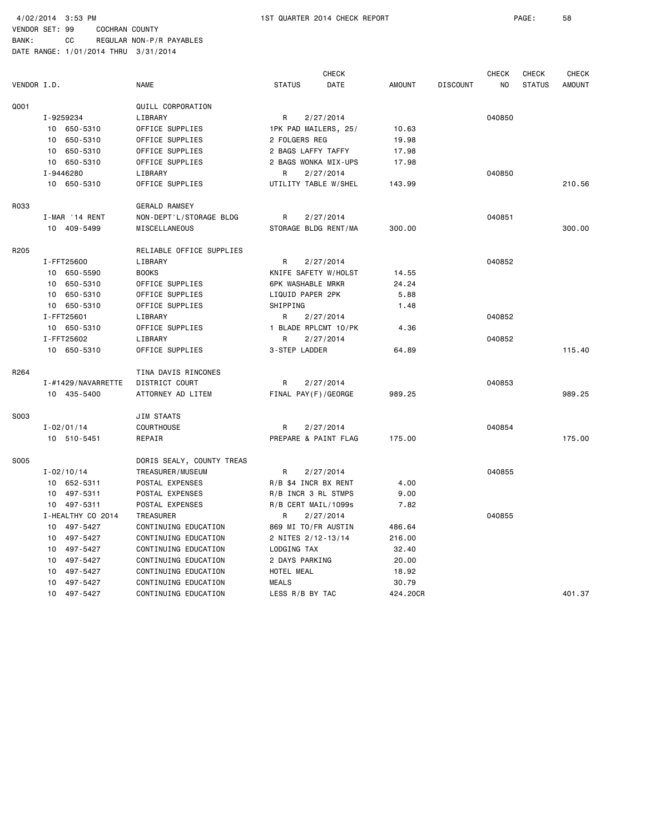BANK: CC REGULAR NON-P/R PAYABLES DATE RANGE: 1/01/2014 THRU 3/31/2014

 CHECK CHECK CHECK CHECK VENDOR I.D. NAME STATUS DATE AMOUNT DISCOUNT NO STATUS AMOUNT Q001 QUILL CORPORATION I-9259234 LIBRARY R 2/27/2014 040850 10 650-5310 OFFICE SUPPLIES 1PK PAD MAILERS, 25/ 10.63 10 650-5310 OFFICE SUPPLIES 2 FOLGERS REG 19.98 10 650-5310 OFFICE SUPPLIES 2 BAGS LAFFY TAFFY 17.98 10 650-5310 OFFICE SUPPLIES 2 BAGS WONKA MIX-UPS 17.98 I-9446280 LIBRARY R 2/27/2014 040850 10 650-5310 OFFICE SUPPLIES UTILITY TABLE W/SHEL 143.99 210.56 R033 GERALD RAMSEY I-MAR '14 RENT NON-DEPT'L/STORAGE BLDG R 2/27/2014 040851 10 409-5499 MISCELLANEOUS STORAGE BLDG RENT/MA 300.00 300.00 R205 RELIABLE OFFICE SUPPLIES I-FFT25600 LIBRARY R 2/27/2014 040852 10 650-5590 BOOKS KNIFE SAFETY W/HOLST 14.55 10 650-5310 OFFICE SUPPLIES 6PK WASHABLE MRKR 24.24 10 650-5310 OFFICE SUPPLIES LIQUID PAPER 2PK 5.88 10 650-5310 OFFICE SUPPLIES SHIPPING 1.48 I-FFT25601 LIBRARY R 2/27/2014 040852 10 650-5310 OFFICE SUPPLIES 1 BLADE RPLCMT 10/PK 4.36 I-FFT25602 LIBRARY R 2/27/2014 040852 10 650-5310 OFFICE SUPPLIES 3-STEP LADDER 64.89 115.40 R264 TINA DAVIS RINCONES I-#1429/NAVARRETTE DISTRICT COURT R 2/27/2014 040853 10 435-5400 ATTORNEY AD LITEM FINAL PAY(F)/GEORGE 989.25 989.25 S003 JIM STAATS I-02/01/14 COURTHOUSE R 2/27/2014 040854 10 510-5451 REPAIR PREPARE & PAINT FLAG 175.00 175.00 S005 DORIS SEALY, COUNTY TREAS I-02/10/14 TREASURER/MUSEUM R 2/27/2014 040855 10 652-5311 POSTAL EXPENSES R/B \$4 INCR BX RENT 4.00 10 497-5311 POSTAL EXPENSES R/B INCR 3 RL STMPS 9.00 10 497-5311 POSTAL EXPENSES R/B CERT MAIL/1099s 7.82 I-HEALTHY CO 2014 TREASURER BY R 2/27/2014 CALCHEALTHY CO 2014 O40855 10 497-5427 CONTINUING EDUCATION 869 MI TO/FR AUSTIN 486.64 10 497-5427 CONTINUING EDUCATION 2 NITES 2/12-13/14 216.00 10 497-5427 CONTINUING EDUCATION LODGING TAX 32.40 10 497-5427 CONTINUING EDUCATION 2 DAYS PARKING 20.00 10 497-5427 CONTINUING EDUCATION HOTEL MEAL 18.92 10 497-5427 CONTINUING EDUCATION MEALS 30.79 10 497-5427 CONTINUING EDUCATION LESS R/B BY TAC 424.20CR 401.37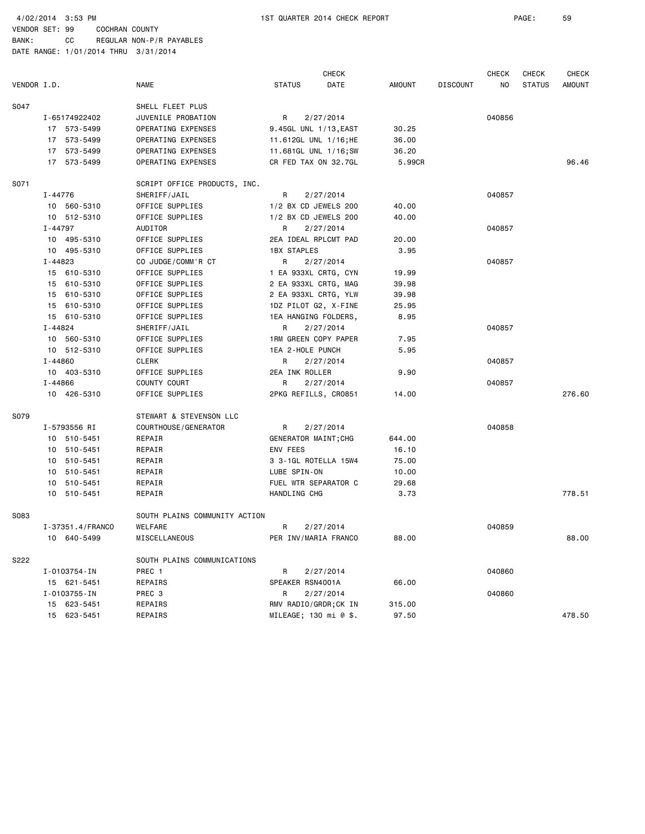BANK: CC REGULAR NON-P/R PAYABLES DATE RANGE: 1/01/2014 THRU 3/31/2014

 CHECK CHECK CHECK CHECK VENDOR I.D. NAME STATUS DATE AMOUNT DISCOUNT NO STATUS AMOUNT S047 SHELL FLEET PLUS I-65174922402 JUVENILE PROBATION R 2/27/2014 040856 17 573-5499 OPERATING EXPENSES 9.45GL UNL 1/13,EAST 30.25 17 573-5499 OPERATING EXPENSES 11.612GL UNL 1/16;HE 36.00 17 573-5499 OPERATING EXPENSES 11.681GL UNL 1/16;SW 36.20 17 573-5499 OPERATING EXPENSES CR FED TAX ON 32.7GL 5.99CR 96.46 S071 SCRIPT OFFICE PRODUCTS, INC. I-44776 SHERIFF/JAIL R 2/27/2014 040857 10 560-5310 OFFICE SUPPLIES 1/2 BX CD JEWELS 200 40.00 10 512-5310 OFFICE SUPPLIES 1/2 BX CD JEWELS 200 40.00 I-44797 AUDITOR R 2/27/2014 040857 10 495-5310 OFFICE SUPPLIES 2EA IDEAL RPLCMT PAD 20.00 10 495-5310 OFFICE SUPPLIES 1BX STAPLES 3.95 I-44823 CO JUDGE/COMM'R CT R 2/27/2014 040857 15 610-5310 OFFICE SUPPLIES 1 EA 933XL CRTG, CYN 19.99 15 610-5310 OFFICE SUPPLIES 2 EA 933XL CRTG, MAG 39.98 15 610-5310 OFFICE SUPPLIES 2 EA 933XL CRTG, YLW 39.98 15 610-5310 OFFICE SUPPLIES 1DZ PILOT G2, X-FINE 25.95 15 610-5310 OFFICE SUPPLIES 1EA HANGING FOLDERS, 8.95 I-44824 SHERIFF/JAIL R 2/27/2014 040857 10 560-5310 OFFICE SUPPLIES 1RM GREEN COPY PAPER 7.95 10 512-5310 OFFICE SUPPLIES 1EA 2-HOLE PUNCH 5.95 I-44860 CLERK R 2/27/2014 040857 10 403-5310 OFFICE SUPPLIES 2EA INK ROLLER 9.90 I-44866 COUNTY COURT R 2/27/2014 COURT R 2010 R 2010 11-44866 10 426-5310 OFFICE SUPPLIES 2PKG REFILLS, CRO851 14.00 276.60 S079 STEWART & STEVENSON LLC I-5793556 RI COURTHOUSE/GENERATOR R 2/27/2014 040858 10 510-5451 REPAIR GENERATOR MAINT;CHG 644.00 10 510-5451 REPAIR ENV FEES 16.10 10 510-5451 REPAIR 3 3-1GL ROTELLA 15W4 75.00 10 510-5451 REPAIR LUBE SPIN-ON 10.00 10 510-5451 REPAIR FUEL WTR SEPARATOR C 29.68 10 510-5451 REPAIR HANDLING CHG 3.73 778.51 SO83 SOUTH PLAINS COMMUNITY ACTION I-37351.4/FRANCO WELFARE R 2/27/2014 040859 10 640-5499 MISCELLANEOUS PER INV/MARIA FRANCO 88.00 88.00 S222 SOUTH PLAINS COMMUNICATIONS I-0103754-IN PREC 1 R 2/27/2014 040860 15 621-5451 REPAIRS SPEAKER RSN4001A 66.00 I-0103755-IN PREC 3 R 2/27/2014 040860 15 623-5451 REPAIRS RMV RADIO/GRDR;CK IN 315.00 15 623-5451 REPAIRS MILEAGE; 130 mi @ \$. 97.50 478.50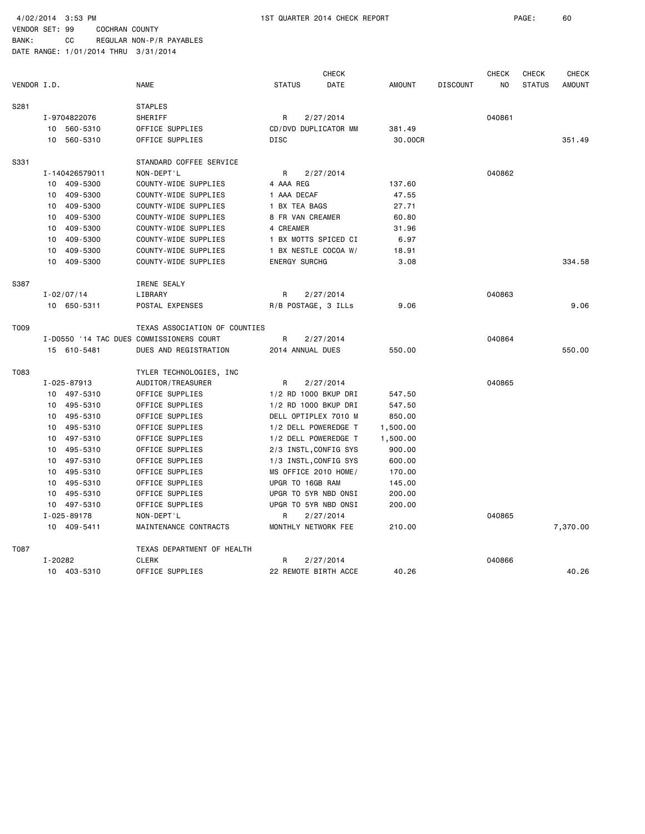|             |         |                |                                          |                      | CHECK                 |               |                 | <b>CHECK</b> | <b>CHECK</b>  | CHECK         |
|-------------|---------|----------------|------------------------------------------|----------------------|-----------------------|---------------|-----------------|--------------|---------------|---------------|
| VENDOR I.D. |         |                | <b>NAME</b>                              | <b>STATUS</b>        | DATE                  | <b>AMOUNT</b> | <b>DISCOUNT</b> | NO           | <b>STATUS</b> | <b>AMOUNT</b> |
| S281        |         |                | <b>STAPLES</b>                           |                      |                       |               |                 |              |               |               |
|             |         | I-9704822076   | SHERIFF                                  | R                    | 2/27/2014             |               |                 | 040861       |               |               |
|             |         | 10 560-5310    | OFFICE SUPPLIES                          |                      | CD/DVD DUPLICATOR MM  | 381.49        |                 |              |               |               |
|             |         | 10 560-5310    | OFFICE SUPPLIES                          | <b>DISC</b>          |                       | 30.00CR       |                 |              |               | 351.49        |
| S331        |         |                | STANDARD COFFEE SERVICE                  |                      |                       |               |                 |              |               |               |
|             |         | I-140426579011 | NON-DEPT'L                               | R                    | 2/27/2014             |               |                 | 040862       |               |               |
|             |         | 10 409-5300    | COUNTY-WIDE SUPPLIES                     | 4 AAA REG            |                       | 137.60        |                 |              |               |               |
|             | 10      | 409-5300       | COUNTY-WIDE SUPPLIES                     | 1 AAA DECAF          |                       | 47.55         |                 |              |               |               |
|             | 10      | 409-5300       | COUNTY-WIDE SUPPLIES                     | 1 BX TEA BAGS        |                       | 27.71         |                 |              |               |               |
|             | 10      | 409-5300       | COUNTY-WIDE SUPPLIES                     | 8 FR VAN CREAMER     |                       | 60.80         |                 |              |               |               |
|             | 10      | 409-5300       | COUNTY-WIDE SUPPLIES                     | 4 CREAMER            |                       | 31.96         |                 |              |               |               |
|             | 10      | 409-5300       | COUNTY-WIDE SUPPLIES                     |                      | 1 BX MOTTS SPICED CI  | 6.97          |                 |              |               |               |
|             | 10      | 409-5300       | COUNTY-WIDE SUPPLIES                     |                      | 1 BX NESTLE COCOA W/  | 18.91         |                 |              |               |               |
|             | 10      | 409-5300       | COUNTY-WIDE SUPPLIES                     | <b>ENERGY SURCHG</b> |                       | 3.08          |                 |              |               | 334.58        |
| S387        |         |                | IRENE SEALY                              |                      |                       |               |                 |              |               |               |
|             |         | $I - 02/07/14$ | LIBRARY                                  | R                    | 2/27/2014             |               |                 | 040863       |               |               |
|             |         | 10 650-5311    | POSTAL EXPENSES                          |                      | R/B POSTAGE, 3 ILLs   | 9.06          |                 |              |               | 9.06          |
| T009        |         |                | TEXAS ASSOCIATION OF COUNTIES            |                      |                       |               |                 |              |               |               |
|             |         |                | I-D0550 '14 TAC DUES COMMISSIONERS COURT | R                    | 2/27/2014             |               |                 | 040864       |               |               |
|             |         | 15 610-5481    | DUES AND REGISTRATION                    | 2014 ANNUAL DUES     |                       | 550.00        |                 |              |               | 550.00        |
| T083        |         |                | TYLER TECHNOLOGIES, INC                  |                      |                       |               |                 |              |               |               |
|             |         | I-025-87913    | AUDITOR/TREASURER                        | R                    | 2/27/2014             |               |                 | 040865       |               |               |
|             |         | 10 497-5310    | OFFICE SUPPLIES                          |                      | 1/2 RD 1000 BKUP DRI  | 547.50        |                 |              |               |               |
|             | 10      | 495-5310       | OFFICE SUPPLIES                          |                      | 1/2 RD 1000 BKUP DRI  | 547.50        |                 |              |               |               |
|             | 10      | 495-5310       | OFFICE SUPPLIES                          |                      | DELL OPTIPLEX 7010 M  | 850.00        |                 |              |               |               |
|             | 10      | 495-5310       | OFFICE SUPPLIES                          |                      | 1/2 DELL POWEREDGE T  | 1,500.00      |                 |              |               |               |
|             | 10      | 497-5310       | OFFICE SUPPLIES                          |                      | 1/2 DELL POWEREDGE T  | 1,500.00      |                 |              |               |               |
|             | 10      | 495-5310       | OFFICE SUPPLIES                          |                      | 2/3 INSTL, CONFIG SYS | 900.00        |                 |              |               |               |
|             | 10      | 497-5310       | OFFICE SUPPLIES                          |                      | 1/3 INSTL, CONFIG SYS | 600.00        |                 |              |               |               |
|             | 10      | 495-5310       | OFFICE SUPPLIES                          |                      | MS OFFICE 2010 HOME/  | 170.00        |                 |              |               |               |
|             | 10      | 495-5310       | OFFICE SUPPLIES                          | UPGR TO 16GB RAM     |                       | 145.00        |                 |              |               |               |
|             | 10      | 495-5310       | OFFICE SUPPLIES                          |                      | UPGR TO 5YR NBD ONSI  | 200.00        |                 |              |               |               |
|             |         | 10 497-5310    | OFFICE SUPPLIES                          |                      | UPGR TO 5YR NBD ONSI  | 200.00        |                 |              |               |               |
|             |         | I-025-89178    | NON-DEPT'L                               | R                    | 2/27/2014             |               |                 | 040865       |               |               |
|             |         | 10 409-5411    | MAINTENANCE CONTRACTS                    |                      | MONTHLY NETWORK FEE   | 210.00        |                 |              |               | 7,370.00      |
| T087        |         |                | TEXAS DEPARTMENT OF HEALTH               |                      |                       |               |                 |              |               |               |
|             | I-20282 |                | <b>CLERK</b>                             | R                    | 2/27/2014             |               |                 | 040866       |               |               |
|             |         | 10 403-5310    | OFFICE SUPPLIES                          |                      | 22 REMOTE BIRTH ACCE  | 40.26         |                 |              |               | 40.26         |
|             |         |                |                                          |                      |                       |               |                 |              |               |               |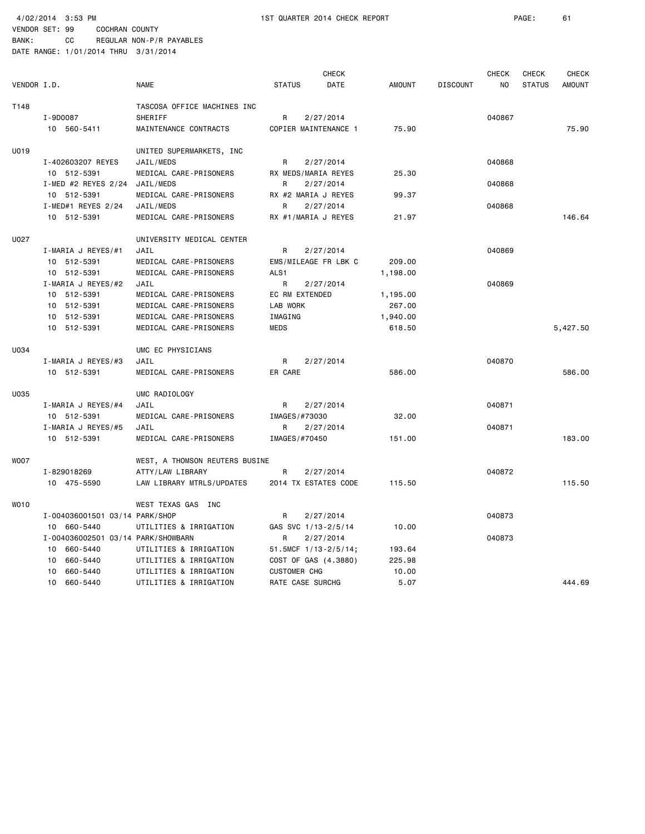|             |                                    |                                | <b>CHECK</b>        |                           |               |                 | <b>CHECK</b> | <b>CHECK</b>  | <b>CHECK</b>  |
|-------------|------------------------------------|--------------------------------|---------------------|---------------------------|---------------|-----------------|--------------|---------------|---------------|
| VENDOR I.D. |                                    | <b>NAME</b>                    | <b>STATUS</b>       | DATE                      | <b>AMOUNT</b> | <b>DISCOUNT</b> | NO.          | <b>STATUS</b> | <b>AMOUNT</b> |
| T148        |                                    | TASCOSA OFFICE MACHINES INC    |                     |                           |               |                 |              |               |               |
|             | I-9D0087                           | SHERIFF                        | R                   | 2/27/2014                 |               |                 | 040867       |               |               |
|             | 10 560-5411                        | MAINTENANCE CONTRACTS          |                     | COPIER MAINTENANCE 1      | 75.90         |                 |              |               | 75.90         |
| U019        |                                    | UNITED SUPERMARKETS, INC       |                     |                           |               |                 |              |               |               |
|             | I-402603207 REYES                  | JAIL/MEDS                      | R                   | 2/27/2014                 |               |                 | 040868       |               |               |
|             | 10 512-5391                        | MEDICAL CARE-PRISONERS         |                     | RX MEDS/MARIA REYES       | 25.30         |                 |              |               |               |
|             | I-MED #2 REYES $2/24$              | JAIL/MEDS                      | R                   | 2/27/2014                 |               |                 | 040868       |               |               |
|             | 10 512-5391                        | MEDICAL CARE-PRISONERS         |                     | RX #2 MARIA J REYES       | 99.37         |                 |              |               |               |
|             | $I-MED#1$ REYES 2/24               | JAIL/MEDS                      | R                   | 2/27/2014                 |               |                 | 040868       |               |               |
|             | 10 512-5391                        | MEDICAL CARE-PRISONERS         |                     | RX #1/MARIA J REYES       | 21.97         |                 |              |               | 146.64        |
| U027        |                                    | UNIVERSITY MEDICAL CENTER      |                     |                           |               |                 |              |               |               |
|             | I-MARIA J REYES/#1                 | JAIL                           | R                   | 2/27/2014                 |               |                 | 040869       |               |               |
|             | 10 512-5391                        | MEDICAL CARE-PRISONERS         |                     | EMS/MILEAGE FR LBK C      | 209.00        |                 |              |               |               |
|             | 10 512-5391                        | MEDICAL CARE-PRISONERS         | ALS1                |                           | 1,198.00      |                 |              |               |               |
|             | I-MARIA J REYES/#2                 | JAIL                           | R                   | 2/27/2014                 |               |                 | 040869       |               |               |
|             | 10 512-5391                        | MEDICAL CARE-PRISONERS         |                     | <b>EC RM EXTENDED</b>     | 1,195.00      |                 |              |               |               |
|             | 10 512-5391                        | MEDICAL CARE-PRISONERS         | LAB WORK            |                           | 267.00        |                 |              |               |               |
|             | 10 512-5391                        | MEDICAL CARE-PRISONERS         | IMAGING             |                           | 1,940.00      |                 |              |               |               |
|             | 10 512-5391                        | MEDICAL CARE-PRISONERS         | MEDS                |                           | 618.50        |                 |              |               | 5,427.50      |
| U034        |                                    | UMC EC PHYSICIANS              |                     |                           |               |                 |              |               |               |
|             | I-MARIA J REYES/#3                 | JAIL                           | R                   | 2/27/2014                 |               |                 | 040870       |               |               |
|             | 10 512-5391                        | MEDICAL CARE-PRISONERS         | ER CARE             |                           | 586.00        |                 |              |               | 586.00        |
| U035        |                                    | UMC RADIOLOGY                  |                     |                           |               |                 |              |               |               |
|             | I-MARIA J REYES/#4                 | JAIL                           | R                   | 2/27/2014                 |               |                 | 040871       |               |               |
|             | 10 512-5391                        | MEDICAL CARE-PRISONERS         | IMAGES/#73030       |                           | 32.00         |                 |              |               |               |
|             | I-MARIA J REYES/#5                 | JAIL                           | R                   | 2/27/2014                 |               |                 | 040871       |               |               |
|             | 10 512-5391                        | MEDICAL CARE-PRISONERS         | IMAGES/#70450       |                           | 151.00        |                 |              |               | 183,00        |
| <b>WOO7</b> |                                    | WEST, A THOMSON REUTERS BUSINE |                     |                           |               |                 |              |               |               |
|             | I-829018269                        | ATTY/LAW LIBRARY               | R                   | 2/27/2014                 |               |                 | 040872       |               |               |
|             | 10 475-5590                        | LAW LIBRARY MTRLS/UPDATES      |                     | 2014 TX ESTATES CODE      | 115.50        |                 |              |               | 115.50        |
| WO10        |                                    | WEST TEXAS GAS INC             |                     |                           |               |                 |              |               |               |
|             | I-004036001501 03/14 PARK/SHOP     |                                | R                   | 2/27/2014                 |               |                 | 040873       |               |               |
|             | 10 660-5440                        | UTILITIES & IRRIGATION         |                     | GAS SVC 1/13-2/5/14       | 10.00         |                 |              |               |               |
|             | I-004036002501 03/14 PARK/SHOWBARN |                                | R                   | 2/27/2014                 |               |                 | 040873       |               |               |
|             | 10 660-5440                        | UTILITIES & IRRIGATION         |                     | 51.5MCF $1/13 - 2/5/14$ ; | 193.64        |                 |              |               |               |
|             | 660-5440<br>10                     | UTILITIES & IRRIGATION         |                     | COST OF GAS (4.3880)      | 225.98        |                 |              |               |               |
|             | 660-5440<br>10                     | UTILITIES & IRRIGATION         | <b>CUSTOMER CHG</b> |                           | 10.00         |                 |              |               |               |
|             | 10 660-5440                        | UTILITIES & IRRIGATION         |                     | RATE CASE SURCHG          | 5.07          |                 |              |               | 444.69        |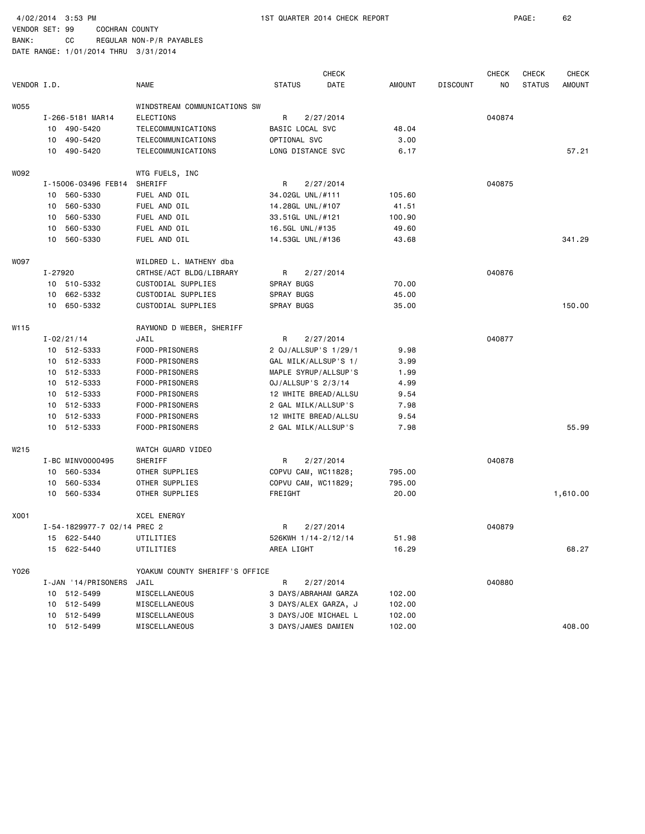4/02/2014 3:53 PM 1ST QUARTER 2014 CHECK REPORT PAGE: 62

VENDOR SET: 99 COCHRAN COUNTY

|             |         |                             |                                |                      | <b>CHECK</b> |        |                 | <b>CHECK</b> | <b>CHECK</b>  | <b>CHECK</b>  |
|-------------|---------|-----------------------------|--------------------------------|----------------------|--------------|--------|-----------------|--------------|---------------|---------------|
| VENDOR I.D. |         |                             | <b>NAME</b>                    | <b>STATUS</b>        | DATE         | AMOUNT | <b>DISCOUNT</b> | NO.          | <b>STATUS</b> | <b>AMOUNT</b> |
| <b>WO55</b> |         |                             | WINDSTREAM COMMUNICATIONS SW   |                      |              |        |                 |              |               |               |
|             |         | I-266-5181 MAR14            | <b>ELECTIONS</b>               | R                    | 2/27/2014    |        |                 | 040874       |               |               |
|             |         | 10 490-5420                 | TELECOMMUNICATIONS             | BASIC LOCAL SVC      |              | 48.04  |                 |              |               |               |
|             |         | 10 490-5420                 | TELECOMMUNICATIONS             | OPTIONAL SVC         |              | 3.00   |                 |              |               |               |
|             |         | 10 490-5420                 | TELECOMMUNICATIONS             | LONG DISTANCE SVC    |              | 6.17   |                 |              |               | 57.21         |
| W092        |         |                             |                                |                      |              |        |                 |              |               |               |
|             |         |                             | WTG FUELS, INC                 |                      |              |        |                 | 040875       |               |               |
|             |         | I-15006-03496 FEB14         | SHERIFF                        | R                    | 2/27/2014    |        |                 |              |               |               |
|             |         | 10 560-5330                 | FUEL AND OIL                   | 34.02GL UNL/#111     |              | 105.60 |                 |              |               |               |
|             | 10      | 560-5330                    | FUEL AND OIL                   | 14.28GL UNL/#107     |              | 41.51  |                 |              |               |               |
|             | 10      | 560-5330                    | FUEL AND OIL                   | 33.51GL UNL/#121     |              | 100.90 |                 |              |               |               |
|             | 10      | 560-5330                    | FUEL AND OIL                   | 16.5GL UNL/#135      |              | 49.60  |                 |              |               |               |
|             |         | 10 560-5330                 | FUEL AND OIL                   | 14.53GL UNL/#136     |              | 43.68  |                 |              |               | 341.29        |
| W097        |         |                             | WILDRED L. MATHENY dba         |                      |              |        |                 |              |               |               |
|             | I-27920 |                             | CRTHSE/ACT BLDG/LIBRARY        | R                    | 2/27/2014    |        |                 | 040876       |               |               |
|             |         | 10 510-5332                 | CUSTODIAL SUPPLIES             | SPRAY BUGS           |              | 70.00  |                 |              |               |               |
|             | 10      | 662-5332                    | CUSTODIAL SUPPLIES             | SPRAY BUGS           |              | 45.00  |                 |              |               |               |
|             |         | 10 650-5332                 | CUSTODIAL SUPPLIES             | SPRAY BUGS           |              | 35.00  |                 |              |               | 150.00        |
| W115        |         |                             | RAYMOND D WEBER, SHERIFF       |                      |              |        |                 |              |               |               |
|             |         | $I - 02/21/14$              | JAIL                           | R                    | 2/27/2014    |        |                 | 040877       |               |               |
|             |         | 10 512-5333                 | FOOD-PRISONERS                 | 2 0J/ALLSUP'S 1/29/1 |              | 9.98   |                 |              |               |               |
|             |         | 10 512-5333                 | FOOD-PRISONERS                 | GAL MILK/ALLSUP'S 1/ |              | 3.99   |                 |              |               |               |
|             |         | 10 512-5333                 | FOOD-PRISONERS                 | MAPLE SYRUP/ALLSUP'S |              | 1.99   |                 |              |               |               |
|             |         | 10 512-5333                 | FOOD-PRISONERS                 | 0J/ALLSUP'S 2/3/14   |              | 4.99   |                 |              |               |               |
|             |         | 10 512-5333                 | FOOD-PRISONERS                 | 12 WHITE BREAD/ALLSU |              | 9.54   |                 |              |               |               |
|             |         | 10 512-5333                 | FOOD-PRISONERS                 | 2 GAL MILK/ALLSUP'S  |              | 7.98   |                 |              |               |               |
|             |         | 10 512-5333                 | FOOD-PRISONERS                 | 12 WHITE BREAD/ALLSU |              | 9.54   |                 |              |               |               |
|             |         | 10 512-5333                 | FOOD-PRISONERS                 | 2 GAL MILK/ALLSUP'S  |              | 7.98   |                 |              |               | 55.99         |
| W215        |         |                             | WATCH GUARD VIDEO              |                      |              |        |                 |              |               |               |
|             |         | I-BC MINV0000495            | SHERIFF                        | R                    | 2/27/2014    |        |                 | 040878       |               |               |
|             |         | 10 560-5334                 | OTHER SUPPLIES                 | COPVU CAM, WC11828;  |              | 795.00 |                 |              |               |               |
|             | 10      | 560-5334                    | OTHER SUPPLIES                 | COPVU CAM, WC11829;  |              | 795.00 |                 |              |               |               |
|             |         | 10 560-5334                 | OTHER SUPPLIES                 | FREIGHT              |              | 20.00  |                 |              |               | 1,610.00      |
|             |         |                             |                                |                      |              |        |                 |              |               |               |
| X001        |         |                             | XCEL ENERGY                    |                      |              |        |                 |              |               |               |
|             |         | I-54-1829977-7 02/14 PREC 2 |                                | R                    | 2/27/2014    |        |                 | 040879       |               |               |
|             |         | 15 622-5440                 | UTILITIES                      | 526KWH 1/14-2/12/14  |              | 51.98  |                 |              |               |               |
|             |         | 15 622-5440                 | UTILITIES                      | AREA LIGHT           |              | 16.29  |                 |              |               | 68.27         |
| Y026        |         |                             | YOAKUM COUNTY SHERIFF'S OFFICE |                      |              |        |                 |              |               |               |
|             |         | I-JAN '14/PRISONERS         | JAIL                           | R                    | 2/27/2014    |        |                 | 040880       |               |               |
|             |         | 10 512-5499                 | MISCELLANEOUS                  | 3 DAYS/ABRAHAM GARZA |              | 102.00 |                 |              |               |               |
|             |         | 10 512-5499                 | MISCELLANEOUS                  | 3 DAYS/ALEX GARZA, J |              | 102.00 |                 |              |               |               |
|             |         | 10 512-5499                 | MISCELLANEOUS                  | 3 DAYS/JOE MICHAEL L |              | 102.00 |                 |              |               |               |
|             |         | 10 512-5499                 | MISCELLANEOUS                  | 3 DAYS/JAMES DAMIEN  |              | 102.00 |                 |              |               | 408.00        |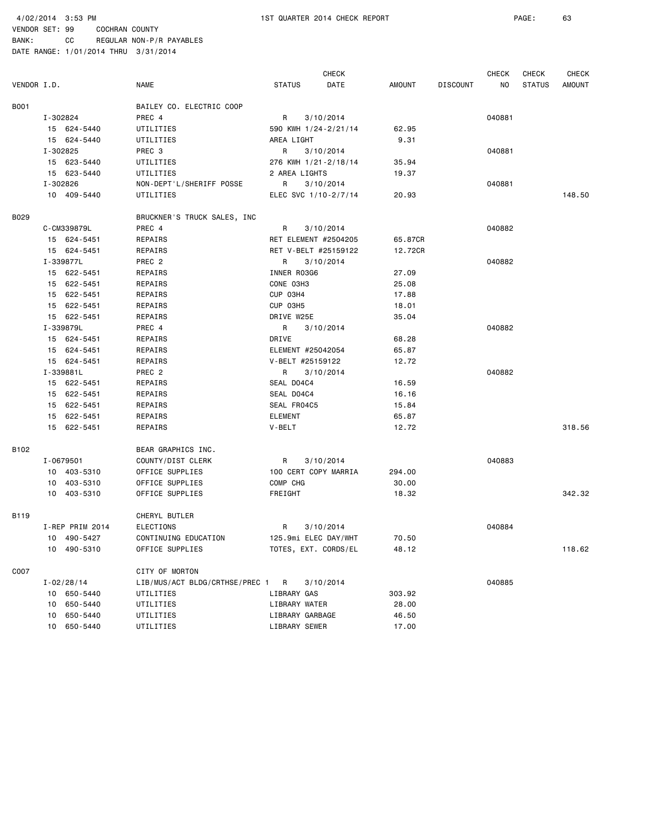BANK: CC REGULAR NON-P/R PAYABLES

|             |                 |                                |                   | CHECK                       |               |                 | <b>CHECK</b> | CHECK         | <b>CHECK</b>  |
|-------------|-----------------|--------------------------------|-------------------|-----------------------------|---------------|-----------------|--------------|---------------|---------------|
| VENDOR I.D. |                 | NAME                           | <b>STATUS</b>     | DATE                        | <b>AMOUNT</b> | <b>DISCOUNT</b> | NO.          | <b>STATUS</b> | <b>AMOUNT</b> |
| B001        |                 | BAILEY CO. ELECTRIC COOP       |                   |                             |               |                 |              |               |               |
|             | I-302824        | PREC 4                         | R                 | 3/10/2014                   |               |                 | 040881       |               |               |
|             | 15 624-5440     | UTILITIES                      |                   | 590 KWH 1/24-2/21/14        | 62.95         |                 |              |               |               |
|             | 15 624-5440     | UTILITIES                      | AREA LIGHT        |                             | 9.31          |                 |              |               |               |
|             | I-302825        | PREC 3                         | R                 | 3/10/2014                   |               |                 | 040881       |               |               |
|             | 15 623-5440     | UTILITIES                      |                   | 276 KWH 1/21-2/18/14        | 35.94         |                 |              |               |               |
|             | 15 623-5440     | UTILITIES                      | 2 AREA LIGHTS     |                             | 19.37         |                 |              |               |               |
|             | I-302826        | NON-DEPT'L/SHERIFF POSSE       | R                 | 3/10/2014                   |               |                 | 040881       |               |               |
|             | 10 409-5440     | UTILITIES                      |                   | ELEC SVC 1/10-2/7/14        | 20.93         |                 |              |               | 148.50        |
| B029        |                 | BRUCKNER'S TRUCK SALES, INC    |                   |                             |               |                 |              |               |               |
|             | C-CM339879L     | PREC 4                         | R                 | 3/10/2014                   |               |                 | 040882       |               |               |
|             | 15 624-5451     | REPAIRS                        |                   | <b>RET ELEMENT #2504205</b> | 65.87CR       |                 |              |               |               |
|             | 15 624-5451     | REPAIRS                        |                   | RET V-BELT #25159122        | 12.72CR       |                 |              |               |               |
|             | I-339877L       | PREC 2                         | R                 | 3/10/2014                   |               |                 | 040882       |               |               |
|             | 15 622-5451     | REPAIRS                        | INNER R03G6       |                             | 27.09         |                 |              |               |               |
|             | 15 622-5451     | REPAIRS                        | CONE 03H3         |                             | 25.08         |                 |              |               |               |
|             | 15 622-5451     | REPAIRS                        | CUP 03H4          |                             | 17.88         |                 |              |               |               |
|             | 15 622-5451     | REPAIRS                        | CUP 03H5          |                             | 18.01         |                 |              |               |               |
|             | 15 622-5451     | REPAIRS                        | DRIVE W25E        |                             | 35.04         |                 |              |               |               |
|             | I-339879L       | PREC 4                         | R                 | 3/10/2014                   |               |                 | 040882       |               |               |
|             | 15 624-5451     | REPAIRS                        | DRIVE             |                             | 68.28         |                 |              |               |               |
|             | 15 624-5451     | REPAIRS                        | ELEMENT #25042054 |                             | 65.87         |                 |              |               |               |
|             | 15 624-5451     | REPAIRS                        | V-BELT #25159122  |                             | 12.72         |                 |              |               |               |
|             | I-339881L       | PREC <sub>2</sub>              | R                 | 3/10/2014                   |               |                 | 040882       |               |               |
|             | 15 622-5451     | REPAIRS                        | SEAL D04C4        |                             | 16.59         |                 |              |               |               |
|             | 15 622-5451     | REPAIRS                        | SEAL D04C4        |                             | 16.16         |                 |              |               |               |
|             | 15 622-5451     | REPAIRS                        | SEAL FR04C5       |                             | 15.84         |                 |              |               |               |
|             | 15 622-5451     | REPAIRS                        | <b>ELEMENT</b>    |                             | 65.87         |                 |              |               |               |
|             | 15 622-5451     | REPAIRS                        | V-BELT            |                             | 12.72         |                 |              |               | 318.56        |
| B102        |                 | BEAR GRAPHICS INC.             |                   |                             |               |                 |              |               |               |
|             | I-0679501       | COUNTY/DIST CLERK              | R                 | 3/10/2014                   |               |                 | 040883       |               |               |
|             | 10 403-5310     | OFFICE SUPPLIES                |                   | 100 CERT COPY MARRIA        | 294.00        |                 |              |               |               |
|             | 10 403-5310     | OFFICE SUPPLIES                | COMP CHG          |                             | 30.00         |                 |              |               |               |
|             | 10 403-5310     | OFFICE SUPPLIES                | FREIGHT           |                             | 18.32         |                 |              |               | 342.32        |
| B119        |                 | CHERYL BUTLER                  |                   |                             |               |                 |              |               |               |
|             | I-REP PRIM 2014 | ELECTIONS                      | R                 | 3/10/2014                   |               |                 | 040884       |               |               |
|             | 10 490-5427     | CONTINUING EDUCATION           |                   | 125.9mi ELEC DAY/WHT        | 70.50         |                 |              |               |               |
|             | 10 490-5310     | OFFICE SUPPLIES                |                   | TOTES, EXT. CORDS/EL        | 48.12         |                 |              |               | 118.62        |
| C007        |                 | CITY OF MORTON                 |                   |                             |               |                 |              |               |               |
|             | $I - 02/28/14$  | LIB/MUS/ACT BLDG/CRTHSE/PREC 1 | R                 | 3/10/2014                   |               |                 | 040885       |               |               |
|             | 10 650-5440     | UTILITIES                      | LIBRARY GAS       |                             | 303.92        |                 |              |               |               |
|             | 10 650-5440     | UTILITIES                      | LIBRARY WATER     |                             | 28.00         |                 |              |               |               |
|             | 10 650-5440     | UTILITIES                      | LIBRARY GARBAGE   |                             | 46.50         |                 |              |               |               |
|             | 10 650-5440     | UTILITIES                      | LIBRARY SEWER     |                             | 17.00         |                 |              |               |               |
|             |                 |                                |                   |                             |               |                 |              |               |               |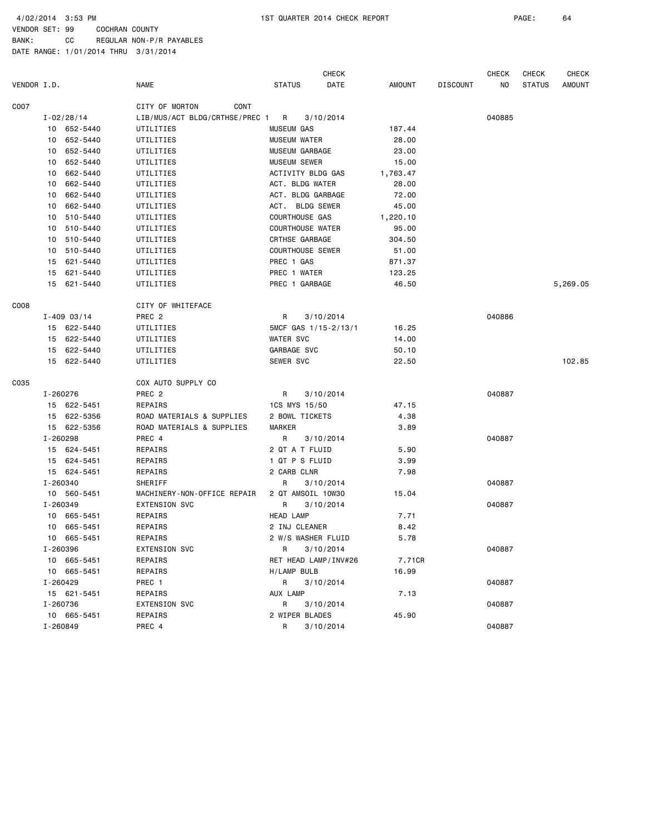4/02/2014 3:53 PM 1ST QUARTER 2014 CHECK REPORT PAGE: 64

BANK: CC REGULAR NON-P/R PAYABLES

|             |                 |          |                                | <b>CHECK</b>            |           |          |                 | CHECK  | CHECK<br>CHECK |               |  |
|-------------|-----------------|----------|--------------------------------|-------------------------|-----------|----------|-----------------|--------|----------------|---------------|--|
| VENDOR I.D. |                 |          | <b>NAME</b>                    | <b>STATUS</b>           | DATE      | AMOUNT   | <b>DISCOUNT</b> | NO     | <b>STATUS</b>  | <b>AMOUNT</b> |  |
| C007        |                 |          | CITY OF MORTON<br>CONT         |                         |           |          |                 |        |                |               |  |
|             | $I - 02/28/14$  |          | LIB/MUS/ACT BLDG/CRTHSE/PREC 1 | R                       | 3/10/2014 |          |                 | 040885 |                |               |  |
|             | 10 652-5440     |          | UTILITIES                      | MUSEUM GAS              |           | 187.44   |                 |        |                |               |  |
|             | 10 652-5440     |          | UTILITIES                      | MUSEUM WATER            |           | 28.00    |                 |        |                |               |  |
|             | 10 652-5440     |          | UTILITIES                      | MUSEUM GARBAGE          |           | 23.00    |                 |        |                |               |  |
|             | 10 652-5440     |          | UTILITIES                      | <b>MUSEUM SEWER</b>     |           | 15.00    |                 |        |                |               |  |
|             | 10              | 662-5440 | UTILITIES                      | ACTIVITY BLDG GAS       |           | 1,763.47 |                 |        |                |               |  |
|             | 10              | 662-5440 | UTILITIES                      | ACT. BLDG WATER         |           | 28.00    |                 |        |                |               |  |
|             | 10 662-5440     |          | UTILITIES                      | ACT. BLDG GARBAGE       |           | 72.00    |                 |        |                |               |  |
|             | 10              | 662-5440 | UTILITIES                      | ACT. BLDG SEWER         |           | 45.00    |                 |        |                |               |  |
|             | 10 510-5440     |          | UTILITIES                      | COURTHOUSE GAS          |           | 1,220.10 |                 |        |                |               |  |
|             | 10 510-5440     |          | UTILITIES                      | <b>COURTHOUSE WATER</b> |           | 95.00    |                 |        |                |               |  |
|             | 10 510-5440     |          | UTILITIES                      | CRTHSE GARBAGE          |           | 304.50   |                 |        |                |               |  |
|             | 10 510-5440     |          | UTILITIES                      | <b>COURTHOUSE SEWER</b> |           | 51.00    |                 |        |                |               |  |
|             | 15 621-5440     |          | UTILITIES                      | PREC 1 GAS              |           | 871.37   |                 |        |                |               |  |
|             | 15 621-5440     |          | UTILITIES                      | PREC 1 WATER            |           | 123.25   |                 |        |                |               |  |
|             | 15 621-5440     |          | UTILITIES                      | PREC 1 GARBAGE          |           | 46.50    |                 |        |                | 5,269.05      |  |
| CO08        |                 |          | CITY OF WHITEFACE              |                         |           |          |                 |        |                |               |  |
|             | $I - 409003/14$ |          | PREC <sub>2</sub>              | R                       | 3/10/2014 |          |                 | 040886 |                |               |  |
|             | 15 622-5440     |          | UTILITIES                      | 5MCF GAS 1/15-2/13/1    |           | 16.25    |                 |        |                |               |  |
|             | 15 622-5440     |          | UTILITIES                      | <b>WATER SVC</b>        |           | 14.00    |                 |        |                |               |  |
|             | 15 622-5440     |          | UTILITIES                      | GARBAGE SVC             |           | 50.10    |                 |        |                |               |  |
|             | 15 622-5440     |          | UTILITIES                      | SEWER SVC               |           | 22.50    |                 |        |                | 102.85        |  |
| C035        |                 |          | COX AUTO SUPPLY CO             |                         |           |          |                 |        |                |               |  |
|             | I-260276        |          | PREC <sub>2</sub>              | R                       | 3/10/2014 |          |                 | 040887 |                |               |  |
|             | 15 622-5451     |          | REPAIRS                        | 1CS MYS 15/50           |           | 47.15    |                 |        |                |               |  |
|             | 15 622-5356     |          | ROAD MATERIALS & SUPPLIES      | 2 BOWL TICKETS          |           | 4.38     |                 |        |                |               |  |
|             | 15 622-5356     |          | ROAD MATERIALS & SUPPLIES      | MARKER                  |           | 3.89     |                 |        |                |               |  |
|             | I-260298        |          | PREC 4                         | R                       | 3/10/2014 |          |                 | 040887 |                |               |  |
|             | 15 624-5451     |          | REPAIRS                        | 2 QT A T FLUID          |           | 5.90     |                 |        |                |               |  |
|             | 15 624-5451     |          | REPAIRS                        | 1 QT P S FLUID          |           | 3.99     |                 |        |                |               |  |
|             | 15 624-5451     |          | REPAIRS                        | 2 CARB CLNR             |           | 7.98     |                 |        |                |               |  |
|             | I-260340        |          | SHERIFF                        | R                       | 3/10/2014 |          |                 | 040887 |                |               |  |
|             | 10 560-5451     |          | MACHINERY-NON-OFFICE REPAIR    | 2 QT AMSOIL 10W30       |           | 15.04    |                 |        |                |               |  |
|             | I-260349        |          | <b>EXTENSION SVC</b>           | R                       | 3/10/2014 |          |                 | 040887 |                |               |  |
|             | 10 665-5451     |          | REPAIRS                        | <b>HEAD LAMP</b>        |           | 7.71     |                 |        |                |               |  |
|             | 10 665-5451     |          | REPAIRS                        | 2 INJ CLEANER           |           | 8.42     |                 |        |                |               |  |
|             | 10 665-5451     |          | REPAIRS                        | 2 W/S WASHER FLUID      |           | 5.78     |                 |        |                |               |  |
|             | I-260396        |          | <b>EXTENSION SVC</b>           | R                       | 3/10/2014 |          |                 | 040887 |                |               |  |
|             | 10 665-5451     |          | REPAIRS                        | RET HEAD LAMP/INV#26    |           | 7.71CR   |                 |        |                |               |  |
|             | 10 665-5451     |          | REPAIRS                        | H/LAMP BULB             |           | 16.99    |                 |        |                |               |  |
|             | I-260429        |          | PREC 1                         | R                       | 3/10/2014 |          |                 | 040887 |                |               |  |
|             | 15 621-5451     |          | REPAIRS                        | AUX LAMP                |           | 7.13     |                 |        |                |               |  |
|             | I-260736        |          | <b>EXTENSION SVC</b>           | R                       | 3/10/2014 |          |                 | 040887 |                |               |  |
|             | 10 665-5451     |          | REPAIRS                        | 2 WIPER BLADES          |           | 45.90    |                 |        |                |               |  |
|             | I-260849        |          | PREC 4                         | R                       | 3/10/2014 |          |                 | 040887 |                |               |  |
|             |                 |          |                                |                         |           |          |                 |        |                |               |  |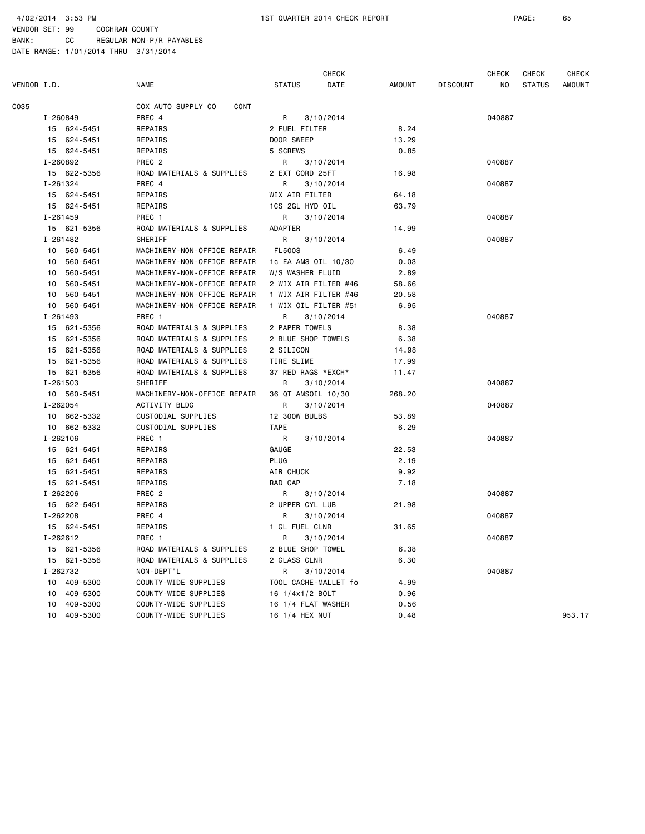|             |              |          |                             |                      | <b>CHECK</b> |        |                 | CHECK  | <b>CHECK</b>  | <b>CHECK</b>  |
|-------------|--------------|----------|-----------------------------|----------------------|--------------|--------|-----------------|--------|---------------|---------------|
| VENDOR I.D. |              |          | <b>NAME</b>                 | <b>STATUS</b>        | DATE         | AMOUNT | <b>DISCOUNT</b> | NO     | <b>STATUS</b> | <b>AMOUNT</b> |
| C035        |              |          | COX AUTO SUPPLY CO<br>CONT  |                      |              |        |                 |        |               |               |
|             | I-260849     |          | PREC 4                      | R                    | 3/10/2014    |        |                 | 040887 |               |               |
|             | 15 624-5451  |          | REPAIRS                     | 2 FUEL FILTER        |              | 8.24   |                 |        |               |               |
|             | 15 624-5451  |          | REPAIRS                     | DOOR SWEEP           |              | 13.29  |                 |        |               |               |
|             | 15 624-5451  |          | REPAIRS                     | 5 SCREWS             |              | 0.85   |                 |        |               |               |
|             | I-260892     |          | PREC <sub>2</sub>           | R                    | 3/10/2014    |        |                 | 040887 |               |               |
|             | 15 622-5356  |          | ROAD MATERIALS & SUPPLIES   | 2 EXT CORD 25FT      |              | 16.98  |                 |        |               |               |
|             | I-261324     |          | PREC 4                      | R                    | 3/10/2014    |        |                 | 040887 |               |               |
|             | 15 624-5451  |          | REPAIRS                     | WIX AIR FILTER       |              | 64.18  |                 |        |               |               |
|             | 15 624-5451  |          | REPAIRS                     | 1CS 2GL HYD OIL      |              | 63.79  |                 |        |               |               |
|             | I-261459     |          | PREC 1                      | R                    | 3/10/2014    |        |                 | 040887 |               |               |
|             | 15 621-5356  |          | ROAD MATERIALS & SUPPLIES   | ADAPTER              |              | 14.99  |                 |        |               |               |
|             | I-261482     |          | SHERIFF                     | R                    | 3/10/2014    |        |                 | 040887 |               |               |
|             | 10 560-5451  |          | MACHINERY-NON-OFFICE REPAIR | <b>FL500S</b>        |              | 6.49   |                 |        |               |               |
|             | 10           | 560-5451 | MACHINERY-NON-OFFICE REPAIR | 1c EA AMS OIL 10/30  |              | 0.03   |                 |        |               |               |
|             | 10           | 560-5451 | MACHINERY-NON-OFFICE REPAIR | W/S WASHER FLUID     |              | 2.89   |                 |        |               |               |
|             | 10 560-5451  |          | MACHINERY-NON-OFFICE REPAIR | 2 WIX AIR FILTER #46 |              | 58.66  |                 |        |               |               |
|             | 10           | 560-5451 | MACHINERY-NON-OFFICE REPAIR | 1 WIX AIR FILTER #46 |              | 20.58  |                 |        |               |               |
|             | 10 560-5451  |          | MACHINERY-NON-OFFICE REPAIR | 1 WIX OIL FILTER #51 |              | 6.95   |                 |        |               |               |
|             | $I - 261493$ |          | PREC 1                      | R                    | 3/10/2014    |        |                 | 040887 |               |               |
|             | 15 621-5356  |          | ROAD MATERIALS & SUPPLIES   | 2 PAPER TOWELS       |              | 8.38   |                 |        |               |               |
|             | 15 621-5356  |          | ROAD MATERIALS & SUPPLIES   | 2 BLUE SHOP TOWELS   |              | 6.38   |                 |        |               |               |
|             | 15           | 621-5356 | ROAD MATERIALS & SUPPLIES   | 2 SILICON            |              | 14.98  |                 |        |               |               |
|             | 15 621-5356  |          | ROAD MATERIALS & SUPPLIES   | TIRE SLIME           |              | 17.99  |                 |        |               |               |
|             | 15 621-5356  |          | ROAD MATERIALS & SUPPLIES   | 37 RED RAGS *EXCH*   |              | 11.47  |                 |        |               |               |
|             | $I - 261503$ |          | SHERIFF                     | R                    | 3/10/2014    |        |                 | 040887 |               |               |
|             | 10 560-5451  |          | MACHINERY-NON-OFFICE REPAIR | 36 QT AMSOIL 10/30   |              | 268.20 |                 |        |               |               |
|             | I-262054     |          | ACTIVITY BLDG               | R                    | 3/10/2014    |        |                 | 040887 |               |               |
|             | 10 662-5332  |          | CUSTODIAL SUPPLIES          | <b>12 300W BULBS</b> |              | 53.89  |                 |        |               |               |
|             | 10 662-5332  |          | CUSTODIAL SUPPLIES          | <b>TAPE</b>          |              | 6.29   |                 |        |               |               |
|             | I-262106     |          | PREC 1                      | R                    | 3/10/2014    |        |                 | 040887 |               |               |
|             | 15 621-5451  |          | REPAIRS                     | <b>GAUGE</b>         |              | 22.53  |                 |        |               |               |
|             | 15 621-5451  |          | REPAIRS                     | <b>PLUG</b>          |              | 2.19   |                 |        |               |               |
|             | 15 621-5451  |          | REPAIRS                     | AIR CHUCK            |              | 9.92   |                 |        |               |               |
|             | 15 621-5451  |          | REPAIRS                     | RAD CAP              |              | 7.18   |                 |        |               |               |
|             | I-262206     |          | PREC 2                      | R                    | 3/10/2014    |        |                 | 040887 |               |               |
|             | 15 622-5451  |          | REPAIRS                     | 2 UPPER CYL LUB      |              | 21.98  |                 |        |               |               |
|             | I-262208     |          | PREC 4                      | R                    | 3/10/2014    |        |                 | 040887 |               |               |
|             | 15 624-5451  |          | REPAIRS                     | 1 GL FUEL CLNR       |              | 31.65  |                 |        |               |               |
|             | I-262612     |          | PREC 1                      | R                    | 3/10/2014    |        |                 | 040887 |               |               |
|             | 15 621-5356  |          | ROAD MATERIALS & SUPPLIES   | 2 BLUE SHOP TOWEL    |              | 6.38   |                 |        |               |               |
|             | 15 621-5356  |          | ROAD MATERIALS & SUPPLIES   | 2 GLASS CLNR         |              | 6.30   |                 |        |               |               |
|             | I-262732     |          | NON-DEPT'L                  | R                    | 3/10/2014    |        |                 | 040887 |               |               |
|             | 10 409-5300  |          | COUNTY-WIDE SUPPLIES        | TOOL CACHE-MALLET fo |              | 4.99   |                 |        |               |               |
|             | 10           | 409-5300 | COUNTY-WIDE SUPPLIES        | 16 1/4x1/2 BOLT      |              | 0.96   |                 |        |               |               |
|             | 10           | 409-5300 | COUNTY-WIDE SUPPLIES        | 16 1/4 FLAT WASHER   |              | 0.56   |                 |        |               |               |
|             | 10           | 409-5300 | COUNTY-WIDE SUPPLIES        | 16 1/4 HEX NUT       |              | 0.48   |                 |        |               | 953.17        |
|             |              |          |                             |                      |              |        |                 |        |               |               |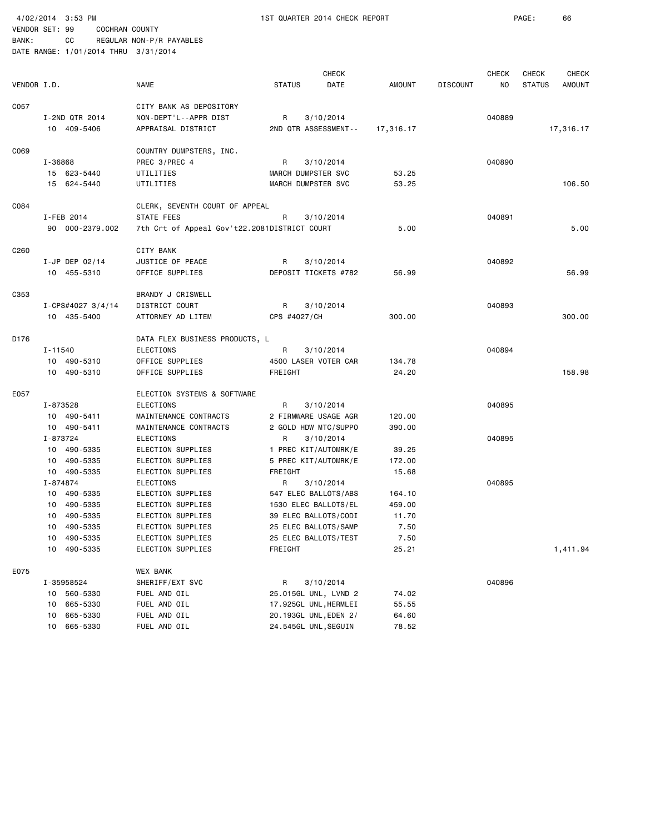4/02/2014 3:53 PM 1ST QUARTER 2014 CHECK REPORT PAGE: 66 VENDOR SET: 99 COCHRAN COUNTY

|                  |            |                   | <b>NAME</b>                                  | <b>STATUS</b> | <b>CHECK</b><br>DATE  | AMOUNT    | <b>DISCOUNT</b> | <b>CHECK</b><br>NO | <b>CHECK</b><br><b>STATUS</b> | <b>CHECK</b><br><b>AMOUNT</b> |
|------------------|------------|-------------------|----------------------------------------------|---------------|-----------------------|-----------|-----------------|--------------------|-------------------------------|-------------------------------|
| VENDOR I.D.      |            |                   |                                              |               |                       |           |                 |                    |                               |                               |
| C057             |            |                   | CITY BANK AS DEPOSITORY                      |               |                       |           |                 |                    |                               |                               |
|                  |            | I-2ND QTR 2014    | NON-DEPT'L--APPR DIST                        | R             | 3/10/2014             |           |                 | 040889             |                               |                               |
|                  |            | 10 409-5406       | APPRAISAL DISTRICT                           |               | 2ND QTR ASSESSMENT--  | 17,316.17 |                 |                    |                               | 17,316.17                     |
| C069             |            |                   | COUNTRY DUMPSTERS, INC.                      |               |                       |           |                 |                    |                               |                               |
|                  | I-36868    |                   | PREC 3/PREC 4                                | R             | 3/10/2014             |           |                 | 040890             |                               |                               |
|                  |            | 15 623-5440       | UTILITIES                                    |               | MARCH DUMPSTER SVC    | 53.25     |                 |                    |                               |                               |
|                  |            | 15 624-5440       | UTILITIES                                    |               | MARCH DUMPSTER SVC    | 53.25     |                 |                    |                               | 106.50                        |
| C084             |            |                   | CLERK, SEVENTH COURT OF APPEAL               |               |                       |           |                 |                    |                               |                               |
|                  | I-FEB 2014 |                   | STATE FEES                                   | R             | 3/10/2014             |           |                 | 040891             |                               |                               |
|                  |            | 90 000-2379.002   | 7th Crt of Appeal Gov't22.2081DISTRICT COURT |               |                       | 5.00      |                 |                    |                               | 5.00                          |
| C <sub>260</sub> |            |                   | <b>CITY BANK</b>                             |               |                       |           |                 |                    |                               |                               |
|                  |            | $I$ -JP DEP 02/14 | JUSTICE OF PEACE                             | R             | 3/10/2014             |           |                 | 040892             |                               |                               |
|                  |            | 10 455-5310       | OFFICE SUPPLIES                              |               | DEPOSIT TICKETS #782  | 56.99     |                 |                    |                               | 56.99                         |
| C353             |            |                   | BRANDY J CRISWELL                            |               |                       |           |                 |                    |                               |                               |
|                  |            | I-CPS#4027 3/4/14 | DISTRICT COURT                               | R             | 3/10/2014             |           |                 | 040893             |                               |                               |
|                  |            | 10 435-5400       | ATTORNEY AD LITEM                            | CPS #4027/CH  |                       | 300.00    |                 |                    |                               | 300.00                        |
| D176             |            |                   | DATA FLEX BUSINESS PRODUCTS, L               |               |                       |           |                 |                    |                               |                               |
|                  | I-11540    |                   | <b>ELECTIONS</b>                             | R             | 3/10/2014             |           |                 | 040894             |                               |                               |
|                  |            | 10 490-5310       | OFFICE SUPPLIES                              |               | 4500 LASER VOTER CAR  | 134.78    |                 |                    |                               |                               |
|                  |            | 10 490-5310       | OFFICE SUPPLIES                              | FREIGHT       |                       | 24.20     |                 |                    |                               | 158.98                        |
| E057             |            |                   | ELECTION SYSTEMS & SOFTWARE                  |               |                       |           |                 |                    |                               |                               |
|                  | I-873528   |                   | ELECTIONS                                    | R             | 3/10/2014             |           |                 | 040895             |                               |                               |
|                  |            | 10 490-5411       | MAINTENANCE CONTRACTS                        |               | 2 FIRMWARE USAGE AGR  | 120.00    |                 |                    |                               |                               |
|                  |            | 10 490-5411       | MAINTENANCE CONTRACTS                        |               | 2 GOLD HDW MTC/SUPPO  | 390.00    |                 |                    |                               |                               |
|                  | I-873724   |                   | <b>ELECTIONS</b>                             | R             | 3/10/2014             |           |                 | 040895             |                               |                               |
|                  |            | 10 490-5335       | ELECTION SUPPLIES                            |               | 1 PREC KIT/AUTOMRK/E  | 39.25     |                 |                    |                               |                               |
|                  |            | 10 490-5335       | ELECTION SUPPLIES                            |               | 5 PREC KIT/AUTOMRK/E  | 172.00    |                 |                    |                               |                               |
|                  |            | 10 490-5335       | ELECTION SUPPLIES                            | FREIGHT       |                       | 15.68     |                 |                    |                               |                               |
|                  | I-874874   |                   | <b>ELECTIONS</b>                             | R             | 3/10/2014             |           |                 | 040895             |                               |                               |
|                  |            | 10 490-5335       | ELECTION SUPPLIES                            |               | 547 ELEC BALLOTS/ABS  | 164.10    |                 |                    |                               |                               |
|                  |            | 10 490-5335       | ELECTION SUPPLIES                            |               | 1530 ELEC BALLOTS/EL  | 459.00    |                 |                    |                               |                               |
|                  |            | 10 490-5335       | ELECTION SUPPLIES                            |               | 39 ELEC BALLOTS/CODI  | 11.70     |                 |                    |                               |                               |
|                  |            | 10 490-5335       | ELECTION SUPPLIES                            |               | 25 ELEC BALLOTS/SAMP  | 7.50      |                 |                    |                               |                               |
|                  | 10         | 490-5335          | ELECTION SUPPLIES                            |               | 25 ELEC BALLOTS/TEST  | 7.50      |                 |                    |                               |                               |
|                  |            | 10 490-5335       | ELECTION SUPPLIES                            | FREIGHT       |                       | 25.21     |                 |                    |                               | 1,411.94                      |
| E075             |            |                   | <b>WEX BANK</b>                              |               |                       |           |                 |                    |                               |                               |
|                  | I-35958524 |                   | SHERIFF/EXT SVC                              | R             | 3/10/2014             |           |                 | 040896             |                               |                               |
|                  |            | 10 560-5330       | FUEL AND OIL                                 |               | 25.015GL UNL, LVND 2  | 74.02     |                 |                    |                               |                               |
|                  | 10         | 665-5330          | FUEL AND OIL                                 |               | 17.925GL UNL, HERMLEI | 55.55     |                 |                    |                               |                               |
|                  | 10         | 665-5330          | FUEL AND OIL                                 |               | 20.193GL UNL, EDEN 2/ | 64.60     |                 |                    |                               |                               |
|                  |            | 10 665-5330       | FUEL AND OIL                                 |               | 24.545GL UNL, SEGUIN  | 78.52     |                 |                    |                               |                               |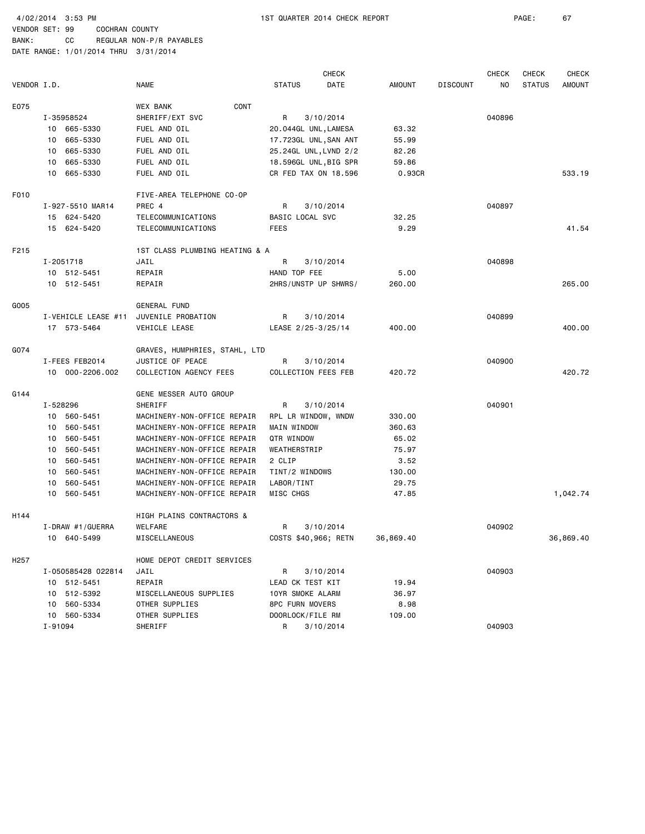BANK: CC REGULAR NON-P/R PAYABLES DATE RANGE: 1/01/2014 THRU 3/31/2014

 CHECK CHECK CHECK CHECK VENDOR I.D. NAME STATUS DATE AMOUNT DISCOUNT NO STATUS AMOUNT E075 WEX BANK CONT I-35958524 SHERIFF/EXT SVC R 3/10/2014 040896 10 665-5330 FUEL AND OIL 20.044GL UNL,LAMESA 63.32 10 665-5330 FUEL AND OIL 17.723GL UNL,SAN ANT 55.99 10 665-5330 FUEL AND OIL 25.24GL UNL,LVND 2/2 82.26 10 665-5330 FUEL AND OIL 18.596GL UNL,BIG SPR 59.86 10 665-5330 FUEL AND OIL CR FED TAX ON 18.596 0.93CR 533.19 F010 FIVE-AREA TELEPHONE CO-OP I-927-5510 MAR14 PREC 4 R 3/10/2014 040897 15 624-5420 TELECOMMUNICATIONS BASIC LOCAL SVC 32.25 15 624-5420 TELECOMMUNICATIONS FEES 9.29 41.54 F215 1ST CLASS PLUMBING HEATING & A I-2051718 JAIL R 3/10/2014 040898 10 512-5451 REPAIR HAND TOP FEE 5.00 10 512-5451 REPAIR 2HRS/UNSTP UP SHWRS/ 260.00 265.00 G005 GENERAL FUND I-VEHICLE LEASE #11 JUVENILE PROBATION R 3/10/2014 8 040899 17 573-5464 VEHICLE LEASE LEASE 2/25-3/25/14 400.00 400.00 G074 GRAVES, HUMPHRIES, STAHL, LTD I-FEES FEB2014 JUSTICE OF PEACE R 3/10/2014 040900 10 000-2206.002 COLLECTION AGENCY FEES COLLECTION FEES FEB 420.72 420.72 G144 GENE MESSER AUTO GROUP I-528296 SHERIFF R R 3/10/2014 R 300901 10 560-5451 MACHINERY-NON-OFFICE REPAIR RPL LR WINDOW, WNDW 330.00 10 560-5451 MACHINERY-NON-OFFICE REPAIR MAIN WINDOW 360.63 10 560-5451 MACHINERY-NON-OFFICE REPAIR QTR WINDOW 65.02 10 560-5451 MACHINERY-NON-OFFICE REPAIR WEATHERSTRIP 75.97 10 560-5451 MACHINERY-NON-OFFICE REPAIR 2 CLIP 3.52 10 560-5451 MACHINERY-NON-OFFICE REPAIR TINT/2 WINDOWS 130.00 10 560-5451 MACHINERY-NON-OFFICE REPAIR LABOR/TINT 29.75 10 560-5451 MACHINERY-NON-OFFICE REPAIR MISC CHGS 47.85 47.85 1,042.74 H144 HIGH PLAINS CONTRACTORS & I-DRAW #1/GUERRA WELFARE R 3/10/2014 040902 10 640-5499 MISCELLANEOUS COSTS \$40,966; RETN 36,869.40 36,869.40 H257 HOME DEPOT CREDIT SERVICES I-050585428 022814 JAIL R 3/10/2014 040903 10 512-5451 REPAIR LEAD CK TEST KIT 19.94 10 512-5392 MISCELLANEOUS SUPPLIES 10YR SMOKE ALARM 36.97 10 560-5334 OTHER SUPPLIES 8PC FURN MOVERS 8.98 10 560-5334 OTHER SUPPLIES DOORLOCK/FILE RM 109.00 I-91094 SHERIFF R 3/10/2014 040903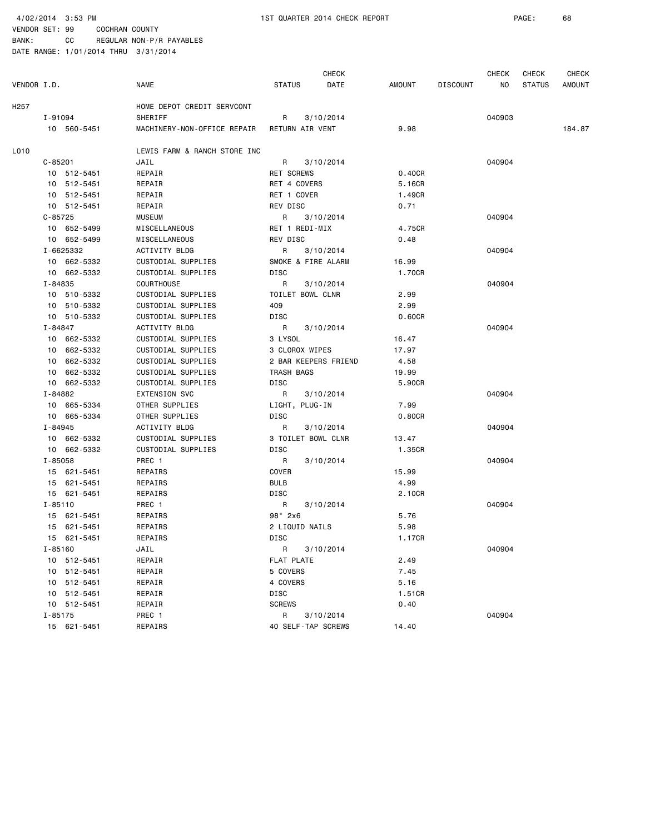4/02/2014 3:53 PM 1ST QUARTER 2014 CHECK REPORT PAGE: 68

| <b>NAME</b><br>VENDOR I.D.<br>H257<br>HOME DEPOT CREDIT SERVCONT<br>SHERIFF<br>I-91094<br>10 560-5451<br>L010<br>JAIL<br>$C - 85201$<br>10 512-5451<br>REPAIR<br>10 512-5451<br>REPAIR<br>10 512-5451<br>REPAIR<br>10 512-5451<br>REPAIR<br>$C - 85725$<br><b>MUSEUM</b><br>10 652-5499<br>MISCELLANEOUS<br>10 652-5499<br>MISCELLANEOUS<br>I-6625332<br>ACTIVITY BLDG<br>10 662-5332<br>CUSTODIAL SUPPLIES<br>10 662-5332<br>CUSTODIAL SUPPLIES<br><b>COURTHOUSE</b><br>I-84835<br>CUSTODIAL SUPPLIES<br>10 510-5332<br>10 510-5332<br>CUSTODIAL SUPPLIES<br>10 510-5332<br>CUSTODIAL SUPPLIES<br>I-84847<br><b>ACTIVITY BLDG</b><br>10 662-5332<br>CUSTODIAL SUPPLIES<br>10 662-5332<br>CUSTODIAL SUPPLIES<br>662-5332<br>CUSTODIAL SUPPLIES<br>10<br>662-5332<br>CUSTODIAL SUPPLIES<br>10<br>10 662-5332<br>CUSTODIAL SUPPLIES<br>I-84882<br><b>EXTENSION SVC</b><br>10 665-5334<br>OTHER SUPPLIES<br>10 665-5334<br>OTHER SUPPLIES<br>I-84945<br>ACTIVITY BLDG | <b>STATUS</b><br>R<br>MACHINERY-NON-OFFICE REPAIR<br>LEWIS FARM & RANCH STORE INC<br>R<br>RET SCREWS<br>RET 4 COVERS<br>RET 1 COVER<br>REV DISC<br>$\mathsf{R}$ | DATE<br>3/10/2014<br><b>RETURN AIR VENT</b><br>3/10/2014 | <b>AMOUNT</b><br><b>DISCOUNT</b><br>9.98<br>0.40CR<br>5.16CR | NO.<br>040903<br>040904 | <b>STATUS</b> | AMOUNT<br>184.87 |
|--------------------------------------------------------------------------------------------------------------------------------------------------------------------------------------------------------------------------------------------------------------------------------------------------------------------------------------------------------------------------------------------------------------------------------------------------------------------------------------------------------------------------------------------------------------------------------------------------------------------------------------------------------------------------------------------------------------------------------------------------------------------------------------------------------------------------------------------------------------------------------------------------------------------------------------------------------------------|-----------------------------------------------------------------------------------------------------------------------------------------------------------------|----------------------------------------------------------|--------------------------------------------------------------|-------------------------|---------------|------------------|
|                                                                                                                                                                                                                                                                                                                                                                                                                                                                                                                                                                                                                                                                                                                                                                                                                                                                                                                                                                    |                                                                                                                                                                 |                                                          |                                                              |                         |               |                  |
|                                                                                                                                                                                                                                                                                                                                                                                                                                                                                                                                                                                                                                                                                                                                                                                                                                                                                                                                                                    |                                                                                                                                                                 |                                                          |                                                              |                         |               |                  |
|                                                                                                                                                                                                                                                                                                                                                                                                                                                                                                                                                                                                                                                                                                                                                                                                                                                                                                                                                                    |                                                                                                                                                                 |                                                          |                                                              |                         |               |                  |
|                                                                                                                                                                                                                                                                                                                                                                                                                                                                                                                                                                                                                                                                                                                                                                                                                                                                                                                                                                    |                                                                                                                                                                 |                                                          |                                                              |                         |               |                  |
|                                                                                                                                                                                                                                                                                                                                                                                                                                                                                                                                                                                                                                                                                                                                                                                                                                                                                                                                                                    |                                                                                                                                                                 |                                                          |                                                              |                         |               |                  |
|                                                                                                                                                                                                                                                                                                                                                                                                                                                                                                                                                                                                                                                                                                                                                                                                                                                                                                                                                                    |                                                                                                                                                                 |                                                          |                                                              |                         |               |                  |
|                                                                                                                                                                                                                                                                                                                                                                                                                                                                                                                                                                                                                                                                                                                                                                                                                                                                                                                                                                    |                                                                                                                                                                 |                                                          |                                                              |                         |               |                  |
|                                                                                                                                                                                                                                                                                                                                                                                                                                                                                                                                                                                                                                                                                                                                                                                                                                                                                                                                                                    |                                                                                                                                                                 |                                                          |                                                              |                         |               |                  |
|                                                                                                                                                                                                                                                                                                                                                                                                                                                                                                                                                                                                                                                                                                                                                                                                                                                                                                                                                                    |                                                                                                                                                                 |                                                          | 1.49CR                                                       |                         |               |                  |
|                                                                                                                                                                                                                                                                                                                                                                                                                                                                                                                                                                                                                                                                                                                                                                                                                                                                                                                                                                    |                                                                                                                                                                 |                                                          | 0.71                                                         |                         |               |                  |
|                                                                                                                                                                                                                                                                                                                                                                                                                                                                                                                                                                                                                                                                                                                                                                                                                                                                                                                                                                    |                                                                                                                                                                 | 3/10/2014                                                |                                                              | 040904                  |               |                  |
|                                                                                                                                                                                                                                                                                                                                                                                                                                                                                                                                                                                                                                                                                                                                                                                                                                                                                                                                                                    |                                                                                                                                                                 | RET 1 REDI-MIX                                           | 4.75CR                                                       |                         |               |                  |
|                                                                                                                                                                                                                                                                                                                                                                                                                                                                                                                                                                                                                                                                                                                                                                                                                                                                                                                                                                    | REV DISC                                                                                                                                                        |                                                          | 0.48                                                         |                         |               |                  |
|                                                                                                                                                                                                                                                                                                                                                                                                                                                                                                                                                                                                                                                                                                                                                                                                                                                                                                                                                                    | R                                                                                                                                                               | 3/10/2014                                                |                                                              | 040904                  |               |                  |
|                                                                                                                                                                                                                                                                                                                                                                                                                                                                                                                                                                                                                                                                                                                                                                                                                                                                                                                                                                    |                                                                                                                                                                 | SMOKE & FIRE ALARM                                       | 16.99                                                        |                         |               |                  |
|                                                                                                                                                                                                                                                                                                                                                                                                                                                                                                                                                                                                                                                                                                                                                                                                                                                                                                                                                                    | DISC                                                                                                                                                            |                                                          | 1.70CR                                                       |                         |               |                  |
|                                                                                                                                                                                                                                                                                                                                                                                                                                                                                                                                                                                                                                                                                                                                                                                                                                                                                                                                                                    | R                                                                                                                                                               | 3/10/2014                                                |                                                              | 040904                  |               |                  |
|                                                                                                                                                                                                                                                                                                                                                                                                                                                                                                                                                                                                                                                                                                                                                                                                                                                                                                                                                                    |                                                                                                                                                                 | TOILET BOWL CLNR                                         | 2.99                                                         |                         |               |                  |
|                                                                                                                                                                                                                                                                                                                                                                                                                                                                                                                                                                                                                                                                                                                                                                                                                                                                                                                                                                    | 409                                                                                                                                                             |                                                          | 2.99                                                         |                         |               |                  |
|                                                                                                                                                                                                                                                                                                                                                                                                                                                                                                                                                                                                                                                                                                                                                                                                                                                                                                                                                                    | DISC                                                                                                                                                            |                                                          | 0.60CR                                                       |                         |               |                  |
|                                                                                                                                                                                                                                                                                                                                                                                                                                                                                                                                                                                                                                                                                                                                                                                                                                                                                                                                                                    | R                                                                                                                                                               | 3/10/2014                                                |                                                              | 040904                  |               |                  |
|                                                                                                                                                                                                                                                                                                                                                                                                                                                                                                                                                                                                                                                                                                                                                                                                                                                                                                                                                                    | 3 LYSOL                                                                                                                                                         |                                                          | 16.47                                                        |                         |               |                  |
|                                                                                                                                                                                                                                                                                                                                                                                                                                                                                                                                                                                                                                                                                                                                                                                                                                                                                                                                                                    |                                                                                                                                                                 | 3 CLOROX WIPES                                           | 17.97                                                        |                         |               |                  |
|                                                                                                                                                                                                                                                                                                                                                                                                                                                                                                                                                                                                                                                                                                                                                                                                                                                                                                                                                                    |                                                                                                                                                                 | 2 BAR KEEPERS FRIEND                                     | 4.58                                                         |                         |               |                  |
|                                                                                                                                                                                                                                                                                                                                                                                                                                                                                                                                                                                                                                                                                                                                                                                                                                                                                                                                                                    | TRASH BAGS                                                                                                                                                      |                                                          | 19.99                                                        |                         |               |                  |
|                                                                                                                                                                                                                                                                                                                                                                                                                                                                                                                                                                                                                                                                                                                                                                                                                                                                                                                                                                    | DISC                                                                                                                                                            |                                                          | 5.90CR                                                       |                         |               |                  |
|                                                                                                                                                                                                                                                                                                                                                                                                                                                                                                                                                                                                                                                                                                                                                                                                                                                                                                                                                                    | R                                                                                                                                                               | 3/10/2014                                                |                                                              | 040904                  |               |                  |
|                                                                                                                                                                                                                                                                                                                                                                                                                                                                                                                                                                                                                                                                                                                                                                                                                                                                                                                                                                    |                                                                                                                                                                 | LIGHT, PLUG-IN                                           | 7.99                                                         |                         |               |                  |
|                                                                                                                                                                                                                                                                                                                                                                                                                                                                                                                                                                                                                                                                                                                                                                                                                                                                                                                                                                    | DISC                                                                                                                                                            |                                                          | 0.80CR                                                       |                         |               |                  |
|                                                                                                                                                                                                                                                                                                                                                                                                                                                                                                                                                                                                                                                                                                                                                                                                                                                                                                                                                                    | R                                                                                                                                                               | 3/10/2014                                                |                                                              | 040904                  |               |                  |
| 10 662-5332<br>CUSTODIAL SUPPLIES                                                                                                                                                                                                                                                                                                                                                                                                                                                                                                                                                                                                                                                                                                                                                                                                                                                                                                                                  |                                                                                                                                                                 | 3 TOILET BOWL CLNR                                       | 13.47                                                        |                         |               |                  |
| CUSTODIAL SUPPLIES<br>10 662-5332                                                                                                                                                                                                                                                                                                                                                                                                                                                                                                                                                                                                                                                                                                                                                                                                                                                                                                                                  | DISC                                                                                                                                                            |                                                          | 1.35CR                                                       |                         |               |                  |
| I-85058<br>PREC 1                                                                                                                                                                                                                                                                                                                                                                                                                                                                                                                                                                                                                                                                                                                                                                                                                                                                                                                                                  | R                                                                                                                                                               | 3/10/2014                                                |                                                              | 040904                  |               |                  |
| 15 621-5451<br>REPAIRS                                                                                                                                                                                                                                                                                                                                                                                                                                                                                                                                                                                                                                                                                                                                                                                                                                                                                                                                             | COVER                                                                                                                                                           |                                                          | 15.99                                                        |                         |               |                  |
| 15 621-5451<br>REPAIRS                                                                                                                                                                                                                                                                                                                                                                                                                                                                                                                                                                                                                                                                                                                                                                                                                                                                                                                                             | <b>BULB</b>                                                                                                                                                     |                                                          | 4.99                                                         |                         |               |                  |
| 15 621-5451<br>REPAIRS                                                                                                                                                                                                                                                                                                                                                                                                                                                                                                                                                                                                                                                                                                                                                                                                                                                                                                                                             | DISC                                                                                                                                                            |                                                          | 2.10CR                                                       |                         |               |                  |
| $I - 85110$<br>PREC 1                                                                                                                                                                                                                                                                                                                                                                                                                                                                                                                                                                                                                                                                                                                                                                                                                                                                                                                                              | R                                                                                                                                                               | 3/10/2014                                                |                                                              | 040904                  |               |                  |
| REPAIRS<br>15 621-5451                                                                                                                                                                                                                                                                                                                                                                                                                                                                                                                                                                                                                                                                                                                                                                                                                                                                                                                                             | 98" 2x6                                                                                                                                                         |                                                          | 5.76                                                         |                         |               |                  |
| 15 621-5451<br>REPAIRS                                                                                                                                                                                                                                                                                                                                                                                                                                                                                                                                                                                                                                                                                                                                                                                                                                                                                                                                             |                                                                                                                                                                 | 2 LIQUID NAILS                                           | 5.98                                                         |                         |               |                  |
| 15 621-5451<br>REPAIRS                                                                                                                                                                                                                                                                                                                                                                                                                                                                                                                                                                                                                                                                                                                                                                                                                                                                                                                                             | DISC                                                                                                                                                            |                                                          | 1.17CR                                                       |                         |               |                  |
| I-85160<br>JAIL                                                                                                                                                                                                                                                                                                                                                                                                                                                                                                                                                                                                                                                                                                                                                                                                                                                                                                                                                    |                                                                                                                                                                 | R 3/10/2014                                              |                                                              | 040904                  |               |                  |
| 10 512-5451<br>REPAIR                                                                                                                                                                                                                                                                                                                                                                                                                                                                                                                                                                                                                                                                                                                                                                                                                                                                                                                                              | FLAT PLATE                                                                                                                                                      |                                                          | 2.49                                                         |                         |               |                  |
| 10 512-5451<br>REPAIR                                                                                                                                                                                                                                                                                                                                                                                                                                                                                                                                                                                                                                                                                                                                                                                                                                                                                                                                              | 5 COVERS                                                                                                                                                        |                                                          | 7.45                                                         |                         |               |                  |
| 10 512-5451<br>REPAIR                                                                                                                                                                                                                                                                                                                                                                                                                                                                                                                                                                                                                                                                                                                                                                                                                                                                                                                                              | 4 COVERS                                                                                                                                                        |                                                          | 5.16                                                         |                         |               |                  |
| 10 512-5451<br>REPAIR                                                                                                                                                                                                                                                                                                                                                                                                                                                                                                                                                                                                                                                                                                                                                                                                                                                                                                                                              | DISC                                                                                                                                                            |                                                          | 1.51CR                                                       |                         |               |                  |
| 10 512-5451<br>REPAIR                                                                                                                                                                                                                                                                                                                                                                                                                                                                                                                                                                                                                                                                                                                                                                                                                                                                                                                                              | <b>SCREWS</b>                                                                                                                                                   |                                                          | 0.40                                                         |                         |               |                  |
| I-85175<br>PREC 1                                                                                                                                                                                                                                                                                                                                                                                                                                                                                                                                                                                                                                                                                                                                                                                                                                                                                                                                                  | R                                                                                                                                                               | 3/10/2014                                                |                                                              | 040904                  |               |                  |
| 15 621-5451<br>REPAIRS                                                                                                                                                                                                                                                                                                                                                                                                                                                                                                                                                                                                                                                                                                                                                                                                                                                                                                                                             |                                                                                                                                                                 | 40 SELF-TAP SCREWS                                       | 14.40                                                        |                         |               |                  |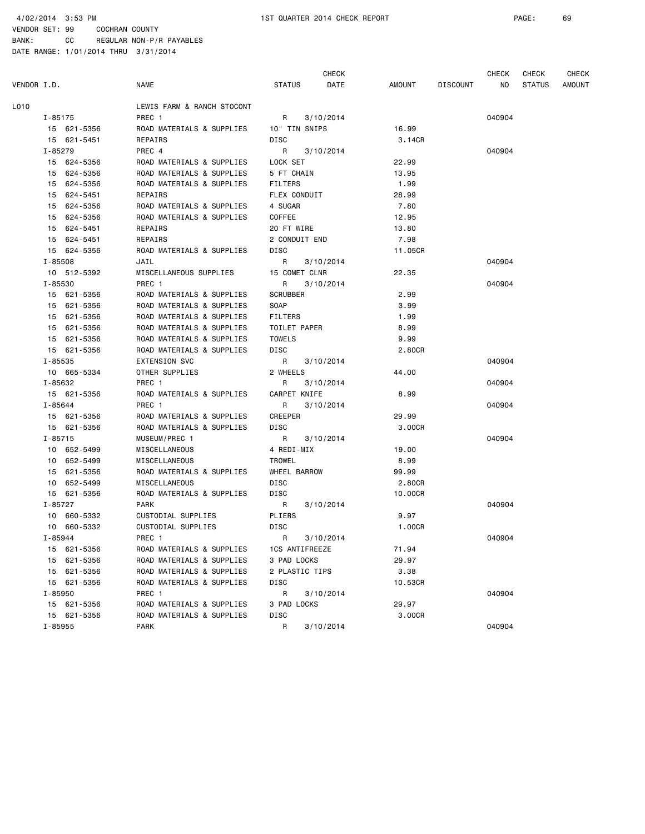4/02/2014 3:53 PM 1ST QUARTER 2014 CHECK REPORT PAGE: 69

VENDOR SET: 99 COCHRAN COUNTY BANK: CC REGULAR NON-P/R PAYABLES

|             |             |                            |                 | <b>CHECK</b> |         |                 | <b>CHECK</b> | <b>CHECK</b>  | <b>CHECK</b>  |
|-------------|-------------|----------------------------|-----------------|--------------|---------|-----------------|--------------|---------------|---------------|
| VENDOR I.D. |             | <b>NAME</b>                | <b>STATUS</b>   | DATE         | AMOUNT  | <b>DISCOUNT</b> | NO.          | <b>STATUS</b> | <b>AMOUNT</b> |
| L010        |             | LEWIS FARM & RANCH STOCONT |                 |              |         |                 |              |               |               |
|             | I-85175     | PREC 1                     | R               | 3/10/2014    |         |                 | 040904       |               |               |
|             | 15 621-5356 | ROAD MATERIALS & SUPPLIES  | 10" TIN SNIPS   |              | 16.99   |                 |              |               |               |
|             | 15 621-5451 | REPAIRS                    | DISC            |              | 3.14CR  |                 |              |               |               |
|             | I-85279     | PREC 4                     | R               | 3/10/2014    |         |                 | 040904       |               |               |
|             | 15 624-5356 | ROAD MATERIALS & SUPPLIES  | LOCK SET        |              | 22.99   |                 |              |               |               |
|             | 15 624-5356 | ROAD MATERIALS & SUPPLIES  | 5 FT CHAIN      |              | 13.95   |                 |              |               |               |
|             | 15 624-5356 | ROAD MATERIALS & SUPPLIES  | <b>FILTERS</b>  |              | 1.99    |                 |              |               |               |
|             | 15 624-5451 | REPAIRS                    | FLEX CONDUIT    |              | 28.99   |                 |              |               |               |
|             | 15 624-5356 | ROAD MATERIALS & SUPPLIES  | 4 SUGAR         |              | 7.80    |                 |              |               |               |
| 15          | 624-5356    | ROAD MATERIALS & SUPPLIES  | COFFEE          |              | 12.95   |                 |              |               |               |
|             | 15 624-5451 | REPAIRS                    | 20 FT WIRE      |              | 13.80   |                 |              |               |               |
|             | 15 624-5451 | REPAIRS                    | 2 CONDUIT END   |              | 7.98    |                 |              |               |               |
|             | 15 624-5356 | ROAD MATERIALS & SUPPLIES  | DISC            |              | 11.05CR |                 |              |               |               |
|             | $I - 85508$ | JAIL                       | R               | 3/10/2014    |         |                 | 040904       |               |               |
|             | 10 512-5392 | MISCELLANEOUS SUPPLIES     | 15 COMET CLNR   |              | 22.35   |                 |              |               |               |
|             | I-85530     | PREC 1                     | R               | 3/10/2014    |         |                 | 040904       |               |               |
|             | 15 621-5356 | ROAD MATERIALS & SUPPLIES  | <b>SCRUBBER</b> |              | 2.99    |                 |              |               |               |
|             | 15 621-5356 | ROAD MATERIALS & SUPPLIES  | SOAP            |              | 3.99    |                 |              |               |               |
|             | 15 621-5356 | ROAD MATERIALS & SUPPLIES  | <b>FILTERS</b>  |              | 1.99    |                 |              |               |               |
|             | 15 621-5356 | ROAD MATERIALS & SUPPLIES  | TOILET PAPER    |              | 8.99    |                 |              |               |               |
|             | 15 621-5356 | ROAD MATERIALS & SUPPLIES  | <b>TOWELS</b>   |              | 9.99    |                 |              |               |               |
|             | 15 621-5356 | ROAD MATERIALS & SUPPLIES  | DISC            |              | 2.80CR  |                 |              |               |               |
|             | I-85535     | <b>EXTENSION SVC</b>       | R               | 3/10/2014    |         |                 | 040904       |               |               |
|             | 10 665-5334 | OTHER SUPPLIES             | 2 WHEELS        |              | 44.00   |                 |              |               |               |
|             | I-85632     | PREC 1                     | R               | 3/10/2014    |         |                 | 040904       |               |               |
|             | 15 621-5356 | ROAD MATERIALS & SUPPLIES  | CARPET KNIFE    |              | 8.99    |                 |              |               |               |
|             | I-85644     | PREC 1                     | R               | 3/10/2014    |         |                 | 040904       |               |               |
|             | 15 621-5356 | ROAD MATERIALS & SUPPLIES  | <b>CREEPER</b>  |              | 29.99   |                 |              |               |               |
|             | 15 621-5356 | ROAD MATERIALS & SUPPLIES  | DISC            |              | 3.00CR  |                 |              |               |               |
|             | $I - 85715$ | MUSEUM/PREC 1              | R               | 3/10/2014    |         |                 | 040904       |               |               |
|             | 10 652-5499 | MISCELLANEOUS              | 4 REDI-MIX      |              | 19.00   |                 |              |               |               |
|             | 10 652-5499 | MISCELLANEOUS              | TROWEL          |              | 8.99    |                 |              |               |               |
|             | 15 621-5356 | ROAD MATERIALS & SUPPLIES  | WHEEL BARROW    |              | 99.99   |                 |              |               |               |
| 10          | 652-5499    | MISCELLANEOUS              | DISC            |              | 2.80CR  |                 |              |               |               |
|             | 15 621-5356 | ROAD MATERIALS & SUPPLIES  | DISC            |              | 10.00CR |                 |              |               |               |
|             | I-85727     | <b>PARK</b>                | R               | 3/10/2014    |         |                 | 040904       |               |               |
|             | 10 660-5332 | CUSTODIAL SUPPLIES         | PLIERS          |              | 9.97    |                 |              |               |               |
|             | 10 660-5332 | CUSTODIAL SUPPLIES         | DISC            |              | 1.00CR  |                 |              |               |               |
|             | I-85944     | PREC 1                     | R               | 3/10/2014    |         |                 | 040904       |               |               |
|             | 15 621-5356 | ROAD MATERIALS & SUPPLIES  | 1CS ANTIFREEZE  |              | 71.94   |                 |              |               |               |
|             | 15 621-5356 | ROAD MATERIALS & SUPPLIES  | 3 PAD LOCKS     |              | 29.97   |                 |              |               |               |
|             | 15 621-5356 | ROAD MATERIALS & SUPPLIES  | 2 PLASTIC TIPS  |              | 3.38    |                 |              |               |               |
|             | 15 621-5356 | ROAD MATERIALS & SUPPLIES  | DISC            |              | 10.53CR |                 |              |               |               |
|             | I-85950     | PREC 1                     | R               | 3/10/2014    |         |                 | 040904       |               |               |
|             | 15 621-5356 | ROAD MATERIALS & SUPPLIES  | 3 PAD LOCKS     |              | 29.97   |                 |              |               |               |
|             | 15 621-5356 | ROAD MATERIALS & SUPPLIES  | DISC            |              | 3.00CR  |                 |              |               |               |
|             | I-85955     | PARK                       | R               | 3/10/2014    |         |                 | 040904       |               |               |
|             |             |                            |                 |              |         |                 |              |               |               |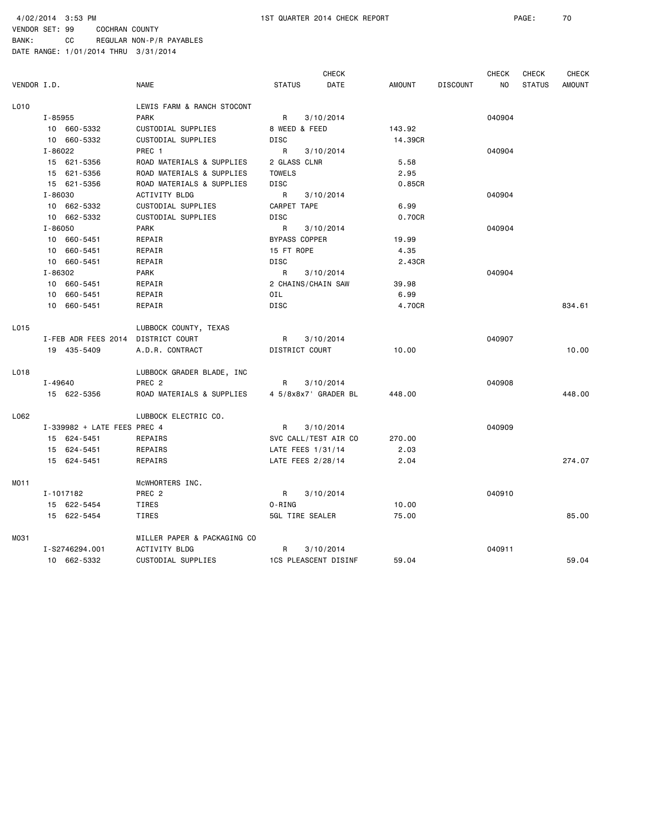4/02/2014 3:53 PM 1ST QUARTER 2014 CHECK REPORT PAGE: 70

BANK: CC REGULAR NON-P/R PAYABLES

|             |                             |                             |                             | <b>CHECK</b> |               |                 | <b>CHECK</b> | CHECK         | <b>CHECK</b>  |
|-------------|-----------------------------|-----------------------------|-----------------------------|--------------|---------------|-----------------|--------------|---------------|---------------|
| VENDOR I.D. |                             | <b>NAME</b>                 | <b>STATUS</b>               | DATE         | <b>AMOUNT</b> | <b>DISCOUNT</b> | NO           | <b>STATUS</b> | <b>AMOUNT</b> |
| L010        |                             | LEWIS FARM & RANCH STOCONT  |                             |              |               |                 |              |               |               |
|             | I-85955                     | <b>PARK</b>                 | R                           | 3/10/2014    |               |                 | 040904       |               |               |
|             | 10 660-5332                 | CUSTODIAL SUPPLIES          | 8 WEED & FEED               |              | 143.92        |                 |              |               |               |
|             | 10 660-5332                 | CUSTODIAL SUPPLIES          | DISC                        |              | 14.39CR       |                 |              |               |               |
|             | I-86022                     | PREC 1                      | R                           | 3/10/2014    |               |                 | 040904       |               |               |
|             | 15 621-5356                 | ROAD MATERIALS & SUPPLIES   | 2 GLASS CLNR                |              | 5.58          |                 |              |               |               |
|             | 15 621-5356                 | ROAD MATERIALS & SUPPLIES   | <b>TOWELS</b>               |              | 2.95          |                 |              |               |               |
|             | 15 621-5356                 | ROAD MATERIALS & SUPPLIES   | DISC                        |              | 0.85CR        |                 |              |               |               |
|             | I-86030                     | <b>ACTIVITY BLDG</b>        | R                           | 3/10/2014    |               |                 | 040904       |               |               |
|             | 10 662-5332                 | CUSTODIAL SUPPLIES          | CARPET TAPE                 |              | 6.99          |                 |              |               |               |
|             | 10 662-5332                 | CUSTODIAL SUPPLIES          | DISC                        |              | 0.70CR        |                 |              |               |               |
|             | $I - 86050$                 | <b>PARK</b>                 | R                           | 3/10/2014    |               |                 | 040904       |               |               |
|             | 10 660-5451                 | REPAIR                      | <b>BYPASS COPPER</b>        |              | 19.99         |                 |              |               |               |
|             | 10 660-5451                 | REPAIR                      | 15 FT ROPE                  |              | 4.35          |                 |              |               |               |
|             | 10 660-5451                 | REPAIR                      | <b>DISC</b>                 |              | 2.43CR        |                 |              |               |               |
|             | I-86302                     | <b>PARK</b>                 | R                           | 3/10/2014    |               |                 | 040904       |               |               |
|             | 10 660-5451                 | REPAIR                      | 2 CHAINS/CHAIN SAW          |              | 39.98         |                 |              |               |               |
|             | 10 660-5451                 | REPAIR                      | OIL                         |              | 6.99          |                 |              |               |               |
|             | 10 660-5451                 | REPAIR                      | DISC                        |              | 4.70CR        |                 |              |               | 834.61        |
| L015        |                             | LUBBOCK COUNTY, TEXAS       |                             |              |               |                 |              |               |               |
|             | I-FEB ADR FEES 2014         | DISTRICT COURT              | R                           | 3/10/2014    |               |                 | 040907       |               |               |
|             | 19 435-5409                 | A.D.R. CONTRACT             | DISTRICT COURT              |              | 10.00         |                 |              |               | 10.00         |
| L018        |                             | LUBBOCK GRADER BLADE, INC   |                             |              |               |                 |              |               |               |
|             | I-49640                     | PREC <sub>2</sub>           | R                           | 3/10/2014    |               |                 | 040908       |               |               |
|             | 15 622-5356                 | ROAD MATERIALS & SUPPLIES   | 4 5/8x8x7' GRADER BL        |              | 448.00        |                 |              |               | 448.00        |
| L062        |                             | LUBBOCK ELECTRIC CO.        |                             |              |               |                 |              |               |               |
|             | I-339982 + LATE FEES PREC 4 |                             | R                           | 3/10/2014    |               |                 | 040909       |               |               |
|             | 15 624-5451                 | REPAIRS                     | SVC CALL/TEST AIR CO        |              | 270.00        |                 |              |               |               |
|             | 15 624-5451                 | REPAIRS                     | LATE FEES 1/31/14           |              | 2.03          |                 |              |               |               |
|             | 15 624-5451                 | REPAIRS                     | LATE FEES 2/28/14           |              | 2.04          |                 |              |               | 274.07        |
| MO11        |                             | MCWHORTERS INC.             |                             |              |               |                 |              |               |               |
|             | I-1017182                   | PREC <sub>2</sub>           | R                           | 3/10/2014    |               |                 | 040910       |               |               |
|             | 15 622-5454                 | TIRES                       | O-RING                      |              | 10.00         |                 |              |               |               |
|             | 15 622-5454                 | TIRES                       | 5GL TIRE SEALER             |              | 75.00         |                 |              |               | 85.00         |
| M031        |                             | MILLER PAPER & PACKAGING CO |                             |              |               |                 |              |               |               |
|             | I-S2746294.001              | <b>ACTIVITY BLDG</b>        | R                           | 3/10/2014    |               |                 | 040911       |               |               |
|             | 10 662-5332                 | CUSTODIAL SUPPLIES          | <b>1CS PLEASCENT DISINF</b> |              | 59.04         |                 |              |               | 59.04         |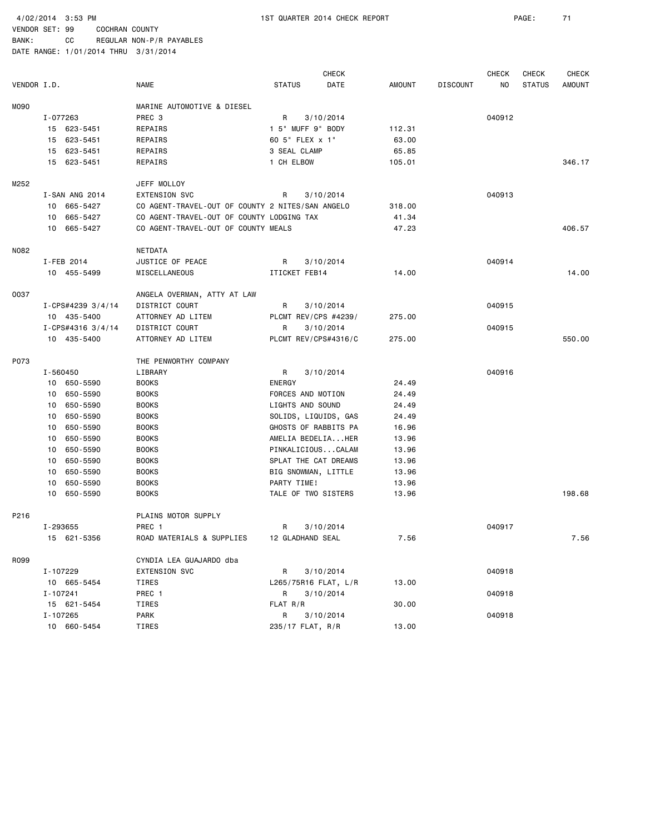BANK: CC REGULAR NON-P/R PAYABLES

|             |          |                     |                                                  |                      | <b>CHECK</b> |               |                 | <b>CHECK</b> | <b>CHECK</b>  | <b>CHECK</b>  |
|-------------|----------|---------------------|--------------------------------------------------|----------------------|--------------|---------------|-----------------|--------------|---------------|---------------|
| VENDOR I.D. |          |                     | <b>NAME</b>                                      | <b>STATUS</b>        | DATE         | <b>AMOUNT</b> | <b>DISCOUNT</b> | NO.          | <b>STATUS</b> | <b>AMOUNT</b> |
| M090        |          |                     | MARINE AUTOMOTIVE & DIESEL                       |                      |              |               |                 |              |               |               |
|             | I-077263 |                     | PREC <sub>3</sub>                                | R                    | 3/10/2014    |               |                 | 040912       |               |               |
|             |          | 15 623-5451         | REPAIRS                                          | 1 5" MUFF 9" BODY    |              | 112.31        |                 |              |               |               |
|             |          | 15 623-5451         | REPAIRS                                          | 60 5" FLEX x 1"      |              | 63.00         |                 |              |               |               |
|             |          | 15 623-5451         | REPAIRS                                          | 3 SEAL CLAMP         |              | 65.85         |                 |              |               |               |
|             |          | 15 623-5451         | REPAIRS                                          | 1 CH ELBOW           |              | 105.01        |                 |              |               | 346.17        |
| M252        |          |                     | JEFF MOLLOY                                      |                      |              |               |                 |              |               |               |
|             |          | I-SAN ANG 2014      | <b>EXTENSION SVC</b>                             | R                    | 3/10/2014    |               |                 | 040913       |               |               |
|             |          | 10 665-5427         | CO AGENT-TRAVEL-OUT OF COUNTY 2 NITES/SAN ANGELO |                      |              | 318.00        |                 |              |               |               |
|             |          | 10 665-5427         | CO AGENT-TRAVEL-OUT OF COUNTY LODGING TAX        |                      |              | 41.34         |                 |              |               |               |
|             |          | 10 665-5427         | CO AGENT-TRAVEL-OUT OF COUNTY MEALS              |                      |              | 47.23         |                 |              |               | 406.57        |
| N082        |          |                     | NETDATA                                          |                      |              |               |                 |              |               |               |
|             |          | I-FEB 2014          | JUSTICE OF PEACE                                 | R                    | 3/10/2014    |               |                 | 040914       |               |               |
|             |          | 10 455-5499         | MISCELLANEOUS                                    | ITICKET FEB14        |              | 14.00         |                 |              |               | 14.00         |
| 0037        |          |                     | ANGELA OVERMAN, ATTY AT LAW                      |                      |              |               |                 |              |               |               |
|             |          | I-CPS#4239 3/4/14   | DISTRICT COURT                                   | R                    | 3/10/2014    |               |                 | 040915       |               |               |
|             |          | 10 435-5400         | ATTORNEY AD LITEM                                | PLCMT REV/CPS #4239/ |              | 275.00        |                 |              |               |               |
|             |          | $I-CPS#4316$ 3/4/14 | DISTRICT COURT                                   | R                    | 3/10/2014    |               |                 | 040915       |               |               |
|             |          | 10 435-5400         | ATTORNEY AD LITEM                                | PLCMT REV/CPS#4316/C |              | 275.00        |                 |              |               | 550.00        |
| P073        |          |                     | THE PENWORTHY COMPANY                            |                      |              |               |                 |              |               |               |
|             | I-560450 |                     | LIBRARY                                          | R                    | 3/10/2014    |               |                 | 040916       |               |               |
|             |          | 10 650-5590         | <b>BOOKS</b>                                     | ENERGY               |              | 24.49         |                 |              |               |               |
|             |          | 10 650-5590         | <b>BOOKS</b>                                     | FORCES AND MOTION    |              | 24.49         |                 |              |               |               |
|             | 10       | 650-5590            | <b>BOOKS</b>                                     | LIGHTS AND SOUND     |              | 24.49         |                 |              |               |               |
|             |          | 10 650-5590         | <b>BOOKS</b>                                     | SOLIDS, LIQUIDS, GAS |              | 24.49         |                 |              |               |               |
|             | 10       | 650-5590            | <b>BOOKS</b>                                     | GHOSTS OF RABBITS PA |              | 16.96         |                 |              |               |               |
|             |          | 10 650-5590         | <b>BOOKS</b>                                     | AMELIA BEDELIAHER    |              | 13.96         |                 |              |               |               |
|             | 10       | 650-5590            | <b>BOOKS</b>                                     | PINKALICIOUSCALAM    |              | 13.96         |                 |              |               |               |
|             | 10       | 650-5590            | <b>BOOKS</b>                                     | SPLAT THE CAT DREAMS |              | 13.96         |                 |              |               |               |
|             | 10       | 650-5590            | <b>BOOKS</b>                                     | BIG SNOWMAN, LITTLE  |              | 13.96         |                 |              |               |               |
|             |          | 10 650-5590         | <b>BOOKS</b>                                     | PARTY TIME!          |              | 13.96         |                 |              |               |               |
|             |          | 10 650-5590         | <b>BOOKS</b>                                     | TALE OF TWO SISTERS  |              | 13.96         |                 |              |               | 198.68        |
| P216        |          |                     | PLAINS MOTOR SUPPLY                              |                      |              |               |                 |              |               |               |
|             | I-293655 |                     | PREC 1                                           | R                    | 3/10/2014    |               |                 | 040917       |               |               |
|             |          | 15 621-5356         | ROAD MATERIALS & SUPPLIES                        | 12 GLADHAND SEAL     |              | 7.56          |                 |              |               | 7.56          |
| R099        |          |                     | CYNDIA LEA GUAJARDO dba                          |                      |              |               |                 |              |               |               |
|             | I-107229 |                     | <b>EXTENSION SVC</b>                             | R                    | 3/10/2014    |               |                 | 040918       |               |               |
|             |          | 10 665-5454         | TIRES                                            | L265/75R16 FLAT, L/R |              | 13.00         |                 |              |               |               |
|             | I-107241 |                     | PREC 1                                           | R                    | 3/10/2014    |               |                 | 040918       |               |               |
|             |          | 15 621-5454         | TIRES                                            | FLAT R/R             |              | 30.00         |                 |              |               |               |
|             | I-107265 |                     | PARK                                             | R                    | 3/10/2014    |               |                 | 040918       |               |               |
|             |          | 10 660-5454         | TIRES                                            | 235/17 FLAT, R/R     |              | 13.00         |                 |              |               |               |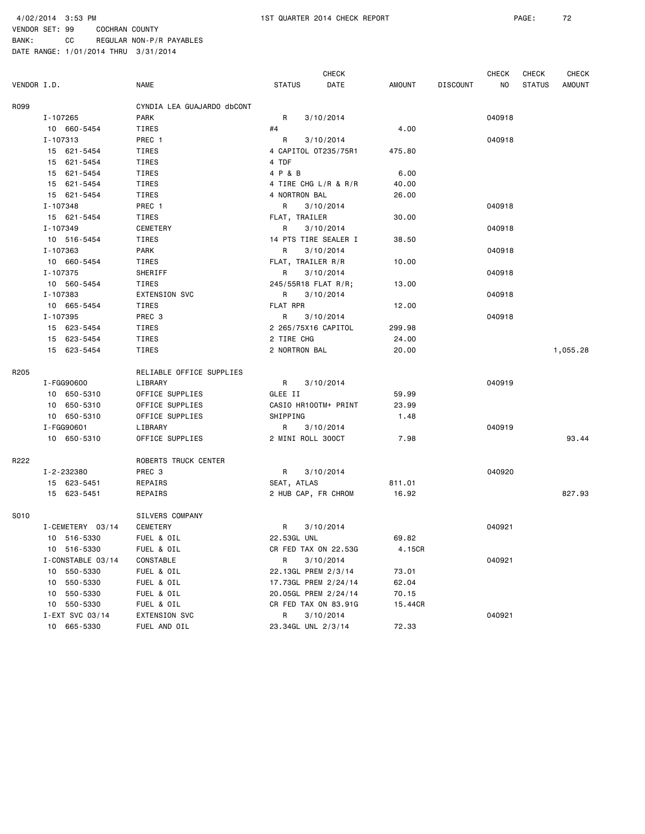|             |                   |                            |                      | <b>CHECK</b> |         |                 | CHECK  | CHECK         | <b>CHECK</b> |
|-------------|-------------------|----------------------------|----------------------|--------------|---------|-----------------|--------|---------------|--------------|
| VENDOR I.D. |                   | NAME                       | <b>STATUS</b>        | DATE         | AMOUNT  | <b>DISCOUNT</b> | NO     | <b>STATUS</b> | AMOUNT       |
| R099        |                   | CYNDIA LEA GUAJARDO dbCONT |                      |              |         |                 |        |               |              |
|             | I-107265          | <b>PARK</b>                | R                    | 3/10/2014    |         |                 | 040918 |               |              |
|             | 10 660-5454       | TIRES                      | #4                   |              | 4.00    |                 |        |               |              |
|             | I-107313          | PREC 1                     | R                    | 3/10/2014    |         |                 | 040918 |               |              |
|             | 15 621-5454       | TIRES                      | 4 CAPITOL 0T235/75R1 |              | 475.80  |                 |        |               |              |
|             | 15 621-5454       | TIRES                      | 4 TDF                |              |         |                 |        |               |              |
|             | 15 621-5454       | TIRES                      | 4 P & B              |              | 6.00    |                 |        |               |              |
|             | 15 621-5454       | TIRES                      | 4 TIRE CHG L/R & R/R |              | 40.00   |                 |        |               |              |
|             | 15 621-5454       | TIRES                      | 4 NORTRON BAL        |              | 26.00   |                 |        |               |              |
|             | I-107348          | PREC 1                     | R                    | 3/10/2014    |         |                 | 040918 |               |              |
|             | 15 621-5454       | TIRES                      | FLAT, TRAILER        |              | 30.00   |                 |        |               |              |
|             | I-107349          | CEMETERY                   | R                    | 3/10/2014    |         |                 | 040918 |               |              |
|             | 10 516-5454       | TIRES                      | 14 PTS TIRE SEALER I |              | 38.50   |                 |        |               |              |
|             | I-107363          | PARK                       | R                    | 3/10/2014    |         |                 | 040918 |               |              |
|             | 10 660-5454       | TIRES                      | FLAT, TRAILER R/R    |              | 10.00   |                 |        |               |              |
|             | I-107375          | SHERIFF                    | R                    | 3/10/2014    |         |                 | 040918 |               |              |
|             | 10 560-5454       | TIRES                      | 245/55R18 FLAT R/R;  |              | 13.00   |                 |        |               |              |
|             | I-107383          | <b>EXTENSION SVC</b>       | R                    | 3/10/2014    |         |                 | 040918 |               |              |
|             | 10 665-5454       | TIRES                      | FLAT RPR             |              | 12.00   |                 |        |               |              |
|             | I-107395          | PREC 3                     | R                    | 3/10/2014    |         |                 | 040918 |               |              |
|             | 15 623-5454       | TIRES                      | 2 265/75X16 CAPITOL  |              | 299.98  |                 |        |               |              |
|             | 15 623-5454       | TIRES                      | 2 TIRE CHG           |              | 24.00   |                 |        |               |              |
|             | 15 623-5454       | TIRES                      | 2 NORTRON BAL        |              | 20.00   |                 |        |               | 1,055.28     |
|             |                   |                            |                      |              |         |                 |        |               |              |
| R205        |                   | RELIABLE OFFICE SUPPLIES   |                      |              |         |                 |        |               |              |
|             | I - FGG90600      | LIBRARY                    | R                    | 3/10/2014    |         |                 | 040919 |               |              |
|             | 10 650-5310       | OFFICE SUPPLIES            | GLEE II              |              | 59.99   |                 |        |               |              |
|             | 10 650-5310       | OFFICE SUPPLIES            | CASIO HR100TM+ PRINT |              | 23.99   |                 |        |               |              |
|             | 10 650-5310       | OFFICE SUPPLIES            | SHIPPING             |              | 1.48    |                 |        |               |              |
|             | I-FGG90601        | LIBRARY                    | R                    | 3/10/2014    |         |                 | 040919 |               |              |
|             | 10 650-5310       | OFFICE SUPPLIES            | 2 MINI ROLL 300CT    |              | 7.98    |                 |        |               | 93.44        |
| R222        |                   | ROBERTS TRUCK CENTER       |                      |              |         |                 |        |               |              |
|             | I-2-232380        | PREC 3                     | R                    | 3/10/2014    |         |                 | 040920 |               |              |
|             | 15 623-5451       | REPAIRS                    | SEAT, ATLAS          |              | 811.01  |                 |        |               |              |
|             | 15 623-5451       | REPAIRS                    | 2 HUB CAP, FR CHROM  |              | 16.92   |                 |        |               | 827.93       |
| S010        |                   | SILVERS COMPANY            |                      |              |         |                 |        |               |              |
|             |                   |                            |                      |              |         |                 |        |               |              |
|             | I-CEMETERY 03/14  | CEMETERY                   | R                    | 3/10/2014    |         |                 | 040921 |               |              |
|             | 10 516-5330       | FUEL & OIL                 | 22.53GL UNL          |              | 69.82   |                 |        |               |              |
|             | 10 516-5330       | FUEL & OIL                 | CR FED TAX ON 22.53G |              | 4.15CR  |                 |        |               |              |
|             | I-CONSTABLE 03/14 | CONSTABLE                  | R                    | 3/10/2014    |         |                 | 040921 |               |              |
|             | 10 550-5330       | FUEL & OIL                 | 22.13GL PREM 2/3/14  |              | 73.01   |                 |        |               |              |
|             | 10 550-5330       | FUEL & OIL                 | 17.73GL PREM 2/24/14 |              | 62.04   |                 |        |               |              |
|             | 550-5330<br>10    | FUEL & OIL                 | 20.05GL PREM 2/24/14 |              | 70.15   |                 |        |               |              |
|             | 10 550-5330       | FUEL & OIL                 | CR FED TAX ON 83.91G |              | 15.44CR |                 |        |               |              |
|             | I-EXT SVC 03/14   | EXTENSION SVC              | R                    | 3/10/2014    |         |                 | 040921 |               |              |
|             | 10 665-5330       | FUEL AND OIL               | 23.34GL UNL 2/3/14   |              | 72.33   |                 |        |               |              |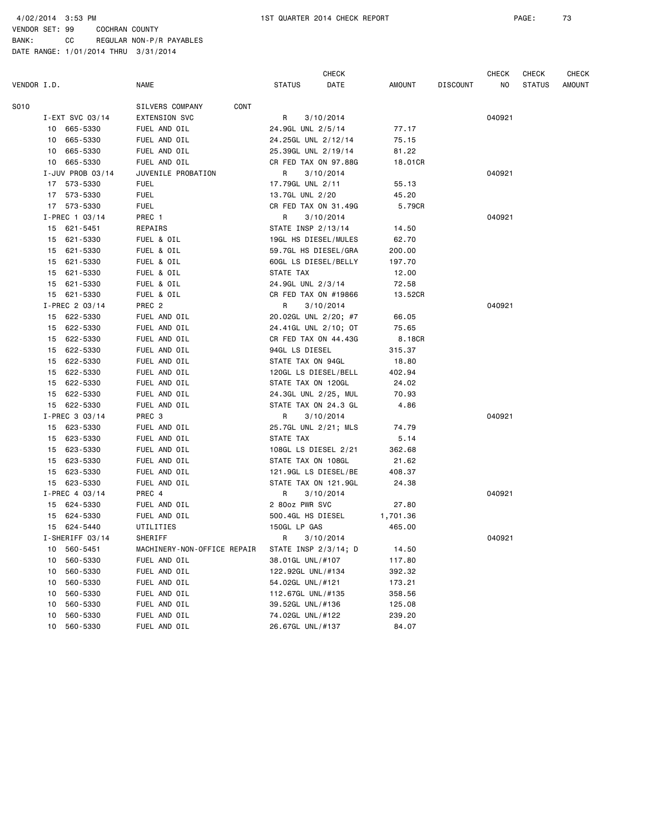4/02/2014 3:53 PM 1ST QUARTER 2014 CHECK REPORT PAGE: 73

VENDOR SET: 99 COCHRAN COUNTY BANK: CC REGULAR NON-P/R PAYABLES

|             |    |                  |                             |                      | <b>CHECK</b> |          |                 | CHECK  | CHECK         | CHECK         |
|-------------|----|------------------|-----------------------------|----------------------|--------------|----------|-----------------|--------|---------------|---------------|
| VENDOR I.D. |    |                  | NAME                        | <b>STATUS</b>        | DATE         | AMOUNT   | <b>DISCOUNT</b> | NO.    | <b>STATUS</b> | <b>AMOUNT</b> |
| S010        |    |                  | SILVERS COMPANY<br>CONT     |                      |              |          |                 |        |               |               |
|             |    | I-EXT SVC 03/14  | <b>EXTENSION SVC</b>        | R                    | 3/10/2014    |          |                 | 040921 |               |               |
|             |    | 10 665-5330      | FUEL AND OIL                | 24.9GL UNL 2/5/14    |              | 77.17    |                 |        |               |               |
|             |    | 10 665-5330      | FUEL AND OIL                | 24.25GL UNL 2/12/14  |              | 75.15    |                 |        |               |               |
|             |    | 10 665-5330      | FUEL AND OIL                | 25.39GL UNL 2/19/14  |              | 81.22    |                 |        |               |               |
|             |    | 10 665-5330      | FUEL AND OIL                | CR FED TAX ON 97.88G |              | 18.01CR  |                 |        |               |               |
|             |    | I-JUV PROB 03/14 | JUVENILE PROBATION          | R                    | 3/10/2014    |          |                 | 040921 |               |               |
|             |    | 17 573-5330      | <b>FUEL</b>                 | 17.79GL UNL 2/11     |              | 55.13    |                 |        |               |               |
|             |    | 17 573-5330      | <b>FUEL</b>                 | 13.7GL UNL 2/20      |              | 45.20    |                 |        |               |               |
|             |    | 17 573-5330      | <b>FUEL</b>                 | CR FED TAX ON 31.49G |              | 5.79CR   |                 |        |               |               |
|             |    | $I-PREC$ 1 03/14 | PREC 1                      | R                    | 3/10/2014    |          |                 | 040921 |               |               |
|             |    | 15 621-5451      | REPAIRS                     | STATE INSP 2/13/14   |              | 14.50    |                 |        |               |               |
|             |    | 15 621-5330      | FUEL & OIL                  | 19GL HS DIESEL/MULES |              | 62.70    |                 |        |               |               |
|             |    | 15 621-5330      | FUEL & OIL                  | 59.7GL HS DIESEL/GRA |              | 200.00   |                 |        |               |               |
|             |    | 15 621-5330      | FUEL & OIL                  | 60GL LS DIESEL/BELLY |              | 197.70   |                 |        |               |               |
|             |    | 15 621-5330      | FUEL & OIL                  | STATE TAX            |              | 12.00    |                 |        |               |               |
|             |    | 15 621-5330      | FUEL & OIL                  | 24.9GL UNL 2/3/14    |              | 72.58    |                 |        |               |               |
|             |    | 15 621-5330      | FUEL & OIL                  | CR FED TAX ON #19866 |              | 13.52CR  |                 |        |               |               |
|             |    | I-PREC 2 03/14   | PREC <sub>2</sub>           | R                    | 3/10/2014    |          |                 | 040921 |               |               |
|             |    | 15 622-5330      | FUEL AND OIL                | 20.02GL UNL 2/20; #7 |              | 66.05    |                 |        |               |               |
|             |    | 15 622-5330      | FUEL AND OIL                | 24.41GL UNL 2/10; OT |              | 75.65    |                 |        |               |               |
|             |    | 15 622-5330      | FUEL AND OIL                | CR FED TAX ON 44.43G |              | 8.18CR   |                 |        |               |               |
|             |    | 15 622-5330      | FUEL AND OIL                | 94GL LS DIESEL       |              | 315.37   |                 |        |               |               |
|             |    | 15 622-5330      | FUEL AND OIL                | STATE TAX ON 94GL    |              | 18.80    |                 |        |               |               |
|             |    | 15 622-5330      | FUEL AND OIL                | 120GL LS DIESEL/BELL |              | 402.94   |                 |        |               |               |
|             |    | 15 622-5330      | FUEL AND OIL                | STATE TAX ON 120GL   |              | 24.02    |                 |        |               |               |
|             |    | 15 622-5330      | FUEL AND OIL                | 24.3GL UNL 2/25, MUL |              | 70.93    |                 |        |               |               |
|             |    | 15 622-5330      | FUEL AND OIL                | STATE TAX ON 24.3 GL |              | 4.86     |                 |        |               |               |
|             |    | I-PREC 3 03/14   | PREC <sub>3</sub>           | R                    | 3/10/2014    |          |                 | 040921 |               |               |
|             |    | 15 623-5330      | FUEL AND OIL                | 25.7GL UNL 2/21; MLS |              | 74.79    |                 |        |               |               |
|             |    | 15 623-5330      | FUEL AND OIL                | STATE TAX            |              | 5.14     |                 |        |               |               |
|             |    | 15 623-5330      | FUEL AND OIL                | 108GL LS DIESEL 2/21 |              | 362.68   |                 |        |               |               |
|             |    | 15 623-5330      | FUEL AND OIL                | STATE TAX ON 108GL   |              | 21.62    |                 |        |               |               |
|             |    | 15 623-5330      | FUEL AND OIL                | 121.9GL LS DIESEL/BE |              | 408.37   |                 |        |               |               |
|             |    | 15 623-5330      | FUEL AND OIL                | STATE TAX ON 121.9GL |              | 24.38    |                 |        |               |               |
|             |    | $I-PREC$ 4 03/14 | PREC 4                      | R                    | 3/10/2014    |          |                 | 040921 |               |               |
|             |    | 15 624-5330      | FUEL AND OIL                | 2 80oz PWR SVC       |              | 27.80    |                 |        |               |               |
|             |    | 15 624-5330      | FUEL AND OIL                | 500.4GL HS DIESEL    |              | 1,701.36 |                 |        |               |               |
|             |    | 15 624-5440      | UTILITIES                   | 150GL LP GAS         |              | 465.00   |                 |        |               |               |
|             |    | I-SHERIFF 03/14  | SHERIFF                     | R                    | 3/10/2014    |          |                 | 040921 |               |               |
|             | 10 | 560-5451         | MACHINERY-NON-OFFICE REPAIR | STATE INSP 2/3/14; D |              | 14.50    |                 |        |               |               |
|             | 10 | 560-5330         | FUEL AND OIL                | 38.01GL UNL/#107     |              | 117.80   |                 |        |               |               |
|             | 10 | 560-5330         | FUEL AND OIL                | 122.92GL UNL/#134    |              | 392.32   |                 |        |               |               |
|             | 10 | 560-5330         | FUEL AND OIL                | 54.02GL UNL/#121     |              | 173.21   |                 |        |               |               |
|             | 10 | 560-5330         | FUEL AND OIL                | 112.67GL UNL/#135    |              | 358.56   |                 |        |               |               |
|             | 10 | 560-5330         | FUEL AND OIL                | 39.52GL UNL/#136     |              | 125.08   |                 |        |               |               |
|             | 10 | 560-5330         | FUEL AND OIL                | 74.02GL UNL/#122     |              | 239.20   |                 |        |               |               |
|             | 10 | 560-5330         | FUEL AND OIL                | 26.67GL UNL/#137     |              | 84.07    |                 |        |               |               |
|             |    |                  |                             |                      |              |          |                 |        |               |               |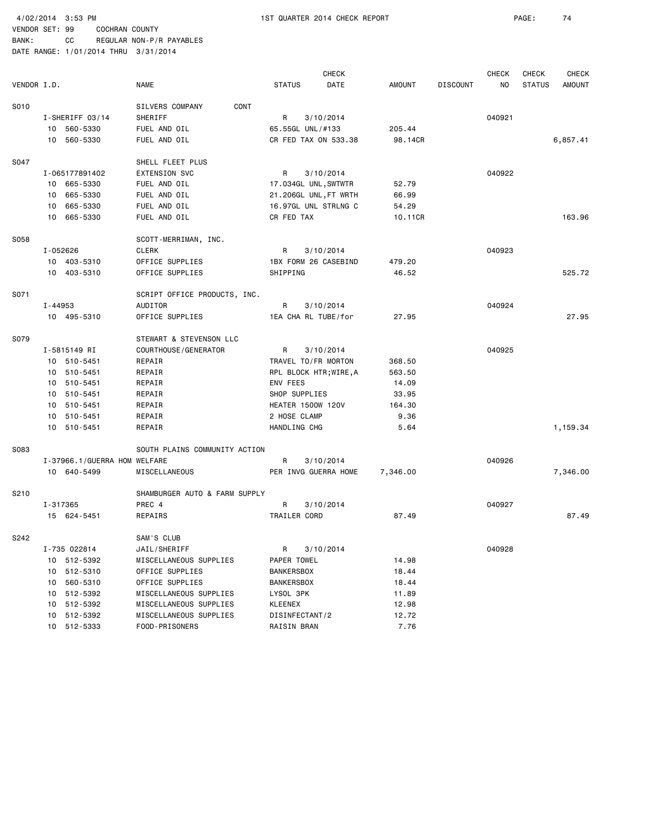| BANK:                                | CC |  | REGULAR NON-P/R PAYABLES |
|--------------------------------------|----|--|--------------------------|
| DATE RANGE: 1/01/2014 THRU 3/31/2014 |    |  |                          |

|             |                              |                               |                          | <b>CHECK</b> |          |                 | <b>CHECK</b> | CHECK         | <b>CHECK</b>  |
|-------------|------------------------------|-------------------------------|--------------------------|--------------|----------|-----------------|--------------|---------------|---------------|
| VENDOR I.D. |                              | <b>NAME</b>                   | <b>STATUS</b>            | DATE         | AMOUNT   | <b>DISCOUNT</b> | NO           | <b>STATUS</b> | <b>AMOUNT</b> |
| S010        |                              | SILVERS COMPANY<br>CONT       |                          |              |          |                 |              |               |               |
|             | I-SHERIFF 03/14              | SHERIFF                       | R                        | 3/10/2014    |          |                 | 040921       |               |               |
|             | 10 560-5330                  | FUEL AND OIL                  | 65.55GL UNL/#133         |              | 205.44   |                 |              |               |               |
|             | 10 560-5330                  | FUEL AND OIL                  | CR FED TAX ON 533.38     |              | 98.14CR  |                 |              |               | 6,857.41      |
|             |                              |                               |                          |              |          |                 |              |               |               |
| S047        |                              | SHELL FLEET PLUS              |                          |              |          |                 |              |               |               |
|             | I-065177891402               | <b>EXTENSION SVC</b>          | R                        | 3/10/2014    |          |                 | 040922       |               |               |
|             | 10 665-5330                  | FUEL AND OIL                  | 17.034GL UNL, SWTWTR     |              | 52.79    |                 |              |               |               |
|             | 10 665-5330                  | FUEL AND OIL                  | 21.206GL UNL, FT WRTH    |              | 66.99    |                 |              |               |               |
|             | 10 665-5330                  | FUEL AND OIL                  | 16.97GL UNL STRLNG C     |              | 54.29    |                 |              |               |               |
|             | 10 665-5330                  | FUEL AND OIL                  | CR FED TAX               |              | 10.11CR  |                 |              |               | 163.96        |
| S058        |                              | SCOTT-MERRIMAN, INC.          |                          |              |          |                 |              |               |               |
|             | I-052626                     | <b>CLERK</b>                  | R                        | 3/10/2014    |          |                 | 040923       |               |               |
|             | 10 403-5310                  | OFFICE SUPPLIES               | 1BX FORM 26 CASEBIND     |              | 479.20   |                 |              |               |               |
|             | 10 403-5310                  | OFFICE SUPPLIES               | SHIPPING                 |              | 46.52    |                 |              |               | 525.72        |
|             |                              |                               |                          |              |          |                 |              |               |               |
| S071        |                              | SCRIPT OFFICE PRODUCTS, INC.  |                          |              |          |                 |              |               |               |
|             | $I - 44953$                  | AUDITOR                       | R                        | 3/10/2014    |          |                 | 040924       |               |               |
|             | 10 495-5310                  | OFFICE SUPPLIES               | 1EA CHA RL TUBE/for      |              | 27.95    |                 |              |               | 27.95         |
| S079        |                              | STEWART & STEVENSON LLC       |                          |              |          |                 |              |               |               |
|             | I-5815149 RI                 | COURTHOUSE/GENERATOR          | R                        | 3/10/2014    |          |                 | 040925       |               |               |
|             | 10 510-5451                  | REPAIR                        | TRAVEL TO/FR MORTON      |              | 368.50   |                 |              |               |               |
|             | 10 510-5451                  | REPAIR                        | RPL BLOCK HTR; WIRE, A   |              | 563.50   |                 |              |               |               |
|             | 10 510-5451                  | REPAIR                        | ENV FEES                 |              | 14.09    |                 |              |               |               |
|             | 10 510-5451                  | REPAIR                        | SHOP SUPPLIES            |              | 33.95    |                 |              |               |               |
|             | 10 510-5451                  | REPAIR                        | <b>HEATER 1500W 120V</b> |              | 164.30   |                 |              |               |               |
|             | 10 510-5451                  | REPAIR                        | 2 HOSE CLAMP             |              | 9.36     |                 |              |               |               |
|             | 10 510-5451                  | REPAIR                        | HANDLING CHG             |              | 5.64     |                 |              |               | 1,159.34      |
| S083        |                              | SOUTH PLAINS COMMUNITY ACTION |                          |              |          |                 |              |               |               |
|             | I-37966.1/GUERRA HOM WELFARE |                               | R                        | 3/10/2014    |          |                 | 040926       |               |               |
|             | 10 640-5499                  | MISCELLANEOUS                 | PER INVG GUERRA HOME     |              | 7,346.00 |                 |              |               | 7,346.00      |
|             |                              |                               |                          |              |          |                 |              |               |               |
| S210        |                              | SHAMBURGER AUTO & FARM SUPPLY |                          |              |          |                 |              |               |               |
|             | I-317365                     | PREC 4                        | R                        | 3/10/2014    |          |                 | 040927       |               |               |
|             | 15 624-5451                  | REPAIRS                       | TRAILER CORD             |              | 87.49    |                 |              |               | 87.49         |
| S242        |                              | SAM'S CLUB                    |                          |              |          |                 |              |               |               |
|             | I-735 022814                 | JAIL/SHERIFF                  | R                        | 3/10/2014    |          |                 | 040928       |               |               |
|             | 10 512-5392                  | MISCELLANEOUS SUPPLIES        | PAPER TOWEL              |              | 14.98    |                 |              |               |               |
|             | 10 512-5310                  | OFFICE SUPPLIES               | <b>BANKERSBOX</b>        |              | 18.44    |                 |              |               |               |
|             | 560-5310<br>10               | OFFICE SUPPLIES               | <b>BANKERSBOX</b>        |              | 18.44    |                 |              |               |               |
|             | 512-5392<br>10               | MISCELLANEOUS SUPPLIES        | LYSOL 3PK                |              | 11.89    |                 |              |               |               |
|             | 512-5392<br>10               | MISCELLANEOUS SUPPLIES        | <b>KLEENEX</b>           |              | 12.98    |                 |              |               |               |
|             | 512-5392<br>10               | MISCELLANEOUS SUPPLIES        | DISINFECTANT/2           |              | 12.72    |                 |              |               |               |
|             | 512-5333<br>10               | FOOD-PRISONERS                | RAISIN BRAN              |              | 7.76     |                 |              |               |               |
|             |                              |                               |                          |              |          |                 |              |               |               |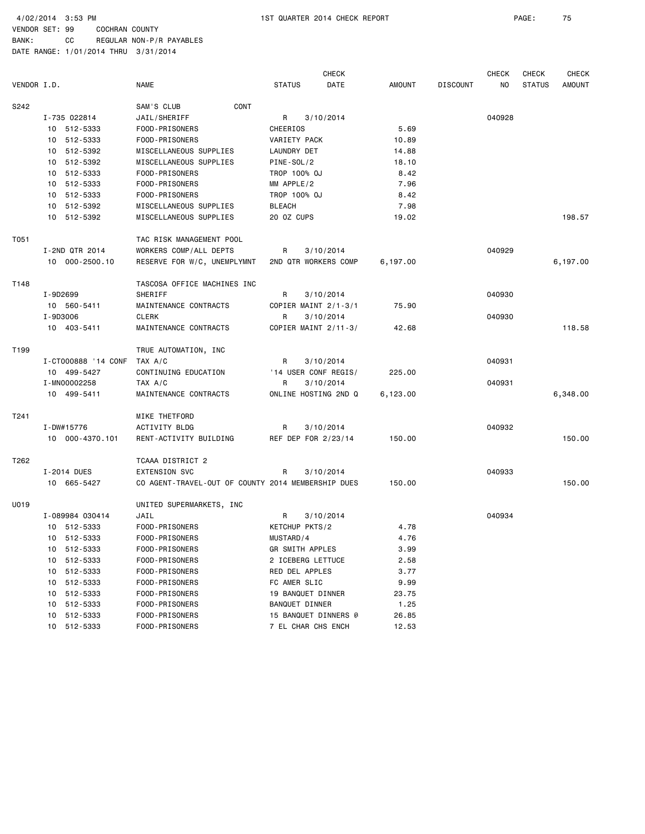4/02/2014 3:53 PM 1ST QUARTER 2014 CHECK REPORT PAGE: 75

BANK: CC REGULAR NON-P/R PAYABLES DATE RANGE: 1/01/2014 THRU 3/31/2014

 CHECK CHECK CHECK CHECK VENDOR I.D. NAME STATUS DATE AMOUNT DISCOUNT NO STATUS AMOUNT S242 SAM'S CLUB CONT I-735 022814 JAIL/SHERIFF R 3/10/2014 040928 10 512-5333 FOOD-PRISONERS CHEERIOS 5.69 10 512-5333 FOOD-PRISONERS VARIETY PACK 10.89 10 512-5392 MISCELLANEOUS SUPPLIES LAUNDRY DET 14.88 10 512-5392 MISCELLANEOUS SUPPLIES PINE-SOL/2 18.10 10 512-5333 FOOD-PRISONERS TROP 100% OJ 8.42 10 512-5333 FOOD-PRISONERS MM APPLE/2 7.96 10 512-5333 FOOD-PRISONERS TROP 100% OJ 8.42 10 512-5392 MISCELLANEOUS SUPPLIES BLEACH 7.98 10 512-5392 MISCELLANEOUS SUPPLIES 20 OZ CUPS 19.02 198.57 T051 TAC RISK MANAGEMENT POOL I-2ND QTR 2014 WORKERS COMP/ALL DEPTS R 3/10/2014 040929 10 000-2500.10 RESERVE FOR W/C, UNEMPLYMNT 2ND QTR WORKERS COMP 6,197.00 6,197.00 T148 TASCOSA OFFICE MACHINES INC I-9D2699 SHERIFF R 3/10/2014 040930 10 560-5411 MAINTENANCE CONTRACTS COPIER MAINT 2/1-3/1 75.90 I-9D3006 CLERK R 3/10/2014 040930 10 403-5411 MAINTENANCE CONTRACTS COPIER MAINT 2/11-3/ 42.68 118.58 T199 TRUE AUTOMATION, INC I-CT000888 '14 CONF TAX A/C R 3/10/2014 040931 10 499-5427 CONTINUING EDUCATION '14 USER CONF REGIS/ 225.00 I-MN00002258 TAX A/C R 3/10/2014 040931 10 499-5411 MAINTENANCE CONTRACTS ONLINE HOSTING 2ND Q 6,123.00 6,348.00 T241 MIKE THETFORD I-DW#15776 ACTIVITY BLDG R 3/10/2014 040932 10 000-4370.101 RENT-ACTIVITY BUILDING REF DEP FOR 2/23/14 150.00 150.00 T262 TCAAA DISTRICT 2 I-2014 DUES EXTENSION SVC R 3/10/2014 040933 10 665-5427 CO AGENT-TRAVEL-OUT OF COUNTY 2014 MEMBERSHIP DUES 150.00 150.00 U019 UNITED SUPERMARKETS, INC I-089984 030414 JAIL R 3/10/2014 040934 10 512-5333 FOOD-PRISONERS KETCHUP PKTS/2 4.78 10 512-5333 FOOD-PRISONERS MUSTARD/4 4.76 10 512-5333 FOOD-PRISONERS GR SMITH APPLES 3.99 10 512-5333 FOOD-PRISONERS 2 ICEBERG LETTUCE 2.58 10 512-5333 FOOD-PRISONERS RED DEL APPLES 3.77 10 512-5333 FOOD-PRISONERS FC AMER SLIC 9.99 10 512-5333 FOOD-PRISONERS 19 BANQUET DINNER 23.75 10 512-5333 FOOD-PRISONERS BANQUET DINNER 1.25 10 512-5333 FOOD-PRISONERS 15 BANQUET DINNERS @ 26.85 10 512-5333 FOOD-PRISONERS 7 EL CHAR CHS ENCH 12.53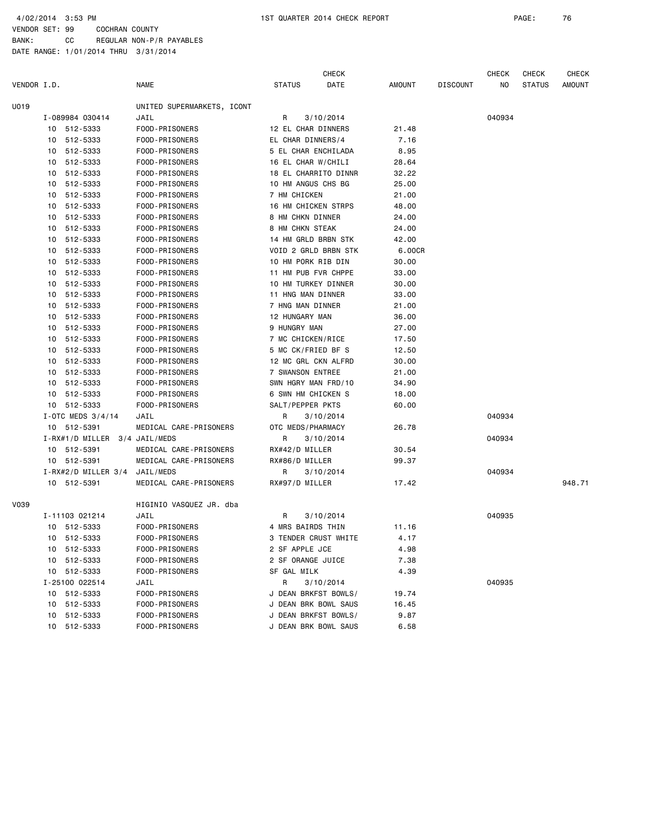|             |    |                               |                            |                      | <b>CHECK</b> |        |                 | <b>CHECK</b> | CHECK         | <b>CHECK</b> |
|-------------|----|-------------------------------|----------------------------|----------------------|--------------|--------|-----------------|--------------|---------------|--------------|
| VENDOR I.D. |    |                               | <b>NAME</b>                | <b>STATUS</b>        | DATE         | AMOUNT | <b>DISCOUNT</b> | NO           | <b>STATUS</b> | AMOUNT       |
| U019        |    |                               | UNITED SUPERMARKETS, ICONT |                      |              |        |                 |              |               |              |
|             |    | I-089984 030414               | JAIL                       | R                    | 3/10/2014    |        |                 | 040934       |               |              |
|             |    | 10 512-5333                   | FOOD-PRISONERS             | 12 EL CHAR DINNERS   |              | 21.48  |                 |              |               |              |
|             |    | 10 512-5333                   | FOOD-PRISONERS             | EL CHAR DINNERS/4    |              | 7.16   |                 |              |               |              |
|             |    | 10 512-5333                   | FOOD-PRISONERS             | 5 EL CHAR ENCHILADA  |              | 8.95   |                 |              |               |              |
|             |    | 10 512-5333                   | FOOD-PRISONERS             | 16 EL CHAR W/CHILI   |              | 28.64  |                 |              |               |              |
|             |    | 10 512-5333                   | FOOD-PRISONERS             | 18 EL CHARRITO DINNR |              | 32.22  |                 |              |               |              |
|             |    | 10 512-5333                   | FOOD-PRISONERS             | 10 HM ANGUS CHS BG   |              | 25.00  |                 |              |               |              |
|             |    | 10 512-5333                   | FOOD-PRISONERS             | 7 HM CHICKEN         |              | 21.00  |                 |              |               |              |
|             |    | 10 512-5333                   | FOOD-PRISONERS             | 16 HM CHICKEN STRPS  |              | 48.00  |                 |              |               |              |
|             |    | 10 512-5333                   | FOOD-PRISONERS             | 8 HM CHKN DINNER     |              | 24.00  |                 |              |               |              |
|             |    | 10 512-5333                   | FOOD-PRISONERS             | 8 HM CHKN STEAK      |              | 24.00  |                 |              |               |              |
|             |    | 10 512-5333                   | FOOD-PRISONERS             | 14 HM GRLD BRBN STK  |              | 42.00  |                 |              |               |              |
|             |    | 10 512-5333                   | FOOD-PRISONERS             | VOID 2 GRLD BRBN STK |              | 6.00CR |                 |              |               |              |
|             |    | 10 512-5333                   | FOOD-PRISONERS             | 10 HM PORK RIB DIN   |              | 30.00  |                 |              |               |              |
|             |    | 10 512-5333                   | FOOD-PRISONERS             | 11 HM PUB FVR CHPPE  |              | 33.00  |                 |              |               |              |
|             |    | 10 512-5333                   | FOOD-PRISONERS             | 10 HM TURKEY DINNER  |              | 30.00  |                 |              |               |              |
|             |    | 10 512-5333                   | FOOD-PRISONERS             | 11 HNG MAN DINNER    |              | 33.00  |                 |              |               |              |
|             |    | 10 512-5333                   | FOOD-PRISONERS             | 7 HNG MAN DINNER     |              | 21.00  |                 |              |               |              |
|             |    | 10 512-5333                   | FOOD-PRISONERS             | 12 HUNGARY MAN       |              | 36.00  |                 |              |               |              |
|             |    | 10 512-5333                   | FOOD-PRISONERS             | 9 HUNGRY MAN         |              | 27.00  |                 |              |               |              |
|             |    | 10 512-5333                   | FOOD-PRISONERS             | 7 MC CHICKEN/RICE    |              | 17.50  |                 |              |               |              |
|             |    | 10 512-5333                   | FOOD-PRISONERS             | 5 MC CK/FRIED BF S   |              | 12.50  |                 |              |               |              |
|             |    | 10 512-5333                   | FOOD-PRISONERS             | 12 MC GRL CKN ALFRD  |              | 30.00  |                 |              |               |              |
|             |    | 10 512-5333                   | FOOD-PRISONERS             | 7 SWANSON ENTREE     |              | 21.00  |                 |              |               |              |
|             |    | 10 512-5333                   | FOOD-PRISONERS             | SWN HGRY MAN FRD/10  |              | 34.90  |                 |              |               |              |
|             |    | 10 512-5333                   | FOOD-PRISONERS             | 6 SWN HM CHICKEN S   |              | 18.00  |                 |              |               |              |
|             |    | 10 512-5333                   | FOOD-PRISONERS             | SALT/PEPPER PKTS     |              | 60.00  |                 |              |               |              |
|             |    | I-OTC MEDS $3/4/14$           | JAIL                       | R                    | 3/10/2014    |        |                 | 040934       |               |              |
|             |    | 10 512-5391                   | MEDICAL CARE-PRISONERS     | OTC MEDS/PHARMACY    |              | 26.78  |                 |              |               |              |
|             |    | I-RX#1/D MILLER 3/4 JAIL/MEDS |                            | R                    | 3/10/2014    |        |                 | 040934       |               |              |
|             |    | 10 512-5391                   | MEDICAL CARE-PRISONERS     | RX#42/D MILLER       |              | 30.54  |                 |              |               |              |
|             |    | 10 512-5391                   | MEDICAL CARE-PRISONERS     | RX#86/D MILLER       |              | 99.37  |                 |              |               |              |
|             |    | $I-RX#2/D$ MILLER 3/4         | JAIL/MEDS                  | R                    | 3/10/2014    |        |                 | 040934       |               |              |
|             |    | 10 512-5391                   | MEDICAL CARE-PRISONERS     | RX#97/D MILLER       |              | 17.42  |                 |              |               | 948.71       |
| V039        |    |                               | HIGINIO VASQUEZ JR. dba    |                      |              |        |                 |              |               |              |
|             |    | I-11103 021214                | JAIL                       | R                    | 3/10/2014    |        |                 | 040935       |               |              |
|             |    | 10 512-5333                   | FOOD-PRISONERS             | 4 MRS BAIRDS THIN    |              | 11.16  |                 |              |               |              |
|             |    | 10 512-5333                   | FOOD-PRISONERS             | 3 TENDER CRUST WHITE |              | 4.17   |                 |              |               |              |
|             |    | 10 512-5333                   | FOOD-PRISONERS             | 2 SF APPLE JCE       |              | 4.98   |                 |              |               |              |
|             |    | 10 512-5333                   | FOOD-PRISONERS             | 2 SF ORANGE JUICE    |              | 7.38   |                 |              |               |              |
|             |    | 10 512-5333                   | FOOD-PRISONERS             | SF GAL MILK          |              | 4.39   |                 |              |               |              |
|             |    | I-25100 022514                | JAIL                       | R                    | 3/10/2014    |        |                 | 040935       |               |              |
|             |    | 10 512-5333                   | FOOD-PRISONERS             | J DEAN BRKFST BOWLS/ |              | 19.74  |                 |              |               |              |
|             |    | 10 512-5333                   | FOOD-PRISONERS             | J DEAN BRK BOWL SAUS |              | 16.45  |                 |              |               |              |
|             | 10 | 512-5333                      | FOOD-PRISONERS             | J DEAN BRKFST BOWLS/ |              | 9.87   |                 |              |               |              |
|             |    | 10 512-5333                   | FOOD-PRISONERS             | J DEAN BRK BOWL SAUS |              | 6.58   |                 |              |               |              |
|             |    |                               |                            |                      |              |        |                 |              |               |              |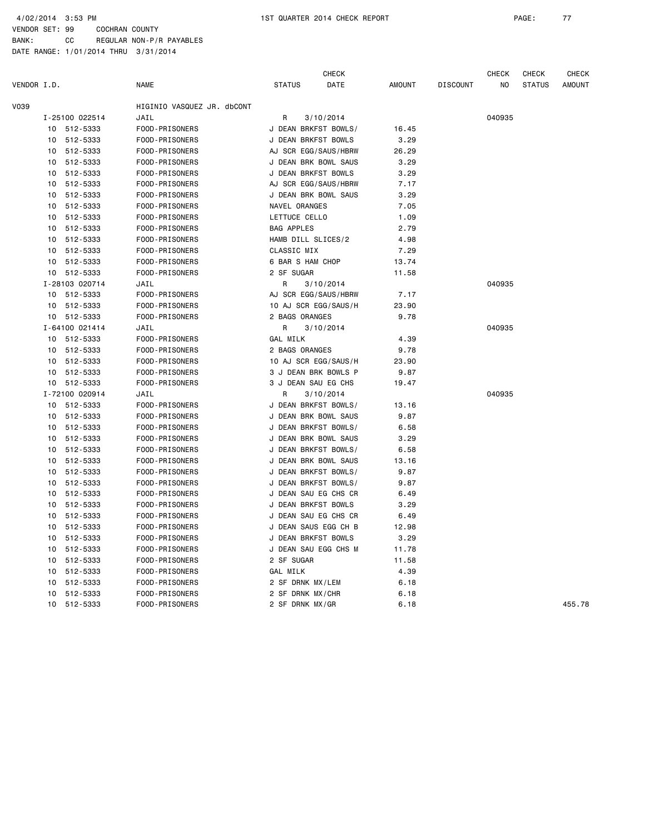|             |    |                |                            |                      | <b>CHECK</b>         |        |                 | <b>CHECK</b> | <b>CHECK</b>  | <b>CHECK</b>  |
|-------------|----|----------------|----------------------------|----------------------|----------------------|--------|-----------------|--------------|---------------|---------------|
| VENDOR I.D. |    |                | <b>NAME</b>                | <b>STATUS</b>        | DATE                 | AMOUNT | <b>DISCOUNT</b> | ΝO           | <b>STATUS</b> | <b>AMOUNT</b> |
| V039        |    |                | HIGINIO VASQUEZ JR, dbCONT |                      |                      |        |                 |              |               |               |
|             |    | I-25100 022514 | JAIL                       | R                    | 3/10/2014            |        |                 | 040935       |               |               |
|             | 10 | 512-5333       | FOOD-PRISONERS             |                      | J DEAN BRKFST BOWLS/ | 16.45  |                 |              |               |               |
|             | 10 | 512-5333       | FOOD-PRISONERS             | J DEAN BRKFST BOWLS  |                      | 3.29   |                 |              |               |               |
|             | 10 | 512-5333       | FOOD-PRISONERS             |                      | AJ SCR EGG/SAUS/HBRW | 26.29  |                 |              |               |               |
|             | 10 | 512-5333       | FOOD-PRISONERS             |                      | J DEAN BRK BOWL SAUS | 3.29   |                 |              |               |               |
|             | 10 | 512-5333       | FOOD-PRISONERS             | J DEAN BRKFST BOWLS  |                      | 3.29   |                 |              |               |               |
|             | 10 | 512-5333       | FOOD-PRISONERS             |                      | AJ SCR EGG/SAUS/HBRW | 7.17   |                 |              |               |               |
|             | 10 | 512-5333       | FOOD-PRISONERS             |                      | J DEAN BRK BOWL SAUS | 3.29   |                 |              |               |               |
|             | 10 | 512-5333       | FOOD-PRISONERS             | NAVEL ORANGES        |                      | 7.05   |                 |              |               |               |
|             | 10 | 512-5333       | FOOD-PRISONERS             | LETTUCE CELLO        |                      | 1.09   |                 |              |               |               |
|             | 10 | 512-5333       | FOOD-PRISONERS             | <b>BAG APPLES</b>    |                      | 2.79   |                 |              |               |               |
|             | 10 | 512-5333       | FOOD-PRISONERS             | HAMB DILL SLICES/2   |                      | 4.98   |                 |              |               |               |
|             | 10 | 512-5333       | FOOD-PRISONERS             | CLASSIC MIX          |                      | 7.29   |                 |              |               |               |
|             | 10 | 512-5333       | FOOD-PRISONERS             | 6 BAR S HAM CHOP     |                      | 13.74  |                 |              |               |               |
|             | 10 | 512-5333       | FOOD-PRISONERS             | 2 SF SUGAR           |                      | 11.58  |                 |              |               |               |
|             |    | I-28103 020714 | JAIL                       | R                    | 3/10/2014            |        |                 | 040935       |               |               |
|             | 10 | 512-5333       | FOOD-PRISONERS             |                      | AJ SCR EGG/SAUS/HBRW | 7.17   |                 |              |               |               |
|             | 10 | 512-5333       | FOOD-PRISONERS             |                      | 10 AJ SCR EGG/SAUS/H | 23.90  |                 |              |               |               |
|             | 10 | 512-5333       | FOOD-PRISONERS             | 2 BAGS ORANGES       |                      | 9.78   |                 |              |               |               |
|             |    | I-64100 021414 | JAIL                       | R                    | 3/10/2014            |        |                 | 040935       |               |               |
|             |    | 10 512-5333    | FOOD-PRISONERS             | GAL MILK             |                      | 4.39   |                 |              |               |               |
|             | 10 | 512-5333       | FOOD-PRISONERS             | 2 BAGS ORANGES       |                      | 9.78   |                 |              |               |               |
|             | 10 | 512-5333       | FOOD-PRISONERS             |                      | 10 AJ SCR EGG/SAUS/H | 23.90  |                 |              |               |               |
|             | 10 | 512-5333       | FOOD-PRISONERS             |                      | 3 J DEAN BRK BOWLS P | 9.87   |                 |              |               |               |
|             | 10 | 512-5333       | FOOD-PRISONERS             | 3 J DEAN SAU EG CHS  |                      | 19.47  |                 |              |               |               |
|             |    | I-72100 020914 | JAIL                       | R                    | 3/10/2014            |        |                 | 040935       |               |               |
|             | 10 | 512-5333       | FOOD-PRISONERS             |                      | J DEAN BRKFST BOWLS/ | 13.16  |                 |              |               |               |
|             | 10 | 512-5333       | FOOD-PRISONERS             |                      | J DEAN BRK BOWL SAUS | 9.87   |                 |              |               |               |
|             |    | 10 512-5333    | FOOD-PRISONERS             |                      | J DEAN BRKFST BOWLS/ | 6.58   |                 |              |               |               |
|             | 10 | 512-5333       | FOOD-PRISONERS             |                      | J DEAN BRK BOWL SAUS | 3.29   |                 |              |               |               |
|             | 10 | 512-5333       | FOOD-PRISONERS             |                      | J DEAN BRKFST BOWLS/ | 6.58   |                 |              |               |               |
|             | 10 | 512-5333       | FOOD-PRISONERS             |                      | J DEAN BRK BOWL SAUS | 13.16  |                 |              |               |               |
|             | 10 | 512-5333       | FOOD-PRISONERS             |                      | J DEAN BRKFST BOWLS/ | 9.87   |                 |              |               |               |
|             | 10 | 512-5333       | FOOD-PRISONERS             | J DEAN BRKFST BOWLS/ |                      | 9.87   |                 |              |               |               |
|             | 10 | 512-5333       | FOOD-PRISONERS             |                      | J DEAN SAU EG CHS CR | 6.49   |                 |              |               |               |
|             | 10 | 512-5333       | FOOD-PRISONERS             | J DEAN BRKFST BOWLS  |                      | 3.29   |                 |              |               |               |
|             | 10 | 512-5333       | FOOD-PRISONERS             |                      | J DEAN SAU EG CHS CR | 6.49   |                 |              |               |               |
|             | 10 | 512-5333       | FOOD-PRISONERS             |                      | J DEAN SAUS EGG CH B | 12.98  |                 |              |               |               |
|             | 10 | 512-5333       | FOOD-PRISONERS             | J DEAN BRKFST BOWLS  |                      | 3.29   |                 |              |               |               |
|             | 10 | 512-5333       | FOOD-PRISONERS             |                      | J DEAN SAU EGG CHS M | 11.78  |                 |              |               |               |
|             | 10 | 512-5333       | FOOD-PRISONERS             | 2 SF SUGAR           |                      | 11.58  |                 |              |               |               |
|             | 10 | 512-5333       | FOOD-PRISONERS             | GAL MILK             |                      | 4.39   |                 |              |               |               |
|             | 10 | 512-5333       | FOOD-PRISONERS             | 2 SF DRNK MX/LEM     |                      | 6.18   |                 |              |               |               |
|             | 10 | 512-5333       | FOOD-PRISONERS             | 2 SF DRNK MX/CHR     |                      | 6.18   |                 |              |               |               |
|             | 10 | 512-5333       | FOOD-PRISONERS             | 2 SF DRNK MX/GR      |                      | 6.18   |                 |              |               | 455.78        |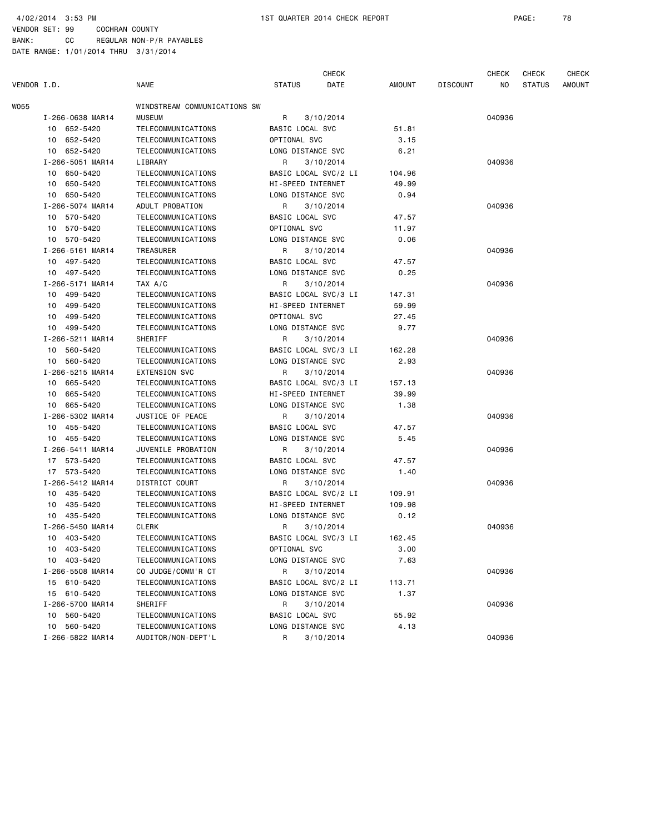|             |                  |                              |                      | <b>CHECK</b> |        |                 | <b>CHECK</b> | <b>CHECK</b>  | CHECK         |
|-------------|------------------|------------------------------|----------------------|--------------|--------|-----------------|--------------|---------------|---------------|
| VENDOR I.D. |                  | <b>NAME</b>                  | <b>STATUS</b>        | DATE         | AMOUNT | <b>DISCOUNT</b> | NO           | <b>STATUS</b> | <b>AMOUNT</b> |
| WO55        |                  | WINDSTREAM COMMUNICATIONS SW |                      |              |        |                 |              |               |               |
|             | I-266-0638 MAR14 | <b>MUSEUM</b>                | R                    | 3/10/2014    |        |                 | 040936       |               |               |
|             | 10 652-5420      | TELECOMMUNICATIONS           | BASIC LOCAL SVC      |              | 51.81  |                 |              |               |               |
|             | 10 652-5420      | TELECOMMUNICATIONS           | OPTIONAL SVC         |              | 3.15   |                 |              |               |               |
|             | 10 652-5420      | TELECOMMUNICATIONS           | LONG DISTANCE SVC    |              | 6.21   |                 |              |               |               |
|             | I-266-5051 MAR14 | LIBRARY                      | R                    | 3/10/2014    |        |                 | 040936       |               |               |
|             | 10 650-5420      | TELECOMMUNICATIONS           | BASIC LOCAL SVC/2 LI |              | 104.96 |                 |              |               |               |
|             | 650-5420<br>10   | TELECOMMUNICATIONS           | HI-SPEED INTERNET    |              | 49.99  |                 |              |               |               |
|             | 10 650-5420      | TELECOMMUNICATIONS           | LONG DISTANCE SVC    |              | 0.94   |                 |              |               |               |
|             | I-266-5074 MAR14 | ADULT PROBATION              | R                    | 3/10/2014    |        |                 | 040936       |               |               |
|             | 10 570-5420      | TELECOMMUNICATIONS           | BASIC LOCAL SVC      |              | 47.57  |                 |              |               |               |
|             | 10 570-5420      | TELECOMMUNICATIONS           | OPTIONAL SVC         |              | 11.97  |                 |              |               |               |
|             | 10 570-5420      | TELECOMMUNICATIONS           | LONG DISTANCE SVC    |              | 0.06   |                 |              |               |               |
|             | I-266-5161 MAR14 | TREASURER                    | R                    | 3/10/2014    |        |                 | 040936       |               |               |
|             | 10 497-5420      | TELECOMMUNICATIONS           | BASIC LOCAL SVC      |              | 47.57  |                 |              |               |               |
|             | 10 497-5420      | TELECOMMUNICATIONS           | LONG DISTANCE SVC    |              | 0.25   |                 |              |               |               |
|             | I-266-5171 MAR14 | TAX A/C                      | R                    | 3/10/2014    |        |                 | 040936       |               |               |
|             | 10 499-5420      | TELECOMMUNICATIONS           | BASIC LOCAL SVC/3 LI |              | 147.31 |                 |              |               |               |
|             | 499-5420<br>10   | TELECOMMUNICATIONS           | HI-SPEED INTERNET    |              | 59.99  |                 |              |               |               |
|             | 10<br>499-5420   | TELECOMMUNICATIONS           | OPTIONAL SVC         |              | 27.45  |                 |              |               |               |
|             | 10 499-5420      | TELECOMMUNICATIONS           | LONG DISTANCE SVC    |              | 9.77   |                 |              |               |               |
|             | I-266-5211 MAR14 | SHERIFF                      | R                    | 3/10/2014    |        |                 | 040936       |               |               |
|             | 10 560-5420      | TELECOMMUNICATIONS           | BASIC LOCAL SVC/3 LI |              | 162.28 |                 |              |               |               |
|             | 10<br>560-5420   | TELECOMMUNICATIONS           | LONG DISTANCE SVC    |              | 2.93   |                 |              |               |               |
|             | I-266-5215 MAR14 | <b>EXTENSION SVC</b>         | R                    | 3/10/2014    |        |                 | 040936       |               |               |
|             | 10 665-5420      | TELECOMMUNICATIONS           | BASIC LOCAL SVC/3 LI |              | 157.13 |                 |              |               |               |
|             | 665-5420<br>10   | TELECOMMUNICATIONS           | HI-SPEED INTERNET    |              | 39.99  |                 |              |               |               |
|             | 10 665-5420      | TELECOMMUNICATIONS           | LONG DISTANCE SVC    |              | 1.38   |                 |              |               |               |
|             | I-266-5302 MAR14 | JUSTICE OF PEACE             | R                    | 3/10/2014    |        |                 | 040936       |               |               |
|             | 10 455-5420      | TELECOMMUNICATIONS           | BASIC LOCAL SVC      |              | 47.57  |                 |              |               |               |
|             | 10 455-5420      | TELECOMMUNICATIONS           | LONG DISTANCE SVC    |              | 5.45   |                 |              |               |               |
|             | I-266-5411 MAR14 | JUVENILE PROBATION           | R                    | 3/10/2014    |        |                 | 040936       |               |               |
|             | 17 573-5420      | TELECOMMUNICATIONS           | BASIC LOCAL SVC      |              | 47.57  |                 |              |               |               |
|             | 17 573-5420      | TELECOMMUNICATIONS           | LONG DISTANCE SVC    |              | 1.40   |                 |              |               |               |
|             | I-266-5412 MAR14 | DISTRICT COURT               | R                    | 3/10/2014    |        |                 | 040936       |               |               |
|             | 10 435-5420      | TELECOMMUNICATIONS           | BASIC LOCAL SVC/2 LI |              | 109.91 |                 |              |               |               |
|             | 10 435-5420      | TELECOMMUNICATIONS           | HI-SPEED INTERNET    |              | 109.98 |                 |              |               |               |
|             | 10 435-5420      | TELECOMMUNICATIONS           | LONG DISTANCE SVC    |              | 0.12   |                 |              |               |               |
|             | I-266-5450 MAR14 | <b>CLERK</b>                 | R                    | 3/10/2014    |        |                 | 040936       |               |               |
|             | 10 403-5420      | TELECOMMUNICATIONS           | BASIC LOCAL SVC/3 LI |              | 162.45 |                 |              |               |               |
|             | 10 403-5420      | TELECOMMUNICATIONS           | OPTIONAL SVC         |              | 3.00   |                 |              |               |               |
|             | 403-5420<br>10   | TELECOMMUNICATIONS           | LONG DISTANCE SVC    |              | 7.63   |                 |              |               |               |
|             | I-266-5508 MAR14 | CO JUDGE/COMM'R CT           | R                    | 3/10/2014    |        |                 | 040936       |               |               |
|             | 15 610-5420      | TELECOMMUNICATIONS           | BASIC LOCAL SVC/2 LI |              | 113.71 |                 |              |               |               |
|             | 15 610-5420      | TELECOMMUNICATIONS           | LONG DISTANCE SVC    |              | 1.37   |                 |              |               |               |
|             | I-266-5700 MAR14 | <b>SHERIFF</b>               | R                    | 3/10/2014    |        |                 | 040936       |               |               |
|             | 10 560-5420      | TELECOMMUNICATIONS           | BASIC LOCAL SVC      |              | 55.92  |                 |              |               |               |
|             | 10 560-5420      | TELECOMMUNICATIONS           | LONG DISTANCE SVC    |              | 4.13   |                 |              |               |               |
|             |                  | AUDITOR/NON-DEPT'L           |                      |              |        |                 | 040936       |               |               |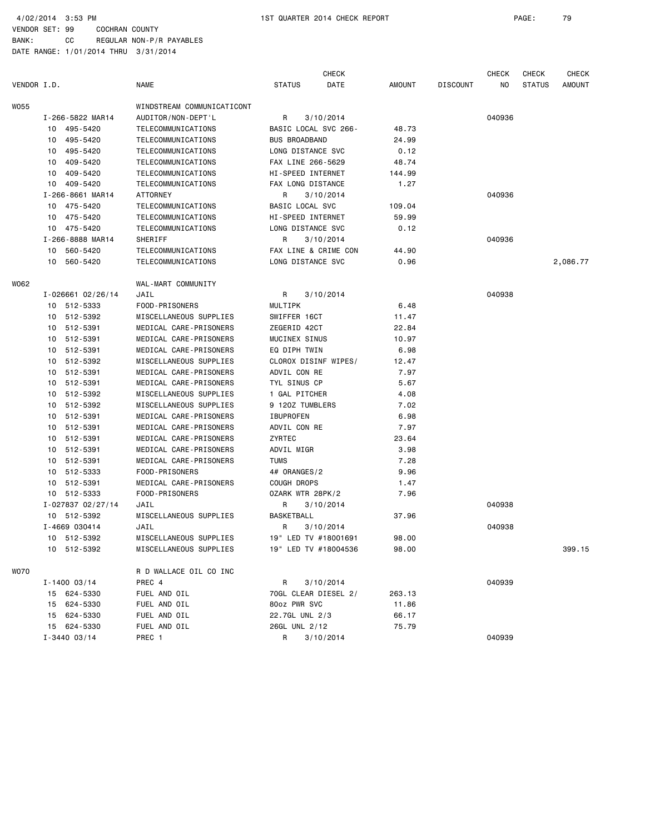4/02/2014 3:53 PM 1ST QUARTER 2014 CHECK REPORT PAGE: 79

VENDOR SET: 99 COCHRAN COUNTY BANK: CC REGULAR NON-P/R PAYABLES

|             |    |                   |                            |                      | <b>CHECK</b> |               |                 | <b>CHECK</b> | <b>CHECK</b>  | CHECK    |
|-------------|----|-------------------|----------------------------|----------------------|--------------|---------------|-----------------|--------------|---------------|----------|
| VENDOR I.D. |    |                   | <b>NAME</b>                | <b>STATUS</b>        | DATE         | <b>AMOUNT</b> | <b>DISCOUNT</b> | NO.          | <b>STATUS</b> | AMOUNT   |
| W055        |    |                   | WINDSTREAM COMMUNICATICONT |                      |              |               |                 |              |               |          |
|             |    | I-266-5822 MAR14  | AUDITOR/NON-DEPT'L         | R                    | 3/10/2014    |               |                 | 040936       |               |          |
|             |    | 10 495-5420       | TELECOMMUNICATIONS         | BASIC LOCAL SVC 266- |              | 48.73         |                 |              |               |          |
|             | 10 | 495-5420          | TELECOMMUNICATIONS         | <b>BUS BROADBAND</b> |              | 24.99         |                 |              |               |          |
|             | 10 | 495-5420          | TELECOMMUNICATIONS         | LONG DISTANCE SVC    |              | 0.12          |                 |              |               |          |
|             | 10 | 409-5420          | TELECOMMUNICATIONS         | FAX LINE 266-5629    |              | 48.74         |                 |              |               |          |
|             | 10 | 409-5420          | TELECOMMUNICATIONS         | HI-SPEED INTERNET    |              | 144.99        |                 |              |               |          |
|             |    | 10 409-5420       | TELECOMMUNICATIONS         | FAX LONG DISTANCE    |              | 1.27          |                 |              |               |          |
|             |    | I-266-8661 MAR14  | <b>ATTORNEY</b>            | R                    | 3/10/2014    |               |                 | 040936       |               |          |
|             |    | 10 475-5420       | TELECOMMUNICATIONS         | BASIC LOCAL SVC      |              | 109.04        |                 |              |               |          |
|             | 10 | 475-5420          | TELECOMMUNICATIONS         | HI-SPEED INTERNET    |              | 59.99         |                 |              |               |          |
|             |    | 10 475-5420       | TELECOMMUNICATIONS         | LONG DISTANCE SVC    |              | 0.12          |                 |              |               |          |
|             |    | I-266-8888 MAR14  | SHERIFF                    | R                    | 3/10/2014    |               |                 | 040936       |               |          |
|             | 10 | 560-5420          | TELECOMMUNICATIONS         | FAX LINE & CRIME CON |              | 44.90         |                 |              |               |          |
|             | 10 | 560-5420          | TELECOMMUNICATIONS         | LONG DISTANCE SVC    |              | 0.96          |                 |              |               | 2,086.77 |
| WO62        |    |                   | WAL-MART COMMUNITY         |                      |              |               |                 |              |               |          |
|             |    | I-026661 02/26/14 | JAIL                       | R                    | 3/10/2014    |               |                 | 040938       |               |          |
|             |    | 10 512-5333       | FOOD-PRISONERS             | MULTIPK              |              | 6.48          |                 |              |               |          |
|             |    | 10 512-5392       | MISCELLANEOUS SUPPLIES     | SWIFFER 16CT         |              | 11.47         |                 |              |               |          |
|             | 10 | 512-5391          | MEDICAL CARE-PRISONERS     | ZEGERID 42CT         |              | 22.84         |                 |              |               |          |
|             | 10 | 512-5391          | MEDICAL CARE-PRISONERS     | MUCINEX SINUS        |              | 10.97         |                 |              |               |          |
|             | 10 | 512-5391          | MEDICAL CARE-PRISONERS     | EQ DIPH TWIN         |              | 6.98          |                 |              |               |          |
|             | 10 | 512-5392          | MISCELLANEOUS SUPPLIES     | CLOROX DISINF WIPES/ |              | 12.47         |                 |              |               |          |
|             | 10 | 512-5391          | MEDICAL CARE-PRISONERS     | ADVIL CON RE         |              | 7.97          |                 |              |               |          |
|             | 10 | 512-5391          | MEDICAL CARE-PRISONERS     | TYL SINUS CP         |              | 5.67          |                 |              |               |          |
|             | 10 | 512-5392          | MISCELLANEOUS SUPPLIES     | 1 GAL PITCHER        |              | 4.08          |                 |              |               |          |
|             | 10 | 512-5392          | MISCELLANEOUS SUPPLIES     | 9 120Z TUMBLERS      |              | 7.02          |                 |              |               |          |
|             | 10 | 512-5391          | MEDICAL CARE-PRISONERS     | <b>IBUPROFEN</b>     |              | 6.98          |                 |              |               |          |
|             | 10 | 512-5391          | MEDICAL CARE-PRISONERS     | ADVIL CON RE         |              | 7.97          |                 |              |               |          |
|             | 10 | 512-5391          | MEDICAL CARE-PRISONERS     | ZYRTEC               |              | 23.64         |                 |              |               |          |
|             | 10 | 512-5391          | MEDICAL CARE-PRISONERS     | ADVIL MIGR           |              | 3.98          |                 |              |               |          |
|             | 10 | 512-5391          | MEDICAL CARE-PRISONERS     | <b>TUMS</b>          |              | 7.28          |                 |              |               |          |
|             | 10 | 512-5333          | FOOD-PRISONERS             | 4# ORANGES/2         |              | 9.96          |                 |              |               |          |
|             | 10 | 512-5391          | MEDICAL CARE-PRISONERS     | COUGH DROPS          |              | 1.47          |                 |              |               |          |
|             |    | 10 512-5333       | FOOD-PRISONERS             | OZARK WTR 28PK/2     |              | 7.96          |                 |              |               |          |
|             |    | I-027837 02/27/14 | JAIL                       | R                    | 3/10/2014    |               |                 | 040938       |               |          |
|             |    | 10 512-5392       | MISCELLANEOUS SUPPLIES     | BASKETBALL           |              | 37.96         |                 |              |               |          |
|             |    | I-4669 030414     | JAIL                       | R                    | 3/10/2014    |               |                 | 040938       |               |          |
|             |    | 10 512-5392       | MISCELLANEOUS SUPPLIES     | 19" LED TV #18001691 |              | 98.00         |                 |              |               |          |
|             |    | 10 512-5392       | MISCELLANEOUS SUPPLIES     | 19" LED TV #18004536 |              | 98.00         |                 |              |               | 399.15   |
| WO70        |    |                   | R D WALLACE OIL CO INC     |                      |              |               |                 |              |               |          |
|             |    | $I - 1400 03/14$  | PREC 4                     | R                    | 3/10/2014    |               |                 | 040939       |               |          |
|             |    | 15 624-5330       | FUEL AND OIL               | 70GL CLEAR DIESEL 2/ |              | 263.13        |                 |              |               |          |
|             |    | 15 624-5330       | FUEL AND OIL               | 80oz PWR SVC         |              | 11.86         |                 |              |               |          |
|             |    | 15 624-5330       | FUEL AND OIL               | 22.7GL UNL 2/3       |              | 66.17         |                 |              |               |          |
|             |    | 15 624-5330       | FUEL AND OIL               | 26GL UNL 2/12        |              | 75.79         |                 |              |               |          |
|             |    | $I - 3440 03/14$  | PREC 1                     | R                    | 3/10/2014    |               |                 | 040939       |               |          |
|             |    |                   |                            |                      |              |               |                 |              |               |          |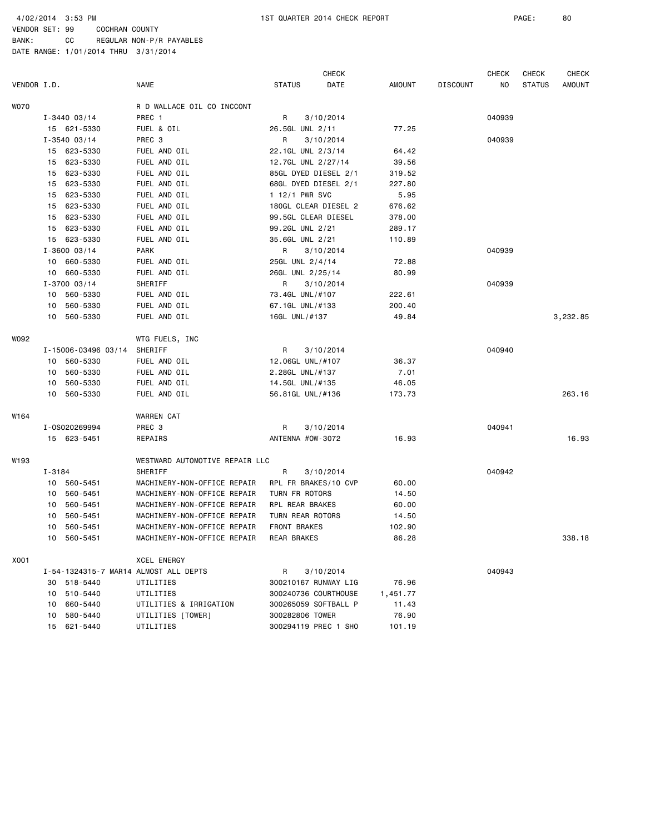|             |        |                     |                                       |                      | <b>CHECK</b> |          |                 | <b>CHECK</b> | CHECK         | <b>CHECK</b> |
|-------------|--------|---------------------|---------------------------------------|----------------------|--------------|----------|-----------------|--------------|---------------|--------------|
| VENDOR I.D. |        |                     | <b>NAME</b>                           | <b>STATUS</b>        | DATE         | AMOUNT   | <b>DISCOUNT</b> | ΝO           | <b>STATUS</b> | AMOUNT       |
| WO70        |        |                     | R D WALLACE OIL CO INCCONT            |                      |              |          |                 |              |               |              |
|             |        | $I - 3440 03/14$    | PREC 1                                | R                    | 3/10/2014    |          |                 | 040939       |               |              |
|             |        | 15 621-5330         | FUEL & OIL                            | 26.5GL UNL 2/11      |              | 77.25    |                 |              |               |              |
|             |        | $I - 354003/14$     | PREC <sub>3</sub>                     | R                    | 3/10/2014    |          |                 | 040939       |               |              |
|             |        | 15 623-5330         | FUEL AND OIL                          | 22.1GL UNL 2/3/14    |              | 64.42    |                 |              |               |              |
|             | 15     | 623-5330            | FUEL AND OIL                          | 12.7GL UNL 2/27/14   |              | 39.56    |                 |              |               |              |
|             | 15     | 623-5330            | FUEL AND OIL                          | 85GL DYED DIESEL 2/1 |              | 319.52   |                 |              |               |              |
|             | 15     | 623-5330            | FUEL AND OIL                          | 68GL DYED DIESEL 2/1 |              | 227.80   |                 |              |               |              |
|             | 15     | 623-5330            | FUEL AND OIL                          | 1 12/1 PWR SVC       |              | 5.95     |                 |              |               |              |
|             | 15     | 623-5330            | FUEL AND OIL                          | 180GL CLEAR DIESEL 2 |              | 676.62   |                 |              |               |              |
|             | 15     | 623-5330            | FUEL AND OIL                          | 99.5GL CLEAR DIESEL  |              | 378.00   |                 |              |               |              |
|             | 15     | 623-5330            | FUEL AND OIL                          | 99.2GL UNL 2/21      |              | 289.17   |                 |              |               |              |
|             |        | 15 623-5330         | FUEL AND OIL                          | 35.6GL UNL 2/21      |              | 110.89   |                 |              |               |              |
|             |        | $I - 3600 03/14$    | <b>PARK</b>                           | R                    | 3/10/2014    |          |                 | 040939       |               |              |
|             |        | 10 660-5330         | FUEL AND OIL                          | 25GL UNL 2/4/14      |              | 72.88    |                 |              |               |              |
|             | 10     | 660-5330            | FUEL AND OIL                          | 26GL UNL 2/25/14     |              | 80.99    |                 |              |               |              |
|             |        | $I - 3700$ 03/14    | SHERIFF                               | R                    | 3/10/2014    |          |                 | 040939       |               |              |
|             | 10     | 560-5330            | FUEL AND OIL                          | 73.4GL UNL/#107      |              | 222.61   |                 |              |               |              |
|             | 10     | 560-5330            | FUEL AND OIL                          | 67.1GL UNL/#133      |              | 200.40   |                 |              |               |              |
|             | 10     | 560-5330            | FUEL AND OIL                          | 16GL UNL/#137        |              | 49.84    |                 |              |               | 3,232.85     |
| WO92        |        |                     | WTG FUELS, INC                        |                      |              |          |                 |              |               |              |
|             |        | I-15006-03496 03/14 | SHERIFF                               | R                    | 3/10/2014    |          |                 | 040940       |               |              |
|             |        | 10 560-5330         | FUEL AND OIL                          | 12.06GL UNL/#107     |              | 36.37    |                 |              |               |              |
|             | 10     | 560-5330            | FUEL AND OIL                          | 2.28GL UNL/#137      |              | 7.01     |                 |              |               |              |
|             | 10     | 560-5330            | FUEL AND OIL                          | 14.5GL UNL/#135      |              | 46.05    |                 |              |               |              |
|             | 10     | 560-5330            | FUEL AND OIL                          | 56.81GL UNL/#136     |              | 173.73   |                 |              |               | 263.16       |
| W164        |        |                     | WARREN CAT                            |                      |              |          |                 |              |               |              |
|             |        | I-0S020269994       | PREC <sub>3</sub>                     | R                    | 3/10/2014    |          |                 | 040941       |               |              |
|             |        | 15 623-5451         | REPAIRS                               | ANTENNA #OW-3072     |              | 16.93    |                 |              |               | 16.93        |
| W193        |        |                     | WESTWARD AUTOMOTIVE REPAIR LLC        |                      |              |          |                 |              |               |              |
|             | I-3184 |                     | SHERIFF                               | R                    | 3/10/2014    |          |                 | 040942       |               |              |
|             |        | 10 560-5451         | MACHINERY-NON-OFFICE REPAIR           | RPL FR BRAKES/10 CVP |              | 60.00    |                 |              |               |              |
|             | 10     | 560-5451            | MACHINERY-NON-OFFICE REPAIR           | TURN FR ROTORS       |              | 14.50    |                 |              |               |              |
|             | 10     | 560-5451            | MACHINERY-NON-OFFICE REPAIR           | RPL REAR BRAKES      |              | 60.00    |                 |              |               |              |
|             | 10     | 560-5451            | MACHINERY-NON-OFFICE REPAIR           | TURN REAR ROTORS     |              | 14.50    |                 |              |               |              |
|             | 10     | 560-5451            | MACHINERY-NON-OFFICE REPAIR           | FRONT BRAKES         |              | 102.90   |                 |              |               |              |
|             | 10     | 560-5451            | MACHINERY-NON-OFFICE REPAIR           | REAR BRAKES          |              | 86.28    |                 |              |               | 338.18       |
| X001        |        |                     | <b>XCEL ENERGY</b>                    |                      |              |          |                 |              |               |              |
|             |        |                     | I-54-1324315-7 MAR14 ALMOST ALL DEPTS | R                    | 3/10/2014    |          |                 | 040943       |               |              |
|             | 30     | 518-5440            | UTILITIES                             | 300210167 RUNWAY LIG |              | 76.96    |                 |              |               |              |
|             |        | 10 510-5440         | UTILITIES                             | 300240736 COURTHOUSE |              | 1,451.77 |                 |              |               |              |
|             | 10     | 660-5440            | UTILITIES & IRRIGATION                | 300265059 SOFTBALL P |              | 11.43    |                 |              |               |              |
|             | 10     | 580-5440            | UTILITIES [TOWER]                     | 300282806 TOWER      |              | 76.90    |                 |              |               |              |
|             |        | 15 621-5440         | UTILITIES                             | 300294119 PREC 1 SHO |              | 101.19   |                 |              |               |              |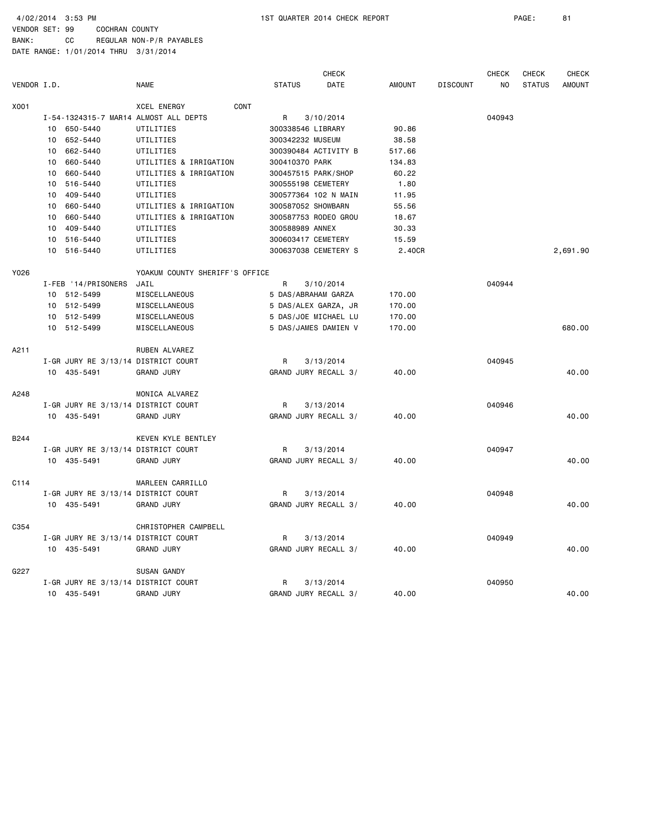4/02/2014 3:53 PM 1ST QUARTER 2014 CHECK REPORT PAGE: 81

VENDOR SET: 99 COCHRAN COUNTY BANK: CC REGULAR NON-P/R PAYABLES

|             |                 |                                     |                                       |                      | <b>CHECK</b>         |               |                 | <b>CHECK</b> | <b>CHECK</b>  | <b>CHECK</b>  |
|-------------|-----------------|-------------------------------------|---------------------------------------|----------------------|----------------------|---------------|-----------------|--------------|---------------|---------------|
| VENDOR I.D. |                 |                                     | <b>NAME</b>                           | <b>STATUS</b>        | DATE                 | <b>AMOUNT</b> | <b>DISCOUNT</b> | NO.          | <b>STATUS</b> | <b>AMOUNT</b> |
| X001        |                 |                                     | <b>XCEL ENERGY</b><br>CONT            |                      |                      |               |                 |              |               |               |
|             |                 |                                     | I-54-1324315-7 MAR14 ALMOST ALL DEPTS | R                    | 3/10/2014            |               |                 | 040943       |               |               |
|             |                 | 10 650-5440                         | UTILITIES                             | 300338546 LIBRARY    |                      | 90.86         |                 |              |               |               |
|             | 10              | 652-5440                            | UTILITIES                             | 300342232 MUSEUM     |                      | 38.58         |                 |              |               |               |
|             | 10              | 662-5440                            | UTILITIES                             |                      | 300390484 ACTIVITY B | 517.66        |                 |              |               |               |
|             | 10              | 660-5440                            | UTILITIES & IRRIGATION                | 300410370 PARK       |                      | 134.83        |                 |              |               |               |
|             | 10              | 660-5440                            | UTILITIES & IRRIGATION                | 300457515 PARK/SHOP  |                      | 60.22         |                 |              |               |               |
|             | 10 <sub>1</sub> | 516-5440                            | UTILITIES                             | 300555198 CEMETERY   |                      | 1.80          |                 |              |               |               |
|             | 10              | 409-5440                            | UTILITIES                             |                      | 300577364 102 N MAIN | 11.95         |                 |              |               |               |
|             | 10              | 660-5440                            | UTILITIES & IRRIGATION                | 300587052 SHOWBARN   |                      | 55.56         |                 |              |               |               |
|             | 10              | 660-5440                            | UTILITIES & IRRIGATION                |                      | 300587753 RODEO GROU | 18.67         |                 |              |               |               |
|             | 10              | 409-5440                            | UTILITIES                             | 300588989 ANNEX      |                      | 30.33         |                 |              |               |               |
|             | 10              | 516-5440                            | UTILITIES                             | 300603417 CEMETERY   |                      | 15.59         |                 |              |               |               |
|             | 10              | 516-5440                            | UTILITIES                             |                      | 300637038 CEMETERY S | 2.40CR        |                 |              |               | 2,691.90      |
| Y026        |                 |                                     | YOAKUM COUNTY SHERIFF'S OFFICE        |                      |                      |               |                 |              |               |               |
|             |                 | I-FEB '14/PRISONERS                 | JAIL                                  | R                    | 3/10/2014            |               |                 | 040944       |               |               |
|             |                 | 10 512-5499                         | MISCELLANEOUS                         | 5 DAS/ABRAHAM GARZA  |                      | 170.00        |                 |              |               |               |
|             |                 | 10 512-5499                         | MISCELLANEOUS                         |                      | 5 DAS/ALEX GARZA, JR | 170.00        |                 |              |               |               |
|             |                 | 10 512-5499                         | MISCELLANEOUS                         |                      | 5 DAS/JOE MICHAEL LU | 170.00        |                 |              |               |               |
|             |                 | 10 512-5499                         | MISCELLANEOUS                         |                      | 5 DAS/JAMES DAMIEN V | 170.00        |                 |              |               | 680.00        |
| A211        |                 |                                     | RUBEN ALVAREZ                         |                      |                      |               |                 |              |               |               |
|             |                 | I-GR JURY RE 3/13/14 DISTRICT COURT |                                       | R                    | 3/13/2014            |               |                 | 040945       |               |               |
|             |                 | 10 435-5491                         | <b>GRAND JURY</b>                     | GRAND JURY RECALL 3/ |                      | 40.00         |                 |              |               | 40.00         |
| A248        |                 |                                     | MONICA ALVAREZ                        |                      |                      |               |                 |              |               |               |
|             |                 | I-GR JURY RE 3/13/14 DISTRICT COURT |                                       | R                    | 3/13/2014            |               |                 | 040946       |               |               |
|             |                 | 10 435-5491                         | <b>GRAND JURY</b>                     |                      | GRAND JURY RECALL 3/ | 40.00         |                 |              |               | 40.00         |
| B244        |                 |                                     | KEVEN KYLE BENTLEY                    |                      |                      |               |                 |              |               |               |
|             |                 | I-GR JURY RE 3/13/14 DISTRICT COURT |                                       | R                    | 3/13/2014            |               |                 | 040947       |               |               |
|             |                 | 10 435-5491                         | <b>GRAND JURY</b>                     |                      | GRAND JURY RECALL 3/ | 40.00         |                 |              |               | 40.00         |
| C114        |                 |                                     | MARLEEN CARRILLO                      |                      |                      |               |                 |              |               |               |
|             |                 | I-GR JURY RE 3/13/14 DISTRICT COURT |                                       | R                    | 3/13/2014            |               |                 | 040948       |               |               |
|             |                 | 10 435-5491                         | <b>GRAND JURY</b>                     |                      | GRAND JURY RECALL 3/ | 40.00         |                 |              |               | 40.00         |
| C354        |                 |                                     | CHRISTOPHER CAMPBELL                  |                      |                      |               |                 |              |               |               |
|             |                 | I-GR JURY RE 3/13/14 DISTRICT COURT |                                       | R                    | 3/13/2014            |               |                 | 040949       |               |               |
|             |                 | 10 435-5491                         | <b>GRAND JURY</b>                     |                      | GRAND JURY RECALL 3/ | 40.00         |                 |              |               | 40.00         |
| G227        |                 |                                     | SUSAN GANDY                           |                      |                      |               |                 |              |               |               |
|             |                 | I-GR JURY RE 3/13/14 DISTRICT COURT |                                       | R                    | 3/13/2014            |               |                 | 040950       |               |               |
|             |                 | 10 435-5491                         | <b>GRAND JURY</b>                     | GRAND JURY RECALL 3/ |                      | 40.00         |                 |              |               | 40.00         |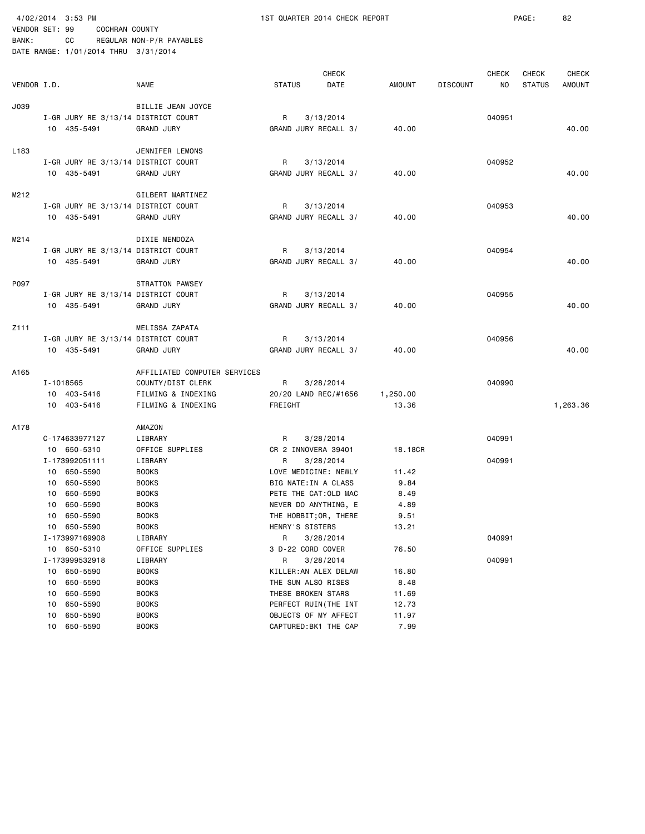BANK: CC REGULAR NON-P/R PAYABLES

4/02/2014 3:53 PM 1ST QUARTER 2014 CHECK REPORT PAGE: 82

|             |    | DATE RANGE: 1/01/2014 THRU 3/31/2014 |                              |                      |                       |          |                 |              |               |              |
|-------------|----|--------------------------------------|------------------------------|----------------------|-----------------------|----------|-----------------|--------------|---------------|--------------|
|             |    |                                      |                              |                      |                       |          |                 |              |               |              |
|             |    |                                      |                              |                      | <b>CHECK</b>          |          |                 | <b>CHECK</b> | <b>CHECK</b>  | <b>CHECK</b> |
| VENDOR I.D. |    |                                      | <b>NAME</b>                  | <b>STATUS</b>        | DATE                  | AMOUNT   | <b>DISCOUNT</b> | ΝO           | <b>STATUS</b> | AMOUNT       |
| J039        |    |                                      | BILLIE JEAN JOYCE            |                      |                       |          |                 |              |               |              |
|             |    | I-GR JURY RE 3/13/14 DISTRICT COURT  |                              | R                    | 3/13/2014             |          |                 | 040951       |               |              |
|             |    | 10 435-5491                          | <b>GRAND JURY</b>            |                      | GRAND JURY RECALL 3/  | 40.00    |                 |              |               | 40.00        |
|             |    |                                      |                              |                      |                       |          |                 |              |               |              |
| L183        |    |                                      | JENNIFER LEMONS              |                      |                       |          |                 |              |               |              |
|             |    | I-GR JURY RE 3/13/14 DISTRICT COURT  |                              | R                    | 3/13/2014             |          |                 | 040952       |               |              |
|             |    | 10 435-5491                          | <b>GRAND JURY</b>            |                      | GRAND JURY RECALL 3/  | 40.00    |                 |              |               | 40.00        |
|             |    |                                      |                              |                      |                       |          |                 |              |               |              |
| M212        |    |                                      | GILBERT MARTINEZ             |                      |                       |          |                 |              |               |              |
|             |    | I-GR JURY RE 3/13/14 DISTRICT COURT  |                              | R                    | 3/13/2014             |          |                 | 040953       |               |              |
|             |    | 10 435-5491                          | <b>GRAND JURY</b>            |                      | GRAND JURY RECALL 3/  | 40.00    |                 |              |               | 40.00        |
|             |    |                                      |                              |                      |                       |          |                 |              |               |              |
| M214        |    |                                      | DIXIE MENDOZA                |                      |                       |          |                 |              |               |              |
|             |    | I-GR JURY RE 3/13/14 DISTRICT COURT  |                              | R                    | 3/13/2014             |          |                 | 040954       |               |              |
|             |    | 10 435-5491                          | <b>GRAND JURY</b>            |                      | GRAND JURY RECALL 3/  | 40.00    |                 |              |               | 40.00        |
| P097        |    |                                      | STRATTON PAWSEY              |                      |                       |          |                 |              |               |              |
|             |    | I-GR JURY RE 3/13/14 DISTRICT COURT  |                              | R                    | 3/13/2014             |          |                 | 040955       |               |              |
|             |    | 10 435-5491                          | <b>GRAND JURY</b>            |                      | GRAND JURY RECALL 3/  | 40.00    |                 |              |               | 40.00        |
|             |    |                                      |                              |                      |                       |          |                 |              |               |              |
| Z111        |    |                                      | MELISSA ZAPATA               |                      |                       |          |                 |              |               |              |
|             |    | I-GR JURY RE 3/13/14 DISTRICT COURT  |                              | R                    | 3/13/2014             |          |                 | 040956       |               |              |
|             |    | 10 435-5491                          | <b>GRAND JURY</b>            |                      | GRAND JURY RECALL 3/  | 40.00    |                 |              |               | 40.00        |
|             |    |                                      |                              |                      |                       |          |                 |              |               |              |
| A165        |    |                                      | AFFILIATED COMPUTER SERVICES |                      |                       |          |                 |              |               |              |
|             |    | I-1018565                            | COUNTY/DIST CLERK            | R                    | 3/28/2014             |          |                 | 040990       |               |              |
|             |    | 10 403-5416                          | FILMING & INDEXING           |                      | 20/20 LAND REC/#1656  | 1,250.00 |                 |              |               |              |
|             |    | 10 403-5416                          | FILMING & INDEXING           | FREIGHT              |                       | 13.36    |                 |              |               | 1,263.36     |
|             |    |                                      |                              |                      |                       |          |                 |              |               |              |
| A178        |    | C-174633977127                       | AMAZON<br>LIBRARY            | R                    | 3/28/2014             |          |                 | 040991       |               |              |
|             |    | 10 650-5310                          | OFFICE SUPPLIES              | CR 2 INNOVERA 39401  |                       | 18.18CR  |                 |              |               |              |
|             |    | I-173992051111                       | LIBRARY                      | R                    | 3/28/2014             |          |                 | 040991       |               |              |
|             |    | 10 650-5590                          | <b>BOOKS</b>                 |                      | LOVE MEDICINE: NEWLY  | 11.42    |                 |              |               |              |
|             |    | 10 650-5590                          | <b>BOOKS</b>                 | BIG NATE: IN A CLASS |                       | 9.84     |                 |              |               |              |
|             |    | 10 650-5590                          | <b>BOOKS</b>                 |                      | PETE THE CAT: OLD MAC | 8.49     |                 |              |               |              |
|             |    | 10 650-5590                          | <b>BOOKS</b>                 |                      | NEVER DO ANYTHING, E  | 4.89     |                 |              |               |              |
|             |    | 10 650-5590                          | <b>BOOKS</b>                 |                      | THE HOBBIT; OR, THERE | 9.51     |                 |              |               |              |
|             |    | 10 650-5590                          | <b>BOOKS</b>                 | HENRY'S SISTERS      |                       | 13.21    |                 |              |               |              |
|             |    | I-173997169908                       | LIBRARY                      | R                    | 3/28/2014             |          |                 | 040991       |               |              |
|             |    | 10 650-5310                          | OFFICE SUPPLIES              | 3 D-22 CORD COVER    |                       | 76.50    |                 |              |               |              |
|             |    | I-173999532918                       | LIBRARY                      | R                    | 3/28/2014             |          |                 | 040991       |               |              |
|             | 10 | 650-5590                             | <b>BOOKS</b>                 |                      | KILLER: AN ALEX DELAW | 16.80    |                 |              |               |              |
|             | 10 | 650-5590                             | <b>BOOKS</b>                 | THE SUN ALSO RISES   |                       | 8.48     |                 |              |               |              |
|             | 10 | 650-5590                             | <b>BOOKS</b>                 | THESE BROKEN STARS   |                       | 11.69    |                 |              |               |              |
|             | 10 | 650-5590                             | <b>BOOKS</b>                 |                      | PERFECT RUIN(THE INT  | 12.73    |                 |              |               |              |
|             | 10 | 650-5590                             | B00KS                        |                      | OBJECTS OF MY AFFECT  | 11.97    |                 |              |               |              |
|             | 10 | 650-5590                             | <b>BOOKS</b>                 |                      | CAPTURED: BK1 THE CAP | 7.99     |                 |              |               |              |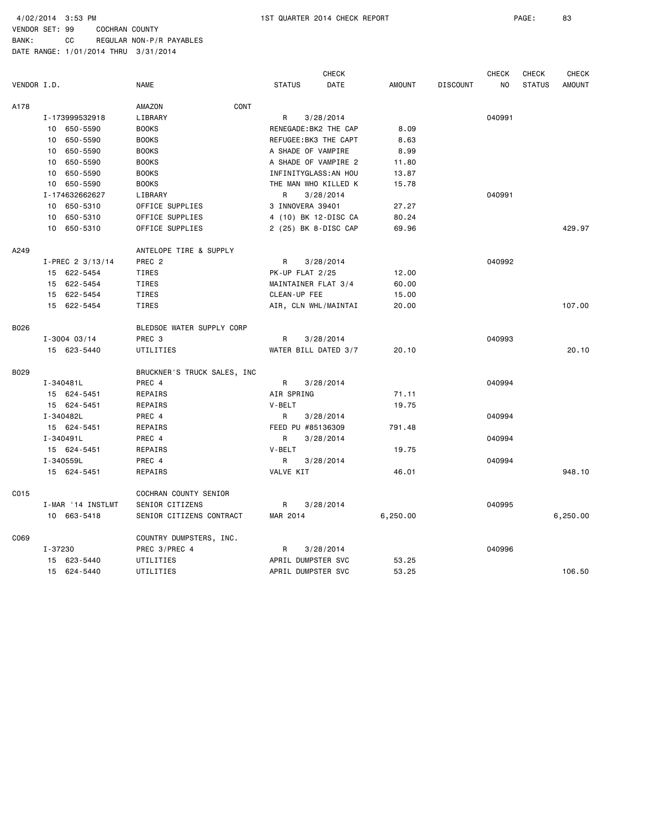BANK: CC REGULAR NON-P/R PAYABLES

|             |                   |                              | <b>CHECK</b>          |               |                 | <b>CHECK</b> | CHECK         | <b>CHECK</b>  |
|-------------|-------------------|------------------------------|-----------------------|---------------|-----------------|--------------|---------------|---------------|
| VENDOR I.D. |                   | <b>NAME</b>                  | <b>STATUS</b><br>DATE | <b>AMOUNT</b> | <b>DISCOUNT</b> | NO           | <b>STATUS</b> | <b>AMOUNT</b> |
| A178        |                   | CONT<br>AMAZON               |                       |               |                 |              |               |               |
|             | I-173999532918    | LIBRARY                      | R<br>3/28/2014        |               |                 | 040991       |               |               |
|             | 10 650-5590       | <b>BOOKS</b>                 | RENEGADE: BK2 THE CAP | 8.09          |                 |              |               |               |
|             | 650-5590<br>10    | <b>BOOKS</b>                 | REFUGEE: BK3 THE CAPT | 8.63          |                 |              |               |               |
|             | 650-5590<br>10    | <b>BOOKS</b>                 | A SHADE OF VAMPIRE    | 8.99          |                 |              |               |               |
|             | 650-5590<br>10    | <b>BOOKS</b>                 | A SHADE OF VAMPIRE 2  | 11.80         |                 |              |               |               |
|             | 650-5590<br>10    | <b>BOOKS</b>                 | INFINITYGLASS: AN HOU | 13.87         |                 |              |               |               |
|             | 10 650-5590       | <b>BOOKS</b>                 | THE MAN WHO KILLED K  | 15.78         |                 |              |               |               |
|             | I-174632662627    | LIBRARY                      | R<br>3/28/2014        |               |                 | 040991       |               |               |
|             | 10 650-5310       | OFFICE SUPPLIES              | 3 INNOVERA 39401      | 27.27         |                 |              |               |               |
|             | 650-5310<br>10    | OFFICE SUPPLIES              | 4 (10) BK 12-DISC CA  | 80.24         |                 |              |               |               |
|             | 10 650-5310       | OFFICE SUPPLIES              | 2 (25) BK 8-DISC CAP  | 69.96         |                 |              |               | 429.97        |
| A249        |                   | ANTELOPE TIRE & SUPPLY       |                       |               |                 |              |               |               |
|             | I-PREC 2 3/13/14  | PREC <sub>2</sub>            | 3/28/2014<br>R        |               |                 | 040992       |               |               |
|             | 15 622-5454       | TIRES                        | PK-UP FLAT 2/25       | 12.00         |                 |              |               |               |
|             | 15 622-5454       | TIRES                        | MAINTAINER FLAT 3/4   | 60.00         |                 |              |               |               |
|             | 15 622-5454       | TIRES                        | CLEAN-UP FEE          | 15.00         |                 |              |               |               |
|             | 15 622-5454       | TIRES                        | AIR, CLN WHL/MAINTAI  | 20.00         |                 |              |               | 107.00        |
| B026        |                   | BLEDSOE WATER SUPPLY CORP    |                       |               |                 |              |               |               |
|             | $I - 3004$ 03/14  | PREC <sub>3</sub>            | 3/28/2014<br>R        |               |                 | 040993       |               |               |
|             | 15 623-5440       | UTILITIES                    | WATER BILL DATED 3/7  | 20.10         |                 |              |               | 20.10         |
| B029        |                   | BRUCKNER'S TRUCK SALES, INC. |                       |               |                 |              |               |               |
|             | I-340481L         | PREC 4                       | R<br>3/28/2014        |               |                 | 040994       |               |               |
|             | 15 624-5451       | REPAIRS                      | AIR SPRING            | 71.11         |                 |              |               |               |
|             | 15 624-5451       | REPAIRS                      | V-BELT                | 19.75         |                 |              |               |               |
|             | I-340482L         | PREC 4                       | 3/28/2014<br>R        |               |                 | 040994       |               |               |
|             | 15 624-5451       | REPAIRS                      | FEED PU #85136309     | 791.48        |                 |              |               |               |
|             | I-340491L         | PREC 4                       | R<br>3/28/2014        |               |                 | 040994       |               |               |
|             | 15 624-5451       | REPAIRS                      | V-BELT                | 19.75         |                 |              |               |               |
|             | I-340559L         | PREC 4                       | R<br>3/28/2014        |               |                 | 040994       |               |               |
|             | 15 624-5451       | REPAIRS                      | VALVE KIT             | 46.01         |                 |              |               | 948.10        |
| C015        |                   | COCHRAN COUNTY SENIOR        |                       |               |                 |              |               |               |
|             | I-MAR '14 INSTLMT | SENIOR CITIZENS              | 3/28/2014<br>R        |               |                 | 040995       |               |               |
|             | 10 663-5418       | SENIOR CITIZENS CONTRACT     | MAR 2014              | 6,250.00      |                 |              |               | 6,250.00      |
| C069        |                   | COUNTRY DUMPSTERS, INC.      |                       |               |                 |              |               |               |
|             | I-37230           | PREC 3/PREC 4                | R<br>3/28/2014        |               |                 | 040996       |               |               |
|             | 15 623-5440       | UTILITIES                    | APRIL DUMPSTER SVC    | 53.25         |                 |              |               |               |
|             | 15 624-5440       | UTILITIES                    | APRIL DUMPSTER SVC    | 53.25         |                 |              |               | 106.50        |
|             |                   |                              |                       |               |                 |              |               |               |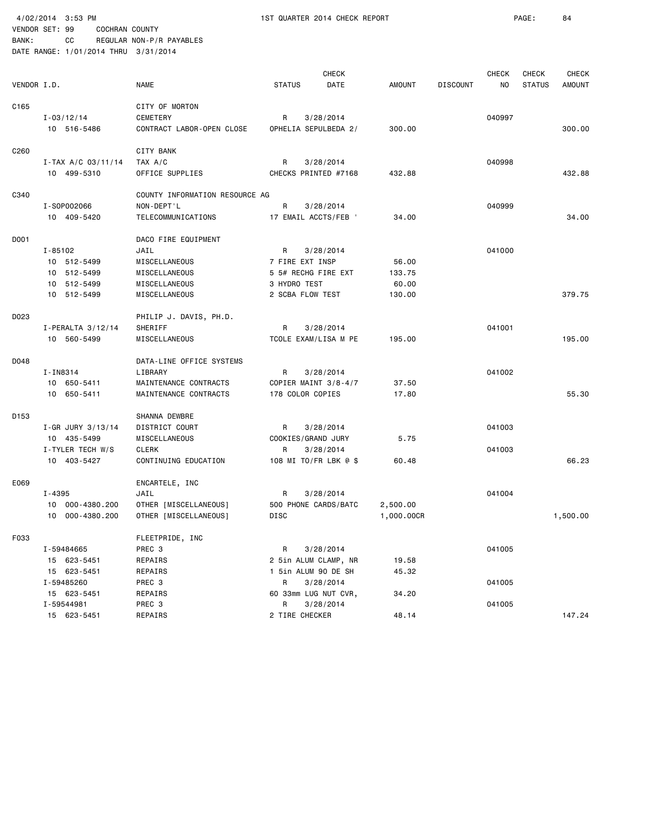|             | 4/02/2014 3:53 PM |                      |                                      |                      | 1ST QUARTER 2014 CHECK REPORT |               |                 |                    | PAGE:         | 84           |
|-------------|-------------------|----------------------|--------------------------------------|----------------------|-------------------------------|---------------|-----------------|--------------------|---------------|--------------|
|             | VENDOR SET: 99    | COCHRAN COUNTY       |                                      |                      |                               |               |                 |                    |               |              |
| BANK:       | CC                |                      | REGULAR NON-P/R PAYABLES             |                      |                               |               |                 |                    |               |              |
|             |                   |                      | DATE RANGE: 1/01/2014 THRU 3/31/2014 |                      |                               |               |                 |                    |               |              |
|             |                   |                      |                                      |                      |                               |               |                 |                    |               |              |
|             |                   |                      | NAME                                 | <b>STATUS</b>        | <b>CHECK</b><br>DATE          | <b>AMOUNT</b> | <b>DISCOUNT</b> | <b>CHECK</b><br>NO | CHECK         | <b>CHECK</b> |
| VENDOR I.D. |                   |                      |                                      |                      |                               |               |                 |                    | <b>STATUS</b> | AMOUNT       |
| C165        |                   |                      | CITY OF MORTON                       |                      |                               |               |                 |                    |               |              |
|             | $I - 03/12/14$    |                      | <b>CEMETERY</b>                      | R                    | 3/28/2014                     |               |                 | 040997             |               |              |
|             | 10 516-5486       |                      | CONTRACT LABOR-OPEN CLOSE            |                      | OPHELIA SEPULBEDA 2/          | 300.00        |                 |                    |               | 300.00       |
|             |                   |                      |                                      |                      |                               |               |                 |                    |               |              |
| C260        |                   |                      | CITY BANK                            |                      |                               |               |                 |                    |               |              |
|             |                   | $I-TAX A/C 03/11/14$ | TAX A/C                              | R                    | 3/28/2014                     |               |                 | 040998             |               |              |
|             | 10 499-5310       |                      | OFFICE SUPPLIES                      |                      | CHECKS PRINTED #7168          | 432.88        |                 |                    |               | 432.88       |
| C340        |                   |                      | COUNTY INFORMATION RESOURCE AG       |                      |                               |               |                 |                    |               |              |
|             | I-S0P002066       |                      | NON-DEPT'L                           | R                    | 3/28/2014                     |               |                 | 040999             |               |              |
|             | 10 409-5420       |                      | TELECOMMUNICATIONS                   |                      | 17 EMAIL ACCTS/FEB '          | 34.00         |                 |                    |               | 34.00        |
|             |                   |                      |                                      |                      |                               |               |                 |                    |               |              |
| DO01        |                   |                      | DACO FIRE EQUIPMENT                  |                      |                               |               |                 |                    |               |              |
|             | I-85102           |                      | JAIL                                 | R                    | 3/28/2014                     |               |                 | 041000             |               |              |
|             | 10 512-5499       |                      | MISCELLANEOUS                        | 7 FIRE EXT INSP      |                               | 56.00         |                 |                    |               |              |
|             | 10 512-5499       |                      | MISCELLANEOUS                        | 5 5# RECHG FIRE EXT  |                               | 133.75        |                 |                    |               |              |
|             | 10 512-5499       |                      | MISCELLANEOUS                        | 3 HYDRO TEST         |                               | 60.00         |                 |                    |               |              |
|             | 10 512-5499       |                      | MISCELLANEOUS                        | 2 SCBA FLOW TEST     |                               | 130.00        |                 |                    |               | 379.75       |
| D023        |                   |                      | PHILIP J. DAVIS, PH.D.               |                      |                               |               |                 |                    |               |              |
|             | I-PERALTA 3/12/14 |                      | SHERIFF                              | R                    | 3/28/2014                     |               |                 | 041001             |               |              |
|             | 10 560-5499       |                      | MISCELLANEOUS                        |                      | TCOLE EXAM/LISA M PE          | 195.00        |                 |                    |               | 195.00       |
| D048        |                   |                      | DATA-LINE OFFICE SYSTEMS             |                      |                               |               |                 |                    |               |              |
|             | I-IN8314          |                      | LIBRARY                              | R                    | 3/28/2014                     |               |                 | 041002             |               |              |
|             | 10 650-5411       |                      | MAINTENANCE CONTRACTS                |                      | COPIER MAINT 3/8-4/7          | 37.50         |                 |                    |               |              |
|             | 10 650-5411       |                      | MAINTENANCE CONTRACTS                | 178 COLOR COPIES     |                               | 17.80         |                 |                    |               | 55.30        |
|             |                   |                      |                                      |                      |                               |               |                 |                    |               |              |
| D153        |                   |                      | SHANNA DEWBRE                        |                      |                               |               |                 |                    |               |              |
|             | I-GR JURY 3/13/14 |                      | DISTRICT COURT                       | R                    | 3/28/2014                     |               |                 | 041003             |               |              |
|             | 10 435-5499       |                      | MISCELLANEOUS                        | COOKIES/GRAND JURY   |                               | 5.75          |                 |                    |               |              |
|             | I-TYLER TECH W/S  |                      | <b>CLERK</b>                         | R                    | 3/28/2014                     |               |                 | 041003             |               |              |
|             | 10 403-5427       |                      | CONTINUING EDUCATION                 |                      | 108 MI TO/FR LBK @ \$         | 60.48         |                 |                    |               | 66.23        |
| E069        |                   |                      | ENCARTELE, INC                       |                      |                               |               |                 |                    |               |              |
|             | I-4395            |                      | JAIL                                 | R                    | 3/28/2014                     |               |                 | 041004             |               |              |
|             |                   | 10 000-4380.200      | OTHER [MISCELLANEOUS]                |                      | 500 PHONE CARDS/BATC          | 2,500.00      |                 |                    |               |              |
|             |                   | 10 000-4380.200      | OTHER [MISCELLANEOUS]                | DISC                 |                               | 1,000.00CR    |                 |                    |               | 1,500.00     |
| F033        |                   |                      |                                      |                      |                               |               |                 |                    |               |              |
|             | I-59484665        |                      | FLEETPRIDE, INC<br>PREC 3            | R                    | 3/28/2014                     |               |                 | 041005             |               |              |
|             | 15 623-5451       |                      | REPAIRS                              |                      | 2 5in ALUM CLAMP, NR          | 19.58         |                 |                    |               |              |
|             | 15 623-5451       |                      | REPAIRS                              | 1 5in ALUM 90 DE SH  |                               | 45.32         |                 |                    |               |              |
|             | I-59485260        |                      | PREC 3                               | R                    | 3/28/2014                     |               |                 | 041005             |               |              |
|             | 15 623-5451       |                      | REPAIRS                              | 60 33mm LUG NUT CVR, |                               | 34.20         |                 |                    |               |              |
|             | I-59544981        |                      | PREC 3                               | R                    | 3/28/2014                     |               |                 | 041005             |               |              |
|             | 15 623-5451       |                      | REPAIRS                              | 2 TIRE CHECKER       |                               | 48.14         |                 |                    |               | 147.24       |
|             |                   |                      |                                      |                      |                               |               |                 |                    |               |              |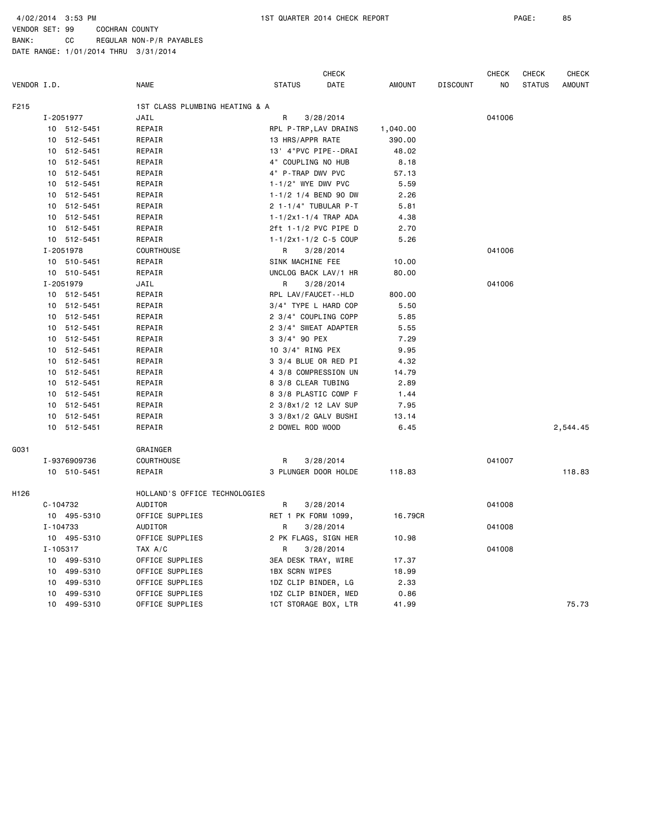4/02/2014 3:53 PM 1ST QUARTER 2014 CHECK REPORT PAGE: 85

VENDOR SET: 99 COCHRAN COUNTY BANK: CC REGULAR NON-P/R PAYABLES

|             |    |              |                                |                            | <b>CHECK</b> |               |                 | <b>CHECK</b> | <b>CHECK</b>  | <b>CHECK</b>  |
|-------------|----|--------------|--------------------------------|----------------------------|--------------|---------------|-----------------|--------------|---------------|---------------|
| VENDOR I.D. |    |              | <b>NAME</b>                    | <b>STATUS</b>              | DATE         | <b>AMOUNT</b> | <b>DISCOUNT</b> | NO           | <b>STATUS</b> | <b>AMOUNT</b> |
| F215        |    |              | 1ST CLASS PLUMBING HEATING & A |                            |              |               |                 |              |               |               |
|             |    | I-2051977    | JAIL                           | R                          | 3/28/2014    |               |                 | 041006       |               |               |
|             |    | 10 512-5451  | REPAIR                         | RPL P-TRP, LAV DRAINS      |              | 1,040.00      |                 |              |               |               |
|             |    | 10 512-5451  | REPAIR                         | 13 HRS/APPR RATE           |              | 390.00        |                 |              |               |               |
|             | 10 | 512-5451     | REPAIR                         | 13' 4"PVC PIPE--DRAI       |              | 48.02         |                 |              |               |               |
|             |    | 10 512-5451  | REPAIR                         | 4" COUPLING NO HUB         |              | 8.18          |                 |              |               |               |
|             |    | 10 512-5451  | REPAIR                         | 4" P-TRAP DWV PVC          |              | 57.13         |                 |              |               |               |
|             |    | 10 512-5451  | REPAIR                         | $1 - 1/2$ " WYE DWV PVC    |              | 5.59          |                 |              |               |               |
|             |    | 10 512-5451  | REPAIR                         | 1-1/2 1/4 BEND 90 DW       |              | 2.26          |                 |              |               |               |
|             |    | 10 512-5451  | REPAIR                         | 2 1-1/4" TUBULAR P-T       |              | 5.81          |                 |              |               |               |
|             |    | 10 512-5451  | REPAIR                         | 1-1/2x1-1/4 TRAP ADA       |              | 4.38          |                 |              |               |               |
|             |    | 10 512-5451  | REPAIR                         | 2ft 1-1/2 PVC PIPE D       |              | 2.70          |                 |              |               |               |
|             |    | 10 512-5451  | REPAIR                         | $1 - 1/2x1 - 1/2$ C-5 COUP |              | 5.26          |                 |              |               |               |
|             |    | I-2051978    | COURTHOUSE                     | R                          | 3/28/2014    |               |                 | 041006       |               |               |
|             |    | 10 510-5451  | REPAIR                         | SINK MACHINE FEE           |              | 10.00         |                 |              |               |               |
|             |    | 10 510-5451  | REPAIR                         | UNCLOG BACK LAV/1 HR       |              | 80.00         |                 |              |               |               |
|             |    | I-2051979    | JAIL                           | R                          | 3/28/2014    |               |                 | 041006       |               |               |
|             |    | 10 512-5451  | REPAIR                         | RPL LAV/FAUCET--HLD        |              | 800.00        |                 |              |               |               |
|             |    | 10 512-5451  | REPAIR                         | 3/4" TYPE L HARD COP       |              | 5.50          |                 |              |               |               |
|             |    | 10 512-5451  | REPAIR                         | 2 3/4" COUPLING COPP       |              | 5.85          |                 |              |               |               |
|             |    | 10 512-5451  | REPAIR                         | 2 3/4" SWEAT ADAPTER       |              | 5.55          |                 |              |               |               |
|             | 10 | 512-5451     | REPAIR                         | 3 3/4" 90 PEX              |              | 7.29          |                 |              |               |               |
|             | 10 | 512-5451     | REPAIR                         | 10 3/4" RING PEX           |              | 9.95          |                 |              |               |               |
|             |    | 10 512-5451  | REPAIR                         | 3 3/4 BLUE OR RED PI       |              | 4.32          |                 |              |               |               |
|             |    | 10 512-5451  | REPAIR                         | 4 3/8 COMPRESSION UN       |              | 14.79         |                 |              |               |               |
|             |    | 10 512-5451  | REPAIR                         | 8 3/8 CLEAR TUBING         |              | 2.89          |                 |              |               |               |
|             |    | 10 512-5451  | REPAIR                         | 8 3/8 PLASTIC COMP F       |              | 1.44          |                 |              |               |               |
|             |    | 10 512-5451  | REPAIR                         | 2 3/8x1/2 12 LAV SUP       |              | 7.95          |                 |              |               |               |
|             |    | 10 512-5451  | REPAIR                         | 3 3/8x1/2 GALV BUSHI       |              | 13.14         |                 |              |               |               |
|             |    | 10 512-5451  | REPAIR                         | 2 DOWEL ROD WOOD           |              | 6.45          |                 |              |               | 2,544.45      |
| G031        |    |              | GRAINGER                       |                            |              |               |                 |              |               |               |
|             |    | I-9376909736 | COURTHOUSE                     | R                          | 3/28/2014    |               |                 | 041007       |               |               |
|             |    | 10 510-5451  | REPAIR                         | 3 PLUNGER DOOR HOLDE       |              | 118.83        |                 |              |               | 118.83        |
| H126        |    |              | HOLLAND'S OFFICE TECHNOLOGIES  |                            |              |               |                 |              |               |               |
|             |    | C-104732     | AUDITOR                        | R                          | 3/28/2014    |               |                 | 041008       |               |               |
|             |    | 10 495-5310  | OFFICE SUPPLIES                | RET 1 PK FORM 1099,        |              | 16.79CR       |                 |              |               |               |
|             |    | I-104733     | AUDITOR                        | R                          | 3/28/2014    |               |                 | 041008       |               |               |
|             |    | 10 495-5310  | OFFICE SUPPLIES                | 2 PK FLAGS, SIGN HER       |              | 10.98         |                 |              |               |               |
|             |    | I-105317     | TAX A/C                        | R                          | 3/28/2014    |               |                 | 041008       |               |               |
|             |    | 10 499-5310  | OFFICE SUPPLIES                | 3EA DESK TRAY, WIRE        |              | 17.37         |                 |              |               |               |
|             |    | 10 499-5310  | OFFICE SUPPLIES                | <b>1BX SCRN WIPES</b>      |              | 18.99         |                 |              |               |               |
|             | 10 | 499-5310     | OFFICE SUPPLIES                | 1DZ CLIP BINDER, LG        |              | 2.33          |                 |              |               |               |
|             | 10 | 499-5310     | OFFICE SUPPLIES                | 1DZ CLIP BINDER, MED       |              | 0.86          |                 |              |               |               |
|             |    | 10 499-5310  | OFFICE SUPPLIES                | 1CT STORAGE BOX, LTR       |              | 41.99         |                 |              |               | 75.73         |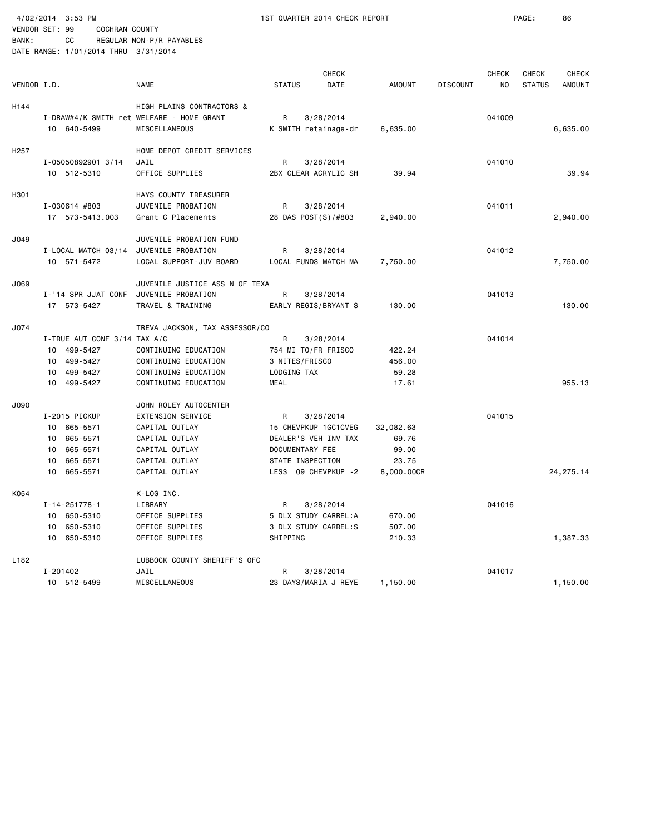BANK: CC REGULAR NON-P/R PAYABLES

| VENDOR I.D.      |                                                                                                      | <b>NAME</b>                                                                                                                                 | <b>CHECK</b><br><b>STATUS</b><br>DATE                                                                                         | <b>AMOUNT</b>                                      | <b>DISCOUNT</b> | <b>CHECK</b><br>NO | <b>CHECK</b><br><b>STATUS</b> | <b>CHECK</b><br><b>AMOUNT</b> |
|------------------|------------------------------------------------------------------------------------------------------|---------------------------------------------------------------------------------------------------------------------------------------------|-------------------------------------------------------------------------------------------------------------------------------|----------------------------------------------------|-----------------|--------------------|-------------------------------|-------------------------------|
| H144             | 10 640-5499                                                                                          | HIGH PLAINS CONTRACTORS &<br>I-DRAW#4/K SMITH ret WELFARE - HOME GRANT<br>MISCELLANEOUS                                                     | R<br>3/28/2014<br>K SMITH retainage-dr                                                                                        | 6,635.00                                           |                 | 041009             |                               | 6,635.00                      |
| H <sub>257</sub> | I-05050892901 3/14<br>10 512-5310                                                                    | HOME DEPOT CREDIT SERVICES<br>JAIL<br>OFFICE SUPPLIES                                                                                       | R<br>3/28/2014<br>2BX CLEAR ACRYLIC SH                                                                                        | 39.94                                              |                 | 041010             |                               | 39.94                         |
| H301             | I-030614 #803<br>17 573-5413.003                                                                     | HAYS COUNTY TREASURER<br>JUVENILE PROBATION<br>Grant C Placements                                                                           | R<br>3/28/2014<br>28 DAS POST(S)/#803                                                                                         | 2,940.00                                           |                 | 041011             |                               | 2,940.00                      |
| J049             | I-LOCAL MATCH 03/14<br>10 571-5472                                                                   | JUVENILE PROBATION FUND<br>JUVENILE PROBATION<br>LOCAL SUPPORT-JUV BOARD                                                                    | R<br>3/28/2014<br>LOCAL FUNDS MATCH MA                                                                                        | 7,750.00                                           |                 | 041012             |                               | 7,750.00                      |
| J069             | I-'14 SPR JJAT CONF<br>17 573-5427                                                                   | JUVENILE JUSTICE ASS'N OF TEXA<br>JUVENILE PROBATION<br>TRAVEL & TRAINING                                                                   | R<br>3/28/2014<br>EARLY REGIS/BRYANT S                                                                                        | 130.00                                             |                 | 041013             |                               | 130.00                        |
| J074             | I-TRUE AUT CONF 3/14 TAX A/C<br>499-5427<br>10<br>499-5427<br>10<br>499-5427<br>10<br>10 499-5427    | TREVA JACKSON, TAX ASSESSOR/CO<br>CONTINUING EDUCATION<br>CONTINUING EDUCATION<br>CONTINUING EDUCATION<br>CONTINUING EDUCATION              | R<br>3/28/2014<br>754 MI TO/FR FRISCO<br>3 NITES/FRISCO<br>LODGING TAX<br><b>MEAL</b>                                         | 422.24<br>456.00<br>59.28<br>17.61                 |                 | 041014             |                               | 955.13                        |
| J090             | I-2015 PICKUP<br>665-5571<br>10<br>10<br>665-5571<br>10 665-5571<br>665-5571<br>10<br>10<br>665-5571 | JOHN ROLEY AUTOCENTER<br><b>EXTENSION SERVICE</b><br>CAPITAL OUTLAY<br>CAPITAL OUTLAY<br>CAPITAL OUTLAY<br>CAPITAL OUTLAY<br>CAPITAL OUTLAY | R<br>3/28/2014<br>15 CHEVPKUP 1GC1CVEG<br>DEALER'S VEH INV TAX<br>DOCUMENTARY FEE<br>STATE INSPECTION<br>LESS '09 CHEVPKUP -2 | 32,082.63<br>69.76<br>99.00<br>23.75<br>8,000.00CR |                 | 041015             |                               | 24, 275. 14                   |
| K054             | I-14-251778-1<br>10 650-5310<br>650-5310<br>10<br>10 650-5310                                        | K-LOG INC.<br>LIBRARY<br>OFFICE SUPPLIES<br>OFFICE SUPPLIES<br>OFFICE SUPPLIES                                                              | R<br>3/28/2014<br>5 DLX STUDY CARREL:A<br>3 DLX STUDY CARREL:S<br>SHIPPING                                                    | 670.00<br>507.00<br>210.33                         |                 | 041016             |                               | 1,387.33                      |
| L <sub>182</sub> | I-201402<br>10 512-5499                                                                              | LUBBOCK COUNTY SHERIFF'S OFC<br>JAIL<br>MISCELLANEOUS                                                                                       | R<br>3/28/2014<br>23 DAYS/MARIA J REYE                                                                                        | 1,150.00                                           |                 | 041017             |                               | 1,150.00                      |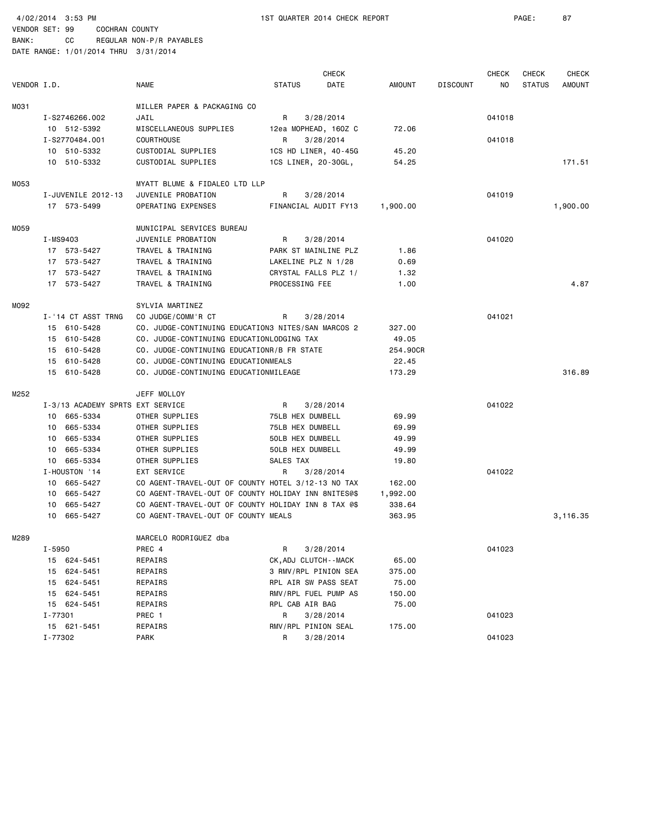BANK: CC REGULAR NON-P/R PAYABLES DATE RANGE: 1/01/2014 THRU 3/31/2014

|             |                                  |                                                     |                          | <b>CHECK</b> |               |                 | <b>CHECK</b> | CHECK         | <b>CHECK</b>  |
|-------------|----------------------------------|-----------------------------------------------------|--------------------------|--------------|---------------|-----------------|--------------|---------------|---------------|
| VENDOR I.D. |                                  | <b>NAME</b>                                         | <b>STATUS</b>            | DATE         | <b>AMOUNT</b> | <b>DISCOUNT</b> | NO.          | <b>STATUS</b> | <b>AMOUNT</b> |
| M031        |                                  | MILLER PAPER & PACKAGING CO                         |                          |              |               |                 |              |               |               |
|             | I-S2746266.002                   | JAIL                                                | R                        | 3/28/2014    |               |                 | 041018       |               |               |
|             | 10 512-5392                      | MISCELLANEOUS SUPPLIES                              | 12ea MOPHEAD, 160Z C     |              | 72.06         |                 |              |               |               |
|             | I-S2770484.001                   | <b>COURTHOUSE</b>                                   | R                        | 3/28/2014    |               |                 | 041018       |               |               |
|             | 10 510-5332                      | CUSTODIAL SUPPLIES                                  | 1CS HD LINER, 40-45G     |              | 45.20         |                 |              |               |               |
|             | 10 510-5332                      | CUSTODIAL SUPPLIES                                  | 1CS LINER, 20-30GL,      |              | 54.25         |                 |              |               | 171.51        |
| M053        |                                  | MYATT BLUME & FIDALEO LTD LLP                       |                          |              |               |                 |              |               |               |
|             | I-JUVENILE 2012-13               | JUVENILE PROBATION                                  | R                        | 3/28/2014    |               |                 | 041019       |               |               |
|             | 17 573-5499                      | OPERATING EXPENSES                                  | FINANCIAL AUDIT FY13     |              | 1,900.00      |                 |              |               | 1,900.00      |
| M059        |                                  | MUNICIPAL SERVICES BUREAU                           |                          |              |               |                 |              |               |               |
|             | I-MS9403                         | JUVENILE PROBATION                                  | R                        | 3/28/2014    |               |                 | 041020       |               |               |
|             | 17 573-5427                      | TRAVEL & TRAINING                                   | PARK ST MAINLINE PLZ     |              | 1.86          |                 |              |               |               |
|             | 17 573-5427                      | TRAVEL & TRAINING                                   | LAKELINE PLZ N 1/28      |              | 0.69          |                 |              |               |               |
|             | 17 573-5427                      | TRAVEL & TRAINING                                   | CRYSTAL FALLS PLZ 1/     |              | 1.32          |                 |              |               |               |
|             | 17 573-5427                      | TRAVEL & TRAINING                                   | PROCESSING FEE           |              | 1.00          |                 |              |               | 4.87          |
| M092        |                                  | SYLVIA MARTINEZ                                     |                          |              |               |                 |              |               |               |
|             | I-'14 CT ASST TRNG               | CO JUDGE/COMM'R CT                                  | R                        | 3/28/2014    |               |                 | 041021       |               |               |
|             | 15 610-5428                      | CO. JUDGE-CONTINUING EDUCATION3 NITES/SAN MARCOS 2  |                          |              | 327.00        |                 |              |               |               |
|             | 15 610-5428                      | CO. JUDGE-CONTINUING EDUCATIONLODGING TAX           |                          |              | 49.05         |                 |              |               |               |
|             | 15 610-5428                      | CO. JUDGE-CONTINUING EDUCATIONR/B FR STATE          |                          |              | 254.90CR      |                 |              |               |               |
|             | 15 610-5428                      | CO. JUDGE-CONTINUING EDUCATIONMEALS                 |                          |              | 22.45         |                 |              |               |               |
|             | 15 610-5428                      | CO. JUDGE-CONTINUING EDUCATIONMILEAGE               |                          |              | 173.29        |                 |              |               | 316.89        |
| M252        |                                  | JEFF MOLLOY                                         |                          |              |               |                 |              |               |               |
|             | I-3/13 ACADEMY SPRTS EXT SERVICE |                                                     | R                        | 3/28/2014    |               |                 | 041022       |               |               |
|             | 10 665-5334                      | OTHER SUPPLIES                                      | 75LB HEX DUMBELL         |              | 69.99         |                 |              |               |               |
|             | 10 665-5334                      | OTHER SUPPLIES                                      | 75LB HEX DUMBELL         |              | 69.99         |                 |              |               |               |
|             | 10 665-5334                      | OTHER SUPPLIES                                      | 50LB HEX DUMBELL         |              | 49.99         |                 |              |               |               |
|             | 10 665-5334                      | OTHER SUPPLIES                                      | 50LB HEX DUMBELL         |              | 49.99         |                 |              |               |               |
|             | 10 665-5334                      | OTHER SUPPLIES                                      | SALES TAX                |              | 19.80         |                 |              |               |               |
|             | I-HOUSTON '14                    | EXT SERVICE                                         | R                        | 3/28/2014    |               |                 | 041022       |               |               |
|             | 10 665-5427                      | CO AGENT-TRAVEL-OUT OF COUNTY HOTEL 3/12-13 NO TAX  |                          |              | 162.00        |                 |              |               |               |
|             | 10 665-5427                      | CO AGENT-TRAVEL-OUT OF COUNTY HOLIDAY INN 8NITES@\$ |                          |              | 1,992.00      |                 |              |               |               |
|             | 10 665-5427                      | CO AGENT-TRAVEL-OUT OF COUNTY HOLIDAY INN 8 TAX @\$ |                          |              | 338.64        |                 |              |               |               |
|             | 10 665-5427                      | CO AGENT-TRAVEL-OUT OF COUNTY MEALS                 |                          |              | 363.95        |                 |              |               | 3,116.35      |
| M289        |                                  | MARCELO RODRIGUEZ dba                               |                          |              |               |                 |              |               |               |
|             | I-5950                           | PREC 4                                              | R.                       | 3/28/2014    |               |                 | 041023       |               |               |
|             | 15 624-5451                      | REPAIRS                                             | CK, ADJ CLUTCH - - MACK  |              | 65.00         |                 |              |               |               |
|             | 15 624-5451                      | REPAIRS                                             | 3 RMV/RPL PINION SEA     |              | 375.00        |                 |              |               |               |
|             | 624-5451<br>15                   | REPAIRS                                             | RPL AIR SW PASS SEAT     |              | 75.00         |                 |              |               |               |
|             | 15 624-5451                      | REPAIRS                                             | RMV/RPL FUEL PUMP AS     |              | 150.00        |                 |              |               |               |
|             | 15 624-5451                      | REPAIRS                                             | RPL CAB AIR BAG          |              | 75.00         |                 |              |               |               |
|             | I-77301                          | PREC 1                                              | R                        | 3/28/2014    |               |                 | 041023       |               |               |
|             | 15 621-5451<br>I-77302           | REPAIRS<br>PARK                                     | RMV/RPL PINION SEAL<br>R | 3/28/2014    | 175.00        |                 | 041023       |               |               |
|             |                                  |                                                     |                          |              |               |                 |              |               |               |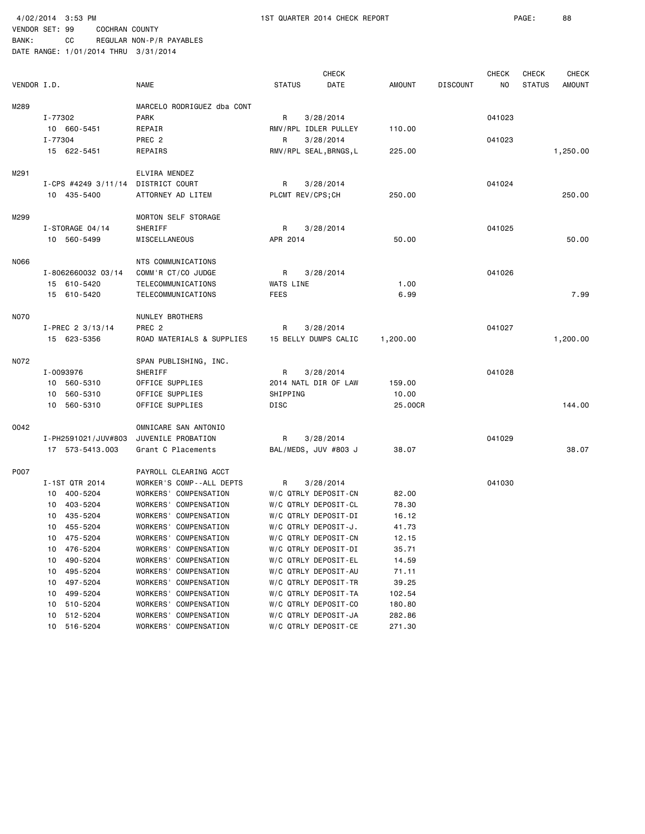BANK: CC REGULAR NON-P/R PAYABLES DATE RANGE: 1/01/2014 THRU 3/31/2014

|             |                       |                            |                  | <b>CHECK</b>           |               |                 | <b>CHECK</b> | <b>CHECK</b>  | <b>CHECK</b>  |
|-------------|-----------------------|----------------------------|------------------|------------------------|---------------|-----------------|--------------|---------------|---------------|
| VENDOR I.D. |                       | <b>NAME</b>                | <b>STATUS</b>    | DATE                   | <b>AMOUNT</b> | <b>DISCOUNT</b> | ΝO           | <b>STATUS</b> | <b>AMOUNT</b> |
|             |                       |                            |                  |                        |               |                 |              |               |               |
| M289        |                       | MARCELO RODRIGUEZ dba CONT |                  |                        |               |                 |              |               |               |
|             | I-77302               | <b>PARK</b>                | R                | 3/28/2014              |               |                 | 041023       |               |               |
|             | 10 660-5451           | REPAIR                     |                  | RMV/RPL IDLER PULLEY   | 110.00        |                 |              |               |               |
|             | I-77304               | PREC 2                     | R                | 3/28/2014              |               |                 | 041023       |               |               |
|             | 15 622-5451           | REPAIRS                    |                  | RMV/RPL SEAL, BRNGS, L | 225.00        |                 |              |               | 1,250.00      |
| M291        |                       | ELVIRA MENDEZ              |                  |                        |               |                 |              |               |               |
|             | I-CPS #4249 $3/11/14$ | DISTRICT COURT             | R                | 3/28/2014              |               |                 | 041024       |               |               |
|             | 10 435-5400           | ATTORNEY AD LITEM          | PLCMT REV/CPS;CH |                        | 250.00        |                 |              |               | 250.00        |
|             |                       |                            |                  |                        |               |                 |              |               |               |
| M299        |                       | MORTON SELF STORAGE        |                  |                        |               |                 |              |               |               |
|             | I-STORAGE 04/14       | SHERIFF                    | R                | 3/28/2014              |               |                 | 041025       |               |               |
|             | 10 560-5499           | MISCELLANEOUS              | APR 2014         |                        | 50.00         |                 |              |               | 50.00         |
| N066        |                       | NTS COMMUNICATIONS         |                  |                        |               |                 |              |               |               |
|             | I-8062660032 03/14    | COMM'R CT/CO JUDGE         | R                | 3/28/2014              |               |                 | 041026       |               |               |
|             | 15 610-5420           | TELECOMMUNICATIONS         | WATS LINE        |                        | 1.00          |                 |              |               |               |
|             | 15 610-5420           | TELECOMMUNICATIONS         | <b>FEES</b>      |                        | 6.99          |                 |              |               | 7.99          |
|             |                       |                            |                  |                        |               |                 |              |               |               |
| <b>NO70</b> |                       | NUNLEY BROTHERS            |                  |                        |               |                 |              |               |               |
|             | $I-PREC$ 2 3/13/14    | PREC <sub>2</sub>          | R                | 3/28/2014              |               |                 | 041027       |               |               |
|             | 15 623-5356           | ROAD MATERIALS & SUPPLIES  |                  | 15 BELLY DUMPS CALIC   | 1,200.00      |                 |              |               | 1,200.00      |
| N072        |                       | SPAN PUBLISHING, INC.      |                  |                        |               |                 |              |               |               |
|             | I-0093976             | SHERIFF                    | R                | 3/28/2014              |               |                 | 041028       |               |               |
|             | 10 560-5310           | OFFICE SUPPLIES            |                  | 2014 NATL DIR OF LAW   | 159.00        |                 |              |               |               |
|             | 10 560-5310           | OFFICE SUPPLIES            | SHIPPING         |                        | 10.00         |                 |              |               |               |
|             | 10 560-5310           | OFFICE SUPPLIES            | DISC             |                        | 25.00CR       |                 |              |               | 144.00        |
|             |                       |                            |                  |                        |               |                 |              |               |               |
| 0042        |                       | OMNICARE SAN ANTONIO       |                  |                        |               |                 |              |               |               |
|             | I-PH2591021/JUV#803   | JUVENILE PROBATION         | R                | 3/28/2014              |               |                 | 041029       |               |               |
|             | 17 573-5413.003       | Grant C Placements         |                  | BAL/MEDS, JUV #803 J   | 38.07         |                 |              |               | 38.07         |
| P007        |                       | PAYROLL CLEARING ACCT      |                  |                        |               |                 |              |               |               |
|             | I-1ST QTR 2014        | WORKER'S COMP--ALL DEPTS   | R                | 3/28/2014              |               |                 | 041030       |               |               |
|             | 10 400-5204           | WORKERS' COMPENSATION      |                  | W/C QTRLY DEPOSIT-CN   | 82.00         |                 |              |               |               |
|             | 10 403-5204           | WORKERS' COMPENSATION      |                  | W/C QTRLY DEPOSIT-CL   | 78.30         |                 |              |               |               |
|             | 10 435-5204           | WORKERS' COMPENSATION      |                  | W/C QTRLY DEPOSIT-DI   | 16.12         |                 |              |               |               |
|             | 10 455-5204           | WORKERS' COMPENSATION      |                  | W/C QTRLY DEPOSIT-J.   | 41.73         |                 |              |               |               |
|             | 10 475-5204           | WORKERS' COMPENSATION      |                  | W/C QTRLY DEPOSIT-CN   | 12.15         |                 |              |               |               |
|             | 10 476-5204           | WORKERS' COMPENSATION      |                  | W/C QTRLY DEPOSIT-DI   | 35.71         |                 |              |               |               |
|             | 10 490-5204           | WORKERS' COMPENSATION      |                  | W/C QTRLY DEPOSIT-EL   | 14.59         |                 |              |               |               |
|             | 10 495-5204           | WORKERS' COMPENSATION      |                  | W/C QTRLY DEPOSIT-AU   | 71.11         |                 |              |               |               |
|             | 10 497-5204           | WORKERS' COMPENSATION      |                  | W/C QTRLY DEPOSIT-TR   | 39.25         |                 |              |               |               |
|             | 10 499-5204           | WORKERS' COMPENSATION      |                  | W/C QTRLY DEPOSIT-TA   | 102.54        |                 |              |               |               |
|             | 10 510-5204           | WORKERS' COMPENSATION      |                  | W/C QTRLY DEPOSIT-CO   | 180.80        |                 |              |               |               |
|             | 10 512-5204           | WORKERS' COMPENSATION      |                  | W/C QTRLY DEPOSIT-JA   | 282.86        |                 |              |               |               |
|             | 10 516-5204           | WORKERS' COMPENSATION      |                  | W/C QTRLY DEPOSIT-CE   | 271.30        |                 |              |               |               |
|             |                       |                            |                  |                        |               |                 |              |               |               |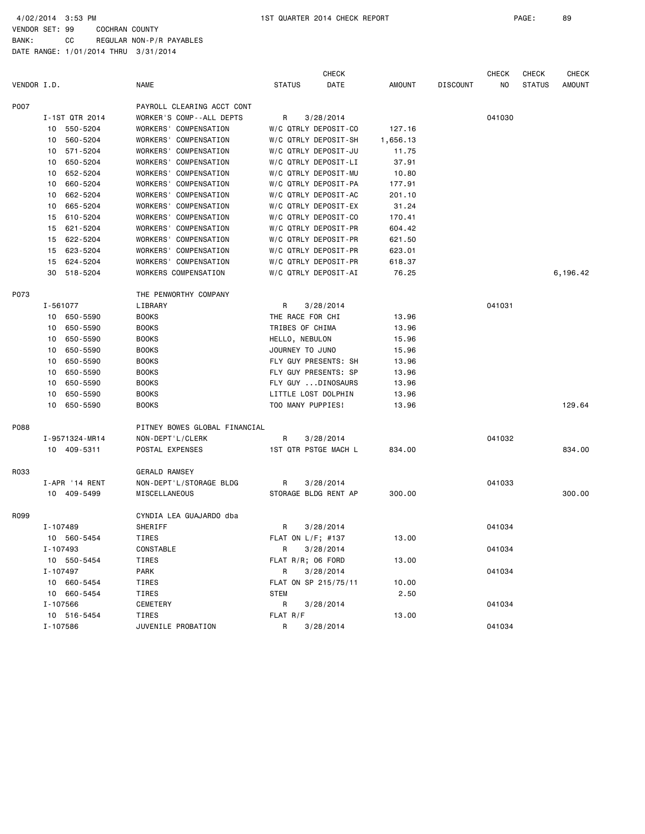|             |                |                               | <b>CHECK</b>          |               |                 | <b>CHECK</b> | <b>CHECK</b>  | <b>CHECK</b>  |
|-------------|----------------|-------------------------------|-----------------------|---------------|-----------------|--------------|---------------|---------------|
| VENDOR I.D. |                | <b>NAME</b>                   | <b>STATUS</b><br>DATE | <b>AMOUNT</b> | <b>DISCOUNT</b> | NO.          | <b>STATUS</b> | <b>AMOUNT</b> |
| P007        |                | PAYROLL CLEARING ACCT CONT    |                       |               |                 |              |               |               |
|             | I-1ST QTR 2014 | WORKER'S COMP--ALL DEPTS      | 3/28/2014<br>R        |               |                 | 041030       |               |               |
|             | 550-5204<br>10 | WORKERS' COMPENSATION         | W/C QTRLY DEPOSIT-CO  | 127.16        |                 |              |               |               |
|             | 10<br>560-5204 | WORKERS' COMPENSATION         | W/C QTRLY DEPOSIT-SH  | 1,656.13      |                 |              |               |               |
|             | 10<br>571-5204 | WORKERS' COMPENSATION         | W/C QTRLY DEPOSIT-JU  | 11.75         |                 |              |               |               |
|             | 650-5204<br>10 | WORKERS' COMPENSATION         | W/C QTRLY DEPOSIT-LI  | 37.91         |                 |              |               |               |
|             | 652-5204<br>10 | WORKERS' COMPENSATION         | W/C QTRLY DEPOSIT-MU  | 10.80         |                 |              |               |               |
|             | 660-5204<br>10 | WORKERS'<br>COMPENSATION      | W/C QTRLY DEPOSIT-PA  | 177.91        |                 |              |               |               |
|             | 10<br>662-5204 | WORKERS' COMPENSATION         | W/C QTRLY DEPOSIT-AC  | 201.10        |                 |              |               |               |
|             | 665-5204<br>10 | WORKERS' COMPENSATION         | W/C QTRLY DEPOSIT-EX  | 31.24         |                 |              |               |               |
|             | 15<br>610-5204 | WORKERS' COMPENSATION         | W/C QTRLY DEPOSIT-CO  | 170.41        |                 |              |               |               |
|             | 621-5204<br>15 | WORKERS' COMPENSATION         | W/C QTRLY DEPOSIT-PR  | 604.42        |                 |              |               |               |
|             | 15<br>622-5204 | WORKERS' COMPENSATION         | W/C QTRLY DEPOSIT-PR  | 621.50        |                 |              |               |               |
|             | 623-5204<br>15 | WORKERS' COMPENSATION         | W/C QTRLY DEPOSIT-PR  | 623.01        |                 |              |               |               |
|             | 624-5204<br>15 | WORKERS' COMPENSATION         | W/C QTRLY DEPOSIT-PR  | 618.37        |                 |              |               |               |
|             | 30<br>518-5204 | WORKERS COMPENSATION          | W/C QTRLY DEPOSIT-AI  | 76.25         |                 |              |               | 6,196.42      |
| P073        |                | THE PENWORTHY COMPANY         |                       |               |                 |              |               |               |
|             | I-561077       | LIBRARY                       | 3/28/2014<br>R        |               |                 | 041031       |               |               |
|             | 10 650-5590    | <b>BOOKS</b>                  | THE RACE FOR CHI      | 13.96         |                 |              |               |               |
|             | 650-5590<br>10 | <b>BOOKS</b>                  | TRIBES OF CHIMA       | 13.96         |                 |              |               |               |
|             | 10<br>650-5590 | <b>BOOKS</b>                  | HELLO, NEBULON        | 15.96         |                 |              |               |               |
|             | 650-5590<br>10 | <b>BOOKS</b>                  | JOURNEY TO JUNO       | 15.96         |                 |              |               |               |
|             | 10<br>650-5590 | <b>BOOKS</b>                  | FLY GUY PRESENTS: SH  | 13.96         |                 |              |               |               |
|             | 10<br>650-5590 | <b>BOOKS</b>                  | FLY GUY PRESENTS: SP  | 13.96         |                 |              |               |               |
|             | 650-5590<br>10 | <b>BOOKS</b>                  | FLY GUY DINOSAURS     | 13.96         |                 |              |               |               |
|             | 650-5590<br>10 | <b>BOOKS</b>                  | LITTLE LOST DOLPHIN   | 13.96         |                 |              |               |               |
|             | 10<br>650-5590 | <b>BOOKS</b>                  | TOO MANY PUPPIES!     | 13.96         |                 |              |               | 129.64        |
| P088        |                | PITNEY BOWES GLOBAL FINANCIAL |                       |               |                 |              |               |               |
|             | I-9571324-MR14 | NON-DEPT'L/CLERK              | R<br>3/28/2014        |               |                 | 041032       |               |               |
|             | 10 409-5311    | POSTAL EXPENSES               | 1ST QTR PSTGE MACH L  | 834.00        |                 |              |               | 834.00        |
| R033        |                | <b>GERALD RAMSEY</b>          |                       |               |                 |              |               |               |
|             | I-APR '14 RENT | NON-DEPT'L/STORAGE BLDG       | R<br>3/28/2014        |               |                 | 041033       |               |               |
|             | 10 409-5499    | MISCELLANEOUS                 | STORAGE BLDG RENT AP  | 300.00        |                 |              |               | 300.00        |
| R099        |                | CYNDIA LEA GUAJARDO dba       |                       |               |                 |              |               |               |
|             | I-107489       | SHERIFF                       | 3/28/2014<br>R        |               |                 | 041034       |               |               |
|             | 10 560-5454    | TIRES                         | FLAT ON $L/F$ ; #137  | 13.00         |                 |              |               |               |
|             | I-107493       | CONSTABLE                     | 3/28/2014<br>R        |               |                 | 041034       |               |               |
|             | 10 550-5454    | TIRES                         | FLAT R/R; 06 FORD     | 13.00         |                 |              |               |               |
|             | I-107497       | PARK                          | R<br>3/28/2014        |               |                 | 041034       |               |               |
|             | 10 660-5454    | TIRES                         | FLAT ON SP 215/75/11  | 10.00         |                 |              |               |               |
|             | 10 660-5454    | TIRES                         | <b>STEM</b>           | 2.50          |                 |              |               |               |
|             | I-107566       | CEMETERY                      | R<br>3/28/2014        |               |                 | 041034       |               |               |
|             | 10 516-5454    | TIRES                         | FLAT R/F              | 13.00         |                 |              |               |               |
|             | I-107586       | JUVENILE PROBATION            | R i<br>3/28/2014      |               |                 | 041034       |               |               |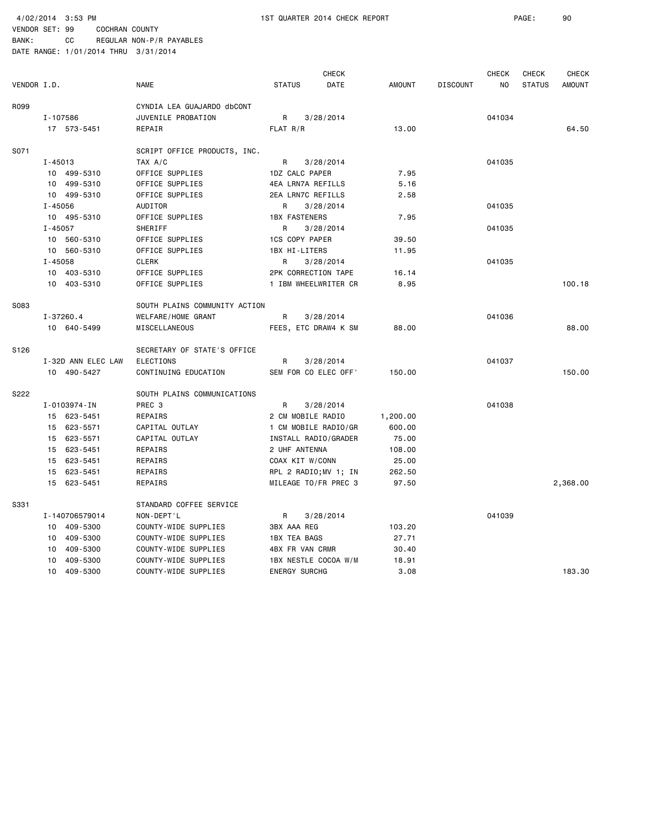BANK: CC REGULAR NON-P/R PAYABLES DATE RANGE: 1/01/2014 THRU 3/31/2014

|                  |                    |                               | <b>CHECK</b>                 |               |                 | <b>CHECK</b> | <b>CHECK</b>  | <b>CHECK</b>  |
|------------------|--------------------|-------------------------------|------------------------------|---------------|-----------------|--------------|---------------|---------------|
| VENDOR I.D.      |                    | <b>NAME</b>                   | <b>DATE</b><br><b>STATUS</b> | <b>AMOUNT</b> | <b>DISCOUNT</b> | NO.          | <b>STATUS</b> | <b>AMOUNT</b> |
| R099             |                    | CYNDIA LEA GUAJARDO dbCONT    |                              |               |                 |              |               |               |
|                  | I-107586           | JUVENILE PROBATION            | R<br>3/28/2014               |               |                 | 041034       |               |               |
|                  | 17 573-5451        | REPAIR                        | FLAT R/R                     | 13.00         |                 |              |               | 64.50         |
| S071             |                    | SCRIPT OFFICE PRODUCTS, INC.  |                              |               |                 |              |               |               |
|                  | I-45013            | TAX A/C                       | R<br>3/28/2014               |               |                 | 041035       |               |               |
|                  | 10 499-5310        | OFFICE SUPPLIES               | 1DZ CALC PAPER               | 7.95          |                 |              |               |               |
|                  | 10 499-5310        | OFFICE SUPPLIES               | 4EA LRN7A REFILLS            | 5.16          |                 |              |               |               |
|                  | 10 499-5310        | OFFICE SUPPLIES               | 2EA LRN7C REFILLS            | 2.58          |                 |              |               |               |
|                  | I-45056            | AUDITOR                       | 3/28/2014<br>R               |               |                 | 041035       |               |               |
|                  | 10 495-5310        | OFFICE SUPPLIES               | <b>1BX FASTENERS</b>         | 7.95          |                 |              |               |               |
|                  | I-45057            | SHERIFF                       | R<br>3/28/2014               |               |                 | 041035       |               |               |
|                  | 10 560-5310        | OFFICE SUPPLIES               | <b>1CS COPY PAPER</b>        | 39.50         |                 |              |               |               |
|                  | 10 560-5310        | OFFICE SUPPLIES               | 1BX HI-LITERS                | 11.95         |                 |              |               |               |
|                  | I-45058            | <b>CLERK</b>                  | R<br>3/28/2014               |               |                 | 041035       |               |               |
|                  | 10 403-5310        | OFFICE SUPPLIES               | 2PK CORRECTION TAPE          | 16.14         |                 |              |               |               |
|                  | 10 403-5310        | OFFICE SUPPLIES               | 1 IBM WHEELWRITER CR         | 8.95          |                 |              |               | 100.18        |
| S083             |                    | SOUTH PLAINS COMMUNITY ACTION |                              |               |                 |              |               |               |
|                  | I-37260.4          | WELFARE/HOME GRANT            | R<br>3/28/2014               |               |                 | 041036       |               |               |
|                  | 10 640-5499        | MISCELLANEOUS                 | FEES, ETC DRAW4 K SM         | 88.00         |                 |              |               | 88.00         |
| S <sub>126</sub> |                    | SECRETARY OF STATE'S OFFICE   |                              |               |                 |              |               |               |
|                  | I-32D ANN ELEC LAW | ELECTIONS                     | R<br>3/28/2014               |               |                 | 041037       |               |               |
|                  | 10 490-5427        | CONTINUING EDUCATION          | SEM FOR CO ELEC OFF'         | 150.00        |                 |              |               | 150.00        |
| S222             |                    | SOUTH PLAINS COMMUNICATIONS   |                              |               |                 |              |               |               |
|                  | I-0103974-IN       | PREC 3                        | 3/28/2014<br>R               |               |                 | 041038       |               |               |
|                  | 15 623-5451        | REPAIRS                       | 2 CM MOBILE RADIO            | 1,200.00      |                 |              |               |               |
|                  | 15 623-5571        | CAPITAL OUTLAY                | 1 CM MOBILE RADIO/GR         | 600.00        |                 |              |               |               |
|                  | 15 623-5571        | CAPITAL OUTLAY                | INSTALL RADIO/GRADER         | 75.00         |                 |              |               |               |
|                  | 15 623-5451        | REPAIRS                       | 2 UHF ANTENNA                | 108.00        |                 |              |               |               |
|                  | 15 623-5451        | REPAIRS                       | COAX KIT W/CONN              | 25.00         |                 |              |               |               |
|                  | 623-5451<br>15     | REPAIRS                       | RPL 2 RADIO; MV 1; IN        | 262.50        |                 |              |               |               |
|                  | 15 623-5451        | REPAIRS                       | MILEAGE TO/FR PREC 3         | 97.50         |                 |              |               | 2,368.00      |
| S331             |                    | STANDARD COFFEE SERVICE       |                              |               |                 |              |               |               |
|                  | I-140706579014     | NON-DEPT'L                    | 3/28/2014<br>R               |               |                 | 041039       |               |               |
|                  | 10 409-5300        | COUNTY-WIDE SUPPLIES          | 3BX AAA REG                  | 103.20        |                 |              |               |               |
|                  | 409-5300<br>10     | COUNTY-WIDE SUPPLIES          | 1BX TEA BAGS                 | 27.71         |                 |              |               |               |
|                  | 409-5300<br>10     | COUNTY-WIDE SUPPLIES          | 4BX FR VAN CRMR              | 30.40         |                 |              |               |               |
|                  | 409-5300<br>10     | COUNTY-WIDE SUPPLIES          | 1BX NESTLE COCOA W/M         | 18.91         |                 |              |               |               |
|                  | 10 409-5300        | COUNTY-WIDE SUPPLIES          | <b>ENERGY SURCHG</b>         | 3.08          |                 |              |               | 183.30        |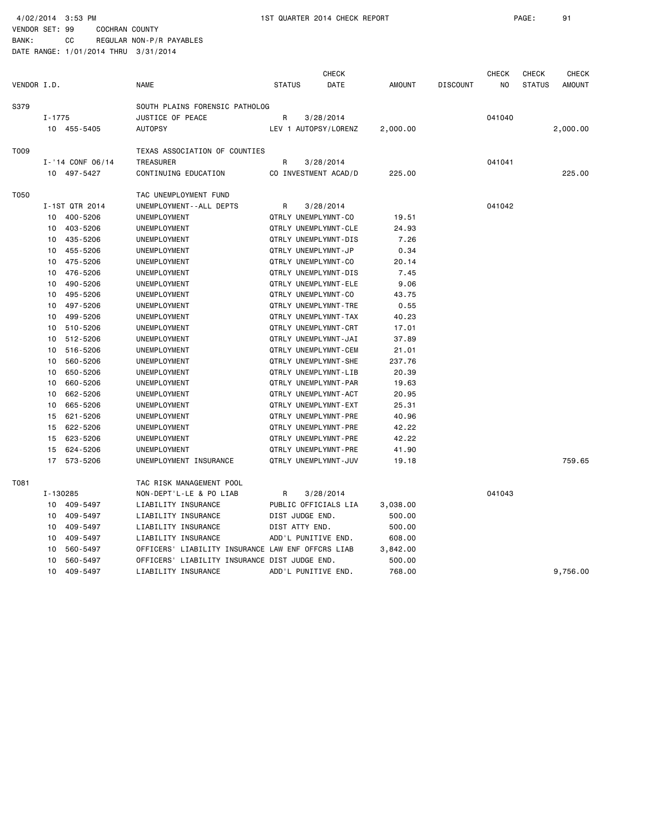BANK: CC REGULAR NON-P/R PAYABLES DATE RANGE: 1/01/2014 THRU 3/31/2014

|             |            |                  |                                                   |               |                 | <b>CHECK</b>         |               |                 | <b>CHECK</b>   | <b>CHECK</b>  | <b>CHECK</b>  |
|-------------|------------|------------------|---------------------------------------------------|---------------|-----------------|----------------------|---------------|-----------------|----------------|---------------|---------------|
| VENDOR I.D. |            |                  | <b>NAME</b>                                       | <b>STATUS</b> |                 | DATE                 | <b>AMOUNT</b> | <b>DISCOUNT</b> | N <sub>O</sub> | <b>STATUS</b> | <b>AMOUNT</b> |
| S379        |            |                  | SOUTH PLAINS FORENSIC PATHOLOG                    |               |                 |                      |               |                 |                |               |               |
|             | $I - 1775$ |                  | JUSTICE OF PEACE                                  | R             |                 | 3/28/2014            |               |                 | 041040         |               |               |
|             |            | 10 455-5405      | <b>AUTOPSY</b>                                    |               |                 | LEV 1 AUTOPSY/LORENZ | 2,000.00      |                 |                |               | 2,000.00      |
| T009        |            |                  | TEXAS ASSOCIATION OF COUNTIES                     |               |                 |                      |               |                 |                |               |               |
|             |            | I-'14 CONF 06/14 | <b>TREASURER</b>                                  | R             |                 | 3/28/2014            |               |                 | 041041         |               |               |
|             |            | 10 497-5427      | CONTINUING EDUCATION                              |               |                 | CO INVESTMENT ACAD/D | 225.00        |                 |                |               | 225,00        |
| T050        |            |                  | TAC UNEMPLOYMENT FUND                             |               |                 |                      |               |                 |                |               |               |
|             |            | I-1ST QTR 2014   | UNEMPLOYMENT - - ALL DEPTS                        | R             |                 | 3/28/2014            |               |                 | 041042         |               |               |
|             | 10         | 400-5206         | <b>UNEMPLOYMENT</b>                               |               |                 | QTRLY UNEMPLYMNT-CO  | 19.51         |                 |                |               |               |
|             | 10         | 403-5206         | <b>UNEMPLOYMENT</b>                               |               |                 | QTRLY UNEMPLYMNT-CLE | 24.93         |                 |                |               |               |
|             | 10         | 435-5206         | UNEMPLOYMENT                                      |               |                 | QTRLY UNEMPLYMNT-DIS | 7.26          |                 |                |               |               |
|             | 10         | 455-5206         | UNEMPLOYMENT                                      |               |                 | QTRLY UNEMPLYMNT-JP  | 0.34          |                 |                |               |               |
|             | 10         | 475-5206         | UNEMPLOYMENT                                      |               |                 | QTRLY UNEMPLYMNT-CO  | 20.14         |                 |                |               |               |
|             | 10         | 476-5206         | UNEMPLOYMENT                                      |               |                 | QTRLY UNEMPLYMNT-DIS | 7.45          |                 |                |               |               |
|             | 10         | 490-5206         | UNEMPLOYMENT                                      |               |                 | QTRLY UNEMPLYMNT-ELE | 9.06          |                 |                |               |               |
|             | 10         | 495-5206         | UNEMPLOYMENT                                      |               |                 | QTRLY UNEMPLYMNT-CO  | 43.75         |                 |                |               |               |
|             | 10         | 497-5206         | UNEMPLOYMENT                                      |               |                 | QTRLY UNEMPLYMNT-TRE | 0.55          |                 |                |               |               |
|             | 10         | 499-5206         | UNEMPLOYMENT                                      |               |                 | QTRLY UNEMPLYMNT-TAX | 40.23         |                 |                |               |               |
|             | 10         | 510-5206         | UNEMPLOYMENT                                      |               |                 | QTRLY UNEMPLYMNT-CRT | 17.01         |                 |                |               |               |
|             | 10         | 512-5206         | UNEMPLOYMENT                                      |               |                 | QTRLY UNEMPLYMNT-JAI | 37.89         |                 |                |               |               |
|             | 10         | 516-5206         | UNEMPLOYMENT                                      |               |                 | QTRLY UNEMPLYMNT-CEM | 21.01         |                 |                |               |               |
|             | 10         | 560-5206         | UNEMPLOYMENT                                      |               |                 | QTRLY UNEMPLYMNT-SHE | 237.76        |                 |                |               |               |
|             | 10         | 650-5206         | UNEMPLOYMENT                                      |               |                 | QTRLY UNEMPLYMNT-LIB | 20.39         |                 |                |               |               |
|             | 10         | 660-5206         | UNEMPLOYMENT                                      |               |                 | QTRLY UNEMPLYMNT-PAR | 19.63         |                 |                |               |               |
|             | 10         | 662-5206         | UNEMPLOYMENT                                      |               |                 | QTRLY UNEMPLYMNT-ACT | 20.95         |                 |                |               |               |
|             | 10         | 665-5206         | UNEMPLOYMENT                                      |               |                 | QTRLY UNEMPLYMNT-EXT | 25.31         |                 |                |               |               |
|             | 15         | 621-5206         | UNEMPLOYMENT                                      |               |                 | QTRLY UNEMPLYMNT-PRE | 40.96         |                 |                |               |               |
|             | 15         | 622-5206         | UNEMPLOYMENT                                      |               |                 | QTRLY UNEMPLYMNT-PRE | 42.22         |                 |                |               |               |
|             | 15         | 623-5206         | UNEMPLOYMENT                                      |               |                 | QTRLY UNEMPLYMNT-PRE | 42.22         |                 |                |               |               |
|             | 15         | 624-5206         | UNEMPLOYMENT                                      |               |                 | QTRLY UNEMPLYMNT-PRE | 41.90         |                 |                |               |               |
|             | 17         | 573-5206         | UNEMPLOYMENT INSURANCE                            |               |                 | QTRLY UNEMPLYMNT-JUV | 19.18         |                 |                |               | 759.65        |
| T081        |            |                  | TAC RISK MANAGEMENT POOL                          |               |                 |                      |               |                 |                |               |               |
|             | I-130285   |                  | NON-DEPT'L-LE & PO LIAB                           | R             |                 | 3/28/2014            |               |                 | 041043         |               |               |
|             |            | 10 409-5497      | LIABILITY INSURANCE                               |               |                 | PUBLIC OFFICIALS LIA | 3,038.00      |                 |                |               |               |
|             | 10         | 409-5497         | LIABILITY INSURANCE                               |               | DIST JUDGE END. |                      | 500.00        |                 |                |               |               |
|             | 10         | 409-5497         | LIABILITY INSURANCE                               |               | DIST ATTY END.  |                      | 500.00        |                 |                |               |               |
|             | 10         | 409-5497         | LIABILITY INSURANCE                               |               |                 | ADD'L PUNITIVE END.  | 608.00        |                 |                |               |               |
|             | 10         | 560-5497         | OFFICERS' LIABILITY INSURANCE LAW ENF OFFCRS LIAB |               |                 |                      | 3,842.00      |                 |                |               |               |
|             | 10         | 560-5497         | OFFICERS' LIABILITY INSURANCE DIST JUDGE END.     |               |                 |                      | 500.00        |                 |                |               |               |
|             | 10         | 409-5497         | LIABILITY INSURANCE                               |               |                 | ADD'L PUNITIVE END.  | 768.00        |                 |                |               | 9,756.00      |
|             |            |                  |                                                   |               |                 |                      |               |                 |                |               |               |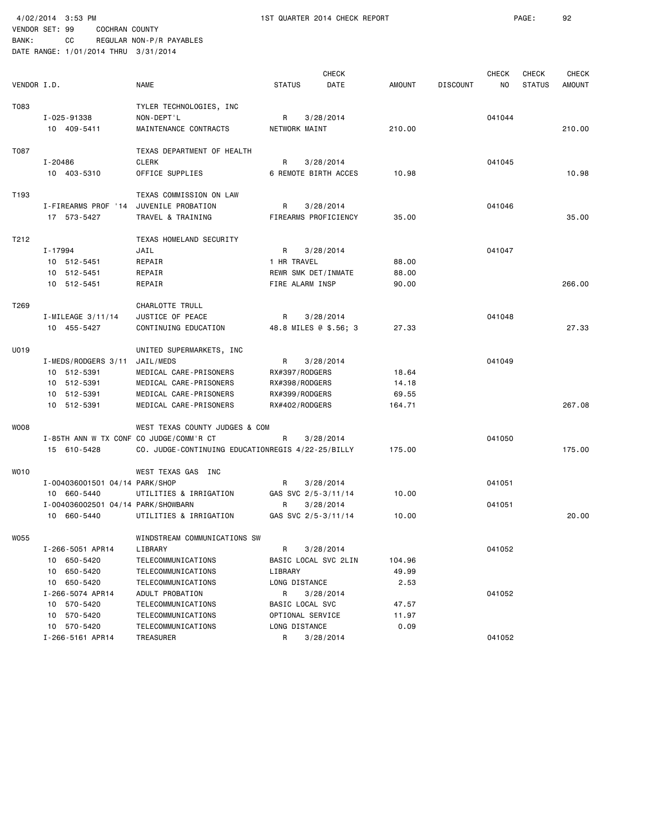4/02/2014 3:53 PM 1ST QUARTER 2014 CHECK REPORT PAGE: 92 VENDOR SET: 99 COCHRAN COUNTY

| BANK:                                | CC |  | REGULAR NON-P/R PAYABLES |
|--------------------------------------|----|--|--------------------------|
| DATE RANGE: 1/01/2014 THRU 3/31/2014 |    |  |                          |

|                  |                                         |                                                   |                       | <b>CHECK</b> |        |                 | <b>CHECK</b> | CHECK         | <b>CHECK</b>  |
|------------------|-----------------------------------------|---------------------------------------------------|-----------------------|--------------|--------|-----------------|--------------|---------------|---------------|
| VENDOR I.D.      |                                         | <b>NAME</b>                                       | <b>STATUS</b>         | DATE         | AMOUNT | <b>DISCOUNT</b> | NO.          | <b>STATUS</b> | <b>AMOUNT</b> |
| T083             |                                         | TYLER TECHNOLOGIES, INC                           |                       |              |        |                 |              |               |               |
|                  | I-025-91338                             | NON-DEPT'L                                        | R                     | 3/28/2014    |        |                 | 041044       |               |               |
|                  | 10 409-5411                             | MAINTENANCE CONTRACTS                             | NETWORK MAINT         |              | 210.00 |                 |              |               | 210.00        |
| T087             |                                         | TEXAS DEPARTMENT OF HEALTH                        |                       |              |        |                 |              |               |               |
|                  | I-20486                                 | <b>CLERK</b>                                      | R                     | 3/28/2014    |        |                 | 041045       |               |               |
|                  | 10 403-5310                             | OFFICE SUPPLIES                                   | 6 REMOTE BIRTH ACCES  |              | 10.98  |                 |              |               | 10.98         |
| T193             |                                         | TEXAS COMMISSION ON LAW                           |                       |              |        |                 |              |               |               |
|                  | I-FIREARMS PROF '14                     | JUVENILE PROBATION                                | R                     | 3/28/2014    |        |                 | 041046       |               |               |
|                  | 17 573-5427                             | TRAVEL & TRAINING                                 | FIREARMS PROFICIENCY  |              | 35.00  |                 |              |               | 35.00         |
| T212             |                                         | TEXAS HOMELAND SECURITY                           |                       |              |        |                 |              |               |               |
|                  | I-17994                                 | JAIL                                              | R                     | 3/28/2014    |        |                 | 041047       |               |               |
|                  | 10 512-5451                             | REPAIR                                            | 1 HR TRAVEL           |              | 88.00  |                 |              |               |               |
|                  | 10 512-5451                             | REPAIR                                            | REWR SMK DET/INMATE   |              | 88.00  |                 |              |               |               |
|                  | 10 512-5451                             | REPAIR                                            | FIRE ALARM INSP       |              | 90.00  |                 |              |               | 266,00        |
| T269             |                                         | CHARLOTTE TRULL                                   |                       |              |        |                 |              |               |               |
|                  | $I-MILEAGE$ 3/11/14                     | JUSTICE OF PEACE                                  | R                     | 3/28/2014    |        |                 | 041048       |               |               |
|                  | 10 455-5427                             | CONTINUING EDUCATION                              | 48.8 MILES @ \$.56; 3 |              | 27.33  |                 |              |               | 27.33         |
| U019             |                                         | UNITED SUPERMARKETS, INC                          |                       |              |        |                 |              |               |               |
|                  | I-MEDS/RODGERS 3/11                     | JAIL/MEDS                                         | R                     | 3/28/2014    |        |                 | 041049       |               |               |
|                  | 10 512-5391                             | MEDICAL CARE-PRISONERS                            | RX#397/RODGERS        |              | 18.64  |                 |              |               |               |
|                  | 10 512-5391                             | MEDICAL CARE-PRISONERS                            | RX#398/RODGERS        |              | 14.18  |                 |              |               |               |
|                  | 10 512-5391                             | MEDICAL CARE-PRISONERS                            | RX#399/RODGERS        |              | 69.55  |                 |              |               |               |
|                  | 10 512-5391                             | MEDICAL CARE-PRISONERS                            | RX#402/RODGERS        |              | 164.71 |                 |              |               | 267.08        |
| WOO8             |                                         | WEST TEXAS COUNTY JUDGES & COM                    |                       |              |        |                 |              |               |               |
|                  | I-85TH ANN W TX CONF CO JUDGE/COMM'R CT |                                                   | R                     | 3/28/2014    |        |                 | 041050       |               |               |
|                  | 15 610-5428                             | CO. JUDGE-CONTINUING EDUCATIONREGIS 4/22-25/BILLY |                       |              | 175.00 |                 |              |               | 175.00        |
| WO <sub>10</sub> |                                         | WEST TEXAS GAS INC                                |                       |              |        |                 |              |               |               |
|                  | I-004036001501 04/14 PARK/SHOP          |                                                   | R                     | 3/28/2014    |        |                 | 041051       |               |               |
|                  | 10 660-5440                             | UTILITIES & IRRIGATION                            | GAS SVC 2/5-3/11/14   |              | 10.00  |                 |              |               |               |
|                  | I-004036002501 04/14 PARK/SHOWBARN      |                                                   | R                     | 3/28/2014    |        |                 | 041051       |               |               |
|                  | 10 660-5440                             | UTILITIES & IRRIGATION                            | GAS SVC 2/5-3/11/14   |              | 10.00  |                 |              |               | 20.00         |
| W055             |                                         | WINDSTREAM COMMUNICATIONS SW                      |                       |              |        |                 |              |               |               |
|                  | I-266-5051 APR14                        | LIBRARY                                           | R                     | 3/28/2014    |        |                 | 041052       |               |               |
|                  | 10 650-5420                             | TELECOMMUNICATIONS                                | BASIC LOCAL SVC 2LIN  |              | 104.96 |                 |              |               |               |
|                  | 10 650-5420                             | TELECOMMUNICATIONS                                | LIBRARY               |              | 49.99  |                 |              |               |               |
|                  | 10 650-5420                             | TELECOMMUNICATIONS                                | LONG DISTANCE         |              | 2.53   |                 |              |               |               |
|                  | I-266-5074 APR14                        | ADULT PROBATION                                   | R                     | 3/28/2014    |        |                 | 041052       |               |               |
|                  | 10 570-5420                             | TELECOMMUNICATIONS                                | BASIC LOCAL SVC       |              | 47.57  |                 |              |               |               |
|                  | 10 570-5420                             | TELECOMMUNICATIONS                                | OPTIONAL SERVICE      |              | 11.97  |                 |              |               |               |
|                  | 10 570-5420                             | TELECOMMUNICATIONS                                | LONG DISTANCE         |              | 0.09   |                 |              |               |               |
|                  | I-266-5161 APR14                        | TREASURER                                         | R                     | 3/28/2014    |        |                 | 041052       |               |               |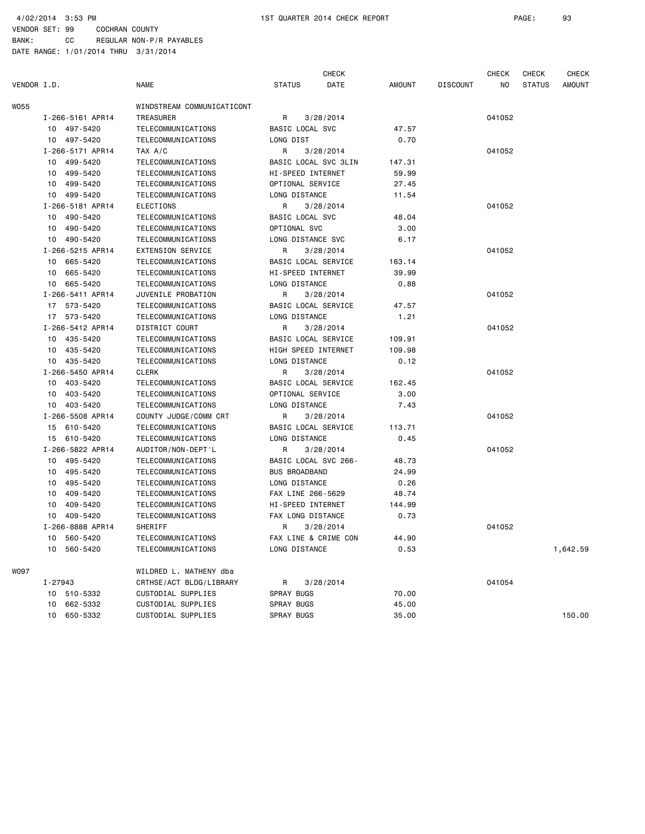|             |                  |                            |                      | <b>CHECK</b>         |        |                 | <b>CHECK</b> | <b>CHECK</b>  | <b>CHECK</b>  |
|-------------|------------------|----------------------------|----------------------|----------------------|--------|-----------------|--------------|---------------|---------------|
| VENDOR I.D. |                  | <b>NAME</b>                | <b>STATUS</b>        | DATE                 | AMOUNT | <b>DISCOUNT</b> | NO           | <b>STATUS</b> | <b>AMOUNT</b> |
| WO55        |                  | WINDSTREAM COMMUNICATICONT |                      |                      |        |                 |              |               |               |
|             | I-266-5161 APR14 | TREASURER                  | R                    | 3/28/2014            |        |                 | 041052       |               |               |
|             | 10 497-5420      | TELECOMMUNICATIONS         | BASIC LOCAL SVC      |                      | 47.57  |                 |              |               |               |
|             | 10 497-5420      | TELECOMMUNICATIONS         | LONG DIST            |                      | 0.70   |                 |              |               |               |
|             | I-266-5171 APR14 | TAX A/C                    | R                    | 3/28/2014            |        |                 | 041052       |               |               |
|             | 10 499-5420      | TELECOMMUNICATIONS         | BASIC LOCAL SVC 3LIN |                      | 147.31 |                 |              |               |               |
|             | 499-5420<br>10   | TELECOMMUNICATIONS         | HI-SPEED INTERNET    |                      | 59.99  |                 |              |               |               |
|             | 10 499-5420      | TELECOMMUNICATIONS         | OPTIONAL SERVICE     |                      | 27.45  |                 |              |               |               |
|             | 10 499-5420      | TELECOMMUNICATIONS         | <b>LONG DISTANCE</b> |                      | 11.54  |                 |              |               |               |
|             | I-266-5181 APR14 | <b>ELECTIONS</b>           | R                    | 3/28/2014            |        |                 | 041052       |               |               |
|             | 10 490-5420      | TELECOMMUNICATIONS         | BASIC LOCAL SVC      |                      | 48.04  |                 |              |               |               |
|             | 10 490-5420      | TELECOMMUNICATIONS         | OPTIONAL SVC         |                      | 3.00   |                 |              |               |               |
|             | 10 490-5420      | TELECOMMUNICATIONS         | LONG DISTANCE SVC    |                      | 6.17   |                 |              |               |               |
|             | I-266-5215 APR14 | EXTENSION SERVICE          | R                    | 3/28/2014            |        |                 | 041052       |               |               |
|             | 10 665-5420      | TELECOMMUNICATIONS         | BASIC LOCAL SERVICE  |                      | 163.14 |                 |              |               |               |
|             | 10 665-5420      | TELECOMMUNICATIONS         | HI-SPEED INTERNET    |                      | 39.99  |                 |              |               |               |
|             | 10 665-5420      | TELECOMMUNICATIONS         | LONG DISTANCE        |                      | 0.88   |                 |              |               |               |
|             | I-266-5411 APR14 | JUVENILE PROBATION         | R                    | 3/28/2014            |        |                 | 041052       |               |               |
|             | 17 573-5420      | TELECOMMUNICATIONS         | BASIC LOCAL SERVICE  |                      | 47.57  |                 |              |               |               |
|             | 17 573-5420      | TELECOMMUNICATIONS         | LONG DISTANCE        |                      | 1.21   |                 |              |               |               |
|             | I-266-5412 APR14 | DISTRICT COURT             | R                    | 3/28/2014            |        |                 | 041052       |               |               |
|             | 10 435-5420      | TELECOMMUNICATIONS         | BASIC LOCAL SERVICE  |                      | 109.91 |                 |              |               |               |
|             | 10 435-5420      | TELECOMMUNICATIONS         | HIGH SPEED INTERNET  |                      | 109.98 |                 |              |               |               |
|             | 10 435-5420      | TELECOMMUNICATIONS         | LONG DISTANCE        |                      | 0.12   |                 |              |               |               |
|             | I-266-5450 APR14 | <b>CLERK</b>               | R                    | 3/28/2014            |        |                 | 041052       |               |               |
|             | 10 403-5420      | TELECOMMUNICATIONS         | BASIC LOCAL SERVICE  |                      | 162.45 |                 |              |               |               |
|             | 10 403-5420      | TELECOMMUNICATIONS         | OPTIONAL SERVICE     |                      | 3.00   |                 |              |               |               |
|             | 10 403-5420      | TELECOMMUNICATIONS         | LONG DISTANCE        |                      | 7.43   |                 |              |               |               |
|             | I-266-5508 APR14 | COUNTY JUDGE/COMM CRT      | R                    | 3/28/2014            |        |                 | 041052       |               |               |
|             | 15 610-5420      | TELECOMMUNICATIONS         | BASIC LOCAL SERVICE  |                      | 113.71 |                 |              |               |               |
|             | 15 610-5420      | TELECOMMUNICATIONS         | LONG DISTANCE        |                      | 0.45   |                 |              |               |               |
|             | I-266-5822 APR14 | AUDITOR/NON-DEPT'L         | R                    | 3/28/2014            |        |                 | 041052       |               |               |
|             | 10 495-5420      | TELECOMMUNICATIONS         | BASIC LOCAL SVC 266- |                      | 48.73  |                 |              |               |               |
|             | 10 495-5420      | TELECOMMUNICATIONS         | <b>BUS BROADBAND</b> |                      | 24.99  |                 |              |               |               |
|             | 495-5420<br>10   | TELECOMMUNICATIONS         | LONG DISTANCE        |                      | 0.26   |                 |              |               |               |
|             | 409-5420<br>10   | TELECOMMUNICATIONS         | FAX LINE 266-5629    |                      | 48.74  |                 |              |               |               |
|             | 10<br>409-5420   | TELECOMMUNICATIONS         | HI-SPEED INTERNET    |                      | 144.99 |                 |              |               |               |
|             | 10 409-5420      | TELECOMMUNICATIONS         | FAX LONG DISTANCE    |                      | 0.73   |                 |              |               |               |
|             | I-266-8888 APR14 | SHERIFF                    | R                    | 3/28/2014            |        |                 | 041052       |               |               |
|             | 10 560-5420      | TELECOMMUNICATIONS         |                      | FAX LINE & CRIME CON | 44.90  |                 |              |               |               |
|             | 560-5420<br>10   | TELECOMMUNICATIONS         | LONG DISTANCE        |                      | 0.53   |                 |              |               | 1,642.59      |
| WO97        |                  | WILDRED L. MATHENY dba     |                      |                      |        |                 |              |               |               |
|             | I-27943          | CRTHSE/ACT BLDG/LIBRARY    | R                    | 3/28/2014            |        |                 | 041054       |               |               |
|             | 510-5332<br>10   | CUSTODIAL SUPPLIES         | SPRAY BUGS           |                      | 70.00  |                 |              |               |               |
|             | 662-5332<br>10   | CUSTODIAL SUPPLIES         | SPRAY BUGS           |                      | 45.00  |                 |              |               |               |
|             | 650-5332<br>10   | CUSTODIAL SUPPLIES         | SPRAY BUGS           |                      | 35.00  |                 |              |               | 150.00        |
|             |                  |                            |                      |                      |        |                 |              |               |               |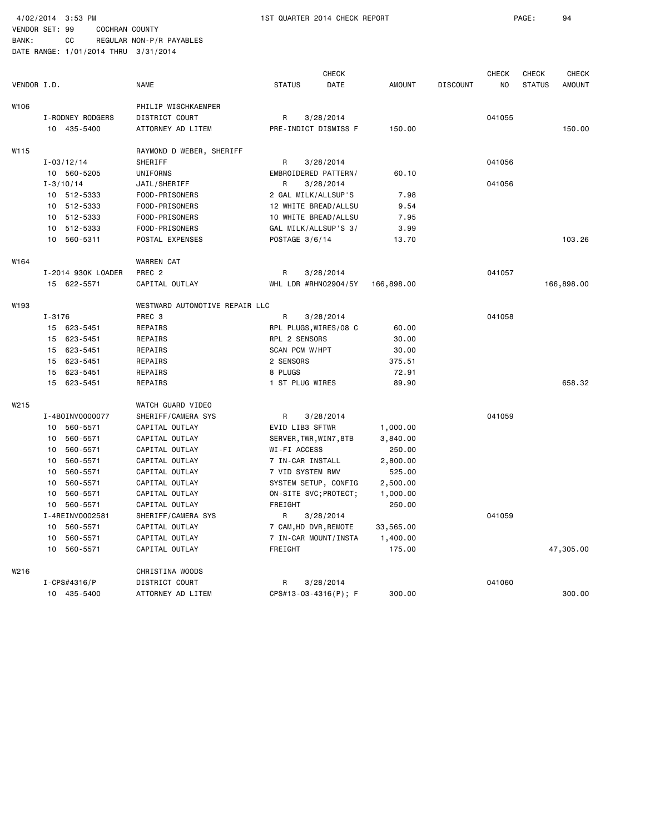BANK: CC REGULAR NON-P/R PAYABLES DATE RANGE: 1/01/2014 THRU 3/31/2014

| VENDOR I.D. |                             | <b>NAME</b>                    | <b>CHECK</b><br><b>STATUS</b><br>DATE | <b>AMOUNT</b> | <b>DISCOUNT</b> | <b>CHECK</b><br>NO | <b>CHECK</b><br><b>STATUS</b> | <b>CHECK</b><br><b>AMOUNT</b> |
|-------------|-----------------------------|--------------------------------|---------------------------------------|---------------|-----------------|--------------------|-------------------------------|-------------------------------|
| W106        |                             | PHILIP WISCHKAEMPER            |                                       |               |                 |                    |                               |                               |
|             | I-RODNEY RODGERS            | DISTRICT COURT                 | 3/28/2014<br>R                        |               |                 | 041055             |                               |                               |
|             | 10 435-5400                 | ATTORNEY AD LITEM              | PRE-INDICT DISMISS F                  | 150.00        |                 |                    |                               | 150.00                        |
| W115        |                             | RAYMOND D WEBER, SHERIFF       |                                       |               |                 |                    |                               |                               |
|             | $I - 03/12/14$              | SHERIFF                        | R<br>3/28/2014                        |               |                 | 041056             |                               |                               |
|             | 10 560-5205                 | UNIFORMS                       | EMBROIDERED PATTERN/                  | 60.10         |                 |                    |                               |                               |
|             | $I - 3/10/14$               | JAIL/SHERIFF                   | R<br>3/28/2014                        |               |                 | 041056             |                               |                               |
|             | 10 512-5333                 | FOOD-PRISONERS                 | 2 GAL MILK/ALLSUP'S                   | 7.98          |                 |                    |                               |                               |
|             | 10<br>512-5333              | FOOD-PRISONERS                 | 12 WHITE BREAD/ALLSU                  | 9.54          |                 |                    |                               |                               |
|             | 512-5333<br>10              | FOOD-PRISONERS                 | 10 WHITE BREAD/ALLSU                  | 7.95          |                 |                    |                               |                               |
|             | 512-5333<br>10              | FOOD-PRISONERS                 | GAL MILK/ALLSUP'S 3/                  | 3.99          |                 |                    |                               |                               |
|             | 10 <sup>1</sup><br>560-5311 | POSTAL EXPENSES                | POSTAGE 3/6/14                        | 13.70         |                 |                    |                               | 103.26                        |
| W164        |                             | <b>WARREN CAT</b>              |                                       |               |                 |                    |                               |                               |
|             | I-2014 930K LOADER          | PREC <sub>2</sub>              | 3/28/2014<br>R                        |               |                 | 041057             |                               |                               |
|             | 15 622-5571                 | CAPITAL OUTLAY                 | WHL LDR #RHN02904/5Y                  | 166,898.00    |                 |                    |                               | 166,898.00                    |
| W193        |                             | WESTWARD AUTOMOTIVE REPAIR LLC |                                       |               |                 |                    |                               |                               |
|             | $I - 3176$                  | PREC 3                         | R<br>3/28/2014                        |               |                 | 041058             |                               |                               |
|             | 15 623-5451                 | REPAIRS                        | RPL PLUGS, WIRES/08 C                 | 60.00         |                 |                    |                               |                               |
|             | 623-5451<br>15              | REPAIRS                        | RPL 2 SENSORS                         | 30.00         |                 |                    |                               |                               |
|             | 623-5451<br>15              | REPAIRS                        | SCAN PCM W/HPT                        | 30.00         |                 |                    |                               |                               |
|             | 623-5451<br>15              | REPAIRS                        | 2 SENSORS                             | 375.51        |                 |                    |                               |                               |
|             | 15<br>623-5451              | REPAIRS                        | 8 PLUGS                               | 72.91         |                 |                    |                               |                               |
|             | 15 623-5451                 | REPAIRS                        | 1 ST PLUG WIRES                       | 89.90         |                 |                    |                               | 658.32                        |
| W215        |                             | WATCH GUARD VIDEO              |                                       |               |                 |                    |                               |                               |
|             | I-4B0INV0000077             | SHERIFF/CAMERA SYS             | R<br>3/28/2014                        |               |                 | 041059             |                               |                               |
|             | 560-5571<br>10              | CAPITAL OUTLAY                 | EVID LIB3 SFTWR                       | 1,000.00      |                 |                    |                               |                               |
|             | 560-5571<br>10              | CAPITAL OUTLAY                 | SERVER, TWR, WIN7, 8TB                | 3,840.00      |                 |                    |                               |                               |
|             | 560-5571<br>10              | CAPITAL OUTLAY                 | WI-FI ACCESS                          | 250.00        |                 |                    |                               |                               |
|             | 560-5571<br>10              | CAPITAL OUTLAY                 | 7 IN-CAR INSTALL                      | 2,800.00      |                 |                    |                               |                               |
|             | 560-5571<br>10              | CAPITAL OUTLAY                 | 7 VID SYSTEM RMV                      | 525.00        |                 |                    |                               |                               |
|             | 560-5571<br>10              | CAPITAL OUTLAY                 | SYSTEM SETUP, CONFIG                  | 2,500.00      |                 |                    |                               |                               |
|             | 10<br>560-5571              | CAPITAL OUTLAY                 | ON-SITE SVC; PROTECT;                 | 1,000.00      |                 |                    |                               |                               |
|             | 560-5571<br>10              | CAPITAL OUTLAY                 | FREIGHT                               | 250.00        |                 |                    |                               |                               |
|             | I-4REINV0002581             | SHERIFF/CAMERA SYS             | R<br>3/28/2014                        |               |                 | 041059             |                               |                               |
|             | 560-5571<br>10              | CAPITAL OUTLAY                 | 7 CAM, HD DVR, REMOTE                 | 33,565.00     |                 |                    |                               |                               |
|             | 560-5571<br>10              | CAPITAL OUTLAY                 | 7 IN-CAR MOUNT/INSTA                  | 1,400.00      |                 |                    |                               |                               |
|             | 560-5571<br>10              | CAPITAL OUTLAY                 | FREIGHT                               | 175.00        |                 |                    |                               | 47,305.00                     |
| W216        |                             | CHRISTINA WOODS                |                                       |               |                 |                    |                               |                               |
|             | $I-CPS#4316/P$              | DISTRICT COURT                 | 3/28/2014<br>R                        |               |                 | 041060             |                               |                               |
|             | 10 435-5400                 | ATTORNEY AD LITEM              | CPS#13-03-4316(P); F                  | 300.00        |                 |                    |                               | 300.00                        |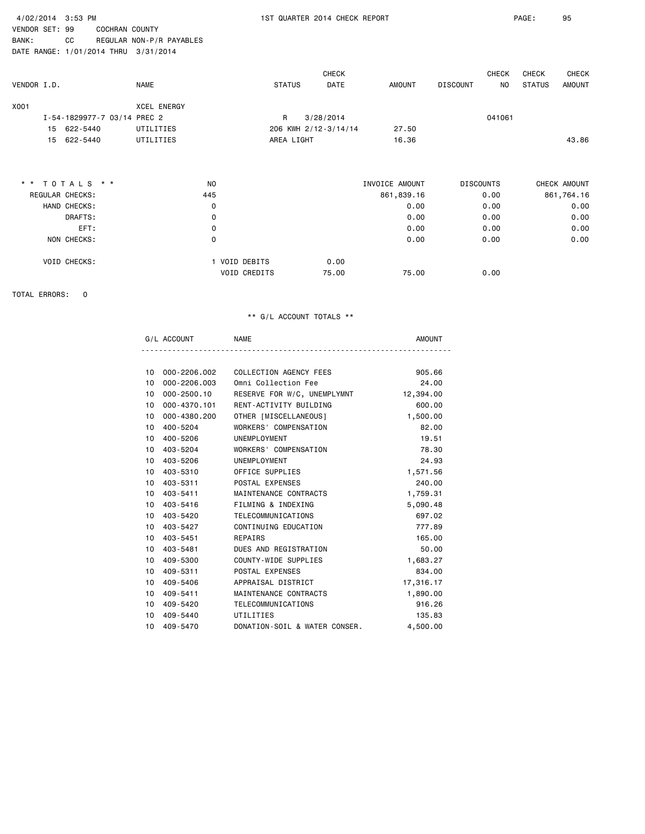| 4/02/2014 3:53 PM<br>VENDOR SET: 99 |                                                                     |                          |               |               | 1ST QUARTER 2014 CHECK REPORT |                |                  |              | PAGE:         | 95            |
|-------------------------------------|---------------------------------------------------------------------|--------------------------|---------------|---------------|-------------------------------|----------------|------------------|--------------|---------------|---------------|
| BANK:                               | <b>COCHRAN COUNTY</b><br>CC<br>DATE RANGE: 1/01/2014 THRU 3/31/2014 | REGULAR NON-P/R PAYABLES |               |               |                               |                |                  |              |               |               |
|                                     |                                                                     |                          |               |               | <b>CHECK</b>                  |                |                  | <b>CHECK</b> | CHECK         | CHECK         |
| VENDOR I.D.                         |                                                                     | <b>NAME</b>              |               | <b>STATUS</b> | <b>DATE</b>                   | <b>AMOUNT</b>  | <b>DISCOUNT</b>  | NO           | <b>STATUS</b> | <b>AMOUNT</b> |
| X001                                |                                                                     | <b>XCEL ENERGY</b>       |               |               |                               |                |                  |              |               |               |
|                                     | I-54-1829977-7 03/14 PREC 2                                         |                          |               | R             | 3/28/2014                     |                |                  | 041061       |               |               |
|                                     | 15 622-5440                                                         | UTILITIES                |               |               | 206 KWH 2/12-3/14/14          | 27.50          |                  |              |               |               |
| 15                                  | 622-5440                                                            | UTILITIES                |               | AREA LIGHT    |                               | 16.36          |                  |              |               | 43.86         |
|                                     | * * TOTALS * *                                                      | N <sub>O</sub>           |               |               |                               | INVOICE AMOUNT | <b>DISCOUNTS</b> |              |               | CHECK AMOUNT  |
| REGULAR CHECKS:                     |                                                                     | 445                      |               |               |                               | 861,839.16     |                  | 0.00         |               | 861,764.16    |
|                                     | HAND CHECKS:                                                        | 0                        |               |               |                               | 0.00           |                  | 0.00         |               | 0.00          |
|                                     | DRAFTS:                                                             | $\mathsf{o}\,$           |               |               |                               | 0.00           |                  | 0.00         |               | 0.00          |
|                                     | EFT:                                                                | 0                        |               |               |                               | 0.00           |                  | 0.00         |               | 0.00          |
|                                     | NON CHECKS:                                                         | 0                        |               |               |                               | 0.00           |                  | 0.00         |               | 0.00          |
|                                     | VOID CHECKS:                                                        |                          | 1 VOID DEBITS |               | 0.00                          |                |                  |              |               |               |
|                                     |                                                                     |                          | VOID CREDITS  |               | 75.00                         | 75.00          |                  | 0.00         |               |               |

TOTAL ERRORS: 0

|                 | G/L ACCOUNT  | <b>NAME</b>                   | <b>AMOUNT</b> |
|-----------------|--------------|-------------------------------|---------------|
|                 |              |                               |               |
| 10 <sup>1</sup> | 000-2206.002 | COLLECTION AGENCY FEES        | 905.66        |
| 10              | 000-2206.003 | Omni Collection Fee           | 24,00         |
| 10 <sup>1</sup> | 000-2500.10  | RESERVE FOR W/C, UNEMPLYMNT   | 12,394.00     |
| 10              | 000-4370.101 | RENT-ACTIVITY BUILDING        | 600.00        |
| 10 <sup>1</sup> | 000-4380.200 | OTHER [MISCELLANEOUS]         | 1,500.00      |
| 10 <sup>1</sup> | 400-5204     | WORKERS' COMPENSATION         | 82.00         |
| 10 <sup>1</sup> | 400-5206     | UNEMPLOYMENT                  | 19.51         |
| 10 <sup>1</sup> | 403-5204     | WORKERS' COMPENSATION         | 78.30         |
| 10              | 403-5206     | UNEMPLOYMENT                  | 24.93         |
|                 | 10 403-5310  | OFFICE SUPPLIES               | 1,571.56      |
| 10              | 403-5311     | POSTAL EXPENSES               | 240.00        |
| 10 <sup>1</sup> | 403-5411     | MAINTENANCE CONTRACTS         | 1,759.31      |
|                 | 10 403-5416  | FILMING & INDEXING            | 5,090.48      |
| 10              | 403-5420     | TELECOMMUNICATIONS            | 697.02        |
|                 | 10 403-5427  | CONTINUING EDUCATION          | 777.89        |
| 10 <sup>1</sup> | 403-5451     | REPAIRS                       | 165.00        |
| 10              | 403-5481     | DUES AND REGISTRATION         | 50.00         |
| 10              | 409-5300     | COUNTY-WIDE SUPPLIES          | 1,683.27      |
| 10              | 409-5311     | POSTAL EXPENSES               | 834.00        |
| 10              | 409-5406     | APPRAISAL DISTRICT            | 17,316.17     |
| 10 <sup>1</sup> | 409-5411     | MAINTENANCE CONTRACTS         | 1,890.00      |
| 10              | 409-5420     | TELECOMMUNICATIONS            | 916.26        |
| 10              | 409-5440     | UTILITIES                     | 135.83        |
| 10              | 409-5470     | DONATION-SOIL & WATER CONSER. | 4,500.00      |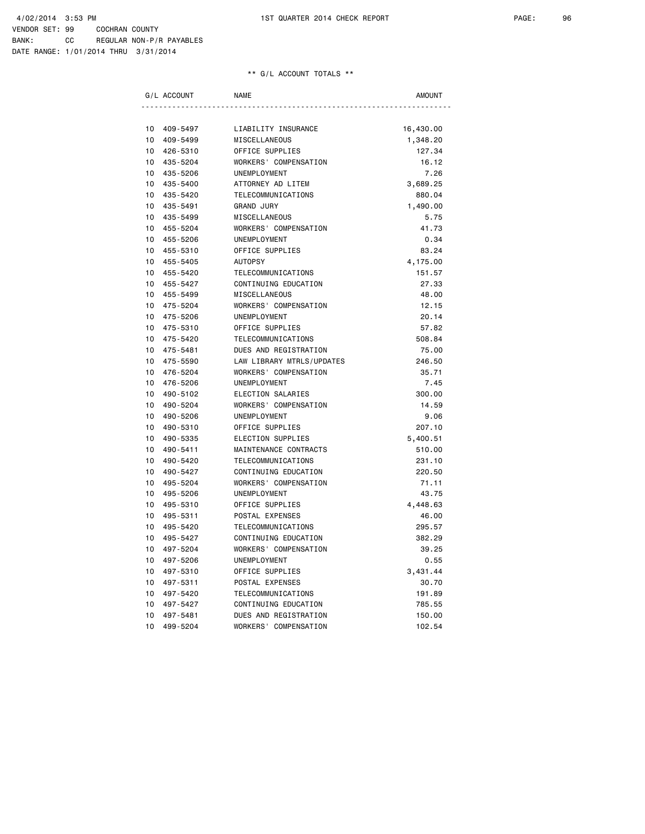| G/L ACCOUNT    | <b>NAME</b>               | <b>AMOUNT</b> |
|----------------|---------------------------|---------------|
|                |                           |               |
| 10<br>409-5497 | LIABILITY INSURANCE       | 16,430.00     |
| 10<br>409-5499 | MISCELLANEOUS             | 1,348.20      |
| 10<br>426-5310 | OFFICE SUPPLIES           | 127.34        |
| 10<br>435-5204 | WORKERS' COMPENSATION     | 16.12         |
| 10<br>435-5206 | UNEMPLOYMENT              | 7.26          |
| 10<br>435-5400 | ATTORNEY AD LITEM         | 3,689.25      |
| 10<br>435-5420 | TELECOMMUNICATIONS        | 880.04        |
| 10<br>435-5491 | <b>GRAND JURY</b>         | 1,490.00      |
| 10<br>435-5499 | MISCELLANEOUS             | 5.75          |
| 10<br>455-5204 | WORKERS' COMPENSATION     | 41.73         |
| 10<br>455-5206 | <b>UNEMPLOYMENT</b>       | 0.34          |
| 10<br>455-5310 | OFFICE SUPPLIES           | 83.24         |
| 10<br>455-5405 | <b>AUTOPSY</b>            | 4,175.00      |
| 455-5420<br>10 | TELECOMMUNICATIONS        | 151.57        |
| 10<br>455-5427 | CONTINUING EDUCATION      | 27.33         |
| 10<br>455-5499 | MISCELLANEOUS             | 48.00         |
| 10<br>475-5204 | WORKERS' COMPENSATION     | 12.15         |
| 10<br>475-5206 | UNEMPLOYMENT              | 20.14         |
| 10<br>475-5310 | OFFICE SUPPLIES           | 57.82         |
| 10<br>475-5420 | TELECOMMUNICATIONS        | 508.84        |
| 10<br>475-5481 | DUES AND REGISTRATION     | 75.00         |
| 10<br>475-5590 | LAW LIBRARY MTRLS/UPDATES | 246.50        |
| 10<br>476-5204 | WORKERS' COMPENSATION     | 35.71         |
| 10<br>476-5206 | UNEMPLOYMENT              | 7.45          |
| 10<br>490-5102 | ELECTION SALARIES         | 300.00        |
| 10<br>490-5204 | WORKERS' COMPENSATION     | 14.59         |
| 10<br>490-5206 | UNEMPLOYMENT              | 9.06          |
| 10<br>490-5310 | OFFICE SUPPLIES           | 207.10        |
| 10<br>490-5335 | ELECTION SUPPLIES         | 5,400.51      |
| 10<br>490-5411 | MAINTENANCE CONTRACTS     | 510.00        |
| 10<br>490-5420 | TELECOMMUNICATIONS        | 231.10        |
| 10<br>490-5427 | CONTINUING EDUCATION      | 220.50        |
| 10<br>495-5204 | WORKERS' COMPENSATION     | 71.11         |
| 10<br>495-5206 | UNEMPLOYMENT              | 43.75         |
| 10<br>495-5310 | OFFICE SUPPLIES           | 4,448.63      |
| 10<br>495-5311 | POSTAL EXPENSES           | 46.00         |
| 10<br>495-5420 | TELECOMMUNICATIONS        | 295.57        |
| 10<br>495-5427 | CONTINUING EDUCATION      | 382.29        |
| 10<br>497-5204 | WORKERS' COMPENSATION     | 39.25         |
| 10<br>497-5206 | UNEMPLOYMENT              | 0.55          |
| 10<br>497-5310 | OFFICE SUPPLIES           | 3,431.44      |
| 10<br>497-5311 | POSTAL EXPENSES           | 30.70         |
| 10<br>497-5420 | TELECOMMUNICATIONS        | 191.89        |
| 10<br>497-5427 | CONTINUING EDUCATION      | 785.55        |
| 10<br>497-5481 | DUES AND REGISTRATION     | 150.00        |
| 10<br>499-5204 | WORKERS' COMPENSATION     | 102.54        |
|                |                           |               |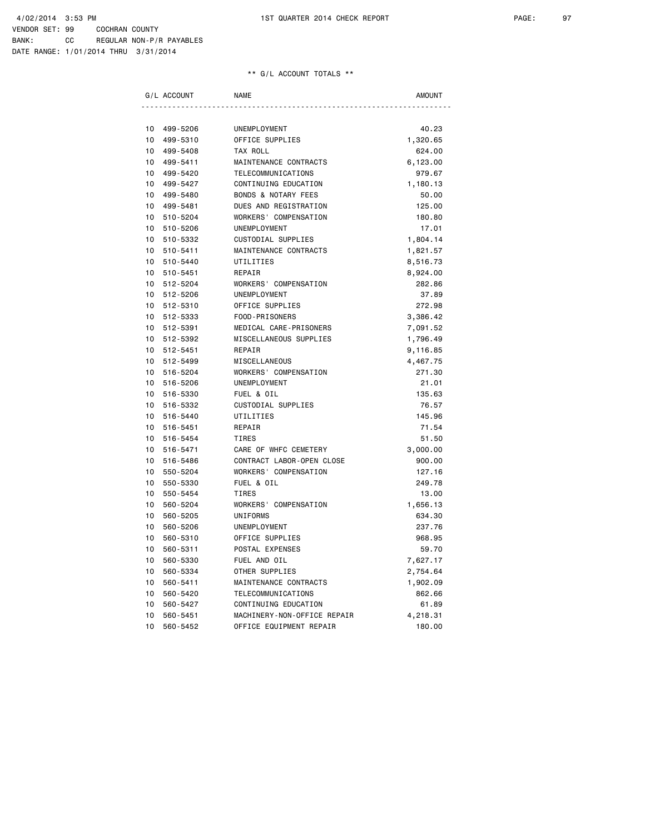| G/L ACCOUNT    | <b>NAME</b>                    | AMOUNT   |
|----------------|--------------------------------|----------|
|                |                                |          |
| 10<br>499-5206 | UNEMPLOYMENT                   | 40.23    |
| 10<br>499-5310 | OFFICE SUPPLIES                | 1,320.65 |
| 10<br>499-5408 | TAX ROLL                       | 624.00   |
| 10<br>499-5411 | MAINTENANCE CONTRACTS          | 6,123.00 |
| 10<br>499-5420 | TELECOMMUNICATIONS             | 979.67   |
| 10<br>499-5427 | CONTINUING EDUCATION           | 1,180.13 |
| 10<br>499-5480 | <b>BONDS &amp; NOTARY FEES</b> | 50.00    |
| 10<br>499-5481 | DUES AND REGISTRATION          | 125.00   |
| 10<br>510-5204 | WORKERS' COMPENSATION          | 180.80   |
| 10<br>510-5206 | UNEMPLOYMENT                   | 17.01    |
| 10<br>510-5332 | CUSTODIAL SUPPLIES             | 1,804.14 |
| 10<br>510-5411 | MAINTENANCE CONTRACTS          | 1,821.57 |
| 10<br>510-5440 | UTILITIES                      | 8,516.73 |
| 10<br>510-5451 | REPAIR                         | 8,924.00 |
| 10<br>512-5204 | WORKERS' COMPENSATION          | 282.86   |
| 10<br>512-5206 | UNEMPLOYMENT                   | 37.89    |
| 10<br>512-5310 | OFFICE SUPPLIES                | 272.98   |
| 10<br>512-5333 | FOOD-PRISONERS                 | 3,386.42 |
| 10<br>512-5391 | MEDICAL CARE-PRISONERS         | 7,091.52 |
| 10<br>512-5392 | MISCELLANEOUS SUPPLIES         | 1,796.49 |
| 10<br>512-5451 | REPAIR                         | 9,116.85 |
| 10<br>512-5499 | MISCELLANEOUS                  | 4,467.75 |
| 10<br>516-5204 | WORKERS' COMPENSATION          | 271.30   |
| 10<br>516-5206 | UNEMPLOYMENT                   | 21.01    |
| 10<br>516-5330 | FUEL & OIL                     | 135.63   |
| 10<br>516-5332 | CUSTODIAL SUPPLIES             | 76.57    |
| 10<br>516-5440 | UTILITIES                      | 145.96   |
| 10<br>516-5451 | REPAIR                         | 71.54    |
| 10<br>516-5454 | <b>TIRES</b>                   | 51.50    |
| 10<br>516-5471 | CARE OF WHFC CEMETERY          | 3,000.00 |
| 10<br>516-5486 | CONTRACT LABOR-OPEN CLOSE      | 900.00   |
| 10<br>550-5204 | WORKERS' COMPENSATION          | 127.16   |
| 10<br>550-5330 | FUEL & OIL                     | 249.78   |
| 10<br>550-5454 | <b>TIRES</b>                   | 13.00    |
| 10<br>560-5204 | WORKERS' COMPENSATION          | 1,656.13 |
| 10<br>560-5205 | UNIFORMS                       | 634.30   |
| 10<br>560-5206 | UNEMPLOYMENT                   | 237.76   |
| 10<br>560-5310 | OFFICE SUPPLIES                | 968.95   |
| 10<br>560-5311 | POSTAL EXPENSES                | 59.70    |
| 10<br>560-5330 | FUEL AND OIL                   | 7,627.17 |
| 10<br>560-5334 | OTHER SUPPLIES                 | 2,754.64 |
| 10<br>560-5411 | MAINTENANCE CONTRACTS          | 1,902.09 |
| 10<br>560-5420 | TELECOMMUNICATIONS             | 862.66   |
| 10<br>560-5427 | CONTINUING EDUCATION           | 61.89    |
| 10<br>560-5451 | MACHINERY-NON-OFFICE REPAIR    | 4,218.31 |
| 10<br>560-5452 | OFFICE EQUIPMENT REPAIR        | 180.00   |
|                |                                |          |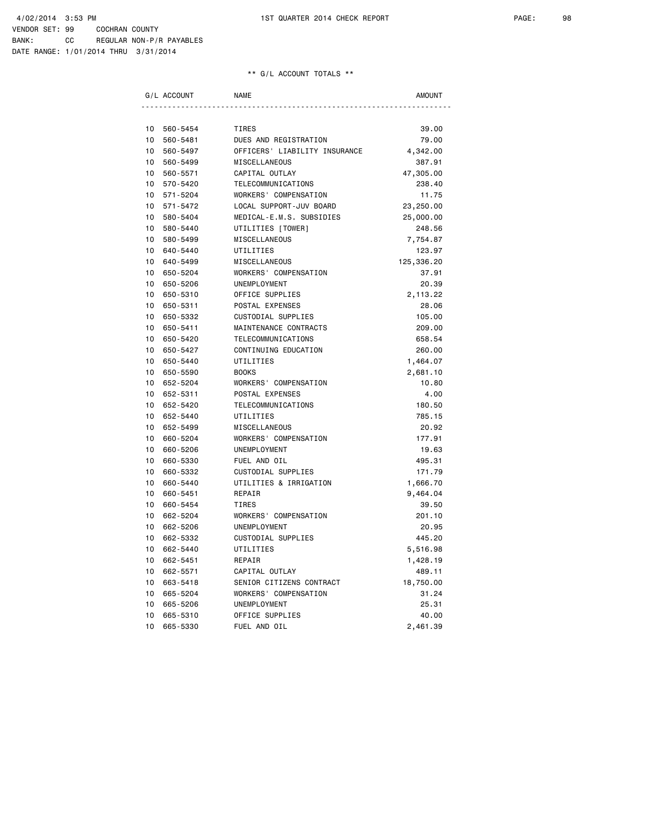|                 | G/L ACCOUNT | <b>NAME</b>                   | AMOUNT     |
|-----------------|-------------|-------------------------------|------------|
|                 |             |                               |            |
| 10              | 560-5454    | <b>TIRES</b>                  | 39.00      |
| 10              | 560-5481    | DUES AND REGISTRATION         | 79.00      |
| 10              | 560-5497    | OFFICERS' LIABILITY INSURANCE | 4,342.00   |
| $10-10$         | 560-5499    | MISCELLANEOUS                 | 387.91     |
| $10-10$         | 560-5571    | CAPITAL OUTLAY                | 47,305.00  |
|                 | 10 570-5420 | TELECOMMUNICATIONS            | 238.40     |
| 10              | 571-5204    | WORKERS' COMPENSATION         | 11.75      |
| 10 <sup>1</sup> | 571-5472    | LOCAL SUPPORT-JUV BOARD       | 23,250.00  |
| 10              | 580-5404    | MEDICAL-E.M.S. SUBSIDIES      | 25,000.00  |
| 10              | 580-5440    | UTILITIES [TOWER]             | 248.56     |
| 10              | 580-5499    | MISCELLANEOUS                 | 7,754.87   |
| 10              | 640-5440    | UTILITIES                     | 123.97     |
| 10              | 640-5499    | MISCELLANEOUS                 | 125,336.20 |
| 10              | 650-5204    | WORKERS' COMPENSATION         | 37.91      |
| 10              | 650-5206    | UNEMPLOYMENT                  | 20.39      |
| 10              | 650-5310    | OFFICE SUPPLIES               | 2,113.22   |
| 10              | 650-5311    | POSTAL EXPENSES               | 28.06      |
| 10              | 650-5332    | CUSTODIAL SUPPLIES            | 105.00     |
| 10              | 650-5411    | MAINTENANCE CONTRACTS         | 209.00     |
| 10              | 650-5420    | TELECOMMUNICATIONS            | 658.54     |
| 10              | 650-5427    | CONTINUING EDUCATION          | 260.00     |
| 10              | 650-5440    | UTILITIES                     | 1,464.07   |
| 10              | 650-5590    | <b>BOOKS</b>                  | 2,681.10   |
| 10              | 652-5204    | WORKERS' COMPENSATION         | 10.80      |
| 10              | 652-5311    | POSTAL EXPENSES               | 4.00       |
| 10              | 652-5420    | TELECOMMUNICATIONS            | 180.50     |
| 10              | 652-5440    | UTILITIES                     | 785.15     |
| 10              | 652-5499    | MISCELLANEOUS                 | 20.92      |
| 10              | 660-5204    | WORKERS' COMPENSATION         | 177.91     |
| 10              | 660-5206    | UNEMPLOYMENT                  | 19.63      |
| 10 <sup>1</sup> | 660-5330    | FUEL AND OIL                  | 495.31     |
| 10              | 660-5332    | CUSTODIAL SUPPLIES            | 171.79     |
| 10              | 660-5440    | UTILITIES & IRRIGATION        | 1,666.70   |
| 10              | 660-5451    | REPAIR                        | 9,464.04   |
| 10 <sup>1</sup> | 660-5454    | TIRES                         | 39.50      |
| 10              | 662-5204    | WORKERS' COMPENSATION         | 201.10     |
| 10              | 662-5206    | UNEMPLOYMENT                  | 20.95      |
| 10              | 662-5332    | CUSTODIAL SUPPLIES            | 445.20     |
| 10              | 662-5440    | UTILITIES                     | 5,516.98   |
| 10              | 662-5451    | REPAIR                        | 1,428.19   |
| 10              | 662-5571    | CAPITAL OUTLAY                | 489.11     |
| 10              | 663-5418    | SENIOR CITIZENS CONTRACT      | 18,750.00  |
| 10              | 665-5204    | WORKERS' COMPENSATION         | 31.24      |
| 10              | 665-5206    | UNEMPLOYMENT                  | 25.31      |
| 10              | 665-5310    | OFFICE SUPPLIES               | 40.00      |
| 10              | 665-5330    | FUEL AND OIL                  | 2,461.39   |
|                 |             |                               |            |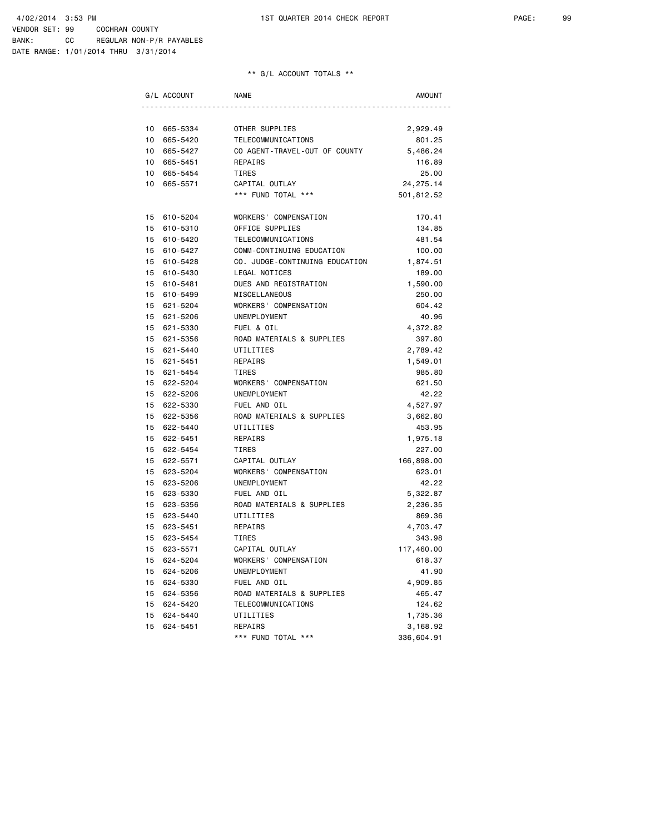| G/L ACCOUNT |             | <b>NAME</b>                    | AMOUNT     |
|-------------|-------------|--------------------------------|------------|
|             |             |                                |            |
|             | 10 665-5334 | OTHER SUPPLIES                 | 2,929.49   |
|             | 10 665-5420 | TELECOMMUNICATIONS             | 801.25     |
|             | 10 665-5427 | CO AGENT-TRAVEL-OUT OF COUNTY  | 5,486.24   |
|             | 10 665-5451 | REPAIRS                        | 116.89     |
|             | 10 665-5454 | TIRES                          | 25.00      |
|             | 10 665-5571 | CAPITAL OUTLAY                 | 24, 275.14 |
|             |             | *** FUND TOTAL ***             | 501,812.52 |
|             |             |                                |            |
|             | 15 610-5204 | WORKERS' COMPENSATION          | 170.41     |
|             | 15 610-5310 | OFFICE SUPPLIES                | 134.85     |
|             | 15 610-5420 | TELECOMMUNICATIONS             | 481.54     |
|             | 15 610-5427 | COMM-CONTINUING EDUCATION      | 100.00     |
|             | 15 610-5428 | CO. JUDGE-CONTINUING EDUCATION | 1,874.51   |
|             | 15 610-5430 | LEGAL NOTICES                  | 189.00     |
|             | 15 610-5481 | DUES AND REGISTRATION          | 1,590.00   |
|             | 15 610-5499 | MISCELLANEOUS                  | 250.00     |
|             | 15 621-5204 | WORKERS' COMPENSATION          | 604.42     |
|             | 15 621-5206 | UNEMPLOYMENT                   | 40.96      |
|             | 15 621-5330 | FUEL & OIL                     | 4,372.82   |
|             | 15 621-5356 | ROAD MATERIALS & SUPPLIES      | 397.80     |
|             | 15 621-5440 | UTILITIES                      | 2,789.42   |
|             | 15 621-5451 | REPAIRS                        | 1,549.01   |
|             | 15 621-5454 | TIRES                          | 985.80     |
|             | 15 622-5204 | WORKERS' COMPENSATION          | 621.50     |
|             | 15 622-5206 | UNEMPLOYMENT                   | 42.22      |
|             | 15 622-5330 | FUEL AND OIL                   | 4,527.97   |
|             | 15 622-5356 | ROAD MATERIALS & SUPPLIES      | 3,662.80   |
|             | 15 622-5440 | UTILITIES                      | 453.95     |
|             | 15 622-5451 | REPAIRS                        | 1,975.18   |
|             | 15 622-5454 | TIRES                          | 227.00     |
|             | 15 622-5571 | CAPITAL OUTLAY                 | 166,898.00 |
|             | 15 623-5204 | WORKERS' COMPENSATION          | 623.01     |
|             | 15 623-5206 | UNEMPLOYMENT                   | 42.22      |
|             | 15 623-5330 | FUEL AND OIL                   | 5,322.87   |
|             | 15 623-5356 | ROAD MATERIALS & SUPPLIES      | 2,236.35   |
|             | 15 623-5440 | UTILITIES                      | 869.36     |
|             | 15 623-5451 | REPAIRS                        | 4,703.47   |
|             | 15 623-5454 | TIRES                          | 343.98     |
| 15          | 623-5571    | CAPITAL OUTLAY                 | 117,460.00 |
| 15          | 624-5204    | WORKERS' COMPENSATION          | 618.37     |
|             | 15 624-5206 | UNEMPLOYMENT                   | 41.90      |
|             | 15 624-5330 | FUEL AND OIL                   | 4,909.85   |
|             | 15 624-5356 | ROAD MATERIALS & SUPPLIES      | 465.47     |
|             | 15 624-5420 | TELECOMMUNICATIONS             | 124.62     |
| 15          | 624-5440    | UTILITIES                      | 1,735.36   |
| 15          | 624-5451    | REPAIRS                        | 3,168.92   |
|             |             | *** FUND TOTAL ***             | 336,604.91 |
|             |             |                                |            |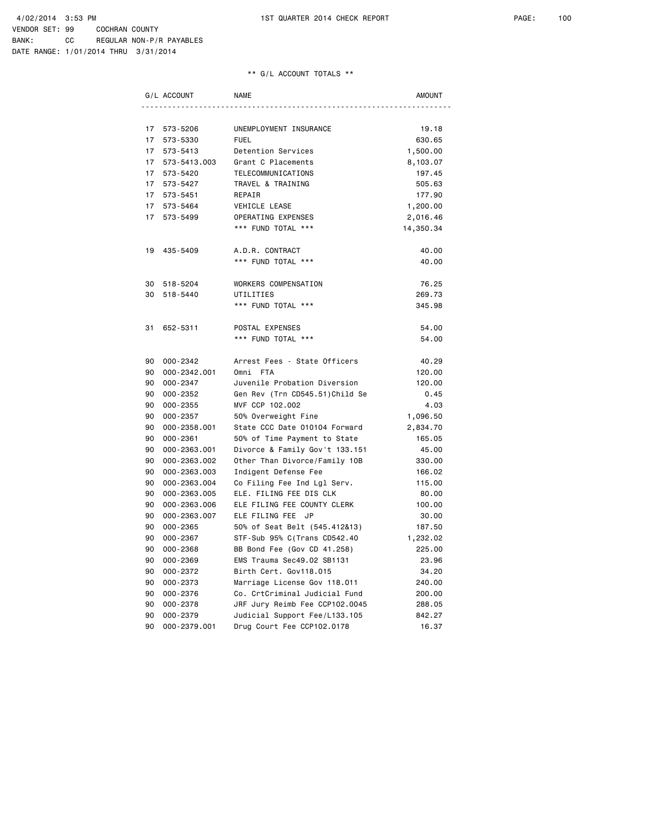|    | G/L ACCOUNT  | NAME                            | AMOUNT    |
|----|--------------|---------------------------------|-----------|
|    |              |                                 |           |
| 17 | 573-5206     | UNEMPLOYMENT INSURANCE          | 19.18     |
| 17 | 573-5330     | <b>FUEL</b>                     | 630.65    |
| 17 | 573-5413     | Detention Services              | 1,500.00  |
| 17 | 573-5413.003 | Grant C Placements              | 8,103.07  |
| 17 | 573-5420     | TELECOMMUNICATIONS              | 197.45    |
|    | 17 573-5427  | TRAVEL & TRAINING               | 505.63    |
| 17 | 573-5451     | REPAIR                          | 177.90    |
| 17 | 573-5464     | VEHICLE LEASE                   | 1,200.00  |
| 17 | 573-5499     | OPERATING EXPENSES              | 2,016.46  |
|    |              | *** FUND TOTAL ***              | 14,350.34 |
| 19 | 435-5409     | A.D.R. CONTRACT                 | 40.00     |
|    |              | *** FUND TOTAL ***              | 40.00     |
| 30 | 518-5204     | WORKERS COMPENSATION            | 76.25     |
| 30 | 518-5440     | UTILITIES                       | 269.73    |
|    |              | *** FUND TOTAL ***              | 345.98    |
| 31 | 652-5311     | POSTAL EXPENSES                 | 54.00     |
|    |              | *** FUND TOTAL ***              | 54.00     |
| 90 | 000-2342     | Arrest Fees - State Officers    | 40.29     |
| 90 | 000-2342.001 | Omni FTA                        | 120.00    |
| 90 | 000-2347     | Juvenile Probation Diversion    | 120.00    |
| 90 | 000-2352     | Gen Rev (Trn CD545.51) Child Se | 0.45      |
| 90 | 000-2355     | MVF CCP 102.002                 | 4.03      |
| 90 | 000-2357     | 50% Overweight Fine             | 1,096.50  |
| 90 | 000-2358.001 | State CCC Date 010104 Forward   | 2,834.70  |
| 90 | 000-2361     | 50% of Time Payment to State    | 165.05    |
| 90 | 000-2363.001 | Divorce & Family Gov't 133.151  | 45.00     |
| 90 | 000-2363.002 | Other Than Divorce/Family 10B   | 330.00    |
| 90 | 000-2363.003 | Indigent Defense Fee            | 166.02    |
| 90 | 000-2363.004 | Co Filing Fee Ind Lgl Serv.     | 115.00    |
| 90 | 000-2363.005 | ELE. FILING FEE DIS CLK         | 80.00     |
| 90 | 000-2363.006 | ELE FILING FEE COUNTY CLERK     | 100.00    |
| 90 | 000-2363.007 | ELE FILING FEE JP               | 30.00     |
| 90 | 000-2365     | 50% of Seat Belt (545.412&13)   | 187.50    |
| 90 | 000-2367     | STF-Sub 95% C(Trans CD542.40    | 1,232.02  |
| 90 | 000-2368     | BB Bond Fee (Gov CD 41.258)     | 225.00    |
| 90 | 000-2369     | EMS Trauma Sec49.02 SB1131      | 23.96     |
| 90 | 000-2372     | Birth Cert. Gov118.015          | 34.20     |
| 90 | 000-2373     | Marriage License Gov 118.011    | 240.00    |
| 90 | 000-2376     | Co. CrtCriminal Judicial Fund   | 200.00    |
| 90 | 000-2378     | JRF Jury Reimb Fee CCP102.0045  | 288.05    |
| 90 | 000-2379     | Judicial Support Fee/L133.105   | 842.27    |
| 90 | 000-2379.001 | Drug Court Fee CCP102.0178      | 16.37     |
|    |              |                                 |           |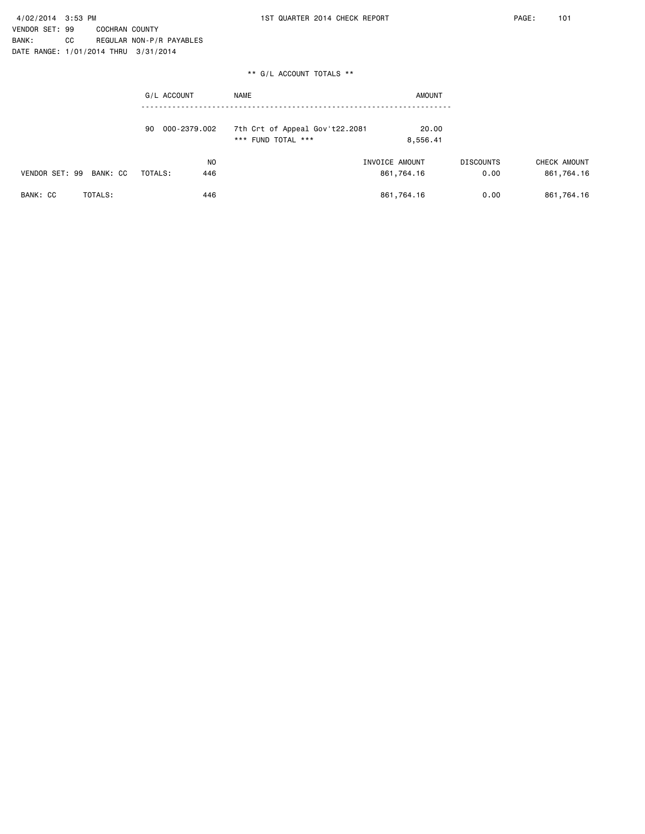|                         | G/L ACCOUNT           | <b>NAME</b>                                          | <b>AMOUNT</b>                |                          |                            |
|-------------------------|-----------------------|------------------------------------------------------|------------------------------|--------------------------|----------------------------|
|                         | 90 000-2379.002       | 7th Crt of Appeal Gov't22.2081<br>*** FUND TOTAL *** | 20.00<br>8,556.41            |                          |                            |
| VENDOR SET: 99 BANK: CC | NO.<br>TOTALS:<br>446 |                                                      | INVOICE AMOUNT<br>861,764.16 | <b>DISCOUNTS</b><br>0.00 | CHECK AMOUNT<br>861,764.16 |

| <b>BANK:</b><br>$\sim$<br>,,,, | $T$ $\cap$ TALS : | 446 | .764.<br>861 | o.oo<br>. n | 764.<br>4.16<br>861 |
|--------------------------------|-------------------|-----|--------------|-------------|---------------------|
|                                |                   |     |              |             |                     |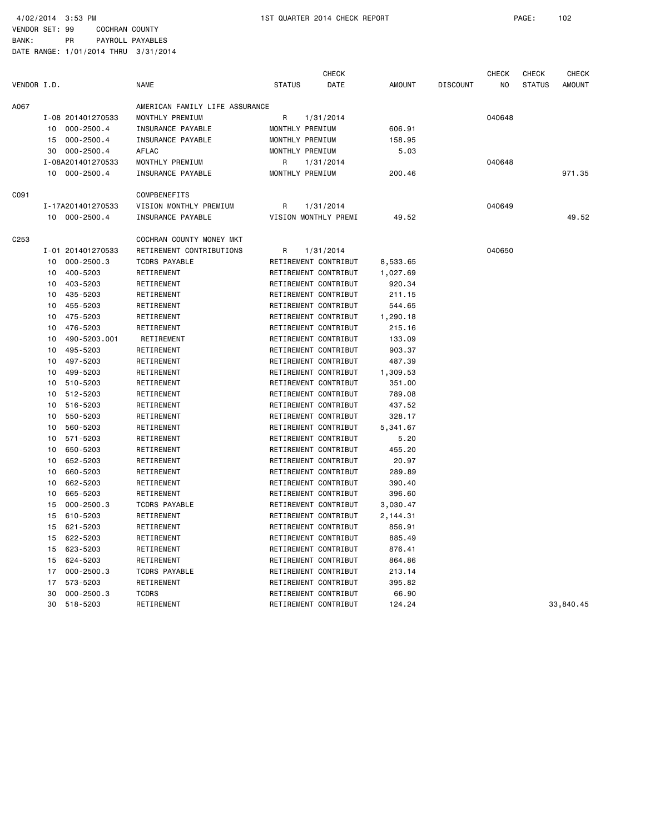|             |    |                   |                                |                      | <b>CHECK</b> |               |                 | <b>CHECK</b>   | <b>CHECK</b>  | <b>CHECK</b>  |
|-------------|----|-------------------|--------------------------------|----------------------|--------------|---------------|-----------------|----------------|---------------|---------------|
| VENDOR I.D. |    |                   | <b>NAME</b>                    | <b>STATUS</b>        | DATE         | <b>AMOUNT</b> | <b>DISCOUNT</b> | N <sub>O</sub> | <b>STATUS</b> | <b>AMOUNT</b> |
| A067        |    |                   | AMERICAN FAMILY LIFE ASSURANCE |                      |              |               |                 |                |               |               |
|             |    | I-08 201401270533 | MONTHLY PREMIUM                | R                    | 1/31/2014    |               |                 | 040648         |               |               |
|             | 10 | $000 - 2500.4$    | INSURANCE PAYABLE              | MONTHLY PREMIUM      |              | 606.91        |                 |                |               |               |
|             | 15 | $000 - 2500.4$    | INSURANCE PAYABLE              | MONTHLY PREMIUM      |              | 158.95        |                 |                |               |               |
|             | 30 | $000 - 2500.4$    | AFLAC                          | MONTHLY PREMIUM      |              | 5.03          |                 |                |               |               |
|             |    | I-08A201401270533 | MONTHLY PREMIUM                | R                    | 1/31/2014    |               |                 | 040648         |               |               |
|             | 10 | 000-2500.4        | INSURANCE PAYABLE              | MONTHLY PREMIUM      |              | 200.46        |                 |                |               | 971.35        |
| C091        |    |                   | COMPBENEFITS                   |                      |              |               |                 |                |               |               |
|             |    | I-17A201401270533 | VISION MONTHLY PREMIUM         | R                    | 1/31/2014    |               |                 | 040649         |               |               |
|             |    | 10 000-2500.4     | INSURANCE PAYABLE              | VISION MONTHLY PREMI |              | 49.52         |                 |                |               | 49.52         |
| C253        |    |                   | COCHRAN COUNTY MONEY MKT       |                      |              |               |                 |                |               |               |
|             |    | I-01 201401270533 | RETIREMENT CONTRIBUTIONS       | R                    | 1/31/2014    |               |                 | 040650         |               |               |
|             | 10 | $000 - 2500.3$    | <b>TCDRS PAYABLE</b>           | RETIREMENT CONTRIBUT |              | 8,533.65      |                 |                |               |               |
|             | 10 | 400-5203          | RETIREMENT                     | RETIREMENT CONTRIBUT |              | 1,027.69      |                 |                |               |               |
|             | 10 | 403-5203          | RETIREMENT                     | RETIREMENT CONTRIBUT |              | 920.34        |                 |                |               |               |
|             | 10 | 435-5203          | RETIREMENT                     | RETIREMENT CONTRIBUT |              | 211.15        |                 |                |               |               |
|             | 10 | 455-5203          | RETIREMENT                     | RETIREMENT CONTRIBUT |              | 544.65        |                 |                |               |               |
|             | 10 | 475-5203          | RETIREMENT                     | RETIREMENT CONTRIBUT |              | 1,290.18      |                 |                |               |               |
|             | 10 | 476-5203          | RETIREMENT                     | RETIREMENT CONTRIBUT |              | 215.16        |                 |                |               |               |
|             | 10 | 490-5203.001      | RETIREMENT                     | RETIREMENT CONTRIBUT |              | 133.09        |                 |                |               |               |
|             | 10 | 495-5203          | RETIREMENT                     | RETIREMENT CONTRIBUT |              | 903.37        |                 |                |               |               |
|             | 10 | 497-5203          | RETIREMENT                     | RETIREMENT CONTRIBUT |              | 487.39        |                 |                |               |               |
|             | 10 | 499-5203          | RETIREMENT                     | RETIREMENT CONTRIBUT |              | 1,309.53      |                 |                |               |               |
|             | 10 | 510-5203          | RETIREMENT                     | RETIREMENT CONTRIBUT |              | 351.00        |                 |                |               |               |
|             | 10 | 512-5203          | RETIREMENT                     | RETIREMENT CONTRIBUT |              | 789.08        |                 |                |               |               |
|             | 10 | 516-5203          | RETIREMENT                     | RETIREMENT CONTRIBUT |              | 437.52        |                 |                |               |               |
|             | 10 | 550-5203          | RETIREMENT                     | RETIREMENT CONTRIBUT |              | 328.17        |                 |                |               |               |
|             | 10 | 560-5203          | RETIREMENT                     | RETIREMENT CONTRIBUT |              | 5,341.67      |                 |                |               |               |
|             | 10 | 571-5203          | RETIREMENT                     | RETIREMENT CONTRIBUT |              | 5.20          |                 |                |               |               |
|             | 10 | 650-5203          | RETIREMENT                     | RETIREMENT CONTRIBUT |              | 455.20        |                 |                |               |               |
|             | 10 | 652-5203          | RETIREMENT                     | RETIREMENT CONTRIBUT |              | 20.97         |                 |                |               |               |
|             | 10 | 660-5203          | RETIREMENT                     | RETIREMENT CONTRIBUT |              | 289.89        |                 |                |               |               |
|             | 10 | 662-5203          | RETIREMENT                     | RETIREMENT CONTRIBUT |              | 390.40        |                 |                |               |               |
|             | 10 | 665-5203          | RETIREMENT                     | RETIREMENT CONTRIBUT |              | 396.60        |                 |                |               |               |
|             | 15 | $000 - 2500.3$    | <b>TCDRS PAYABLE</b>           | RETIREMENT CONTRIBUT |              | 3,030.47      |                 |                |               |               |
|             | 15 | 610-5203          | RETIREMENT                     | RETIREMENT CONTRIBUT |              | 2,144.31      |                 |                |               |               |
|             | 15 | 621-5203          | RETIREMENT                     | RETIREMENT CONTRIBUT |              | 856.91        |                 |                |               |               |
|             | 15 | 622-5203          | RETIREMENT                     | RETIREMENT CONTRIBUT |              | 885.49        |                 |                |               |               |
|             | 15 | 623-5203          | RETIREMENT                     | RETIREMENT CONTRIBUT |              | 876.41        |                 |                |               |               |
|             | 15 | 624-5203          | RETIREMENT                     | RETIREMENT CONTRIBUT |              | 864.86        |                 |                |               |               |
|             | 17 | $000 - 2500.3$    | <b>TCDRS PAYABLE</b>           | RETIREMENT CONTRIBUT |              | 213.14        |                 |                |               |               |
|             | 17 | 573-5203          | RETIREMENT                     | RETIREMENT CONTRIBUT |              | 395.82        |                 |                |               |               |
|             | 30 | $000 - 2500.3$    | <b>TCDRS</b>                   | RETIREMENT CONTRIBUT |              | 66.90         |                 |                |               |               |
|             | 30 | 518-5203          | RETIREMENT                     | RETIREMENT CONTRIBUT |              | 124.24        |                 |                |               | 33,840.45     |
|             |    |                   |                                |                      |              |               |                 |                |               |               |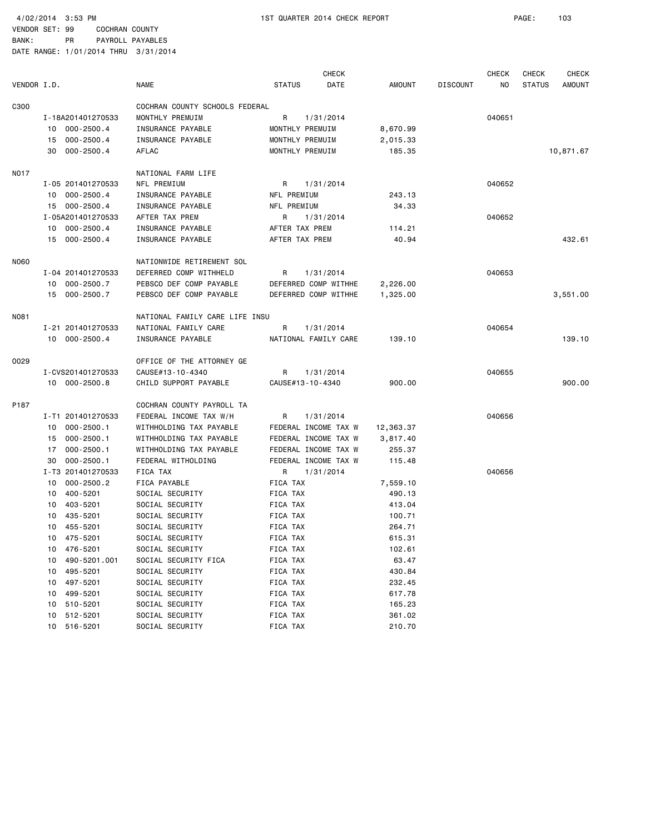|             |                      |                                |                      | <b>CHECK</b> |           |                 | <b>CHECK</b> | <b>CHECK</b>  | <b>CHECK</b>  |
|-------------|----------------------|--------------------------------|----------------------|--------------|-----------|-----------------|--------------|---------------|---------------|
| VENDOR I.D. |                      | NAME                           | <b>STATUS</b>        | DATE         | AMOUNT    | <b>DISCOUNT</b> | ΝO           | <b>STATUS</b> | <b>AMOUNT</b> |
| C300        |                      | COCHRAN COUNTY SCHOOLS FEDERAL |                      |              |           |                 |              |               |               |
|             | I-18A201401270533    | MONTHLY PREMUIM                | R<br>1/31/2014       |              |           |                 | 040651       |               |               |
|             | 10 000-2500.4        | INSURANCE PAYABLE              | MONTHLY PREMUIM      |              | 8,670.99  |                 |              |               |               |
|             | 15 000-2500.4        | INSURANCE PAYABLE              | MONTHLY PREMUIM      |              | 2,015.33  |                 |              |               |               |
|             | 000-2500.4<br>30     | AFLAC                          | MONTHLY PREMUIM      |              | 185.35    |                 |              |               | 10,871.67     |
|             |                      |                                |                      |              |           |                 |              |               |               |
| NO17        |                      | NATIONAL FARM LIFE             |                      |              |           |                 |              |               |               |
|             | I-05 201401270533    | NFL PREMIUM                    | 1/31/2014<br>R       |              |           |                 | 040652       |               |               |
|             | 10 000-2500.4        | INSURANCE PAYABLE              | NFL PREMIUM          |              | 243.13    |                 |              |               |               |
|             | 15 000-2500.4        | INSURANCE PAYABLE              | NFL PREMIUM          |              | 34.33     |                 |              |               |               |
|             | I-05A201401270533    | AFTER TAX PREM                 | 1/31/2014<br>R       |              |           |                 | 040652       |               |               |
|             | 10 000-2500.4        | INSURANCE PAYABLE              | AFTER TAX PREM       |              | 114.21    |                 |              |               |               |
|             | 15 000-2500.4        | INSURANCE PAYABLE              | AFTER TAX PREM       |              | 40.94     |                 |              |               | 432.61        |
| N060        |                      | NATIONWIDE RETIREMENT SOL      |                      |              |           |                 |              |               |               |
|             | I-04 201401270533    | DEFERRED COMP WITHHELD         | R<br>1/31/2014       |              |           |                 | 040653       |               |               |
|             | 10 000-2500.7        | PEBSCO DEF COMP PAYABLE        | DEFERRED COMP WITHHE |              | 2,226.00  |                 |              |               |               |
|             | 15 000-2500.7        | PEBSCO DEF COMP PAYABLE        | DEFERRED COMP WITHHE |              | 1,325.00  |                 |              |               | 3,551.00      |
|             |                      |                                |                      |              |           |                 |              |               |               |
| N081        |                      | NATIONAL FAMILY CARE LIFE INSU |                      |              |           |                 |              |               |               |
|             | I-21 201401270533    | NATIONAL FAMILY CARE           | R<br>1/31/2014       |              |           |                 | 040654       |               |               |
|             | 10 000-2500.4        | INSURANCE PAYABLE              | NATIONAL FAMILY CARE |              | 139.10    |                 |              |               | 139.10        |
| 0029        |                      | OFFICE OF THE ATTORNEY GE      |                      |              |           |                 |              |               |               |
|             | I-CVS201401270533    | CAUSE#13-10-4340               | R<br>1/31/2014       |              |           |                 | 040655       |               |               |
|             | 10 000-2500.8        | CHILD SUPPORT PAYABLE          | CAUSE#13-10-4340     |              | 900.00    |                 |              |               | 900.00        |
| P187        |                      | COCHRAN COUNTY PAYROLL TA      |                      |              |           |                 |              |               |               |
|             | I-T1 201401270533    | FEDERAL INCOME TAX W/H         | R<br>1/31/2014       |              |           |                 | 040656       |               |               |
|             | 10 000-2500.1        | WITHHOLDING TAX PAYABLE        | FEDERAL INCOME TAX W |              | 12,363.37 |                 |              |               |               |
|             | 000-2500.1<br>15     | WITHHOLDING TAX PAYABLE        | FEDERAL INCOME TAX W |              | 3,817.40  |                 |              |               |               |
|             | 000-2500.1<br>17     | WITHHOLDING TAX PAYABLE        | FEDERAL INCOME TAX W |              | 255.37    |                 |              |               |               |
|             | $000 - 2500.1$<br>30 | FEDERAL WITHOLDING             | FEDERAL INCOME TAX W |              | 115.48    |                 |              |               |               |
|             | I-T3 201401270533    | FICA TAX                       | 1/31/2014<br>R       |              |           |                 | 040656       |               |               |
|             | 000-2500.2<br>10     | FICA PAYABLE                   | FICA TAX             |              | 7,559.10  |                 |              |               |               |
|             | 10 400-5201          | SOCIAL SECURITY                | FICA TAX             |              | 490.13    |                 |              |               |               |
|             | 10 403-5201          | SOCIAL SECURITY                | FICA TAX             |              | 413.04    |                 |              |               |               |
|             | 10 435-5201          |                                |                      |              |           |                 |              |               |               |
|             |                      | SOCIAL SECURITY                | FICA TAX             |              | 100.71    |                 |              |               |               |
|             | 455-5201<br>10       | SOCIAL SECURITY                | FICA TAX             |              | 264.71    |                 |              |               |               |
|             | 10 475-5201          | SOCIAL SECURITY                | FICA TAX             |              | 615.31    |                 |              |               |               |
|             | 476-5201<br>10       | SOCIAL SECURITY                | FICA TAX             |              | 102.61    |                 |              |               |               |
|             | 490-5201.001<br>10   | SOCIAL SECURITY FICA           | FICA TAX             |              | 63.47     |                 |              |               |               |
|             | 495-5201<br>10       | SOCIAL SECURITY                | FICA TAX             |              | 430.84    |                 |              |               |               |
|             | 497-5201<br>10       | SOCIAL SECURITY                | FICA TAX             |              | 232.45    |                 |              |               |               |
|             | 499-5201<br>10       | SOCIAL SECURITY                | FICA TAX             |              | 617.78    |                 |              |               |               |
|             | 510-5201<br>10       | SOCIAL SECURITY                | FICA TAX             |              | 165.23    |                 |              |               |               |
|             | 512-5201<br>10       | SOCIAL SECURITY                | FICA TAX             |              | 361.02    |                 |              |               |               |
|             | 10 516-5201          | SOCIAL SECURITY                | FICA TAX             |              | 210.70    |                 |              |               |               |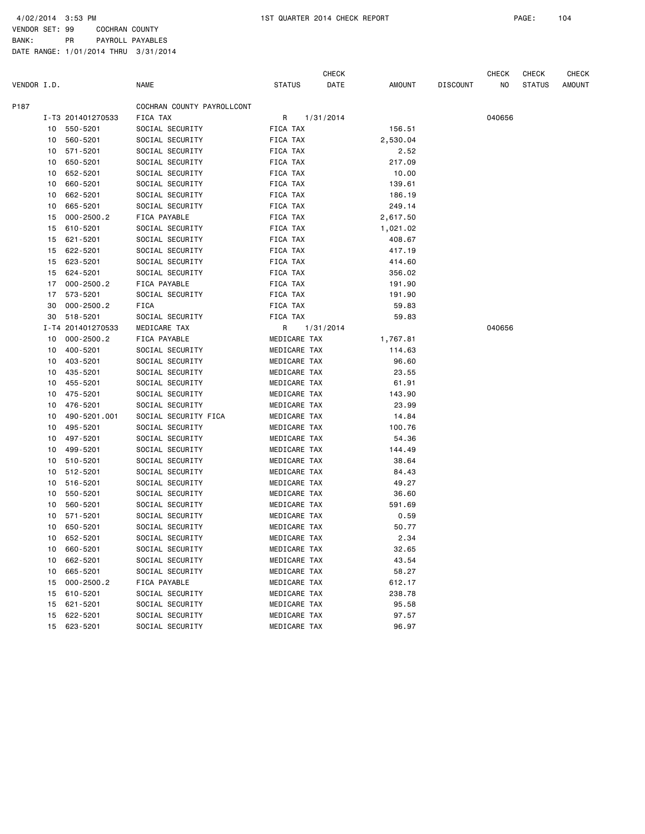4/02/2014 3:53 PM 1ST QUARTER 2014 CHECK REPORT PAGE: 104

VENDOR SET: 99 COCHRAN COUNTY BANK: PR PAYROLL PAYABLES

|             |                                                                                                                                                                                                                                        |                                                                                                                                                                                                                                                                                                                                                                                                                                                                                                                                                                             |                                                                                                                                                                                                                                                                                                                                                                                                                                                                                                                                                                                                                                                                                                                                                                                                                                             | <b>CHECK</b>                                                                                                                                                                                      |                                                                                                                                                                                                                                                                                                                                                                                                                                                                        |                                                                                                                                                                                                                                                                                                                                                                                                                           | <b>CHECK</b> | CHECK         | CHECK  |
|-------------|----------------------------------------------------------------------------------------------------------------------------------------------------------------------------------------------------------------------------------------|-----------------------------------------------------------------------------------------------------------------------------------------------------------------------------------------------------------------------------------------------------------------------------------------------------------------------------------------------------------------------------------------------------------------------------------------------------------------------------------------------------------------------------------------------------------------------------|---------------------------------------------------------------------------------------------------------------------------------------------------------------------------------------------------------------------------------------------------------------------------------------------------------------------------------------------------------------------------------------------------------------------------------------------------------------------------------------------------------------------------------------------------------------------------------------------------------------------------------------------------------------------------------------------------------------------------------------------------------------------------------------------------------------------------------------------|---------------------------------------------------------------------------------------------------------------------------------------------------------------------------------------------------|------------------------------------------------------------------------------------------------------------------------------------------------------------------------------------------------------------------------------------------------------------------------------------------------------------------------------------------------------------------------------------------------------------------------------------------------------------------------|---------------------------------------------------------------------------------------------------------------------------------------------------------------------------------------------------------------------------------------------------------------------------------------------------------------------------------------------------------------------------------------------------------------------------|--------------|---------------|--------|
| VENDOR I.D. |                                                                                                                                                                                                                                        | <b>NAME</b>                                                                                                                                                                                                                                                                                                                                                                                                                                                                                                                                                                 | <b>STATUS</b>                                                                                                                                                                                                                                                                                                                                                                                                                                                                                                                                                                                                                                                                                                                                                                                                                               | DATE                                                                                                                                                                                              | AMOUNT                                                                                                                                                                                                                                                                                                                                                                                                                                                                 | <b>DISCOUNT</b>                                                                                                                                                                                                                                                                                                                                                                                                           | NO           | <b>STATUS</b> | AMOUNT |
|             |                                                                                                                                                                                                                                        | COCHRAN COUNTY PAYROLLCONT                                                                                                                                                                                                                                                                                                                                                                                                                                                                                                                                                  |                                                                                                                                                                                                                                                                                                                                                                                                                                                                                                                                                                                                                                                                                                                                                                                                                                             |                                                                                                                                                                                                   |                                                                                                                                                                                                                                                                                                                                                                                                                                                                        |                                                                                                                                                                                                                                                                                                                                                                                                                           |              |               |        |
|             |                                                                                                                                                                                                                                        | FICA TAX                                                                                                                                                                                                                                                                                                                                                                                                                                                                                                                                                                    | R                                                                                                                                                                                                                                                                                                                                                                                                                                                                                                                                                                                                                                                                                                                                                                                                                                           |                                                                                                                                                                                                   |                                                                                                                                                                                                                                                                                                                                                                                                                                                                        |                                                                                                                                                                                                                                                                                                                                                                                                                           | 040656       |               |        |
| 10          | 550-5201                                                                                                                                                                                                                               |                                                                                                                                                                                                                                                                                                                                                                                                                                                                                                                                                                             | FICA TAX                                                                                                                                                                                                                                                                                                                                                                                                                                                                                                                                                                                                                                                                                                                                                                                                                                    |                                                                                                                                                                                                   | 156.51                                                                                                                                                                                                                                                                                                                                                                                                                                                                 |                                                                                                                                                                                                                                                                                                                                                                                                                           |              |               |        |
|             |                                                                                                                                                                                                                                        | SOCIAL SECURITY                                                                                                                                                                                                                                                                                                                                                                                                                                                                                                                                                             | FICA TAX                                                                                                                                                                                                                                                                                                                                                                                                                                                                                                                                                                                                                                                                                                                                                                                                                                    |                                                                                                                                                                                                   |                                                                                                                                                                                                                                                                                                                                                                                                                                                                        |                                                                                                                                                                                                                                                                                                                                                                                                                           |              |               |        |
| 10          | 571-5201                                                                                                                                                                                                                               |                                                                                                                                                                                                                                                                                                                                                                                                                                                                                                                                                                             |                                                                                                                                                                                                                                                                                                                                                                                                                                                                                                                                                                                                                                                                                                                                                                                                                                             |                                                                                                                                                                                                   |                                                                                                                                                                                                                                                                                                                                                                                                                                                                        |                                                                                                                                                                                                                                                                                                                                                                                                                           |              |               |        |
|             |                                                                                                                                                                                                                                        |                                                                                                                                                                                                                                                                                                                                                                                                                                                                                                                                                                             |                                                                                                                                                                                                                                                                                                                                                                                                                                                                                                                                                                                                                                                                                                                                                                                                                                             |                                                                                                                                                                                                   |                                                                                                                                                                                                                                                                                                                                                                                                                                                                        |                                                                                                                                                                                                                                                                                                                                                                                                                           |              |               |        |
|             |                                                                                                                                                                                                                                        |                                                                                                                                                                                                                                                                                                                                                                                                                                                                                                                                                                             |                                                                                                                                                                                                                                                                                                                                                                                                                                                                                                                                                                                                                                                                                                                                                                                                                                             |                                                                                                                                                                                                   |                                                                                                                                                                                                                                                                                                                                                                                                                                                                        |                                                                                                                                                                                                                                                                                                                                                                                                                           |              |               |        |
|             | 660-5201                                                                                                                                                                                                                               |                                                                                                                                                                                                                                                                                                                                                                                                                                                                                                                                                                             |                                                                                                                                                                                                                                                                                                                                                                                                                                                                                                                                                                                                                                                                                                                                                                                                                                             |                                                                                                                                                                                                   |                                                                                                                                                                                                                                                                                                                                                                                                                                                                        |                                                                                                                                                                                                                                                                                                                                                                                                                           |              |               |        |
|             |                                                                                                                                                                                                                                        |                                                                                                                                                                                                                                                                                                                                                                                                                                                                                                                                                                             |                                                                                                                                                                                                                                                                                                                                                                                                                                                                                                                                                                                                                                                                                                                                                                                                                                             |                                                                                                                                                                                                   |                                                                                                                                                                                                                                                                                                                                                                                                                                                                        |                                                                                                                                                                                                                                                                                                                                                                                                                           |              |               |        |
|             |                                                                                                                                                                                                                                        | SOCIAL SECURITY                                                                                                                                                                                                                                                                                                                                                                                                                                                                                                                                                             |                                                                                                                                                                                                                                                                                                                                                                                                                                                                                                                                                                                                                                                                                                                                                                                                                                             |                                                                                                                                                                                                   |                                                                                                                                                                                                                                                                                                                                                                                                                                                                        |                                                                                                                                                                                                                                                                                                                                                                                                                           |              |               |        |
|             |                                                                                                                                                                                                                                        |                                                                                                                                                                                                                                                                                                                                                                                                                                                                                                                                                                             |                                                                                                                                                                                                                                                                                                                                                                                                                                                                                                                                                                                                                                                                                                                                                                                                                                             |                                                                                                                                                                                                   |                                                                                                                                                                                                                                                                                                                                                                                                                                                                        |                                                                                                                                                                                                                                                                                                                                                                                                                           |              |               |        |
|             |                                                                                                                                                                                                                                        |                                                                                                                                                                                                                                                                                                                                                                                                                                                                                                                                                                             |                                                                                                                                                                                                                                                                                                                                                                                                                                                                                                                                                                                                                                                                                                                                                                                                                                             |                                                                                                                                                                                                   |                                                                                                                                                                                                                                                                                                                                                                                                                                                                        |                                                                                                                                                                                                                                                                                                                                                                                                                           |              |               |        |
|             |                                                                                                                                                                                                                                        |                                                                                                                                                                                                                                                                                                                                                                                                                                                                                                                                                                             |                                                                                                                                                                                                                                                                                                                                                                                                                                                                                                                                                                                                                                                                                                                                                                                                                                             |                                                                                                                                                                                                   |                                                                                                                                                                                                                                                                                                                                                                                                                                                                        |                                                                                                                                                                                                                                                                                                                                                                                                                           |              |               |        |
|             |                                                                                                                                                                                                                                        |                                                                                                                                                                                                                                                                                                                                                                                                                                                                                                                                                                             |                                                                                                                                                                                                                                                                                                                                                                                                                                                                                                                                                                                                                                                                                                                                                                                                                                             |                                                                                                                                                                                                   |                                                                                                                                                                                                                                                                                                                                                                                                                                                                        |                                                                                                                                                                                                                                                                                                                                                                                                                           |              |               |        |
|             |                                                                                                                                                                                                                                        |                                                                                                                                                                                                                                                                                                                                                                                                                                                                                                                                                                             |                                                                                                                                                                                                                                                                                                                                                                                                                                                                                                                                                                                                                                                                                                                                                                                                                                             |                                                                                                                                                                                                   |                                                                                                                                                                                                                                                                                                                                                                                                                                                                        |                                                                                                                                                                                                                                                                                                                                                                                                                           |              |               |        |
|             |                                                                                                                                                                                                                                        |                                                                                                                                                                                                                                                                                                                                                                                                                                                                                                                                                                             |                                                                                                                                                                                                                                                                                                                                                                                                                                                                                                                                                                                                                                                                                                                                                                                                                                             |                                                                                                                                                                                                   |                                                                                                                                                                                                                                                                                                                                                                                                                                                                        |                                                                                                                                                                                                                                                                                                                                                                                                                           |              |               |        |
|             |                                                                                                                                                                                                                                        |                                                                                                                                                                                                                                                                                                                                                                                                                                                                                                                                                                             |                                                                                                                                                                                                                                                                                                                                                                                                                                                                                                                                                                                                                                                                                                                                                                                                                                             |                                                                                                                                                                                                   |                                                                                                                                                                                                                                                                                                                                                                                                                                                                        |                                                                                                                                                                                                                                                                                                                                                                                                                           |              |               |        |
|             |                                                                                                                                                                                                                                        |                                                                                                                                                                                                                                                                                                                                                                                                                                                                                                                                                                             |                                                                                                                                                                                                                                                                                                                                                                                                                                                                                                                                                                                                                                                                                                                                                                                                                                             |                                                                                                                                                                                                   |                                                                                                                                                                                                                                                                                                                                                                                                                                                                        |                                                                                                                                                                                                                                                                                                                                                                                                                           |              |               |        |
|             |                                                                                                                                                                                                                                        |                                                                                                                                                                                                                                                                                                                                                                                                                                                                                                                                                                             |                                                                                                                                                                                                                                                                                                                                                                                                                                                                                                                                                                                                                                                                                                                                                                                                                                             |                                                                                                                                                                                                   |                                                                                                                                                                                                                                                                                                                                                                                                                                                                        |                                                                                                                                                                                                                                                                                                                                                                                                                           |              |               |        |
|             |                                                                                                                                                                                                                                        |                                                                                                                                                                                                                                                                                                                                                                                                                                                                                                                                                                             |                                                                                                                                                                                                                                                                                                                                                                                                                                                                                                                                                                                                                                                                                                                                                                                                                                             |                                                                                                                                                                                                   |                                                                                                                                                                                                                                                                                                                                                                                                                                                                        |                                                                                                                                                                                                                                                                                                                                                                                                                           |              |               |        |
|             |                                                                                                                                                                                                                                        |                                                                                                                                                                                                                                                                                                                                                                                                                                                                                                                                                                             |                                                                                                                                                                                                                                                                                                                                                                                                                                                                                                                                                                                                                                                                                                                                                                                                                                             |                                                                                                                                                                                                   |                                                                                                                                                                                                                                                                                                                                                                                                                                                                        |                                                                                                                                                                                                                                                                                                                                                                                                                           |              |               |        |
|             |                                                                                                                                                                                                                                        |                                                                                                                                                                                                                                                                                                                                                                                                                                                                                                                                                                             |                                                                                                                                                                                                                                                                                                                                                                                                                                                                                                                                                                                                                                                                                                                                                                                                                                             |                                                                                                                                                                                                   |                                                                                                                                                                                                                                                                                                                                                                                                                                                                        |                                                                                                                                                                                                                                                                                                                                                                                                                           |              |               |        |
|             |                                                                                                                                                                                                                                        |                                                                                                                                                                                                                                                                                                                                                                                                                                                                                                                                                                             |                                                                                                                                                                                                                                                                                                                                                                                                                                                                                                                                                                                                                                                                                                                                                                                                                                             |                                                                                                                                                                                                   |                                                                                                                                                                                                                                                                                                                                                                                                                                                                        |                                                                                                                                                                                                                                                                                                                                                                                                                           |              |               |        |
|             |                                                                                                                                                                                                                                        |                                                                                                                                                                                                                                                                                                                                                                                                                                                                                                                                                                             |                                                                                                                                                                                                                                                                                                                                                                                                                                                                                                                                                                                                                                                                                                                                                                                                                                             |                                                                                                                                                                                                   |                                                                                                                                                                                                                                                                                                                                                                                                                                                                        |                                                                                                                                                                                                                                                                                                                                                                                                                           |              |               |        |
|             |                                                                                                                                                                                                                                        |                                                                                                                                                                                                                                                                                                                                                                                                                                                                                                                                                                             |                                                                                                                                                                                                                                                                                                                                                                                                                                                                                                                                                                                                                                                                                                                                                                                                                                             |                                                                                                                                                                                                   |                                                                                                                                                                                                                                                                                                                                                                                                                                                                        |                                                                                                                                                                                                                                                                                                                                                                                                                           |              |               |        |
|             |                                                                                                                                                                                                                                        |                                                                                                                                                                                                                                                                                                                                                                                                                                                                                                                                                                             |                                                                                                                                                                                                                                                                                                                                                                                                                                                                                                                                                                                                                                                                                                                                                                                                                                             |                                                                                                                                                                                                   |                                                                                                                                                                                                                                                                                                                                                                                                                                                                        |                                                                                                                                                                                                                                                                                                                                                                                                                           |              |               |        |
|             |                                                                                                                                                                                                                                        |                                                                                                                                                                                                                                                                                                                                                                                                                                                                                                                                                                             |                                                                                                                                                                                                                                                                                                                                                                                                                                                                                                                                                                                                                                                                                                                                                                                                                                             |                                                                                                                                                                                                   |                                                                                                                                                                                                                                                                                                                                                                                                                                                                        |                                                                                                                                                                                                                                                                                                                                                                                                                           |              |               |        |
|             |                                                                                                                                                                                                                                        |                                                                                                                                                                                                                                                                                                                                                                                                                                                                                                                                                                             |                                                                                                                                                                                                                                                                                                                                                                                                                                                                                                                                                                                                                                                                                                                                                                                                                                             |                                                                                                                                                                                                   |                                                                                                                                                                                                                                                                                                                                                                                                                                                                        |                                                                                                                                                                                                                                                                                                                                                                                                                           |              |               |        |
|             |                                                                                                                                                                                                                                        |                                                                                                                                                                                                                                                                                                                                                                                                                                                                                                                                                                             |                                                                                                                                                                                                                                                                                                                                                                                                                                                                                                                                                                                                                                                                                                                                                                                                                                             |                                                                                                                                                                                                   |                                                                                                                                                                                                                                                                                                                                                                                                                                                                        |                                                                                                                                                                                                                                                                                                                                                                                                                           |              |               |        |
|             |                                                                                                                                                                                                                                        |                                                                                                                                                                                                                                                                                                                                                                                                                                                                                                                                                                             |                                                                                                                                                                                                                                                                                                                                                                                                                                                                                                                                                                                                                                                                                                                                                                                                                                             |                                                                                                                                                                                                   |                                                                                                                                                                                                                                                                                                                                                                                                                                                                        |                                                                                                                                                                                                                                                                                                                                                                                                                           |              |               |        |
|             |                                                                                                                                                                                                                                        |                                                                                                                                                                                                                                                                                                                                                                                                                                                                                                                                                                             |                                                                                                                                                                                                                                                                                                                                                                                                                                                                                                                                                                                                                                                                                                                                                                                                                                             |                                                                                                                                                                                                   |                                                                                                                                                                                                                                                                                                                                                                                                                                                                        |                                                                                                                                                                                                                                                                                                                                                                                                                           |              |               |        |
|             |                                                                                                                                                                                                                                        |                                                                                                                                                                                                                                                                                                                                                                                                                                                                                                                                                                             |                                                                                                                                                                                                                                                                                                                                                                                                                                                                                                                                                                                                                                                                                                                                                                                                                                             |                                                                                                                                                                                                   |                                                                                                                                                                                                                                                                                                                                                                                                                                                                        |                                                                                                                                                                                                                                                                                                                                                                                                                           |              |               |        |
|             |                                                                                                                                                                                                                                        |                                                                                                                                                                                                                                                                                                                                                                                                                                                                                                                                                                             |                                                                                                                                                                                                                                                                                                                                                                                                                                                                                                                                                                                                                                                                                                                                                                                                                                             |                                                                                                                                                                                                   |                                                                                                                                                                                                                                                                                                                                                                                                                                                                        |                                                                                                                                                                                                                                                                                                                                                                                                                           |              |               |        |
|             |                                                                                                                                                                                                                                        |                                                                                                                                                                                                                                                                                                                                                                                                                                                                                                                                                                             |                                                                                                                                                                                                                                                                                                                                                                                                                                                                                                                                                                                                                                                                                                                                                                                                                                             |                                                                                                                                                                                                   |                                                                                                                                                                                                                                                                                                                                                                                                                                                                        |                                                                                                                                                                                                                                                                                                                                                                                                                           |              |               |        |
|             |                                                                                                                                                                                                                                        |                                                                                                                                                                                                                                                                                                                                                                                                                                                                                                                                                                             |                                                                                                                                                                                                                                                                                                                                                                                                                                                                                                                                                                                                                                                                                                                                                                                                                                             |                                                                                                                                                                                                   |                                                                                                                                                                                                                                                                                                                                                                                                                                                                        |                                                                                                                                                                                                                                                                                                                                                                                                                           |              |               |        |
|             |                                                                                                                                                                                                                                        |                                                                                                                                                                                                                                                                                                                                                                                                                                                                                                                                                                             |                                                                                                                                                                                                                                                                                                                                                                                                                                                                                                                                                                                                                                                                                                                                                                                                                                             |                                                                                                                                                                                                   |                                                                                                                                                                                                                                                                                                                                                                                                                                                                        |                                                                                                                                                                                                                                                                                                                                                                                                                           |              |               |        |
|             |                                                                                                                                                                                                                                        |                                                                                                                                                                                                                                                                                                                                                                                                                                                                                                                                                                             |                                                                                                                                                                                                                                                                                                                                                                                                                                                                                                                                                                                                                                                                                                                                                                                                                                             |                                                                                                                                                                                                   |                                                                                                                                                                                                                                                                                                                                                                                                                                                                        |                                                                                                                                                                                                                                                                                                                                                                                                                           |              |               |        |
|             |                                                                                                                                                                                                                                        |                                                                                                                                                                                                                                                                                                                                                                                                                                                                                                                                                                             |                                                                                                                                                                                                                                                                                                                                                                                                                                                                                                                                                                                                                                                                                                                                                                                                                                             |                                                                                                                                                                                                   |                                                                                                                                                                                                                                                                                                                                                                                                                                                                        |                                                                                                                                                                                                                                                                                                                                                                                                                           |              |               |        |
|             | 650-5201                                                                                                                                                                                                                               |                                                                                                                                                                                                                                                                                                                                                                                                                                                                                                                                                                             |                                                                                                                                                                                                                                                                                                                                                                                                                                                                                                                                                                                                                                                                                                                                                                                                                                             |                                                                                                                                                                                                   |                                                                                                                                                                                                                                                                                                                                                                                                                                                                        |                                                                                                                                                                                                                                                                                                                                                                                                                           |              |               |        |
|             |                                                                                                                                                                                                                                        |                                                                                                                                                                                                                                                                                                                                                                                                                                                                                                                                                                             |                                                                                                                                                                                                                                                                                                                                                                                                                                                                                                                                                                                                                                                                                                                                                                                                                                             |                                                                                                                                                                                                   |                                                                                                                                                                                                                                                                                                                                                                                                                                                                        |                                                                                                                                                                                                                                                                                                                                                                                                                           |              |               |        |
|             |                                                                                                                                                                                                                                        |                                                                                                                                                                                                                                                                                                                                                                                                                                                                                                                                                                             |                                                                                                                                                                                                                                                                                                                                                                                                                                                                                                                                                                                                                                                                                                                                                                                                                                             |                                                                                                                                                                                                   |                                                                                                                                                                                                                                                                                                                                                                                                                                                                        |                                                                                                                                                                                                                                                                                                                                                                                                                           |              |               |        |
|             |                                                                                                                                                                                                                                        |                                                                                                                                                                                                                                                                                                                                                                                                                                                                                                                                                                             |                                                                                                                                                                                                                                                                                                                                                                                                                                                                                                                                                                                                                                                                                                                                                                                                                                             |                                                                                                                                                                                                   |                                                                                                                                                                                                                                                                                                                                                                                                                                                                        |                                                                                                                                                                                                                                                                                                                                                                                                                           |              |               |        |
|             |                                                                                                                                                                                                                                        |                                                                                                                                                                                                                                                                                                                                                                                                                                                                                                                                                                             |                                                                                                                                                                                                                                                                                                                                                                                                                                                                                                                                                                                                                                                                                                                                                                                                                                             |                                                                                                                                                                                                   |                                                                                                                                                                                                                                                                                                                                                                                                                                                                        |                                                                                                                                                                                                                                                                                                                                                                                                                           |              |               |        |
|             |                                                                                                                                                                                                                                        |                                                                                                                                                                                                                                                                                                                                                                                                                                                                                                                                                                             |                                                                                                                                                                                                                                                                                                                                                                                                                                                                                                                                                                                                                                                                                                                                                                                                                                             |                                                                                                                                                                                                   |                                                                                                                                                                                                                                                                                                                                                                                                                                                                        |                                                                                                                                                                                                                                                                                                                                                                                                                           |              |               |        |
| 15          | 610-5201                                                                                                                                                                                                                               |                                                                                                                                                                                                                                                                                                                                                                                                                                                                                                                                                                             |                                                                                                                                                                                                                                                                                                                                                                                                                                                                                                                                                                                                                                                                                                                                                                                                                                             |                                                                                                                                                                                                   |                                                                                                                                                                                                                                                                                                                                                                                                                                                                        |                                                                                                                                                                                                                                                                                                                                                                                                                           |              |               |        |
|             |                                                                                                                                                                                                                                        |                                                                                                                                                                                                                                                                                                                                                                                                                                                                                                                                                                             |                                                                                                                                                                                                                                                                                                                                                                                                                                                                                                                                                                                                                                                                                                                                                                                                                                             |                                                                                                                                                                                                   | 95.58                                                                                                                                                                                                                                                                                                                                                                                                                                                                  |                                                                                                                                                                                                                                                                                                                                                                                                                           |              |               |        |
| 15          |                                                                                                                                                                                                                                        |                                                                                                                                                                                                                                                                                                                                                                                                                                                                                                                                                                             |                                                                                                                                                                                                                                                                                                                                                                                                                                                                                                                                                                                                                                                                                                                                                                                                                                             |                                                                                                                                                                                                   |                                                                                                                                                                                                                                                                                                                                                                                                                                                                        |                                                                                                                                                                                                                                                                                                                                                                                                                           |              |               |        |
| 15          |                                                                                                                                                                                                                                        |                                                                                                                                                                                                                                                                                                                                                                                                                                                                                                                                                                             |                                                                                                                                                                                                                                                                                                                                                                                                                                                                                                                                                                                                                                                                                                                                                                                                                                             |                                                                                                                                                                                                   |                                                                                                                                                                                                                                                                                                                                                                                                                                                                        |                                                                                                                                                                                                                                                                                                                                                                                                                           |              |               |        |
|             |                                                                                                                                                                                                                                        |                                                                                                                                                                                                                                                                                                                                                                                                                                                                                                                                                                             |                                                                                                                                                                                                                                                                                                                                                                                                                                                                                                                                                                                                                                                                                                                                                                                                                                             |                                                                                                                                                                                                   |                                                                                                                                                                                                                                                                                                                                                                                                                                                                        |                                                                                                                                                                                                                                                                                                                                                                                                                           |              |               |        |
|             | 10<br>10<br>10<br>10<br>10<br>15<br>15<br>15<br>15<br>15<br>15<br>17<br>17<br>30<br>30<br>10<br>10<br>10<br>10<br>10<br>10<br>10<br>10<br>10<br>10<br>10<br>10<br>10<br>10<br>10<br>10<br>10<br>10<br>10<br>10<br>10<br>10<br>15<br>15 | I-T3 201401270533<br>10 560-5201<br>650-5201<br>652-5201<br>662-5201<br>665-5201<br>$000 - 2500.2$<br>610-5201<br>621-5201<br>622-5201<br>623-5201<br>624-5201<br>$000 - 2500.2$<br>573-5201<br>$000 - 2500.2$<br>518-5201<br>I-T4 201401270533<br>$000 - 2500.2$<br>400-5201<br>403-5201<br>435-5201<br>455-5201<br>475-5201<br>476-5201<br>490-5201.001<br>495-5201<br>497-5201<br>499-5201<br>510-5201<br>512-5201<br>516-5201<br>550-5201<br>560-5201<br>571-5201<br>652-5201<br>660-5201<br>662-5201<br>665-5201<br>$000 - 2500.2$<br>621-5201<br>622-5201<br>623-5201 | SOCIAL SECURITY<br>SOCIAL SECURITY<br>SOCIAL SECURITY<br>SOCIAL SECURITY<br>SOCIAL SECURITY<br>SOCIAL SECURITY<br>FICA PAYABLE<br>SOCIAL SECURITY<br>SOCIAL SECURITY<br>SOCIAL SECURITY<br>SOCIAL SECURITY<br>SOCIAL SECURITY<br>FICA PAYABLE<br>SOCIAL SECURITY<br>FICA<br>SOCIAL SECURITY<br>MEDICARE TAX<br>FICA PAYABLE<br>SOCIAL SECURITY<br>SOCIAL SECURITY<br>SOCIAL SECURITY<br>SOCIAL SECURITY<br>SOCIAL SECURITY<br>SOCIAL SECURITY<br>SOCIAL SECURITY FICA<br>SOCIAL SECURITY<br>SOCIAL SECURITY<br>SOCIAL SECURITY<br>SOCIAL SECURITY<br>SOCIAL SECURITY<br>SOCIAL SECURITY<br>SOCIAL SECURITY<br>SOCIAL SECURITY<br>SOCIAL SECURITY<br>SOCIAL SECURITY<br>SOCIAL SECURITY<br>SOCIAL SECURITY<br>SOCIAL SECURITY<br>SOCIAL SECURITY<br>FICA PAYABLE<br>SOCIAL SECURITY<br>SOCIAL SECURITY<br>SOCIAL SECURITY<br>SOCIAL SECURITY | FICA TAX<br>FICA TAX<br>FICA TAX<br>FICA TAX<br>FICA TAX<br>FICA TAX<br>FICA TAX<br>FICA TAX<br>FICA TAX<br>FICA TAX<br>FICA TAX<br>FICA TAX<br>FICA TAX<br>FICA TAX<br>FICA TAX<br>FICA TAX<br>R | 1/31/2014<br>1/31/2014<br>MEDICARE TAX<br>MEDICARE TAX<br>MEDICARE TAX<br>MEDICARE TAX<br>MEDICARE TAX<br>MEDICARE TAX<br>MEDICARE TAX<br>MEDICARE TAX<br>MEDICARE TAX<br>MEDICARE TAX<br>MEDICARE TAX<br>MEDICARE TAX<br>MEDICARE TAX<br>MEDICARE TAX<br>MEDICARE TAX<br>MEDICARE TAX<br>MEDICARE TAX<br>MEDICARE TAX<br>MEDICARE TAX<br>MEDICARE TAX<br>MEDICARE TAX<br>MEDICARE TAX<br>MEDICARE TAX<br>MEDICARE TAX<br>MEDICARE TAX<br>MEDICARE TAX<br>MEDICARE TAX | 2,530.04<br>2.52<br>217.09<br>10.00<br>139.61<br>186.19<br>249.14<br>2,617.50<br>1,021.02<br>408.67<br>417.19<br>414.60<br>356.02<br>191.90<br>191.90<br>59.83<br>59.83<br>1,767.81<br>114.63<br>96.60<br>23.55<br>61.91<br>143.90<br>23.99<br>14.84<br>100.76<br>54.36<br>144.49<br>38.64<br>84.43<br>49.27<br>36.60<br>591.69<br>0.59<br>50.77<br>2.34<br>32.65<br>43.54<br>58.27<br>612.17<br>238.78<br>97.57<br>96.97 |              | 040656        |        |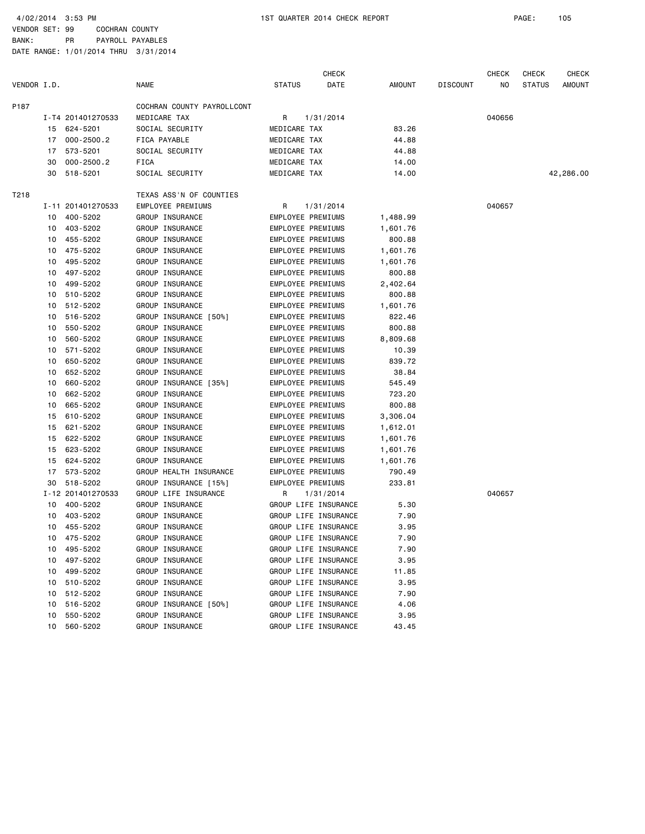|             |    |                   |                            |                          | <b>CHECK</b>         |          |                 | CHECK  | <b>CHECK</b>  | <b>CHECK</b> |
|-------------|----|-------------------|----------------------------|--------------------------|----------------------|----------|-----------------|--------|---------------|--------------|
| VENDOR I.D. |    |                   | <b>NAME</b>                | <b>STATUS</b>            | DATE                 | AMOUNT   | <b>DISCOUNT</b> | NO     | <b>STATUS</b> | AMOUNT       |
| P187        |    |                   | COCHRAN COUNTY PAYROLLCONT |                          |                      |          |                 |        |               |              |
|             |    | I-T4 201401270533 | MEDICARE TAX               | R                        | 1/31/2014            |          |                 | 040656 |               |              |
|             |    | 15 624-5201       | SOCIAL SECURITY            | MEDICARE TAX             |                      | 83.26    |                 |        |               |              |
|             | 17 | $000 - 2500.2$    | FICA PAYABLE               | MEDICARE TAX             |                      | 44.88    |                 |        |               |              |
|             | 17 | 573-5201          | SOCIAL SECURITY            | MEDICARE TAX             |                      | 44.88    |                 |        |               |              |
|             | 30 | $000 - 2500.2$    | <b>FICA</b>                | MEDICARE TAX             |                      | 14.00    |                 |        |               |              |
|             | 30 | 518-5201          | SOCIAL SECURITY            | MEDICARE TAX             |                      | 14.00    |                 |        |               | 42,286.00    |
| T218        |    |                   | TEXAS ASS'N OF COUNTIES    |                          |                      |          |                 |        |               |              |
|             |    | I-11 201401270533 | EMPLOYEE PREMIUMS          | R                        | 1/31/2014            |          |                 | 040657 |               |              |
|             | 10 | 400-5202          | GROUP INSURANCE            | EMPLOYEE PREMIUMS        |                      | 1,488.99 |                 |        |               |              |
|             | 10 | 403-5202          | GROUP INSURANCE            | EMPLOYEE PREMIUMS        |                      | 1,601.76 |                 |        |               |              |
|             | 10 | 455-5202          | GROUP INSURANCE            | EMPLOYEE PREMIUMS        |                      | 800.88   |                 |        |               |              |
|             | 10 | 475-5202          | GROUP INSURANCE            | EMPLOYEE PREMIUMS        |                      | 1,601.76 |                 |        |               |              |
|             | 10 | 495-5202          | GROUP INSURANCE            | EMPLOYEE PREMIUMS        |                      | 1,601.76 |                 |        |               |              |
|             | 10 | 497-5202          | GROUP INSURANCE            | EMPLOYEE PREMIUMS        |                      | 800.88   |                 |        |               |              |
|             | 10 | 499-5202          | GROUP INSURANCE            | EMPLOYEE PREMIUMS        |                      | 2,402.64 |                 |        |               |              |
|             | 10 | 510-5202          | GROUP INSURANCE            | <b>EMPLOYEE PREMIUMS</b> |                      | 800.88   |                 |        |               |              |
|             | 10 | 512-5202          | GROUP INSURANCE            | EMPLOYEE PREMIUMS        |                      | 1,601.76 |                 |        |               |              |
|             | 10 | 516-5202          | GROUP INSURANCE [50%]      | EMPLOYEE PREMIUMS        |                      | 822.46   |                 |        |               |              |
|             | 10 | 550-5202          | GROUP INSURANCE            | EMPLOYEE PREMIUMS        |                      | 800.88   |                 |        |               |              |
|             | 10 | 560-5202          | GROUP INSURANCE            | EMPLOYEE PREMIUMS        |                      | 8,809.68 |                 |        |               |              |
|             | 10 | 571-5202          | GROUP INSURANCE            | EMPLOYEE PREMIUMS        |                      | 10.39    |                 |        |               |              |
|             | 10 | 650-5202          | GROUP INSURANCE            | <b>EMPLOYEE PREMIUMS</b> |                      | 839.72   |                 |        |               |              |
|             | 10 | 652-5202          | GROUP INSURANCE            | EMPLOYEE PREMIUMS        |                      | 38.84    |                 |        |               |              |
|             | 10 | 660-5202          | GROUP INSURANCE [35%]      | EMPLOYEE PREMIUMS        |                      | 545.49   |                 |        |               |              |
|             | 10 | 662-5202          | GROUP INSURANCE            | EMPLOYEE PREMIUMS        |                      | 723.20   |                 |        |               |              |
|             | 10 | 665-5202          | GROUP INSURANCE            | EMPLOYEE PREMIUMS        |                      | 800.88   |                 |        |               |              |
|             | 15 | 610-5202          | GROUP INSURANCE            | EMPLOYEE PREMIUMS        |                      | 3,306.04 |                 |        |               |              |
|             | 15 | 621-5202          | GROUP INSURANCE            | EMPLOYEE PREMIUMS        |                      | 1,612.01 |                 |        |               |              |
|             | 15 | 622-5202          | GROUP INSURANCE            | EMPLOYEE PREMIUMS        |                      | 1,601.76 |                 |        |               |              |
|             | 15 | 623-5202          | GROUP INSURANCE            | EMPLOYEE PREMIUMS        |                      | 1,601.76 |                 |        |               |              |
|             | 15 | 624-5202          | GROUP INSURANCE            | EMPLOYEE PREMIUMS        |                      | 1,601.76 |                 |        |               |              |
|             | 17 | 573-5202          | GROUP HEALTH INSURANCE     | EMPLOYEE PREMIUMS        |                      | 790.49   |                 |        |               |              |
|             | 30 | 518-5202          | GROUP INSURANCE [15%]      | <b>EMPLOYEE PREMIUMS</b> |                      | 233.81   |                 |        |               |              |
|             |    | I-12 201401270533 | GROUP LIFE INSURANCE       | R                        | 1/31/2014            |          |                 | 040657 |               |              |
|             |    | 10 400-5202       | GROUP INSURANCE            | GROUP LIFE INSURANCE     |                      | 5.30     |                 |        |               |              |
|             | 10 | 403-5202          | GROUP INSURANCE            | GROUP LIFE INSURANCE     |                      | 7.90     |                 |        |               |              |
|             | 10 | 455-5202          | GROUP INSURANCE            | GROUP LIFE INSURANCE     |                      | 3.95     |                 |        |               |              |
|             |    | 10 475-5202       | GROUP INSURANCE            | GROUP LIFE INSURANCE     |                      | 7.90     |                 |        |               |              |
|             | 10 | 495-5202          | GROUP INSURANCE            | GROUP LIFE INSURANCE     |                      | 7.90     |                 |        |               |              |
|             | 10 | 497-5202          | GROUP INSURANCE            | GROUP LIFE INSURANCE     |                      | 3.95     |                 |        |               |              |
|             | 10 | 499-5202          | GROUP INSURANCE            | GROUP LIFE INSURANCE     |                      | 11.85    |                 |        |               |              |
|             | 10 | 510-5202          | GROUP INSURANCE            | GROUP LIFE INSURANCE     |                      | 3.95     |                 |        |               |              |
|             | 10 | 512-5202          | GROUP INSURANCE            | GROUP LIFE INSURANCE     |                      | 7.90     |                 |        |               |              |
|             | 10 | 516-5202          | GROUP INSURANCE [50%]      | GROUP LIFE INSURANCE     |                      | 4.06     |                 |        |               |              |
|             | 10 | 550-5202          | GROUP INSURANCE            |                          | GROUP LIFE INSURANCE | 3.95     |                 |        |               |              |
|             | 10 | 560-5202          | GROUP INSURANCE            |                          | GROUP LIFE INSURANCE | 43.45    |                 |        |               |              |
|             |    |                   |                            |                          |                      |          |                 |        |               |              |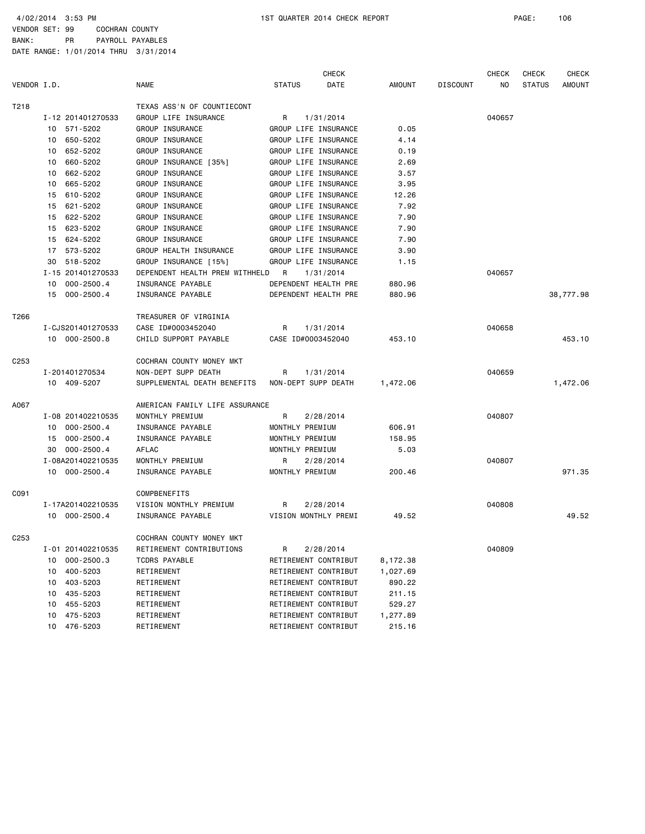|                  |                   |                                |                       | <b>CHECK</b> |               |                 | <b>CHECK</b> | <b>CHECK</b>  | <b>CHECK</b>  |
|------------------|-------------------|--------------------------------|-----------------------|--------------|---------------|-----------------|--------------|---------------|---------------|
| VENDOR I.D.      |                   | <b>NAME</b>                    | <b>STATUS</b>         | DATE         | <b>AMOUNT</b> | <b>DISCOUNT</b> | NO.          | <b>STATUS</b> | <b>AMOUNT</b> |
| T218             |                   | TEXAS ASS'N OF COUNTIECONT     |                       |              |               |                 |              |               |               |
|                  | I-12 201401270533 | GROUP LIFE INSURANCE           | 1/31/2014<br>R        |              |               |                 | 040657       |               |               |
|                  | 10 571-5202       | <b>GROUP INSURANCE</b>         | GROUP LIFE INSURANCE  |              | 0.05          |                 |              |               |               |
|                  | 650-5202<br>10    | GROUP INSURANCE                | GROUP LIFE INSURANCE  |              | 4.14          |                 |              |               |               |
|                  | 652-5202<br>10    | GROUP INSURANCE                | GROUP LIFE INSURANCE  |              | 0.19          |                 |              |               |               |
|                  | 660-5202<br>10    | GROUP INSURANCE [35%]          | GROUP LIFE INSURANCE  |              | 2.69          |                 |              |               |               |
|                  | 662-5202<br>10    | GROUP INSURANCE                | GROUP LIFE INSURANCE  |              | 3.57          |                 |              |               |               |
|                  | 665-5202<br>10    | GROUP INSURANCE                | GROUP LIFE INSURANCE  |              | 3.95          |                 |              |               |               |
|                  | 610-5202<br>15    | GROUP INSURANCE                | GROUP LIFE INSURANCE  |              | 12.26         |                 |              |               |               |
|                  | 621-5202<br>15    | GROUP INSURANCE                | GROUP LIFE INSURANCE  |              | 7.92          |                 |              |               |               |
|                  | 622-5202<br>15    | GROUP INSURANCE                | GROUP LIFE INSURANCE  |              | 7.90          |                 |              |               |               |
|                  | 623-5202<br>15    | GROUP INSURANCE                | GROUP LIFE INSURANCE  |              | 7.90          |                 |              |               |               |
|                  | 15 624-5202       | GROUP INSURANCE                | GROUP LIFE INSURANCE  |              | 7.90          |                 |              |               |               |
|                  | 17 573-5202       | GROUP HEALTH INSURANCE         | GROUP LIFE INSURANCE  |              | 3.90          |                 |              |               |               |
|                  | 518-5202<br>30    | GROUP INSURANCE [15%]          | GROUP LIFE INSURANCE  |              | 1.15          |                 |              |               |               |
|                  | I-15 201401270533 | DEPENDENT HEALTH PREM WITHHELD | <b>R</b><br>1/31/2014 |              |               |                 | 040657       |               |               |
|                  | 10 000-2500.4     | INSURANCE PAYABLE              | DEPENDENT HEALTH PRE  |              | 880.96        |                 |              |               |               |
|                  | 15 000-2500.4     | INSURANCE PAYABLE              | DEPENDENT HEALTH PRE  |              | 880.96        |                 |              |               | 38,777.98     |
| T266             |                   | TREASURER OF VIRGINIA          |                       |              |               |                 |              |               |               |
|                  | I-CJS201401270533 | CASE ID#0003452040             | 1/31/2014<br>R        |              |               |                 | 040658       |               |               |
|                  | 10 000-2500.8     | CHILD SUPPORT PAYABLE          | CASE ID#0003452040    |              | 453.10        |                 |              |               | 453.10        |
| C <sub>253</sub> |                   | COCHRAN COUNTY MONEY MKT       |                       |              |               |                 |              |               |               |
|                  | I-201401270534    | NON-DEPT SUPP DEATH            | 1/31/2014<br>R        |              |               |                 | 040659       |               |               |
|                  | 10 409-5207       | SUPPLEMENTAL DEATH BENEFITS    | NON-DEPT SUPP DEATH   |              | 1,472.06      |                 |              |               | 1,472.06      |
| A067             |                   | AMERICAN FAMILY LIFE ASSURANCE |                       |              |               |                 |              |               |               |
|                  | I-08 201402210535 | MONTHLY PREMIUM                | R<br>2/28/2014        |              |               |                 | 040807       |               |               |
|                  | 10 000-2500.4     | INSURANCE PAYABLE              | MONTHLY PREMIUM       |              | 606.91        |                 |              |               |               |
|                  | 15 000-2500.4     | INSURANCE PAYABLE              | MONTHLY PREMIUM       |              | 158.95        |                 |              |               |               |
|                  | 000-2500.4<br>30  | AFLAC                          | MONTHLY PREMIUM       |              | 5.03          |                 |              |               |               |
|                  | I-08A201402210535 | MONTHLY PREMIUM                | 2/28/2014<br>R.       |              |               |                 | 040807       |               |               |
|                  | 10 000-2500.4     | INSURANCE PAYABLE              | MONTHLY PREMIUM       |              | 200.46        |                 |              |               | 971.35        |
| C091             |                   | COMPBENEFITS                   |                       |              |               |                 |              |               |               |
|                  | I-17A201402210535 | VISION MONTHLY PREMIUM         | 2/28/2014<br>R        |              |               |                 | 040808       |               |               |
|                  | 10 000-2500.4     | INSURANCE PAYABLE              | VISION MONTHLY PREMI  |              | 49.52         |                 |              |               | 49.52         |
| C <sub>253</sub> |                   | COCHRAN COUNTY MONEY MKT       |                       |              |               |                 |              |               |               |
|                  | I-01 201402210535 | RETIREMENT CONTRIBUTIONS       | 2/28/2014<br>R        |              |               |                 | 040809       |               |               |
|                  | 000-2500.3<br>10  | TCDRS PAYABLE                  | RETIREMENT CONTRIBUT  |              | 8,172.38      |                 |              |               |               |
|                  | 400-5203<br>10    | RETIREMENT                     | RETIREMENT CONTRIBUT  |              | 1,027.69      |                 |              |               |               |
|                  | 10 403-5203       | RETIREMENT                     | RETIREMENT CONTRIBUT  |              | 890.22        |                 |              |               |               |
|                  | 10 435-5203       | RETIREMENT                     | RETIREMENT CONTRIBUT  |              | 211.15        |                 |              |               |               |
|                  | 10 455-5203       | RETIREMENT                     | RETIREMENT CONTRIBUT  |              | 529.27        |                 |              |               |               |
|                  | 10 475-5203       | RETIREMENT                     | RETIREMENT CONTRIBUT  |              | 1,277.89      |                 |              |               |               |
|                  | 476-5203<br>10    | RETIREMENT                     | RETIREMENT CONTRIBUT  |              | 215.16        |                 |              |               |               |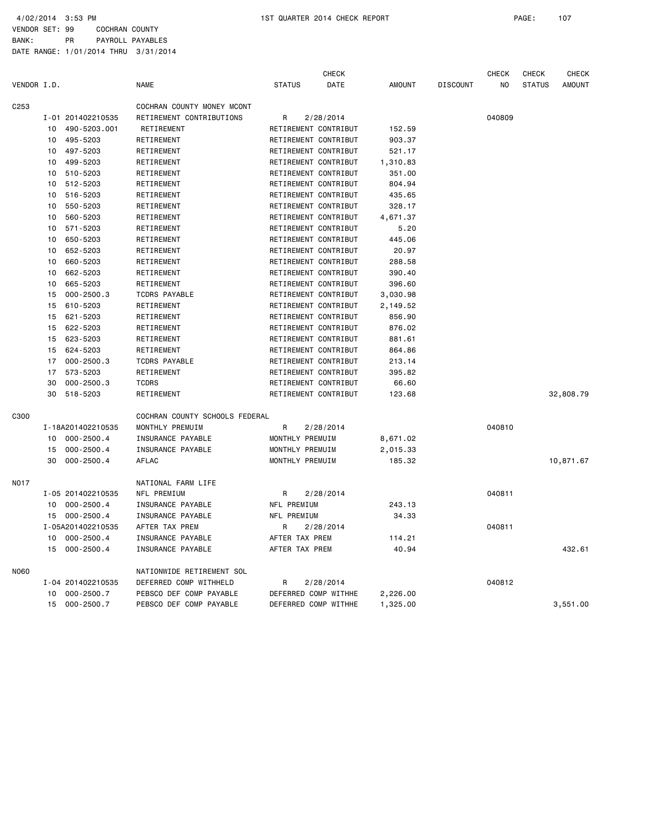|             |    |                   |                                |                      | <b>CHECK</b>         |               |                 | CHECK  | CHECK         | <b>CHECK</b>  |
|-------------|----|-------------------|--------------------------------|----------------------|----------------------|---------------|-----------------|--------|---------------|---------------|
| VENDOR I.D. |    |                   | <b>NAME</b>                    | <b>STATUS</b>        | DATE                 | <b>AMOUNT</b> | <b>DISCOUNT</b> | NO     | <b>STATUS</b> | <b>AMOUNT</b> |
| C253        |    |                   | COCHRAN COUNTY MONEY MCONT     |                      |                      |               |                 |        |               |               |
|             |    | I-01 201402210535 | RETIREMENT CONTRIBUTIONS       | R                    | 2/28/2014            |               |                 | 040809 |               |               |
|             | 10 | 490-5203.001      | <b>RETIREMENT</b>              | RETIREMENT CONTRIBUT |                      | 152.59        |                 |        |               |               |
|             | 10 | 495-5203          | RETIREMENT                     | RETIREMENT CONTRIBUT |                      | 903.37        |                 |        |               |               |
|             | 10 | 497-5203          | RETIREMENT                     | RETIREMENT CONTRIBUT |                      | 521.17        |                 |        |               |               |
|             | 10 | 499-5203          | RETIREMENT                     | RETIREMENT CONTRIBUT |                      | 1,310.83      |                 |        |               |               |
|             | 10 | 510-5203          | RETIREMENT                     | RETIREMENT CONTRIBUT |                      | 351.00        |                 |        |               |               |
|             | 10 | 512-5203          | RETIREMENT                     | RETIREMENT CONTRIBUT |                      | 804.94        |                 |        |               |               |
|             | 10 | 516-5203          | RETIREMENT                     | RETIREMENT CONTRIBUT |                      | 435.65        |                 |        |               |               |
|             | 10 | 550-5203          | RETIREMENT                     | RETIREMENT CONTRIBUT |                      | 328.17        |                 |        |               |               |
|             | 10 | 560-5203          | RETIREMENT                     | RETIREMENT CONTRIBUT |                      | 4,671.37      |                 |        |               |               |
|             | 10 | 571-5203          | RETIREMENT                     | RETIREMENT CONTRIBUT |                      | 5.20          |                 |        |               |               |
|             | 10 | 650-5203          | RETIREMENT                     | RETIREMENT CONTRIBUT |                      | 445.06        |                 |        |               |               |
|             | 10 | 652-5203          | RETIREMENT                     | RETIREMENT CONTRIBUT |                      | 20.97         |                 |        |               |               |
|             | 10 | 660-5203          | RETIREMENT                     | RETIREMENT CONTRIBUT |                      | 288.58        |                 |        |               |               |
|             | 10 | 662-5203          | RETIREMENT                     | RETIREMENT CONTRIBUT |                      | 390.40        |                 |        |               |               |
|             | 10 | 665-5203          | RETIREMENT                     | RETIREMENT CONTRIBUT |                      | 396.60        |                 |        |               |               |
|             | 15 | $000 - 2500.3$    | <b>TCDRS PAYABLE</b>           |                      | RETIREMENT CONTRIBUT | 3,030.98      |                 |        |               |               |
|             | 15 | 610-5203          | RETIREMENT                     | RETIREMENT CONTRIBUT |                      | 2,149.52      |                 |        |               |               |
|             | 15 | 621-5203          | RETIREMENT                     | RETIREMENT CONTRIBUT |                      | 856.90        |                 |        |               |               |
|             | 15 | 622-5203          | RETIREMENT                     | RETIREMENT CONTRIBUT |                      | 876.02        |                 |        |               |               |
|             | 15 | 623-5203          | RETIREMENT                     | RETIREMENT CONTRIBUT |                      | 881.61        |                 |        |               |               |
|             | 15 | 624-5203          | RETIREMENT                     | RETIREMENT CONTRIBUT |                      | 864.86        |                 |        |               |               |
|             | 17 | $000 - 2500.3$    | <b>TCDRS PAYABLE</b>           | RETIREMENT CONTRIBUT |                      | 213.14        |                 |        |               |               |
|             | 17 | 573-5203          | RETIREMENT                     | RETIREMENT CONTRIBUT |                      | 395.82        |                 |        |               |               |
|             | 30 | $000 - 2500.3$    | <b>TCDRS</b>                   | RETIREMENT CONTRIBUT |                      | 66.60         |                 |        |               |               |
|             | 30 | 518-5203          | RETIREMENT                     | RETIREMENT CONTRIBUT |                      | 123.68        |                 |        |               | 32,808.79     |
| C300        |    |                   | COCHRAN COUNTY SCHOOLS FEDERAL |                      |                      |               |                 |        |               |               |
|             |    | I-18A201402210535 | MONTHLY PREMUIM                | R                    | 2/28/2014            |               |                 | 040810 |               |               |
|             | 10 | $000 - 2500.4$    | INSURANCE PAYABLE              | MONTHLY PREMUIM      |                      | 8,671.02      |                 |        |               |               |
|             | 15 | $000 - 2500.4$    | INSURANCE PAYABLE              | MONTHLY PREMUIM      |                      | 2,015.33      |                 |        |               |               |
|             | 30 | $000 - 2500.4$    | AFLAC                          | MONTHLY PREMUIM      |                      | 185.32        |                 |        |               | 10,871.67     |
| NO 17       |    |                   | NATIONAL FARM LIFE             |                      |                      |               |                 |        |               |               |
|             |    | I-05 201402210535 | NFL PREMIUM                    | R                    | 2/28/2014            |               |                 | 040811 |               |               |
|             | 10 | 000-2500.4        | INSURANCE PAYABLE              | NFL PREMIUM          |                      | 243.13        |                 |        |               |               |
|             | 15 | 000-2500.4        | INSURANCE PAYABLE              | NFL PREMIUM          |                      | 34.33         |                 |        |               |               |
|             |    | I-05A201402210535 | AFTER TAX PREM                 | R                    | 2/28/2014            |               |                 | 040811 |               |               |
|             | 10 | $000 - 2500.4$    | INSURANCE PAYABLE              | AFTER TAX PREM       |                      | 114.21        |                 |        |               |               |
|             | 15 | $000 - 2500.4$    | INSURANCE PAYABLE              | AFTER TAX PREM       |                      | 40.94         |                 |        |               | 432.61        |
| N060        |    |                   | NATIONWIDE RETIREMENT SOL      |                      |                      |               |                 |        |               |               |
|             |    | I-04 201402210535 | DEFERRED COMP WITHHELD         | R                    | 2/28/2014            |               |                 | 040812 |               |               |
|             | 10 | $000 - 2500.7$    | PEBSCO DEF COMP PAYABLE        | DEFERRED COMP WITHHE |                      | 2,226.00      |                 |        |               |               |
|             | 15 | $000 - 2500.7$    | PEBSCO DEF COMP PAYABLE        | DEFERRED COMP WITHHE |                      | 1,325.00      |                 |        |               | 3,551.00      |
|             |    |                   |                                |                      |                      |               |                 |        |               |               |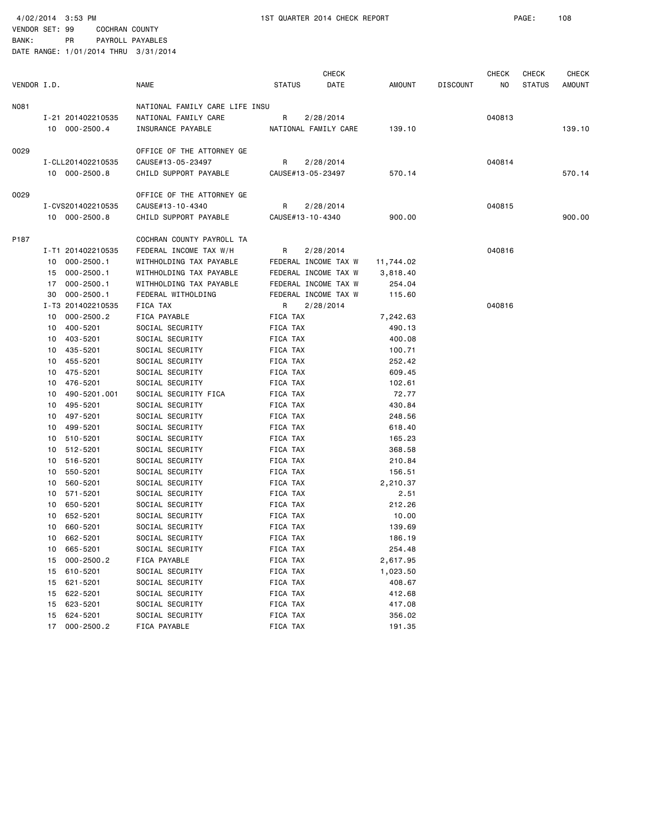4/02/2014 3:53 PM 1ST QUARTER 2014 CHECK REPORT PAGE: 108

VENDOR SET: 99 COCHRAN COUNTY BANK: PR PAYROLL PAYABLES

|             |    |                   |                                |               | <b>CHECK</b>         |           |                 | <b>CHECK</b> | CHECK         | <b>CHECK</b> |
|-------------|----|-------------------|--------------------------------|---------------|----------------------|-----------|-----------------|--------------|---------------|--------------|
| VENDOR I.D. |    |                   | <b>NAME</b>                    | <b>STATUS</b> | DATE                 | AMOUNT    | <b>DISCOUNT</b> | ΝO           | <b>STATUS</b> | AMOUNT       |
| NO81        |    |                   | NATIONAL FAMILY CARE LIFE INSU |               |                      |           |                 |              |               |              |
|             |    | I-21 201402210535 | NATIONAL FAMILY CARE           | R             | 2/28/2014            |           |                 | 040813       |               |              |
|             |    | 10 000-2500.4     | INSURANCE PAYABLE              |               | NATIONAL FAMILY CARE | 139.10    |                 |              |               | 139.10       |
| 0029        |    |                   | OFFICE OF THE ATTORNEY GE      |               |                      |           |                 |              |               |              |
|             |    | I-CLL201402210535 | CAUSE#13-05-23497              | R             | 2/28/2014            |           |                 | 040814       |               |              |
|             |    | 10 000-2500.8     | CHILD SUPPORT PAYABLE          |               | CAUSE#13-05-23497    | 570.14    |                 |              |               | 570.14       |
| 0029        |    |                   | OFFICE OF THE ATTORNEY GE      |               |                      |           |                 |              |               |              |
|             |    | I-CVS201402210535 | CAUSE#13-10-4340               | R             | 2/28/2014            |           |                 | 040815       |               |              |
|             |    | 10 000-2500.8     | CHILD SUPPORT PAYABLE          |               | CAUSE#13-10-4340     | 900.00    |                 |              |               | 900.00       |
| P187        |    |                   | COCHRAN COUNTY PAYROLL TA      |               |                      |           |                 |              |               |              |
|             |    | I-T1 201402210535 | FEDERAL INCOME TAX W/H         | R             | 2/28/2014            |           |                 | 040816       |               |              |
|             |    | 10 000-2500.1     | WITHHOLDING TAX PAYABLE        |               | FEDERAL INCOME TAX W | 11,744.02 |                 |              |               |              |
|             |    | 15 000-2500.1     | WITHHOLDING TAX PAYABLE        |               | FEDERAL INCOME TAX W | 3,818.40  |                 |              |               |              |
|             | 17 | $000 - 2500.1$    | WITHHOLDING TAX PAYABLE        |               | FEDERAL INCOME TAX W | 254.04    |                 |              |               |              |
|             | 30 | $000 - 2500.1$    | FEDERAL WITHOLDING             |               | FEDERAL INCOME TAX W | 115.60    |                 |              |               |              |
|             |    | I-T3 201402210535 | FICA TAX                       | R             | 2/28/2014            |           |                 | 040816       |               |              |
|             | 10 | $000 - 2500.2$    | FICA PAYABLE                   | FICA TAX      |                      | 7,242.63  |                 |              |               |              |
|             |    | 10 400-5201       | SOCIAL SECURITY                | FICA TAX      |                      | 490.13    |                 |              |               |              |
|             | 10 | 403-5201          | SOCIAL SECURITY                | FICA TAX      |                      | 400.08    |                 |              |               |              |
|             | 10 | 435-5201          | SOCIAL SECURITY                | FICA TAX      |                      | 100.71    |                 |              |               |              |
|             | 10 | 455-5201          | SOCIAL SECURITY                | FICA TAX      |                      | 252.42    |                 |              |               |              |
|             |    | 10 475-5201       | SOCIAL SECURITY                | FICA TAX      |                      | 609.45    |                 |              |               |              |
|             | 10 | 476-5201          | SOCIAL SECURITY                | FICA TAX      |                      | 102.61    |                 |              |               |              |
|             | 10 | 490-5201.001      | SOCIAL SECURITY FICA           | FICA TAX      |                      | 72.77     |                 |              |               |              |
|             | 10 | 495-5201          | SOCIAL SECURITY                | FICA TAX      |                      | 430.84    |                 |              |               |              |
|             |    | 10 497-5201       | SOCIAL SECURITY                | FICA TAX      |                      | 248.56    |                 |              |               |              |
|             | 10 | 499-5201          | SOCIAL SECURITY                | FICA TAX      |                      | 618.40    |                 |              |               |              |
|             | 10 | 510-5201          | SOCIAL SECURITY                | FICA TAX      |                      | 165.23    |                 |              |               |              |
|             | 10 | 512-5201          | SOCIAL SECURITY                | FICA TAX      |                      | 368.58    |                 |              |               |              |
|             |    | 10 516-5201       | SOCIAL SECURITY                | FICA TAX      |                      | 210.84    |                 |              |               |              |
|             | 10 | 550-5201          | SOCIAL SECURITY                | FICA TAX      |                      | 156.51    |                 |              |               |              |
|             | 10 | 560-5201          | SOCIAL SECURITY                | FICA TAX      |                      | 2,210.37  |                 |              |               |              |
|             | 10 | 571-5201          | SOCIAL SECURITY                | FICA TAX      |                      | 2.51      |                 |              |               |              |
|             |    | 10 650-5201       | SOCIAL SECURITY                | FICA TAX      |                      | 212.26    |                 |              |               |              |
|             | 10 | 652-5201          | SOCIAL SECURITY                | FICA TAX      |                      | 10.00     |                 |              |               |              |
|             | 10 | 660-5201          | SOCIAL SECURITY                | FICA TAX      |                      | 139.69    |                 |              |               |              |
|             | 10 | 662-5201          | SOCIAL SECURITY                | FICA TAX      |                      | 186.19    |                 |              |               |              |
|             | 10 | 665-5201          | SOCIAL SECURITY                | FICA TAX      |                      | 254.48    |                 |              |               |              |
|             | 15 | 000-2500.2        | FICA PAYABLE                   | FICA TAX      |                      | 2,617.95  |                 |              |               |              |
|             | 15 | 610-5201          | SOCIAL SECURITY                | FICA TAX      |                      | 1,023.50  |                 |              |               |              |
|             | 15 | 621-5201          | SOCIAL SECURITY                | FICA TAX      |                      | 408.67    |                 |              |               |              |
|             | 15 | 622-5201          | SOCIAL SECURITY                | FICA TAX      |                      | 412.68    |                 |              |               |              |
|             | 15 | 623-5201          | SOCIAL SECURITY                | FICA TAX      |                      | 417.08    |                 |              |               |              |
|             | 15 | 624-5201          | SOCIAL SECURITY                | FICA TAX      |                      | 356.02    |                 |              |               |              |
|             | 17 | 000-2500.2        | FICA PAYABLE                   | FICA TAX      |                      | 191.35    |                 |              |               |              |
|             |    |                   |                                |               |                      |           |                 |              |               |              |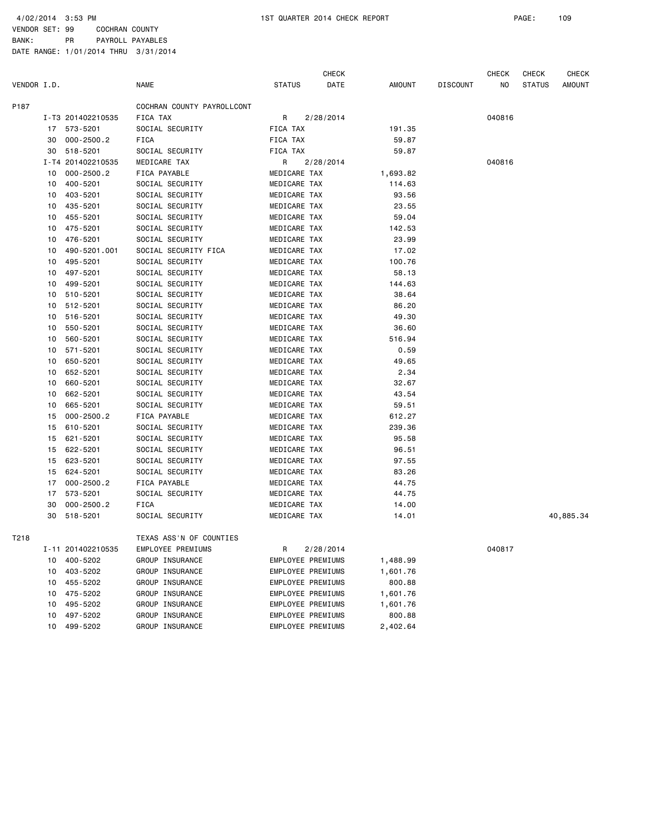VENDOR SET: 99 COCHRAN COUNTY BANK: PR PAYROLL PAYABLES

|             |    |                      |                                             |                                        | CHECK     |                    |                 | CHECK  | CHECK         | <b>CHECK</b> |
|-------------|----|----------------------|---------------------------------------------|----------------------------------------|-----------|--------------------|-----------------|--------|---------------|--------------|
| VENDOR I.D. |    |                      | <b>NAME</b>                                 | <b>STATUS</b>                          | DATE      | AMOUNT             | <b>DISCOUNT</b> | ΝO     | <b>STATUS</b> | AMOUNT       |
| P187        |    |                      | COCHRAN COUNTY PAYROLLCONT                  |                                        |           |                    |                 |        |               |              |
|             |    | I-T3 201402210535    | FICA TAX                                    | R                                      | 2/28/2014 |                    |                 | 040816 |               |              |
|             |    | 17 573-5201          | SOCIAL SECURITY                             | FICA TAX                               |           | 191.35             |                 |        |               |              |
|             | 30 | $000 - 2500.2$       | FICA                                        | FICA TAX                               |           | 59.87              |                 |        |               |              |
|             | 30 | 518-5201             | SOCIAL SECURITY                             | FICA TAX                               |           | 59.87              |                 |        |               |              |
|             |    | I-T4 201402210535    | MEDICARE TAX                                | R                                      | 2/28/2014 |                    |                 | 040816 |               |              |
|             | 10 | $000 - 2500.2$       | FICA PAYABLE                                | MEDICARE TAX                           |           | 1,693.82           |                 |        |               |              |
|             | 10 | 400-5201             | SOCIAL SECURITY                             | MEDICARE TAX                           |           | 114.63             |                 |        |               |              |
|             | 10 | 403-5201             | SOCIAL SECURITY                             | MEDICARE TAX                           |           | 93.56              |                 |        |               |              |
|             | 10 | 435-5201             | SOCIAL SECURITY                             | MEDICARE TAX                           |           | 23.55              |                 |        |               |              |
|             | 10 | 455-5201             | SOCIAL SECURITY                             | MEDICARE TAX                           |           | 59.04              |                 |        |               |              |
|             | 10 | 475-5201             | SOCIAL SECURITY                             | MEDICARE TAX                           |           | 142.53             |                 |        |               |              |
|             | 10 | 476-5201             | SOCIAL SECURITY                             | MEDICARE TAX                           |           | 23.99              |                 |        |               |              |
|             |    |                      | SOCIAL SECURITY FICA                        |                                        |           |                    |                 |        |               |              |
|             | 10 | 490-5201.001         |                                             | MEDICARE TAX                           |           | 17.02              |                 |        |               |              |
|             | 10 | 495-5201             | SOCIAL SECURITY                             | MEDICARE TAX                           |           | 100.76             |                 |        |               |              |
|             | 10 | 497-5201             | SOCIAL SECURITY                             | MEDICARE TAX                           |           | 58.13              |                 |        |               |              |
|             | 10 | 499-5201             | SOCIAL SECURITY                             | MEDICARE TAX                           |           | 144.63             |                 |        |               |              |
|             | 10 | 510-5201             | SOCIAL SECURITY                             | MEDICARE TAX                           |           | 38.64              |                 |        |               |              |
|             | 10 | 512-5201             | SOCIAL SECURITY                             | MEDICARE TAX                           |           | 86.20              |                 |        |               |              |
|             | 10 | 516-5201             | SOCIAL SECURITY                             | MEDICARE TAX                           |           | 49.30              |                 |        |               |              |
|             | 10 | 550-5201             | SOCIAL SECURITY                             | MEDICARE TAX                           |           | 36.60              |                 |        |               |              |
|             | 10 | 560-5201             | SOCIAL SECURITY                             | MEDICARE TAX                           |           | 516.94             |                 |        |               |              |
|             | 10 | 571-5201             | SOCIAL SECURITY                             | MEDICARE TAX                           |           | 0.59               |                 |        |               |              |
|             | 10 | 650-5201             | SOCIAL SECURITY                             | MEDICARE TAX                           |           | 49.65              |                 |        |               |              |
|             | 10 | 652-5201             | SOCIAL SECURITY                             | MEDICARE TAX                           |           | 2.34               |                 |        |               |              |
|             | 10 | 660-5201             | SOCIAL SECURITY                             | MEDICARE TAX                           |           | 32.67              |                 |        |               |              |
|             | 10 | 662-5201             | SOCIAL SECURITY                             | MEDICARE TAX                           |           | 43.54              |                 |        |               |              |
|             | 10 | 665-5201             | SOCIAL SECURITY                             | MEDICARE TAX                           |           | 59.51              |                 |        |               |              |
|             | 15 | $000 - 2500.2$       | FICA PAYABLE                                | MEDICARE TAX                           |           | 612.27             |                 |        |               |              |
|             | 15 | 610-5201             | SOCIAL SECURITY                             | MEDICARE TAX                           |           | 239.36             |                 |        |               |              |
|             | 15 | 621-5201             | SOCIAL SECURITY                             | MEDICARE TAX                           |           | 95.58              |                 |        |               |              |
|             | 15 | 622-5201             | SOCIAL SECURITY                             | MEDICARE TAX                           |           | 96.51              |                 |        |               |              |
|             | 15 | 623-5201             | SOCIAL SECURITY                             | MEDICARE TAX                           |           | 97.55              |                 |        |               |              |
|             | 15 | 624-5201             | SOCIAL SECURITY                             | MEDICARE TAX                           |           | 83.26              |                 |        |               |              |
|             | 17 | $000 - 2500.2$       | FICA PAYABLE                                | MEDICARE TAX                           |           | 44.75              |                 |        |               |              |
|             | 17 | 573-5201             | SOCIAL SECURITY                             | MEDICARE TAX                           |           | 44.75              |                 |        |               |              |
|             | 30 | $000 - 2500.2$       | FICA                                        | MEDICARE TAX                           |           | 14.00              |                 |        |               |              |
|             | 30 | 518-5201             | SOCIAL SECURITY                             | MEDICARE TAX                           |           | 14.01              |                 |        |               | 40,885.34    |
| T218        |    |                      | TEXAS ASS'N OF COUNTIES                     |                                        |           |                    |                 |        |               |              |
|             |    | I-11 201402210535    |                                             |                                        |           |                    |                 |        |               |              |
|             | 10 | 400-5202             | EMPLOYEE PREMIUMS<br><b>GROUP INSURANCE</b> | R                                      | 2/28/2014 |                    |                 | 040817 |               |              |
|             |    | 403-5202             | <b>GROUP INSURANCE</b>                      | EMPLOYEE PREMIUMS<br>EMPLOYEE PREMIUMS |           | 1,488.99           |                 |        |               |              |
|             | 10 |                      | GROUP INSURANCE                             |                                        |           | 1,601.76           |                 |        |               |              |
|             | 10 | 455-5202<br>475-5202 | GROUP INSURANCE                             | EMPLOYEE PREMIUMS                      |           | 800.88<br>1,601.76 |                 |        |               |              |
|             | 10 |                      | GROUP INSURANCE                             | EMPLOYEE PREMIUMS                      |           |                    |                 |        |               |              |
|             | 10 | 495-5202             |                                             | EMPLOYEE PREMIUMS                      |           | 1,601.76           |                 |        |               |              |
|             | 10 | 497-5202             | GROUP INSURANCE                             | EMPLOYEE PREMIUMS                      |           | 800.88             |                 |        |               |              |
|             | 10 | 499-5202             | GROUP INSURANCE                             | EMPLOYEE PREMIUMS                      |           | 2,402.64           |                 |        |               |              |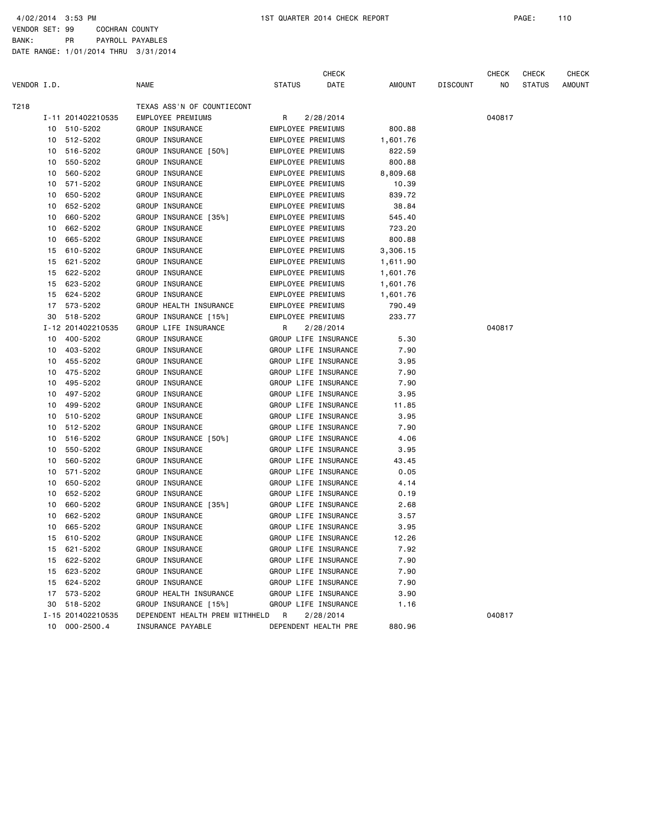VENDOR SET: 99 COCHRAN COUNTY BANK: PR PAYROLL PAYABLES

|             |    |                   |                                  |               | <b>CHECK</b>             |               |                 | CHECK  | <b>CHECK</b>  | CHECK         |
|-------------|----|-------------------|----------------------------------|---------------|--------------------------|---------------|-----------------|--------|---------------|---------------|
| VENDOR I.D. |    |                   | <b>NAME</b>                      | <b>STATUS</b> | DATE                     | <b>AMOUNT</b> | <b>DISCOUNT</b> | NO.    | <b>STATUS</b> | <b>AMOUNT</b> |
| T218        |    |                   | TEXAS ASS'N OF COUNTIECONT       |               |                          |               |                 |        |               |               |
|             |    | I-11 201402210535 | EMPLOYEE PREMIUMS                | R             | 2/28/2014                |               |                 | 040817 |               |               |
|             |    | 10 510-5202       | GROUP INSURANCE                  |               | EMPLOYEE PREMIUMS        | 800.88        |                 |        |               |               |
|             | 10 | 512-5202          | GROUP INSURANCE                  |               | EMPLOYEE PREMIUMS        | 1,601.76      |                 |        |               |               |
|             | 10 | 516-5202          | GROUP INSURANCE [50%]            |               | EMPLOYEE PREMIUMS        | 822.59        |                 |        |               |               |
|             | 10 | 550-5202          | GROUP INSURANCE                  |               | EMPLOYEE PREMIUMS        | 800.88        |                 |        |               |               |
|             | 10 | 560-5202          | GROUP INSURANCE                  |               | EMPLOYEE PREMIUMS        | 8,809.68      |                 |        |               |               |
|             | 10 | 571-5202          | GROUP INSURANCE                  |               | EMPLOYEE PREMIUMS        | 10.39         |                 |        |               |               |
|             | 10 | 650-5202          | GROUP INSURANCE                  |               | EMPLOYEE PREMIUMS        | 839.72        |                 |        |               |               |
|             | 10 | 652-5202          | GROUP INSURANCE                  |               | EMPLOYEE PREMIUMS        | 38.84         |                 |        |               |               |
|             | 10 | 660-5202          | GROUP INSURANCE [35%]            |               | <b>EMPLOYEE PREMIUMS</b> | 545.40        |                 |        |               |               |
|             | 10 | 662-5202          | GROUP INSURANCE                  |               | EMPLOYEE PREMIUMS        | 723.20        |                 |        |               |               |
|             | 10 | 665-5202          | GROUP INSURANCE                  |               | EMPLOYEE PREMIUMS        | 800.88        |                 |        |               |               |
|             | 15 | 610-5202          | GROUP INSURANCE                  |               | EMPLOYEE PREMIUMS        | 3,306.15      |                 |        |               |               |
|             | 15 | 621-5202          | GROUP INSURANCE                  |               | EMPLOYEE PREMIUMS        | 1,611.90      |                 |        |               |               |
|             | 15 | 622-5202          | GROUP INSURANCE                  |               | EMPLOYEE PREMIUMS        | 1,601.76      |                 |        |               |               |
|             | 15 | 623-5202          | GROUP INSURANCE                  |               | EMPLOYEE PREMIUMS        | 1,601.76      |                 |        |               |               |
|             | 15 | 624-5202          | GROUP INSURANCE                  |               | EMPLOYEE PREMIUMS        | 1,601.76      |                 |        |               |               |
|             | 17 | 573-5202          | GROUP HEALTH INSURANCE           |               | <b>EMPLOYEE PREMIUMS</b> | 790.49        |                 |        |               |               |
|             | 30 | 518-5202          | GROUP INSURANCE [15%]            |               | EMPLOYEE PREMIUMS        | 233.77        |                 |        |               |               |
|             |    | I-12 201402210535 | GROUP LIFE INSURANCE             | R             | 2/28/2014                |               |                 | 040817 |               |               |
|             | 10 | 400-5202          | GROUP INSURANCE                  |               | GROUP LIFE INSURANCE     | 5.30          |                 |        |               |               |
|             |    | 10 403-5202       | GROUP INSURANCE                  |               | GROUP LIFE INSURANCE     | 7.90          |                 |        |               |               |
|             | 10 | 455-5202          | GROUP INSURANCE                  |               | GROUP LIFE INSURANCE     | 3.95          |                 |        |               |               |
|             | 10 | 475-5202          | GROUP INSURANCE                  |               | GROUP LIFE INSURANCE     | 7.90          |                 |        |               |               |
|             | 10 | 495-5202          | GROUP INSURANCE                  |               | GROUP LIFE INSURANCE     | 7.90          |                 |        |               |               |
|             | 10 | 497-5202          | GROUP INSURANCE                  |               | GROUP LIFE INSURANCE     | 3.95          |                 |        |               |               |
|             | 10 | 499-5202          | GROUP INSURANCE                  |               | GROUP LIFE INSURANCE     | 11.85         |                 |        |               |               |
|             | 10 | 510-5202          | GROUP INSURANCE                  |               | GROUP LIFE INSURANCE     | 3.95          |                 |        |               |               |
|             | 10 | 512-5202          | GROUP INSURANCE                  |               | GROUP LIFE INSURANCE     | 7.90          |                 |        |               |               |
|             | 10 | 516-5202          | GROUP INSURANCE [50%]            |               | GROUP LIFE INSURANCE     | 4.06          |                 |        |               |               |
|             | 10 | 550-5202          | GROUP INSURANCE                  |               | GROUP LIFE INSURANCE     | 3.95          |                 |        |               |               |
|             | 10 | 560-5202          | GROUP INSURANCE                  |               | GROUP LIFE INSURANCE     | 43.45         |                 |        |               |               |
|             | 10 | 571-5202          | GROUP INSURANCE                  |               | GROUP LIFE INSURANCE     | 0.05          |                 |        |               |               |
|             | 10 | 650-5202          | GROUP INSURANCE                  |               | GROUP LIFE INSURANCE     | 4.14          |                 |        |               |               |
|             | 10 | 652-5202          | GROUP INSURANCE                  |               | GROUP LIFE INSURANCE     | 0.19          |                 |        |               |               |
|             | 10 | 660-5202          | GROUP INSURANCE [35%]            |               | GROUP LIFE INSURANCE     | 2.68          |                 |        |               |               |
|             | 10 | 662-5202          | GROUP INSURANCE                  |               | GROUP LIFE INSURANCE     | 3.57          |                 |        |               |               |
|             | 10 | 665-5202          | GROUP INSURANCE                  |               | GROUP LIFE INSURANCE     | 3.95          |                 |        |               |               |
|             |    | 15 610-5202       | GROUP INSURANCE                  |               | GROUP LIFE INSURANCE     | 12.26         |                 |        |               |               |
|             |    | 15 621-5202       | GROUP INSURANCE                  |               | GROUP LIFE INSURANCE     | 7.92          |                 |        |               |               |
|             |    | 15 622-5202       | GROUP INSURANCE                  |               | GROUP LIFE INSURANCE     | 7.90          |                 |        |               |               |
|             |    | 15 623-5202       | GROUP INSURANCE                  |               | GROUP LIFE INSURANCE     | 7.90          |                 |        |               |               |
|             |    | 15 624-5202       | GROUP INSURANCE                  |               | GROUP LIFE INSURANCE     | 7.90          |                 |        |               |               |
|             |    | 17 573-5202       | GROUP HEALTH INSURANCE           |               | GROUP LIFE INSURANCE     | 3.90          |                 |        |               |               |
|             |    | 30 518-5202       | GROUP INSURANCE [15%]            |               | GROUP LIFE INSURANCE     | 1.16          |                 |        |               |               |
|             |    | I-15 201402210535 | DEPENDENT HEALTH PREM WITHHELD R |               | 2/28/2014                |               |                 | 040817 |               |               |
|             | 10 | $000 - 2500.4$    | INSURANCE PAYABLE                |               | DEPENDENT HEALTH PRE     | 880.96        |                 |        |               |               |
|             |    |                   |                                  |               |                          |               |                 |        |               |               |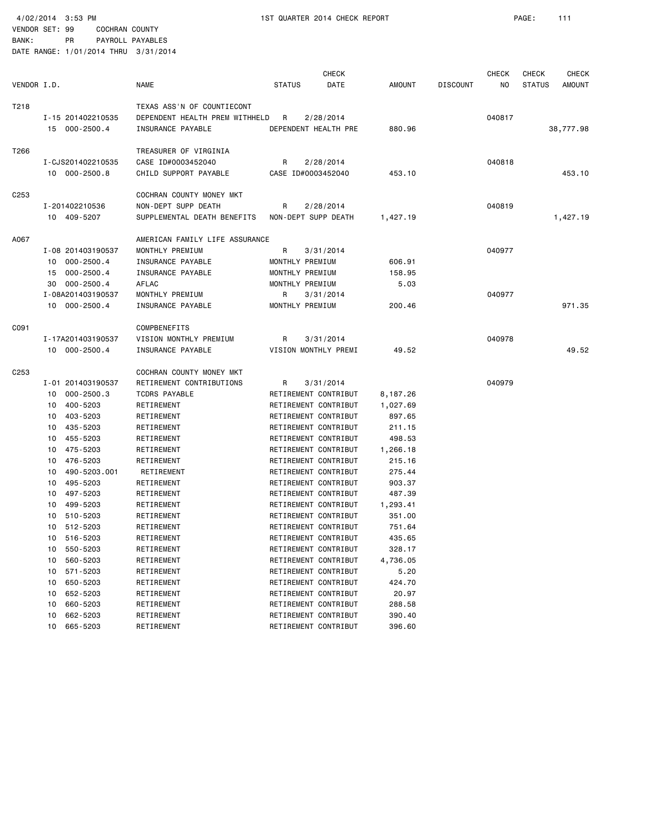VENDOR SET: 99 COCHRAN COUNTY

4/02/2014 3:53 PM 1ST QUARTER 2014 CHECK REPORT PAGE: 111

| .            |    | - - - - - - - - - - |                  |
|--------------|----|---------------------|------------------|
| <b>RANK:</b> | PR |                     | PAYROLL PAYABLES |

|                  |                      |                                |                      | <b>CHECK</b> |               |                 | <b>CHECK</b> | <b>CHECK</b>  | <b>CHECK</b>  |
|------------------|----------------------|--------------------------------|----------------------|--------------|---------------|-----------------|--------------|---------------|---------------|
| VENDOR I.D.      |                      | <b>NAME</b>                    | <b>STATUS</b>        | DATE         | <b>AMOUNT</b> | <b>DISCOUNT</b> | NO.          | <b>STATUS</b> | <b>AMOUNT</b> |
| T218             |                      | TEXAS ASS'N OF COUNTIECONT     |                      |              |               |                 |              |               |               |
|                  | I-15 201402210535    | DEPENDENT HEALTH PREM WITHHELD | R                    | 2/28/2014    |               |                 | 040817       |               |               |
|                  | 15 000-2500.4        | INSURANCE PAYABLE              | DEPENDENT HEALTH PRE |              | 880.96        |                 |              |               | 38,777.98     |
| T266             |                      | TREASURER OF VIRGINIA          |                      |              |               |                 |              |               |               |
|                  | I-CJS201402210535    | CASE ID#0003452040             | R                    | 2/28/2014    |               |                 | 040818       |               |               |
|                  | 10 000-2500.8        | CHILD SUPPORT PAYABLE          | CASE ID#0003452040   |              | 453.10        |                 |              |               | 453.10        |
|                  |                      |                                |                      |              |               |                 |              |               |               |
| C <sub>253</sub> |                      | COCHRAN COUNTY MONEY MKT       |                      |              |               |                 |              |               |               |
|                  | I-201402210536       | NON-DEPT SUPP DEATH            | R                    | 2/28/2014    |               |                 | 040819       |               |               |
|                  | 10 409-5207          | SUPPLEMENTAL DEATH BENEFITS    | NON-DEPT SUPP DEATH  |              | 1,427.19      |                 |              |               | 1,427.19      |
| A067             |                      | AMERICAN FAMILY LIFE ASSURANCE |                      |              |               |                 |              |               |               |
|                  | I-08 201403190537    | MONTHLY PREMIUM                | R                    | 3/31/2014    |               |                 | 040977       |               |               |
|                  | 10 000-2500.4        | INSURANCE PAYABLE              | MONTHLY PREMIUM      |              | 606.91        |                 |              |               |               |
|                  | 15 000-2500.4        | INSURANCE PAYABLE              | MONTHLY PREMIUM      |              | 158.95        |                 |              |               |               |
|                  | 30 000-2500.4        | AFLAC                          | MONTHLY PREMIUM      |              | 5.03          |                 |              |               |               |
|                  | I-08A201403190537    | MONTHLY PREMIUM                | R                    | 3/31/2014    |               |                 | 040977       |               |               |
|                  | 10 000-2500.4        | INSURANCE PAYABLE              | MONTHLY PREMIUM      |              | 200.46        |                 |              |               | 971.35        |
| C091             |                      | COMPBENEFITS                   |                      |              |               |                 |              |               |               |
|                  | I-17A201403190537    | VISION MONTHLY PREMIUM         | R                    | 3/31/2014    |               |                 | 040978       |               |               |
|                  | 10 000-2500.4        | INSURANCE PAYABLE              | VISION MONTHLY PREMI |              | 49.52         |                 |              |               | 49.52         |
| C <sub>253</sub> |                      | COCHRAN COUNTY MONEY MKT       |                      |              |               |                 |              |               |               |
|                  | I-01 201403190537    | RETIREMENT CONTRIBUTIONS       | R                    | 3/31/2014    |               |                 | 040979       |               |               |
|                  | $000 - 2500.3$<br>10 | <b>TCDRS PAYABLE</b>           | RETIREMENT CONTRIBUT |              | 8,187.26      |                 |              |               |               |
|                  | 400-5203<br>10       | RETIREMENT                     | RETIREMENT CONTRIBUT |              | 1,027.69      |                 |              |               |               |
|                  | 403-5203<br>10       | RETIREMENT                     | RETIREMENT CONTRIBUT |              | 897.65        |                 |              |               |               |
|                  | 435-5203<br>10       | RETIREMENT                     | RETIREMENT CONTRIBUT |              | 211.15        |                 |              |               |               |
|                  | 455-5203<br>10       | RETIREMENT                     | RETIREMENT CONTRIBUT |              | 498.53        |                 |              |               |               |
|                  | 475-5203<br>10       | RETIREMENT                     | RETIREMENT CONTRIBUT |              | 1,266.18      |                 |              |               |               |
|                  | 476-5203<br>10       | RETIREMENT                     | RETIREMENT CONTRIBUT |              | 215.16        |                 |              |               |               |
|                  | 490-5203.001<br>10   | RETIREMENT                     | RETIREMENT CONTRIBUT |              | 275.44        |                 |              |               |               |
|                  | 495-5203<br>10       | RETIREMENT                     | RETIREMENT CONTRIBUT |              | 903.37        |                 |              |               |               |
|                  | 497-5203<br>10       | RETIREMENT                     | RETIREMENT CONTRIBUT |              | 487.39        |                 |              |               |               |
|                  | 499-5203<br>10       | RETIREMENT                     | RETIREMENT CONTRIBUT |              | 1,293.41      |                 |              |               |               |
|                  | 510-5203<br>10       | RETIREMENT                     | RETIREMENT CONTRIBUT |              | 351.00        |                 |              |               |               |
|                  | 512-5203<br>10       | RETIREMENT                     | RETIREMENT CONTRIBUT |              | 751.64        |                 |              |               |               |
|                  | 10<br>516-5203       | RETIREMENT                     | RETIREMENT CONTRIBUT |              | 435.65        |                 |              |               |               |
|                  | 550-5203<br>10       | RETIREMENT                     | RETIREMENT CONTRIBUT |              | 328.17        |                 |              |               |               |
|                  | 560-5203<br>10       | RETIREMENT                     | RETIREMENT CONTRIBUT |              | 4,736.05      |                 |              |               |               |
|                  | 571-5203<br>10       | RETIREMENT                     | RETIREMENT CONTRIBUT |              | 5.20          |                 |              |               |               |
|                  | 650-5203<br>10       | RETIREMENT                     | RETIREMENT CONTRIBUT |              | 424.70        |                 |              |               |               |
|                  | 652-5203<br>10       | RETIREMENT                     | RETIREMENT CONTRIBUT |              | 20.97         |                 |              |               |               |
|                  | 660-5203<br>10       | RETIREMENT                     | RETIREMENT CONTRIBUT |              | 288.58        |                 |              |               |               |
|                  | 662-5203<br>10       | RETIREMENT                     | RETIREMENT CONTRIBUT |              | 390.40        |                 |              |               |               |
|                  | 665-5203<br>10       | RETIREMENT                     | RETIREMENT CONTRIBUT |              | 396.60        |                 |              |               |               |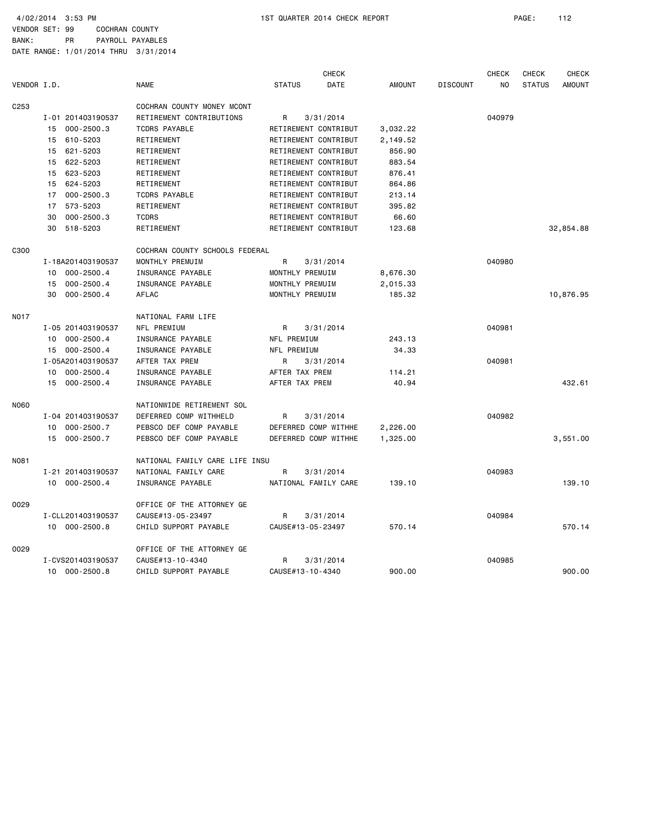VENDOR SET: 99 COCHRAN COUNTY BANK: PR PAYROLL PAYABLES

|             |    |                   |                                |                      | <b>CHECK</b> |               |                 | <b>CHECK</b> | <b>CHECK</b>  | <b>CHECK</b>  |
|-------------|----|-------------------|--------------------------------|----------------------|--------------|---------------|-----------------|--------------|---------------|---------------|
| VENDOR I.D. |    |                   | <b>NAME</b>                    | <b>STATUS</b>        | DATE         | <b>AMOUNT</b> | <b>DISCOUNT</b> | NO           | <b>STATUS</b> | <b>AMOUNT</b> |
| C253        |    |                   | COCHRAN COUNTY MONEY MCONT     |                      |              |               |                 |              |               |               |
|             |    | I-01 201403190537 | RETIREMENT CONTRIBUTIONS       | R                    | 3/31/2014    |               |                 | 040979       |               |               |
|             | 15 | $000 - 2500.3$    | <b>TCDRS PAYABLE</b>           | RETIREMENT CONTRIBUT |              | 3,032.22      |                 |              |               |               |
|             | 15 | 610-5203          | RETIREMENT                     | RETIREMENT CONTRIBUT |              | 2,149.52      |                 |              |               |               |
|             | 15 | 621-5203          | RETIREMENT                     | RETIREMENT CONTRIBUT |              | 856.90        |                 |              |               |               |
|             | 15 | 622-5203          | RETIREMENT                     | RETIREMENT CONTRIBUT |              | 883.54        |                 |              |               |               |
|             | 15 | 623-5203          | RETIREMENT                     | RETIREMENT CONTRIBUT |              | 876.41        |                 |              |               |               |
|             |    | 15 624-5203       | RETIREMENT                     | RETIREMENT CONTRIBUT |              | 864.86        |                 |              |               |               |
|             | 17 | $000 - 2500.3$    | <b>TCDRS PAYABLE</b>           | RETIREMENT CONTRIBUT |              | 213.14        |                 |              |               |               |
|             | 17 | 573-5203          | RETIREMENT                     | RETIREMENT CONTRIBUT |              | 395.82        |                 |              |               |               |
|             | 30 | $000 - 2500.3$    | <b>TCDRS</b>                   | RETIREMENT CONTRIBUT |              | 66.60         |                 |              |               |               |
|             |    | 30 518-5203       | RETIREMENT                     | RETIREMENT CONTRIBUT |              | 123.68        |                 |              |               | 32,854.88     |
| C300        |    |                   | COCHRAN COUNTY SCHOOLS FEDERAL |                      |              |               |                 |              |               |               |
|             |    | I-18A201403190537 | MONTHLY PREMUIM                | R                    | 3/31/2014    |               |                 | 040980       |               |               |
|             | 10 | $000 - 2500.4$    | INSURANCE PAYABLE              | MONTHLY PREMUIM      |              | 8,676.30      |                 |              |               |               |
|             | 15 | $000 - 2500.4$    | INSURANCE PAYABLE              | MONTHLY PREMUIM      |              | 2,015.33      |                 |              |               |               |
|             | 30 | $000 - 2500.4$    | <b>AFLAC</b>                   | MONTHLY PREMUIM      |              | 185.32        |                 |              |               | 10,876.95     |
| N017        |    |                   | NATIONAL FARM LIFE             |                      |              |               |                 |              |               |               |
|             |    | I-05 201403190537 | NFL PREMIUM                    | R                    | 3/31/2014    |               |                 | 040981       |               |               |
|             |    | 10 000-2500.4     | INSURANCE PAYABLE              | NFL PREMIUM          |              | 243.13        |                 |              |               |               |
|             |    | 15 000-2500.4     | INSURANCE PAYABLE              | NFL PREMIUM          |              | 34.33         |                 |              |               |               |
|             |    | I-05A201403190537 | AFTER TAX PREM                 | R                    | 3/31/2014    |               |                 | 040981       |               |               |
|             |    | 10 000-2500.4     | INSURANCE PAYABLE              | AFTER TAX PREM       |              | 114.21        |                 |              |               |               |
|             | 15 | 000-2500.4        | INSURANCE PAYABLE              | AFTER TAX PREM       |              | 40.94         |                 |              |               | 432.61        |
| N060        |    |                   | NATIONWIDE RETIREMENT SOL      |                      |              |               |                 |              |               |               |
|             |    | I-04 201403190537 | DEFERRED COMP WITHHELD         | R                    | 3/31/2014    |               |                 | 040982       |               |               |
|             | 10 | $000 - 2500.7$    | PEBSCO DEF COMP PAYABLE        | DEFERRED COMP WITHHE |              | 2,226.00      |                 |              |               |               |
|             |    | 15 000-2500.7     | PEBSCO DEF COMP PAYABLE        | DEFERRED COMP WITHHE |              | 1,325.00      |                 |              |               | 3,551.00      |
| N081        |    |                   | NATIONAL FAMILY CARE LIFE INSU |                      |              |               |                 |              |               |               |
|             |    | I-21 201403190537 | NATIONAL FAMILY CARE           | R                    | 3/31/2014    |               |                 | 040983       |               |               |
|             |    | 10 000-2500.4     | INSURANCE PAYABLE              | NATIONAL FAMILY CARE |              | 139.10        |                 |              |               | 139.10        |
| 0029        |    |                   | OFFICE OF THE ATTORNEY GE      |                      |              |               |                 |              |               |               |
|             |    | I-CLL201403190537 | CAUSE#13-05-23497              | R                    | 3/31/2014    |               |                 | 040984       |               |               |
|             |    | 10 000-2500.8     | CHILD SUPPORT PAYABLE          | CAUSE#13-05-23497    |              | 570.14        |                 |              |               | 570.14        |
| 0029        |    |                   | OFFICE OF THE ATTORNEY GE      |                      |              |               |                 |              |               |               |
|             |    | I-CVS201403190537 | CAUSE#13-10-4340               | R                    | 3/31/2014    |               |                 | 040985       |               |               |
|             |    | 10 000-2500.8     | CHILD SUPPORT PAYABLE          | CAUSE#13-10-4340     |              | 900.00        |                 |              |               | 900.00        |
|             |    |                   |                                |                      |              |               |                 |              |               |               |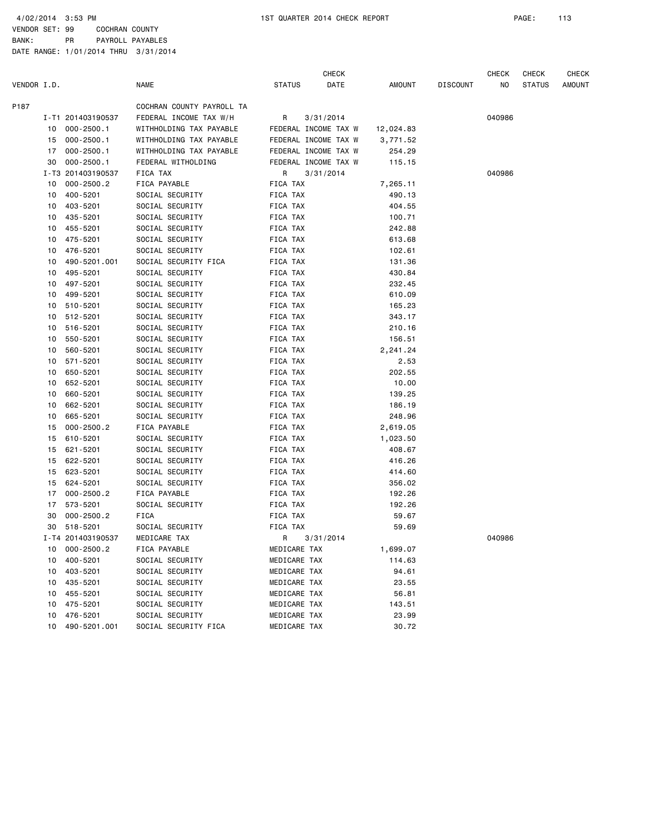VENDOR SET: 99 COCHRAN COUNTY

BANK: PR PAYROLL PAYABLES

|             |    |                   |                           |               | <b>CHECK</b>         |           |                 | CHECK  | <b>CHECK</b>  | CHECK         |
|-------------|----|-------------------|---------------------------|---------------|----------------------|-----------|-----------------|--------|---------------|---------------|
| VENDOR I.D. |    |                   | <b>NAME</b>               | <b>STATUS</b> | DATE                 | AMOUNT    | <b>DISCOUNT</b> | ΝO     | <b>STATUS</b> | <b>AMOUNT</b> |
| P187        |    |                   | COCHRAN COUNTY PAYROLL TA |               |                      |           |                 |        |               |               |
|             |    | I-T1 201403190537 | FEDERAL INCOME TAX W/H    | R             | 3/31/2014            |           |                 | 040986 |               |               |
|             | 10 | 000-2500.1        | WITHHOLDING TAX PAYABLE   |               | FEDERAL INCOME TAX W | 12,024.83 |                 |        |               |               |
|             |    | 15 000-2500.1     | WITHHOLDING TAX PAYABLE   |               | FEDERAL INCOME TAX W | 3,771.52  |                 |        |               |               |
|             | 17 | $000 - 2500.1$    | WITHHOLDING TAX PAYABLE   |               | FEDERAL INCOME TAX W | 254.29    |                 |        |               |               |
|             | 30 | $000 - 2500.1$    | FEDERAL WITHOLDING        |               | FEDERAL INCOME TAX W | 115.15    |                 |        |               |               |
|             |    | I-T3 201403190537 | FICA TAX                  | R             | 3/31/2014            |           |                 | 040986 |               |               |
|             | 10 | $000 - 2500.2$    | FICA PAYABLE              | FICA TAX      |                      | 7,265.11  |                 |        |               |               |
|             | 10 | 400-5201          | SOCIAL SECURITY           | FICA TAX      |                      | 490.13    |                 |        |               |               |
|             | 10 | 403-5201          | SOCIAL SECURITY           | FICA TAX      |                      | 404.55    |                 |        |               |               |
|             | 10 | 435-5201          | SOCIAL SECURITY           | FICA TAX      |                      | 100.71    |                 |        |               |               |
|             | 10 | 455-5201          | SOCIAL SECURITY           | FICA TAX      |                      | 242.88    |                 |        |               |               |
|             | 10 | 475-5201          | SOCIAL SECURITY           | FICA TAX      |                      | 613.68    |                 |        |               |               |
|             | 10 | 476-5201          | SOCIAL SECURITY           | FICA TAX      |                      | 102.61    |                 |        |               |               |
|             | 10 | 490-5201.001      | SOCIAL SECURITY FICA      | FICA TAX      |                      | 131.36    |                 |        |               |               |
|             | 10 | 495-5201          | SOCIAL SECURITY           | FICA TAX      |                      | 430.84    |                 |        |               |               |
|             | 10 | 497-5201          | SOCIAL SECURITY           | FICA TAX      |                      | 232.45    |                 |        |               |               |
|             | 10 | 499-5201          | SOCIAL SECURITY           | FICA TAX      |                      | 610.09    |                 |        |               |               |
|             | 10 | 510-5201          | SOCIAL SECURITY           | FICA TAX      |                      | 165.23    |                 |        |               |               |
|             | 10 | 512-5201          | SOCIAL SECURITY           | FICA TAX      |                      | 343.17    |                 |        |               |               |
|             | 10 | 516-5201          | SOCIAL SECURITY           | FICA TAX      |                      | 210.16    |                 |        |               |               |
|             | 10 | 550-5201          | SOCIAL SECURITY           | FICA TAX      |                      | 156.51    |                 |        |               |               |
|             | 10 | 560-5201          | SOCIAL SECURITY           | FICA TAX      |                      | 2,241.24  |                 |        |               |               |
|             | 10 | 571-5201          | SOCIAL SECURITY           | FICA TAX      |                      | 2.53      |                 |        |               |               |
|             | 10 | 650-5201          | SOCIAL SECURITY           | FICA TAX      |                      | 202.55    |                 |        |               |               |
|             | 10 | 652-5201          | SOCIAL SECURITY           | FICA TAX      |                      | 10.00     |                 |        |               |               |
|             | 10 | 660-5201          | SOCIAL SECURITY           | FICA TAX      |                      | 139.25    |                 |        |               |               |
|             | 10 | 662-5201          | SOCIAL SECURITY           | FICA TAX      |                      | 186.19    |                 |        |               |               |
|             | 10 | 665-5201          | SOCIAL SECURITY           | FICA TAX      |                      | 248.96    |                 |        |               |               |
|             | 15 | $000 - 2500.2$    | FICA PAYABLE              | FICA TAX      |                      | 2,619.05  |                 |        |               |               |
|             | 15 | 610-5201          | SOCIAL SECURITY           | FICA TAX      |                      | 1,023.50  |                 |        |               |               |
|             | 15 | 621-5201          | SOCIAL SECURITY           | FICA TAX      |                      | 408.67    |                 |        |               |               |
|             | 15 | 622-5201          | SOCIAL SECURITY           | FICA TAX      |                      | 416.26    |                 |        |               |               |
|             | 15 | 623-5201          | SOCIAL SECURITY           | FICA TAX      |                      | 414.60    |                 |        |               |               |
|             | 15 | 624-5201          | SOCIAL SECURITY           | FICA TAX      |                      | 356.02    |                 |        |               |               |
|             | 17 | $000 - 2500.2$    | FICA PAYABLE              | FICA TAX      |                      | 192.26    |                 |        |               |               |
|             | 17 | 573-5201          | SOCIAL SECURITY           | FICA TAX      |                      | 192.26    |                 |        |               |               |
|             | 30 | $000 - 2500.2$    | <b>FICA</b>               | FICA TAX      |                      | 59.67     |                 |        |               |               |
|             |    | 30 518-5201       | SOCIAL SECURITY           | FICA TAX      |                      | 59.69     |                 |        |               |               |
|             |    | I-T4 201403190537 | MEDICARE TAX              | R 3/31/2014   |                      |           |                 | 040986 |               |               |
|             | 10 | $000 - 2500.2$    | FICA PAYABLE              | MEDICARE TAX  |                      | 1,699.07  |                 |        |               |               |
|             | 10 | 400-5201          | SOCIAL SECURITY           | MEDICARE TAX  |                      | 114.63    |                 |        |               |               |
|             | 10 | 403-5201          | SOCIAL SECURITY           | MEDICARE TAX  |                      | 94.61     |                 |        |               |               |
|             |    | 10 435-5201       | SOCIAL SECURITY           | MEDICARE TAX  |                      | 23.55     |                 |        |               |               |
|             | 10 | 455-5201          | SOCIAL SECURITY           | MEDICARE TAX  |                      | 56.81     |                 |        |               |               |
|             | 10 | 475-5201          | SOCIAL SECURITY           | MEDICARE TAX  |                      | 143.51    |                 |        |               |               |
|             | 10 | 476-5201          | SOCIAL SECURITY           | MEDICARE TAX  |                      | 23.99     |                 |        |               |               |
|             | 10 | 490-5201.001      | SOCIAL SECURITY FICA      | MEDICARE TAX  |                      | 30.72     |                 |        |               |               |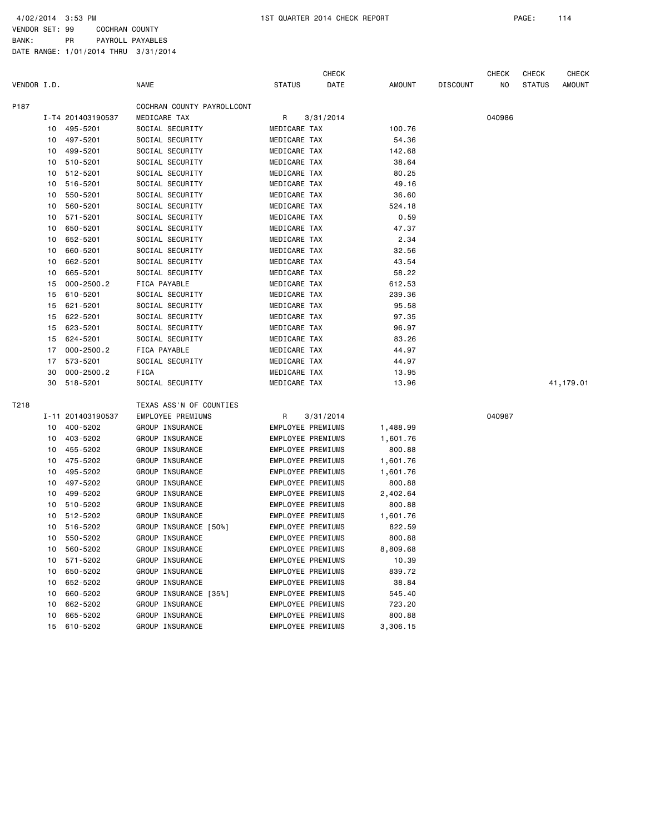VENDOR SET: 99 COCHRAN COUNTY BANK: PR PAYROLL PAYABLES

| VENDOR I.D. |          |                      | <b>NAME</b>                                | <b>STATUS</b>            | <b>CHECK</b><br>DATE | <b>AMOUNT</b>   | <b>DISCOUNT</b> | <b>CHECK</b><br>NO | <b>CHECK</b><br><b>STATUS</b> | CHECK<br><b>AMOUNT</b> |
|-------------|----------|----------------------|--------------------------------------------|--------------------------|----------------------|-----------------|-----------------|--------------------|-------------------------------|------------------------|
|             |          |                      |                                            |                          |                      |                 |                 |                    |                               |                        |
| P187        |          | I-T4 201403190537    | COCHRAN COUNTY PAYROLLCONT<br>MEDICARE TAX | R                        | 3/31/2014            |                 |                 | 040986             |                               |                        |
|             |          | 10 495-5201          | SOCIAL SECURITY                            | MEDICARE TAX             |                      | 100.76          |                 |                    |                               |                        |
|             | 10       | 497-5201             | SOCIAL SECURITY                            | MEDICARE TAX             |                      | 54.36           |                 |                    |                               |                        |
|             | 10       | 499-5201             | SOCIAL SECURITY                            | MEDICARE TAX             |                      | 142.68          |                 |                    |                               |                        |
|             |          | 510-5201             | SOCIAL SECURITY                            | MEDICARE TAX             |                      | 38.64           |                 |                    |                               |                        |
|             | 10       |                      | SOCIAL SECURITY                            | MEDICARE TAX             |                      |                 |                 |                    |                               |                        |
|             | 10       | 512-5201<br>516-5201 | SOCIAL SECURITY                            | MEDICARE TAX             |                      | 80.25<br>49.16  |                 |                    |                               |                        |
|             | 10       | 550-5201             | SOCIAL SECURITY                            | MEDICARE TAX             |                      |                 |                 |                    |                               |                        |
|             | 10<br>10 | 560-5201             | SOCIAL SECURITY                            | MEDICARE TAX             |                      | 36.60<br>524.18 |                 |                    |                               |                        |
|             |          | 571-5201             |                                            | MEDICARE TAX             |                      | 0.59            |                 |                    |                               |                        |
|             | 10       |                      | SOCIAL SECURITY                            | MEDICARE TAX             |                      |                 |                 |                    |                               |                        |
|             | 10       | 650-5201             | SOCIAL SECURITY                            |                          |                      | 47.37           |                 |                    |                               |                        |
|             | 10       | 652-5201             | SOCIAL SECURITY                            | MEDICARE TAX             |                      | 2.34            |                 |                    |                               |                        |
|             | 10       | 660-5201             | SOCIAL SECURITY                            | MEDICARE TAX             |                      | 32.56           |                 |                    |                               |                        |
|             | 10       | 662-5201             | SOCIAL SECURITY                            | MEDICARE TAX             |                      | 43.54           |                 |                    |                               |                        |
|             | 10       | 665-5201             | SOCIAL SECURITY                            | MEDICARE TAX             |                      | 58.22           |                 |                    |                               |                        |
|             | 15       | $000 - 2500.2$       | FICA PAYABLE                               | MEDICARE TAX             |                      | 612.53          |                 |                    |                               |                        |
|             | 15       | 610-5201             | SOCIAL SECURITY                            | MEDICARE TAX             |                      | 239.36          |                 |                    |                               |                        |
|             | 15       | 621-5201             | SOCIAL SECURITY                            | MEDICARE TAX             |                      | 95.58           |                 |                    |                               |                        |
|             | 15       | 622-5201             | SOCIAL SECURITY                            | MEDICARE TAX             |                      | 97.35           |                 |                    |                               |                        |
|             | 15       | 623-5201             | SOCIAL SECURITY                            | MEDICARE TAX             |                      | 96.97           |                 |                    |                               |                        |
|             | 15       | 624-5201             | SOCIAL SECURITY                            | MEDICARE TAX             |                      | 83.26           |                 |                    |                               |                        |
|             | 17       | $000 - 2500.2$       | FICA PAYABLE                               | MEDICARE TAX             |                      | 44.97           |                 |                    |                               |                        |
|             | 17       | 573-5201             | SOCIAL SECURITY                            | MEDICARE TAX             |                      | 44.97           |                 |                    |                               |                        |
|             | 30       | $000 - 2500.2$       | FICA                                       | MEDICARE TAX             |                      | 13.95           |                 |                    |                               |                        |
|             | 30       | 518-5201             | SOCIAL SECURITY                            | MEDICARE TAX             |                      | 13.96           |                 |                    |                               | 41,179.01              |
| T218        |          |                      | TEXAS ASS'N OF COUNTIES                    |                          |                      |                 |                 |                    |                               |                        |
|             |          | I-11 201403190537    | EMPLOYEE PREMIUMS                          | R                        | 3/31/2014            |                 |                 | 040987             |                               |                        |
|             | 10       | 400-5202             | GROUP INSURANCE                            | EMPLOYEE PREMIUMS        |                      | 1,488.99        |                 |                    |                               |                        |
|             | 10       | 403-5202             | GROUP INSURANCE                            | EMPLOYEE PREMIUMS        |                      | 1,601.76        |                 |                    |                               |                        |
|             | 10       | 455-5202             | GROUP INSURANCE                            | EMPLOYEE PREMIUMS        |                      | 800.88          |                 |                    |                               |                        |
|             | 10       | 475-5202             | GROUP INSURANCE                            | EMPLOYEE PREMIUMS        |                      | 1,601.76        |                 |                    |                               |                        |
|             | 10       | 495-5202             | GROUP INSURANCE                            | EMPLOYEE PREMIUMS        |                      | 1,601.76        |                 |                    |                               |                        |
|             | 10       | 497-5202             | GROUP INSURANCE                            | EMPLOYEE PREMIUMS        |                      | 800.88          |                 |                    |                               |                        |
|             | 10       | 499-5202             | GROUP INSURANCE                            | EMPLOYEE PREMIUMS        |                      | 2,402.64        |                 |                    |                               |                        |
|             | 10       | 510-5202             | GROUP INSURANCE                            | EMPLOYEE PREMIUMS        |                      | 800.88          |                 |                    |                               |                        |
|             | 10       | 512-5202             | GROUP INSURANCE                            | EMPLOYEE PREMIUMS        |                      | 1,601.76        |                 |                    |                               |                        |
|             |          | 10 516-5202          | GROUP INSURANCE [50%]                      | <b>EMPLOYEE PREMIUMS</b> |                      | 822.59          |                 |                    |                               |                        |
|             | 10       | 550-5202             | GROUP INSURANCE                            | EMPLOYEE PREMIUMS        |                      | 800.88          |                 |                    |                               |                        |
|             | 10       | 560-5202             | GROUP INSURANCE                            | EMPLOYEE PREMIUMS        |                      | 8,809.68        |                 |                    |                               |                        |
|             | 10       | 571-5202             | GROUP INSURANCE                            | EMPLOYEE PREMIUMS        |                      | 10.39           |                 |                    |                               |                        |
|             | 10       | 650-5202             | GROUP INSURANCE                            | EMPLOYEE PREMIUMS        |                      | 839.72          |                 |                    |                               |                        |
|             | 10       | 652-5202             | GROUP INSURANCE                            | EMPLOYEE PREMIUMS        |                      | 38.84           |                 |                    |                               |                        |
|             | 10       | 660-5202             | GROUP INSURANCE [35%]                      | EMPLOYEE PREMIUMS        |                      | 545.40          |                 |                    |                               |                        |
|             | 10       | 662-5202             | GROUP INSURANCE                            | EMPLOYEE PREMIUMS        |                      | 723.20          |                 |                    |                               |                        |
|             | 10       | 665-5202             | GROUP INSURANCE                            | EMPLOYEE PREMIUMS        |                      | 800.88          |                 |                    |                               |                        |
|             | 15       | 610-5202             | GROUP INSURANCE                            | EMPLOYEE PREMIUMS        |                      | 3,306.15        |                 |                    |                               |                        |
|             |          |                      |                                            |                          |                      |                 |                 |                    |                               |                        |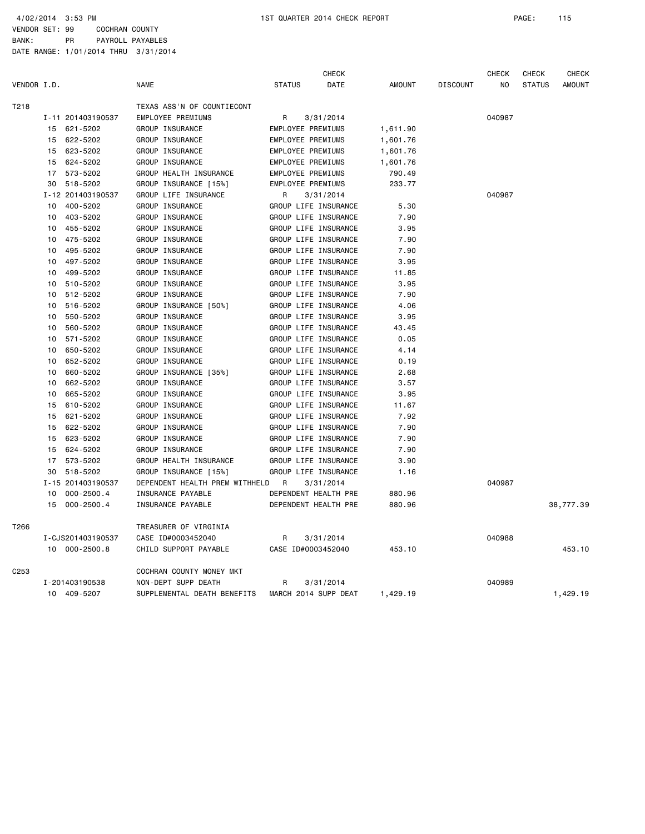VENDOR SET: 99 COCHRAN COUNTY BANK: PR PAYROLL PAYABLES

|             |    |                   |                                |                      | CHECK     |          |                 | CHECK          | <b>CHECK</b>  | <b>CHECK</b>  |
|-------------|----|-------------------|--------------------------------|----------------------|-----------|----------|-----------------|----------------|---------------|---------------|
| VENDOR I.D. |    |                   | <b>NAME</b>                    | <b>STATUS</b>        | DATE      | AMOUNT   | <b>DISCOUNT</b> | N <sub>O</sub> | <b>STATUS</b> | <b>AMOUNT</b> |
| T218        |    |                   | TEXAS ASS'N OF COUNTIECONT     |                      |           |          |                 |                |               |               |
|             |    | I-11 201403190537 | EMPLOYEE PREMIUMS              | R                    | 3/31/2014 |          |                 | 040987         |               |               |
|             | 15 | 621-5202          | GROUP INSURANCE                | EMPLOYEE PREMIUMS    |           | 1,611.90 |                 |                |               |               |
|             | 15 | 622-5202          | GROUP INSURANCE                | EMPLOYEE PREMIUMS    |           | 1,601.76 |                 |                |               |               |
|             | 15 | 623-5202          | GROUP INSURANCE                | EMPLOYEE PREMIUMS    |           | 1,601.76 |                 |                |               |               |
|             | 15 | 624-5202          | GROUP INSURANCE                | EMPLOYEE PREMIUMS    |           | 1,601.76 |                 |                |               |               |
|             | 17 | 573-5202          | GROUP HEALTH INSURANCE         | EMPLOYEE PREMIUMS    |           | 790.49   |                 |                |               |               |
|             | 30 | 518-5202          | GROUP INSURANCE [15%]          | EMPLOYEE PREMIUMS    |           | 233.77   |                 |                |               |               |
|             |    | I-12 201403190537 | GROUP LIFE INSURANCE           | R                    | 3/31/2014 |          |                 | 040987         |               |               |
|             | 10 | 400-5202          | GROUP INSURANCE                | GROUP LIFE INSURANCE |           | 5.30     |                 |                |               |               |
|             | 10 | 403-5202          | GROUP INSURANCE                | GROUP LIFE INSURANCE |           | 7.90     |                 |                |               |               |
|             | 10 | 455-5202          | GROUP INSURANCE                | GROUP LIFE INSURANCE |           | 3.95     |                 |                |               |               |
|             | 10 | 475-5202          | GROUP INSURANCE                | GROUP LIFE INSURANCE |           | 7.90     |                 |                |               |               |
|             | 10 | 495-5202          | GROUP INSURANCE                | GROUP LIFE INSURANCE |           | 7.90     |                 |                |               |               |
|             | 10 | 497-5202          | GROUP INSURANCE                | GROUP LIFE INSURANCE |           | 3.95     |                 |                |               |               |
|             | 10 | 499-5202          | GROUP INSURANCE                | GROUP LIFE INSURANCE |           | 11.85    |                 |                |               |               |
|             | 10 | 510-5202          | GROUP INSURANCE                | GROUP LIFE INSURANCE |           | 3.95     |                 |                |               |               |
|             | 10 | 512-5202          | GROUP INSURANCE                | GROUP LIFE INSURANCE |           | 7.90     |                 |                |               |               |
|             | 10 | 516-5202          | GROUP INSURANCE [50%]          | GROUP LIFE INSURANCE |           | 4.06     |                 |                |               |               |
|             | 10 | 550-5202          | GROUP INSURANCE                | GROUP LIFE INSURANCE |           | 3.95     |                 |                |               |               |
|             | 10 | 560-5202          | GROUP INSURANCE                | GROUP LIFE INSURANCE |           | 43.45    |                 |                |               |               |
|             | 10 | 571-5202          | GROUP INSURANCE                | GROUP LIFE INSURANCE |           | 0.05     |                 |                |               |               |
|             | 10 | 650-5202          | GROUP INSURANCE                | GROUP LIFE INSURANCE |           | 4.14     |                 |                |               |               |
|             | 10 | 652-5202          | GROUP INSURANCE                | GROUP LIFE INSURANCE |           | 0.19     |                 |                |               |               |
|             | 10 | 660-5202          | GROUP INSURANCE [35%]          | GROUP LIFE INSURANCE |           | 2.68     |                 |                |               |               |
|             | 10 | 662-5202          | GROUP INSURANCE                | GROUP LIFE INSURANCE |           | 3.57     |                 |                |               |               |
|             | 10 | 665-5202          | GROUP INSURANCE                | GROUP LIFE INSURANCE |           | 3.95     |                 |                |               |               |
|             | 15 | 610-5202          | GROUP INSURANCE                | GROUP LIFE INSURANCE |           | 11.67    |                 |                |               |               |
|             | 15 | 621-5202          | GROUP INSURANCE                | GROUP LIFE INSURANCE |           | 7.92     |                 |                |               |               |
|             | 15 | 622-5202          | GROUP INSURANCE                | GROUP LIFE INSURANCE |           | 7.90     |                 |                |               |               |
|             | 15 | 623-5202          | GROUP INSURANCE                | GROUP LIFE INSURANCE |           | 7.90     |                 |                |               |               |
|             | 15 | 624-5202          | GROUP INSURANCE                | GROUP LIFE INSURANCE |           | 7.90     |                 |                |               |               |
|             | 17 | 573-5202          | GROUP HEALTH INSURANCE         | GROUP LIFE INSURANCE |           | 3.90     |                 |                |               |               |
|             | 30 | 518-5202          | GROUP INSURANCE [15%]          | GROUP LIFE INSURANCE |           | 1.16     |                 |                |               |               |
|             |    | I-15 201403190537 | DEPENDENT HEALTH PREM WITHHELD | <b>R</b>             | 3/31/2014 |          |                 | 040987         |               |               |
|             | 10 | $000 - 2500.4$    | INSURANCE PAYABLE              | DEPENDENT HEALTH PRE |           | 880.96   |                 |                |               |               |
|             | 15 | $000 - 2500.4$    | INSURANCE PAYABLE              | DEPENDENT HEALTH PRE |           | 880.96   |                 |                |               | 38,777.39     |
| T266        |    |                   | TREASURER OF VIRGINIA          |                      |           |          |                 |                |               |               |
|             |    | I-CJS201403190537 | CASE ID#0003452040             | R                    | 3/31/2014 |          |                 | 040988         |               |               |
|             |    | 10 000-2500.8     | CHILD SUPPORT PAYABLE          | CASE ID#0003452040   |           | 453.10   |                 |                |               | 453.10        |
| C253        |    |                   | COCHRAN COUNTY MONEY MKT       |                      |           |          |                 |                |               |               |
|             |    | I-201403190538    | NON-DEPT SUPP DEATH            | R                    | 3/31/2014 |          |                 | 040989         |               |               |
|             |    | 10 409-5207       | SUPPLEMENTAL DEATH BENEFITS    | MARCH 2014 SUPP DEAT |           | 1,429.19 |                 |                |               | 1,429.19      |
|             |    |                   |                                |                      |           |          |                 |                |               |               |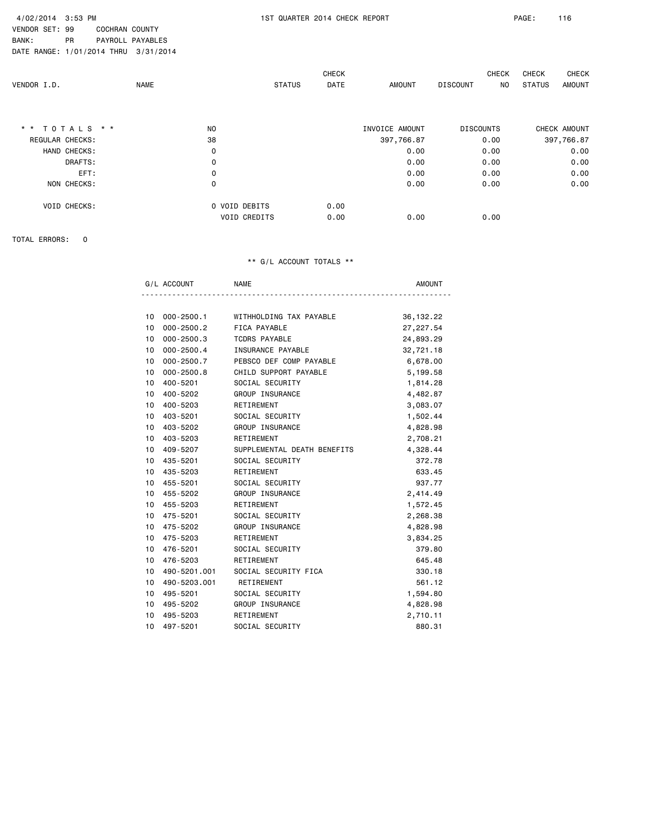VENDOR SET: 99 COCHRAN COUNTY

BANK: PR PAYROLL PAYABLES

DATE RANGE: 1/01/2014 THRU 3/31/2014

| VENDOR I.D.     | <b>NAME</b> | <b>STATUS</b>       | <b>CHECK</b><br>DATE | <b>AMOUNT</b>  | CHECK<br><b>DISCOUNT</b><br>NO. | <b>CHECK</b><br>CHECK<br>STATUS<br><b>AMOUNT</b> |
|-----------------|-------------|---------------------|----------------------|----------------|---------------------------------|--------------------------------------------------|
| ** TOTALS **    |             | NO.                 |                      | INVOICE AMOUNT | <b>DISCOUNTS</b>                | CHECK AMOUNT                                     |
| REGULAR CHECKS: |             | 38                  |                      | 397,766.87     | 0.00                            | 397,766.87                                       |
| HAND CHECKS:    |             | 0                   |                      | 0.00           | 0.00                            | 0.00                                             |
| DRAFTS:         |             | $\mathbf 0$         |                      | 0.00           | 0.00                            | 0.00                                             |
| EFT:            |             | 0                   |                      | 0.00           | 0.00                            | 0.00                                             |
| NON CHECKS:     |             | 0                   |                      | 0.00           | 0.00                            | 0.00                                             |
| VOID CHECKS:    |             | O VOID DEBITS       | 0.00                 |                |                                 |                                                  |
|                 |             | <b>VOID CREDITS</b> | 0.00                 | 0.00           | 0.00                            |                                                  |

TOTAL ERRORS: 0

#### \*\* G/L ACCOUNT TOTALS \*\*

| ۰. | NAML | m |
|----|------|---|
|    |      |   |

| 10              | $000 - 2500.1$ | WITHHOLDING TAX PAYABLE     | 36, 132.22 |
|-----------------|----------------|-----------------------------|------------|
| 10 <sup>1</sup> | 000-2500.2     | FICA PAYABLE                | 27,227.54  |
| 10              | $000 - 2500.3$ | <b>TCDRS PAYABLE</b>        | 24,893.29  |
| 10              | 000-2500.4     | INSURANCE PAYABLE           | 32,721.18  |
| 10 <sup>1</sup> | 000-2500.7     | PEBSCO DEF COMP PAYABLE     | 6,678.00   |
| 10              | $000 - 2500.8$ | CHILD SUPPORT PAYABLE       | 5,199.58   |
| 10              | 400-5201       | SOCIAL SECURITY             | 1,814.28   |
| 10 <sup>1</sup> | 400-5202       | GROUP INSURANCE             | 4,482.87   |
| 10 <sup>1</sup> | 400-5203       | RETIREMENT                  | 3,083.07   |
| 10 <sup>1</sup> | 403-5201       | SOCIAL SECURITY             | 1,502.44   |
| 10 <sup>1</sup> | 403-5202       | GROUP INSURANCE             | 4,828.98   |
| 10 <sup>1</sup> | 403-5203       | RETIREMENT                  | 2,708.21   |
| 10              | 409-5207       | SUPPLEMENTAL DEATH BENEFITS | 4,328.44   |
| 10              | 435-5201       | SOCIAL SECURITY             | 372.78     |
| 10 <sup>1</sup> | 435-5203       | RETIREMENT                  | 633.45     |
| 10 <sup>1</sup> | 455-5201       | SOCIAL SECURITY             | 937.77     |
| 10              | 455-5202       | GROUP INSURANCE             | 2,414.49   |
| 10 <sup>1</sup> | 455-5203       | RETIREMENT                  | 1,572.45   |
| 10              | 475-5201       | SOCIAL SECURITY             | 2,268.38   |
| 10 <sup>1</sup> | 475-5202       | GROUP INSURANCE             | 4,828.98   |
| 10 <sup>1</sup> | 475-5203       | RETIREMENT                  | 3,834.25   |
| 10 <sup>1</sup> | 476-5201       | SOCIAL SECURITY             | 379.80     |
| 10              | 476-5203       | RETIREMENT                  | 645.48     |
| 10 <sup>1</sup> | 490-5201.001   | SOCIAL SECURITY FICA        | 330.18     |
| 10              | 490-5203.001   | RETIREMENT                  | 561.12     |
| 10 <sup>1</sup> | 495-5201       | SOCIAL SECURITY             | 1,594.80   |
| 10              | 495-5202       | GROUP INSURANCE             | 4,828.98   |
| 10 <sup>1</sup> | 495-5203       | RETIREMENT                  | 2,710.11   |
| 10              | 497-5201       | SOCIAL SECURITY             | 880.31     |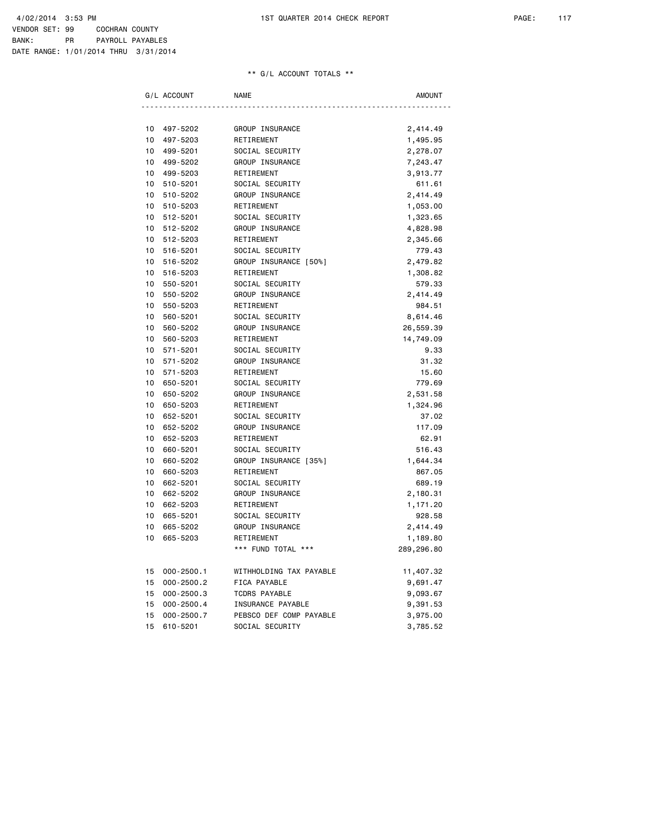## \*\* G/L ACCOUNT TOTALS \*\*

|    | G/L ACCOUNT    | <b>NAME</b>             | <b>AMOUNT</b> |
|----|----------------|-------------------------|---------------|
|    |                |                         |               |
| 10 | 497-5202       | GROUP INSURANCE         | 2,414.49      |
| 10 | 497-5203       | RETIREMENT              | 1,495.95      |
| 10 | 499-5201       | SOCIAL SECURITY         | 2,278.07      |
| 10 | 499-5202       | GROUP INSURANCE         | 7,243.47      |
| 10 | 499-5203       | RETIREMENT              | 3,913.77      |
| 10 | 510-5201       | SOCIAL SECURITY         | 611.61        |
| 10 | 510-5202       | GROUP INSURANCE         | 2,414.49      |
| 10 | 510-5203       | RETIREMENT              | 1,053.00      |
| 10 | 512-5201       | SOCIAL SECURITY         | 1,323.65      |
| 10 | 512-5202       | GROUP INSURANCE         | 4,828.98      |
| 10 | 512-5203       | RETIREMENT              | 2,345.66      |
| 10 | 516-5201       | SOCIAL SECURITY         | 779.43        |
| 10 | 516-5202       | GROUP INSURANCE [50%]   | 2,479.82      |
| 10 | 516-5203       | RETIREMENT              | 1,308.82      |
| 10 | 550-5201       | SOCIAL SECURITY         | 579.33        |
| 10 | 550-5202       | GROUP INSURANCE         | 2,414.49      |
| 10 | 550-5203       | RETIREMENT              | 984.51        |
| 10 | 560-5201       | SOCIAL SECURITY         | 8,614.46      |
| 10 | 560-5202       | GROUP INSURANCE         | 26,559.39     |
| 10 | 560-5203       | RETIREMENT              | 14,749.09     |
| 10 | 571-5201       | SOCIAL SECURITY         | 9.33          |
| 10 | 571-5202       | GROUP INSURANCE         | 31.32         |
| 10 | 571-5203       | RETIREMENT              | 15.60         |
| 10 | 650-5201       | SOCIAL SECURITY         | 779.69        |
| 10 | 650-5202       | GROUP INSURANCE         | 2,531.58      |
| 10 | 650-5203       | RETIREMENT              | 1,324.96      |
| 10 | 652-5201       | SOCIAL SECURITY         | 37.02         |
| 10 | 652-5202       | GROUP INSURANCE         | 117.09        |
| 10 | 652-5203       | RETIREMENT              | 62.91         |
| 10 | 660-5201       | SOCIAL SECURITY         | 516.43        |
| 10 | 660-5202       | GROUP INSURANCE [35%]   | 1,644.34      |
| 10 | 660-5203       | RETIREMENT              | 867.05        |
| 10 | 662-5201       | SOCIAL SECURITY         | 689.19        |
| 10 | 662-5202       | GROUP INSURANCE         | 2,180.31      |
| 10 | 662-5203       | RETIREMENT              | 1,171.20      |
| 10 | 665-5201       | SOCIAL SECURITY         | 928.58        |
| 10 | 665-5202       | GROUP INSURANCE         | 2,414.49      |
| 10 | 665-5203       | RETIREMENT              | 1,189.80      |
|    |                | *** FUND TOTAL ***      | 289,296.80    |
| 15 | $000 - 2500.1$ | WITHHOLDING TAX PAYABLE | 11,407.32     |
| 15 | $000 - 2500.2$ | FICA PAYABLE            | 9,691.47      |
| 15 | $000 - 2500.3$ | <b>TCDRS PAYABLE</b>    | 9,093.67      |
| 15 | $000 - 2500.4$ | INSURANCE PAYABLE       | 9,391.53      |
| 15 | $000 - 2500.7$ | PEBSCO DEF COMP PAYABLE | 3,975.00      |
| 15 | 610-5201       | SOCIAL SECURITY         | 3,785.52      |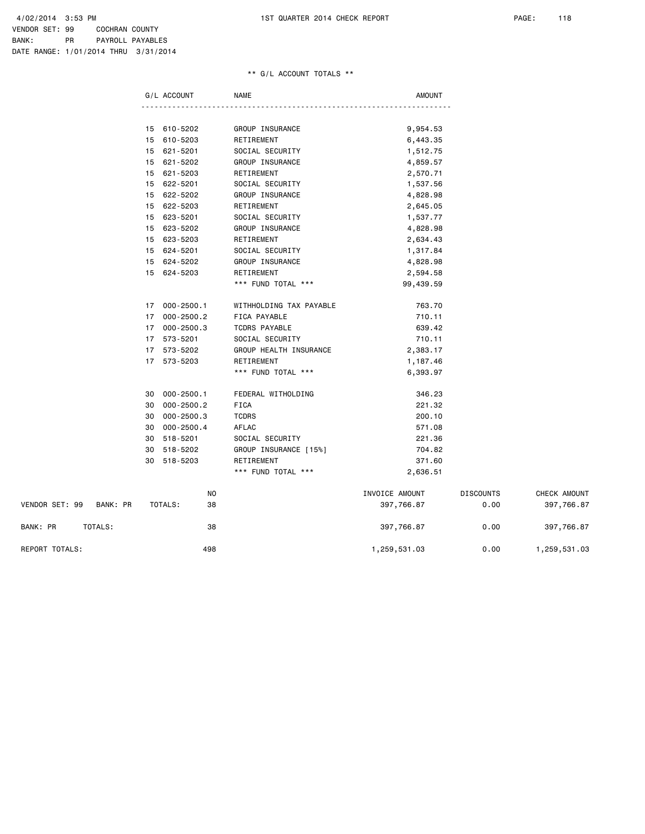## \*\* G/L ACCOUNT TOTALS \*\*

|                |          |    | G/L ACCOUNT    | <b>NAME</b>             | <b>AMOUNT</b>  |                  |              |
|----------------|----------|----|----------------|-------------------------|----------------|------------------|--------------|
|                |          |    |                |                         |                |                  |              |
|                |          |    | 15 610-5202    | GROUP INSURANCE         | 9,954.53       |                  |              |
|                |          |    | 15 610-5203    | RETIREMENT              | 6,443.35       |                  |              |
|                |          |    | 15 621-5201    | SOCIAL SECURITY         | 1,512.75       |                  |              |
|                |          |    | 15 621-5202    | GROUP INSURANCE         | 4,859.57       |                  |              |
|                |          |    | 15 621-5203    | RETIREMENT              | 2,570.71       |                  |              |
|                |          |    | 15 622-5201    | SOCIAL SECURITY         | 1,537.56       |                  |              |
|                |          | 15 | 622-5202       | GROUP INSURANCE         | 4,828.98       |                  |              |
|                |          | 15 | 622-5203       | RETIREMENT              | 2,645.05       |                  |              |
|                |          | 15 | 623-5201       | SOCIAL SECURITY         | 1,537.77       |                  |              |
|                |          | 15 | 623-5202       | GROUP INSURANCE         | 4,828.98       |                  |              |
|                |          | 15 | 623-5203       | RETIREMENT              | 2,634.43       |                  |              |
|                |          |    | 15 624-5201    | SOCIAL SECURITY         | 1,317.84       |                  |              |
|                |          |    | 15 624-5202    | GROUP INSURANCE         | 4,828.98       |                  |              |
|                |          |    | 15 624-5203    | RETIREMENT              | 2,594.58       |                  |              |
|                |          |    |                | *** FUND TOTAL ***      | 99,439.59      |                  |              |
|                |          |    | 17 000-2500.1  | WITHHOLDING TAX PAYABLE | 763.70         |                  |              |
|                |          | 17 | 000-2500.2     | FICA PAYABLE            | 710.11         |                  |              |
|                |          | 17 | 000-2500.3     | <b>TCDRS PAYABLE</b>    | 639.42         |                  |              |
|                |          |    | 17 573-5201    | SOCIAL SECURITY         | 710.11         |                  |              |
|                |          |    | 17 573-5202    | GROUP HEALTH INSURANCE  | 2,383.17       |                  |              |
|                |          |    | 17 573-5203    | RETIREMENT              | 1,187.46       |                  |              |
|                |          |    |                | *** FUND TOTAL ***      | 6,393.97       |                  |              |
|                |          | 30 | 000-2500.1     | FEDERAL WITHOLDING      | 346.23         |                  |              |
|                |          | 30 | 000-2500.2     | <b>FICA</b>             | 221.32         |                  |              |
|                |          | 30 | 000-2500.3     | <b>TCDRS</b>            | 200.10         |                  |              |
|                |          | 30 | $000 - 2500.4$ | AFLAC                   | 571.08         |                  |              |
|                |          | 30 | 518-5201       | SOCIAL SECURITY         | 221.36         |                  |              |
|                |          | 30 | 518-5202       | GROUP INSURANCE [15%]   | 704.82         |                  |              |
|                |          | 30 | 518-5203       | RETIREMENT              | 371.60         |                  |              |
|                |          |    |                | *** FUND TOTAL ***      | 2,636.51       |                  |              |
|                |          |    | N <sub>O</sub> |                         | INVOICE AMOUNT | <b>DISCOUNTS</b> | CHECK AMOUNT |
| VENDOR SET: 99 | BANK: PR |    | TOTALS:<br>38  |                         | 397,766.87     | 0.00             | 397,766.87   |
|                |          |    |                |                         |                |                  |              |

BANK: PR TOTALS: 38 397,766.87 0.00 397,766.87

REPORT TOTALS: 498 1,259,531.03 0.00 1,259,531.03